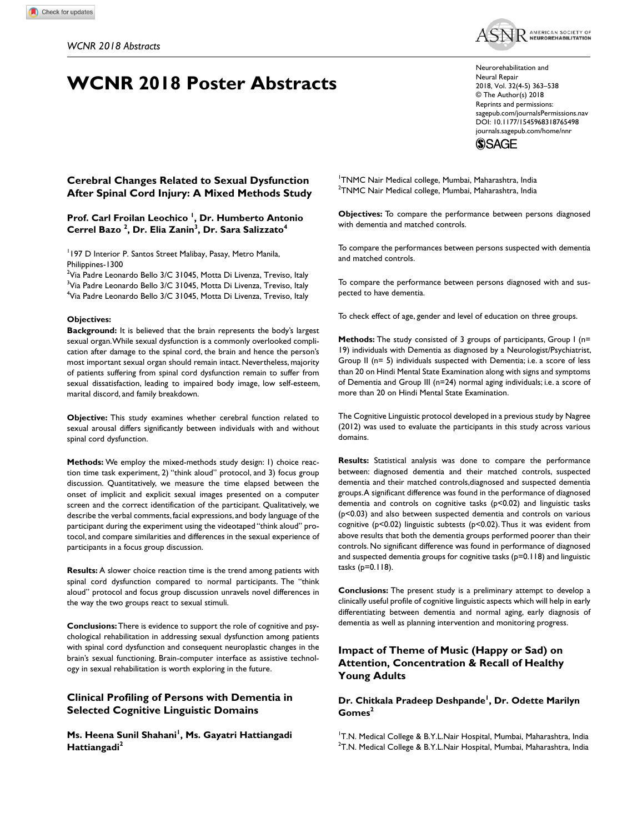# **WCNR 2018 Poster Abstracts**



DOI: 10.1177/1545968318765498 Neurorehabilitation and Neural Repair 2018, Vol. 32(4-5) 363–538 © The Author(s) 2018 Reprints and permissions: [sagepub.com/journalsPermissions.nav](https://us.sagepub.com/en-us/journals-permissions) [journals.sagepub.com/home/nnr](https://journals.sagepub.com/home/nnr)

**SSAGE** 

# **Cerebral Changes Related to Sexual Dysfunction After Spinal Cord Injury: A Mixed Methods Study**

### **Prof. Carl Froilan Leochico 1 , Dr. Humberto Antonio Cerrel Bazo <sup>2</sup> , Dr. Elia Zanin3 , Dr. Sara Salizzato4**

<sup>1</sup> 197 D Interior P. Santos Street Malibay, Pasay, Metro Manila, Philippines-1300

 $^2$ Via Padre Leonardo Bello 3/C 31045, Motta Di Livenza, Treviso, Italy <sup>3</sup>Via Padre Leonardo Bello 3/C 31045, Motta Di Livenza, Treviso, Italy <sup>4</sup>Via Padre Leonardo Bello 3/C 31045, Motta Di Livenza, Treviso, Italy

#### **Objectives:**

**Background:** It is believed that the brain represents the body's largest sexual organ. While sexual dysfunction is a commonly overlooked complication after damage to the spinal cord, the brain and hence the person's most important sexual organ should remain intact. Nevertheless, majority of patients suffering from spinal cord dysfunction remain to suffer from sexual dissatisfaction, leading to impaired body image, low self-esteem, marital discord, and family breakdown.

**Objective:** This study examines whether cerebral function related to sexual arousal differs significantly between individuals with and without spinal cord dysfunction.

**Methods:** We employ the mixed-methods study design: 1) choice reaction time task experiment, 2) "think aloud" protocol, and 3) focus group discussion. Quantitatively, we measure the time elapsed between the onset of implicit and explicit sexual images presented on a computer screen and the correct identification of the participant. Qualitatively, we describe the verbal comments, facial expressions, and body language of the participant during the experiment using the videotaped "think aloud" protocol, and compare similarities and differences in the sexual experience of participants in a focus group discussion.

**Results:** A slower choice reaction time is the trend among patients with spinal cord dysfunction compared to normal participants. The "think aloud" protocol and focus group discussion unravels novel differences in the way the two groups react to sexual stimuli.

**Conclusions:** There is evidence to support the role of cognitive and psychological rehabilitation in addressing sexual dysfunction among patients with spinal cord dysfunction and consequent neuroplastic changes in the brain's sexual functioning. Brain-computer interface as assistive technology in sexual rehabilitation is worth exploring in the future.

# **Clinical Profiling of Persons with Dementia in Selected Cognitive Linguistic Domains**

**Ms. Heena Sunil Shahani1 , Ms. Gayatri Hattiangadi Hattiangadi<sup>2</sup>**

<sup>1</sup>TNMC Nair Medical college, Mumbai, Maharashtra, India  $^{\rm 2}$ TNMC Nair Medical college, Mumbai, Maharashtra, India

**Objectives:** To compare the performance between persons diagnosed with dementia and matched controls.

To compare the performances between persons suspected with dementia and matched controls.

To compare the performance between persons diagnosed with and suspected to have dementia.

To check effect of age, gender and level of education on three groups.

**Methods:** The study consisted of 3 groups of participants, Group I (n= 19) individuals with Dementia as diagnosed by a Neurologist/Psychiatrist, Group II (n= 5) individuals suspected with Dementia; i.e. a score of less than 20 on Hindi Mental State Examination along with signs and symptoms of Dementia and Group III (n=24) normal aging individuals; i.e. a score of more than 20 on Hindi Mental State Examination.

The Cognitive Linguistic protocol developed in a previous study by Nagree (2012) was used to evaluate the participants in this study across various domains.

**Results:** Statistical analysis was done to compare the performance between: diagnosed dementia and their matched controls, suspected dementia and their matched controls,diagnosed and suspected dementia groups. A significant difference was found in the performance of diagnosed dementia and controls on cognitive tasks (p<0.02) and linguistic tasks (p<0.03) and also between suspected dementia and controls on various cognitive (p<0.02) linguistic subtests (p<0.02). Thus it was evident from above results that both the dementia groups performed poorer than their controls. No significant difference was found in performance of diagnosed and suspected dementia groups for cognitive tasks (p=0.118) and linguistic tasks (p=0.118).

**Conclusions:** The present study is a preliminary attempt to develop a clinically useful profile of cognitive linguistic aspects which will help in early differentiating between dementia and normal aging, early diagnosis of dementia as well as planning intervention and monitoring progress.

# **Impact of Theme of Music (Happy or Sad) on Attention, Concentration & Recall of Healthy Young Adults**

### **Dr. Chitkala Pradeep Deshpande1 , Dr. Odette Marilyn Gomes<sup>2</sup>**

<sup>1</sup>T.N. Medical College & B.Y.L.Nair Hospital, Mumbai, Maharashtra, India  $^{2}$ T.N. Medical College & B.Y.L.Nair Hospital, Mumbai, Maharashtra, India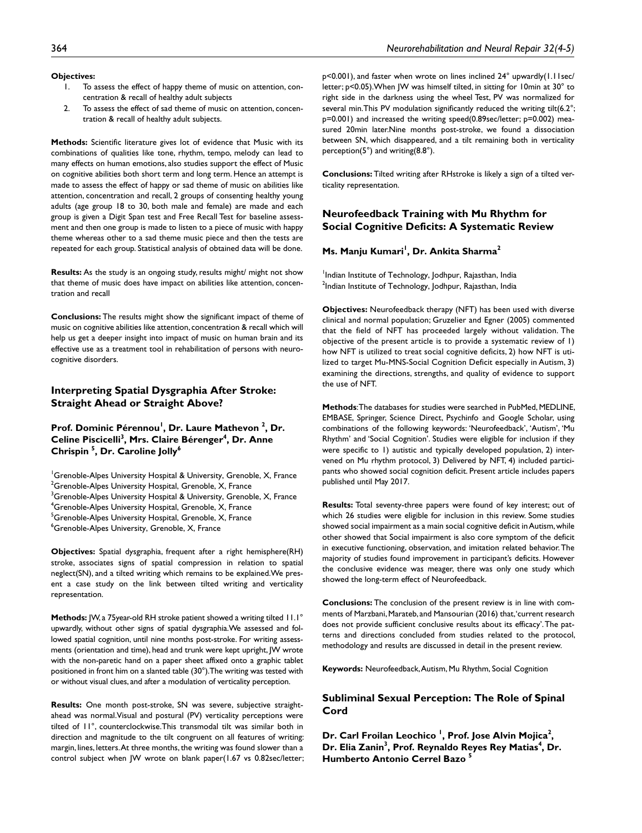#### **Objectives:**

- 1. To assess the effect of happy theme of music on attention, concentration & recall of healthy adult subjects
- 2. To assess the effect of sad theme of music on attention, concentration & recall of healthy adult subjects.

**Methods:** Scientific literature gives lot of evidence that Music with its combinations of qualities like tone, rhythm, tempo, melody can lead to many effects on human emotions, also studies support the effect of Music on cognitive abilities both short term and long term. Hence an attempt is made to assess the effect of happy or sad theme of music on abilities like attention, concentration and recall, 2 groups of consenting healthy young adults (age group 18 to 30, both male and female) are made and each group is given a Digit Span test and Free Recall Test for baseline assessment and then one group is made to listen to a piece of music with happy theme whereas other to a sad theme music piece and then the tests are repeated for each group. Statistical analysis of obtained data will be done.

**Results:** As the study is an ongoing study, results might/ might not show that theme of music does have impact on abilities like attention, concentration and recall

**Conclusions:** The results might show the significant impact of theme of music on cognitive abilities like attention, concentration & recall which will help us get a deeper insight into impact of music on human brain and its effective use as a treatment tool in rehabilitation of persons with neurocognitive disorders.

### **Interpreting Spatial Dysgraphia After Stroke: Straight Ahead or Straight Above?**

Prof. Dominic Pérennou<sup>1</sup>, Dr. Laure Mathevon<sup>2</sup>, Dr. **Celine Piscicelli3 , Mrs. Claire Bérenger4 , Dr. Anne Chrispin 5 , Dr. Caroline Jolly6**

<sup>1</sup>Grenoble-Alpes University Hospital & University, Grenoble, X, France  $^2$ Grenoble-Alpes University Hospital, Grenoble, X, France  $^3$ Grenoble-Alpes University Hospital & University, Grenoble, X, France 4 Grenoble-Alpes University Hospital, Grenoble, X, France <sup>5</sup>Grenoble-Alpes University Hospital, Grenoble, X, France  $\mathrm{^6}$ Grenoble-Alpes University, Grenoble, X, France

**Objectives:** Spatial dysgraphia, frequent after a right hemisphere(RH) stroke, associates signs of spatial compression in relation to spatial neglect(SN), and a tilted writing which remains to be explained.We present a case study on the link between tilted writing and verticality representation.

**Methods:** JW, a 75 year-old RH stroke patient showed a writing tilted 11.1° upwardly, without other signs of spatial dysgraphia.We assessed and followed spatial cognition, until nine months post-stroke. For writing assessments (orientation and time), head and trunk were kept upright, JW wrote with the non-paretic hand on a paper sheet affixed onto a graphic tablet positioned in front him on a slanted table (30°).The writing was tested with or without visual clues, and after a modulation of verticality perception.

**Results:** One month post-stroke, SN was severe, subjective straightahead was normal.Visual and postural (PV) verticality perceptions were tilted of 11°, counterclockwise.This transmodal tilt was similar both in direction and magnitude to the tilt congruent on all features of writing: margin, lines, letters. At three months, the writing was found slower than a control subject when JW wrote on blank paper(1.67 vs 0.82sec/letter;

p<0.001), and faster when wrote on lines inclined 24° upwardly(1.11sec/ letter; p<0.05).When JW was himself tilted, in sitting for 10min at 30° to right side in the darkness using the wheel Test, PV was normalized for several min.This PV modulation significantly reduced the writing tilt(6.2°; p=0.001) and increased the writing speed(0.89sec/letter; p=0.002) measured 20min later.Nine months post-stroke, we found a dissociation between SN, which disappeared, and a tilt remaining both in verticality perception(5°) and writing(8.8°).

**Conclusions:** Tilted writing after RHstroke is likely a sign of a tilted verticality representation.

# **Neurofeedback Training with Mu Rhythm for Social Cognitive Deficits: A Systematic Review**

#### **Ms. Manju Kumari1 , Dr. Ankita Sharma2**

<sup>1</sup>Indian Institute of Technology, Jodhpur, Rajasthan, India  $^2$ Indian Institute of Technology, Jodhpur, Rajasthan, India

**Objectives:** Neurofeedback therapy (NFT) has been used with diverse clinical and normal population; Gruzelier and Egner (2005) commented that the field of NFT has proceeded largely without validation. The objective of the present article is to provide a systematic review of 1) how NFT is utilized to treat social cognitive deficits, 2) how NFT is utilized to target Mu-MNS-Social Cognition Deficit especially in Autism, 3) examining the directions, strengths, and quality of evidence to support the use of NFT.

**Methods**: The databases for studies were searched in PubMed, MEDLINE, EMBASE, Springer, Science Direct, Psychinfo and Google Scholar, using combinations of the following keywords: 'Neurofeedback', 'Autism', 'Mu Rhythm' and 'Social Cognition'. Studies were eligible for inclusion if they were specific to 1) autistic and typically developed population, 2) intervened on Mu rhythm protocol, 3) Delivered by NFT, 4) included participants who showed social cognition deficit. Present article includes papers published until May 2017.

**Results:** Total seventy-three papers were found of key interest; out of which 26 studies were eligible for inclusion in this review. Some studies showed social impairment as a main social cognitive deficit in Autism, while other showed that Social impairment is also core symptom of the deficit in executive functioning, observation, and imitation related behavior. The majority of studies found improvement in participant's deficits. However the conclusive evidence was meager, there was only one study which showed the long-term effect of Neurofeedback.

**Conclusions:** The conclusion of the present review is in line with comments of Marzbani, Marateb, and Mansourian (2016) that, 'current research does not provide sufficient conclusive results about its efficacy'. The patterns and directions concluded from studies related to the protocol, methodology and results are discussed in detail in the present review.

**Keywords:** Neurofeedback, Autism, Mu Rhythm, Social Cognition

### **Subliminal Sexual Perception: The Role of Spinal Cord**

**Dr. Carl Froilan Leochico 1 , Prof. Jose Alvin Mojica2 ,**  Dr. Elia Zanin<sup>3</sup>, Prof. Reynaldo Reyes Rey Matias<sup>4</sup>, Dr. **Humberto Antonio Cerrel Bazo 5**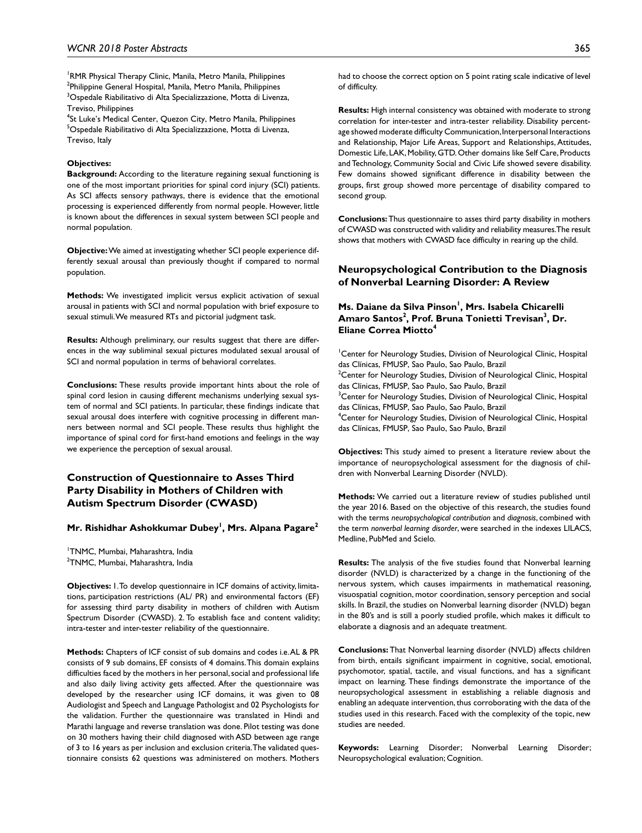<sup>1</sup>RMR Physical Therapy Clinic, Manila, Metro Manila, Philippines <sup>2</sup>Philippine General Hospital, Manila, Metro Manila, Philippines  $3$ Ospedale Riabilitativo di Alta Specializzazione, Motta di Livenza, Treviso, Philippines

4 St Luke's Medical Center, Quezon City, Metro Manila, Philippines <sup>5</sup>Ospedale Riabilitativo di Alta Specializzazione, Motta di Livenza, Treviso, Italy

#### **Objectives:**

**Background:** According to the literature regaining sexual functioning is one of the most important priorities for spinal cord injury (SCI) patients. As SCI affects sensory pathways, there is evidence that the emotional processing is experienced differently from normal people. However, little is known about the differences in sexual system between SCI people and normal population.

**Objective:** We aimed at investigating whether SCI people experience differently sexual arousal than previously thought if compared to normal population.

**Methods:** We investigated implicit versus explicit activation of sexual arousal in patients with SCI and normal population with brief exposure to sexual stimuli. We measured RTs and pictorial judgment task.

**Results:** Although preliminary, our results suggest that there are differences in the way subliminal sexual pictures modulated sexual arousal of SCI and normal population in terms of behavioral correlates.

**Conclusions:** These results provide important hints about the role of spinal cord lesion in causing different mechanisms underlying sexual system of normal and SCI patients. In particular, these findings indicate that sexual arousal does interfere with cognitive processing in different manners between normal and SCI people. These results thus highlight the importance of spinal cord for first-hand emotions and feelings in the way we experience the perception of sexual arousal.

# **Construction of Questionnaire to Asses Third Party Disability in Mothers of Children with Autism Spectrum Disorder (CWASD)**

#### **Mr. Rishidhar Ashokkumar Dubey1 , Mrs. Alpana Pagare2**

1 TNMC, Mumbai, Maharashtra, India <sup>2</sup>TNMC, Mumbai, Maharashtra, India

**Objectives:** 1. To develop questionnaire in ICF domains of activity, limitations, participation restrictions (AL/ PR) and environmental factors (EF) for assessing third party disability in mothers of children with Autism Spectrum Disorder (CWASD). 2. To establish face and content validity; intra-tester and inter-tester reliability of the questionnaire.

**Methods:** Chapters of ICF consist of sub domains and codes i.e. AL & PR consists of 9 sub domains, EF consists of 4 domains. This domain explains difficulties faced by the mothers in her personal, social and professional life and also daily living activity gets affected. After the questionnaire was developed by the researcher using ICF domains, it was given to 08 Audiologist and Speech and Language Pathologist and 02 Psychologists for the validation. Further the questionnaire was translated in Hindi and Marathi language and reverse translation was done. Pilot testing was done on 30 mothers having their child diagnosed with ASD between age range of 3 to 16 years as per inclusion and exclusion criteria. The validated questionnaire consists 62 questions was administered on mothers. Mothers

had to choose the correct option on 5 point rating scale indicative of level of difficulty.

**Results:** High internal consistency was obtained with moderate to strong correlation for inter-tester and intra-tester reliability. Disability percentage showed moderate difficulty Communication, Interpersonal Interactions and Relationship, Major Life Areas, Support and Relationships, Attitudes, Domestic Life, LAK, Mobility, GTD. Other domains like Self Care, Products and Technology, Community Social and Civic Life showed severe disability. Few domains showed significant difference in disability between the groups, first group showed more percentage of disability compared to second group.

**Conclusions:** Thus questionnaire to asses third party disability in mothers of CWASD was constructed with validity and reliability measures. The result shows that mothers with CWASD face difficulty in rearing up the child.

#### **Neuropsychological Contribution to the Diagnosis of Nonverbal Learning Disorder: A Review**

# **Ms. Daiane da Silva Pinson1 , Mrs. Isabela Chicarelli**  Amaro Santos<sup>2</sup>, Prof. Bruna Tonietti Trevisan<sup>3</sup>, Dr. **Eliane Correa Miotto4**

<sup>1</sup> Center for Neurology Studies, Division of Neurological Clinic, Hospital das Clínicas, FMUSP, Sao Paulo, Sao Paulo, Brazil  $2$ Center for Neurology Studies, Division of Neurological Clinic, Hospital das Clínicas, FMUSP, Sao Paulo, Sao Paulo, Brazil <sup>3</sup> Center for Neurology Studies, Division of Neurological Clinic, Hospital das Clínicas, FMUSP, Sao Paulo, Sao Paulo, Brazil <sup>4</sup>Center for Neurology Studies, Division of Neurological Clinic, Hospital das Clínicas, FMUSP, Sao Paulo, Sao Paulo, Brazil

**Objectives:** This study aimed to present a literature review about the importance of neuropsychological assessment for the diagnosis of children with Nonverbal Learning Disorder (NVLD).

**Methods:** We carried out a literature review of studies published until the year 2016. Based on the objective of this research, the studies found with the terms *neuropsychological contribution* and *diagnosis*, combined with the term *nonverbal learning disorder*, were searched in the indexes LILACS, Medline, PubMed and Scielo.

**Results:** The analysis of the five studies found that Nonverbal learning disorder (NVLD) is characterized by a change in the functioning of the nervous system, which causes impairments in mathematical reasoning, visuospatial cognition, motor coordination, sensory perception and social skills. In Brazil, the studies on Nonverbal learning disorder (NVLD) began in the 80's and is still a poorly studied profile, which makes it difficult to elaborate a diagnosis and an adequate treatment.

**Conclusions:** That Nonverbal learning disorder (NVLD) affects children from birth, entails significant impairment in cognitive, social, emotional, psychomotor, spatial, tactile, and visual functions, and has a significant impact on learning. These findings demonstrate the importance of the neuropsychological assessment in establishing a reliable diagnosis and enabling an adequate intervention, thus corroborating with the data of the studies used in this research. Faced with the complexity of the topic, new studies are needed.

**Keywords:** Learning Disorder; Nonverbal Learning Disorder; Neuropsychological evaluation; Cognition.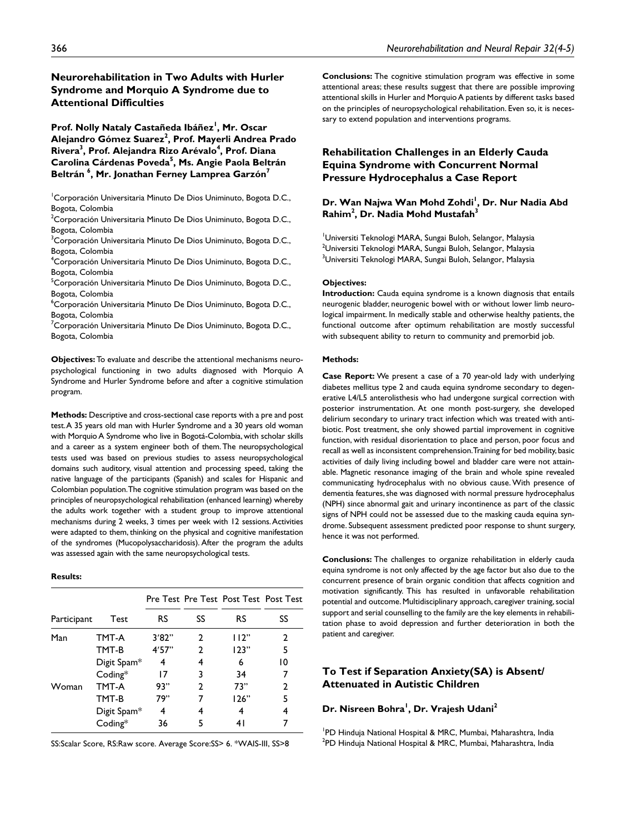**Neurorehabilitation in Two Adults with Hurler Syndrome and Morquio A Syndrome due to Attentional Difficulties**

Prof. Nolly Nataly Castañeda Ibáñez<sup>i</sup>, Mr. Oscar **Alejandro Gómez Suarez<sup>2</sup> , Prof. Mayerli Andrea Prado**  Rivera<sup>3</sup>, Prof. Alejandra Rizo Arévalo<sup>4</sup>, Prof. Diana **Carolina Cárdenas Poveda5 , Ms. Angie Paola Beltrán Beltrán <sup>6</sup> , Mr. Jonathan Ferney Lamprea Garzón7**

<sup>1</sup> Corporación Universitaria Minuto De Dios Uniminuto, Bogota D.C., Bogota, Colombia

 $^{2}$ Corporación Universitaria Minuto De Dios Uniminuto, Bogota D.C., Bogota, Colombia

<sup>3</sup>Corporación Universitaria Minuto De Dios Uniminuto, Bogota D.C., Bogota, Colombia

4 Corporación Universitaria Minuto De Dios Uniminuto, Bogota D.C., Bogota, Colombia

<sup>5</sup>Corporación Universitaria Minuto De Dios Uniminuto, Bogota D.C., Bogota, Colombia

6 Corporación Universitaria Minuto De Dios Uniminuto, Bogota D.C., Bogota, Colombia

 $7$ Corporación Universitaria Minuto De Dios Uniminuto, Bogota D.C., Bogota, Colombia

**Objectives:** To evaluate and describe the attentional mechanisms neuropsychological functioning in two adults diagnosed with Morquio A Syndrome and Hurler Syndrome before and after a cognitive stimulation program.

**Methods:** Descriptive and cross-sectional case reports with a pre and post test. A 35 years old man with Hurler Syndrome and a 30 years old woman with Morquio A Syndrome who live in Bogotá-Colombia, with scholar skills and a career as a system engineer both of them. The neuropsychological tests used was based on previous studies to assess neuropsychological domains such auditory, visual attention and processing speed, taking the native language of the participants (Spanish) and scales for Hispanic and Colombian population. The cognitive stimulation program was based on the principles of neuropsychological rehabilitation (enhanced learning) whereby the adults work together with a student group to improve attentional mechanisms during 2 weeks, 3 times per week with 12 sessions. Activities were adapted to them, thinking on the physical and cognitive manifestation of the syndromes (Mucopolysaccharidosis). After the program the adults was assessed again with the same neuropsychological tests.

#### **Results:**

|             |             |       |              | Pre Test Pre Test Post Test Post Test |    |
|-------------|-------------|-------|--------------|---------------------------------------|----|
| Participant | Test        | RS    | SS           | <b>RS</b>                             | SS |
| Man         | TMT-A       | 3'82" | 2            | 112"                                  | 2  |
|             | TMT-B       | 4'57" | 2            | 123"                                  | 5  |
|             | Digit Spam* | 4     | 4            | 6                                     | 10 |
|             | Coding*     | 17    | 3            | 34                                    | 7  |
| Woman       | TMT-A       | 93"   | $\mathbf{2}$ | 73"                                   | 2  |
|             | TMT-B       | 79"   | 7            | 126"                                  | 5  |
|             | Digit Spam* | 4     | 4            | 4                                     | 4  |
|             | Coding*     | 36    | 5            | 41                                    | 7  |

SS:Scalar Score, RS:Raw score. Average Score:SS> 6. \*WAIS-III, SS>8

**Conclusions:** The cognitive stimulation program was effective in some attentional areas; these results suggest that there are possible improving attentional skills in Hurler and Morquio A patients by different tasks based on the principles of neuropsychological rehabilitation. Even so, it is necessary to extend population and interventions programs.

# **Rehabilitation Challenges in an Elderly Cauda Equina Syndrome with Concurrent Normal Pressure Hydrocephalus a Case Report**

### Dr. Wan Najwa Wan Mohd Zohdi<sup>!</sup>, Dr. Nur Nadia Abd **Rahim<sup>2</sup> , Dr. Nadia Mohd Mustafah3**

1 Universiti Teknologi MARA, Sungai Buloh, Selangor, Malaysia  $^{2}$ Universiti Teknologi MARA, Sungai Buloh, Selangor, Malaysia <sup>3</sup>Universiti Teknologi MARA, Sungai Buloh, Selangor, Malaysia

#### **Objectives:**

**Introduction:** Cauda equina syndrome is a known diagnosis that entails neurogenic bladder, neurogenic bowel with or without lower limb neurological impairment. In medically stable and otherwise healthy patients, the functional outcome after optimum rehabilitation are mostly successful with subsequent ability to return to community and premorbid job.

#### **Methods:**

**Case Report:** We present a case of a 70 year-old lady with underlying diabetes mellitus type 2 and cauda equina syndrome secondary to degenerative L4/L5 anterolisthesis who had undergone surgical correction with posterior instrumentation. At one month post-surgery, she developed delirium secondary to urinary tract infection which was treated with antibiotic. Post treatment, she only showed partial improvement in cognitive function, with residual disorientation to place and person, poor focus and recall as well as inconsistent comprehension. Training for bed mobility, basic activities of daily living including bowel and bladder care were not attainable. Magnetic resonance imaging of the brain and whole spine revealed communicating hydrocephalus with no obvious cause. With presence of dementia features, she was diagnosed with normal pressure hydrocephalus (NPH) since abnormal gait and urinary incontinence as part of the classic signs of NPH could not be assessed due to the masking cauda equina syndrome. Subsequent assessment predicted poor response to shunt surgery, hence it was not performed.

**Conclusions:** The challenges to organize rehabilitation in elderly cauda equina syndrome is not only affected by the age factor but also due to the concurrent presence of brain organic condition that affects cognition and motivation significantly. This has resulted in unfavorable rehabilitation potential and outcome. Multidisciplinary approach, caregiver training, social support and serial counselling to the family are the key elements in rehabilitation phase to avoid depression and further deterioration in both the patient and caregiver.

# **To Test if Separation Anxiety(SA) is Absent/ Attenuated in Autistic Children**

#### **Dr. Nisreen Bohra1 , Dr. Vrajesh Udani2**

<sup>1</sup>PD Hinduja National Hospital & MRC, Mumbai, Maharashtra, India <sup>2</sup>PD Hinduja National Hospital & MRC, Mumbai, Maharashtra, India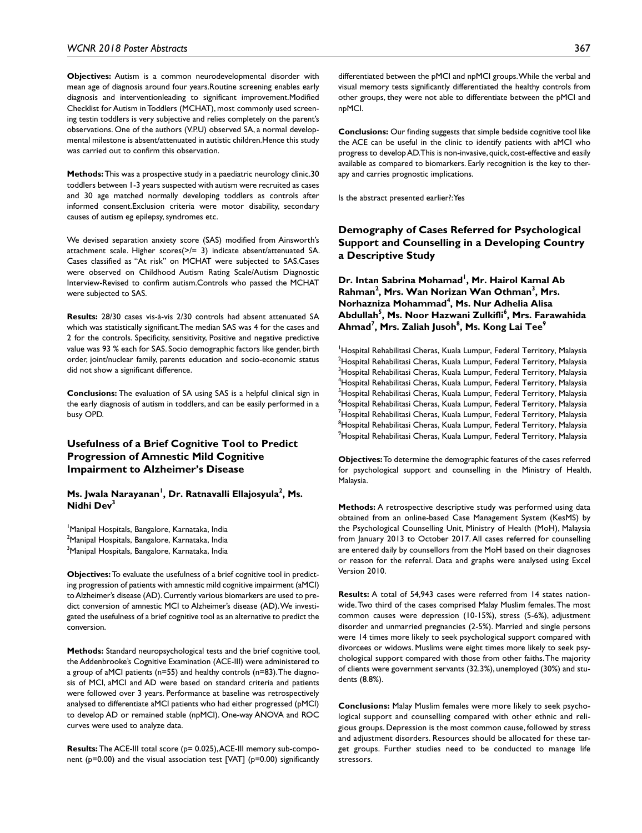**Objectives:** Autism is a common neurodevelopmental disorder with mean age of diagnosis around four years.Routine screening enables early diagnosis and interventionleading to significant improvement.Modified Checklist for Autism in Toddlers (MCHAT), most commonly used screening testin toddlers is very subjective and relies completely on the parent's observations. One of the authors (V.P.U) observed SA, a normal developmental milestone is absent/attenuated in autistic children.Hence this study was carried out to confirm this observation.

**Methods:** This was a prospective study in a paediatric neurology clinic.30 toddlers between 1-3 years suspected with autism were recruited as cases and 30 age matched normally developing toddlers as controls after informed consent.Exclusion criteria were motor disability, secondary causes of autism eg epilepsy, syndromes etc.

We devised separation anxiety score (SAS) modified from Ainsworth's attachment scale. Higher scores(>/= 3) indicate absent/attenuated SA. Cases classified as "At risk" on MCHAT were subjected to SAS.Cases were observed on Childhood Autism Rating Scale/Autism Diagnostic Interview-Revised to confirm autism.Controls who passed the MCHAT were subjected to SAS.

**Results:** 28/30 cases vis-à-vis 2/30 controls had absent attenuated SA which was statistically significant.The median SAS was 4 for the cases and 2 for the controls. Specificity, sensitivity, Positive and negative predictive value was 93 % each for SAS. Socio demographic factors like gender, birth order, joint/nuclear family, parents education and socio-economic status did not show a significant difference.

**Conclusions:** The evaluation of SA using SAS is a helpful clinical sign in the early diagnosis of autism in toddlers, and can be easily performed in a busy OPD.

# **Usefulness of a Brief Cognitive Tool to Predict Progression of Amnestic Mild Cognitive Impairment to Alzheimer's Disease**

#### Ms. Jwala Narayanan<sup>I</sup>, Dr. Ratnavalli Ellajosyula<sup>2</sup>, Ms. **Nidhi Dev<sup>3</sup>**

1 Manipal Hospitals, Bangalore, Karnataka, India <sup>2</sup>Manipal Hospitals, Bangalore, Karnataka, India <sup>3</sup>Manipal Hospitals, Bangalore, Karnataka, India

**Objectives:** To evaluate the usefulness of a brief cognitive tool in predicting progression of patients with amnestic mild cognitive impairment (aMCI) to Alzheimer's disease (AD). Currently various biomarkers are used to predict conversion of amnestic MCI to Alzheimer's disease (AD). We investigated the usefulness of a brief cognitive tool as an alternative to predict the conversion.

**Methods:** Standard neuropsychological tests and the brief cognitive tool, the Addenbrooke's Cognitive Examination (ACE-III) were administered to a group of aMCI patients (n=55) and healthy controls (n=83). The diagnosis of MCI, aMCI and AD were based on standard criteria and patients were followed over 3 years. Performance at baseline was retrospectively analysed to differentiate aMCI patients who had either progressed (pMCI) to develop AD or remained stable (npMCI). One-way ANOVA and ROC curves were used to analyze data.

**Results:** The ACE-III total score (p= 0.025), ACE-III memory sub-component ( $p=0.00$ ) and the visual association test [VAT] ( $p=0.00$ ) significantly differentiated between the pMCI and npMCI groups. While the verbal and visual memory tests significantly differentiated the healthy controls from other groups, they were not able to differentiate between the pMCI and npMCI.

**Conclusions:** Our finding suggests that simple bedside cognitive tool like the ACE can be useful in the clinic to identify patients with aMCI who progress to develop AD. This is non-invasive, quick, cost-effective and easily available as compared to biomarkers. Early recognition is the key to therapy and carries prognostic implications.

Is the abstract presented earlier?: Yes

# **Demography of Cases Referred for Psychological Support and Counselling in a Developing Country a Descriptive Study**

# Dr. Intan Sabrina Mohamad<sup>i</sup>, Mr. Hairol Kamal Ab Rahman<sup>2</sup>, Mrs. Wan Norizan Wan Othman<sup>3</sup>, Mrs. **Norhazniza Mohammad4 , Ms. Nur Adhelia Alisa**  Abdullah<sup>5</sup>, Ms. Noor Hazwani Zulkifli<sup>6</sup>, Mrs. Farawahida **Ahmad7 , Mrs. Zaliah Jusoh8 , Ms. Kong Lai Tee9**

<sup>1</sup>Hospital Rehabilitasi Cheras, Kuala Lumpur, Federal Territory, Malaysia  $^{2}$ Hospital Rehabilitasi Cheras, Kuala Lumpur, Federal Territory, Malaysia  $^3$ Hospital Rehabilitasi Cheras, Kuala Lumpur, Federal Territory, Malaysia 4 Hospital Rehabilitasi Cheras, Kuala Lumpur, Federal Territory, Malaysia <sup>5</sup>Hospital Rehabilitasi Cheras, Kuala Lumpur, Federal Territory, Malaysia  $^6$ Hospital Rehabilitasi Cheras, Kuala Lumpur, Federal Territory, Malaysia  $^7$ Hospital Rehabilitasi Cheras, Kuala Lumpur, Federal Territory, Malaysia <sup>8</sup>Hospital Rehabilitasi Cheras, Kuala Lumpur, Federal Territory, Malaysia  $^9$ Hospital Rehabilitasi Cheras, Kuala Lumpur, Federal Territory, Malaysia

**Objectives:** To determine the demographic features of the cases referred for psychological support and counselling in the Ministry of Health, Malaysia.

**Methods:** A retrospective descriptive study was performed using data obtained from an online-based Case Management System (KesMS) by the Psychological Counselling Unit, Ministry of Health (MoH), Malaysia from January 2013 to October 2017. All cases referred for counselling are entered daily by counsellors from the MoH based on their diagnoses or reason for the referral. Data and graphs were analysed using Excel Version 2010.

**Results:** A total of 54,943 cases were referred from 14 states nationwide. Two third of the cases comprised Malay Muslim females. The most common causes were depression (10-15%), stress (5-6%), adjustment disorder and unmarried pregnancies (2-5%). Married and single persons were 14 times more likely to seek psychological support compared with divorcees or widows. Muslims were eight times more likely to seek psychological support compared with those from other faiths. The majority of clients were government servants (32.3%), unemployed (30%) and students (8.8%).

**Conclusions:** Malay Muslim females were more likely to seek psychological support and counselling compared with other ethnic and religious groups. Depression is the most common cause, followed by stress and adjustment disorders. Resources should be allocated for these target groups. Further studies need to be conducted to manage life stressors.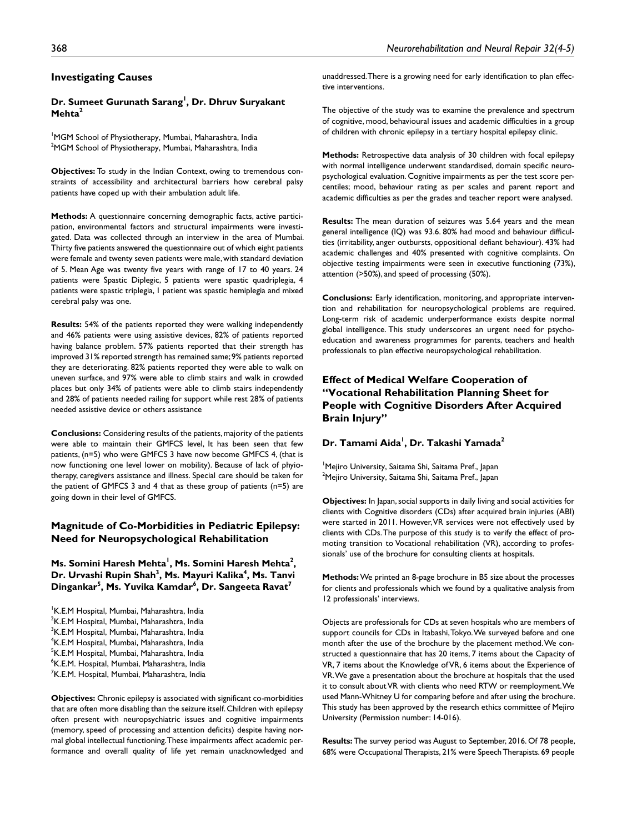#### **Investigating Causes**

#### **Dr. Sumeet Gurunath Sarang1 , Dr. Dhruv Suryakant Mehta<sup>2</sup>**

1 MGM School of Physiotherapy, Mumbai, Maharashtra, India 2 MGM School of Physiotherapy, Mumbai, Maharashtra, India

**Objectives:** To study in the Indian Context, owing to tremendous constraints of accessibility and architectural barriers how cerebral palsy patients have coped up with their ambulation adult life.

**Methods:** A questionnaire concerning demographic facts, active participation, environmental factors and structural impairments were investigated. Data was collected through an interview in the area of Mumbai. Thirty five patients answered the questionnaire out of which eight patients were female and twenty seven patients were male, with standard deviation of 5. Mean Age was twenty five years with range of 17 to 40 years. 24 patients were Spastic Diplegic, 5 patients were spastic quadriplegia, 4 patients were spastic triplegia, 1 patient was spastic hemiplegia and mixed cerebral palsy was one.

**Results:** 54% of the patients reported they were walking independently and 46% patients were using assistive devices, 82% of patients reported having balance problem. 57% patients reported that their strength has improved 31% reported strength has remained same; 9% patients reported they are deteriorating. 82% patients reported they were able to walk on uneven surface, and 97% were able to climb stairs and walk in crowded places but only 34% of patients were able to climb stairs independently and 28% of patients needed railing for support while rest 28% of patients needed assistive device or others assistance

**Conclusions:** Considering results of the patients, majority of the patients were able to maintain their GMFCS level, It has been seen that few patients, (n=5) who were GMFCS 3 have now become GMFCS 4, (that is now functioning one level lower on mobility). Because of lack of phyiotherapy, caregivers assistance and illness. Special care should be taken for the patient of GMFCS 3 and 4 that as these group of patients  $(n=5)$  are going down in their level of GMFCS.

# **Magnitude of Co-Morbidities in Pediatric Epilepsy: Need for Neuropsychological Rehabilitation**

**Ms. Somini Haresh Mehta<sup>1</sup>, Ms. Somini Haresh Mehta** $^2$ **,** Dr. Urvashi Rupin Shah<sup>3</sup>, Ms. Mayuri Kalika<sup>4</sup>, Ms. Tanvi **Dingankar5 , Ms. Yuvika Kamdar6 , Dr. Sangeeta Ravat7**

<sup>1</sup> K.E.M Hospital, Mumbai, Maharashtra, India  $^{2}$ K.E.M Hospital, Mumbai, Maharashtra, India <sup>3</sup>K.E.M Hospital, Mumbai, Maharashtra, India 4 K.E.M Hospital, Mumbai, Maharashtra, India <sup>5</sup>K.E.M Hospital, Mumbai, Maharashtra, India 6 K.E.M. Hospital, Mumbai, Maharashtra, India <sup>7</sup>K.E.M. Hospital, Mumbai, Maharashtra, India

**Objectives:** Chronic epilepsy is associated with significant co-morbidities that are often more disabling than the seizure itself. Children with epilepsy often present with neuropsychiatric issues and cognitive impairments (memory, speed of processing and attention deficits) despite having normal global intellectual functioning. These impairments affect academic performance and overall quality of life yet remain unacknowledged and

unaddressed. There is a growing need for early identification to plan effective interventions.

The objective of the study was to examine the prevalence and spectrum of cognitive, mood, behavioural issues and academic difficulties in a group of children with chronic epilepsy in a tertiary hospital epilepsy clinic.

**Methods:** Retrospective data analysis of 30 children with focal epilepsy with normal intelligence underwent standardised, domain specific neuropsychological evaluation. Cognitive impairments as per the test score percentiles; mood, behaviour rating as per scales and parent report and academic difficulties as per the grades and teacher report were analysed.

**Results:** The mean duration of seizures was 5.64 years and the mean general intelligence (IQ) was 93.6. 80% had mood and behaviour difficulties (irritability, anger outbursts, oppositional defiant behaviour). 43% had academic challenges and 40% presented with cognitive complaints. On objective testing impairments were seen in executive functioning (73%), attention (>50%), and speed of processing (50%).

**Conclusions:** Early identification, monitoring, and appropriate intervention and rehabilitation for neuropsychological problems are required. Long-term risk of academic underperformance exists despite normal global intelligence. This study underscores an urgent need for psychoeducation and awareness programmes for parents, teachers and health professionals to plan effective neuropsychological rehabilitation.

# **Effect of Medical Welfare Cooperation of "Vocational Rehabilitation Planning Sheet for People with Cognitive Disorders After Acquired Brain Injury"**

#### **Dr. Tamami Aida1 , Dr. Takashi Yamada2**

<sup>1</sup>Mejiro University, Saitama Shi, Saitama Pref., Japan <sup>2</sup>Mejiro University, Saitama Shi, Saitama Pref., Japan

**Objectives:** In Japan, social supports in daily living and social activities for clients with Cognitive disorders (CDs) after acquired brain injuries (ABI) were started in 2011. However, VR services were not effectively used by clients with CDs. The purpose of this study is to verify the effect of promoting transition to Vocational rehabilitation (VR), according to professionals' use of the brochure for consulting clients at hospitals.

**Methods:** We printed an 8-page brochure in B5 size about the processes for clients and professionals which we found by a qualitative analysis from 12 professionals' interviews.

Objects are professionals for CDs at seven hospitals who are members of support councils for CDs in Itabashi, Tokyo. We surveyed before and one month after the use of the brochure by the placement method. We constructed a questionnaire that has 20 items, 7 items about the Capacity of VR, 7 items about the Knowledge of VR, 6 items about the Experience of VR. We gave a presentation about the brochure at hospitals that the used it to consult about VR with clients who need RTW or reemployment. We used Mann-Whitney U for comparing before and after using the brochure. This study has been approved by the research ethics committee of Mejiro University (Permission number: 14-016).

**Results:** The survey period was August to September, 2016. Of 78 people, 68% were Occupational Therapists, 21% were Speech Therapists. 69 people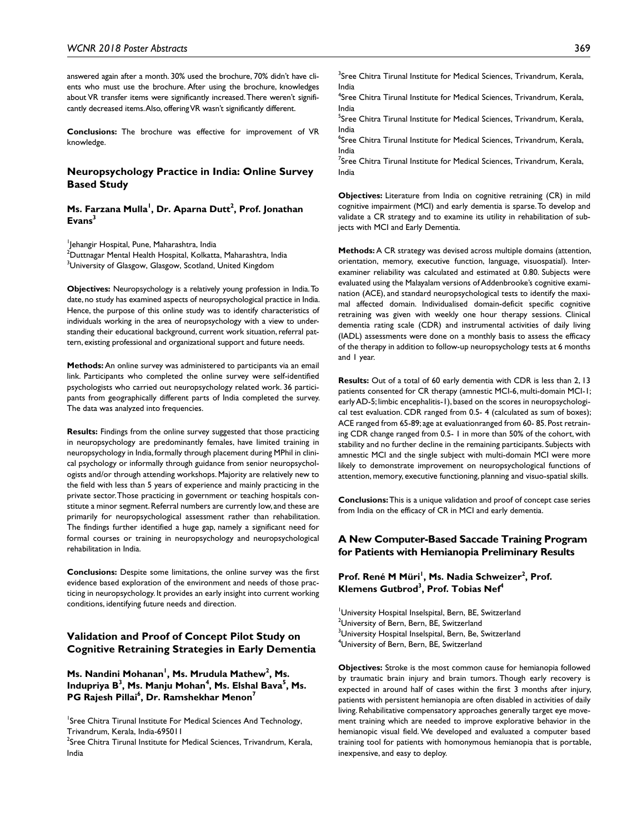answered again after a month. 30% used the brochure, 70% didn't have clients who must use the brochure. After using the brochure, knowledges about VR transfer items were significantly increased. There weren't significantly decreased items. Also, offering VR wasn't significantly different.

**Conclusions:** The brochure was effective for improvement of VR knowledge.

#### **Neuropsychology Practice in India: Online Survey Based Study**

### **Ms. Farzana Mulla<sup>l</sup>, Dr. Aparna Dutt<sup>2</sup>, Prof. Jonathan** Evans<sup>3</sup>

1 Jehangir Hospital, Pune, Maharashtra, India  $^{\rm 2}$ Duttnagar Mental Health Hospital, Kolkatta, Maharashtra, India <sup>3</sup>University of Glasgow, Glasgow, Scotland, United Kingdom

**Objectives:** Neuropsychology is a relatively young profession in India. To date, no study has examined aspects of neuropsychological practice in India. Hence, the purpose of this online study was to identify characteristics of individuals working in the area of neuropsychology with a view to understanding their educational background, current work situation, referral pattern, existing professional and organizational support and future needs.

**Methods:** An online survey was administered to participants via an email link. Participants who completed the online survey were self-identified psychologists who carried out neuropsychology related work. 36 participants from geographically different parts of India completed the survey. The data was analyzed into frequencies.

**Results:** Findings from the online survey suggested that those practicing in neuropsychology are predominantly females, have limited training in neuropsychology in India, formally through placement during MPhil in clinical psychology or informally through guidance from senior neuropsychologists and/or through attending workshops. Majority are relatively new to the field with less than 5 years of experience and mainly practicing in the private sector. Those practicing in government or teaching hospitals constitute a minor segment. Referral numbers are currently low, and these are primarily for neuropsychological assessment rather than rehabilitation. The findings further identified a huge gap, namely a significant need for formal courses or training in neuropsychology and neuropsychological rehabilitation in India.

**Conclusions:** Despite some limitations, the online survey was the first evidence based exploration of the environment and needs of those practicing in neuropsychology. It provides an early insight into current working conditions, identifying future needs and direction.

# **Validation and Proof of Concept Pilot Study on Cognitive Retraining Strategies in Early Dementia**

Ms. Nandini Mohanan<sup>1</sup>, Ms. Mrudula Mathew<sup>2</sup>, Ms. Indupriya B<sup>3</sup>, Ms. Manju Mohan<sup>4</sup>, Ms. Elshal Bava<sup>5</sup>, Ms. **PG Rajesh Pillai6 , Dr. Ramshekhar Menon7**

<sup>1</sup>Sree Chitra Tirunal Institute For Medical Sciences And Technology, Trivandrum, Kerala, India-695011

<sup>2</sup>Sree Chitra Tirunal Institute for Medical Sciences, Trivandrum, Kerala, India

<sup>3</sup>Sree Chitra Tirunal Institute for Medical Sciences, Trivandrum, Kerala, India

4 Sree Chitra Tirunal Institute for Medical Sciences, Trivandrum, Kerala, India

<sup>5</sup>Sree Chitra Tirunal Institute for Medical Sciences, Trivandrum, Kerala, India

6 Sree Chitra Tirunal Institute for Medical Sciences, Trivandrum, Kerala, India

<sup>7</sup>Sree Chitra Tirunal Institute for Medical Sciences, Trivandrum, Kerala, India

**Objectives:** Literature from India on cognitive retraining (CR) in mild cognitive impairment (MCI) and early dementia is sparse. To develop and validate a CR strategy and to examine its utility in rehabilitation of subjects with MCI and Early Dementia.

**Methods:** A CR strategy was devised across multiple domains (attention, orientation, memory, executive function, language, visuospatial). Interexaminer reliability was calculated and estimated at 0.80. Subjects were evaluated using the Malayalam versions of Addenbrooke's cognitive examination (ACE), and standard neuropsychological tests to identify the maximal affected domain. Individualised domain-deficit specific cognitive retraining was given with weekly one hour therapy sessions. Clinical dementia rating scale (CDR) and instrumental activities of daily living (IADL) assessments were done on a monthly basis to assess the efficacy of the therapy in addition to follow-up neuropsychology tests at 6 months and 1 year.

**Results:** Out of a total of 60 early dementia with CDR is less than 2, 13 patients consented for CR therapy (amnestic MCI-6, multi-domain MCI-1; early AD-5; limbic encephalitis-1), based on the scores in neuropsychological test evaluation. CDR ranged from 0.5- 4 (calculated as sum of boxes); ACE ranged from 65-89; age at evaluationranged from 60- 85. Post retraining CDR change ranged from 0.5- 1 in more than 50% of the cohort, with stability and no further decline in the remaining participants. Subjects with amnestic MCI and the single subject with multi-domain MCI were more likely to demonstrate improvement on neuropsychological functions of attention, memory, executive functioning, planning and visuo-spatial skills.

**Conclusions:** This is a unique validation and proof of concept case series from India on the efficacy of CR in MCI and early dementia.

#### **A New Computer-Based Saccade Training Program for Patients with Hemianopia Preliminary Results**

# Prof. René M Müri<sup>!</sup>, Ms. Nadia Schweizer<sup>2</sup>, Prof. **Klemens Gutbrod3 , Prof. Tobias Nef4**

<sup>1</sup>University Hospital Inselspital, Bern, BE, Switzerland <sup>2</sup>University of Bern, Bern, BE, Switzerland  $^3$ University Hospital Inselspital, Bern, Be, Switzerland 4 University of Bern, Bern, BE, Switzerland

**Objectives:** Stroke is the most common cause for hemianopia followed by traumatic brain injury and brain tumors. Though early recovery is expected in around half of cases within the first 3 months after injury, patients with persistent hemianopia are often disabled in activities of daily living. Rehabilitative compensatory approaches generally target eye movement training which are needed to improve explorative behavior in the hemianopic visual field. We developed and evaluated a computer based training tool for patients with homonymous hemianopia that is portable, inexpensive, and easy to deploy.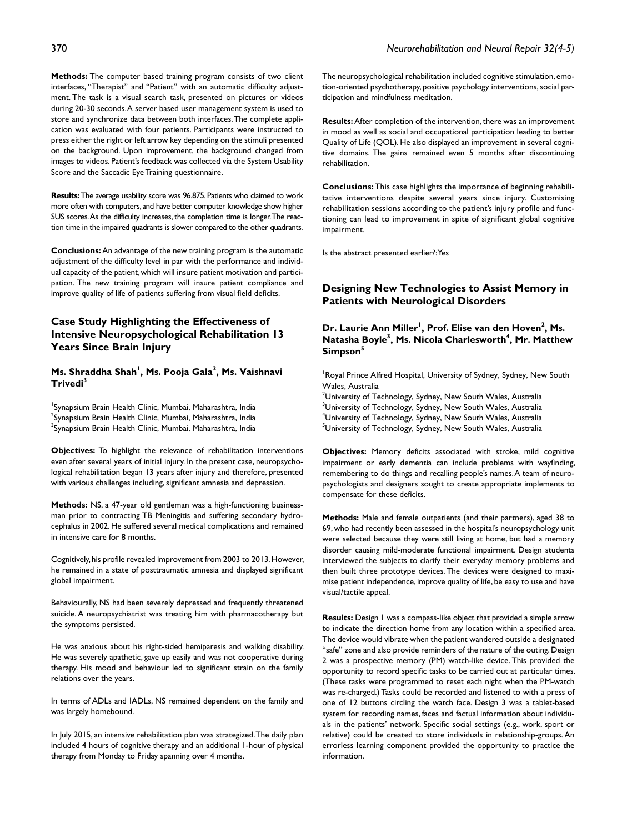**Methods:** The computer based training program consists of two client interfaces, "Therapist" and "Patient" with an automatic difficulty adjustment. The task is a visual search task, presented on pictures or videos during 20-30 seconds. A server based user management system is used to store and synchronize data between both interfaces. The complete application was evaluated with four patients. Participants were instructed to press either the right or left arrow key depending on the stimuli presented on the background. Upon improvement, the background changed from images to videos. Patient's feedback was collected via the System Usability Score and the Saccadic Eye Training questionnaire.

**Results:** The average usability score was 96.875. Patients who claimed to work more often with computers, and have better computer knowledge show higher SUS scores. As the difficulty increases, the completion time is longer. The reaction time in the impaired quadrants is slower compared to the other quadrants.

**Conclusions:** An advantage of the new training program is the automatic adjustment of the difficulty level in par with the performance and individual capacity of the patient, which will insure patient motivation and participation. The new training program will insure patient compliance and improve quality of life of patients suffering from visual field deficits.

# **Case Study Highlighting the Effectiveness of Intensive Neuropsychological Rehabilitation 13 Years Since Brain Injury**

# **Ms. Shraddha Shah<sup>1</sup> , Ms. Pooja Gala<sup>2</sup> , Ms. Vaishnavi Trivedi<sup>3</sup>**

1 Synapsium Brain Health Clinic, Mumbai, Maharashtra, India <sup>2</sup>Synapsium Brain Health Clinic, Mumbai, Maharashtra, India <sup>3</sup>Synapsium Brain Health Clinic, Mumbai, Maharashtra, India

**Objectives:** To highlight the relevance of rehabilitation interventions even after several years of initial injury. In the present case, neuropsychological rehabilitation began 13 years after injury and therefore, presented with various challenges including, significant amnesia and depression.

**Methods:** NS, a 47-year old gentleman was a high-functioning businessman prior to contracting TB Meningitis and suffering secondary hydrocephalus in 2002. He suffered several medical complications and remained in intensive care for 8 months.

Cognitively, his profile revealed improvement from 2003 to 2013. However, he remained in a state of posttraumatic amnesia and displayed significant global impairment.

Behaviourally, NS had been severely depressed and frequently threatened suicide. A neuropsychiatrist was treating him with pharmacotherapy but the symptoms persisted.

He was anxious about his right-sided hemiparesis and walking disability. He was severely apathetic, gave up easily and was not cooperative during therapy. His mood and behaviour led to significant strain on the family relations over the years.

In terms of ADLs and IADLs, NS remained dependent on the family and was largely homebound.

In July 2015, an intensive rehabilitation plan was strategized. The daily plan included 4 hours of cognitive therapy and an additional 1-hour of physical therapy from Monday to Friday spanning over 4 months.

The neuropsychological rehabilitation included cognitive stimulation, emotion-oriented psychotherapy, positive psychology interventions, social participation and mindfulness meditation.

**Results:** After completion of the intervention, there was an improvement in mood as well as social and occupational participation leading to better Quality of Life (QOL). He also displayed an improvement in several cognitive domains. The gains remained even 5 months after discontinuing rehabilitation.

**Conclusions:** This case highlights the importance of beginning rehabilitative interventions despite several years since injury. Customising rehabilitation sessions according to the patient's injury profile and functioning can lead to improvement in spite of significant global cognitive impairment.

Is the abstract presented earlier?: Yes

# **Designing New Technologies to Assist Memory in Patients with Neurological Disorders**

Dr. Laurie Ann Miller<sup>i</sup>, Prof. Elise van den Hoven<sup>2</sup>, Ms.  $N$ atasha Boyle<sup>3</sup>, Ms. Nicola Charlesworth<sup>4</sup>, Mr. Matthew **Simpson5**

<sup>1</sup>Royal Prince Alfred Hospital, University of Sydney, Sydney, New South Wales, Australia

 $^2$ University of Technology, Sydney, New South Wales, Australia  $^3$ University of Technology, Sydney, New South Wales, Australia  $^4$ University of Technology, Sydney, New South Wales, Australia 5 University of Technology, Sydney, New South Wales, Australia

**Objectives:** Memory deficits associated with stroke, mild cognitive impairment or early dementia can include problems with wayfinding, remembering to do things and recalling people's names. A team of neuropsychologists and designers sought to create appropriate implements to compensate for these deficits.

**Methods:** Male and female outpatients (and their partners), aged 38 to 69, who had recently been assessed in the hospital's neuropsychology unit were selected because they were still living at home, but had a memory disorder causing mild-moderate functional impairment. Design students interviewed the subjects to clarify their everyday memory problems and then built three prototype devices. The devices were designed to maximise patient independence, improve quality of life, be easy to use and have visual/tactile appeal.

**Results:** Design 1 was a compass-like object that provided a simple arrow to indicate the direction home from any location within a specified area. The device would vibrate when the patient wandered outside a designated "safe" zone and also provide reminders of the nature of the outing. Design 2 was a prospective memory (PM) watch-like device. This provided the opportunity to record specific tasks to be carried out at particular times. (These tasks were programmed to reset each night when the PM-watch was re-charged.) Tasks could be recorded and listened to with a press of one of 12 buttons circling the watch face. Design 3 was a tablet-based system for recording names, faces and factual information about individuals in the patients' network. Specific social settings (e.g., work, sport or relative) could be created to store individuals in relationship-groups. An errorless learning component provided the opportunity to practice the information.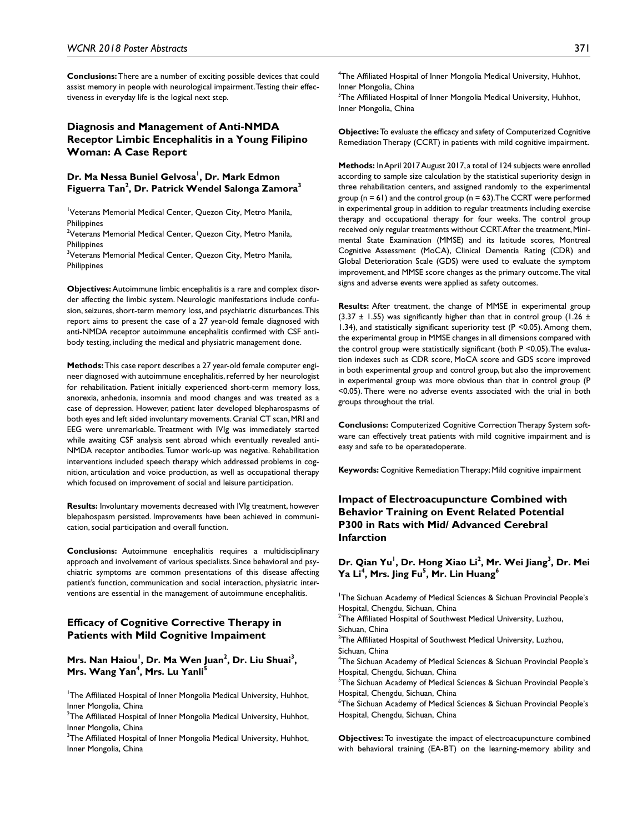**Conclusions:** There are a number of exciting possible devices that could assist memory in people with neurological impairment. Testing their effectiveness in everyday life is the logical next step.

# **Diagnosis and Management of Anti-NMDA Receptor Limbic Encephalitis in a Young Filipino Woman: A Case Report**

### Dr. Ma Nessa Buniel Gelvosa<sup>l</sup>, Dr. Mark Edmon **Figuerra Tan<sup>2</sup> , Dr. Patrick Wendel Salonga Zamora3**

<sup>1</sup>Veterans Memorial Medical Center, Quezon City, Metro Manila, Philippines

<sup>2</sup>Veterans Memorial Medical Center, Quezon City, Metro Manila, Philippines

<sup>3</sup>Veterans Memorial Medical Center, Quezon City, Metro Manila, Philippines

**Objectives:** Autoimmune limbic encephalitis is a rare and complex disorder affecting the limbic system. Neurologic manifestations include confusion, seizures, short-term memory loss, and psychiatric disturbances. This report aims to present the case of a 27 year-old female diagnosed with anti-NMDA receptor autoimmune encephalitis confirmed with CSF antibody testing, including the medical and physiatric management done.

**Methods:** This case report describes a 27 year-old female computer engineer diagnosed with autoimmune encephalitis, referred by her neurologist for rehabilitation. Patient initially experienced short-term memory loss, anorexia, anhedonia, insomnia and mood changes and was treated as a case of depression. However, patient later developed blepharospasms of both eyes and left sided involuntary movements. Cranial CT scan, MRI and EEG were unremarkable. Treatment with IVIg was immediately started while awaiting CSF analysis sent abroad which eventually revealed anti-NMDA receptor antibodies. Tumor work-up was negative. Rehabilitation interventions included speech therapy which addressed problems in cognition, articulation and voice production, as well as occupational therapy which focused on improvement of social and leisure participation.

**Results:** Involuntary movements decreased with IVIg treatment, however blepahospasm persisted. Improvements have been achieved in communication, social participation and overall function.

**Conclusions:** Autoimmune encephalitis requires a multidisciplinary approach and involvement of various specialists. Since behavioral and psychiatric symptoms are common presentations of this disease affecting patient's function, communication and social interaction, physiatric interventions are essential in the management of autoimmune encephalitis.

# **Efficacy of Cognitive Corrective Therapy in Patients with Mild Cognitive Impaiment**

**Mrs. Nan Haiou<sup>1</sup>, Dr. Ma Wen Juan<sup>2</sup>, Dr. Liu Shuai<sup>3</sup>, Mrs. Wang Yan4 , Mrs. Lu Yanli5**

<sup>1</sup>The Affiliated Hospital of Inner Mongolia Medical University, Huhhot, Inner Mongolia, China

 $^{2}$ The Affiliated Hospital of Inner Mongolia Medical University, Huhhot, Inner Mongolia, China

<sup>3</sup>The Affiliated Hospital of Inner Mongolia Medical University, Huhhot, Inner Mongolia, China

<sup>4</sup>The Affiliated Hospital of Inner Mongolia Medical University, Huhhot, Inner Mongolia, China

<sup>5</sup>The Affiliated Hospital of Inner Mongolia Medical University, Huhhot, Inner Mongolia, China

**Objective:** To evaluate the efficacy and safety of Computerized Cognitive Remediation Therapy (CCRT) in patients with mild cognitive impairment.

**Methods:** In April 2017 August 2017, a total of 124 subjects were enrolled according to sample size calculation by the statistical superiority design in three rehabilitation centers, and assigned randomly to the experimental group ( $n = 61$ ) and the control group ( $n = 63$ ). The CCRT were performed in experimental group in addition to regular treatments including exercise therapy and occupational therapy for four weeks. The control group received only regular treatments without CCRT. After the treatment, Minimental State Examination (MMSE) and its latitude scores, Montreal Cognitive Assessment (MoCA), Clinical Dementia Rating (CDR) and Global Deterioration Scale (GDS) were used to evaluate the symptom improvement, and MMSE score changes as the primary outcome. The vital signs and adverse events were applied as safety outcomes.

**Results:** After treatment, the change of MMSE in experimental group (3.37  $\pm$  1.55) was significantly higher than that in control group (1.26  $\pm$ 1.34), and statistically significant superiority test (P <0.05). Among them, the experimental group in MMSE changes in all dimensions compared with the control group were statistically significant (both P <0.05). The evaluation indexes such as CDR score, MoCA score and GDS score improved in both experimental group and control group, but also the improvement in experimental group was more obvious than that in control group (P <0.05). There were no adverse events associated with the trial in both groups throughout the trial.

**Conclusions:** Computerized Cognitive Correction Therapy System software can effectively treat patients with mild cognitive impairment and is easy and safe to be operatedoperate.

**Keywords:** Cognitive Remediation Therapy; Mild cognitive impairment

# **Impact of Electroacupuncture Combined with Behavior Training on Event Related Potential P300 in Rats with Mid/ Advanced Cerebral Infarction**

# Dr. Qian Yu<sup>l</sup>, Dr. Hong Xiao Li<sup>2</sup>, Mr. Wei Jiang<sup>3</sup>, Dr. Mei **Ya Li4 , Mrs. Jing Fu5 , Mr. Lin Huang6**

<sup>1</sup>The Sichuan Academy of Medical Sciences & Sichuan Provincial People's Hospital, Chengdu, Sichuan, China

 $^{2}$ The Affiliated Hospital of Southwest Medical University, Luzhou, Sichuan, China

 $3$ The Affiliated Hospital of Southwest Medical University, Luzhou, Sichuan, China

4 The Sichuan Academy of Medical Sciences & Sichuan Provincial People's Hospital, Chengdu, Sichuan, China

<sup>5</sup>The Sichuan Academy of Medical Sciences & Sichuan Provincial People's Hospital, Chengdu, Sichuan, China

6 The Sichuan Academy of Medical Sciences & Sichuan Provincial People's Hospital, Chengdu, Sichuan, China

**Objectives:** To investigate the impact of electroacupuncture combined with behavioral training (EA-BT) on the learning-memory ability and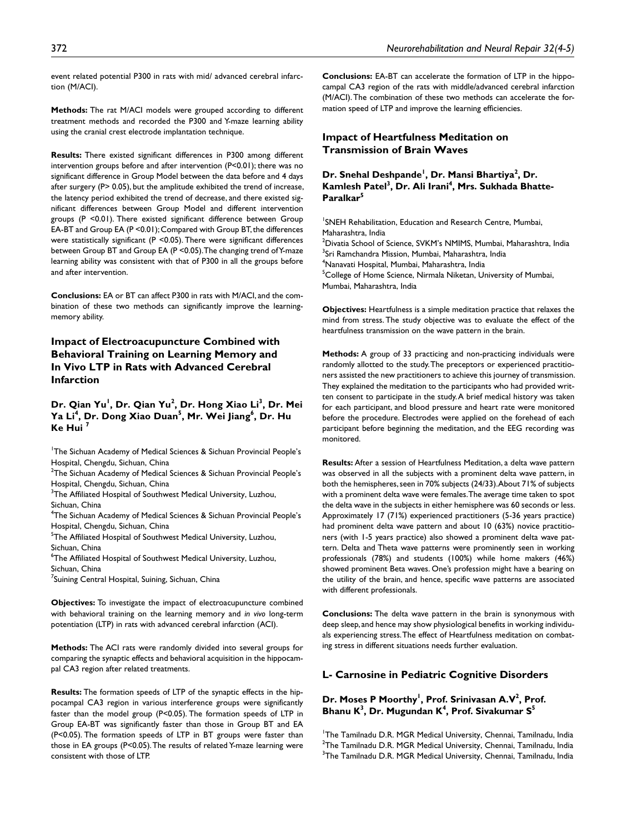event related potential P300 in rats with mid/ advanced cerebral infarction (M/ACI).

**Methods:** The rat M/ACI models were grouped according to different treatment methods and recorded the P300 and Y-maze learning ability using the cranial crest electrode implantation technique.

**Results:** There existed significant differences in P300 among different intervention groups before and after intervention (P<0.01); there was no significant difference in Group Model between the data before and 4 days after surgery (P> 0.05), but the amplitude exhibited the trend of increase, the latency period exhibited the trend of decrease, and there existed significant differences between Group Model and different intervention groups (P <0.01). There existed significant difference between Group EA-BT and Group EA (P <0.01); Compared with Group BT, the differences were statistically significant (P <0.05). There were significant differences between Group BT and Group EA (P <0.05). The changing trend of Y-maze learning ability was consistent with that of P300 in all the groups before and after intervention.

**Conclusions:** EA or BT can affect P300 in rats with M/ACI, and the combination of these two methods can significantly improve the learningmemory ability.

**Impact of Electroacupuncture Combined with Behavioral Training on Learning Memory and In Vivo LTP in Rats with Advanced Cerebral Infarction**

**Dr. Qian Yu<sup>1</sup> , Dr. Qian Yu<sup>2</sup> , Dr. Hong Xiao Li<sup>3</sup> , Dr. Mei Ya Li<sup>4</sup> , Dr. Dong Xiao Duan<sup>5</sup> , Mr. Wei Jiang<sup>6</sup> , Dr. Hu Ke Hui <sup>7</sup>**

<sup>1</sup>The Sichuan Academy of Medical Sciences & Sichuan Provincial People's Hospital, Chengdu, Sichuan, China

 $^{2}$ The Sichuan Academy of Medical Sciences & Sichuan Provincial People's Hospital, Chengdu, Sichuan, China

 $3$ The Affiliated Hospital of Southwest Medical University, Luzhou, Sichuan, China

4 The Sichuan Academy of Medical Sciences & Sichuan Provincial People's Hospital, Chengdu, Sichuan, China

<sup>5</sup>The Affiliated Hospital of Southwest Medical University, Luzhou, Sichuan, China

6 The Affiliated Hospital of Southwest Medical University, Luzhou,

Sichuan, China

<sup>7</sup>Suining Central Hospital, Suining, Sichuan, China

**Objectives:** To investigate the impact of electroacupuncture combined with behavioral training on the learning memory and *in vivo* long-term potentiation (LTP) in rats with advanced cerebral infarction (ACI).

**Methods:** The ACI rats were randomly divided into several groups for comparing the synaptic effects and behavioral acquisition in the hippocampal CA3 region after related treatments.

**Results:** The formation speeds of LTP of the synaptic effects in the hippocampal CA3 region in various interference groups were significantly faster than the model group (P<0.05). The formation speeds of LTP in Group EA-BT was significantly faster than those in Group BT and EA (P<0.05). The formation speeds of LTP in BT groups were faster than those in EA groups (P<0.05). The results of related Y-maze learning were consistent with those of LTP.

**Conclusions:** EA-BT can accelerate the formation of LTP in the hippocampal CA3 region of the rats with middle/advanced cerebral infarction (M/ACI). The combination of these two methods can accelerate the formation speed of LTP and improve the learning efficiencies.

#### **Impact of Heartfulness Meditation on Transmission of Brain Waves**

# Dr. Snehal Deshpande<sup>l</sup>, Dr. Mansi Bhartiya<sup>2</sup>, Dr. **Kamlesh Patel3 , Dr. Ali Irani4 , Mrs. Sukhada Bhatte-Paralkar5**

1 SNEH Rehabilitation, Education and Research Centre, Mumbai, Maharashtra, India  $^2$ Divatia School of Science, SVKM's NMIMS, Mumbai, Maharashtra, India <sup>3</sup>Sri Ramchandra Mission, Mumbai, Maharashtra, India 4 Nanavati Hospital, Mumbai, Maharashtra, India <sup>5</sup>College of Home Science, Nirmala Niketan, University of Mumbai, Mumbai, Maharashtra, India

**Objectives:** Heartfulness is a simple meditation practice that relaxes the mind from stress. The study objective was to evaluate the effect of the heartfulness transmission on the wave pattern in the brain.

**Methods:** A group of 33 practicing and non-practicing individuals were randomly allotted to the study. The preceptors or experienced practitioners assisted the new practitioners to achieve this journey of transmission. They explained the meditation to the participants who had provided written consent to participate in the study. A brief medical history was taken for each participant, and blood pressure and heart rate were monitored before the procedure. Electrodes were applied on the forehead of each participant before beginning the meditation, and the EEG recording was monitored.

**Results:** After a session of Heartfulness Meditation, a delta wave pattern was observed in all the subjects with a prominent delta wave pattern, in both the hemispheres, seen in 70% subjects (24/33). About 71% of subjects with a prominent delta wave were females. The average time taken to spot the delta wave in the subjects in either hemisphere was 60 seconds or less. Approximately 17 (71%) experienced practitioners (5-36 years practice) had prominent delta wave pattern and about 10 (63%) novice practitioners (with 1-5 years practice) also showed a prominent delta wave pattern. Delta and Theta wave patterns were prominently seen in working professionals (78%) and students (100%) while home makers (46%) showed prominent Beta waves. One's profession might have a bearing on the utility of the brain, and hence, specific wave patterns are associated with different professionals.

**Conclusions:** The delta wave pattern in the brain is synonymous with deep sleep, and hence may show physiological benefits in working individuals experiencing stress. The effect of Heartfulness meditation on combating stress in different situations needs further evaluation.

### **L- Carnosine in Pediatric Cognitive Disorders**

### Dr. Moses P Moorthy<sup>1</sup>, Prof. Srinivasan A.V<sup>2</sup>, Prof. **Bhanu K3 , Dr. Mugundan K4 , Prof. Sivakumar S5**

1 The Tamilnadu D.R. MGR Medical University, Chennai, Tamilnadu, India  $^{2}$ The Tamilnadu D.R. MGR Medical University, Chennai, Tamilnadu, India  $^3$ The Tamilnadu D.R. MGR Medical University, Chennai, Tamilnadu, India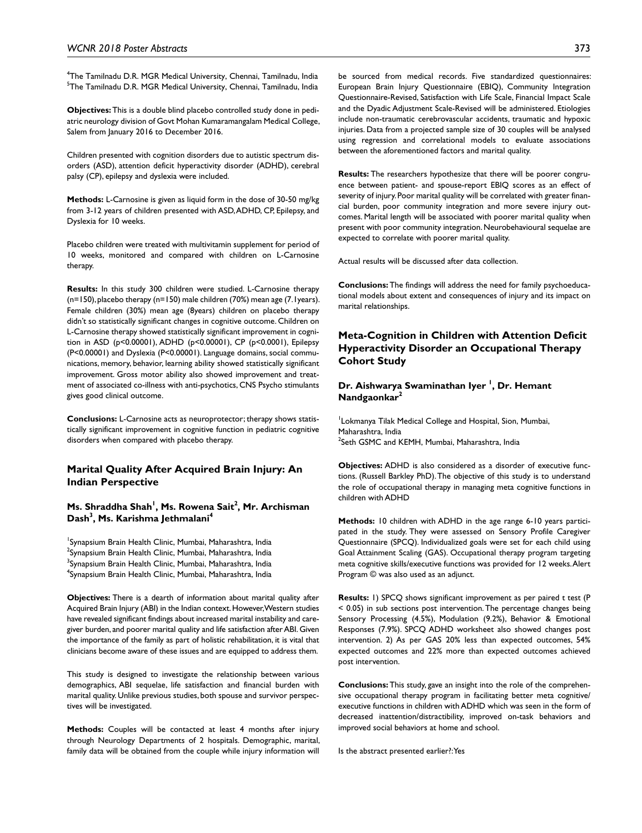4 The Tamilnadu D.R. MGR Medical University, Chennai, Tamilnadu, India <sup>5</sup>The Tamilnadu D.R. MGR Medical University, Chennai, Tamilnadu, India

**Objectives:** This is a double blind placebo controlled study done in pediatric neurology division of Govt Mohan Kumaramangalam Medical College, Salem from January 2016 to December 2016.

Children presented with cognition disorders due to autistic spectrum disorders (ASD), attention deficit hyperactivity disorder (ADHD), cerebral palsy (CP), epilepsy and dyslexia were included.

**Methods:** L-Carnosine is given as liquid form in the dose of 30-50 mg/kg from 3-12 years of children presented with ASD, ADHD, CP, Epilepsy, and Dyslexia for 10 weeks.

Placebo children were treated with multivitamin supplement for period of 10 weeks, monitored and compared with children on L-Carnosine therapy.

**Results:** In this study 300 children were studied. L-Carnosine therapy (n=150), placebo therapy (n=150) male children (70%) mean age (7.1years). Female children (30%) mean age (8years) children on placebo therapy didn't so statistically significant changes in cognitive outcome. Children on L-Carnosine therapy showed statistically significant improvement in cognition in ASD (p<0.00001), ADHD (p<0.00001), CP (p<0.0001), Epilepsy (P<0.00001) and Dyslexia (P<0.00001). Language domains, social communications, memory, behavior, learning ability showed statistically significant improvement. Gross motor ability also showed improvement and treatment of associated co-illness with anti-psychotics, CNS Psycho stimulants gives good clinical outcome.

**Conclusions:** L-Carnosine acts as neuroprotector; therapy shows statistically significant improvement in cognitive function in pediatric cognitive disorders when compared with placebo therapy.

### **Marital Quality After Acquired Brain Injury: An Indian Perspective**

### **Ms. Shraddha Shah<sup>1</sup>, Ms. Rowena Sait<sup>2</sup>, Mr. Archisman Dash3 , Ms. Karishma Jethmalani4**

1 Synapsium Brain Health Clinic, Mumbai, Maharashtra, India <sup>2</sup>Synapsium Brain Health Clinic, Mumbai, Maharashtra, India <sup>3</sup>Synapsium Brain Health Clinic, Mumbai, Maharashtra, India 4 Synapsium Brain Health Clinic, Mumbai, Maharashtra, India

**Objectives:** There is a dearth of information about marital quality after Acquired Brain Injury (ABI) in the Indian context. However, Western studies have revealed significant findings about increased marital instability and caregiver burden, and poorer marital quality and life satisfaction after ABI. Given the importance of the family as part of holistic rehabilitation, it is vital that clinicians become aware of these issues and are equipped to address them.

This study is designed to investigate the relationship between various demographics, ABI sequelae, life satisfaction and financial burden with marital quality. Unlike previous studies, both spouse and survivor perspectives will be investigated.

**Methods:** Couples will be contacted at least 4 months after injury through Neurology Departments of 2 hospitals. Demographic, marital, family data will be obtained from the couple while injury information will

be sourced from medical records. Five standardized questionnaires: European Brain Injury Questionnaire (EBIQ), Community Integration Questionnaire-Revised, Satisfaction with Life Scale, Financial Impact Scale and the Dyadic Adjustment Scale-Revised will be administered. Etiologies include non-traumatic cerebrovascular accidents, traumatic and hypoxic injuries. Data from a projected sample size of 30 couples will be analysed using regression and correlational models to evaluate associations between the aforementioned factors and marital quality.

**Results:** The researchers hypothesize that there will be poorer congruence between patient- and spouse-report EBIQ scores as an effect of severity of injury. Poor marital quality will be correlated with greater financial burden, poor community integration and more severe injury outcomes. Marital length will be associated with poorer marital quality when present with poor community integration. Neurobehavioural sequelae are expected to correlate with poorer marital quality.

Actual results will be discussed after data collection.

**Conclusions:** The findings will address the need for family psychoeducational models about extent and consequences of injury and its impact on marital relationships.

# **Meta-Cognition in Children with Attention Deficit Hyperactivity Disorder an Occupational Therapy Cohort Study**

#### **Dr. Aishwarya Swaminathan Iyer 1 , Dr. Hemant Nandgaonkar<sup>2</sup>**

Lokmanya Tilak Medical College and Hospital, Sion, Mumbai, Maharashtra, India  $^{2}$ Seth GSMC and KEMH, Mumbai, Maharashtra, India

**Objectives:** ADHD is also considered as a disorder of executive functions. (Russell Barkley PhD). The objective of this study is to understand the role of occupational therapy in managing meta cognitive functions in children with ADHD

**Methods:** 10 children with ADHD in the age range 6-10 years participated in the study. They were assessed on Sensory Profile Caregiver Questionnaire (SPCQ). Individualized goals were set for each child using Goal Attainment Scaling (GAS). Occupational therapy program targeting meta cognitive skills/executive functions was provided for 12 weeks. Alert Program © was also used as an adjunct.

**Results:** 1) SPCQ shows significant improvement as per paired t test (P < 0.05) in sub sections post intervention. The percentage changes being Sensory Processing (4.5%), Modulation (9.2%), Behavior & Emotional Responses (7.9%). SPCQ ADHD worksheet also showed changes post intervention. 2) As per GAS 20% less than expected outcomes, 54% expected outcomes and 22% more than expected outcomes achieved post intervention.

**Conclusions:** This study, gave an insight into the role of the comprehensive occupational therapy program in facilitating better meta cognitive/ executive functions in children with ADHD which was seen in the form of decreased inattention/distractibility, improved on-task behaviors and improved social behaviors at home and school.

Is the abstract presented earlier?: Yes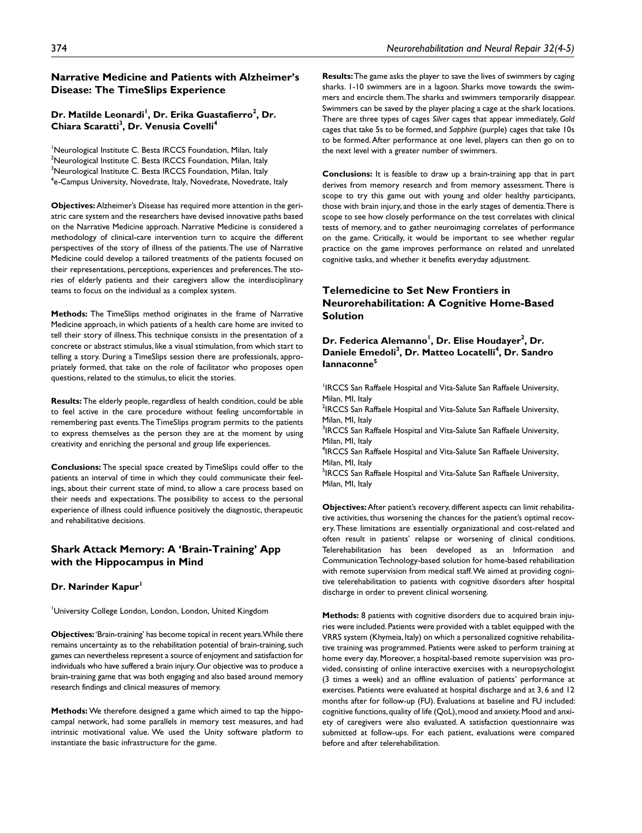# **Narrative Medicine and Patients with Alzheimer's Disease: The TimeSlips Experience**

### Dr. Matilde Leonardi<sup>'</sup>, Dr. Erika Guastafierro<sup>2</sup>, Dr. **Chiara Scaratti3 , Dr. Venusia Covelli4**

<sup>1</sup>Neurological Institute C. Besta IRCCS Foundation, Milan, Italy <sup>2</sup>Neurological Institute C. Besta IRCCS Foundation, Milan, Italy  $^3$ Neurological Institute C. Besta IRCCS Foundation, Milan, Italy  $^4$ e-Campus University, Novedrate, Italy, Novedrate, Novedrate, Italy

**Objectives:** Alzheimer's Disease has required more attention in the geriatric care system and the researchers have devised innovative paths based on the Narrative Medicine approach. Narrative Medicine is considered a methodology of clinical-care intervention turn to acquire the different perspectives of the story of illness of the patients. The use of Narrative Medicine could develop a tailored treatments of the patients focused on their representations, perceptions, experiences and preferences. The stories of elderly patients and their caregivers allow the interdisciplinary teams to focus on the individual as a complex system.

**Methods:** The TimeSlips method originates in the frame of Narrative Medicine approach, in which patients of a health care home are invited to tell their story of illness. This technique consists in the presentation of a concrete or abstract stimulus, like a visual stimulation, from which start to telling a story. During a TimeSlips session there are professionals, appropriately formed, that take on the role of facilitator who proposes open questions, related to the stimulus, to elicit the stories.

**Results:** The elderly people, regardless of health condition, could be able to feel active in the care procedure without feeling uncomfortable in remembering past events. The TimeSlips program permits to the patients to express themselves as the person they are at the moment by using creativity and enriching the personal and group life experiences.

**Conclusions:** The special space created by TimeSlips could offer to the patients an interval of time in which they could communicate their feelings, about their current state of mind, to allow a care process based on their needs and expectations. The possibility to access to the personal experience of illness could influence positively the diagnostic, therapeutic and rehabilitative decisions.

# **Shark Attack Memory: A 'Brain-Training' App with the Hippocampus in Mind**

#### Dr. Narinder Kapur<sup>1</sup>

<sup>1</sup>University College London, London, London, United Kingdom

**Objectives:** 'Brain-training' has become topical in recent years. While there remains uncertainty as to the rehabilitation potential of brain-training, such games can nevertheless represent a source of enjoyment and satisfaction for individuals who have suffered a brain injury. Our objective was to produce a brain-training game that was both engaging and also based around memory research findings and clinical measures of memory.

**Methods:** We therefore designed a game which aimed to tap the hippocampal network, had some parallels in memory test measures, and had intrinsic motivational value. We used the Unity software platform to instantiate the basic infrastructure for the game.

**Results:** The game asks the player to save the lives of swimmers by caging sharks. 1-10 swimmers are in a lagoon. Sharks move towards the swimmers and encircle them. The sharks and swimmers temporarily disappear. Swimmers can be saved by the player placing a cage at the shark locations. There are three types of cages *Silver* cages that appear immediately, *Gold* cages that take 5s to be formed, and *Sapphire* (purple) cages that take 10s to be formed. After performance at one level, players can then go on to the next level with a greater number of swimmers.

**Conclusions:** It is feasible to draw up a brain-training app that in part derives from memory research and from memory assessment. There is scope to try this game out with young and older healthy participants, those with brain injury, and those in the early stages of dementia. There is scope to see how closely performance on the test correlates with clinical tests of memory, and to gather neuroimaging correlates of performance on the game. Critically, it would be important to see whether regular practice on the game improves performance on related and unrelated cognitive tasks, and whether it benefits everyday adjustment.

# **Telemedicine to Set New Frontiers in Neurorehabilitation: A Cognitive Home-Based Solution**

### Dr. Federica Alemanno<sup>l</sup>, Dr. Elise Houdayer<sup>2</sup>, Dr. **Daniele Emedoli3 , Dr. Matteo Locatelli4 , Dr. Sandro Iannaconne5**

<sup>1</sup>IRCCS San Raffaele Hospital and Vita-Salute San Raffaele University, Milan, MI, Italy

<sup>2</sup>IRCCS San Raffaele Hospital and Vita-Salute San Raffaele University, Milan, MI, Italy

<sup>3</sup>IRCCS San Raffaele Hospital and Vita-Salute San Raffaele University, Milan, MI, Italy

4 IRCCS San Raffaele Hospital and Vita-Salute San Raffaele University, Milan, MI, Italy

<sup>5</sup>IRCCS San Raffaele Hospital and Vita-Salute San Raffaele University, Milan, MI, Italy

**Objectives:** After patient's recovery, different aspects can limit rehabilitative activities, thus worsening the chances for the patient's optimal recovery. These limitations are essentially organizational and cost-related and often result in patients' relapse or worsening of clinical conditions. Telerehabilitation has been developed as an Information and Communication Technology-based solution for home-based rehabilitation with remote supervision from medical staff. We aimed at providing cognitive telerehabilitation to patients with cognitive disorders after hospital discharge in order to prevent clinical worsening.

**Methods:** 8 patients with cognitive disorders due to acquired brain injuries were included. Patients were provided with a tablet equipped with the VRRS system (Khymeia, Italy) on which a personalized cognitive rehabilitative training was programmed. Patients were asked to perform training at home every day. Moreover, a hospital-based remote supervision was provided, consisting of online interactive exercises with a neuropsychologist (3 times a week) and an offline evaluation of patients' performance at exercises. Patients were evaluated at hospital discharge and at 3, 6 and 12 months after for follow-up (FU). Evaluations at baseline and FU included: cognitive functions, quality of life (QoL), mood and anxiety. Mood and anxiety of caregivers were also evaluated. A satisfaction questionnaire was submitted at follow-ups. For each patient, evaluations were compared before and after telerehabilitation.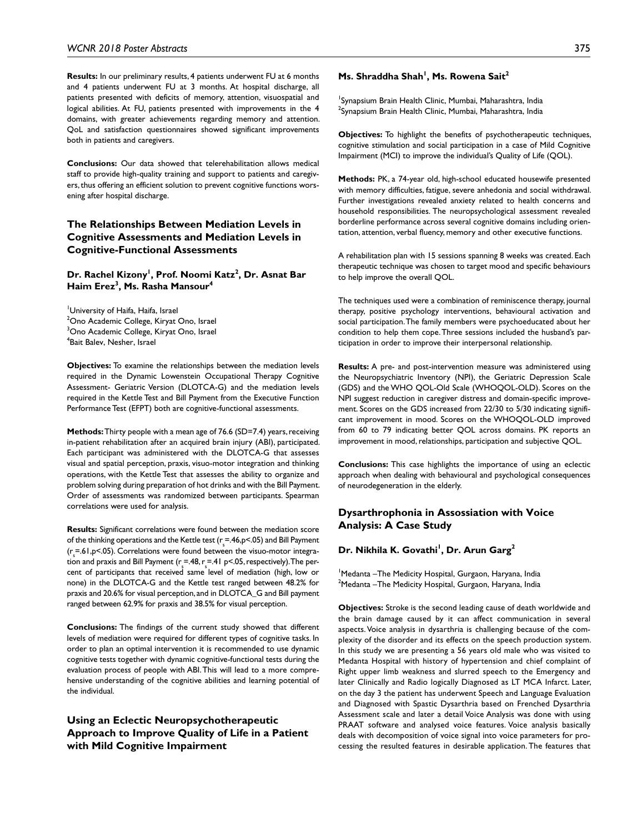**Results:** In our preliminary results, 4 patients underwent FU at 6 months and 4 patients underwent FU at 3 months. At hospital discharge, all patients presented with deficits of memory, attention, visuospatial and logical abilities. At FU, patients presented with improvements in the 4 domains, with greater achievements regarding memory and attention. QoL and satisfaction questionnaires showed significant improvements both in patients and caregivers.

**Conclusions:** Our data showed that telerehabilitation allows medical staff to provide high-quality training and support to patients and caregivers, thus offering an efficient solution to prevent cognitive functions worsening after hospital discharge.

# **The Relationships Between Mediation Levels in Cognitive Assessments and Mediation Levels in Cognitive-Functional Assessments**

Dr. Rachel Kizony<sup>I</sup>, Prof. Noomi Katz<sup>2</sup>, Dr. Asnat Bar **Haim Erez3 , Ms. Rasha Mansour4**

1 University of Haifa, Haifa, Israel <sup>2</sup>Ono Academic College, Kiryat Ono, Israel <sup>3</sup>Ono Academic College, Kiryat Ono, Israel 4 Bait Balev, Nesher, Israel

**Objectives:** To examine the relationships between the mediation levels required in the Dynamic Lowenstein Occupational Therapy Cognitive Assessment- Geriatric Version (DLOTCA-G) and the mediation levels required in the Kettle Test and Bill Payment from the Executive Function Performance Test (EFPT) both are cognitive-functional assessments.

**Methods:** Thirty people with a mean age of 76.6 (SD=7.4) years, receiving in-patient rehabilitation after an acquired brain injury (ABI), participated. Each participant was administered with the DLOTCA-G that assesses visual and spatial perception, praxis, visuo-motor integration and thinking operations, with the Kettle Test that assesses the ability to organize and problem solving during preparation of hot drinks and with the Bill Payment. Order of assessments was randomized between participants. Spearman correlations were used for analysis.

**Results:** Significant correlations were found between the mediation score of the thinking operations and the Kettle test (r  $\frac{1}{\varsigma}$  =.46,p<.05) and Bill Payment  $(r_s = 61, p < 05)$ . Correlations were found between the visuo-motor integration and praxis and Bill Payment ( $r_s = 48$ ,  $r_s = 41$  p<.05, respectively). The percent of participants that received same level of mediation (high, low or none) in the DLOTCA-G and the Kettle test ranged between 48.2% for praxis and 20.6% for visual perception, and in DLOTCA\_G and Bill payment ranged between 62.9% for praxis and 38.5% for visual perception.

**Conclusions:** The findings of the current study showed that different levels of mediation were required for different types of cognitive tasks. In order to plan an optimal intervention it is recommended to use dynamic cognitive tests together with dynamic cognitive-functional tests during the evaluation process of people with ABI. This will lead to a more comprehensive understanding of the cognitive abilities and learning potential of the individual.

# **Using an Eclectic Neuropsychotherapeutic Approach to Improve Quality of Life in a Patient with Mild Cognitive Impairment**

#### **Ms. Shraddha Shah1 , Ms. Rowena Sait2**

1 Synapsium Brain Health Clinic, Mumbai, Maharashtra, India <sup>2</sup>Synapsium Brain Health Clinic, Mumbai, Maharashtra, India

**Objectives:** To highlight the benefits of psychotherapeutic techniques, cognitive stimulation and social participation in a case of Mild Cognitive Impairment (MCI) to improve the individual's Quality of Life (QOL).

**Methods:** PK, a 74-year old, high-school educated housewife presented with memory difficulties, fatigue, severe anhedonia and social withdrawal. Further investigations revealed anxiety related to health concerns and household responsibilities. The neuropsychological assessment revealed borderline performance across several cognitive domains including orientation, attention, verbal fluency, memory and other executive functions.

A rehabilitation plan with 15 sessions spanning 8 weeks was created. Each therapeutic technique was chosen to target mood and specific behaviours to help improve the overall QOL.

The techniques used were a combination of reminiscence therapy, journal therapy, positive psychology interventions, behavioural activation and social participation. The family members were psychoeducated about her condition to help them cope. Three sessions included the husband's participation in order to improve their interpersonal relationship.

**Results:** A pre- and post-intervention measure was administered using the Neuropsychiatric Inventory (NPI), the Geriatric Depression Scale (GDS) and the WHO QOL-Old Scale (WHOQOL-OLD). Scores on the NPI suggest reduction in caregiver distress and domain-specific improvement. Scores on the GDS increased from 22/30 to 5/30 indicating significant improvement in mood. Scores on the WHOQOL-OLD improved from 60 to 79 indicating better QOL across domains. PK reports an improvement in mood, relationships, participation and subjective QOL.

**Conclusions:** This case highlights the importance of using an eclectic approach when dealing with behavioural and psychological consequences of neurodegeneration in the elderly.

# **Dysarthrophonia in Assossiation with Voice Analysis: A Case Study**

# **Dr. Nikhila K. Govathi1 , Dr. Arun Garg2**

<sup>1</sup>Medanta – The Medicity Hospital, Gurgaon, Haryana, India <sup>2</sup>Medanta –The Medicity Hospital, Gurgaon, Haryana, India

**Objectives:** Stroke is the second leading cause of death worldwide and the brain damage caused by it can affect communication in several aspects. Voice analysis in dysarthria is challenging because of the complexity of the disorder and its effects on the speech production system. In this study we are presenting a 56 years old male who was visited to Medanta Hospital with history of hypertension and chief complaint of Right upper limb weakness and slurred speech to the Emergency and later Clinically and Radio logically Diagnosed as LT MCA Infarct. Later, on the day 3 the patient has underwent Speech and Language Evaluation and Diagnosed with Spastic Dysarthria based on Frenched Dysarthria Assessment scale and later a detail Voice Analysis was done with using PRAAT software and analysed voice features. Voice analysis basically deals with decomposition of voice signal into voice parameters for processing the resulted features in desirable application. The features that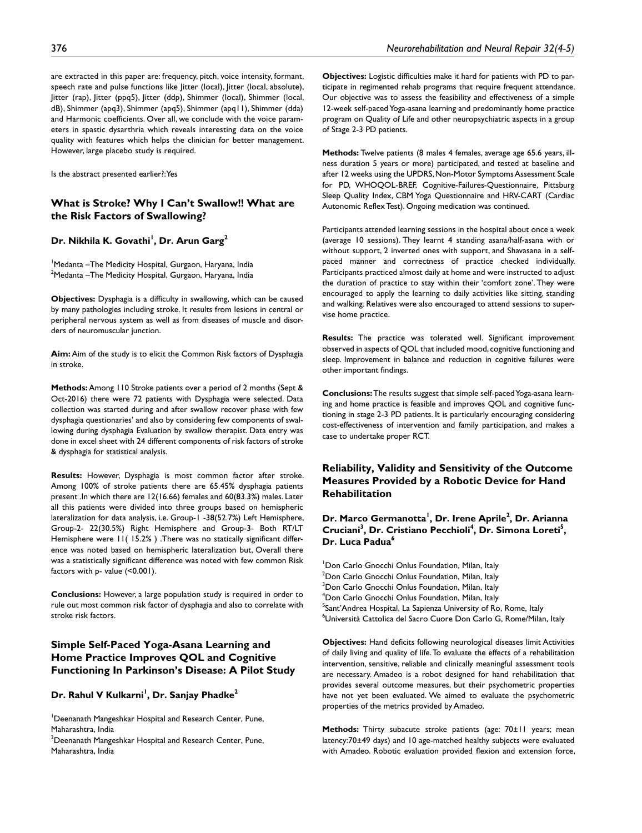Is the abstract presented earlier?: Yes

# **What is Stroke? Why I Can't Swallow!! What are the Risk Factors of Swallowing?**

# **Dr. Nikhila K. Govathi1 , Dr. Arun Garg2**

<sup>1</sup>Medanta – The Medicity Hospital, Gurgaon, Haryana, India <sup>2</sup>Medanta –The Medicity Hospital, Gurgaon, Haryana, India

**Objectives:** Dysphagia is a difficulty in swallowing, which can be caused by many pathologies including stroke. It results from lesions in central or peripheral nervous system as well as from diseases of muscle and disorders of neuromuscular junction.

**Aim:** Aim of the study is to elicit the Common Risk factors of Dysphagia in stroke.

**Methods:** Among 110 Stroke patients over a period of 2 months (Sept & Oct-2016) there were 72 patients with Dysphagia were selected. Data collection was started during and after swallow recover phase with few dysphagia questionaries' and also by considering few components of swallowing during dysphagia Evaluation by swallow therapist. Data entry was done in excel sheet with 24 different components of risk factors of stroke & dysphagia for statistical analysis.

**Results:** However, Dysphagia is most common factor after stroke. Among 100% of stroke patients there are 65.45% dysphagia patients present .In which there are 12(16.66) females and 60(83.3%) males. Later all this patients were divided into three groups based on hemispheric lateralization for data analysis, i.e. Group-1 -38(52.7%) Left Hemisphere, Group-2- 22(30.5%) Right Hemisphere and Group-3- Both RT/LT Hemisphere were 11( 15.2% ) .There was no statically significant difference was noted based on hemispheric lateralization but, Overall there was a statistically significant difference was noted with few common Risk factors with p- value (<0.001).

**Conclusions:** However, a large population study is required in order to rule out most common risk factor of dysphagia and also to correlate with stroke risk factors.

# **Simple Self-Paced Yoga-Asana Learning and Home Practice Improves QOL and Cognitive Functioning In Parkinson's Disease: A Pilot Study**

#### **Dr. Rahul V Kulkarni1 , Dr. Sanjay Phadke2**

1 Deenanath Mangeshkar Hospital and Research Center, Pune, Maharashtra, India

 $^{2}$ Deenanath Mangeshkar Hospital and Research Center, Pune, Maharashtra, India

**Objectives:** Logistic difficulties make it hard for patients with PD to participate in regimented rehab programs that require frequent attendance. Our objective was to assess the feasibility and effectiveness of a simple 12-week self-paced Yoga-asana learning and predominantly home practice program on Quality of Life and other neuropsychiatric aspects in a group of Stage 2-3 PD patients.

**Methods:** Twelve patients (8 males 4 females, average age 65.6 years, illness duration 5 years or more) participated, and tested at baseline and after 12 weeks using the UPDRS, Non-Motor Symptoms Assessment Scale for PD, WHOQOL-BREF, Cognitive-Failures-Questionnaire, Pittsburg Sleep Quality Index, CBM Yoga Questionnaire and HRV-CART (Cardiac Autonomic Reflex Test). Ongoing medication was continued.

Participants attended learning sessions in the hospital about once a week (average 10 sessions). They learnt 4 standing asana/half-asana with or without support, 2 inverted ones with support, and Shavasana in a selfpaced manner and correctness of practice checked individually. Participants practiced almost daily at home and were instructed to adjust the duration of practice to stay within their 'comfort zone'. They were encouraged to apply the learning to daily activities like sitting, standing and walking. Relatives were also encouraged to attend sessions to supervise home practice.

**Results:** The practice was tolerated well. Significant improvement observed in aspects of QOL that included mood, cognitive functioning and sleep. Improvement in balance and reduction in cognitive failures were other important findings.

**Conclusions:** The results suggest that simple self-paced Yoga-asana learning and home practice is feasible and improves QOL and cognitive functioning in stage 2-3 PD patients. It is particularly encouraging considering cost-effectiveness of intervention and family participation, and makes a case to undertake proper RCT.

# **Reliability, Validity and Sensitivity of the Outcome Measures Provided by a Robotic Device for Hand Rehabilitation**

Dr. Marco Germanotta<sup>l</sup>, Dr. Irene Aprile<sup>2</sup>, Dr. Arianna Cruciani<sup>3</sup>, Dr. Cristiano Pecchioli<sup>4</sup>, Dr. Simona Loreti<sup>5</sup>, Dr. Luca Padua<sup>6</sup>

<sup>1</sup>Don Carlo Gnocchi Onlus Foundation, Milan, Italy <sup>2</sup>Don Carlo Gnocchi Onlus Foundation, Milan, Italy <sup>3</sup>Don Carlo Gnocchi Onlus Foundation, Milan, Italy 4 Don Carlo Gnocchi Onlus Foundation, Milan, Italy <sup>5</sup>Sant'Andrea Hospital, La Sapienza University of Ro, Rome, Italy  $^6$ Università Cattolica del Sacro Cuore Don Carlo G, Rome/Milan, Italy

**Objectives:** Hand deficits following neurological diseases limit Activities of daily living and quality of life. To evaluate the effects of a rehabilitation intervention, sensitive, reliable and clinically meaningful assessment tools are necessary. Amadeo is a robot designed for hand rehabilitation that provides several outcome measures, but their psychometric properties have not yet been evaluated. We aimed to evaluate the psychometric properties of the metrics provided by Amadeo.

**Methods:** Thirty subacute stroke patients (age: 70±11 years; mean latency:70±49 days) and 10 age-matched healthy subjects were evaluated with Amadeo. Robotic evaluation provided flexion and extension force,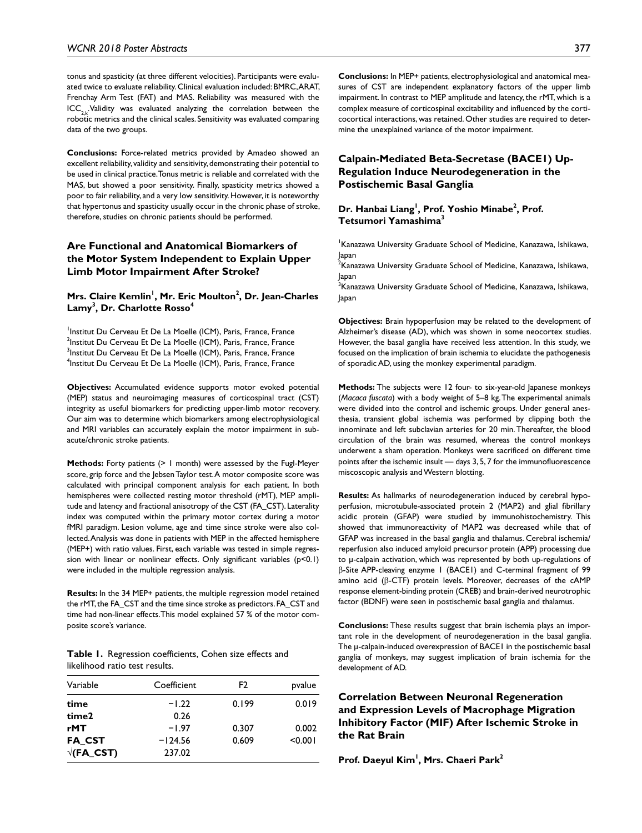tonus and spasticity (at three different velocities). Participants were evaluated twice to evaluate reliability. Clinical evaluation included: BMRC, ARAT, Frenchay Arm Test (FAT) and MAS. Reliability was measured with the ICC<sub>2</sub>, Validity was evaluated analyzing the correlation between the robotic metrics and the clinical scales. Sensitivity was evaluated comparing data of the two groups.

**Conclusions:** Force-related metrics provided by Amadeo showed an excellent reliability, validity and sensitivity, demonstrating their potential to be used in clinical practice. Tonus metric is reliable and correlated with the MAS, but showed a poor sensitivity. Finally, spasticity metrics showed a poor to fair reliability, and a very low sensitivity. However, it is noteworthy that hypertonus and spasticity usually occur in the chronic phase of stroke, therefore, studies on chronic patients should be performed.

# **Are Functional and Anatomical Biomarkers of the Motor System Independent to Explain Upper Limb Motor Impairment After Stroke?**

### **Mrs. Claire Kemlin<sup>1</sup>, Mr. Eric Moulton<sup>2</sup>, Dr. Jean-Charles Lamy3 , Dr. Charlotte Rosso4**

<sup>1</sup>Institut Du Cerveau Et De La Moelle (ICM), Paris, France, France <sup>2</sup>Institut Du Cerveau Et De La Moelle (ICM), Paris, France, France <sup>3</sup>Institut Du Cerveau Et De La Moelle (ICM), Paris, France, France 4 Institut Du Cerveau Et De La Moelle (ICM), Paris, France, France

**Objectives:** Accumulated evidence supports motor evoked potential (MEP) status and neuroimaging measures of corticospinal tract (CST) integrity as useful biomarkers for predicting upper-limb motor recovery. Our aim was to determine which biomarkers among electrophysiological and MRI variables can accurately explain the motor impairment in subacute/chronic stroke patients.

**Methods:** Forty patients (> 1 month) were assessed by the Fugl-Meyer score, grip force and the Jebsen Taylor test. A motor composite score was calculated with principal component analysis for each patient. In both hemispheres were collected resting motor threshold (rMT), MEP amplitude and latency and fractional anisotropy of the CST (FA\_CST). Laterality index was computed within the primary motor cortex during a motor fMRI paradigm. Lesion volume, age and time since stroke were also collected. Analysis was done in patients with MEP in the affected hemisphere (MEP+) with ratio values. First, each variable was tested in simple regression with linear or nonlinear effects. Only significant variables (p<0.1) were included in the multiple regression analysis.

**Results:** In the 34 MEP+ patients, the multiple regression model retained the rMT, the FA\_CST and the time since stroke as predictors. FA\_CST and time had non-linear effects. This model explained 57 % of the motor composite score's variance.

**Table 1.** Regression coefficients, Cohen size effects and likelihood ratio test results.

| Variable          | Coefficient | F <sub>2</sub> | pvalue  |
|-------------------|-------------|----------------|---------|
| time              | $-1.22$     | 0.199          | 0.019   |
| time2             | 0.26        |                |         |
| rMT               | $-1.97$     | 0.307          | 0.002   |
| <b>FA CST</b>     | $-124.56$   | 0.609          | < 0.001 |
| $\sqrt{(FA_CST)}$ | 237.02      |                |         |

**Conclusions:** In MEP+ patients, electrophysiological and anatomical measures of CST are independent explanatory factors of the upper limb impairment. In contrast to MEP amplitude and latency, the rMT, which is a complex measure of corticospinal excitability and influenced by the corticocortical interactions, was retained. Other studies are required to determine the unexplained variance of the motor impairment.

# **Calpain-Mediated Beta-Secretase (BACE1) Up-Regulation Induce Neurodegeneration in the Postischemic Basal Ganglia**

### Dr. Hanbai Liang<sup>i</sup>, Prof. Yoshio Minabe<sup>2</sup>, Prof. **Tetsumori Yamashima3**

1 Kanazawa University Graduate School of Medicine, Kanazawa, Ishikawa, Japan

2 Kanazawa University Graduate School of Medicine, Kanazawa, Ishikawa, Japan

 ${}^{3}$ Kanazawa University Graduate School of Medicine, Kanazawa, Ishikawa, Japan

**Objectives:** Brain hypoperfusion may be related to the development of Alzheimer's disease (AD), which was shown in some neocortex studies. However, the basal ganglia have received less attention. In this study, we focused on the implication of brain ischemia to elucidate the pathogenesis of sporadic AD, using the monkey experimental paradigm.

**Methods:** The subjects were 12 four- to six-year-old Japanese monkeys (*Macaca fuscata*) with a body weight of 5–8 kg. The experimental animals were divided into the control and ischemic groups. Under general anesthesia, transient global ischemia was performed by clipping both the innominate and left subclavian arteries for 20 min. Thereafter, the blood circulation of the brain was resumed, whereas the control monkeys underwent a sham operation. Monkeys were sacrificed on different time points after the ischemic insult — days 3, 5, 7 for the immunofluorescence miscoscopic analysis and Western blotting.

**Results:** As hallmarks of neurodegeneration induced by cerebral hypoperfusion, microtubule-associated protein 2 (MAP2) and glial fibrillary acidic protein (GFAP) were studied by immunohistochemistry. This showed that immunoreactivity of MAP2 was decreased while that of GFAP was increased in the basal ganglia and thalamus. Cerebral ischemia/ reperfusion also induced amyloid precursor protein (APP) processing due to μ-calpain activation, which was represented by both up-regulations of β-Site APP-cleaving enzyme 1 (BACE1) and C-terminal fragment of 99 amino acid (β-CTF) protein levels. Moreover, decreases of the cAMP response element-binding protein (CREB) and brain-derived neurotrophic factor (BDNF) were seen in postischemic basal ganglia and thalamus.

**Conclusions:** These results suggest that brain ischemia plays an important role in the development of neurodegeneration in the basal ganglia. The μ-calpain-induced overexpression of BACE1 in the postischemic basal ganglia of monkeys, may suggest implication of brain ischemia for the development of AD.

# **Correlation Between Neuronal Regeneration and Expression Levels of Macrophage Migration Inhibitory Factor (MIF) After Ischemic Stroke in the Rat Brain**

**Prof. Daeyul Kim1 , Mrs. Chaeri Park2**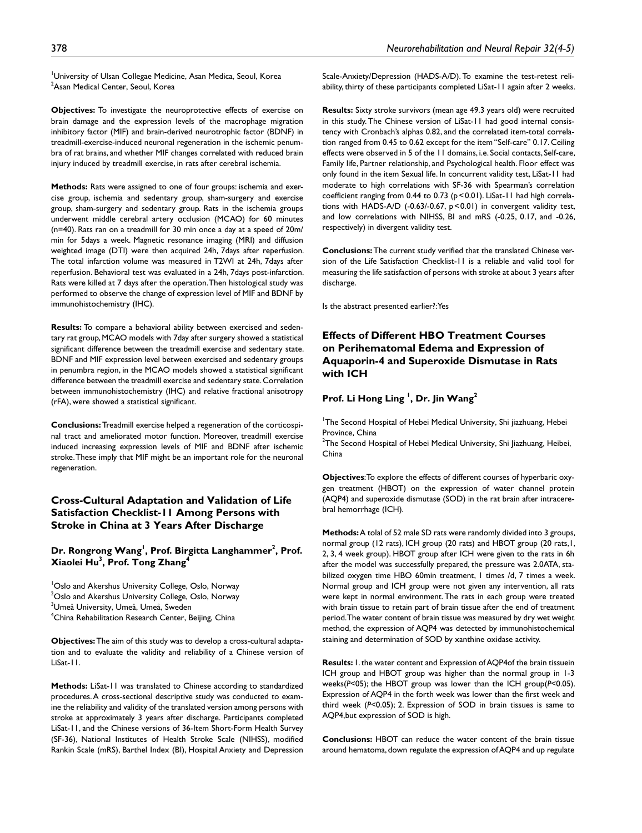1 University of Ulsan Collegae Medicine, Asan Medica, Seoul, Korea <sup>2</sup>Asan Medical Center, Seoul, Korea

**Objectives:** To investigate the neuroprotective effects of exercise on brain damage and the expression levels of the macrophage migration inhibitory factor (MIF) and brain-derived neurotrophic factor (BDNF) in treadmill-exercise-induced neuronal regeneration in the ischemic penumbra of rat brains, and whether MIF changes correlated with reduced brain injury induced by treadmill exercise, in rats after cerebral ischemia.

**Methods:** Rats were assigned to one of four groups: ischemia and exercise group, ischemia and sedentary group, sham-surgery and exercise group, sham-surgery and sedentary group. Rats in the ischemia groups underwent middle cerebral artery occlusion (MCAO) for 60 minutes (n=40). Rats ran on a treadmill for 30 min once a day at a speed of 20m/ min for 5days a week. Magnetic resonance imaging (MRI) and diffusion weighted image (DTI) were then acquired 24h, 7days after reperfusion. The total infarction volume was measured in T2WI at 24h, 7days after reperfusion. Behavioral test was evaluated in a 24h, 7days post-infarction. Rats were killed at 7 days after the operation. Then histological study was performed to observe the change of expression level of MIF and BDNF by immunohistochemistry (IHC).

**Results:** To compare a behavioral ability between exercised and sedentary rat group, MCAO models with 7day after surgery showed a statistical significant difference between the treadmill exercise and sedentary state. BDNF and MIF expression level between exercised and sedentary groups in penumbra region, in the MCAO models showed a statistical significant difference between the treadmill exercise and sedentary state. Correlation between immunohistochemistry (IHC) and relative fractional anisotropy (rFA), were showed a statistical significant.

**Conclusions:** Treadmill exercise helped a regeneration of the corticospinal tract and ameliorated motor function. Moreover, treadmill exercise induced increasing expression levels of MIF and BDNF after ischemic stroke. These imply that MIF might be an important role for the neuronal regeneration.

# **Cross-Cultural Adaptation and Validation of Life Satisfaction Checklist-11 Among Persons with Stroke in China at 3 Years After Discharge**

# Dr. Rongrong Wang<sup>1</sup>, Prof. Birgitta Langhammer<sup>2</sup>, Prof. **Xiaolei Hu3 , Prof. Tong Zhang4**

<sup>1</sup>Oslo and Akershus University College, Oslo, Norway  $^{2}$ Oslo and Akershus University College, Oslo, Norway 3 Umeå University, Umeå, Umeå, Sweden 4 China Rehabilitation Research Center, Beijing, China

**Objectives:** The aim of this study was to develop a cross-cultural adaptation and to evaluate the validity and reliability of a Chinese version of LiSat-11.

**Methods:** LiSat-11 was translated to Chinese according to standardized procedures. A cross-sectional descriptive study was conducted to examine the reliability and validity of the translated version among persons with stroke at approximately 3 years after discharge. Participants completed LiSat-11, and the Chinese versions of 36-Item Short-Form Health Survey (SF-36), National Institutes of Health Stroke Scale (NIHSS), modified Rankin Scale (mRS), Barthel Index (BI), Hospital Anxiety and Depression Scale-Anxiety/Depression (HADS-A/D). To examine the test-retest reliability, thirty of these participants completed LiSat-11 again after 2 weeks.

**Results:** Sixty stroke survivors (mean age 49.3 years old) were recruited in this study. The Chinese version of LiSat-11 had good internal consistency with Cronbach's alphas 0.82, and the correlated item-total correlation ranged from 0.45 to 0.62 except for the item "Self-care" 0.17. Ceiling effects were observed in 5 of the 11 domains, i.e. Social contacts, Self-care, Family life, Partner relationship, and Psychological health. Floor effect was only found in the item Sexual life. In concurrent validity test, LiSat-11 had moderate to high correlations with SF-36 with Spearman's correlation coefficient ranging from 0.44 to 0.73 (p < 0.01). LiSat-11 had high correlations with HADS-A/D (-0.63/-0.67, p<0.01) in convergent validity test, and low correlations with NIHSS, BI and mRS (-0.25, 0.17, and -0.26, respectively) in divergent validity test.

**Conclusions:** The current study verified that the translated Chinese version of the Life Satisfaction Checklist-11 is a reliable and valid tool for measuring the life satisfaction of persons with stroke at about 3 years after discharge.

Is the abstract presented earlier?: Yes

# **Effects of Different HBO Treatment Courses on Perihematomal Edema and Expression of Aquaporin-4 and Superoxide Dismutase in Rats with ICH**

#### **Prof. Li Hong Ling 1 , Dr. Jin Wang2**

<sup>1</sup>The Second Hospital of Hebei Medical University, Shi jiazhuang, Hebei Province, China

 $^{2}$ The Second Hospital of Hebei Medical University, Shi Jiazhuang, Heibei, China

**Objectives**: To explore the effects of different courses of hyperbaric oxygen treatment (HBOT) on the expression of water channel protein (AQP4) and superoxide dismutase (SOD) in the rat brain after intracerebral hemorrhage (ICH).

**Methods:** A tolal of 52 male SD rats were randomly divided into 3 groups, normal group (12 rats), ICH group (20 rats) and HBOT group (20 rats,1, 2, 3, 4 week group). HBOT group after ICH were given to the rats in 6h after the model was successfully prepared, the pressure was 2.0ATA, stabilized oxygen time HBO 60min treatment, 1 times /d, 7 times a week. Normal group and ICH group were not given any intervention, all rats were kept in normal environment. The rats in each group were treated with brain tissue to retain part of brain tissue after the end of treatment period. The water content of brain tissue was measured by dry wet weight method, the expression of AQP4 was detected by immunohistochemical staining and determination of SOD by xanthine oxidase activity.

**Results:** 1. the water content and Expression of AQP4of the brain tissuein ICH group and HBOT group was higher than the normal group in 1-3 weeks(*P*<05); the HBOT group was lower than the ICH group(*P*<0.05). Expression of AQP4 in the forth week was lower than the first week and third week (*P*<0.05); 2. Expression of SOD in brain tissues is same to AQP4,but expression of SOD is high.

**Conclusions:** HBOT can reduce the water content of the brain tissue around hematoma, down regulate the expression of AQP4 and up regulate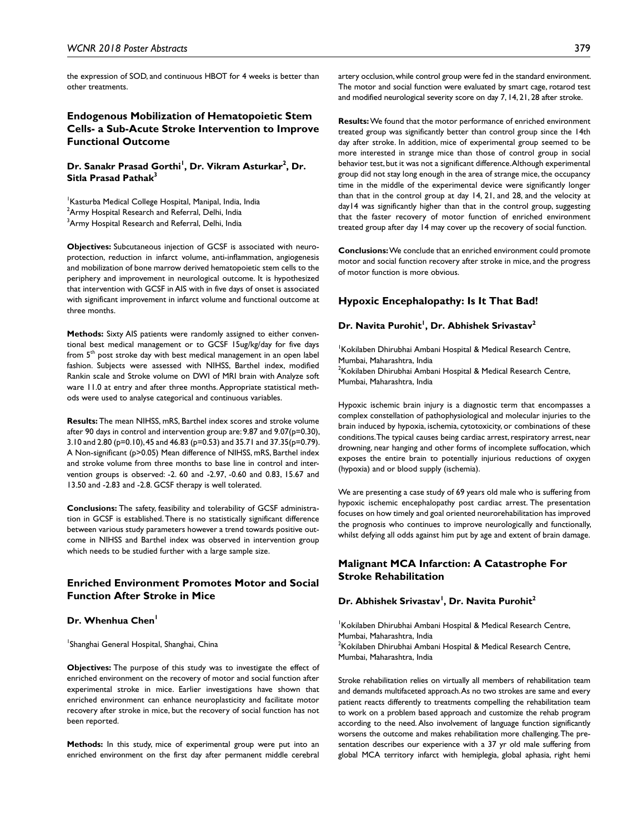the expression of SOD, and continuous HBOT for 4 weeks is better than other treatments.

# **Endogenous Mobilization of Hematopoietic Stem Cells- a Sub-Acute Stroke Intervention to Improve Functional Outcome**

#### Dr. Sanakr Prasad Gorthi<sup>!</sup>, Dr. Vikram Asturkar<sup>2</sup>, Dr. Sitla Prasad Pathak<sup>3</sup>

<sup>1</sup> Kasturba Medical College Hospital, Manipal, India, India  $^2$ Army Hospital Research and Referral, Delhi, India  $^3$ Army Hospital Research and Referral, Delhi, India

**Objectives:** Subcutaneous injection of GCSF is associated with neuroprotection, reduction in infarct volume, anti-inflammation, angiogenesis and mobilization of bone marrow derived hematopoietic stem cells to the periphery and improvement in neurological outcome. It is hypothesized that intervention with GCSF in AIS with in five days of onset is associated with significant improvement in infarct volume and functional outcome at three months.

**Methods:** Sixty AIS patients were randomly assigned to either conventional best medical management or to GCSF 15ug/kg/day for five days from 5<sup>th</sup> post stroke day with best medical management in an open label fashion. Subjects were assessed with NIHSS, Barthel index, modified Rankin scale and Stroke volume on DWI of MRI brain with Analyze soft ware 11.0 at entry and after three months. Appropriate statistical methods were used to analyse categorical and continuous variables.

**Results:** The mean NIHSS, mRS, Barthel index scores and stroke volume after 90 days in control and intervention group are: 9.87 and 9.07(p=0.30), 3.10 and 2.80 (p=0.10), 45 and 46.83 (p=0.53) and 35.71 and 37.35(p=0.79). A Non-significant (p>0.05) Mean difference of NIHSS, mRS, Barthel index and stroke volume from three months to base line in control and intervention groups is observed: -2. 60 and -2.97, -0.60 and 0.83, 15.67 and 13.50 and -2.83 and -2.8. GCSF therapy is well tolerated.

**Conclusions:** The safety, feasibility and tolerability of GCSF administration in GCSF is established. There is no statistically significant difference between various study parameters however a trend towards positive outcome in NIHSS and Barthel index was observed in intervention group which needs to be studied further with a large sample size.

# **Enriched Environment Promotes Motor and Social Function After Stroke in Mice**

# Dr. Whenhua Chen<sup>1</sup>

<sup>1</sup>Shanghai General Hospital, Shanghai, China

**Objectives:** The purpose of this study was to investigate the effect of enriched environment on the recovery of motor and social function after experimental stroke in mice. Earlier investigations have shown that enriched environment can enhance neuroplasticity and facilitate motor recovery after stroke in mice, but the recovery of social function has not been reported.

**Methods:** In this study, mice of experimental group were put into an enriched environment on the first day after permanent middle cerebral artery occlusion, while control group were fed in the standard environment. The motor and social function were evaluated by smart cage, rotarod test and modified neurological severity score on day 7, 14, 21, 28 after stroke.

**Results:** We found that the motor performance of enriched environment treated group was significantly better than control group since the 14th day after stroke. In addition, mice of experimental group seemed to be more interested in strange mice than those of control group in social behavior test, but it was not a significant difference. Although experimental group did not stay long enough in the area of strange mice, the occupancy time in the middle of the experimental device were significantly longer than that in the control group at day 14, 21, and 28, and the velocity at day14 was significantly higher than that in the control group, suggesting that the faster recovery of motor function of enriched environment treated group after day 14 may cover up the recovery of social function.

**Conclusions:** We conclude that an enriched environment could promote motor and social function recovery after stroke in mice, and the progress of motor function is more obvious.

#### **Hypoxic Encephalopathy: Is It That Bad!**

# Dr. Navita Purohit<sup>I</sup>, Dr. Abhishek Srivastav<sup>2</sup>

1 Kokilaben Dhirubhai Ambani Hospital & Medical Research Centre, Mumbai, Maharashtra, India <sup>2</sup>Kokilaben Dhirubhai Ambani Hospital & Medical Research Centre, Mumbai, Maharashtra, India

Hypoxic ischemic brain injury is a diagnostic term that encompasses a complex constellation of pathophysiological and molecular injuries to the brain induced by hypoxia, ischemia, cytotoxicity, or combinations of these conditions. The typical causes being cardiac arrest, respiratory arrest, near drowning, near hanging and other forms of incomplete suffocation, which exposes the entire brain to potentially injurious reductions of oxygen (hypoxia) and or blood supply (ischemia).

We are presenting a case study of 69 years old male who is suffering from hypoxic ischemic encephalopathy post cardiac arrest. The presentation focuses on how timely and goal oriented neurorehabilitation has improved the prognosis who continues to improve neurologically and functionally, whilst defying all odds against him put by age and extent of brain damage.

# **Malignant MCA Infarction: A Catastrophe For Stroke Rehabilitation**

#### Dr. Abhishek Srivastav<sup>I</sup>, Dr. Navita Purohit<sup>2</sup>

1 Kokilaben Dhirubhai Ambani Hospital & Medical Research Centre, Mumbai, Maharashtra, India

 $^{2}$ Kokilaben Dhirubhai Ambani Hospital & Medical Research Centre, Mumbai, Maharashtra, India

Stroke rehabilitation relies on virtually all members of rehabilitation team and demands multifaceted approach. As no two strokes are same and every patient reacts differently to treatments compelling the rehabilitation team to work on a problem based approach and customize the rehab program according to the need. Also involvement of language function significantly worsens the outcome and makes rehabilitation more challenging. The presentation describes our experience with a 37 yr old male suffering from global MCA territory infarct with hemiplegia, global aphasia, right hemi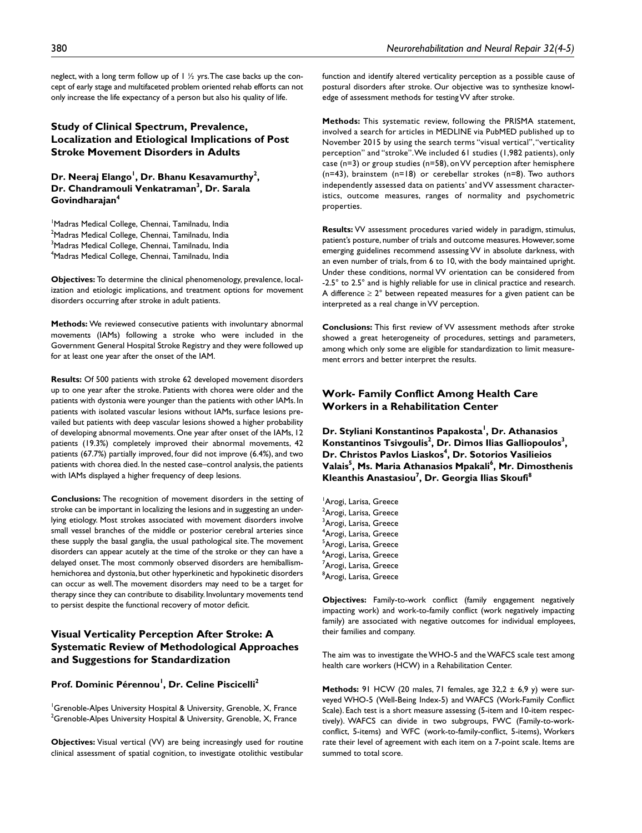neglect, with a long term follow up of  $1 \frac{1}{2}$  yrs. The case backs up the concept of early stage and multifaceted problem oriented rehab efforts can not only increase the life expectancy of a person but also his quality of life.

# **Study of Clinical Spectrum, Prevalence, Localization and Etiological Implications of Post Stroke Movement Disorders in Adults**

# Dr. Neeraj Elango<sup>1</sup>, Dr. Bhanu Kesavamurthy<sup>2</sup>, **Dr. Chandramouli Venkatraman3 , Dr. Sarala Govindharajan<sup>4</sup>**

<sup>1</sup>Madras Medical College, Chennai, Tamilnadu, India <sup>2</sup>Madras Medical College, Chennai, Tamilnadu, India <sup>3</sup>Madras Medical College, Chennai, Tamilnadu, India 4 Madras Medical College, Chennai, Tamilnadu, India

**Objectives:** To determine the clinical phenomenology, prevalence, localization and etiologic implications, and treatment options for movement disorders occurring after stroke in adult patients.

**Methods:** We reviewed consecutive patients with involuntary abnormal movements (IAMs) following a stroke who were included in the Government General Hospital Stroke Registry and they were followed up for at least one year after the onset of the IAM.

**Results:** Of 500 patients with stroke 62 developed movement disorders up to one year after the stroke. Patients with chorea were older and the patients with dystonia were younger than the patients with other IAMs. In patients with isolated vascular lesions without IAMs, surface lesions prevailed but patients with deep vascular lesions showed a higher probability of developing abnormal movements. One year after onset of the IAMs, 12 patients (19.3%) completely improved their abnormal movements, 42 patients (67.7%) partially improved, four did not improve (6.4%), and two patients with chorea died. In the nested case–control analysis, the patients with IAMs displayed a higher frequency of deep lesions.

**Conclusions:** The recognition of movement disorders in the setting of stroke can be important in localizing the lesions and in suggesting an underlying etiology. Most strokes associated with movement disorders involve small vessel branches of the middle or posterior cerebral arteries since these supply the basal ganglia, the usual pathological site. The movement disorders can appear acutely at the time of the stroke or they can have a delayed onset. The most commonly observed disorders are hemiballismhemichorea and dystonia, but other hyperkinetic and hypokinetic disorders can occur as well. The movement disorders may need to be a target for therapy since they can contribute to disability. Involuntary movements tend to persist despite the functional recovery of motor deficit.

# **Visual Verticality Perception After Stroke: A Systematic Review of Methodological Approaches and Suggestions for Standardization**

#### Prof. Dominic Pérennou<sup>l</sup>, Dr. Celine Piscicelli<sup>2</sup>

<sup>1</sup>Grenoble-Alpes University Hospital & University, Grenoble, X, France  $^2$ Grenoble-Alpes University Hospital & University, Grenoble, X, France

**Objectives:** Visual vertical (VV) are being increasingly used for routine clinical assessment of spatial cognition, to investigate otolithic vestibular function and identify altered verticality perception as a possible cause of postural disorders after stroke. Our objective was to synthesize knowledge of assessment methods for testing VV after stroke.

**Methods:** This systematic review, following the PRISMA statement, involved a search for articles in MEDLINE via PubMED published up to November 2015 by using the search terms "visual vertical", "verticality perception" and "stroke". We included 61 studies (1,982 patients), only case (n=3) or group studies (n=58), on VV perception after hemisphere (n=43), brainstem (n=18) or cerebellar strokes (n=8). Two authors independently assessed data on patients' and VV assessment characteristics, outcome measures, ranges of normality and psychometric properties.

**Results:** VV assessment procedures varied widely in paradigm, stimulus, patient's posture, number of trials and outcome measures. However, some emerging guidelines recommend assessing VV in absolute darkness, with an even number of trials, from 6 to 10, with the body maintained upright. Under these conditions, normal VV orientation can be considered from -2.5° to 2.5° and is highly reliable for use in clinical practice and research. A difference  $\geq 2^{\circ}$  between repeated measures for a given patient can be interpreted as a real change in VV perception.

**Conclusions:** This first review of VV assessment methods after stroke showed a great heterogeneity of procedures, settings and parameters, among which only some are eligible for standardization to limit measurement errors and better interpret the results.

# **Work- Family Conflict Among Health Care Workers in a Rehabilitation Center**

**Dr. Styliani Konstantinos Papakosta1 , Dr. Athanasios Konstantinos Tsivgoulis<sup>2</sup>, Dr. Dimos Ilias Galliopoulos<sup>3</sup>, Dr. Christos Pavlos Liaskos4 , Dr. Sotorios Vasilieios Valais<sup>5</sup>, Ms. Maria Athanasios Mpakali<sup>6</sup>, Mr. Dimosthenis Kleanthis Anastasiou7 , Dr. Georgia Ilias Skoufi8**

<sup>1</sup> Arogi, Larisa, Greece <sup>2</sup>Arogi, Larisa, Greece <sup>3</sup>Arogi, Larisa, Greece 4 Arogi, Larisa, Greece <sup>5</sup>Arogi, Larisa, Greece 6 Arogi, Larisa, Greece <sup>7</sup>Arogi, Larisa, Greece <sup>8</sup>Arogi, Larisa, Greece

**Objectives:** Family-to-work conflict (family engagement negatively impacting work) and work-to-family conflict (work negatively impacting family) are associated with negative outcomes for individual employees, their families and company.

The aim was to investigate the WHO-5 and the WAFCS scale test among health care workers (HCW) in a Rehabilitation Center.

**Methods:** 91 HCW (20 males, 71 females, age 32,2 ± 6,9 y) were surveyed WHO-5 (Well-Being Index-5) and WAFCS (Work-Family Conflict Scale). Each test is a short measure assessing (5-item and 10-item respectively). WAFCS can divide in two subgroups, FWC (Family-to-workconflict, 5-items) and WFC (work-to-family-conflict, 5-items), Workers rate their level of agreement with each item on a 7-point scale. Items are summed to total score.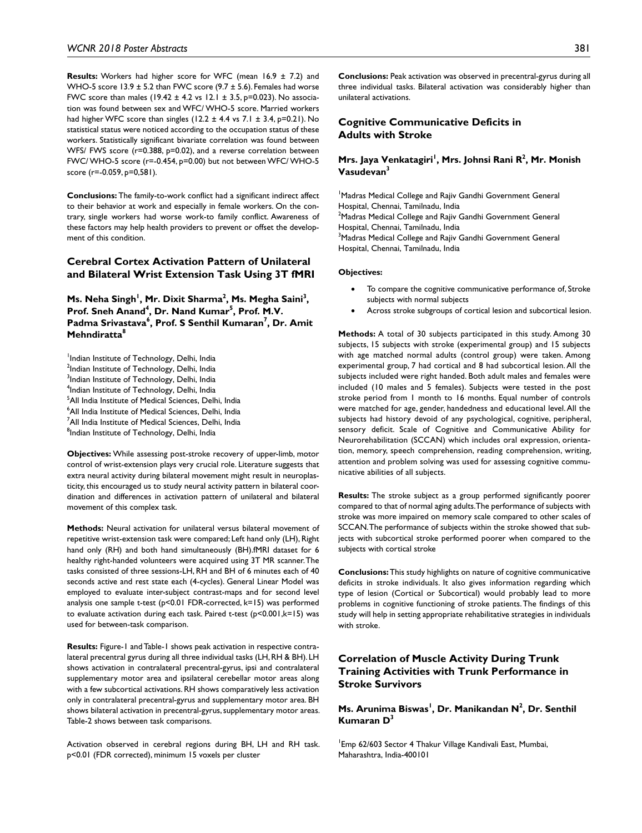**Results:** Workers had higher score for WFC (mean 16.9 ± 7.2) and WHO-5 score 13.9  $\pm$  5.2 than FWC score (9.7  $\pm$  5.6). Females had worse FWC score than males (19.42  $\pm$  4.2 vs 12.1  $\pm$  3.5, p=0.023). No association was found between sex and WFC/ WHO-5 score. Married workers had higher WFC score than singles (12.2  $\pm$  4.4 vs 7.1  $\pm$  3.4, p=0.21). No statistical status were noticed according to the occupation status of these workers. Statistically significant bivariate correlation was found between WFS/ FWS score (r=0.388, p=0.02), and a reverse correlation between FWC/ WHO-5 score (r=-0.454, p=0.00) but not between WFC/ WHO-5 score (r=-0.059, p=0,581).

**Conclusions:** The family-to-work conflict had a significant indirect affect to their behavior at work and especially in female workers. On the contrary, single workers had worse work-to family conflict. Awareness of these factors may help health providers to prevent or offset the development of this condition.

#### **Cerebral Cortex Activation Pattern of Unilateral and Bilateral Wrist Extension Task Using 3T fMRI**

Ms. Neha Singh<sup>1</sup>, Mr. Dixit Sharma<sup>2</sup>, Ms. Megha Saini<sup>3</sup>, Prof. Sneh Anand<sup>4</sup>, Dr. Nand Kumar<sup>5</sup>, Prof. M.V. Padma Srivastava<sup>6</sup>, Prof. S Senthil Kumaran<sup>7</sup>, Dr. Amit **Mehndiratta8**

<sup>1</sup>Indian Institute of Technology, Delhi, India  $^2$ Indian Institute of Technology, Delhi, India  $^3$ Indian Institute of Technology, Delhi, India 4 Indian Institute of Technology, Delhi, India <sup>5</sup>All India Institute of Medical Sciences, Delhi, India  $^6$ All India Institute of Medical Sciences, Delhi, India <sup>7</sup>All India Institute of Medical Sciences, Delhi, India <sup>8</sup>Indian Institute of Technology, Delhi, India

**Objectives:** While assessing post-stroke recovery of upper-limb, motor control of wrist-extension plays very crucial role. Literature suggests that extra neural activity during bilateral movement might result in neuroplasticity, this encouraged us to study neural activity pattern in bilateral coordination and differences in activation pattern of unilateral and bilateral movement of this complex task.

**Methods:** Neural activation for unilateral versus bilateral movement of repetitive wrist-extension task were compared; Left hand only (LH), Right hand only (RH) and both hand simultaneously (BH).fMRI dataset for 6 healthy right-handed volunteers were acquired using 3T MR scanner. The tasks consisted of three sessions-LH, RH and BH of 6 minutes each of 40 seconds active and rest state each (4-cycles). General Linear Model was employed to evaluate inter-subject contrast-maps and for second level analysis one sample t-test (p<0.01 FDR-corrected, k=15) was performed to evaluate activation during each task. Paired t-test (p<0.001,k=15) was used for between-task comparison.

**Results:** Figure-1 and Table-1 shows peak activation in respective contralateral precentral gyrus during all three individual tasks (LH, RH & BH). LH shows activation in contralateral precentral-gyrus, ipsi and contralateral supplementary motor area and ipsilateral cerebellar motor areas along with a few subcortical activations. RH shows comparatively less activation only in contralateral precentral-gyrus and supplementary motor area. BH shows bilateral activation in precentral-gyrus, supplementary motor areas. Table-2 shows between task comparisons.

Activation observed in cerebral regions during BH, LH and RH task. p<0.01 (FDR corrected), minimum 15 voxels per cluster

**Conclusions:** Peak activation was observed in precentral-gyrus during all three individual tasks. Bilateral activation was considerably higher than unilateral activations.

# **Cognitive Communicative Deficits in Adults with Stroke**

#### **Mrs. Jaya Venkatagiri<sup>!</sup>, Mrs. Johnsi Rani R<sup>2</sup>, Mr. Monish Vasudevan3**

<sup>1</sup> Madras Medical College and Rajiv Gandhi Government General Hospital, Chennai, Tamilnadu, India  $^{2}$ Madras Medical College and Rajiv Gandhi Government General Hospital, Chennai, Tamilnadu, India <sup>3</sup>Madras Medical College and Rajiv Gandhi Government General

Hospital, Chennai, Tamilnadu, India

#### **Objectives:**

- To compare the cognitive communicative performance of, Stroke subjects with normal subjects
- Across stroke subgroups of cortical lesion and subcortical lesion.

**Methods:** A total of 30 subjects participated in this study. Among 30 subjects, 15 subjects with stroke (experimental group) and 15 subjects with age matched normal adults (control group) were taken. Among experimental group, 7 had cortical and 8 had subcortical lesion. All the subjects included were right handed. Both adult males and females were included (10 males and 5 females). Subjects were tested in the post stroke period from 1 month to 16 months. Equal number of controls were matched for age, gender, handedness and educational level. All the subjects had history devoid of any psychological, cognitive, peripheral, sensory deficit. Scale of Cognitive and Communicative Ability for Neurorehabilitation (SCCAN) which includes oral expression, orientation, memory, speech comprehension, reading comprehension, writing, attention and problem solving was used for assessing cognitive communicative abilities of all subjects.

**Results:** The stroke subject as a group performed significantly poorer compared to that of normal aging adults. The performance of subjects with stroke was more impaired on memory scale compared to other scales of SCCAN. The performance of subjects within the stroke showed that subjects with subcortical stroke performed poorer when compared to the subjects with cortical stroke

**Conclusions:** This study highlights on nature of cognitive communicative deficits in stroke individuals. It also gives information regarding which type of lesion (Cortical or Subcortical) would probably lead to more problems in cognitive functioning of stroke patients. The findings of this study will help in setting appropriate rehabilitative strategies in individuals with stroke.

# **Correlation of Muscle Activity During Trunk Training Activities with Trunk Performance in Stroke Survivors**

#### **Ms. Arunima Biswas<sup>1</sup>, Dr. Manikandan N<sup>2</sup>, Dr. Senthil Kumaran D3**

1 Emp 62/603 Sector 4 Thakur Village Kandivali East, Mumbai, Maharashtra, India-400101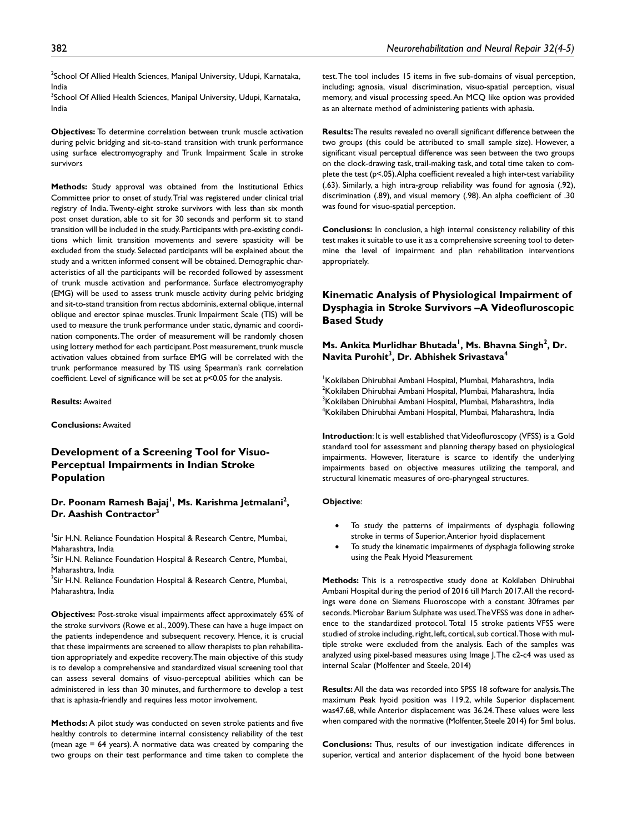<sup>2</sup>School Of Allied Health Sciences, Manipal University, Udupi, Karnataka, India

<sup>3</sup>School Of Allied Health Sciences, Manipal University, Udupi, Karnataka, India

**Objectives:** To determine correlation between trunk muscle activation during pelvic bridging and sit-to-stand transition with trunk performance using surface electromyography and Trunk Impairment Scale in stroke survivors

**Methods:** Study approval was obtained from the Institutional Ethics Committee prior to onset of study. Trial was registered under clinical trial registry of India. Twenty-eight stroke survivors with less than six month post onset duration, able to sit for 30 seconds and perform sit to stand transition will be included in the study. Participants with pre-existing conditions which limit transition movements and severe spasticity will be excluded from the study. Selected participants will be explained about the study and a written informed consent will be obtained. Demographic characteristics of all the participants will be recorded followed by assessment of trunk muscle activation and performance. Surface electromyography (EMG) will be used to assess trunk muscle activity during pelvic bridging and sit-to-stand transition from rectus abdominis, external oblique, internal oblique and erector spinae muscles. Trunk Impairment Scale (TIS) will be used to measure the trunk performance under static, dynamic and coordination components. The order of measurement will be randomly chosen using lottery method for each participant. Post measurement, trunk muscle activation values obtained from surface EMG will be correlated with the trunk performance measured by TIS using Spearman's rank correlation coefficient. Level of significance will be set at p<0.05 for the analysis.

#### **Results:** Awaited

**Conclusions:** Awaited

# **Development of a Screening Tool for Visuo-Perceptual Impairments in Indian Stroke Population**

# Dr. Poonam Ramesh Bajaj<sup>!</sup>, Ms. Karishma Jetmalani<sup>2</sup>, **Dr. Aashish Contractor3**

<sup>1</sup>Sir H.N. Reliance Foundation Hospital & Research Centre, Mumbai, Maharashtra, India

<sup>2</sup>Sir H.N. Reliance Foundation Hospital & Research Centre, Mumbai, Maharashtra, India

<sup>3</sup>Sir H.N. Reliance Foundation Hospital & Research Centre, Mumbai, Maharashtra, India

**Objectives:** Post-stroke visual impairments affect approximately 65% of the stroke survivors (Rowe et al., 2009). These can have a huge impact on the patients independence and subsequent recovery. Hence, it is crucial that these impairments are screened to allow therapists to plan rehabilitation appropriately and expedite recovery. The main objective of this study is to develop a comprehensive and standardized visual screening tool that can assess several domains of visuo-perceptual abilities which can be administered in less than 30 minutes, and furthermore to develop a test that is aphasia-friendly and requires less motor involvement.

**Methods:** A pilot study was conducted on seven stroke patients and five healthy controls to determine internal consistency reliability of the test (mean age  $= 64$  years). A normative data was created by comparing the two groups on their test performance and time taken to complete the

test. The tool includes 15 items in five sub-domains of visual perception, including; agnosia, visual discrimination, visuo-spatial perception, visual memory, and visual processing speed. An MCQ like option was provided as an alternate method of administering patients with aphasia.

**Results:** The results revealed no overall significant difference between the two groups (this could be attributed to small sample size). However, a significant visual perceptual difference was seen between the two groups on the clock-drawing task, trail-making task, and total time taken to complete the test (p<.05). Alpha coefficient revealed a high inter-test variability (.63). Similarly, a high intra-group reliability was found for agnosia (.92), discrimination (.89), and visual memory (.98). An alpha coefficient of .30 was found for visuo-spatial perception.

**Conclusions:** In conclusion, a high internal consistency reliability of this test makes it suitable to use it as a comprehensive screening tool to determine the level of impairment and plan rehabilitation interventions appropriately.

# **Kinematic Analysis of Physiological Impairment of Dysphagia in Stroke Survivors –A Videofluroscopic Based Study**

### **Ms. Ankita Murlidhar Bhutada<sup>l</sup>, Ms. Bhavna Singh<sup>2</sup>, Dr.**  $\mathsf{Navita\ Purohit}^3$ , Dr. Abhishek Srivastava<sup>4</sup>

1 Kokilaben Dhirubhai Ambani Hospital, Mumbai, Maharashtra, India  $^{2}$ Kokilaben Dhirubhai Ambani Hospital, Mumbai, Maharashtra, India  $^3$ Kokilaben Dhirubhai Ambani Hospital, Mumbai, Maharashtra, India 4 Kokilaben Dhirubhai Ambani Hospital, Mumbai, Maharashtra, India

**Introduction**: It is well established that Videofluroscopy (VFSS) is a Gold standard tool for assessment and planning therapy based on physiological impairments. However, literature is scarce to identify the underlying impairments based on objective measures utilizing the temporal, and structural kinematic measures of oro-pharyngeal structures.

#### **Objective**:

- To study the patterns of impairments of dysphagia following stroke in terms of Superior, Anterior hyoid displacement
- To study the kinematic impairments of dysphagia following stroke using the Peak Hyoid Measurement

**Methods:** This is a retrospective study done at Kokilaben Dhirubhai Ambani Hospital during the period of 2016 till March 2017. All the recordings were done on Siemens Fluoroscope with a constant 30frames per seconds. Microbar Barium Sulphate was used. The VFSS was done in adherence to the standardized protocol. Total 15 stroke patients VFSS were studied of stroke including, right, left, cortical, sub cortical. Those with multiple stroke were excluded from the analysis. Each of the samples was analyzed using pixel-based measures using Image J. The c2-c4 was used as internal Scalar (Molfenter and Steele, 2014)

**Results:** All the data was recorded into SPSS 18 software for analysis. The maximum Peak hyoid position was 119.2, while Superior displacement was47.68, while Anterior displacement was 36.24. These values were less when compared with the normative (Molfenter, Steele 2014) for 5ml bolus.

**Conclusions:** Thus, results of our investigation indicate differences in superior, vertical and anterior displacement of the hyoid bone between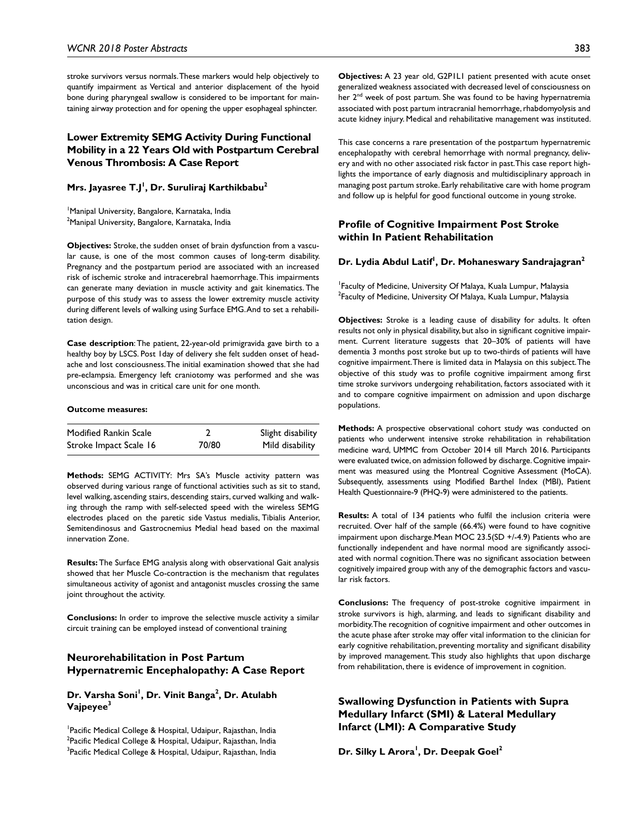stroke survivors versus normals. These markers would help objectively to quantify impairment as Vertical and anterior displacement of the hyoid bone during pharyngeal swallow is considered to be important for maintaining airway protection and for opening the upper esophageal sphincter.

# **Lower Extremity SEMG Activity During Functional Mobility in a 22 Years Old with Postpartum Cerebral Venous Thrombosis: A Case Report**

#### **Mrs. Jayasree T.J1 , Dr. Suruliraj Karthikbabu2**

<sup>1</sup>Manipal University, Bangalore, Karnataka, India  $^{2}$ Manipal University, Bangalore, Karnataka, India

**Objectives:** Stroke, the sudden onset of brain dysfunction from a vascular cause, is one of the most common causes of long-term disability. Pregnancy and the postpartum period are associated with an increased risk of ischemic stroke and intracerebral haemorrhage. This impairments can generate many deviation in muscle activity and gait kinematics. The purpose of this study was to assess the lower extremity muscle activity during different levels of walking using Surface EMG. And to set a rehabilitation design.

**Case description**: The patient, 22-year-old primigravida gave birth to a healthy boy by LSCS. Post 1day of delivery she felt sudden onset of headache and lost consciousness. The initial examination showed that she had pre-eclampsia. Emergency left craniotomy was performed and she was unconscious and was in critical care unit for one month.

#### **Outcome measures:**

| Modified Rankin Scale  |       | Slight disability |
|------------------------|-------|-------------------|
| Stroke Impact Scale 16 | 70/80 | Mild disability   |

**Methods:** SEMG ACTIVITY: Mrs SA's Muscle activity pattern was observed during various range of functional activities such as sit to stand, level walking, ascending stairs, descending stairs, curved walking and walking through the ramp with self-selected speed with the wireless SEMG electrodes placed on the paretic side Vastus medialis, Tibialis Anterior, Semitendinosus and Gastrocnemius Medial head based on the maximal innervation Zone.

**Results:** The Surface EMG analysis along with observational Gait analysis showed that her Muscle Co-contraction is the mechanism that regulates simultaneous activity of agonist and antagonist muscles crossing the same joint throughout the activity.

**Conclusions:** In order to improve the selective muscle activity a similar circuit training can be employed instead of conventional training

# **Neurorehabilitation in Post Partum Hypernatremic Encephalopathy: A Case Report**

### Dr. Varsha Soni<sup>1</sup>, Dr. Vinit Banga<sup>2</sup>, Dr. Atulabh **Vajpeyee3**

<sup>1</sup> Pacific Medical College & Hospital, Udaipur, Rajasthan, India <sup>2</sup>Pacific Medical College & Hospital, Udaipur, Rajasthan, India <sup>3</sup>Pacific Medical College & Hospital, Udaipur, Rajasthan, India **Objectives:** A 23 year old, G2P1L1 patient presented with acute onset generalized weakness associated with decreased level of consciousness on her  $2^{nd}$  week of post partum. She was found to be having hypernatremia associated with post partum intracranial hemorrhage, rhabdomyolysis and acute kidney injury. Medical and rehabilitative management was instituted.

This case concerns a rare presentation of the postpartum hypernatremic encephalopathy with cerebral hemorrhage with normal pregnancy, delivery and with no other associated risk factor in past. This case report highlights the importance of early diagnosis and multidisciplinary approach in managing post partum stroke. Early rehabilitative care with home program and follow up is helpful for good functional outcome in young stroke.

### **Profile of Cognitive Impairment Post Stroke within In Patient Rehabilitation**

### **Dr. Lydia Abdul Latif1 , Dr. Mohaneswary Sandrajagran2**

1 Faculty of Medicine, University Of Malaya, Kuala Lumpur, Malaysia  $^2$ Faculty of Medicine, University Of Malaya, Kuala Lumpur, Malaysia

**Objectives:** Stroke is a leading cause of disability for adults. It often results not only in physical disability, but also in significant cognitive impairment. Current literature suggests that 20–30% of patients will have dementia 3 months post stroke but up to two-thirds of patients will have cognitive impairment. There is limited data in Malaysia on this subject. The objective of this study was to profile cognitive impairment among first time stroke survivors undergoing rehabilitation, factors associated with it and to compare cognitive impairment on admission and upon discharge populations.

**Methods:** A prospective observational cohort study was conducted on patients who underwent intensive stroke rehabilitation in rehabilitation medicine ward, UMMC from October 2014 till March 2016. Participants were evaluated twice, on admission followed by discharge. Cognitive impairment was measured using the Montreal Cognitive Assessment (MoCA). Subsequently, assessments using Modified Barthel Index (MBI), Patient Health Questionnaire-9 (PHQ-9) were administered to the patients.

**Results:** A total of 134 patients who fulfil the inclusion criteria were recruited. Over half of the sample (66.4%) were found to have cognitive impairment upon discharge.Mean MOC 23.5(SD +/-4.9) Patients who are functionally independent and have normal mood are significantly associated with normal cognition. There was no significant association between cognitively impaired group with any of the demographic factors and vascular risk factors.

**Conclusions:** The frequency of post-stroke cognitive impairment in stroke survivors is high, alarming, and leads to significant disability and morbidity. The recognition of cognitive impairment and other outcomes in the acute phase after stroke may offer vital information to the clinician for early cognitive rehabilitation, preventing mortality and significant disability by improved management. This study also highlights that upon discharge from rehabilitation, there is evidence of improvement in cognition.

# **Swallowing Dysfunction in Patients with Supra Medullary Infarct (SMI) & Lateral Medullary Infarct (LMI): A Comparative Study**

**Dr. Silky L Arora1 , Dr. Deepak Goel2**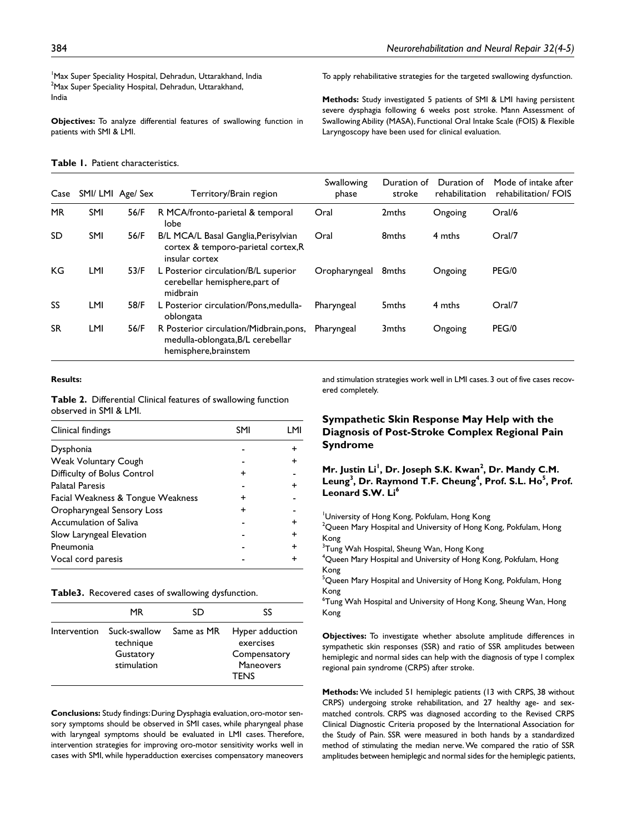<sup>1</sup> Max Super Speciality Hospital, Dehradun, Uttarakhand, India <sup>2</sup>Max Super Speciality Hospital, Dehradun, Uttarakhand, India

**Objectives:** To analyze differential features of swallowing function in patients with SMI & LMI.

#### **Table 1.** Patient characteristics.

To apply rehabilitative strategies for the targeted swallowing dysfunction.

**Methods:** Study investigated 5 patients of SMI & LMI having persistent severe dysphagia following 6 weeks post stroke. Mann Assessment of Swallowing Ability (MASA), Functional Oral Intake Scale (FOIS) & Flexible Laryngoscopy have been used for clinical evaluation.

| Case      | SMI/LMI Age/Sex |      | Territory/Brain region                                                                                | Swallowing<br>phase | Duration of<br>stroke | Duration of<br>rehabilitation | Mode of intake after<br>rehabilitation/ FOIS |
|-----------|-----------------|------|-------------------------------------------------------------------------------------------------------|---------------------|-----------------------|-------------------------------|----------------------------------------------|
| <b>MR</b> | SMI             | 56/F | R MCA/fronto-parietal & temporal<br>lobe                                                              | Oral                | 2mths                 | Ongoing                       | Oral/6                                       |
| SD        | SMI             | 56/F | B/L MCA/L Basal Ganglia, Perisylvian<br>cortex & temporo-parietal cortex, R<br>insular cortex         | Oral                | 8 <sub>mths</sub>     | 4 mths                        | Oral/7                                       |
| KG.       | LMI             | 53/F | L Posterior circulation/B/L superior<br>cerebellar hemisphere, part of<br>midbrain                    | Oropharyngeal       | 8mths                 | Ongoing                       | PEG/0                                        |
| SS        | LMI             | 58/F | L Posterior circulation/Pons, medulla-<br>oblongata                                                   | Pharyngeal          | 5 <sub>mths</sub>     | 4 mths                        | Oral/7                                       |
| SR        | LMI             | 56/F | R Posterior circulation/Midbrain, pons,<br>medulla-oblongata, B/L cerebellar<br>hemisphere, brainstem | Pharyngeal          | 3 <sub>mths</sub>     | Ongoing                       | PEG/0                                        |

#### **Results:**

**Table 2.** Differential Clinical features of swallowing function observed in SMI & LMI.

| Clinical findings                 | SMI | I M |
|-----------------------------------|-----|-----|
| Dysphonia                         |     |     |
| Weak Voluntary Cough              |     |     |
| Difficulty of Bolus Control       | +   |     |
| <b>Palatal Paresis</b>            |     |     |
| Facial Weakness & Tongue Weakness | +   |     |
| Oropharyngeal Sensory Loss        | +   |     |
| Accumulation of Saliva            |     |     |
| Slow Laryngeal Elevation          |     |     |
| Pneumonia                         |     |     |
| Vocal cord paresis                |     |     |

**Table3.** Recovered cases of swallowing dysfunction.

|              | MR                                                    | SD | SS                                                                                  |
|--------------|-------------------------------------------------------|----|-------------------------------------------------------------------------------------|
| Intervention | Suck-swallow<br>technique<br>Gustatory<br>stimulation |    | Same as MR Hyper adduction<br>exercises<br>Compensatory<br>Maneovers<br><b>TENS</b> |

**Conclusions:** Study findings: During Dysphagia evaluation, oro-motor sensory symptoms should be observed in SMI cases, while pharyngeal phase with laryngeal symptoms should be evaluated in LMI cases. Therefore, intervention strategies for improving oro-motor sensitivity works well in cases with SMI, while hyperadduction exercises compensatory maneovers

and stimulation strategies work well in LMI cases. 3 out of five cases recovered completely.

# **Sympathetic Skin Response May Help with the Diagnosis of Post-Stroke Complex Regional Pain Syndrome**

Mr. Justin Li<sup>1</sup>, Dr. Joseph S.K. Kwan<sup>2</sup>, Dr. Mandy C.M. Leung<sup>3</sup>, Dr. Raymond T.F. Cheung<sup>4</sup>, Prof. S.L. Ho<sup>5</sup>, Prof. Leonard S.W. Li<sup>6</sup>

1 University of Hong Kong, Pokfulam, Hong Kong

 $^{2}$ Queen Mary Hospital and University of Hong Kong, Pokfulam, Hong Kong

<sup>3</sup>Tung Wah Hospital, Sheung Wan, Hong Kong

4 Queen Mary Hospital and University of Hong Kong, Pokfulam, Hong Kong

 $^5$ Queen Mary Hospital and University of Hong Kong, Pokfulam, Hong Kong

6 Tung Wah Hospital and University of Hong Kong, Sheung Wan, Hong Kong

**Objectives:** To investigate whether absolute amplitude differences in sympathetic skin responses (SSR) and ratio of SSR amplitudes between hemiplegic and normal sides can help with the diagnosis of type I complex regional pain syndrome (CRPS) after stroke.

**Methods:** We included 51 hemiplegic patients (13 with CRPS, 38 without CRPS) undergoing stroke rehabilitation, and 27 healthy age- and sexmatched controls. CRPS was diagnosed according to the Revised CRPS Clinical Diagnostic Criteria proposed by the International Association for the Study of Pain. SSR were measured in both hands by a standardized method of stimulating the median nerve. We compared the ratio of SSR amplitudes between hemiplegic and normal sides for the hemiplegic patients,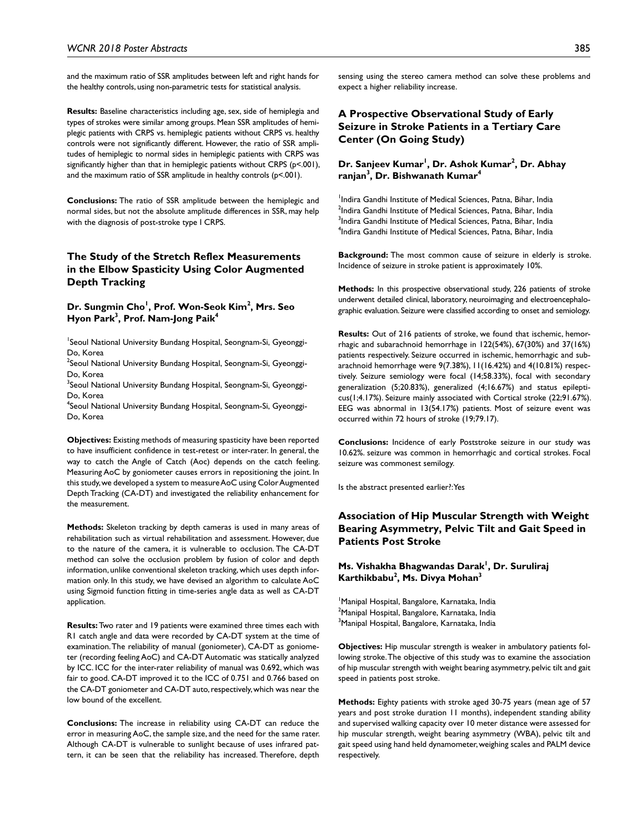and the maximum ratio of SSR amplitudes between left and right hands for the healthy controls, using non-parametric tests for statistical analysis.

**Results:** Baseline characteristics including age, sex, side of hemiplegia and types of strokes were similar among groups. Mean SSR amplitudes of hemiplegic patients with CRPS vs. hemiplegic patients without CRPS vs. healthy controls were not significantly different. However, the ratio of SSR amplitudes of hemiplegic to normal sides in hemiplegic patients with CRPS was significantly higher than that in hemiplegic patients without CRPS (p<.001), and the maximum ratio of SSR amplitude in healthy controls (p<.001).

**Conclusions:** The ratio of SSR amplitude between the hemiplegic and normal sides, but not the absolute amplitude differences in SSR, may help with the diagnosis of post-stroke type I CRPS.

# **The Study of the Stretch Reflex Measurements in the Elbow Spasticity Using Color Augmented Depth Tracking**

### **Dr. Sungmin Cho1 , Prof. Won-Seok Kim2 , Mrs. Seo Hyon Park3 , Prof. Nam-Jong Paik4**

<sup>1</sup>Seoul National University Bundang Hospital, Seongnam-Si, Gyeonggi-Do, Korea

<sup>2</sup>Seoul National University Bundang Hospital, Seongnam-Si, Gyeonggi-Do, Korea

<sup>3</sup>Seoul National University Bundang Hospital, Seongnam-Si, Gyeonggi-Do, Korea

4 Seoul National University Bundang Hospital, Seongnam-Si, Gyeonggi-Do, Korea

**Objectives:** Existing methods of measuring spasticity have been reported to have insufficient confidence in test-retest or inter-rater. In general, the way to catch the Angle of Catch (Aoc) depends on the catch feeling. Measuring AoC by goniometer causes errors in repositioning the joint. In this study, we developed a system to measure AoC using Color Augmented Depth Tracking (CA-DT) and investigated the reliability enhancement for the measurement.

**Methods:** Skeleton tracking by depth cameras is used in many areas of rehabilitation such as virtual rehabilitation and assessment. However, due to the nature of the camera, it is vulnerable to occlusion. The CA-DT method can solve the occlusion problem by fusion of color and depth information, unlike conventional skeleton tracking, which uses depth information only. In this study, we have devised an algorithm to calculate AoC using Sigmoid function fitting in time-series angle data as well as CA-DT application.

**Results:** Two rater and 19 patients were examined three times each with R1 catch angle and data were recorded by CA-DT system at the time of examination. The reliability of manual (goniometer), CA-DT as goniometer (recording feeling AoC) and CA-DT Automatic was statically analyzed by ICC. ICC for the inter-rater reliability of manual was 0.692, which was fair to good. CA-DT improved it to the ICC of 0.751 and 0.766 based on the CA-DT goniometer and CA-DT auto, respectively, which was near the low bound of the excellent.

**Conclusions:** The increase in reliability using CA-DT can reduce the error in measuring AoC, the sample size, and the need for the same rater. Although CA-DT is vulnerable to sunlight because of uses infrared pattern, it can be seen that the reliability has increased. Therefore, depth

sensing using the stereo camera method can solve these problems and expect a higher reliability increase.

# **A Prospective Observational Study of Early Seizure in Stroke Patients in a Tertiary Care Center (On Going Study)**

# Dr. Sanjeev Kumar<sup>ı</sup>, Dr. Ashok Kumar<sup>2</sup>, Dr. Abhay **ranjan3 , Dr. Bishwanath Kumar4**

<sup>1</sup>Indira Gandhi Institute of Medical Sciences, Patna, Bihar, India  $^2$ Indira Gandhi Institute of Medical Sciences, Patna, Bihar, India <sup>3</sup>Indira Gandhi Institute of Medical Sciences, Patna, Bihar, India 4 Indira Gandhi Institute of Medical Sciences, Patna, Bihar, India

**Background:** The most common cause of seizure in elderly is stroke. Incidence of seizure in stroke patient is approximately 10%.

**Methods:** In this prospective observational study, 226 patients of stroke underwent detailed clinical, laboratory, neuroimaging and electroencephalographic evaluation. Seizure were classified according to onset and semiology.

**Results:** Out of 216 patients of stroke, we found that ischemic, hemorrhagic and subarachnoid hemorrhage in 122(54%), 67(30%) and 37(16%) patients respectively. Seizure occurred in ischemic, hemorrhagic and subarachnoid hemorrhage were 9(7.38%), 11(16.42%) and 4(10.81%) respectively. Seizure semiology were focal (14;58.33%), focal with secondary generalization (5;20.83%), generalized (4;16.67%) and status epilepticus(1;4.17%). Seizure mainly associated with Cortical stroke (22;91.67%). EEG was abnormal in 13(54.17%) patients. Most of seizure event was occurred within 72 hours of stroke (19;79.17).

**Conclusions:** Incidence of early Poststroke seizure in our study was 10.62%. seizure was common in hemorrhagic and cortical strokes. Focal seizure was commonest semilogy.

Is the abstract presented earlier?: Yes

# **Association of Hip Muscular Strength with Weight Bearing Asymmetry, Pelvic Tilt and Gait Speed in Patients Post Stroke**

# **Ms. Vishakha Bhagwandas Darak1 , Dr. Suruliraj Karthikbabu<sup>2</sup> , Ms. Divya Mohan3**

1 Manipal Hospital, Bangalore, Karnataka, India <sup>2</sup>Manipal Hospital, Bangalore, Karnataka, India <sup>3</sup>Manipal Hospital, Bangalore, Karnataka, India

**Objectives:** Hip muscular strength is weaker in ambulatory patients following stroke. The objective of this study was to examine the association of hip muscular strength with weight bearing asymmetry, pelvic tilt and gait speed in patients post stroke.

**Methods:** Eighty patients with stroke aged 30-75 years (mean age of 57 years and post stroke duration 11 months), independent standing ability and supervised walking capacity over 10 meter distance were assessed for hip muscular strength, weight bearing asymmetry (WBA), pelvic tilt and gait speed using hand held dynamometer, weighing scales and PALM device respectively.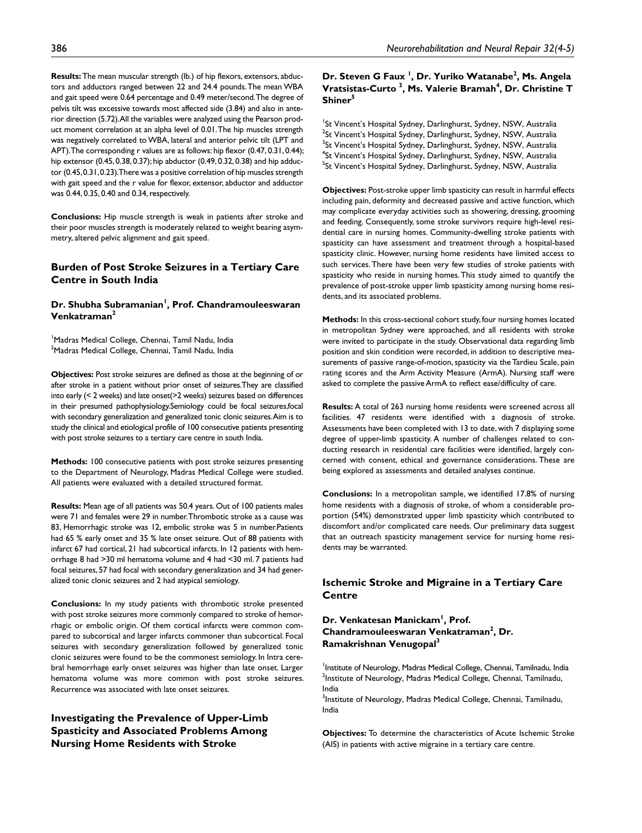**Results:** The mean muscular strength (lb.) of hip flexors, extensors, abductors and adductors ranged between 22 and 24.4 pounds. The mean WBA and gait speed were 0.64 percentage and 0.49 meter/second. The degree of pelvis tilt was excessive towards most affected side (3.84) and also in anterior direction (5.72). All the variables were analyzed using the Pearson product moment correlation at an alpha level of 0.01. The hip muscles strength was negatively correlated to WBA, lateral and anterior pelvic tilt (LPT and APT). The corresponding r values are as follows: hip flexor (0.47, 0.31, 0.44); hip extensor (0.45, 0.38, 0.37); hip abductor (0.49, 0.32, 0.38) and hip adductor (0.45, 0.31, 0.23). There was a positive correlation of hip muscles strength with gait speed and the r value for flexor, extensor, abductor and adductor was 0.44, 0.35, 0.40 and 0.34, respectively.

**Conclusions:** Hip muscle strength is weak in patients after stroke and their poor muscles strength is moderately related to weight bearing asymmetry, altered pelvic alignment and gait speed.

### **Burden of Post Stroke Seizures in a Tertiary Care Centre in South India**

#### **Dr. Shubha Subramanian1 , Prof. Chandramouleeswaran Venkatraman<sup>2</sup>**

<sup>1</sup> Madras Medical College, Chennai, Tamil Nadu, India <sup>2</sup>Madras Medical College, Chennai, Tamil Nadu, India

**Objectives:** Post stroke seizures are defined as those at the beginning of or after stroke in a patient without prior onset of seizures.They are classified into early (< 2 weeks) and late onset(>2 weeks) seizures based on differences in their presumed pathophysiology.Semiology could be focal seizures,focal with secondary generalization and generalized tonic clonic seizures. Aim is to study the clinical and etiological profile of 100 consecutive patients presenting with post stroke seizures to a tertiary care centre in south India.

**Methods:** 100 consecutive patients with post stroke seizures presenting to the Department of Neurology, Madras Medical College were studied. All patients were evaluated with a detailed structured format.

**Results:** Mean age of all patients was 50.4 years. Out of 100 patients males were 71 and females were 29 in number. Thrombotic stroke as a cause was 83, Hemorrhagic stroke was 12, embolic stroke was 5 in number.Patients had 65 % early onset and 35 % late onset seizure. Out of 88 patients with infarct 67 had cortical, 21 had subcortical infarcts. In 12 patients with hemorrhage 8 had >30 ml hematoma volume and 4 had <30 ml. 7 patients had focal seizures, 57 had focal with secondary generalization and 34 had generalized tonic clonic seizures and 2 had atypical semiology.

**Conclusions:** In my study patients with thrombotic stroke presented with post stroke seizures more commonly compared to stroke of hemorrhagic or embolic origin. Of them cortical infarcts were common compared to subcortical and larger infarcts commoner than subcortical. Focal seizures with secondary generalization followed by generalized tonic clonic seizures were found to be the commonest semiology. In Intra cerebral hemorrhage early onset seizures was higher than late onset. Larger hematoma volume was more common with post stroke seizures. Recurrence was associated with late onset seizures.

# **Investigating the Prevalence of Upper-Limb Spasticity and Associated Problems Among Nursing Home Residents with Stroke**

### **Dr. Steven G Faux 1 , Dr. Yuriko Watanabe2 , Ms. Angela Vratsistas-Curto**  $^3$ **, Ms. Valerie Bramah** $^4$ **, Dr. Christine T** Shiner<sup>5</sup>

<sup>1</sup>St Vincent's Hospital Sydney, Darlinghurst, Sydney, NSW, Australia <sup>2</sup>St Vincent's Hospital Sydney, Darlinghurst, Sydney, NSW, Australia <sup>3</sup>St Vincent's Hospital Sydney, Darlinghurst, Sydney, NSW, Australia 4 St Vincent's Hospital Sydney, Darlinghurst, Sydney, NSW, Australia <sup>5</sup>St Vincent's Hospital Sydney, Darlinghurst, Sydney, NSW, Australia

**Objectives:** Post-stroke upper limb spasticity can result in harmful effects including pain, deformity and decreased passive and active function, which may complicate everyday activities such as showering, dressing, grooming and feeding. Consequently, some stroke survivors require high-level residential care in nursing homes. Community-dwelling stroke patients with spasticity can have assessment and treatment through a hospital-based spasticity clinic. However, nursing home residents have limited access to such services. There have been very few studies of stroke patients with spasticity who reside in nursing homes. This study aimed to quantify the prevalence of post-stroke upper limb spasticity among nursing home residents, and its associated problems.

**Methods:** In this cross-sectional cohort study, four nursing homes located in metropolitan Sydney were approached, and all residents with stroke were invited to participate in the study. Observational data regarding limb position and skin condition were recorded, in addition to descriptive measurements of passive range-of-motion, spasticity via the Tardieu Scale, pain rating scores and the Arm Activity Measure (ArmA). Nursing staff were asked to complete the passive ArmA to reflect ease/difficulty of care.

**Results:** A total of 263 nursing home residents were screened across all facilities. 47 residents were identified with a diagnosis of stroke. Assessments have been completed with 13 to date, with 7 displaying some degree of upper-limb spasticity. A number of challenges related to conducting research in residential care facilities were identified, largely concerned with consent, ethical and governance considerations. These are being explored as assessments and detailed analyses continue.

**Conclusions:** In a metropolitan sample, we identified 17.8% of nursing home residents with a diagnosis of stroke, of whom a considerable proportion (54%) demonstrated upper limb spasticity which contributed to discomfort and/or complicated care needs. Our preliminary data suggest that an outreach spasticity management service for nursing home residents may be warranted.

# **Ischemic Stroke and Migraine in a Tertiary Care Centre**

Dr. Venkatesan Manickam<sup>I</sup>, Prof. **Chandramouleeswaran Venkatraman<sup>2</sup> , Dr. Ramakrishnan Venugopal<sup>3</sup>**

<sup>1</sup>Institute of Neurology, Madras Medical College, Chennai, Tamilnadu, India <sup>2</sup>Institute of Neurology, Madras Medical College, Chennai, Tamilnadu, India

<sup>3</sup>Institute of Neurology, Madras Medical College, Chennai, Tamilnadu, India

**Objectives:** To determine the characteristics of Acute Ischemic Stroke (AIS) in patients with active migraine in a tertiary care centre.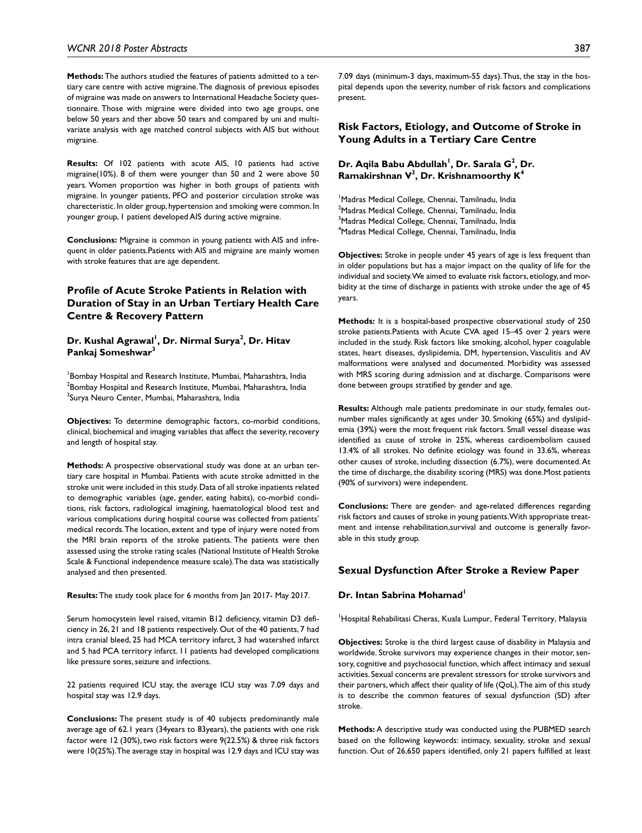**Methods:** The authors studied the features of patients admitted to a tertiary care centre with active migraine. The diagnosis of previous episodes of migraine was made on answers to International Headache Society questionnaire. Those with migraine were divided into two age groups, one below 50 years and ther above 50 tears and compared by uni and multivariate analysis with age matched control subjects with AIS but without migraine.

**Results:** Of 102 patients with acute AIS, 10 patients had active migraine(10%). 8 of them were younger than 50 and 2 were above 50 years. Women proportion was higher in both groups of patients with migraine. In younger patients, PFO and posterior circulation stroke was charecteristic. In older group, hypertension and smoking were common. In younger group, 1 patient developed AIS during active migraine.

**Conclusions:** Migraine is common in young patients with AIS and infrequent in older patients.Patients with AIS and migraine are mainly women with stroke features that are age dependent.

# **Profile of Acute Stroke Patients in Relation with Duration of Stay in an Urban Tertiary Health Care Centre & Recovery Pattern**

#### Dr. Kushal Agrawal<sup>1</sup>, Dr. Nirmal Surya<sup>2</sup>, Dr. Hitav **Pankaj Someshwar3**

1 Bombay Hospital and Research Institute, Mumbai, Maharashtra, India  $^2$ Bombay Hospital and Research Institute, Mumbai, Maharashtra, India <sup>3</sup>Surya Neuro Center, Mumbai, Maharashtra, India

**Objectives:** To determine demographic factors, co-morbid conditions, clinical, biochemical and imaging variables that affect the severity, recovery and length of hospital stay.

**Methods:** A prospective observational study was done at an urban tertiary care hospital in Mumbai. Patients with acute stroke admitted in the stroke unit were included in this study. Data of all stroke inpatients related to demographic variables (age, gender, eating habits), co-morbid conditions, risk factors, radiological imagining, haematological blood test and various complications during hospital course was collected from patients' medical records. The location, extent and type of injury were noted from the MRI brain reports of the stroke patients. The patients were then assessed using the stroke rating scales (National Institute of Health Stroke Scale & Functional independence measure scale). The data was statistically analysed and then presented.

**Results:** The study took place for 6 months from Jan 2017- May 2017.

Serum homocystein level raised, vitamin B12 deficiency, vitamin D3 deficiency in 26, 21 and 18 patients respectively. Out of the 40 patients, 7 had intra cranial bleed, 25 had MCA territory infarct, 3 had watershed infarct and 5 had PCA territory infarct. 11 patients had developed complications like pressure sores, seizure and infections.

22 patients required ICU stay, the average ICU stay was 7.09 days and hospital stay was 12.9 days.

**Conclusions:** The present study is of 40 subjects predominantly male average age of 62.1 years (34years to 83years), the patients with one risk factor were 12 (30%), two risk factors were 9(22.5%) & three risk factors were 10(25%). The average stay in hospital was 12.9 days and ICU stay was

7.09 days (minimum-3 days, maximum-55 days). Thus, the stay in the hospital depends upon the severity, number of risk factors and complications present.

**Risk Factors, Etiology, and Outcome of Stroke in Young Adults in a Tertiary Care Centre**

# Dr. Aqila Babu Abdullah<sup>i</sup>, Dr. Sarala G<sup>2</sup>, Dr. **Ramakirshnan V3 , Dr. Krishnamoorthy K4**

<sup>1</sup>Madras Medical College, Chennai, Tamilnadu, India <sup>2</sup>Madras Medical College, Chennai, Tamilnadu, India <sup>3</sup>Madras Medical College, Chennai, Tamilnadu, India 4 Madras Medical College, Chennai, Tamilnadu, India

**Objectives:** Stroke in people under 45 years of age is less frequent than in older populations but has a major impact on the quality of life for the individual and society. We aimed to evaluate risk factors, etiology, and morbidity at the time of discharge in patients with stroke under the age of 45 years.

**Methods:** It is a hospital-based prospective observational study of 250 stroke patients.Patients with Acute CVA aged 15–45 over 2 years were included in the study. Risk factors like smoking, alcohol, hyper coagulable states, heart diseases, dyslipidemia, DM, hypertension, Vasculitis and AV malformations were analysed and documented. Morbidity was assessed with MRS scoring during admission and at discharge. Comparisons were done between groups stratified by gender and age.

**Results:** Although male patients predominate in our study, females outnumber males significantly at ages under 30. Smoking (65%) and dyslipidemia (39%) were the most frequent risk factors. Small vessel disease was identified as cause of stroke in 25%, whereas cardioembolism caused 13.4% of all strokes. No definite etiology was found in 33.6%, whereas other causes of stroke, including dissection (6.7%), were documented. At the time of discharge, the disability scoring (MRS) was done.Most patients (90% of survivors) were independent.

**Conclusions:** There are gender- and age-related differences regarding risk factors and causes of stroke in young patients. With appropriate treatment and intense rehabilitation,survival and outcome is generally favorable in this study group.

#### **Sexual Dysfunction After Stroke a Review Paper**

#### **Dr. Intan Sabrina Mohamad**<sup>1</sup>

<sup>1</sup>Hospital Rehabilitasi Cheras, Kuala Lumpur, Federal Territory, Malaysia

**Objectives:** Stroke is the third largest cause of disability in Malaysia and worldwide. Stroke survivors may experience changes in their motor, sensory, cognitive and psychosocial function, which affect intimacy and sexual activities. Sexual concerns are prevalent stressors for stroke survivors and their partners, which affect their quality of life (QoL). The aim of this study is to describe the common features of sexual dysfunction (SD) after stroke.

**Methods:** A descriptive study was conducted using the PUBMED search based on the following keywords: intimacy, sexuality, stroke and sexual function. Out of 26,650 papers identified, only 21 papers fulfilled at least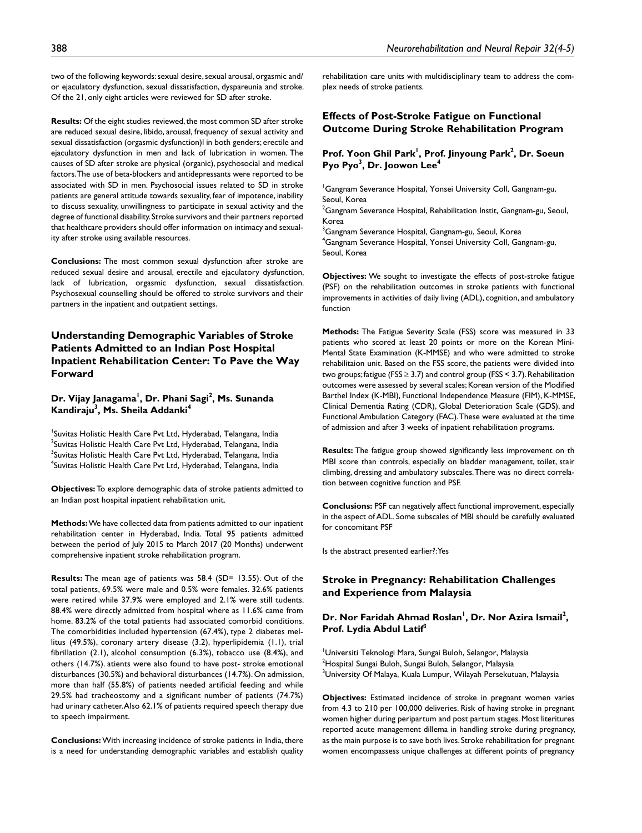two of the following keywords: sexual desire, sexual arousal, orgasmic and/ or ejaculatory dysfunction, sexual dissatisfaction, dyspareunia and stroke. Of the 21, only eight articles were reviewed for SD after stroke.

**Results:** Of the eight studies reviewed, the most common SD after stroke are reduced sexual desire, libido, arousal, frequency of sexual activity and sexual dissatisfaction (orgasmic dysfunction)l in both genders; erectile and ejaculatory dysfunction in men and lack of lubrication in women. The causes of SD after stroke are physical (organic), psychosocial and medical factors. The use of beta-blockers and antidepressants were reported to be associated with SD in men. Psychosocial issues related to SD in stroke patients are general attitude towards sexuality, fear of impotence, inability to discuss sexuality, unwillingness to participate in sexual activity and the degree of functional disability. Stroke survivors and their partners reported that healthcare providers should offer information on intimacy and sexuality after stroke using available resources.

**Conclusions:** The most common sexual dysfunction after stroke are reduced sexual desire and arousal, erectile and ejaculatory dysfunction, lack of lubrication, orgasmic dysfunction, sexual dissatisfaction. Psychosexual counselling should be offered to stroke survivors and their partners in the inpatient and outpatient settings.

# **Understanding Demographic Variables of Stroke Patients Admitted to an Indian Post Hospital Inpatient Rehabilitation Center: To Pave the Way Forward**

Dr. Vijay Janagama<sup>l</sup>, Dr. Phani Sagi<sup>2</sup>, Ms. Sunanda **Kandiraju3 , Ms. Sheila Addanki4**

<sup>1</sup>Suvitas Holistic Health Care Pvt Ltd, Hyderabad, Telangana, India <sup>2</sup>Suvitas Holistic Health Care Pvt Ltd, Hyderabad, Telangana, India <sup>3</sup>Suvitas Holistic Health Care Pvt Ltd, Hyderabad, Telangana, India 4 Suvitas Holistic Health Care Pvt Ltd, Hyderabad, Telangana, India

**Objectives:** To explore demographic data of stroke patients admitted to an Indian post hospital inpatient rehabilitation unit.

**Methods:** We have collected data from patients admitted to our inpatient rehabilitation center in Hyderabad, India. Total 95 patients admitted between the period of July 2015 to March 2017 (20 Months) underwent comprehensive inpatient stroke rehabilitation program.

**Results:** The mean age of patients was 58.4 (SD= 13.55). Out of the total patients, 69.5% were male and 0.5% were females. 32.6% patients were retired while 37.9% were employed and 2.1% were still tudents. 88.4% were directly admitted from hospital where as 11.6% came from home. 83.2% of the total patients had associated comorbid conditions. The comorbidities included hypertension (67.4%), type 2 diabetes mellitus (49.5%), coronary artery disease (3.2), hyperlipidemia (1.1), trial fibrillation (2.1), alcohol consumption (6.3%), tobacco use (8.4%), and others (14.7%). atients were also found to have post- stroke emotional disturbances (30.5%) and behavioral disturbances (14.7%). On admission, more than half (55.8%) of patients needed artificial feeding and while 29.5% had tracheostomy and a significant number of patients (74.7%) had urinary catheter. Also 62.1% of patients required speech therapy due to speech impairment.

**Conclusions:** With increasing incidence of stroke patients in India, there is a need for understanding demographic variables and establish quality

rehabilitation care units with multidisciplinary team to address the complex needs of stroke patients.

# **Effects of Post-Stroke Fatigue on Functional Outcome During Stroke Rehabilitation Program**

### Prof. Yoon Ghil Park<sup>1</sup>, Prof. Jinyoung Park<sup>2</sup>, Dr. Soeun **Pyo Pyo3 , Dr. Joowon Lee4**

1 Gangnam Severance Hospital, Yonsei University Coll, Gangnam-gu, Seoul, Korea

 $^2$ Gangnam Severance Hospital, Rehabilitation Instit, Gangnam-gu, Seoul, Korea

 $^3$ Gangnam Severance Hospital, Gangnam-gu, Seoul, Korea 4 Gangnam Severance Hospital, Yonsei University Coll, Gangnam-gu, Seoul, Korea

**Objectives:** We sought to investigate the effects of post-stroke fatigue (PSF) on the rehabilitation outcomes in stroke patients with functional improvements in activities of daily living (ADL), cognition, and ambulatory function

**Methods:** The Fatigue Severity Scale (FSS) score was measured in 33 patients who scored at least 20 points or more on the Korean Mini-Mental State Examination (K-MMSE) and who were admitted to stroke rehabilitaion unit. Based on the FSS score, the patients were divided into two groups; fatigue (FSS  $\geq$  3.7) and control group (FSS < 3.7). Rehabilitation outcomes were assessed by several scales; Korean version of the Modified Barthel Index (K-MBI), Functional Independence Measure (FIM), K-MMSE, Clinical Dementia Rating (CDR), Global Deterioration Scale (GDS), and Functional Ambulation Category (FAC). These were evaluated at the time of admission and after 3 weeks of inpatient rehabilitation programs.

**Results:** The fatigue group showed significantly less improvement on th MBI score than controls, especially on bladder management, toilet, stair climbing, dressing and ambulatory subscales. There was no direct correlation between cognitive function and PSF.

**Conclusions:** PSF can negatively affect functional improvement, especially in the aspect of ADL. Some subscales of MBI should be carefully evaluated for concomitant PSF

Is the abstract presented earlier?: Yes

# **Stroke in Pregnancy: Rehabilitation Challenges and Experience from Malaysia**

### Dr. Nor Faridah Ahmad Roslan<sup>1</sup>, Dr. Nor Azira Ismail<sup>2</sup>, **Prof. Lydia Abdul Latif3**

1 Universiti Teknologi Mara, Sungai Buloh, Selangor, Malaysia <sup>2</sup>Hospital Sungai Buloh, Sungai Buloh, Selangor, Malaysia 3 University Of Malaya, Kuala Lumpur, Wilayah Persekutuan, Malaysia

**Objectives:** Estimated incidence of stroke in pregnant women varies from 4.3 to 210 per 100,000 deliveries. Risk of having stroke in pregnant women higher during peripartum and post partum stages. Most literitures reported acute management dillema in handling stroke during pregnancy, as the main purpose is to save both lives. Stroke rehabilitation for pregnant women encompassess unique challenges at different points of pregnancy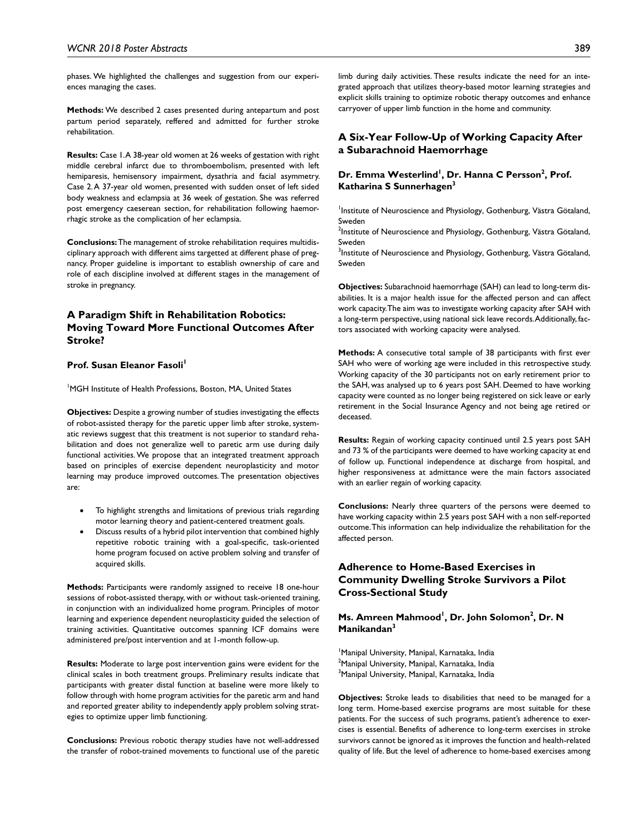phases. We highlighted the challenges and suggestion from our experiences managing the cases.

**Methods:** We described 2 cases presented during antepartum and post partum period separately, reffered and admitted for further stroke rehabilitation.

**Results:** Case 1. A 38-year old women at 26 weeks of gestation with right middle cerebral infarct due to thromboembolism, presented with left hemiparesis, hemisensory impairment, dysathria and facial asymmetry. Case 2. A 37-year old women, presented with sudden onset of left sided body weakness and eclampsia at 36 week of gestation. She was referred post emergency caeserean section, for rehabilitation following haemorrhagic stroke as the complication of her eclampsia.

**Conclusions:** The management of stroke rehabilitation requires multidisciplinary approach with different aims targetted at different phase of pregnancy. Proper guideline is important to establish ownership of care and role of each discipline involved at different stages in the management of stroke in pregnancy.

# **A Paradigm Shift in Rehabilitation Robotics: Moving Toward More Functional Outcomes After Stroke?**

#### **Prof. Susan Eleanor Fasoli**<sup>1</sup>

1 MGH Institute of Health Professions, Boston, MA, United States

**Objectives:** Despite a growing number of studies investigating the effects of robot-assisted therapy for the paretic upper limb after stroke, systematic reviews suggest that this treatment is not superior to standard rehabilitation and does not generalize well to paretic arm use during daily functional activities. We propose that an integrated treatment approach based on principles of exercise dependent neuroplasticity and motor learning may produce improved outcomes. The presentation objectives are:

- To highlight strengths and limitations of previous trials regarding motor learning theory and patient-centered treatment goals.
- Discuss results of a hybrid pilot intervention that combined highly repetitive robotic training with a goal-specific, task-oriented home program focused on active problem solving and transfer of acquired skills.

**Methods:** Participants were randomly assigned to receive 18 one-hour sessions of robot-assisted therapy, with or without task-oriented training, in conjunction with an individualized home program. Principles of motor learning and experience dependent neuroplasticity guided the selection of training activities. Quantitative outcomes spanning ICF domains were administered pre/post intervention and at 1-month follow-up.

**Results:** Moderate to large post intervention gains were evident for the clinical scales in both treatment groups. Preliminary results indicate that participants with greater distal function at baseline were more likely to follow through with home program activities for the paretic arm and hand and reported greater ability to independently apply problem solving strategies to optimize upper limb functioning.

**Conclusions:** Previous robotic therapy studies have not well-addressed the transfer of robot-trained movements to functional use of the paretic limb during daily activities. These results indicate the need for an integrated approach that utilizes theory-based motor learning strategies and explicit skills training to optimize robotic therapy outcomes and enhance carryover of upper limb function in the home and community.

#### **A Six-Year Follow-Up of Working Capacity After a Subarachnoid Haemorrhage**

#### Dr. Emma Westerlind<sup>1</sup>, Dr. Hanna C Persson<sup>2</sup>, Prof. **Katharina S Sunnerhagen3**

Institute of Neuroscience and Physiology, Gothenburg, Västra Götaland, Sweden

 $^{2}$ Institute of Neuroscience and Physiology, Gothenburg, Västra Götaland, Sweden

<sup>3</sup>Institute of Neuroscience and Physiology, Gothenburg, Västra Götaland, Sweden

**Objectives:** Subarachnoid haemorrhage (SAH) can lead to long-term disabilities. It is a major health issue for the affected person and can affect work capacity. The aim was to investigate working capacity after SAH with a long-term perspective, using national sick leave records. Additionally, factors associated with working capacity were analysed.

**Methods:** A consecutive total sample of 38 participants with first ever SAH who were of working age were included in this retrospective study. Working capacity of the 30 participants not on early retirement prior to the SAH, was analysed up to 6 years post SAH. Deemed to have working capacity were counted as no longer being registered on sick leave or early retirement in the Social Insurance Agency and not being age retired or deceased.

**Results:** Regain of working capacity continued until 2.5 years post SAH and 73 % of the participants were deemed to have working capacity at end of follow up. Functional independence at discharge from hospital, and higher responsiveness at admittance were the main factors associated with an earlier regain of working capacity.

**Conclusions:** Nearly three quarters of the persons were deemed to have working capacity within 2.5 years post SAH with a non self-reported outcome. This information can help individualize the rehabilitation for the affected person.

# **Adherence to Home-Based Exercises in Community Dwelling Stroke Survivors a Pilot Cross-Sectional Study**

# **Ms. Amreen Mahmood<sup>I</sup>, Dr. John Solomon<sup>2</sup>, Dr. N Manikandan3**

1 Manipal University, Manipal, Karnataka, India <sup>2</sup>Manipal University, Manipal, Karnataka, India <sup>3</sup>Manipal University, Manipal, Karnataka, India

**Objectives:** Stroke leads to disabilities that need to be managed for a long term. Home-based exercise programs are most suitable for these patients. For the success of such programs, patient's adherence to exercises is essential. Benefits of adherence to long-term exercises in stroke survivors cannot be ignored as it improves the function and health-related quality of life. But the level of adherence to home-based exercises among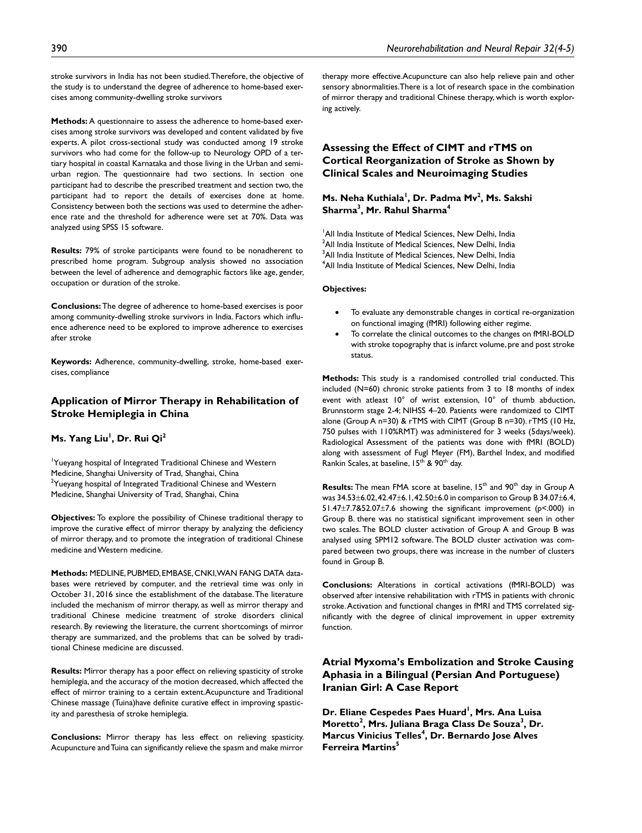stroke survivors in India has not been studied. Therefore, the objective of the study is to understand the degree of adherence to home-based exercises among community-dwelling stroke survivors

**Methods:** A questionnaire to assess the adherence to home-based exercises among stroke survivors was developed and content validated by five experts. A pilot cross-sectional study was conducted among 19 stroke survivors who had come for the follow-up to Neurology OPD of a tertiary hospital in coastal Karnataka and those living in the Urban and semiurban region. The questionnaire had two sections. In section one participant had to describe the prescribed treatment and section two, the participant had to report the details of exercises done at home. Consistency between both the sections was used to determine the adherence rate and the threshold for adherence were set at 70%. Data was analyzed using SPSS 15 software.

**Results:** 79% of stroke participants were found to be nonadherent to prescribed home program. Subgroup analysis showed no association between the level of adherence and demographic factors like age, gender, occupation or duration of the stroke.

**Conclusions:** The degree of adherence to home-based exercises is poor among community-dwelling stroke survivors in India. Factors which influence adherence need to be explored to improve adherence to exercises after stroke

**Keywords:** Adherence, community-dwelling, stroke, home-based exercises, compliance

# **Application of Mirror Therapy in Rehabilitation of Stroke Hemiplegia in China**

#### **Ms. Yang Liu1 , Dr. Rui Qi2**

<sup>1</sup>Yueyang hospital of Integrated Traditional Chinese and Western Medicine, Shanghai University of Trad, Shanghai, China  $2$ Yueyang hospital of Integrated Traditional Chinese and Western Medicine, Shanghai University of Trad, Shanghai, China

**Objectives:** To explore the possibility of Chinese traditional therapy to improve the curative effect of mirror therapy by analyzing the deficiency of mirror therapy, and to promote the integration of traditional Chinese medicine and Western medicine.

**Methods:** MEDLINE, PUBMED, EMBASE, CNKI, WAN FANG DATA databases were retrieved by computer, and the retrieval time was only in October 31, 2016 since the establishment of the database. The literature included the mechanism of mirror therapy, as well as mirror therapy and traditional Chinese medicine treatment of stroke disorders clinical research. By reviewing the literature, the current shortcomings of mirror therapy are summarized, and the problems that can be solved by traditional Chinese medicine are discussed.

**Results:** Mirror therapy has a poor effect on relieving spasticity of stroke hemiplegia, and the accuracy of the motion decreased, which affected the effect of mirror training to a certain extent.Acupuncture and Traditional Chinese massage (Tuina)have definite curative effect in improving spasticity and paresthesia of stroke hemiplegia.

**Conclusions:** Mirror therapy has less effect on relieving spasticity. Acupuncture and Tuina can significantly relieve the spasm and make mirror therapy more effective.Acupuncture can also help relieve pain and other sensory abnormalities.There is a lot of research space in the combination of mirror therapy and traditional Chinese therapy, which is worth exploring actively.

# **Assessing the Effect of CIMT and rTMS on Cortical Reorganization of Stroke as Shown by Clinical Scales and Neuroimaging Studies**

### **Ms. Neha Kuthiala1 , Dr. Padma Mv2 , Ms. Sakshi Sharma3 , Mr. Rahul Sharma4**

<sup>1</sup>All India Institute of Medical Sciences, New Delhi, India  $^2$ All India Institute of Medical Sciences, New Delhi, India  $^3$ All India Institute of Medical Sciences, New Delhi, India 4 All India Institute of Medical Sciences, New Delhi, India

#### **Objectives:**

- To evaluate any demonstrable changes in cortical re-organization on functional imaging (fMRI) following either regime.
- To correlate the clinical outcomes to the changes on fMRI-BOLD with stroke topography that is infarct volume, pre and post stroke status.

**Methods:** This study is a randomised controlled trial conducted. This included (N=60) chronic stroke patients from 3 to 18 months of index event with atleast 10° of wrist extension, 10° of thumb abduction, Brunnstorm stage 2-4; NIHSS 4–20. Patients were randomized to CIMT alone (Group A n=30) & rTMS with CIMT (Group B n=30). rTMS (10 Hz, 750 pulses with 110%RMT) was administered for 3 weeks (5days/week). Radiological Assessment of the patients was done with fMRI (BOLD) along with assessment of Fugl Meyer (FM), Barthel Index, and modified Rankin Scales, at baseline, 15<sup>th</sup> & 90<sup>th</sup> day.

**Results:** The mean FMA score at baseline, 15<sup>th</sup> and 90<sup>th</sup> day in Group A was 34.53±6.02, 42.47±6.1, 42.50±6.0 in comparison to Group B 34.07±6.4, 51.47±7.7&52.07±7.6 showing the significant improvement (p<.000) in Group B. there was no statistical significant improvement seen in other two scales. The BOLD cluster activation of Group A and Group B was analysed using SPM12 software. The BOLD cluster activation was compared between two groups, there was increase in the number of clusters found in Group B.

**Conclusions:** Alterations in cortical activations (fMRI-BOLD) was observed after intensive rehabilitation with rTMS in patients with chronic stroke. Activation and functional changes in fMRI and TMS correlated significantly with the degree of clinical improvement in upper extremity function.

# **Atrial Myxoma's Embolization and Stroke Causing Aphasia in a Bilingual (Persian And Portuguese) Iranian Girl: A Case Report**

Dr. Eliane Cespedes Paes Huard<sup>1</sup>, Mrs. Ana Luisa **Moretto<sup>2</sup>, Mrs. Juliana Braga Class De Souza<sup>3</sup>, Dr. Marcus Vinicius Telles4 , Dr. Bernardo Jose Alves Ferreira Martins<sup>5</sup>**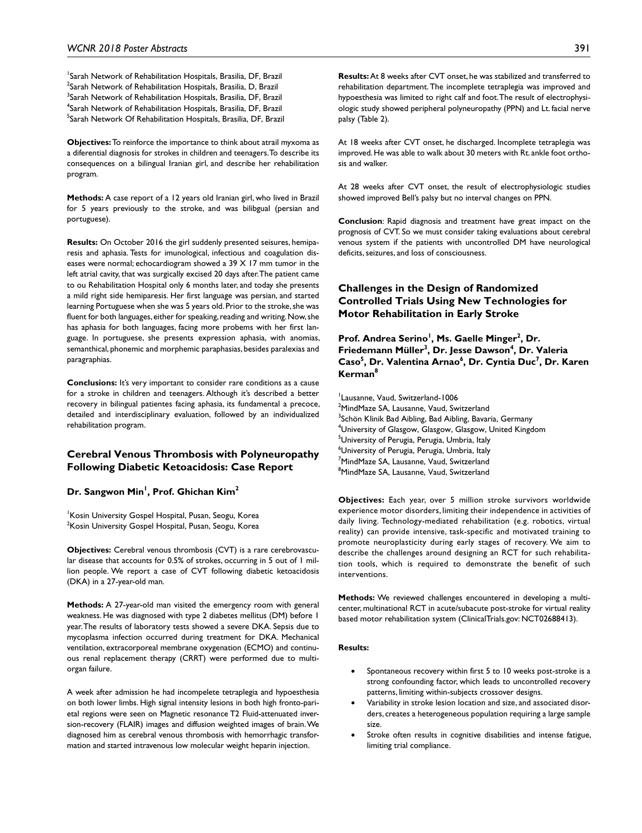<sup>1</sup>Sarah Network of Rehabilitation Hospitals, Brasilia, DF, Brazil <sup>2</sup>Sarah Network of Rehabilitation Hospitals, Brasilia, D, Brazil  $^3$ Sarah Network of Rehabilitation Hospitals, Brasilia, DF, Brazil 4 Sarah Network of Rehabilitation Hospitals, Brasilia, DF, Brazil <sup>5</sup>Sarah Network Of Rehabilitation Hospitals, Brasilia, DF, Brazil

**Objectives:** To reinforce the importance to think about atrail myxoma as a diferential diagnosis for strokes in children and teenagers. To describe its consequences on a bilingual Iranian girl, and describe her rehabilitation program.

**Methods:** A case report of a 12 years old Iranian girl, who lived in Brazil for 5 years previously to the stroke, and was bilibgual (persian and portuguese).

**Results:** On October 2016 the girl suddenly presented seisures, hemiparesis and aphasia. Tests for imunological, infectious and coagulation diseases were normal; echocardiogram showed a 39 X 17 mm tumor in the left atrial cavity, that was surgically excised 20 days after. The patient came to ou Rehabilitation Hospital only 6 months later, and today she presents a mild right side hemiparesis. Her first language was persian, and started learning Portuguese when she was 5 years old. Prior to the stroke, she was fluent for both languages, either for speaking, reading and writing. Now, she has aphasia for both languages, facing more probems with her first language. In portuguese, she presents expression aphasia, with anomias, semanthical, phonemic and morphemic paraphasias, besides paralexias and paragraphias.

**Conclusions:** It's very important to consider rare conditions as a cause for a stroke in children and teenagers. Although it's described a better recovery in bilingual patientes facing aphasia, its fundamental a precoce, detailed and interdisciplinary evaluation, followed by an individualized rehabilitation program.

# **Cerebral Venous Thrombosis with Polyneuropathy Following Diabetic Ketoacidosis: Case Report**

# **Dr. Sangwon Min1 , Prof. Ghichan Kim2**

Kosin University Gospel Hospital, Pusan, Seogu, Korea  $^{2}$ Kosin University Gospel Hospital, Pusan, Seogu, Korea

**Objectives:** Cerebral venous thrombosis (CVT) is a rare cerebrovascular disease that accounts for 0.5% of strokes, occurring in 5 out of 1 million people. We report a case of CVT following diabetic ketoacidosis (DKA) in a 27-year-old man.

**Methods:** A 27-year-old man visited the emergency room with general weakness. He was diagnosed with type 2 diabetes mellitus (DM) before 1 year. The results of laboratory tests showed a severe DKA. Sepsis due to mycoplasma infection occurred during treatment for DKA. Mechanical ventilation, extracorporeal membrane oxygenation (ECMO) and continuous renal replacement therapy (CRRT) were performed due to multiorgan failure.

A week after admission he had incompelete tetraplegia and hypoesthesia on both lower limbs. High signal intensity lesions in both high fronto-parietal regions were seen on Magnetic resonance T2 Fluid-attenuated inversion-recovery (FLAIR) images and diffusion weighted images of brain. We diagnosed him as cerebral venous thrombosis with hemorrhagic transformation and started intravenous low molecular weight heparin injection.

**Results:** At 8 weeks after CVT onset, he was stabilized and transferred to rehabilitation department. The incomplete tetraplegia was improved and hypoesthesia was limited to right calf and foot. The result of electrophysiologic study showed peripheral polyneuropathy (PPN) and Lt. facial nerve palsy (Table 2).

At 18 weeks after CVT onset, he discharged. Incomplete tetraplegia was improved. He was able to walk about 30 meters with Rt. ankle foot orthosis and walker.

At 28 weeks after CVT onset, the result of electrophysiologic studies showed improved Bell's palsy but no interval changes on PPN.

**Conclusion**: Rapid diagnosis and treatment have great impact on the prognosis of CVT. So we must consider taking evaluations about cerebral venous system if the patients with uncontrolled DM have neurological deficits, seizures, and loss of consciousness.

# **Challenges in the Design of Randomized Controlled Trials Using New Technologies for Motor Rehabilitation in Early Stroke**

Prof. Andrea Serino<sup>1</sup>, Ms. Gaelle Minger<sup>2</sup>, Dr. **Friedemann Müller3 , Dr. Jesse Dawson4 , Dr. Valeria**   $\mathsf{Caso}^5$ , Dr. Valentina Arnao<sup>6</sup>, Dr. Cyntia Duc<sup>7</sup>, Dr. Karen **Kerman8**

1 Lausanne, Vaud, Switzerland-1006 <sup>2</sup>MindMaze SA, Lausanne, Vaud, Switzerland <sup>3</sup>Schön Klinik Bad Aibling, Bad Aibling, Bavaria, Germany 4 University of Glasgow, Glasgow, Glasgow, United Kingdom <sup>5</sup>University of Perugia, Perugia, Umbria, Italy 6 University of Perugia, Perugia, Umbria, Italy <sup>7</sup>MindMaze SA, Lausanne, Vaud, Switzerland <sup>8</sup>MindMaze SA, Lausanne, Vaud, Switzerland

**Objectives:** Each year, over 5 million stroke survivors worldwide experience motor disorders, limiting their independence in activities of daily living. Technology-mediated rehabilitation (e.g. robotics, virtual reality) can provide intensive, task-specific and motivated training to promote neuroplasticity during early stages of recovery. We aim to describe the challenges around designing an RCT for such rehabilitation tools, which is required to demonstrate the benefit of such interventions.

**Methods:** We reviewed challenges encountered in developing a multicenter, multinational RCT in acute/subacute post-stroke for virtual reality based motor rehabilitation system (ClinicalTrials.gov: NCT02688413).

#### **Results:**

- Spontaneous recovery within first 5 to 10 weeks post-stroke is a strong confounding factor, which leads to uncontrolled recovery patterns, limiting within-subjects crossover designs.
- Variability in stroke lesion location and size, and associated disorders, creates a heterogeneous population requiring a large sample size.
- Stroke often results in cognitive disabilities and intense fatigue, limiting trial compliance.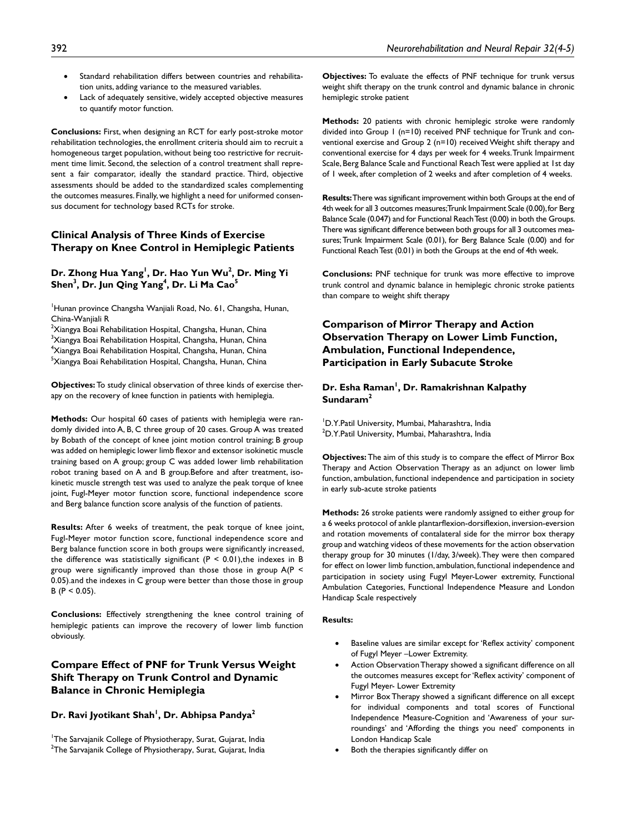- Standard rehabilitation differs between countries and rehabilitation units, adding variance to the measured variables.
- Lack of adequately sensitive, widely accepted objective measures to quantify motor function.

**Conclusions:** First, when designing an RCT for early post-stroke motor rehabilitation technologies, the enrollment criteria should aim to recruit a homogeneous target population, without being too restrictive for recruitment time limit. Second, the selection of a control treatment shall represent a fair comparator, ideally the standard practice. Third, objective assessments should be added to the standardized scales complementing the outcomes measures. Finally, we highlight a need for uniformed consensus document for technology based RCTs for stroke.

#### **Clinical Analysis of Three Kinds of Exercise Therapy on Knee Control in Hemiplegic Patients**

# **Dr. Zhong Hua Yang1 , Dr. Hao Yun Wu2 , Dr. Ming Yi Shen3 , Dr. Jun Qing Yang4 , Dr. Li Ma Cao5**

1 Hunan province Changsha Wanjiali Road, No. 61, Changsha, Hunan, China-Wanjiali R

 $^{2}$ Xiangya Boai Rehabilitation Hospital, Changsha, Hunan, China  $\mathrm{^{3}X}$ iangya Boai Rehabilitation Hospital, Changsha, Hunan, China 4 Xiangya Boai Rehabilitation Hospital, Changsha, Hunan, China <sup>5</sup>Xiangya Boai Rehabilitation Hospital, Changsha, Hunan, China

**Objectives:** To study clinical observation of three kinds of exercise therapy on the recovery of knee function in patients with hemiplegia.

**Methods:** Our hospital 60 cases of patients with hemiplegia were randomly divided into A, B, C three group of 20 cases. Group A was treated by Bobath of the concept of knee joint motion control training; B group was added on hemiplegic lower limb flexor and extensor isokinetic muscle training based on A group; group C was added lower limb rehabilitation robot traning based on A and B group.Before and after treatment, isokinetic muscle strength test was used to analyze the peak torque of knee joint, Fugl-Meyer motor function score, functional independence score and Berg balance function score analysis of the function of patients.

**Results:** After 6 weeks of treatment, the peak torque of knee joint, Fugl-Meyer motor function score, functional independence score and Berg balance function score in both groups were significantly increased, the difference was statistically significant  $(P < 0.01)$ , the indexes in B group were significantly improved than those those in group A(P < 0.05).and the indexes in C group were better than those those in group B ( $P < 0.05$ ).

**Conclusions:** Effectively strengthening the knee control training of hemiplegic patients can improve the recovery of lower limb function obviously.

# **Compare Effect of PNF for Trunk Versus Weight Shift Therapy on Trunk Control and Dynamic Balance in Chronic Hemiplegia**

# **Dr. Ravi Jyotikant Shah1 , Dr. Abhipsa Pandya2**

<sup>1</sup>The Sarvajanik College of Physiotherapy, Surat, Gujarat, India  $^{2}$ The Sarvajanik College of Physiotherapy, Surat, Gujarat, India

**Objectives:** To evaluate the effects of PNF technique for trunk versus weight shift therapy on the trunk control and dynamic balance in chronic hemiplegic stroke patient

**Methods:** 20 patients with chronic hemiplegic stroke were randomly divided into Group 1 (n=10) received PNF technique for Trunk and conventional exercise and Group 2 (n=10) received Weight shift therapy and conventional exercise for 4 days per week for 4 weeks. Trunk Impairment Scale, Berg Balance Scale and Functional Reach Test were applied at 1st day of 1 week, after completion of 2 weeks and after completion of 4 weeks.

**Results:** There was significant improvement within both Groups at the end of 4th week for all 3 outcomes measures; Trunk Impairment Scale (0.00), for Berg Balance Scale (0.047) and for Functional Reach Test (0.00) in both the Groups. There was significant difference between both groups for all 3 outcomes measures; Trunk Impairment Scale (0.01), for Berg Balance Scale (0.00) and for Functional Reach Test (0.01) in both the Groups at the end of 4th week.

**Conclusions:** PNF technique for trunk was more effective to improve trunk control and dynamic balance in hemiplegic chronic stroke patients than compare to weight shift therapy

# **Comparison of Mirror Therapy and Action Observation Therapy on Lower Limb Function, Ambulation, Functional Independence, Participation in Early Subacute Stroke**

# Dr. Esha Raman<sup>i</sup>, Dr. Ramakrishnan Kalpathy **Sundaram<sup>2</sup>**

1 D.Y.Patil University, Mumbai, Maharashtra, India <sup>2</sup>D.Y.Patil University, Mumbai, Maharashtra, India

**Objectives:** The aim of this study is to compare the effect of Mirror Box Therapy and Action Observation Therapy as an adjunct on lower limb function, ambulation, functional independence and participation in society in early sub-acute stroke patients

**Methods:** 26 stroke patients were randomly assigned to either group for a 6 weeks protocol of ankle plantarflexion-dorsiflexion, inversion-eversion and rotation movements of contalateral side for the mirror box therapy group and watching videos of these movements for the action observation therapy group for 30 minutes (1/day, 3/week). They were then compared for effect on lower limb function, ambulation, functional independence and participation in society using Fugyl Meyer-Lower extremity, Functional Ambulation Categories, Functional Independence Measure and London Handicap Scale respectively

#### **Results:**

- Baseline values are similar except for 'Reflex activity' component of Fugyl Meyer –Lower Extremity.
- Action Observation Therapy showed a significant difference on all the outcomes measures except for 'Reflex activity' component of Fugyl Meyer- Lower Extremity
- Mirror Box Therapy showed a significant difference on all except for individual components and total scores of Functional Independence Measure-Cognition and 'Awareness of your surroundings' and 'Affording the things you need' components in London Handicap Scale
- Both the therapies significantly differ on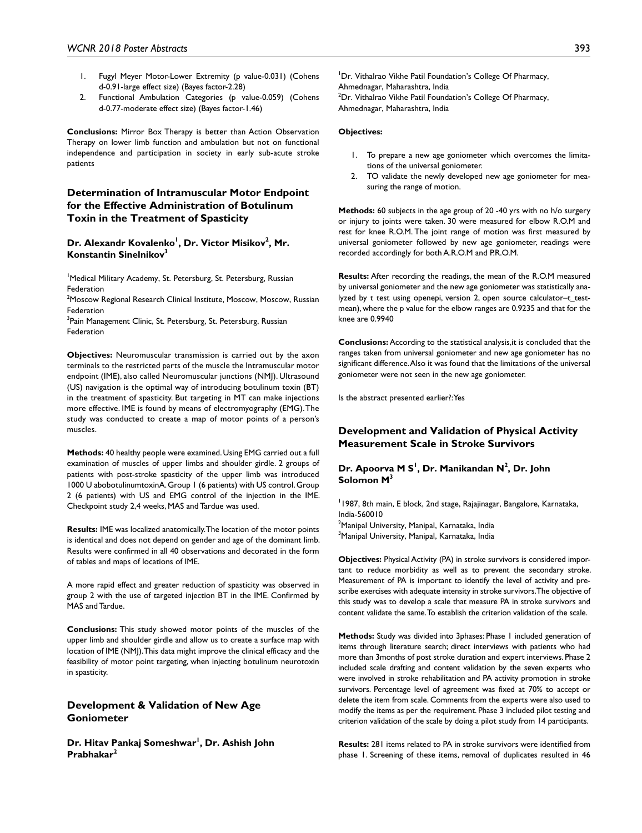- 1. Fugyl Meyer Motor-Lower Extremity (p value-0.031) (Cohens d-0.91-large effect size) (Bayes factor-2.28)
- 2. Functional Ambulation Categories (p value-0.059) (Cohens d-0.77-moderate effect size) (Bayes factor-1.46)

**Conclusions:** Mirror Box Therapy is better than Action Observation Therapy on lower limb function and ambulation but not on functional independence and participation in society in early sub-acute stroke patients

# **Determination of Intramuscular Motor Endpoint for the Effective Administration of Botulinum Toxin in the Treatment of Spasticity**

#### Dr. Alexandr Kovalenko<sup>1</sup>, Dr. Victor Misikov<sup>2</sup>, Mr. **Konstantin Sinelnikov3**

<sup>1</sup>Medical Military Academy, St. Petersburg, St. Petersburg, Russian Federation

<sup>2</sup>Moscow Regional Research Clinical Institute, Moscow, Moscow, Russian Federation

<sup>3</sup>Pain Management Clinic, St. Petersburg, St. Petersburg, Russian Federation

**Objectives:** Neuromuscular transmission is carried out by the axon terminals to the restricted parts of the muscle the Intramuscular motor endpoint (IME), also called Neuromuscular junctions (NMJ). Ultrasound (US) navigation is the optimal way of introducing botulinum toxin (BT) in the treatment of spasticity. But targeting in MT can make injections more effective. IME is found by means of electromyography (EMG). The study was conducted to create a map of motor points of a person's muscles.

**Methods:** 40 healthy people were examined. Using EMG carried out a full examination of muscles of upper limbs and shoulder girdle. 2 groups of patients with post-stroke spasticity of the upper limb was introduced 1000 U abobotulinumtoxinA. Group 1 (6 patients) with US control. Group 2 (6 patients) with US and EMG control of the injection in the IME. Checkpoint study 2,4 weeks, MAS and Tardue was used.

**Results:** IME was localized anatomically. The location of the motor points is identical and does not depend on gender and age of the dominant limb. Results were confirmed in all 40 observations and decorated in the form of tables and maps of locations of IME.

A more rapid effect and greater reduction of spasticity was observed in group 2 with the use of targeted injection BT in the IME. Confirmed by MAS and Tardue.

**Conclusions:** This study showed motor points of the muscles of the upper limb and shoulder girdle and allow us to create a surface map with location of IME (NMJ). This data might improve the clinical efficacy and the feasibility of motor point targeting, when injecting botulinum neurotoxin in spasticity.

# **Development & Validation of New Age Goniometer**

**Dr. Hitav Pankaj Someshwar1 , Dr. Ashish John Prabhakar<sup>2</sup>**

<sup>1</sup>Dr. Vithalrao Vikhe Patil Foundation's College Of Pharmacy, Ahmednagar, Maharashtra, India  $^{2}$ Dr. Vithalrao Vikhe Patil Foundation's College Of Pharmacy, Ahmednagar, Maharashtra, India

#### **Objectives:**

- 1. To prepare a new age goniometer which overcomes the limitations of the universal goniometer.
- 2. TO validate the newly developed new age goniometer for measuring the range of motion.

**Methods:** 60 subjects in the age group of 20 -40 yrs with no h/o surgery or injury to joints were taken. 30 were measured for elbow R.O.M and rest for knee R.O.M. The joint range of motion was first measured by universal goniometer followed by new age goniometer, readings were recorded accordingly for both A.R.O.M and P.R.O.M.

**Results:** After recording the readings, the mean of the R.O.M measured by universal goniometer and the new age goniometer was statistically analyzed by t test using openepi, version 2, open source calculator–t\_testmean), where the p value for the elbow ranges are 0.9235 and that for the knee are 0.9940

**Conclusions:** According to the statistical analysis,it is concluded that the ranges taken from universal goniometer and new age goniometer has no significant difference. Also it was found that the limitations of the universal goniometer were not seen in the new age goniometer.

Is the abstract presented earlier?: Yes

# **Development and Validation of Physical Activity Measurement Scale in Stroke Survivors**

## Dr. Apoorva M S<sup>I</sup>, Dr. Manikandan N<sup>2</sup>, Dr. John **Solomon M3**

<sup>1</sup> 1987, 8th main, E block, 2nd stage, Rajajinagar, Bangalore, Karnataka, India-560010

<sup>2</sup>Manipal University, Manipal, Karnataka, India <sup>3</sup>Manipal University, Manipal, Karnataka, India

**Objectives:** Physical Activity (PA) in stroke survivors is considered important to reduce morbidity as well as to prevent the secondary stroke. Measurement of PA is important to identify the level of activity and prescribe exercises with adequate intensity in stroke survivors. The objective of this study was to develop a scale that measure PA in stroke survivors and content validate the same. To establish the criterion validation of the scale.

**Methods:** Study was divided into 3phases: Phase 1 included generation of items through literature search; direct interviews with patients who had more than 3months of post stroke duration and expert interviews. Phase 2 included scale drafting and content validation by the seven experts who were involved in stroke rehabilitation and PA activity promotion in stroke survivors. Percentage level of agreement was fixed at 70% to accept or delete the item from scale. Comments from the experts were also used to modify the items as per the requirement. Phase 3 included pilot testing and criterion validation of the scale by doing a pilot study from 14 participants.

**Results:** 281 items related to PA in stroke survivors were identified from phase 1. Screening of these items, removal of duplicates resulted in 46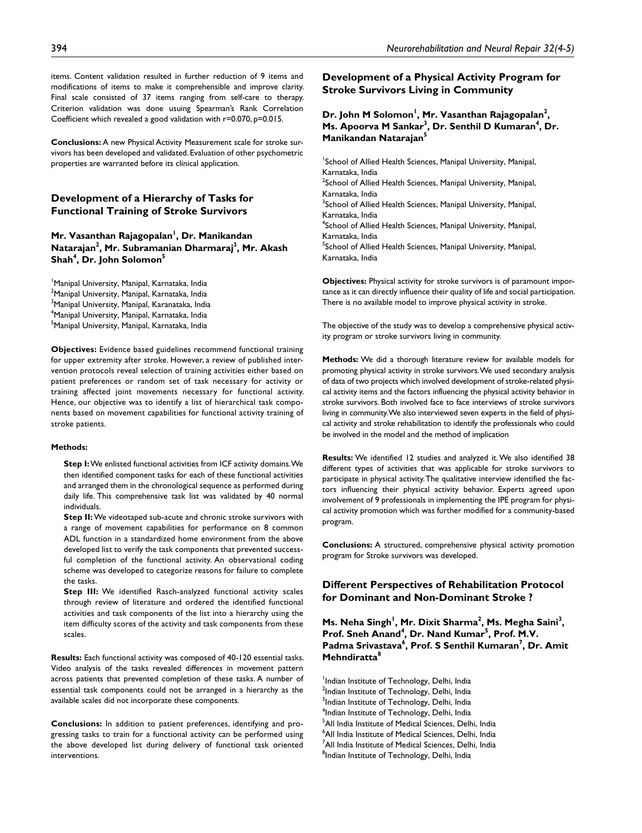items. Content validation resulted in further reduction of 9 items and modifications of items to make it comprehensible and improve clarity. Final scale consisted of 37 items ranging from self-care to therapy. Criterion validation was done usuing Spearman's Rank Correlation Coefficient which revealed a good validation with r=0.070, p=0.015.

**Conclusions:** A new Physical Activity Measurement scale for stroke survivors has been developed and validated. Evaluation of other psychometric properties are warranted before its clinical application.

#### **Development of a Hierarchy of Tasks for Functional Training of Stroke Survivors**

## **Mr. Vasanthan Rajagopalan1 , Dr. Manikandan Natarajan<sup>2</sup> , Mr. Subramanian Dharmaraj3 , Mr. Akash Shah4 , Dr. John Solomon5**

1 Manipal University, Manipal, Karnataka, India <sup>2</sup>Manipal University, Manipal, Karnataka, India <sup>3</sup>Manipal University, Manipal, Karanataka, India 4 Manipal University, Manipal, Karnataka, India <sup>5</sup>Manipal University, Manipal, Karnataka, India

**Objectives:** Evidence based guidelines recommend functional training for upper extremity after stroke. However, a review of published intervention protocols reveal selection of training activities either based on patient preferences or random set of task necessary for activity or training affected joint movements necessary for functional activity. Hence, our objective was to identify a list of hierarchical task components based on movement capabilities for functional activity training of stroke patients.

#### **Methods:**

**Step I:** We enlisted functional activities from ICF activity domains. We then identified component tasks for each of these functional activities and arranged them in the chronological sequence as performed during daily life. This comprehensive task list was validated by 40 normal individuals.

**Step II:** We videotaped sub-acute and chronic stroke survivors with a range of movement capabilities for performance on 8 common ADL function in a standardized home environment from the above developed list to verify the task components that prevented successful completion of the functional activity. An observational coding scheme was developed to categorize reasons for failure to complete the tasks.

**Step III:** We identified Rasch-analyzed functional activity scales through review of literature and ordered the identified functional activities and task components of the list into a hierarchy using the item difficulty scores of the activity and task components from these scales.

**Results:** Each functional activity was composed of 40-120 essential tasks. Video analysis of the tasks revealed differences in movement pattern across patients that prevented completion of these tasks. A number of essential task components could not be arranged in a hierarchy as the available scales did not incorporate these components.

**Conclusions:** In addition to patient preferences, identifying and progressing tasks to train for a functional activity can be performed using the above developed list during delivery of functional task oriented interventions.

#### **Development of a Physical Activity Program for Stroke Survivors Living in Community**

## Dr. John M Solomon<sup>1</sup>, Mr. Vasanthan Rajagopalan<sup>2</sup>, **Ms. Apoorva M Sankar<sup>3</sup>, Dr. Senthil D Kumaran<sup>4</sup>, Dr. Manikandan Natarajan5**

<sup>1</sup>School of Allied Health Sciences, Manipal University, Manipal, Karnataka, India <sup>2</sup>School of Allied Health Sciences, Manipal University, Manipal, Karnataka, India <sup>3</sup>School of Allied Health Sciences, Manipal University, Manipal, Karnataka, India 4 School of Allied Health Sciences, Manipal University, Manipal, Karnataka, India <sup>5</sup>School of Allied Health Sciences, Manipal University, Manipal, Karnataka, India

**Objectives:** Physical activity for stroke survivors is of paramount importance as it can directly influence their quality of life and social participation. There is no available model to improve physical activity in stroke.

The objective of the study was to develop a comprehensive physical activity program or stroke survivors living in community.

**Methods:** We did a thorough literature review for available models for promoting physical activity in stroke survivors. We used secondary analysis of data of two projects which involved development of stroke-related physical activity items and the factors influencing the physical activity behavior in stroke survivors. Both involved face to face interviews of stroke survivors living in community. We also interviewed seven experts in the field of physical activity and stroke rehabilitation to identify the professionals who could be involved in the model and the method of implication

**Results:** We identified 12 studies and analyzed it. We also identified 38 different types of activities that was applicable for stroke survivors to participate in physical activity. The qualitative interview identified the factors influencing their physical activity behavior. Experts agreed upon involvement of 9 professionals in implementing the IPE program for physical activity promotion which was further modified for a community-based program.

**Conclusions:** A structured, comprehensive physical activity promotion program for Stroke survivors was developed.

# **Different Perspectives of Rehabilitation Protocol for Dominant and Non-Dominant Stroke ?**

Ms. Neha Singh<sup>1</sup>, Mr. Dixit Sharma<sup>2</sup>, Ms. Megha Saini<sup>3</sup>, Prof. Sneh Anand<sup>4</sup>, Dr. Nand Kumar<sup>5</sup>, Prof. M.V. Padma Srivastava<sup>6</sup>, Prof. S Senthil Kumaran<sup>7</sup>, Dr. Amit **Mehndiratta8**

<sup>1</sup>Indian Institute of Technology, Delhi, India  $^2$ Indian Institute of Technology, Delhi, India  $^3$ Indian Institute of Technology, Delhi, India 4 Indian Institute of Technology, Delhi, India <sup>5</sup>All India Institute of Medical Sciences, Delhi, India  $^6$ All India Institute of Medical Sciences, Delhi, India <sup>7</sup>All India Institute of Medical Sciences, Delhi, India <sup>8</sup>Indian Institute of Technology, Delhi, India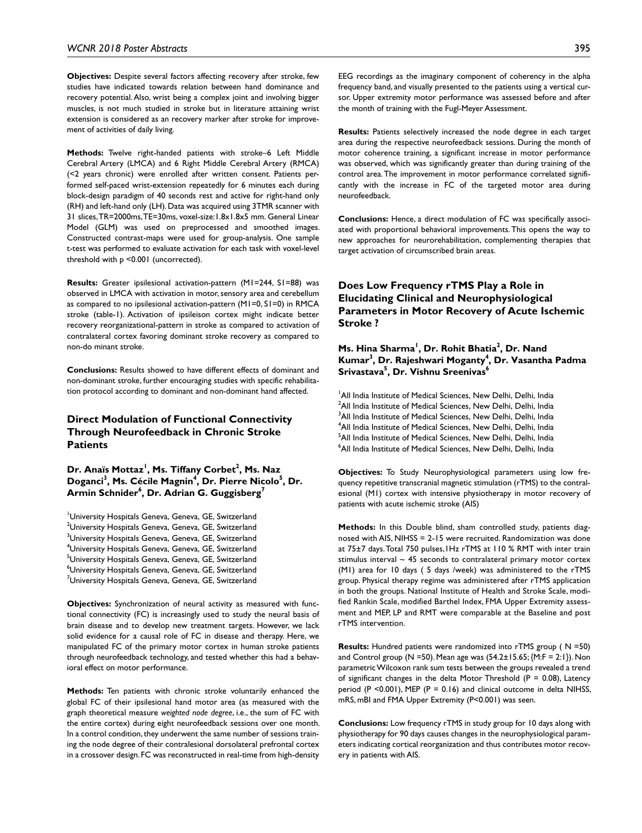**Objectives:** Despite several factors affecting recovery after stroke, few studies have indicated towards relation between hand dominance and recovery potential. Also, wrist being a complex joint and involving bigger muscles, is not much studied in stroke but in literature attaining wrist extension is considered as an recovery marker after stroke for improvement of activities of daily living.

**Methods:** Twelve right-handed patients with stroke–6 Left Middle Cerebral Artery (LMCA) and 6 Right Middle Cerebral Artery (RMCA) (<2 years chronic) were enrolled after written consent. Patients performed self-paced wrist-extension repeatedly for 6 minutes each during block-design paradigm of 40 seconds rest and active for right-hand only (RH) and left-hand only (LH). Data was acquired using 3TMR scanner with 31 slices, TR=2000ms, TE=30ms, voxel-size:1.8x1.8x5 mm. General Linear Model (GLM) was used on preprocessed and smoothed images. Constructed contrast-maps were used for group-analysis. One sample t-test was performed to evaluate activation for each task with voxel-level threshold with p <0.001 (uncorrected).

**Results:** Greater ipsilesional activation-pattern (M1=244, S1=88) was observed in LMCA with activation in motor, sensory area and cerebellum as compared to no ipsilesional activation-pattern (M1=0, S1=0) in RMCA stroke (table-1). Activation of ipsileison cortex might indicate better recovery reorganizational-pattern in stroke as compared to activation of contralateral cortex favoring dominant stroke recovery as compared to non-do minant stroke.

**Conclusions:** Results showed to have different effects of dominant and non-dominant stroke, further encouraging studies with specific rehabilitation protocol according to dominant and non-dominant hand affected.

# **Direct Modulation of Functional Connectivity Through Neurofeedback in Chronic Stroke Patients**

Dr. Anaïs Mottaz<sup>i</sup>, Ms. Tiffany Corbet<sup>2</sup>, Ms. Naz Doganci<sup>3</sup>, Ms. Cécile Magnin<sup>4</sup>, Dr. Pierre Nicolo<sup>5</sup>, Dr. **Armin Schnider6 , Dr. Adrian G. Guggisberg7**

1 University Hospitals Geneva, Geneva, GE, Switzerland <sup>2</sup>University Hospitals Geneva, Geneva, GE, Switzerland  $^3$ University Hospitals Geneva, Geneva, GE, Switzerland 4 University Hospitals Geneva, Geneva, GE, Switzerland 5 University Hospitals Geneva, Geneva, GE, Switzerland  $^6$ University Hospitals Geneva, Geneva, GE, Switzerland  ${\rm ^7}$ University Hospitals Geneva, Geneva, GE, Switzerland

**Objectives:** Synchronization of neural activity as measured with functional connectivity (FC) is increasingly used to study the neural basis of brain disease and to develop new treatment targets. However, we lack solid evidence for a causal role of FC in disease and therapy. Here, we manipulated FC of the primary motor cortex in human stroke patients through neurofeedback technology, and tested whether this had a behavioral effect on motor performance.

**Methods:** Ten patients with chronic stroke voluntarily enhanced the global FC of their ipsilesional hand motor area (as measured with the graph theoretical measure *weighted node degree*, i.e., the sum of FC with the entire cortex) during eight neurofeedback sessions over one month. In a control condition, they underwent the same number of sessions training the node degree of their contralesional dorsolateral prefrontal cortex in a crossover design. FC was reconstructed in real-time from high-density

EEG recordings as the imaginary component of coherency in the alpha frequency band, and visually presented to the patients using a vertical cursor. Upper extremity motor performance was assessed before and after the month of training with the Fugl-Meyer Assessment.

**Results:** Patients selectively increased the node degree in each target area during the respective neurofeedback sessions. During the month of motor coherence training, a significant increase in motor performance was observed, which was significantly greater than during training of the control area. The improvement in motor performance correlated significantly with the increase in FC of the targeted motor area during neurofeedback.

**Conclusions:** Hence, a direct modulation of FC was specifically associated with proportional behavioral improvements. This opens the way to new approaches for neurorehabilitation, complementing therapies that target activation of circumscribed brain areas.

# **Does Low Frequency rTMS Play a Role in Elucidating Clinical and Neurophysiological Parameters in Motor Recovery of Acute Ischemic Stroke ?**

# **Ms. Hina Sharma1 , Dr. Rohit Bhatia2 , Dr. Nand**  Kumar<sup>3</sup>, Dr. Rajeshwari Moganty<sup>4</sup>, Dr. Vasantha Padma **Srivastava5 , Dr. Vishnu Sreenivas6**

<sup>1</sup> All India Institute of Medical Sciences, New Delhi, Delhi, India  $^2$ All India Institute of Medical Sciences, New Delhi, Delhi, India  $3$ All India Institute of Medical Sciences, New Delhi, Delhi, India 4 All India Institute of Medical Sciences, New Delhi, Delhi, India 5 All India Institute of Medical Sciences, New Delhi, Delhi, India  $^6$ All India Institute of Medical Sciences, New Delhi, Delhi, India

**Objectives:** To Study Neurophysiological parameters using low frequency repetitive transcranial magnetic stimulation (rTMS) to the contralesional (M1) cortex with intensive physiotherapy in motor recovery of patients with acute ischemic stroke (AIS)

**Methods:** In this Double blind, sham controlled study, patients diagnosed with AIS, NIHSS = 2-15 were recruited. Randomization was done at 75±7 days. Total 750 pulses,1Hz rTMS at 110 % RMT with inter train stimulus interval  $\sim$  45 seconds to contralateral primary motor cortex (M1) area for 10 days ( 5 days /week) was administered to the rTMS group. Physical therapy regime was administered after rTMS application in both the groups. National Institute of Health and Stroke Scale, modified Rankin Scale, modified Barthel Index, FMA Upper Extremity assessment and MEP, LP and RMT were comparable at the Baseline and post rTMS intervention.

**Results:** Hundred patients were randomized into rTMS group ( N =50) and Control group (N = 50). Mean age was  $(54.2 \pm 15.65; \{M:F = 2:1\})$ . Non parametric Wilcoxon rank sum tests between the groups revealed a trend of significant changes in the delta Motor Threshold ( $P = 0.08$ ), Latency period (P <0.001), MEP (P =  $0.16$ ) and clinical outcome in delta NIHSS, mRS, mBI and FMA Upper Extremity (P<0.001) was seen.

**Conclusions:** Low frequency rTMS in study group for 10 days along with physiotherapy for 90 days causes changes in the neurophysiological parameters indicating cortical reorganization and thus contributes motor recovery in patients with AIS.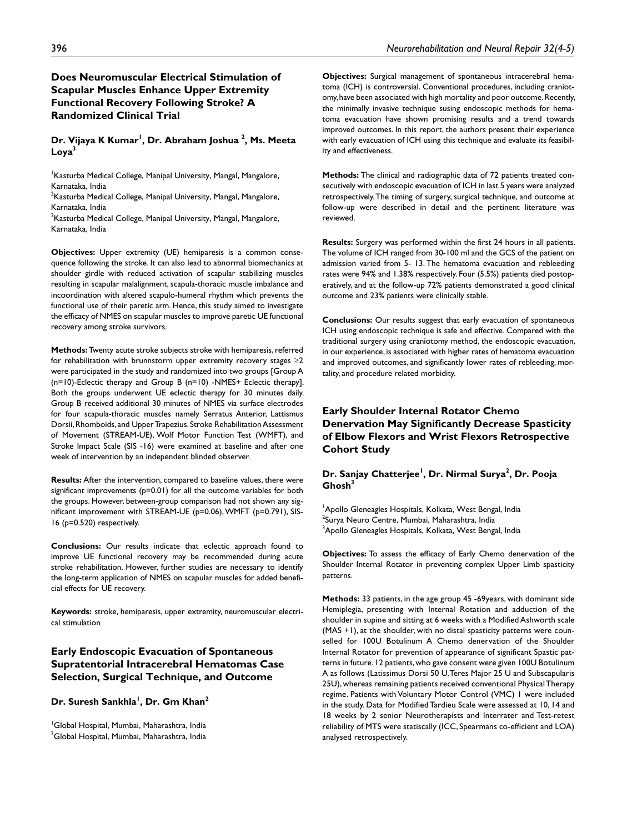# **Does Neuromuscular Electrical Stimulation of Scapular Muscles Enhance Upper Extremity Functional Recovery Following Stroke? A Randomized Clinical Trial**

# Dr. Vijaya K Kumar<sup>ı</sup>, Dr. Abraham Joshua <sup>2</sup>, Ms. Meeta **Loya3**

<sup>1</sup> Kasturba Medical College, Manipal University, Mangal, Mangalore, Karnataka, India

 $^{2}$ Kasturba Medical College, Manipal University, Mangal, Mangalore, Karnataka, India

<sup>3</sup>Kasturba Medical College, Manipal University, Mangal, Mangalore, Karnataka, India

**Objectives:** Upper extremity (UE) hemiparesis is a common consequence following the stroke. It can also lead to abnormal biomechanics at shoulder girdle with reduced activation of scapular stabilizing muscles resulting in scapular malalignment, scapula-thoracic muscle imbalance and incoordination with altered scapulo-humeral rhythm which prevents the functional use of their paretic arm. Hence, this study aimed to investigate the efficacy of NMES on scapular muscles to improve paretic UE functional recovery among stroke survivors.

**Methods:** Twenty acute stroke subjects stroke with hemiparesis, referred for rehabilitation with brunnstorm upper extremity recovery stages  $\geq 2$ were participated in the study and randomized into two groups [Group A (n=10)-Eclectic therapy and Group B (n=10) -NMES+ Eclectic therapy]. Both the groups underwent UE eclectic therapy for 30 minutes daily. Group B received additional 30 minutes of NMES via surface electrodes for four scapula-thoracic muscles namely Serratus Anterior, Lattismus Dorsii, Rhomboids, and Upper Trapezius. Stroke Rehabilitation Assessment of Movement (STREAM-UE), Wolf Motor Function Test (WMFT), and Stroke Impact Scale (SIS -16) were examined at baseline and after one week of intervention by an independent blinded observer.

**Results:** After the intervention, compared to baseline values, there were significant improvements (p=0.01) for all the outcome variables for both the groups. However, between-group comparison had not shown any significant improvement with STREAM-UE (p=0.06), WMFT (p=0.791), SIS-16 (p=0.520) respectively.

**Conclusions:** Our results indicate that eclectic approach found to improve UE functional recovery may be recommended during acute stroke rehabilitation. However, further studies are necessary to identify the long-term application of NMES on scapular muscles for added beneficial effects for UE recovery.

**Keywords:** stroke, hemiparesis, upper extremity, neuromuscular electrical stimulation

# **Early Endoscopic Evacuation of Spontaneous Supratentorial Intracerebral Hematomas Case Selection, Surgical Technique, and Outcome**

**Dr. Suresh Sankhla1 , Dr. Gm Khan2**

1 Global Hospital, Mumbai, Maharashtra, India  $^{\rm 2}$ Global Hospital, Mumbai, Maharashtra, India

**Objectives:** Surgical management of spontaneous intracerebral hematoma (ICH) is controversial. Conventional procedures, including craniotomy, have been associated with high mortality and poor outcome. Recently, the minimally invasive technique susing endoscopic methods for hematoma evacuation have shown promising results and a trend towards improved outcomes. In this report, the authors present their experience with early evacuation of ICH using this technique and evaluate its feasibility and effectiveness.

**Methods:** The clinical and radiographic data of 72 patients treated consecutively with endoscopic evacuation of ICH in last 5 years were analyzed retrospectively. The timing of surgery, surgical technique, and outcome at follow-up were described in detail and the pertinent literature was reviewed.

**Results:** Surgery was performed within the first 24 hours in all patients. The volume of ICH ranged from 30-100 ml and the GCS of the patient on admission varied from 5- 13. The hematoma evacuation and rebleeding rates were 94% and 1.38% respectively. Four (5.5%) patients died postoperatively, and at the follow-up 72% patients demonstrated a good clinical outcome and 23% patients were clinically stable.

**Conclusions:** Our results suggest that early evacuation of spontaneous ICH using endoscopic technique is safe and effective. Compared with the traditional surgery using craniotomy method, the endoscopic evacuation, in our experience, is associated with higher rates of hematoma evacuation and improved outcomes, and significantly lower rates of rebleeding, mortality, and procedure related morbidity.

# **Early Shoulder Internal Rotator Chemo Denervation May Significantly Decrease Spasticity of Elbow Flexors and Wrist Flexors Retrospective Cohort Study**

# **Dr. Sanjay Chatterjee1 , Dr. Nirmal Surya2 , Dr. Pooja Ghosh3**

<sup>1</sup> Apollo Gleneagles Hospitals, Kolkata, West Bengal, India <sup>2</sup>Surya Neuro Centre, Mumbai, Maharashtra, India <sup>3</sup>Apollo Gleneagles Hospitals, Kolkata, West Bengal, India

**Objectives:** To assess the efficacy of Early Chemo denervation of the Shoulder Internal Rotator in preventing complex Upper Limb spasticity patterns.

**Methods:** 33 patients, in the age group 45 -69years, with dominant side Hemiplegia, presenting with Internal Rotation and adduction of the shoulder in supine and sitting at 6 weeks with a Modified Ashworth scale (MAS +1), at the shoulder, with no distal spasticity patterns were counselled for 100U Botulinum A Chemo denervation of the Shoulder Internal Rotator for prevention of appearance of significant Spastic patterns in future. 12 patients, who gave consent were given 100U Botulinum A as follows (Latissimus Dorsi 50 U, Teres Major 25 U and Subscapularis 25U), whereas remaining patients received conventional Physical Therapy regime. Patients with Voluntary Motor Control (VMC) 1 were included in the study. Data for Modified Tardieu Scale were assessed at 10, 14 and 18 weeks by 2 senior Neurotherapists and Interrater and Test-retest reliability of MTS were statiscally (ICC, Spearmans co-efficient and LOA) analysed retrospectively.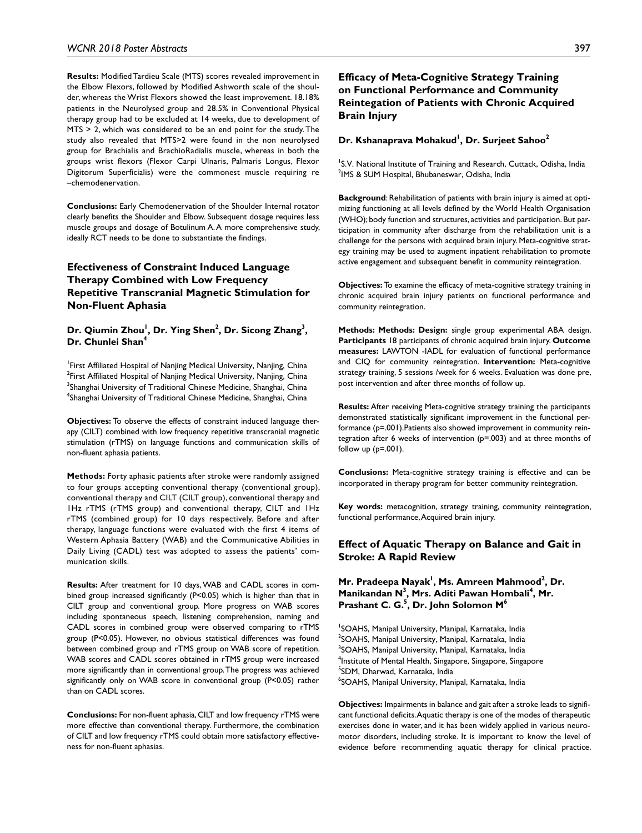**Results:** Modified Tardieu Scale (MTS) scores revealed improvement in the Elbow Flexors, followed by Modified Ashworth scale of the shoulder, whereas the Wrist Flexors showed the least improvement. 18.18% patients in the Neurolysed group and 28.5% in Conventional Physical therapy group had to be excluded at 14 weeks, due to development of MTS > 2, which was considered to be an end point for the study. The study also revealed that MTS>2 were found in the non neurolysed group for Brachialis and BrachioRadialis muscle, whereas in both the groups wrist flexors (Flexor Carpi Ulnaris, Palmaris Longus, Flexor Digitorum Superficialis) were the commonest muscle requiring re –chemodenervation.

**Conclusions:** Early Chemodenervation of the Shoulder Internal rotator clearly benefits the Shoulder and Elbow. Subsequent dosage requires less muscle groups and dosage of Botulinum A. A more comprehensive study, ideally RCT needs to be done to substantiate the findings.

# **Efectiveness of Constraint Induced Language Therapy Combined with Low Frequency Repetitive Transcranial Magnetic Stimulation for Non-Fluent Aphasia**

### Dr. Qiumin Zhou<sup>1</sup>, Dr. Ying Shen<sup>2</sup>, Dr. Sicong Zhang<sup>3</sup>, **Dr. Chunlei Shan4**

<sup>1</sup> First Affiliated Hospital of Nanjing Medical University, Nanjing, China  $^2$ First Affiliated Hospital of Nanjing Medical University, Nanjing, China <sup>3</sup>Shanghai University of Traditional Chinese Medicine, Shanghai, China <sup>4</sup>Shanghai University of Traditional Chinese Medicine, Shanghai, China

**Objectives:** To observe the effects of constraint induced language therapy (CILT) combined with low frequency repetitive transcranial magnetic stimulation (rTMS) on language functions and communication skills of non-fluent aphasia patients.

**Methods:** Forty aphasic patients after stroke were randomly assigned to four groups accepting conventional therapy (conventional group), conventional therapy and CILT (CILT group), conventional therapy and 1Hz rTMS (rTMS group) and conventional therapy, CILT and 1Hz rTMS (combined group) for 10 days respectively. Before and after therapy, language functions were evaluated with the first 4 items of Western Aphasia Battery (WAB) and the Communicative Abilities in Daily Living (CADL) test was adopted to assess the patients' communication skills.

**Results:** After treatment for 10 days, WAB and CADL scores in combined group increased significantly (P<0.05) which is higher than that in CILT group and conventional group. More progress on WAB scores including spontaneous speech, listening comprehension, naming and CADL scores in combined group were observed comparing to rTMS group (P<0.05). However, no obvious statistical differences was found between combined group and rTMS group on WAB score of repetition. WAB scores and CADL scores obtained in rTMS group were increased more significantly than in conventional group. The progress was achieved significantly only on WAB score in conventional group (P<0.05) rather than on CADL scores.

**Conclusions:** For non-fluent aphasia, CILT and low frequency rTMS were more effective than conventional therapy. Furthermore, the combination of CILT and low frequency rTMS could obtain more satisfactory effectiveness for non-fluent aphasias.

# **Efficacy of Meta-Cognitive Strategy Training on Functional Performance and Community Reintegation of Patients with Chronic Acquired Brain Injury**

# **Dr. Kshanaprava Mohakud1 , Dr. Surjeet Sahoo2**

<sup>1</sup>S.V. National Institute of Training and Research, Cuttack, Odisha, India 2 IMS & SUM Hospital, Bhubaneswar, Odisha, India

**Background**: Rehabilitation of patients with brain injury is aimed at optimizing functioning at all levels defined by the World Health Organisation (WHO); body function and structures, activities and participation. But participation in community after discharge from the rehabilitation unit is a challenge for the persons with acquired brain injury. Meta-cognitive strategy training may be used to augment inpatient rehabilitation to promote active engagement and subsequent benefit in community reintegration.

**Objectives:** To examine the efficacy of meta-cognitive strategy training in chronic acquired brain injury patients on functional performance and community reintegration.

**Methods: Methods: Design:** single group experimental ABA design. **Participants** 18 participants of chronic acquired brain injury. **Outcome measures:** LAWTON -IADL for evaluation of functional performance and CIQ for community reintegration. **Intervention:** Meta-cognitive strategy training, 5 sessions /week for 6 weeks. Evaluation was done pre, post intervention and after three months of follow up.

**Results:** After receiving Meta-cognitive strategy training the participants demonstrated statistically significant improvement in the functional performance (p=.001).Patients also showed improvement in community reintegration after 6 weeks of intervention (p=.003) and at three months of follow up  $(p=.001)$ .

**Conclusions:** Meta-cognitive strategy training is effective and can be incorporated in therapy program for better community reintegration.

**Key words:** metacognition, strategy training, community reintegration, functional performance, Acquired brain injury.

## **Effect of Aquatic Therapy on Balance and Gait in Stroke: A Rapid Review**

# Mr. Pradeepa Nayak<sup>i</sup>, Ms. Amreen Mahmood<sup>2</sup>, Dr. Manikandan N<sup>3</sup>, Mrs. Aditi Pawan Hombali<sup>4</sup>, Mr. Prashant C. G.<sup>5</sup>, Dr. John Solomon M<sup>6</sup>

<sup>1</sup>SOAHS, Manipal University, Manipal, Karnataka, India <sup>2</sup>SOAHS, Manipal University, Manipal, Karnataka, India <sup>3</sup>SOAHS, Manipal University, Manipal, Karnataka, India 4 Institute of Mental Health, Singapore, Singapore, Singapore 5 SDM, Dharwad, Karnataka, India 6 SOAHS, Manipal University, Manipal, Karnataka, India

**Objectives:** Impairments in balance and gait after a stroke leads to significant functional deficits. Aquatic therapy is one of the modes of therapeutic exercises done in water, and it has been widely applied in various neuromotor disorders, including stroke. It is important to know the level of evidence before recommending aquatic therapy for clinical practice.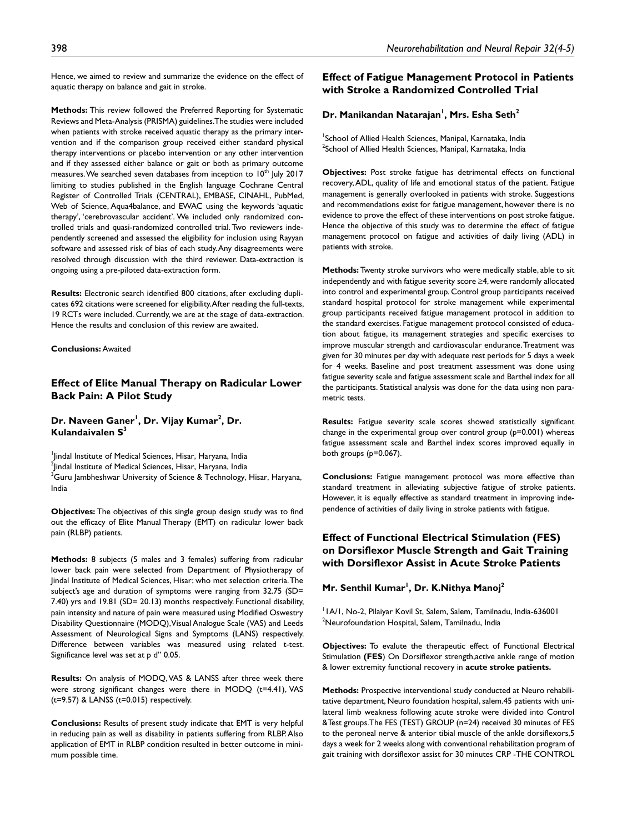Hence, we aimed to review and summarize the evidence on the effect of aquatic therapy on balance and gait in stroke.

**Methods:** This review followed the Preferred Reporting for Systematic Reviews and Meta-Analysis (PRISMA) guidelines. The studies were included when patients with stroke received aquatic therapy as the primary intervention and if the comparison group received either standard physical therapy interventions or placebo intervention or any other intervention and if they assessed either balance or gait or both as primary outcome measures. We searched seven databases from inception to  $10<sup>th</sup>$  July 2017 limiting to studies published in the English language Cochrane Central Register of Controlled Trials (CENTRAL), EMBASE, CINAHL, PubMed, Web of Science, Aqua4balance, and EWAC using the keywords 'aquatic therapy', 'cerebrovascular accident'. We included only randomized controlled trials and quasi-randomized controlled trial. Two reviewers independently screened and assessed the eligibility for inclusion using Rayyan software and assessed risk of bias of each study. Any disagreements were resolved through discussion with the third reviewer. Data-extraction is ongoing using a pre-piloted data-extraction form.

**Results:** Electronic search identified 800 citations, after excluding duplicates 692 citations were screened for eligibility. After reading the full-texts, 19 RCTs were included. Currently, we are at the stage of data-extraction. Hence the results and conclusion of this review are awaited.

**Conclusions:** Awaited

# **Effect of Elite Manual Therapy on Radicular Lower Back Pain: A Pilot Study**

#### **Dr. Naveen Ganer<sup>1</sup> , Dr. Vijay Kumar<sup>2</sup> , Dr. Kulandaivalen S<sup>3</sup>**

<sup>1</sup>Jindal Institute of Medical Sciences, Hisar, Haryana, India  $^2$ Jindal Institute of Medical Sciences, Hisar, Haryana, India  $^3$ Guru Jambheshwar University of Science & Technology, Hisar, Haryana, India

**Objectives:** The objectives of this single group design study was to find out the efficacy of Elite Manual Therapy (EMT) on radicular lower back pain (RLBP) patients.

**Methods:** 8 subjects (5 males and 3 females) suffering from radicular lower back pain were selected from Department of Physiotherapy of Jindal Institute of Medical Sciences, Hisar; who met selection criteria. The subject's age and duration of symptoms were ranging from 32.75 (SD= 7.40) yrs and 19.81 (SD= 20.13) months respectively. Functional disability, pain intensity and nature of pain were measured using Modified Oswestry Disability Questionnaire (MODQ), Visual Analogue Scale (VAS) and Leeds Assessment of Neurological Signs and Symptoms (LANS) respectively. Difference between variables was measured using related t-test. Significance level was set at p d" 0.05.

**Results:** On analysis of MODQ, VAS & LANSS after three week there were strong significant changes were there in MODQ (t=4.41), VAS (t=9.57) & LANSS (t=0.015) respectively.

**Conclusions:** Results of present study indicate that EMT is very helpful in reducing pain as well as disability in patients suffering from RLBP. Also application of EMT in RLBP condition resulted in better outcome in minimum possible time.

# **Effect of Fatigue Management Protocol in Patients with Stroke a Randomized Controlled Trial**

# Dr. Manikandan Natarajan<sup>i</sup>, Mrs. Esha Seth<sup>2</sup>

<sup>1</sup>School of Allied Health Sciences, Manipal, Karnataka, India <sup>2</sup>School of Allied Health Sciences, Manipal, Karnataka, India

**Objectives:** Post stroke fatigue has detrimental effects on functional recovery, ADL, quality of life and emotional status of the patient. Fatigue management is generally overlooked in patients with stroke. Suggestions and recommendations exist for fatigue management, however there is no evidence to prove the effect of these interventions on post stroke fatigue. Hence the objective of this study was to determine the effect of fatigue management protocol on fatigue and activities of daily living (ADL) in patients with stroke.

**Methods:** Twenty stroke survivors who were medically stable, able to sit independently and with fatigue severity score ≥4, were randomly allocated into control and experimental group. Control group participants received standard hospital protocol for stroke management while experimental group participants received fatigue management protocol in addition to the standard exercises. Fatigue management protocol consisted of education about fatigue, its management strategies and specific exercises to improve muscular strength and cardiovascular endurance. Treatment was given for 30 minutes per day with adequate rest periods for 5 days a week for 4 weeks. Baseline and post treatment assessment was done using fatigue severity scale and fatigue assessment scale and Barthel index for all the participants. Statistical analysis was done for the data using non parametric tests.

**Results:** Fatigue severity scale scores showed statistically significant change in the experimental group over control group (p=0.001) whereas fatigue assessment scale and Barthel index scores improved equally in both groups (p=0.067).

**Conclusions:** Fatigue management protocol was more effective than standard treatment in alleviating subjective fatigue of stroke patients. However, it is equally effective as standard treatment in improving independence of activities of daily living in stroke patients with fatigue.

# **Effect of Functional Electrical Stimulation (FES) on Dorsiflexor Muscle Strength and Gait Training with Dorsiflexor Assist in Acute Stroke Patients**

#### **Mr. Senthil Kumar1 , Dr. K.Nithya Manoj2**

<sup>1</sup> | A/I, No-2, Pilaiyar Kovil St, Salem, Salem, Tamilnadu, India-63600 |  $^{\rm 2}$ Neurofoundation Hospital, Salem, Tamilnadu, India

**Objectives:** To evalute the therapeutic effect of Functional Electrical Stimulation **(FES**) On Dorsiflexor strength,active ankle range of motion & lower extremity functional recovery in **acute stroke patients.**

**Methods:** Prospective interventional study conducted at Neuro rehabilitative department, Neuro foundation hospital, salem.45 patients with unilateral limb weakness following acute stroke were divided into Control &Test groups.The FES (TEST) GROUP (n=24) received 30 minutes of FES to the peroneal nerve & anterior tibial muscle of the ankle dorsiflexors,5 days a week for 2 weeks along with conventional rehabilitation program of gait training with dorsiflexor assist for 30 minutes CRP -THE CONTROL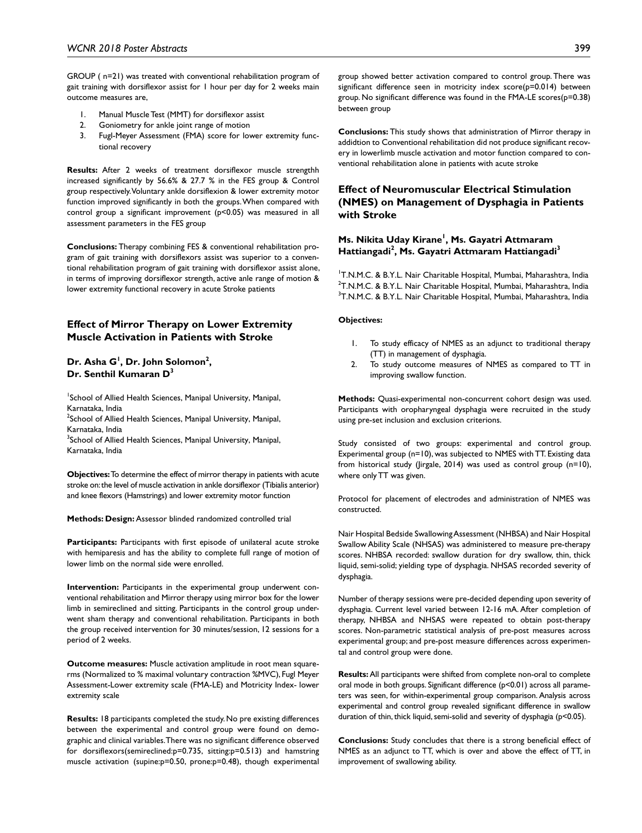GROUP ( n=21) was treated with conventional rehabilitation program of gait training with dorsiflexor assist for 1 hour per day for 2 weeks main outcome measures are,

- 1. Manual Muscle Test (MMT) for dorsiflexor assist
- 2. Goniometry for ankle joint range of motion
- 3. Fugl-Meyer Assessment (FMA) score for lower extremity functional recovery

**Results:** After 2 weeks of treatment dorsiflexor muscle strengthh increased significantly by 56.6% & 27.7 % in the FES group & Control group respectively. Voluntary ankle dorsiflexion & lower extremity motor function improved significantly in both the groups. When compared with control group a significant improvement (p<0.05) was measured in all assessment parameters in the FES group

**Conclusions:** Therapy combining FES & conventional rehabilitation program of gait training with dorsiflexors assist was superior to a conventional rehabilitation program of gait training with dorsiflexor assist alone, in terms of improving dorsiflexor strength, active anle range of motion & lower extremity functional recovery in acute Stroke patients

## **Effect of Mirror Therapy on Lower Extremity Muscle Activation in Patients with Stroke**

## Dr. Asha G<sup>1</sup>, Dr. John Solomon<sup>2</sup>, **Dr. Senthil Kumaran D3**

<sup>1</sup>School of Allied Health Sciences, Manipal University, Manipal, Karnataka, India

<sup>2</sup>School of Allied Health Sciences, Manipal University, Manipal, Karnataka, India

<sup>3</sup>School of Allied Health Sciences, Manipal University, Manipal, Karnataka, India

**Objectives:** To determine the effect of mirror therapy in patients with acute stroke on: the level of muscle activation in ankle dorsiflexor (Tibialis anterior) and knee flexors (Hamstrings) and lower extremity motor function

**Methods: Design:** Assessor blinded randomized controlled trial

**Participants:** Participants with first episode of unilateral acute stroke with hemiparesis and has the ability to complete full range of motion of lower limb on the normal side were enrolled.

**Intervention:** Participants in the experimental group underwent conventional rehabilitation and Mirror therapy using mirror box for the lower limb in semireclined and sitting. Participants in the control group underwent sham therapy and conventional rehabilitation. Participants in both the group received intervention for 30 minutes/session, 12 sessions for a period of 2 weeks.

**Outcome measures:** Muscle activation amplitude in root mean squarerms (Normalized to % maximal voluntary contraction %MVC), Fugl Meyer Assessment-Lower extremity scale (FMA-LE) and Motricity Index- lower extremity scale

**Results:** 18 participants completed the study. No pre existing differences between the experimental and control group were found on demographic and clinical variables. There was no significant difference observed for dorsiflexors(semireclined:p=0.735, sitting:p=0.513) and hamstring muscle activation (supine:p=0.50, prone:p=0.48), though experimental

group showed better activation compared to control group. There was significant difference seen in motricity index score(p=0.014) between group. No significant difference was found in the FMA-LE scores(p=0.38) between group

**Conclusions:** This study shows that administration of Mirror therapy in addidtion to Conventional rehabilitation did not produce significant recovery in lowerlimb muscle activation and motor function compared to conventional rehabilitation alone in patients with acute stroke

# **Effect of Neuromuscular Electrical Stimulation (NMES) on Management of Dysphagia in Patients with Stroke**

### **Ms. Nikita Uday Kirane1 , Ms. Gayatri Attmaram Hattiangadi<sup>2</sup> , Ms. Gayatri Attmaram Hattiangadi3**

<sup>1</sup>T.N.M.C. & B.Y.L. Nair Charitable Hospital, Mumbai, Maharashtra, India  $^{2}$ T.N.M.C. & B.Y.L. Nair Charitable Hospital, Mumbai, Maharashtra, India <sup>3</sup>T.N.M.C. & B.Y.L. Nair Charitable Hospital, Mumbai, Maharashtra, India

### **Objectives:**

- 1. To study efficacy of NMES as an adjunct to traditional therapy (TT) in management of dysphagia.
- 2. To study outcome measures of NMES as compared to TT in improving swallow function.

**Methods:** Quasi-experimental non-concurrent cohort design was used. Participants with oropharyngeal dysphagia were recruited in the study using pre-set inclusion and exclusion criterions.

Study consisted of two groups: experimental and control group. Experimental group (n=10), was subjected to NMES with TT. Existing data from historical study (Jirgale, 2014) was used as control group (n=10), where only TT was given.

Protocol for placement of electrodes and administration of NMES was constructed.

Nair Hospital Bedside Swallowing Assessment (NHBSA) and Nair Hospital Swallow Ability Scale (NHSAS) was administered to measure pre-therapy scores. NHBSA recorded: swallow duration for dry swallow, thin, thick liquid, semi-solid; yielding type of dysphagia. NHSAS recorded severity of dysphagia.

Number of therapy sessions were pre-decided depending upon severity of dysphagia. Current level varied between 12-16 mA. After completion of therapy, NHBSA and NHSAS were repeated to obtain post-therapy scores. Non-parametric statistical analysis of pre-post measures across experimental group; and pre-post measure differences across experimental and control group were done.

**Results:** All participants were shifted from complete non-oral to complete oral mode in both groups. Significant difference (p<0.01) across all parameters was seen, for within-experimental group comparison. Analysis across experimental and control group revealed significant difference in swallow duration of thin, thick liquid, semi-solid and severity of dysphagia (p<0.05).

**Conclusions:** Study concludes that there is a strong beneficial effect of NMES as an adjunct to TT, which is over and above the effect of TT, in improvement of swallowing ability.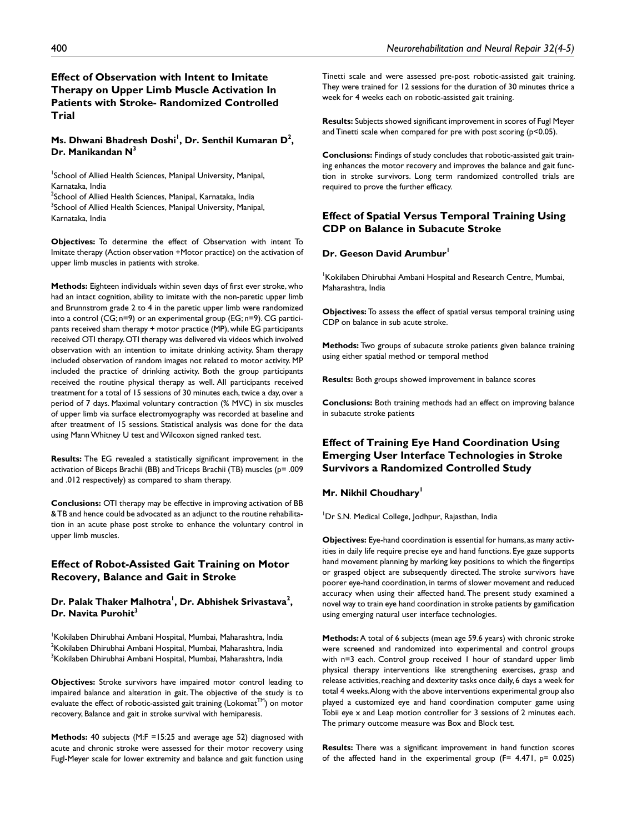# **Effect of Observation with Intent to Imitate Therapy on Upper Limb Muscle Activation In Patients with Stroke- Randomized Controlled Trial**

### **Ms. Dhwani Bhadresh Doshi<sup>!</sup>, Dr. Senthil Kumaran D<sup>2</sup>, Dr. Manikandan N3**

<sup>1</sup>School of Allied Health Sciences, Manipal University, Manipal, Karnataka, India <sup>2</sup>School of Allied Health Sciences, Manipal, Karnataka, India <sup>3</sup>School of Allied Health Sciences, Manipal University, Manipal, Karnataka, India

**Objectives:** To determine the effect of Observation with intent To Imitate therapy (Action observation +Motor practice) on the activation of upper limb muscles in patients with stroke.

**Methods:** Eighteen individuals within seven days of first ever stroke, who had an intact cognition, ability to imitate with the non-paretic upper limb and Brunnstrom grade 2 to 4 in the paretic upper limb were randomized into a control (CG; n=9) or an experimental group (EG; n=9). CG participants received sham therapy + motor practice (MP), while EG participants received OTI therapy. OTI therapy was delivered via videos which involved observation with an intention to imitate drinking activity. Sham therapy included observation of random images not related to motor activity. MP included the practice of drinking activity. Both the group participants received the routine physical therapy as well. All participants received treatment for a total of 15 sessions of 30 minutes each, twice a day, over a period of 7 days. Maximal voluntary contraction (% MVC) in six muscles of upper limb via surface electromyography was recorded at baseline and after treatment of 15 sessions. Statistical analysis was done for the data using Mann Whitney U test and Wilcoxon signed ranked test.

**Results:** The EG revealed a statistically significant improvement in the activation of Biceps Brachii (BB) and Triceps Brachii (TB) muscles (p= .009 and .012 respectively) as compared to sham therapy.

**Conclusions:** OTI therapy may be effective in improving activation of BB & TB and hence could be advocated as an adjunct to the routine rehabilitation in an acute phase post stroke to enhance the voluntary control in upper limb muscles.

# **Effect of Robot-Assisted Gait Training on Motor Recovery, Balance and Gait in Stroke**

## Dr. Palak Thaker Malhotra<sup>1</sup>, Dr. Abhishek Srivastava<sup>2</sup>, Dr. Navita Purohit<sup>3</sup>

1 Kokilaben Dhirubhai Ambani Hospital, Mumbai, Maharashtra, India  $^{2}$ Kokilaben Dhirubhai Ambani Hospital, Mumbai, Maharashtra, India <sup>3</sup>Kokilaben Dhirubhai Ambani Hospital, Mumbai, Maharashtra, India

**Objectives:** Stroke survivors have impaired motor control leading to impaired balance and alteration in gait. The objective of the study is to evaluate the effect of robotic-assisted gait training (Lokomat<sup>TM</sup>) on motor recovery, Balance and gait in stroke survival with hemiparesis.

**Methods:** 40 subjects (M:F =15:25 and average age 52) diagnosed with acute and chronic stroke were assessed for their motor recovery using Fugl-Meyer scale for lower extremity and balance and gait function using Tinetti scale and were assessed pre-post robotic-assisted gait training. They were trained for 12 sessions for the duration of 30 minutes thrice a week for 4 weeks each on robotic-assisted gait training.

**Results:** Subjects showed significant improvement in scores of Fugl Meyer and Tinetti scale when compared for pre with post scoring (p<0.05).

**Conclusions:** Findings of study concludes that robotic-assisted gait training enhances the motor recovery and improves the balance and gait function in stroke survivors. Long term randomized controlled trials are required to prove the further efficacy.

### **Effect of Spatial Versus Temporal Training Using CDP on Balance in Subacute Stroke**

### **Dr. Geeson David Arumbur**

1 Kokilaben Dhirubhai Ambani Hospital and Research Centre, Mumbai, Maharashtra, India

**Objectives:** To assess the effect of spatial versus temporal training using CDP on balance in sub acute stroke.

**Methods:** Two groups of subacute stroke patients given balance training using either spatial method or temporal method

**Results:** Both groups showed improvement in balance scores

**Conclusions:** Both training methods had an effect on improving balance in subacute stroke patients

# **Effect of Training Eye Hand Coordination Using Emerging User Interface Technologies in Stroke Survivors a Randomized Controlled Study**

### Mr. Nikhil Choudhary<sup>1</sup>

<sup>1</sup>Dr S.N. Medical College, Jodhpur, Rajasthan, India

**Objectives:** Eye-hand coordination is essential for humans, as many activities in daily life require precise eye and hand functions. Eye gaze supports hand movement planning by marking key positions to which the fingertips or grasped object are subsequently directed. The stroke survivors have poorer eye-hand coordination, in terms of slower movement and reduced accuracy when using their affected hand. The present study examined a novel way to train eye hand coordination in stroke patients by gamification using emerging natural user interface technologies.

**Methods:** A total of 6 subjects (mean age 59.6 years) with chronic stroke were screened and randomized into experimental and control groups with n=3 each. Control group received 1 hour of standard upper limb physical therapy interventions like strengthening exercises, grasp and release activities, reaching and dexterity tasks once daily, 6 days a week for total 4 weeks. Along with the above interventions experimental group also played a customized eye and hand coordination computer game using Tobii eye x and Leap motion controller for 3 sessions of 2 minutes each. The primary outcome measure was Box and Block test.

**Results:** There was a significant improvement in hand function scores of the affected hand in the experimental group (F= 4.471, p= 0.025)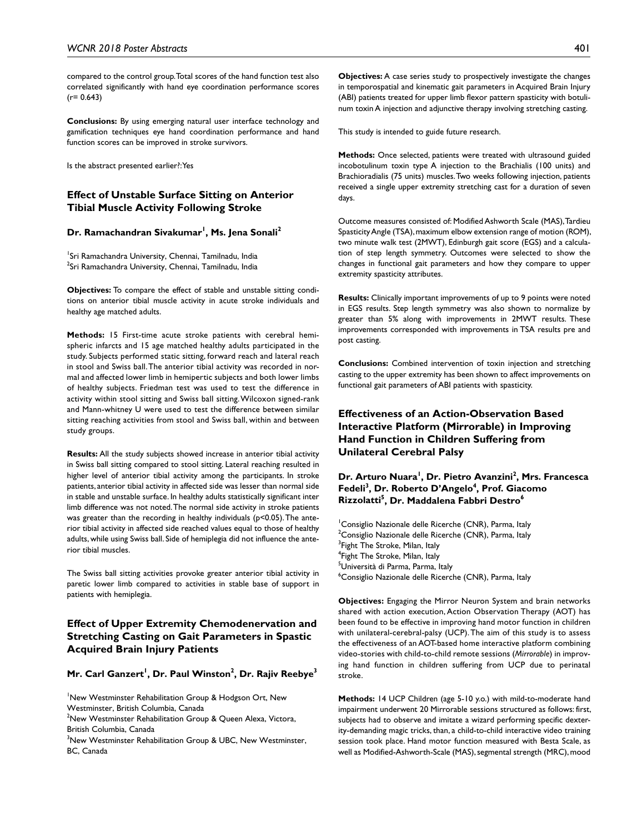compared to the control group. Total scores of the hand function test also correlated significantly with hand eye coordination performance scores (r= 0.643)

**Conclusions:** By using emerging natural user interface technology and gamification techniques eye hand coordination performance and hand function scores can be improved in stroke survivors.

Is the abstract presented earlier?: Yes

## **Effect of Unstable Surface Sitting on Anterior Tibial Muscle Activity Following Stroke**

### **Dr. Ramachandran Sivakumar1 , Ms. Jena Sonali2**

<sup>1</sup>Sri Ramachandra University, Chennai, Tamilnadu, India <sup>2</sup>Sri Ramachandra University, Chennai, Tamilnadu, India

**Objectives:** To compare the effect of stable and unstable sitting conditions on anterior tibial muscle activity in acute stroke individuals and healthy age matched adults.

**Methods:** 15 First-time acute stroke patients with cerebral hemispheric infarcts and 15 age matched healthy adults participated in the study. Subjects performed static sitting, forward reach and lateral reach in stool and Swiss ball. The anterior tibial activity was recorded in normal and affected lower limb in hemipertic subjects and both lower limbs of healthy subjects. Friedman test was used to test the difference in activity within stool sitting and Swiss ball sitting. Wilcoxon signed-rank and Mann-whitney U were used to test the difference between similar sitting reaching activities from stool and Swiss ball, within and between study groups.

**Results:** All the study subjects showed increase in anterior tibial activity in Swiss ball sitting compared to stool sitting. Lateral reaching resulted in higher level of anterior tibial activity among the participants. In stroke patients, anterior tibial activity in affected side was lesser than normal side in stable and unstable surface. In healthy adults statistically significant inter limb difference was not noted. The normal side activity in stroke patients was greater than the recording in healthy individuals (p<0.05). The anterior tibial activity in affected side reached values equal to those of healthy adults, while using Swiss ball. Side of hemiplegia did not influence the anterior tibial muscles.

The Swiss ball sitting activities provoke greater anterior tibial activity in paretic lower limb compared to activities in stable base of support in patients with hemiplegia.

# **Effect of Upper Extremity Chemodenervation and Stretching Casting on Gait Parameters in Spastic Acquired Brain Injury Patients**

**Mr. Carl Ganzert<sup>'</sup>, Dr. Paul Winston<sup>2</sup>, Dr. Rajiv Reebye<sup>3</sup>** 

<sup>1</sup>New Westminster Rehabilitation Group & Hodgson Ort, New Westminster, British Columbia, Canada

 $2$ New Westminster Rehabilitation Group & Queen Alexa, Victora, British Columbia, Canada

 $3$ New Westminster Rehabilitation Group & UBC, New Westminster, BC, Canada

**Objectives:** A case series study to prospectively investigate the changes in temporospatial and kinematic gait parameters in Acquired Brain Injury (ABI) patients treated for upper limb flexor pattern spasticity with botulinum toxin A injection and adjunctive therapy involving stretching casting.

This study is intended to guide future research.

**Methods:** Once selected, patients were treated with ultrasound guided incobotulinum toxin type A injection to the Brachialis (100 units) and Brachioradialis (75 units) muscles. Two weeks following injection, patients received a single upper extremity stretching cast for a duration of seven days.

Outcome measures consisted of: Modified Ashworth Scale (MAS), Tardieu Spasticity Angle (TSA), maximum elbow extension range of motion (ROM), two minute walk test (2MWT), Edinburgh gait score (EGS) and a calculation of step length symmetry. Outcomes were selected to show the changes in functional gait parameters and how they compare to upper extremity spasticity attributes.

**Results:** Clinically important improvements of up to 9 points were noted in EGS results. Step length symmetry was also shown to normalize by greater than 5% along with improvements in 2MWT results. These improvements corresponded with improvements in TSA results pre and post casting.

**Conclusions:** Combined intervention of toxin injection and stretching casting to the upper extremity has been shown to affect improvements on functional gait parameters of ABI patients with spasticity.

# **Effectiveness of an Action-Observation Based Interactive Platform (Mirrorable) in Improving Hand Function in Children Suffering from Unilateral Cerebral Palsy**

Dr. Arturo Nuara<sup>1</sup>, Dr. Pietro Avanzini<sup>2</sup>, Mrs. Francesca Fedeli<sup>3</sup>, Dr. Roberto D'Angelo<sup>4</sup>, Prof. Giacomo **Rizzolatti5 , Dr. Maddalena Fabbri Destro6**

<sup>1</sup> Consiglio Nazionale delle Ricerche (CNR), Parma, Italy  $^{\rm 2}$ Consiglio Nazionale delle Ricerche (CNR), Parma, Italy <sup>3</sup>Fight The Stroke, Milan, Italy 4 Fight The Stroke, Milan, Italy <sup>5</sup>Università di Parma, Parma, Italy  $^6$ Consiglio Nazionale delle Ricerche (CNR), Parma, Italy

**Objectives:** Engaging the Mirror Neuron System and brain networks shared with action execution, Action Observation Therapy (AOT) has been found to be effective in improving hand motor function in children with unilateral-cerebral-palsy (UCP). The aim of this study is to assess the effectiveness of an AOT-based home interactive platform combining video-stories with child-to-child remote sessions (*Mirrorable*) in improving hand function in children suffering from UCP due to perinatal stroke.

**Methods:** 14 UCP Children (age 5-10 y.o.) with mild-to-moderate hand impairment underwent 20 Mirrorable sessions structured as follows: first, subjects had to observe and imitate a wizard performing specific dexterity-demanding magic tricks, than, a child-to-child interactive video training session took place. Hand motor function measured with Besta Scale, as well as Modified-Ashworth-Scale (MAS), segmental strength (MRC), mood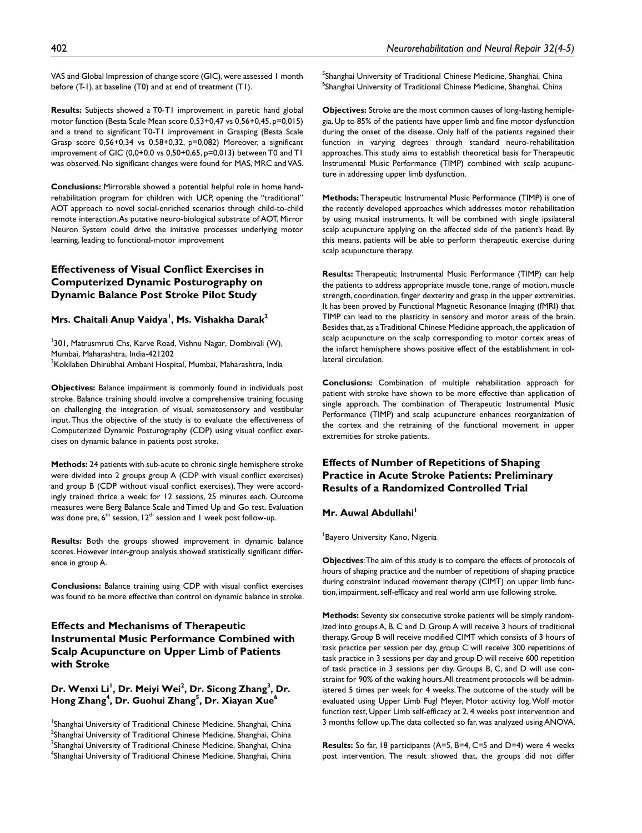VAS and Global Impression of change score (GIC), were assessed 1 month before (T-1), at baseline (T0) and at end of treatment (T1).

**Results:** Subjects showed a T0-T1 improvement in paretic hand global motor function (Besta Scale Mean score 0,53+0,47 vs 0,56+0,45, p=0,015) and a trend to significant T0-T1 improvement in Grasping (Besta Scale Grasp score 0,56+0,34 vs 0,58+0,32, p=0,082) Moreover, a significant improvement of GIC (0,0+0,0 vs 0,50+0,65, p=0,013) between T0 and T1 was observed. No significant changes were found for MAS, MRC and VAS.

**Conclusions:** Mirrorable showed a potential helpful role in home handrehabilitation program for children with UCP, opening the "traditional" AOT approach to novel social-enriched scenarios through child-to-child remote interaction. As putative neuro-biological substrate of AOT, Mirror Neuron System could drive the imitative processes underlying motor learning, leading to functional-motor improvement

## **Effectiveness of Visual Conflict Exercises in Computerized Dynamic Posturography on Dynamic Balance Post Stroke Pilot Study**

### **Mrs. Chaitali Anup Vaidya1 , Ms. Vishakha Darak2**

<sup>1</sup>301, Matrusmruti Chs, Karve Road, Vishnu Nagar, Dombivali (W), Mumbai, Maharashtra, India-421202  $^{2}$ Kokilaben Dhirubhai Ambani Hospital, Mumbai, Maharashtra, India

**Objectives:** Balance impairment is commonly found in individuals post stroke. Balance training should involve a comprehensive training focusing on challenging the integration of visual, somatosensory and vestibular input. Thus the objective of the study is to evaluate the effectiveness of Computerized Dynamic Posturography (CDP) using visual conflict exercises on dynamic balance in patients post stroke.

**Methods:** 24 patients with sub-acute to chronic single hemisphere stroke were divided into 2 groups group A (CDP with visual conflict exercises) and group B (CDP without visual conflict exercises). They were accordingly trained thrice a week; for 12 sessions, 25 minutes each. Outcome measures were Berg Balance Scale and Timed Up and Go test. Evaluation was done pre,  $6^{th}$  session,  $12^{th}$  session and 1 week post follow-up.

**Results:** Both the groups showed improvement in dynamic balance scores. However inter-group analysis showed statistically significant difference in group A.

**Conclusions:** Balance training using CDP with visual conflict exercises was found to be more effective than control on dynamic balance in stroke.

# **Effects and Mechanisms of Therapeutic Instrumental Music Performance Combined with Scalp Acupuncture on Upper Limb of Patients with Stroke**

## Dr. Wenxi Li<sup>I</sup>, Dr. Meiyi Wei<sup>2</sup>, Dr. Sicong Zhang<sup>3</sup>, Dr. **Hong Zhang4 , Dr. Guohui Zhang5 , Dr. Xiayan Xue6**

<sup>1</sup>Shanghai University of Traditional Chinese Medicine, Shanghai, China <sup>2</sup>Shanghai University of Traditional Chinese Medicine, Shanghai, China <sup>3</sup>Shanghai University of Traditional Chinese Medicine, Shanghai, China <sup>4</sup>Shanghai University of Traditional Chinese Medicine, Shanghai, China <sup>5</sup>Shanghai University of Traditional Chinese Medicine, Shanghai, China <sup>6</sup>Shanghai University of Traditional Chinese Medicine, Shanghai, China

**Objectives:** Stroke are the most common causes of long-lasting hemiplegia. Up to 85% of the patients have upper limb and fine motor dysfunction during the onset of the disease. Only half of the patients regained their function in varying degrees through standard neuro-rehabilitation approaches. This study aims to establish theoretical basis for Therapeutic Instrumental Music Performance (TIMP) combined with scalp acupuncture in addressing upper limb dysfunction.

**Methods:** Therapeutic Instrumental Music Performance (TIMP) is one of the recently developed approaches which addresses motor rehabilitation by using musical instruments. It will be combined with single ipsilateral scalp acupuncture applying on the affected side of the patient's head. By this means, patients will be able to perform therapeutic exercise during scalp acupuncture therapy.

**Results:** Therapeutic Instrumental Music Performance (TIMP) can help the patients to address appropriate muscle tone, range of motion, muscle strength, coordination, finger dexterity and grasp in the upper extremities. It has been proved by Functional Magnetic Resonance Imaging (fMRI) that TIMP can lead to the plasticity in sensory and motor areas of the brain. Besides that, as a Traditional Chinese Medicine approach, the application of scalp acupuncture on the scalp corresponding to motor cortex areas of the infarct hemisphere shows positive effect of the establishment in collateral circulation.

**Conclusions:** Combination of multiple rehabilitation approach for patient with stroke have shown to be more effective than application of single approach. The combination of Therapeutic Instrumental Music Performance (TIMP) and scalp acupuncture enhances reorganization of the cortex and the retraining of the functional movement in upper extremities for stroke patients.

## **Effects of Number of Repetitions of Shaping Practice in Acute Stroke Patients: Preliminary Results of a Randomized Controlled Trial**

### **Mr. Auwal Abdullahi**<sup>1</sup>

1 Bayero University Kano, Nigeria

**Objectives**: The aim of this study is to compare the effects of protocols of hours of shaping practice and the number of repetitions of shaping practice during constraint induced movement therapy (CIMT) on upper limb function, impairment, self-efficacy and real world arm use following stroke.

**Methods:** Seventy six consecutive stroke patients will be simply randomized into groups A, B, C and D. Group A will receive 3 hours of traditional therapy. Group B will receive modified CIMT which consists of 3 hours of task practice per session per day, group C will receive 300 repetitions of task practice in 3 sessions per day and group D will receive 600 repetition of task practice in 3 sessions per day. Groups B, C, and D will use constraint for 90% of the waking hours. All treatment protocols will be administered 5 times per week for 4 weeks. The outcome of the study will be evaluated using Upper Limb Fugl Meyer, Motor activity log, Wolf motor function test, Upper Limb self-efficacy at 2, 4 weeks post intervention and 3 months follow up. The data collected so far, was analyzed using ANOVA.

**Results:** So far, 18 participants (A=5, B=4, C=5 and D=4) were 4 weeks post intervention. The result showed that, the groups did not differ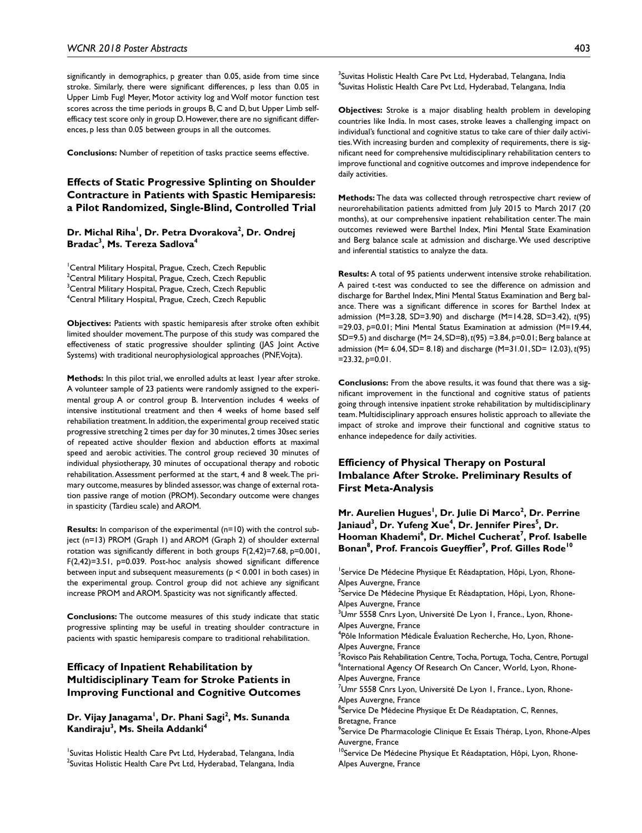significantly in demographics, p greater than 0.05, aside from time since stroke. Similarly, there were significant differences, p less than 0.05 in Upper Limb Fugl Meyer, Motor activity log and Wolf motor function test scores across the time periods in groups B, C and D, but Upper Limb selfefficacy test score only in group D. However, there are no significant differences, p less than 0.05 between groups in all the outcomes.

**Conclusions:** Number of repetition of tasks practice seems effective.

## **Effects of Static Progressive Splinting on Shoulder Contracture in Patients with Spastic Hemiparesis: a Pilot Randomized, Single-Blind, Controlled Trial**

### **Dr. Michal Riha1 , Dr. Petra Dvorakova2 , Dr. Ondrej Bradac3 , Ms. Tereza Sadlova4**

<sup>1</sup> Central Military Hospital, Prague, Czech, Czech Republic <sup>2</sup>Central Military Hospital, Prague, Czech, Czech Republic <sup>3</sup>Central Military Hospital, Prague, Czech, Czech Republic 4 Central Military Hospital, Prague, Czech, Czech Republic

**Objectives:** Patients with spastic hemiparesis after stroke often exhibit limited shoulder movement. The purpose of this study was compared the effectiveness of static progressive shoulder splinting (JAS Joint Active Systems) with traditional neurophysiological approaches (PNF, Vojta).

Methods: In this pilot trial, we enrolled adults at least 1 year after stroke. A volunteer sample of 23 patients were randomly assigned to the experimental group A or control group B. Intervention includes 4 weeks of intensive institutional treatment and then 4 weeks of home based self rehabiliation treatment. In addition, the experimental group received static progressive stretching 2 times per day for 30 minutes, 2 times 30sec series of repeated active shoulder flexion and abduction efforts at maximal speed and aerobic activities. The control group recieved 30 minutes of individual physiotherapy, 30 minutes of occupational therapy and robotic rehabilitation. Assessment performed at the start, 4 and 8 week. The primary outcome, measures by blinded assessor, was change of external rotation passive range of motion (PROM). Secondary outcome were changes in spasticity (Tardieu scale) and AROM.

**Results:** In comparison of the experimental (n=10) with the control subject (n=13) PROM (Graph 1) and AROM (Graph 2) of shoulder external rotation was significantly different in both groups F(2,42)=7.68, p=0.001, F(2,42)=3.51, p=0.039. Post-hoc analysis showed significant difference between input and subsequent measurements (p < 0.001 in both cases) in the experimental group. Control group did not achieve any significant increase PROM and AROM. Spasticity was not significantly affected.

**Conclusions:** The outcome measures of this study indicate that static progressive splinting may be useful in treating shoulder contracture in pacients with spastic hemiparesis compare to traditional rehabilitation.

## **Efficacy of Inpatient Rehabilitation by Multidisciplinary Team for Stroke Patients in Improving Functional and Cognitive Outcomes**

## Dr. Vijay Janagama<sup>l</sup>, Dr. Phani Sagi<sup>2</sup>, Ms. Sunanda **Kandiraju3 , Ms. Sheila Addanki4**

<sup>1</sup>Suvitas Holistic Health Care Pvt Ltd, Hyderabad, Telangana, India <sup>2</sup>Suvitas Holistic Health Care Pvt Ltd, Hyderabad, Telangana, India <sup>3</sup>Suvitas Holistic Health Care Pvt Ltd, Hyderabad, Telangana, India 4 Suvitas Holistic Health Care Pvt Ltd, Hyderabad, Telangana, India

**Objectives:** Stroke is a major disabling health problem in developing countries like India. In most cases, stroke leaves a challenging impact on individual's functional and cognitive status to take care of thier daily activities. With increasing burden and complexity of requirements, there is significant need for comprehensive multidisciplinary rehabilitation centers to improve functional and cognitive outcomes and improve independence for daily activities.

**Methods:** The data was collected through retrospective chart review of neurorehabilitation patients admitted from July 2015 to March 2017 (20 months), at our comprehensive inpatient rehabilitation center. The main outcomes reviewed were Barthel Index, Mini Mental State Examination and Berg balance scale at admission and discharge. We used descriptive and inferential statistics to analyze the data.

**Results:** A total of 95 patients underwent intensive stroke rehabilitation. A paired t-test was conducted to see the difference on admission and discharge for Barthel Index, Mini Mental Status Examination and Berg balance. There was a significant difference in scores for Barthel Index at admission (M=3.28, SD=3.90) and discharge (M=14.28, SD=3.42), *t*(95) =29.03, *p*=0.01; Mini Mental Status Examination at admission (M=19.44, SD=9.5) and discharge (M= 24, SD=8), *t*(95) =3.84, *p*=0.01; Berg balance at admission (M= 6.04, SD= 8.18) and discharge (M=31.01, SD= 12.03), *t*(95) =23.32, *p*=0.01.

**Conclusions:** From the above results, it was found that there was a significant improvement in the functional and cognitive status of patients going through intensive inpatient stroke rehabilitation by multidisciplinary team. Multidisciplinary approach ensures holistic approach to alleviate the impact of stroke and improve their functional and cognitive status to enhance indepedence for daily activities.

# **Efficiency of Physical Therapy on Postural Imbalance After Stroke. Preliminary Results of First Meta-Analysis**

**Mr. Aurelien Hugues<sup>I</sup>, Dr. Julie Di Marco<sup>2</sup>, Dr. Perrine Janiaud<sup>3</sup>, Dr. Yufeng Xue<sup>4</sup>, Dr. Jennifer Pires<sup>5</sup>, Dr. Hooman Khademi6 , Dr. Michel Cucherat7 , Prof. Isabelle**   $\mathsf{Bonan}^8,\mathsf{Prof.}$  Francois Gueyffier<sup>9</sup>, Prof. Gilles Rode<sup>10</sup>

<sup>1</sup>Service De Médecine Physique Et Réadaptation, Hôpi, Lyon, Rhone-Alpes Auvergne, France

<sup>2</sup>Service De Médecine Physique Et Réadaptation, Hôpi, Lyon, Rhone-Alpes Auvergne, France

<sup>3</sup>Umr 5558 Cnrs Lyon, Université De Lyon 1, France., Lyon, Rhone-Alpes Auvergne, France

4 Pôle Information Médicale Évaluation Recherche, Ho, Lyon, Rhone-Alpes Auvergne, France

<sup>5</sup>Rovisco Pais Rehabilitation Centre, Tocha, Portuga, Tocha, Centre, Portugal <sup>6</sup>International Agency Of Research On Cancer, World, Lyon, Rhone-Alpes Auvergne, France

<sup>7</sup>Umr 5558 Cnrs Lyon, Université De Lyon 1, France., Lyon, Rhone-Alpes Auvergne, France

<sup>8</sup>Service De Médecine Physique Et De Réadaptation, C, Rennes, Bretagne, France

<sup>9</sup>Service De Pharmacologie Clinique Et Essais Thérap, Lyon, Rhone-Alpes Auvergne, France

<sup>10</sup>Service De Médecine Physique Et Réadaptation, Hôpi, Lyon, Rhone-Alpes Auvergne, France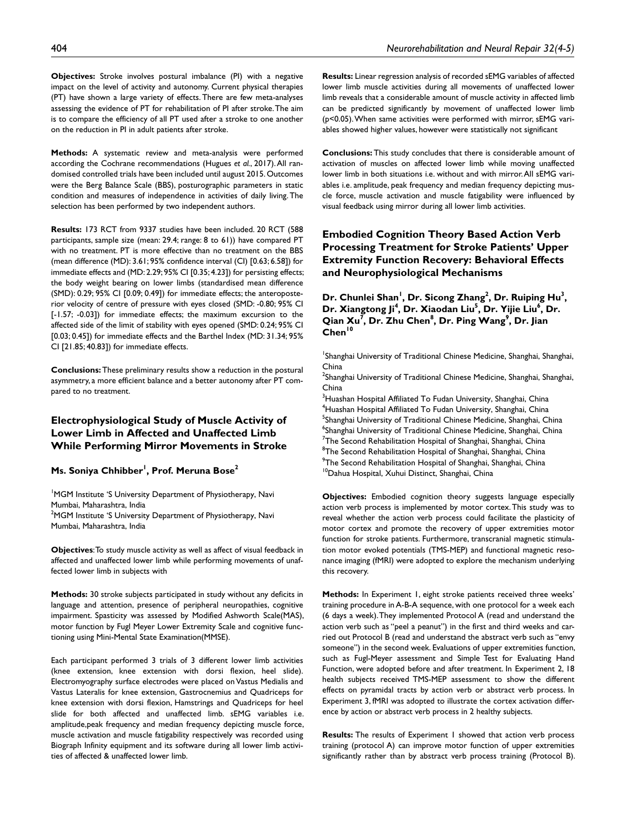**Objectives:** Stroke involves postural imbalance (PI) with a negative impact on the level of activity and autonomy. Current physical therapies (PT) have shown a large variety of effects. There are few meta-analyses assessing the evidence of PT for rehabilitation of PI after stroke. The aim is to compare the efficiency of all PT used after a stroke to one another on the reduction in PI in adult patients after stroke.

**Methods:** A systematic review and meta-analysis were performed according the Cochrane recommendations (Hugues *et al.*, 2017). All randomised controlled trials have been included until august 2015. Outcomes were the Berg Balance Scale (BBS), posturographic parameters in static condition and measures of independence in activities of daily living. The selection has been performed by two independent authors.

**Results:** 173 RCT from 9337 studies have been included. 20 RCT (588 participants, sample size (mean: 29.4; range: 8 to 61)) have compared PT with no treatment. PT is more effective than no treatment on the BBS (mean difference (MD): 3.61; 95% confidence interval (CI) [0.63; 6.58]) for immediate effects and (MD: 2.29; 95% CI [0.35; 4.23]) for persisting effects; the body weight bearing on lower limbs (standardised mean difference (SMD): 0.29; 95% CI [0.09; 0.49]) for immediate effects; the anteroposterior velocity of centre of pressure with eyes closed (SMD: -0.80; 95% CI [-1.57; -0.03]) for immediate effects; the maximum excursion to the affected side of the limit of stability with eyes opened (SMD: 0.24; 95% CI [0.03; 0.45]) for immediate effects and the Barthel Index (MD: 31.34; 95% CI [21.85; 40.83]) for immediate effects.

**Conclusions:** These preliminary results show a reduction in the postural asymmetry, a more efficient balance and a better autonomy after PT compared to no treatment.

## **Electrophysiological Study of Muscle Activity of Lower Limb in Affected and Unaffected Limb While Performing Mirror Movements in Stroke**

### **Ms. Soniya Chhibber1 , Prof. Meruna Bose2**

<sup>1</sup>MGM Institute 'S University Department of Physiotherapy, Navi Mumbai, Maharashtra, India <sup>2</sup>MGM Institute 'S University Department of Physiotherapy, Navi Mumbai, Maharashtra, India

**Objectives**: To study muscle activity as well as affect of visual feedback in affected and unaffected lower limb while performing movements of unaffected lower limb in subjects with

**Methods:** 30 stroke subjects participated in study without any deficits in language and attention, presence of peripheral neuropathies, cognitive impairment. Spasticity was assessed by Modified Ashworth Scale(MAS), motor function by Fugl Meyer Lower Extremity Scale and cognitive functioning using Mini-Mental State Examination(MMSE).

Each participant performed 3 trials of 3 different lower limb activities (knee extension, knee extension with dorsi flexion, heel slide). Electromyography surface electrodes were placed on Vastus Medialis and Vastus Lateralis for knee extension, Gastrocnemius and Quadriceps for knee extension with dorsi flexion, Hamstrings and Quadriceps for heel slide for both affected and unaffected limb. sEMG variables i.e. amplitude,peak frequency and median frequency depicting muscle force, muscle activation and muscle fatigability respectively was recorded using Biograph Infinity equipment and its software during all lower limb activities of affected & unaffected lower limb.

**Results:** Linear regression analysis of recorded sEMG variables of affected lower limb muscle activities during all movements of unaffected lower limb reveals that a considerable amount of muscle activity in affected limb can be predicted significantly by movement of unaffected lower limb (p<0.05). When same activities were performed with mirror, sEMG variables showed higher values, however were statistically not significant

**Conclusions:** This study concludes that there is considerable amount of activation of muscles on affected lower limb while moving unaffected lower limb in both situations i.e. without and with mirror. All sEMG variables i.e. amplitude, peak frequency and median frequency depicting muscle force, muscle activation and muscle fatigability were influenced by visual feedback using mirror during all lower limb activities.

# **Embodied Cognition Theory Based Action Verb Processing Treatment for Stroke Patients' Upper Extremity Function Recovery: Behavioral Effects and Neurophysiological Mechanisms**

Dr. Chunlei Shan<sup>1</sup>, Dr. Sicong Zhang<sup>2</sup>, Dr. Ruiping Hu<sup>3</sup>, Dr. Xiangtong Ji<sup>4</sup>, Dr. Xiaodan Liu<sup>5</sup>, Dr. Yijie Liu<sup>6</sup>, Dr. **Qian Xu<sup>7</sup>, Dr. Zhu Chen<sup>8</sup>, Dr. Ping Wang<sup>9</sup>, Dr. Jian** Chen<sup>10</sup>

<sup>1</sup>Shanghai University of Traditional Chinese Medicine, Shanghai, Shanghai, China

<sup>2</sup>Shanghai University of Traditional Chinese Medicine, Shanghai, Shanghai, China

 $^3$ Huashan Hospital Affiliated To Fudan University, Shanghai, China 4 Huashan Hospital Affiliated To Fudan University, Shanghai, China <sup>5</sup>Shanghai University of Traditional Chinese Medicine, Shanghai, China <sup>6</sup>Shanghai University of Traditional Chinese Medicine, Shanghai, China  $\rm ^7$ The Second Rehabilitation Hospital of Shanghai, Shanghai, China  $^8\!$ The Second Rehabilitation Hospital of Shanghai, Shanghai, China  $^9$ The Second Rehabilitation Hospital of Shanghai, Shanghai, China <sup>10</sup>Dahua Hospital, Xuhui Distinct, Shanghai, China

**Objectives:** Embodied cognition theory suggests language especially action verb process is implemented by motor cortex. This study was to reveal whether the action verb process could facilitate the plasticity of motor cortex and promote the recovery of upper extremities motor function for stroke patients. Furthermore, transcranial magnetic stimulation motor evoked potentials (TMS-MEP) and functional magnetic resonance imaging (fMRI) were adopted to explore the mechanism underlying this recovery.

**Methods:** In Experiment 1, eight stroke patients received three weeks' training procedure in A-B-A sequence, with one protocol for a week each (6 days a week). They implemented Protocol A (read and understand the action verb such as "peel a peanut") in the first and third weeks and carried out Protocol B (read and understand the abstract verb such as "envy someone") in the second week. Evaluations of upper extremities function, such as Fugl-Meyer assessment and Simple Test for Evaluating Hand Function, were adopted before and after treatment. In Experiment 2, 18 health subjects received TMS-MEP assessment to show the different effects on pyramidal tracts by action verb or abstract verb process. In Experiment 3, fMRI was adopted to illustrate the cortex activation difference by action or abstract verb process in 2 healthy subjects.

**Results:** The results of Experiment 1 showed that action verb process training (protocol A) can improve motor function of upper extremities significantly rather than by abstract verb process training (Protocol B).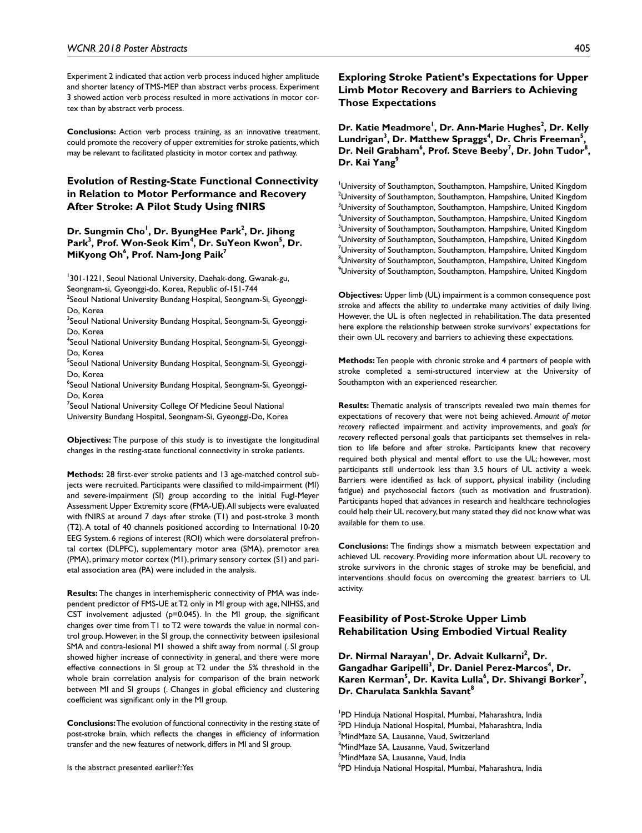Experiment 2 indicated that action verb process induced higher amplitude and shorter latency of TMS-MEP than abstract verbs process. Experiment 3 showed action verb process resulted in more activations in motor cortex than by abstract verb process.

**Conclusions:** Action verb process training, as an innovative treatment, could promote the recovery of upper extremities for stroke patients, which may be relevant to facilitated plasticity in motor cortex and pathway.

## **Evolution of Resting-State Functional Connectivity in Relation to Motor Performance and Recovery After Stroke: A Pilot Study Using fNIRS**

## Dr. Sungmin Cho<sup>1</sup>, Dr. ByungHee Park<sup>2</sup>, Dr. Jihong Park<sup>3</sup>, Prof. Won-Seok Kim<sup>4</sup>, Dr. SuYeon Kwon<sup>5</sup>, Dr. **MiKyong Oh6 , Prof. Nam-Jong Paik7**

<sup>1</sup>301-1221, Seoul National University, Daehak-dong, Gwanak-gu, Seongnam-si, Gyeonggi-do, Korea, Republic of-151-744

<sup>2</sup>Seoul National University Bundang Hospital, Seongnam-Si, Gyeonggi-Do, Korea

<sup>3</sup>Seoul National University Bundang Hospital, Seongnam-Si, Gyeonggi-Do, Korea

4 Seoul National University Bundang Hospital, Seongnam-Si, Gyeonggi-Do, Korea

<sup>5</sup>Seoul National University Bundang Hospital, Seongnam-Si, Gyeonggi-Do, Korea

6 Seoul National University Bundang Hospital, Seongnam-Si, Gyeonggi-Do, Korea

<sup>7</sup>Seoul National University College Of Medicine Seoul National University Bundang Hospital, Seongnam-Si, Gyeonggi-Do, Korea

**Objectives:** The purpose of this study is to investigate the longitudinal changes in the resting-state functional connectivity in stroke patients.

**Methods:** 28 first-ever stroke patients and 13 age-matched control subjects were recruited. Participants were classified to mild-impairment (MI) and severe-impairment (SI) group according to the initial Fugl-Meyer Assessment Upper Extremity score (FMA-UE). All subjects were evaluated with fNIRS at around 7 days after stroke (T1) and post-stroke 3 month (T2). A total of 40 channels positioned according to International 10-20 EEG System. 6 regions of interest (ROI) which were dorsolateral prefrontal cortex (DLPFC), supplementary motor area (SMA), premotor area (PMA), primary motor cortex (M1), primary sensory cortex (S1) and parietal association area (PA) were included in the analysis.

**Results:** The changes in interhemispheric connectivity of PMA was independent predictor of FMS-UE at T2 only in MI group with age, NIHSS, and CST involvement adjusted (p=0.045). In the MI group, the significant changes over time from T1 to T2 were towards the value in normal control group. However, in the SI group, the connectivity between ipsilesional SMA and contra-lesional M1 showed a shift away from normal (. SI group showed higher increase of connectivity in general, and there were more effective connections in SI group at T2 under the 5% threshold in the whole brain correlation analysis for comparison of the brain network between MI and SI groups (. Changes in global efficiency and clustering coefficient was significant only in the MI group.

**Conclusions:** The evolution of functional connectivity in the resting state of post-stroke brain, which reflects the changes in efficiency of information transfer and the new features of network, differs in MI and SI group.

## **Exploring Stroke Patient's Expectations for Upper Limb Motor Recovery and Barriers to Achieving Those Expectations**

Dr. Katie Meadmore<sup>1</sup>, Dr. Ann-Marie Hughes<sup>2</sup>, Dr. Kelly Lundrigan<sup>3</sup>, Dr. Matthew Spraggs<sup>4</sup>, Dr. Chris Freeman<sup>5</sup>, Dr. Neil Grabham<sup>6</sup>, Prof. Steve Beeby<sup>7</sup>, Dr. John Tudor<sup>8</sup>, **Dr. Kai Yang9**

1 University of Southampton, Southampton, Hampshire, United Kingdom  $^{\rm 2}$ University of Southampton, Southampton, Hampshire, United Kingdom  $^3$ University of Southampton, Southampton, Hampshire, United Kingdom 4 University of Southampton, Southampton, Hampshire, United Kingdom  $^5$ University of Southampton, Southampton, Hampshire, United Kingdom  $^6$ University of Southampton, Southampton, Hampshire, United Kingdom  $^7$ University of Southampton, Southampton, Hampshire, United Kingdom  $^8$ University of Southampton, Southampton, Hampshire, United Kingdom  $^9$ University of Southampton, Southampton, Hampshire, United Kingdom

**Objectives:** Upper limb (UL) impairment is a common consequence post stroke and affects the ability to undertake many activities of daily living. However, the UL is often neglected in rehabilitation. The data presented here explore the relationship between stroke survivors' expectations for their own UL recovery and barriers to achieving these expectations.

**Methods:** Ten people with chronic stroke and 4 partners of people with stroke completed a semi-structured interview at the University of Southampton with an experienced researcher.

**Results:** Thematic analysis of transcripts revealed two main themes for expectations of recovery that were not being achieved. *Amount of motor recovery* reflected impairment and activity improvements, and *goals for recovery* reflected personal goals that participants set themselves in relation to life before and after stroke. Participants knew that recovery required both physical and mental effort to use the UL; however, most participants still undertook less than 3.5 hours of UL activity a week. Barriers were identified as lack of support, physical inability (including fatigue) and psychosocial factors (such as motivation and frustration). Participants hoped that advances in research and healthcare technologies could help their UL recovery, but many stated they did not know what was available for them to use.

**Conclusions:** The findings show a mismatch between expectation and achieved UL recovery. Providing more information about UL recovery to stroke survivors in the chronic stages of stroke may be beneficial, and interventions should focus on overcoming the greatest barriers to UL activity.

## **Feasibility of Post-Stroke Upper Limb Rehabilitation Using Embodied Virtual Reality**

Dr. Nirmal Narayan<sup>1</sup>, Dr. Advait Kulkarni<sup>2</sup>, Dr. **Gangadhar Garipelli<sup>3</sup>, Dr. Daniel Perez-Marcos<sup>4</sup>, Dr.** Karen Kerman<sup>5</sup>, Dr. Kavita Lulla<sup>6</sup>, Dr. Shivangi Borker<sup>7</sup>, **Dr. Charulata Sankhla Savant<sup>8</sup>** 

1 PD Hinduja National Hospital, Mumbai, Maharashtra, India <sup>2</sup>PD Hinduja National Hospital, Mumbai, Maharashtra, India <sup>3</sup>MindMaze SA, Lausanne, Vaud, Switzerland 4 MindMaze SA, Lausanne, Vaud, Switzerland <sup>5</sup>MindMaze SA, Lausanne, Vaud, India 6 PD Hinduja National Hospital, Mumbai, Maharashtra, India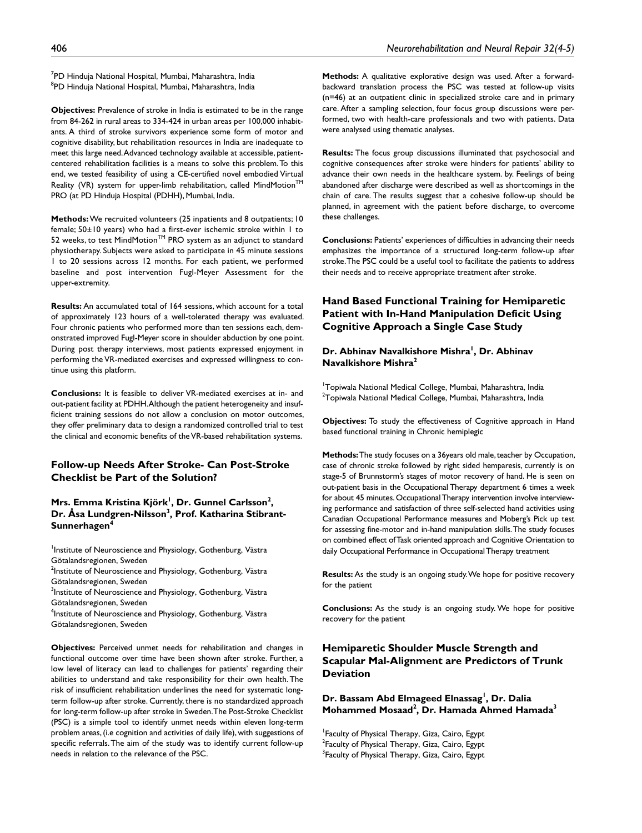<sup>7</sup>PD Hinduja National Hospital, Mumbai, Maharashtra, India <sup>8</sup>PD Hinduja National Hospital, Mumbai, Maharashtra, India

**Objectives:** Prevalence of stroke in India is estimated to be in the range from 84-262 in rural areas to 334-424 in urban areas per 100,000 inhabitants. A third of stroke survivors experience some form of motor and cognitive disability, but rehabilitation resources in India are inadequate to meet this large need. Advanced technology available at accessible, patientcentered rehabilitation facilities is a means to solve this problem. To this end, we tested feasibility of using a CE-certified novel embodied Virtual Reality (VR) system for upper-limb rehabilitation, called MindMotion<sup>™</sup> PRO (at PD Hinduja Hospital (PDHH), Mumbai, India.

**Methods:** We recruited volunteers (25 inpatients and 8 outpatients; 10 female; 50±10 years) who had a first-ever ischemic stroke within 1 to 52 weeks, to test MindMotion™ PRO system as an adjunct to standard physiotherapy. Subjects were asked to participate in 45 minute sessions 1 to 20 sessions across 12 months. For each patient, we performed baseline and post intervention Fugl-Meyer Assessment for the upper-extremity.

**Results:** An accumulated total of 164 sessions, which account for a total of approximately 123 hours of a well-tolerated therapy was evaluated. Four chronic patients who performed more than ten sessions each, demonstrated improved Fugl-Meyer score in shoulder abduction by one point. During post therapy interviews, most patients expressed enjoyment in performing the VR-mediated exercises and expressed willingness to continue using this platform.

**Conclusions:** It is feasible to deliver VR-mediated exercises at in- and out-patient facility at PDHH. Although the patient heterogeneity and insufficient training sessions do not allow a conclusion on motor outcomes, they offer preliminary data to design a randomized controlled trial to test the clinical and economic benefits of the VR-based rehabilitation systems.

## **Follow-up Needs After Stroke- Can Post-Stroke Checklist be Part of the Solution?**

## **Mrs. Emma Kristina Kjörk<sup>1</sup>, Dr. Gunnel Carlsson<sup>2</sup>,** Dr. Åsa Lundgren-Nilsson<sup>3</sup>, Prof. Katharina Stibrant-**Sunnerhagen<sup>4</sup>**

Institute of Neuroscience and Physiology, Gothenburg, Västra Götalandsregionen, Sweden

<sup>2</sup>Institute of Neuroscience and Physiology, Gothenburg, Västra Götalandsregionen, Sweden

 $^3$ Institute of Neuroscience and Physiology, Gothenburg, Västra Götalandsregionen, Sweden

<sup>4</sup>Institute of Neuroscience and Physiology, Gothenburg, Västra Götalandsregionen, Sweden

**Objectives:** Perceived unmet needs for rehabilitation and changes in functional outcome over time have been shown after stroke. Further, a low level of literacy can lead to challenges for patients' regarding their abilities to understand and take responsibility for their own health. The risk of insufficient rehabilitation underlines the need for systematic longterm follow-up after stroke. Currently, there is no standardized approach for long-term follow-up after stroke in Sweden. The Post-Stroke Checklist (PSC) is a simple tool to identify unmet needs within eleven long-term problem areas, (i.e cognition and activities of daily life), with suggestions of specific referrals. The aim of the study was to identify current follow-up needs in relation to the relevance of the PSC.

**Methods:** A qualitative explorative design was used. After a forwardbackward translation process the PSC was tested at follow-up visits (n=46) at an outpatient clinic in specialized stroke care and in primary care. After a sampling selection, four focus group discussions were performed, two with health-care professionals and two with patients. Data were analysed using thematic analyses.

**Results:** The focus group discussions illuminated that psychosocial and cognitive consequences after stroke were hinders for patients' ability to advance their own needs in the healthcare system. by. Feelings of being abandoned after discharge were described as well as shortcomings in the chain of care. The results suggest that a cohesive follow-up should be planned, in agreement with the patient before discharge, to overcome these challenges.

**Conclusions:** Patients' experiences of difficulties in advancing their needs emphasizes the importance of a structured long-term follow-up after stroke. The PSC could be a useful tool to facilitate the patients to address their needs and to receive appropriate treatment after stroke.

## **Hand Based Functional Training for Hemiparetic Patient with In-Hand Manipulation Deficit Using Cognitive Approach a Single Case Study**

## **Dr. Abhinav Navalkishore Mishra1 , Dr. Abhinav Navalkishore Mishra<sup>2</sup>**

<sup>1</sup>Topiwala National Medical College, Mumbai, Maharashtra, India  $^{\rm 2}$ Topiwala National Medical College, Mumbai, Maharashtra, India

**Objectives:** To study the effectiveness of Cognitive approach in Hand based functional training in Chronic hemiplegic

**Methods:** The study focuses on a 36years old male, teacher by Occupation, case of chronic stroke followed by right sided hemparesis, currently is on stage-5 of Brunnstorm's stages of motor recovery of hand. He is seen on out-patient basis in the Occupational Therapy department 6 times a week for about 45 minutes. Occupational Therapy intervention involve interviewing performance and satisfaction of three self-selected hand activities using Canadian Occupational Performance measures and Moberg's Pick up test for assessing fine-motor and in-hand manipulation skills. The study focuses on combined effect of Task oriented approach and Cognitive Orientation to daily Occupational Performance in Occupational Therapy treatment

**Results:** As the study is an ongoing study. We hope for positive recovery for the patient

**Conclusions:** As the study is an ongoing study. We hope for positive recovery for the patient

# **Hemiparetic Shoulder Muscle Strength and Scapular Mal-Alignment are Predictors of Trunk Deviation**

Dr. Bassam Abd Elmageed Elnassag<sup>1</sup>, Dr. Dalia **Mohammed Mosaad<sup>2</sup> , Dr. Hamada Ahmed Hamada3**

<sup>1</sup> Faculty of Physical Therapy, Giza, Cairo, Egypt  $^{2}$ Faculty of Physical Therapy, Giza, Cairo, Egypt  $^3$ Faculty of Physical Therapy, Giza, Cairo, Egypt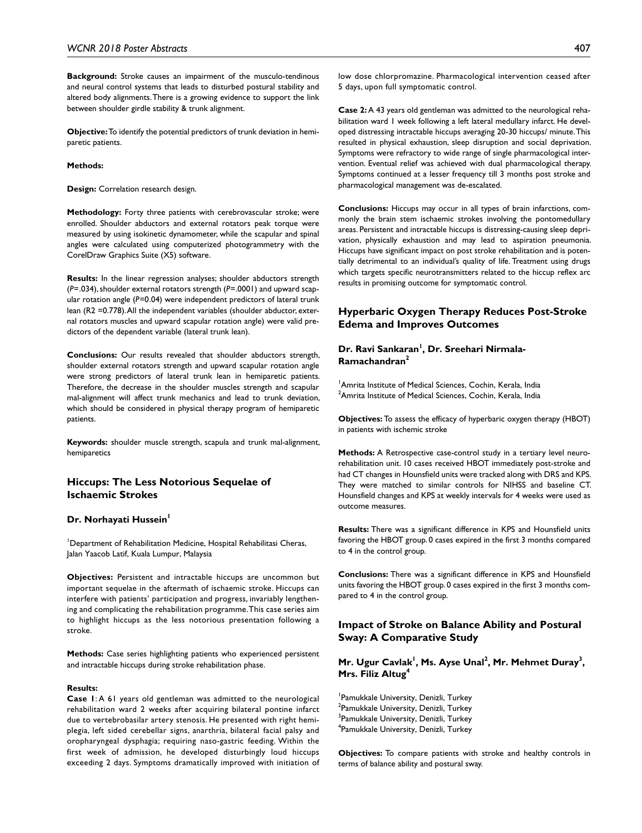**Background:** Stroke causes an impairment of the musculo-tendinous and neural control systems that leads to disturbed postural stability and altered body alignments. There is a growing evidence to support the link between shoulder girdle stability & trunk alignment.

**Objective:** To identify the potential predictors of trunk deviation in hemiparetic patients.

#### **Methods:**

**Design:** Correlation research design.

**Methodology:** Forty three patients with cerebrovascular stroke; were enrolled. Shoulder abductors and external rotators peak torque were measured by using isokinetic dynamometer, while the scapular and spinal angles were calculated using computerized photogrammetry with the CorelDraw Graphics Suite (X5) software.

**Results:** In the linear regression analyses; shoulder abductors strength (*P*=.034), shoulder external rotators strength (*P*=.0001) and upward scapular rotation angle (P=0.04) were independent predictors of lateral trunk lean (R2 =0.778). All the independent variables (shoulder abductor, external rotators muscles and upward scapular rotation angle) were valid predictors of the dependent variable (lateral trunk lean).

**Conclusions:** Our results revealed that shoulder abductors strength, shoulder external rotators strength and upward scapular rotation angle were strong predictors of lateral trunk lean in hemiparetic patients. Therefore, the decrease in the shoulder muscles strength and scapular mal-alignment will affect trunk mechanics and lead to trunk deviation, which should be considered in physical therapy program of hemiparetic patients.

**Keywords:** shoulder muscle strength, scapula and trunk mal-alignment, hemiparetics

### **Hiccups: The Less Notorious Sequelae of Ischaemic Strokes**

### **Dr. Norhayati Hussein**

<sup>1</sup>Department of Rehabilitation Medicine, Hospital Rehabilitasi Cheras, Jalan Yaacob Latif, Kuala Lumpur, Malaysia

**Objectives:** Persistent and intractable hiccups are uncommon but important sequelae in the aftermath of ischaemic stroke. Hiccups can interfere with patients' participation and progress, invariably lengthening and complicating the rehabilitation programme. This case series aim to highlight hiccups as the less notorious presentation following a stroke.

**Methods:** Case series highlighting patients who experienced persistent and intractable hiccups during stroke rehabilitation phase.

#### **Results:**

**Case 1**: A 61 years old gentleman was admitted to the neurological rehabilitation ward 2 weeks after acquiring bilateral pontine infarct due to vertebrobasilar artery stenosis. He presented with right hemiplegia, left sided cerebellar signs, anarthria, bilateral facial palsy and oropharyngeal dysphagia; requiring naso-gastric feeding. Within the first week of admission, he developed disturbingly loud hiccups exceeding 2 days. Symptoms dramatically improved with initiation of low dose chlorpromazine. Pharmacological intervention ceased after 5 days, upon full symptomatic control.

**Case 2:** A 43 years old gentleman was admitted to the neurological rehabilitation ward 1 week following a left lateral medullary infarct. He developed distressing intractable hiccups averaging 20-30 hiccups/ minute. This resulted in physical exhaustion, sleep disruption and social deprivation. Symptoms were refractory to wide range of single pharmacological intervention. Eventual relief was achieved with dual pharmacological therapy. Symptoms continued at a lesser frequency till 3 months post stroke and pharmacological management was de-escalated.

**Conclusions:** Hiccups may occur in all types of brain infarctions, commonly the brain stem ischaemic strokes involving the pontomedullary areas. Persistent and intractable hiccups is distressing-causing sleep deprivation, physically exhaustion and may lead to aspiration pneumonia. Hiccups have significant impact on post stroke rehabilitation and is potentially detrimental to an individual's quality of life. Treatment using drugs which targets specific neurotransmitters related to the hiccup reflex arc results in promising outcome for symptomatic control.

### **Hyperbaric Oxygen Therapy Reduces Post-Stroke Edema and Improves Outcomes**

### Dr. Ravi Sankaran<sup>'</sup>, Dr. Sreehari Nirmala-**Ramachandran<sup>2</sup>**

<sup>1</sup> Amrita Institute of Medical Sciences, Cochin, Kerala, India  $^2$ Amrita Institute of Medical Sciences, Cochin, Kerala, India

**Objectives:** To assess the efficacy of hyperbaric oxygen therapy (HBOT) in patients with ischemic stroke

**Methods:** A Retrospective case-control study in a tertiary level neurorehabilitation unit. 10 cases received HBOT immediately post-stroke and had CT changes in Hounsfield units were tracked along with DRS and KPS. They were matched to similar controls for NIHSS and baseline CT. Hounsfield changes and KPS at weekly intervals for 4 weeks were used as outcome measures.

**Results:** There was a significant difference in KPS and Hounsfield units favoring the HBOT group. 0 cases expired in the first 3 months compared to 4 in the control group.

**Conclusions:** There was a significant difference in KPS and Hounsfield units favoring the HBOT group. 0 cases expired in the first 3 months compared to 4 in the control group.

## **Impact of Stroke on Balance Ability and Postural Sway: A Comparative Study**

## Mr. Ugur Cavlak<sup>1</sup>, Ms. Ayse Unal<sup>2</sup>, Mr. Mehmet Duray<sup>3</sup>, **Mrs. Filiz Altug<sup>4</sup>**

<sup>1</sup> Pamukkale University, Denizli, Turkey <sup>2</sup>Pamukkale University, Denizli, Turkey <sup>3</sup>Pamukkale University, Denizli, Turkey 4 Pamukkale University, Denizli, Turkey

**Objectives:** To compare patients with stroke and healthy controls in terms of balance ability and postural sway.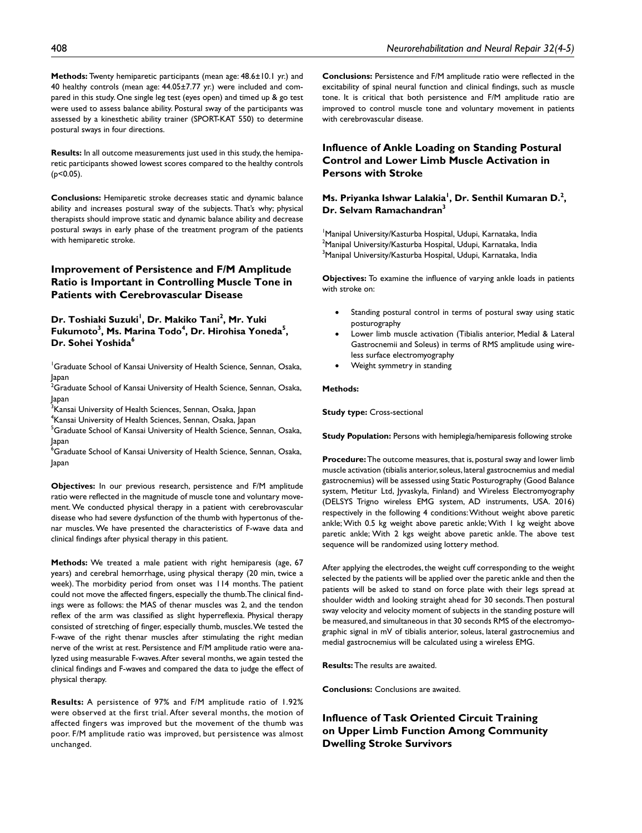**Methods:** Twenty hemiparetic participants (mean age: 48.6±10.1 yr.) and 40 healthy controls (mean age: 44.05±7.77 yr.) were included and compared in this study. One single leg test (eyes open) and timed up & go test were used to assess balance ability. Postural sway of the participants was assessed by a kinesthetic ability trainer (SPORT-KAT 550) to determine postural sways in four directions.

**Results:** In all outcome measurements just used in this study, the hemiparetic participants showed lowest scores compared to the healthy controls (p<0.05).

**Conclusions:** Hemiparetic stroke decreases static and dynamic balance ability and increases postural sway of the subjects. That's why; physical therapists should improve static and dynamic balance ability and decrease postural sways in early phase of the treatment program of the patients with hemiparetic stroke.

# **Improvement of Persistence and F/M Amplitude Ratio is Important in Controlling Muscle Tone in Patients with Cerebrovascular Disease**

Dr. Toshiaki Suzuki<sup>'</sup>, Dr. Makiko Tani<sup>2</sup>, Mr. Yuki Fukumoto<sup>3</sup>, Ms. Marina Todo<sup>4</sup>, Dr. Hirohisa Yoneda<sup>5</sup>, Dr. Sohei Yoshida<sup>6</sup>

<sup>1</sup>Graduate School of Kansai University of Health Science, Sennan, Osaka, Japan

 $^2$ Graduate School of Kansai University of Health Science, Sennan, Osaka, Japan

<sup>3</sup>Kansai University of Health Sciences, Sennan, Osaka, Japan

4 Kansai University of Health Sciences, Sennan, Osaka, Japan

<sup>5</sup>Graduate School of Kansai University of Health Science, Sennan, Osaka, Japan

6 Graduate School of Kansai University of Health Science, Sennan, Osaka, Japan

**Objectives:** In our previous research, persistence and F/M amplitude ratio were reflected in the magnitude of muscle tone and voluntary movement. We conducted physical therapy in a patient with cerebrovascular disease who had severe dysfunction of the thumb with hypertonus of thenar muscles. We have presented the characteristics of F-wave data and clinical findings after physical therapy in this patient.

**Methods:** We treated a male patient with right hemiparesis (age, 67 years) and cerebral hemorrhage, using physical therapy (20 min, twice a week). The morbidity period from onset was 114 months. The patient could not move the affected fingers, especially the thumb. The clinical findings were as follows: the MAS of thenar muscles was 2, and the tendon reflex of the arm was classified as slight hyperreflexia. Physical therapy consisted of stretching of finger, especially thumb, muscles. We tested the F-wave of the right thenar muscles after stimulating the right median nerve of the wrist at rest. Persistence and F/M amplitude ratio were analyzed using measurable F-waves. After several months, we again tested the clinical findings and F-waves and compared the data to judge the effect of physical therapy.

**Results:** A persistence of 97% and F/M amplitude ratio of 1.92% were observed at the first trial. After several months, the motion of affected fingers was improved but the movement of the thumb was poor. F/M amplitude ratio was improved, but persistence was almost unchanged.

**Conclusions:** Persistence and F/M amplitude ratio were reflected in the excitability of spinal neural function and clinical findings, such as muscle tone. It is critical that both persistence and F/M amplitude ratio are improved to control muscle tone and voluntary movement in patients with cerebrovascular disease.

## **Influence of Ankle Loading on Standing Postural Control and Lower Limb Muscle Activation in Persons with Stroke**

### **Ms. Priyanka Ishwar Lalakia<sup>'</sup>, Dr. Senthil Kumaran D.<sup>2</sup>, Dr. Selvam Ramachandran3**

1 Manipal University/Kasturba Hospital, Udupi, Karnataka, India <sup>2</sup>Manipal University/Kasturba Hospital, Udupi, Karnataka, India <sup>3</sup>Manipal University/Kasturba Hospital, Udupi, Karnataka, India

**Objectives:** To examine the influence of varying ankle loads in patients with stroke on:

- Standing postural control in terms of postural sway using static posturography
- Lower limb muscle activation (Tibialis anterior, Medial & Lateral Gastrocnemii and Soleus) in terms of RMS amplitude using wireless surface electromyography
- Weight symmetry in standing

#### **Methods:**

**Study type:** Cross-sectional

**Study Population:** Persons with hemiplegia/hemiparesis following stroke

**Procedure:** The outcome measures, that is, postural sway and lower limb muscle activation (tibialis anterior, soleus, lateral gastrocnemius and medial gastrocnemius) will be assessed using Static Posturography (Good Balance system, Metitur Ltd, Jyvaskyla, Finland) and Wireless Electromyography (DELSYS Trigno wireless EMG system, AD instruments, USA. 2016) respectively in the following 4 conditions: Without weight above paretic ankle; With 0.5 kg weight above paretic ankle; With 1 kg weight above paretic ankle; With 2 kgs weight above paretic ankle. The above test sequence will be randomized using lottery method.

After applying the electrodes, the weight cuff corresponding to the weight selected by the patients will be applied over the paretic ankle and then the patients will be asked to stand on force plate with their legs spread at shoulder width and looking straight ahead for 30 seconds. Then postural sway velocity and velocity moment of subjects in the standing posture will be measured, and simultaneous in that 30 seconds RMS of the electromyographic signal in mV of tibialis anterior, soleus, lateral gastrocnemius and medial gastrocnemius will be calculated using a wireless EMG.

**Results:** The results are awaited.

**Conclusions:** Conclusions are awaited.

**Influence of Task Oriented Circuit Training on Upper Limb Function Among Community Dwelling Stroke Survivors**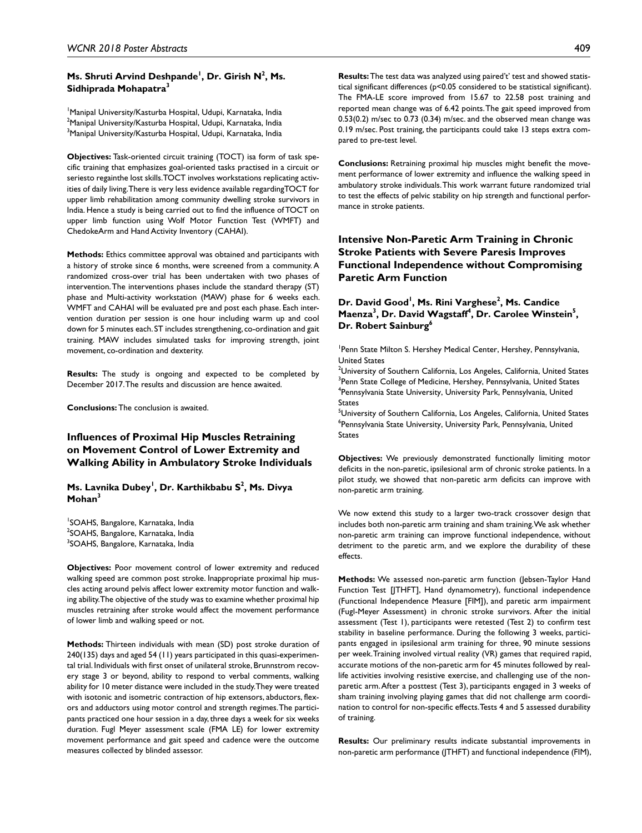### Ms. Shruti Arvind Deshpande<sup>1</sup>, Dr. Girish N<sup>2</sup>, Ms. **Sidhiprada Mohapatra3**

1 Manipal University/Kasturba Hospital, Udupi, Karnataka, India <sup>2</sup>Manipal University/Kasturba Hospital, Udupi, Karnataka, India <sup>3</sup>Manipal University/Kasturba Hospital, Udupi, Karnataka, India

**Objectives:** Task-oriented circuit training (TOCT) isa form of task specific training that emphasizes goal-oriented tasks practised in a circuit or seriesto regainthe lost skills. TOCT involves workstations replicating activities of daily living. There is very less evidence available regardingTOCT for upper limb rehabilitation among community dwelling stroke survivors in India. Hence a study is being carried out to find the influence of TOCT on upper limb function using Wolf Motor Function Test (WMFT) and ChedokeArm and Hand Activity Inventory (CAHAI).

**Methods:** Ethics committee approval was obtained and participants with a history of stroke since 6 months, were screened from a community. A randomized cross-over trial has been undertaken with two phases of intervention. The interventions phases include the standard therapy (ST) phase and Multi-activity workstation (MAW) phase for 6 weeks each. WMFT and CAHAI will be evaluated pre and post each phase. Each intervention duration per session is one hour including warm up and cool down for 5 minutes each. ST includes strengthening, co-ordination and gait training. MAW includes simulated tasks for improving strength, joint movement, co-ordination and dexterity.

**Results:** The study is ongoing and expected to be completed by December 2017. The results and discussion are hence awaited.

**Conclusions:** The conclusion is awaited.

# **Influences of Proximal Hip Muscles Retraining on Movement Control of Lower Extremity and Walking Ability in Ambulatory Stroke Individuals**

### **Ms. Lavnika Dubey<sup>l</sup>, Dr. Karthikbabu S<sup>2</sup>, Ms. Divya Mohan3**

<sup>1</sup>SOAHS, Bangalore, Karnataka, India <sup>2</sup>SOAHS, Bangalore, Karnataka, India <sup>3</sup>SOAHS, Bangalore, Karnataka, India

**Objectives:** Poor movement control of lower extremity and reduced walking speed are common post stroke. Inappropriate proximal hip muscles acting around pelvis affect lower extremity motor function and walking ability. The objective of the study was to examine whether proximal hip muscles retraining after stroke would affect the movement performance of lower limb and walking speed or not.

**Methods:** Thirteen individuals with mean (SD) post stroke duration of 240(135) days and aged 54 (11) years participated in this quasi-experimental trial. Individuals with first onset of unilateral stroke, Brunnstrom recovery stage 3 or beyond, ability to respond to verbal comments, walking ability for 10 meter distance were included in the study. They were treated with isotonic and isometric contraction of hip extensors, abductors, flexors and adductors using motor control and strength regimes. The participants practiced one hour session in a day, three days a week for six weeks duration. Fugl Meyer assessment scale (FMA LE) for lower extremity movement performance and gait speed and cadence were the outcome measures collected by blinded assessor.

**Results:** The test data was analyzed using paired't' test and showed statistical significant differences (p<0.05 considered to be statistical significant). The FMA-LE score improved from 15.67 to 22.58 post training and reported mean change was of 6.42 points. The gait speed improved from 0.53(0.2) m/sec to 0.73 (0.34) m/sec. and the observed mean change was 0.19 m/sec. Post training, the participants could take 13 steps extra compared to pre-test level.

**Conclusions:** Retraining proximal hip muscles might benefit the movement performance of lower extremity and influence the walking speed in ambulatory stroke individuals. This work warrant future randomized trial to test the effects of pelvic stability on hip strength and functional performance in stroke patients.

# **Intensive Non-Paretic Arm Training in Chronic Stroke Patients with Severe Paresis Improves Functional Independence without Compromising Paretic Arm Function**

## Dr. David Good<sup>1</sup>, Ms. Rini Varghese<sup>2</sup>, Ms. Candice Maenza<sup>3</sup>, Dr. David Wagstaff<sup>4</sup>, Dr. Carolee Winstein<sup>5</sup>, **Dr. Robert Sainburg**<sup>6</sup>

<sup>1</sup> Penn State Milton S. Hershey Medical Center, Hershey, Pennsylvania, United States

 $^{2}$ University of Southern California, Los Angeles, California, United States <sup>3</sup>Penn State College of Medicine, Hershey, Pennsylvania, United States 4 Pennsylvania State University, University Park, Pennsylvania, United States

<sup>5</sup>University of Southern California, Los Angeles, California, United States 6 Pennsylvania State University, University Park, Pennsylvania, United States

**Objectives:** We previously demonstrated functionally limiting motor deficits in the non-paretic, ipsilesional arm of chronic stroke patients. In a pilot study, we showed that non-paretic arm deficits can improve with non-paretic arm training.

We now extend this study to a larger two-track crossover design that includes both non-paretic arm training and sham training. We ask whether non-paretic arm training can improve functional independence, without detriment to the paretic arm, and we explore the durability of these effects.

**Methods:** We assessed non-paretic arm function (Jebsen-Taylor Hand Function Test [JTHFT], Hand dynamometry), functional independence (Functional Independence Measure [FIM]), and paretic arm impairment (Fugl-Meyer Assessment) in chronic stroke survivors. After the initial assessment (Test 1), participants were retested (Test 2) to confirm test stability in baseline performance. During the following 3 weeks, participants engaged in ipsilesional arm training for three, 90 minute sessions per week. Training involved virtual reality (VR) games that required rapid, accurate motions of the non-paretic arm for 45 minutes followed by reallife activities involving resistive exercise, and challenging use of the nonparetic arm. After a posttest (Test 3), participants engaged in 3 weeks of sham training involving playing games that did not challenge arm coordination to control for non-specific effects. Tests 4 and 5 assessed durability of training.

**Results:** Our preliminary results indicate substantial improvements in non-paretic arm performance (JTHFT) and functional independence (FIM),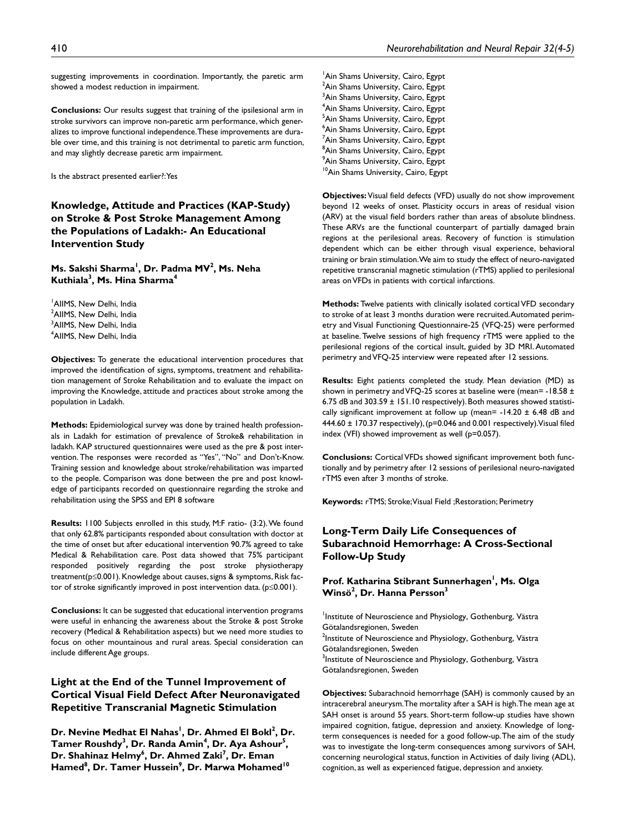suggesting improvements in coordination. Importantly, the paretic arm showed a modest reduction in impairment.

**Conclusions:** Our results suggest that training of the ipsilesional arm in stroke survivors can improve non-paretic arm performance, which generalizes to improve functional independence. These improvements are durable over time, and this training is not detrimental to paretic arm function, and may slightly decrease paretic arm impairment.

Is the abstract presented earlier?: Yes

**Knowledge, Attitude and Practices (KAP-Study) on Stroke & Post Stroke Management Among the Populations of Ladakh:- An Educational Intervention Study**

**Ms. Sakshi Sharma<sup>l</sup>, Dr. Padma MV<sup>2</sup>, Ms. Neha Kuthiala3 , Ms. Hina Sharma4**

1 AIIMS, New Delhi, India <sup>2</sup>AIIMS, New Delhi, India <sup>3</sup>AIIMS, New Delhi, India 4 AIIMS, New Delhi, India

**Objectives:** To generate the educational intervention procedures that improved the identification of signs, symptoms, treatment and rehabilitation management of Stroke Rehabilitation and to evaluate the impact on improving the Knowledge, attitude and practices about stroke among the population in Ladakh.

**Methods:** Epidemiological survey was done by trained health professionals in Ladakh for estimation of prevalence of Stroke& rehabilitation in ladakh. KAP structured questionnaires were used as the pre & post intervention. The responses were recorded as "Yes", "No" and Don't-Know. Training session and knowledge about stroke/rehabilitation was imparted to the people. Comparison was done between the pre and post knowledge of participants recorded on questionnaire regarding the stroke and rehabilitation using the SPSS and EPI 8 software

**Results:** 1100 Subjects enrolled in this study, M:F ratio- (3:2). We found that only 62.8% participants responded about consultation with doctor at the time of onset but after educational intervention 90.7% agreed to take Medical & Rehabilitation care. Post data showed that 75% participant responded positively regarding the post stroke physiotherapy treatment(p≤0.001). Knowledge about causes, signs & symptoms, Risk factor of stroke significantly improved in post intervention data. (p≤0.001).

**Conclusions:** It can be suggested that educational intervention programs were useful in enhancing the awareness about the Stroke & post Stroke recovery (Medical & Rehabilitation aspects) but we need more studies to focus on other mountainous and rural areas. Special consideration can include different Age groups.

# **Light at the End of the Tunnel Improvement of Cortical Visual Field Defect After Neuronavigated Repetitive Transcranial Magnetic Stimulation**

Dr. Nevine Medhat El Nahas<sup>1</sup>, Dr. Ahmed El Bokl<sup>2</sup>, Dr. Tamer Roushdy<sup>3</sup>, Dr. Randa Amin<sup>4</sup>, Dr. Aya Ashour<sup>5</sup>, **Dr. Shahinaz Helmy6 , Dr. Ahmed Zaki7 , Dr. Eman**   $\mathsf{Hamed}^{\mathsf{8}}, \mathsf{Dr}.$  Tamer Hussein $^{\mathsf{9}}, \mathsf{Dr}.$  Marwa Mohamed $^{\mathsf{10}}$ 

| Ain Shams University, Cairo, Egypt               |
|--------------------------------------------------|
| <sup>2</sup> Ain Shams University, Cairo, Egypt  |
| <sup>3</sup> Ain Shams University, Cairo, Egypt  |
| <sup>4</sup> Ain Shams University, Cairo, Egypt  |
| <sup>5</sup> Ain Shams University, Cairo, Egypt  |
| <sup>6</sup> Ain Shams University, Cairo, Egypt  |
| <sup>7</sup> Ain Shams University, Cairo, Egypt  |
| <sup>8</sup> Ain Shams University, Cairo, Egypt  |
| <sup>9</sup> Ain Shams University, Cairo, Egypt  |
| <sup>10</sup> Ain Shams University, Cairo, Egypt |

**Objectives:** Visual field defects (VFD) usually do not show improvement beyond 12 weeks of onset. Plasticity occurs in areas of residual vision (ARV) at the visual field borders rather than areas of absolute blindness. These ARVs are the functional counterpart of partially damaged brain regions at the perilesional areas. Recovery of function is stimulation dependent which can be either through visual experience, behavioral training or brain stimulation. We aim to study the effect of neuro-navigated repetitive transcranial magnetic stimulation (rTMS) applied to perilesional areas on VFDs in patients with cortical infarctions.

**Methods:** Twelve patients with clinically isolated cortical VFD secondary to stroke of at least 3 months duration were recruited. Automated perimetry and Visual Functioning Questionnaire-25 (VFQ-25) were performed at baseline. Twelve sessions of high frequency rTMS were applied to the perilesional regions of the cortical insult, guided by 3D MRI. Automated perimetry and VFQ-25 interview were repeated after 12 sessions.

**Results:** Eight patients completed the study. Mean deviation (MD) as shown in perimetry and VFQ-25 scores at baseline were (mean= $-18.58 \pm 10^{-10}$ 6.75 dB and 303.59 ± 151.10 respectively). Both measures showed statistically significant improvement at follow up (mean=  $-14.20 \pm 6.48$  dB and 444.60 ± 170.37 respectively), (p=0.046 and 0.001 respectively). Visual filed index (VFI) showed improvement as well (p=0.057).

**Conclusions:** Cortical VFDs showed significant improvement both functionally and by perimetry after 12 sessions of perilesional neuro-navigated rTMS even after 3 months of stroke.

**Keywords:** rTMS; Stroke; Visual Field ;Restoration; Perimetry

## **Long-Term Daily Life Consequences of Subarachnoid Hemorrhage: A Cross-Sectional Follow-Up Study**

## Prof. Katharina Stibrant Sunnerhagen<sup>'</sup>, Ms. Olga **Winsö<sup>2</sup> , Dr. Hanna Persson3**

Institute of Neuroscience and Physiology, Gothenburg, Västra Götalandsregionen, Sweden <sup>2</sup>Institute of Neuroscience and Physiology, Gothenburg, Västra Götalandsregionen, Sweden  $^3$ Institute of Neuroscience and Physiology, Gothenburg, Västra Götalandsregionen, Sweden

**Objectives:** Subarachnoid hemorrhage (SAH) is commonly caused by an intracerebral aneurysm. The mortality after a SAH is high. The mean age at SAH onset is around 55 years. Short-term follow-up studies have shown impaired cognition, fatigue, depression and anxiety. Knowledge of longterm consequences is needed for a good follow-up. The aim of the study was to investigate the long-term consequences among survivors of SAH, concerning neurological status, function in Activities of daily living (ADL), cognition, as well as experienced fatigue, depression and anxiety.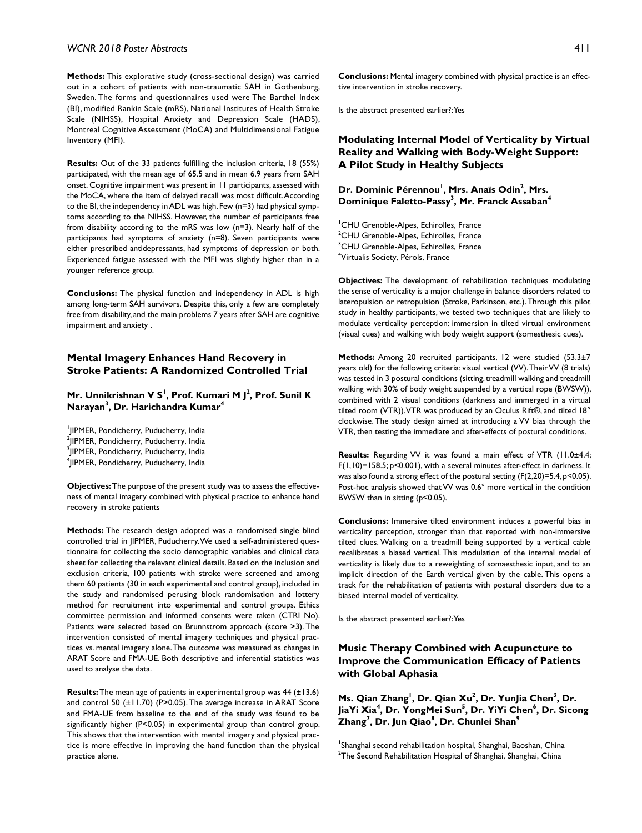**Methods:** This explorative study (cross-sectional design) was carried out in a cohort of patients with non-traumatic SAH in Gothenburg, Sweden. The forms and questionnaires used were The Barthel Index (BI), modified Rankin Scale (mRS), National Institutes of Health Stroke Scale (NIHSS), Hospital Anxiety and Depression Scale (HADS), Montreal Cognitive Assessment (MoCA) and Multidimensional Fatigue Inventory (MFI).

**Results:** Out of the 33 patients fulfilling the inclusion criteria, 18 (55%) participated, with the mean age of 65.5 and in mean 6.9 years from SAH onset. Cognitive impairment was present in 11 participants, assessed with the MoCA, where the item of delayed recall was most difficult. According to the BI, the independency in ADL was high. Few (n=3) had physical symptoms according to the NIHSS. However, the number of participants free from disability according to the mRS was low (n=3). Nearly half of the participants had symptoms of anxiety (n=8). Seven participants were either prescribed antidepressants, had symptoms of depression or both. Experienced fatigue assessed with the MFI was slightly higher than in a younger reference group.

**Conclusions:** The physical function and independency in ADL is high among long-term SAH survivors. Despite this, only a few are completely free from disability, and the main problems 7 years after SAH are cognitive impairment and anxiety .

### **Mental Imagery Enhances Hand Recovery in Stroke Patients: A Randomized Controlled Trial**

### **Mr. Unnikrishnan V S<sup>I</sup>, Prof. Kumari M J<sup>2</sup>, Prof. Sunil K Narayan3 , Dr. Harichandra Kumar4**

 JIPMER, Pondicherry, Puducherry, India JIPMER, Pondicherry, Puducherry, India JIPMER, Pondicherry, Puducherry, India JIPMER, Pondicherry, Puducherry, India

**Objectives:** The purpose of the present study was to assess the effectiveness of mental imagery combined with physical practice to enhance hand recovery in stroke patients

**Methods:** The research design adopted was a randomised single blind controlled trial in JIPMER, Puducherry. We used a self-administered questionnaire for collecting the socio demographic variables and clinical data sheet for collecting the relevant clinical details. Based on the inclusion and exclusion criteria, 100 patients with stroke were screened and among them 60 patients (30 in each experimental and control group), included in the study and randomised perusing block randomisation and lottery method for recruitment into experimental and control groups. Ethics committee permission and informed consents were taken (CTRI No). Patients were selected based on Brunnstrom approach (score >3). The intervention consisted of mental imagery techniques and physical practices vs. mental imagery alone. The outcome was measured as changes in ARAT Score and FMA-UE. Both descriptive and inferential statistics was used to analyse the data.

**Results:** The mean age of patients in experimental group was 44 (±13.6) and control 50 (±11.70) (P>0.05). The average increase in ARAT Score and FMA-UE from baseline to the end of the study was found to be significantly higher (P<0.05) in experimental group than control group. This shows that the intervention with mental imagery and physical practice is more effective in improving the hand function than the physical practice alone.

**Conclusions:** Mental imagery combined with physical practice is an effective intervention in stroke recovery.

Is the abstract presented earlier?: Yes

## **Modulating Internal Model of Verticality by Virtual Reality and Walking with Body-Weight Support: A Pilot Study in Healthy Subjects**

Dr. Dominic Pérennou<sup>1</sup>, Mrs. Anaïs Odin<sup>2</sup>, Mrs. **Dominique Faletto-Passy3 , Mr. Franck Assaban4**

 CHU Grenoble-Alpes, Echirolles, France CHU Grenoble-Alpes, Echirolles, France <sup>3</sup>CHU Grenoble-Alpes, Echirolles, France Virtualis Society, Pérols, France

**Objectives:** The development of rehabilitation techniques modulating the sense of verticality is a major challenge in balance disorders related to lateropulsion or retropulsion (Stroke, Parkinson, etc.). Through this pilot study in healthy participants, we tested two techniques that are likely to modulate verticality perception: immersion in tilted virtual environment (visual cues) and walking with body weight support (somesthesic cues).

**Methods:** Among 20 recruited participants, 12 were studied (53.3±7 years old) for the following criteria: visual vertical (VV). Their VV (8 trials) was tested in 3 postural conditions (sitting, treadmill walking and treadmill walking with 30% of body weight suspended by a vertical rope (BWSW)), combined with 2 visual conditions (darkness and immerged in a virtual tilted room (VTR)). VTR was produced by an Oculus Rift®, and tilted 18° clockwise. The study design aimed at introducing a VV bias through the VTR, then testing the immediate and after-effects of postural conditions.

**Results:** Regarding VV it was found a main effect of VTR (11.0±4.4; F(1,10)=158.5; p<0.001), with a several minutes after-effect in darkness. It was also found a strong effect of the postural setting  $(F(2,20)=5.4, p<0.05)$ . Post-hoc analysis showed that VV was 0.6° more vertical in the condition BWSW than in sitting (p<0.05).

**Conclusions:** Immersive tilted environment induces a powerful bias in verticality perception, stronger than that reported with non-immersive tilted clues. Walking on a treadmill being supported by a vertical cable recalibrates a biased vertical. This modulation of the internal model of verticality is likely due to a reweighting of somaesthesic input, and to an implicit direction of the Earth vertical given by the cable. This opens a track for the rehabilitation of patients with postural disorders due to a biased internal model of verticality.

Is the abstract presented earlier?: Yes

## **Music Therapy Combined with Acupuncture to Improve the Communication Efficacy of Patients with Global Aphasia**

## **Ms. Qian Zhang<sup>1</sup>, Dr. Qian Xu<sup>2</sup>, Dr. YunJia Chen<sup>3</sup>, Dr. JiaYi Xia4 , Dr. YongMei Sun5 , Dr. YiYi Chen6 , Dr. Sicong Zhang7 , Dr. Jun Qiao8 , Dr. Chunlei Shan9**

<sup>1</sup>Shanghai second rehabilitation hospital, Shanghai, Baoshan, China  $^{\rm 2}$ The Second Rehabilitation Hospital of Shanghai, Shanghai, China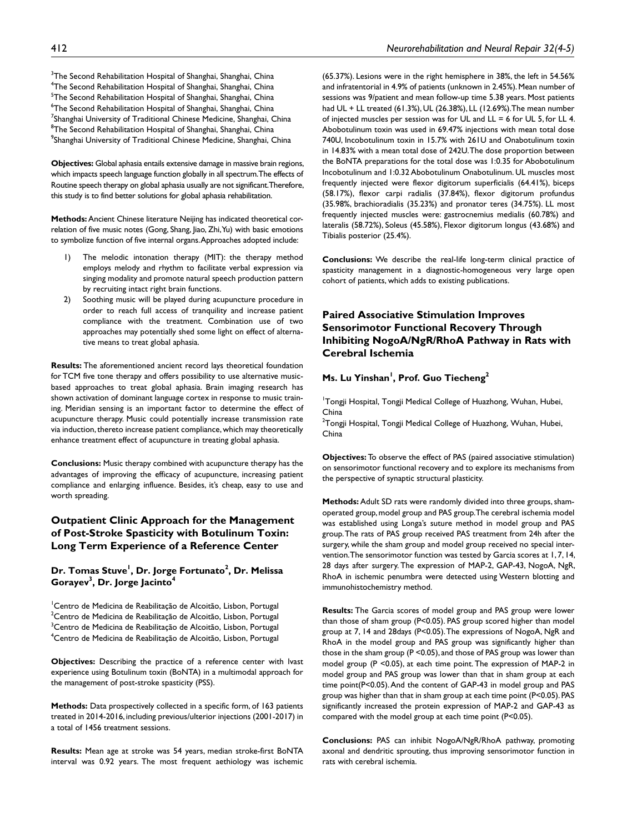$^3$ The Second Rehabilitation Hospital of Shanghai, Shanghai, China 4 The Second Rehabilitation Hospital of Shanghai, Shanghai, China <sup>5</sup>The Second Rehabilitation Hospital of Shanghai, Shanghai, China  $^6$ The Second Rehabilitation Hospital of Shanghai, Shanghai, China <sup>7</sup>Shanghai University of Traditional Chinese Medicine, Shanghai, China  $^8\!$ The Second Rehabilitation Hospital of Shanghai, Shanghai, China  $^9$ Shanghai University of Traditional Chinese Medicine, Shanghai, China

**Objectives:** Global aphasia entails extensive damage in massive brain regions, which impacts speech language function globally in all spectrum. The effects of Routine speech therapy on global aphasia usually are not significant. Therefore, this study is to find better solutions for global aphasia rehabilitation.

**Methods:** Ancient Chinese literature Neijing has indicated theoretical correlation of five music notes (Gong, Shang, Jiao, Zhi, Yu) with basic emotions to symbolize function of five internal organs. Approaches adopted include:

- 1) The melodic intonation therapy (MIT): the therapy method employs melody and rhythm to facilitate verbal expression via singing modality and promote natural speech production pattern by recruiting intact right brain functions.
- 2) Soothing music will be played during acupuncture procedure in order to reach full access of tranquility and increase patient compliance with the treatment. Combination use of two approaches may potentially shed some light on effect of alternative means to treat global aphasia.

**Results:** The aforementioned ancient record lays theoretical foundation for TCM five tone therapy and offers possibility to use alternative musicbased approaches to treat global aphasia. Brain imaging research has shown activation of dominant language cortex in response to music training. Meridian sensing is an important factor to determine the effect of acupuncture therapy. Music could potentially increase transmission rate via induction, thereto increase patient compliance, which may theoretically enhance treatment effect of acupuncture in treating global aphasia.

**Conclusions:** Music therapy combined with acupuncture therapy has the advantages of improving the efficacy of acupuncture, increasing patient compliance and enlarging influence. Besides, it's cheap, easy to use and worth spreading.

# **Outpatient Clinic Approach for the Management of Post-Stroke Spasticity with Botulinum Toxin: Long Term Experience of a Reference Center**

## **Dr. Tomas Stuve1 , Dr. Jorge Fortunato2 , Dr. Melissa Gorayev3 , Dr. Jorge Jacinto4**

<sup>1</sup>Centro de Medicina de Reabilitação de Alcoitão, Lisbon, Portugal  $^{2}$ Centro de Medicina de Reabilitação de Alcoitão, Lisbon, Portugal  $^3$ Centro de Medicina de Reabilitação de Alcoitão, Lisbon, Portugal 4 Centro de Medicina de Reabilitação de Alcoitão, Lisbon, Portugal

**Objectives:** Describing the practice of a reference center with lvast experience using Botulinum toxin (BoNTA) in a multimodal approach for the management of post-stroke spasticity (PSS).

**Methods:** Data prospectively collected in a specific form, of 163 patients treated in 2014-2016, including previous/ulterior injections (2001-2017) in a total of 1456 treatment sessions.

**Results:** Mean age at stroke was 54 years, median stroke-first BoNTA interval was 0.92 years. The most frequent aethiology was ischemic (65.37%). Lesions were in the right hemisphere in 38%, the left in 54.56% and infratentorial in 4.9% of patients (unknown in 2.45%). Mean number of sessions was 9/patient and mean follow-up time 5.38 years. Most patients had UL + LL treated (61.3%), UL (26.38%), LL (12.69%).The mean number of injected muscles per session was for UL and LL = 6 for UL 5, for LL 4. Abobotulinum toxin was used in 69.47% injections with mean total dose 740U, Incobotulinum toxin in 15.7% with 261U and Onabotulinum toxin in 14.83% with a mean total dose of 242U. The dose proportion between the BoNTA preparations for the total dose was 1:0.35 for Abobotulinum Incobotulinum and 1:0.32 Abobotulinum Onabotulinum. UL muscles most frequently injected were flexor digitorum superficialis (64.41%), biceps (58.17%), flexor carpi radialis (37.84%), flexor digitorum profundus (35.98%, brachioradialis (35.23%) and pronator teres (34.75%). LL most frequently injected muscles were: gastrocnemius medialis (60.78%) and lateralis (58.72%), Soleus (45.58%), Flexor digitorum longus (43.68%) and Tibialis posterior (25.4%).

**Conclusions:** We describe the real-life long-term clinical practice of spasticity management in a diagnostic-homogeneous very large open cohort of patients, which adds to existing publications.

# **Paired Associative Stimulation Improves Sensorimotor Functional Recovery Through Inhibiting NogoA/NgR/RhoA Pathway in Rats with Cerebral Ischemia**

## **Ms. Lu Yinshan1 , Prof. Guo Tiecheng2**

<sup>1</sup>Tongji Hospital, Tongji Medical College of Huazhong, Wuhan, Hubei, China

 $^{2}$ Tongji Hospital, Tongji Medical College of Huazhong, Wuhan, Hubei, China

**Objectives:** To observe the effect of PAS (paired associative stimulation) on sensorimotor functional recovery and to explore its mechanisms from the perspective of synaptic structural plasticity.

**Methods:** Adult SD rats were randomly divided into three groups, shamoperated group, model group and PAS group. The cerebral ischemia model was established using Longa's suture method in model group and PAS group. The rats of PAS group received PAS treatment from 24h after the surgery, while the sham group and model group received no special intervention. The sensorimotor function was tested by Garcia scores at 1, 7, 14, 28 days after surgery. The expression of MAP-2, GAP-43, NogoA, NgR, RhoA in ischemic penumbra were detected using Western blotting and immunohistochemistry method.

**Results:** The Garcia scores of model group and PAS group were lower than those of sham group (P<0.05). PAS group scored higher than model group at 7, 14 and 28days (P<0.05). The expressions of NogoA, NgR and RhoA in the model group and PAS group was significantly higher than those in the sham group (P <0.05), and those of PAS group was lower than model group (P <0.05), at each time point. The expression of MAP-2 in model group and PAS group was lower than that in sham group at each time point(P<0.05). And the content of GAP-43 in model group and PAS group was higher than that in sham group at each time point (P<0.05). PAS significantly increased the protein expression of MAP-2 and GAP-43 as compared with the model group at each time point (P<0.05).

**Conclusions:** PAS can inhibit NogoA/NgR/RhoA pathway, promoting axonal and dendritic sprouting, thus improving sensorimotor function in rats with cerebral ischemia.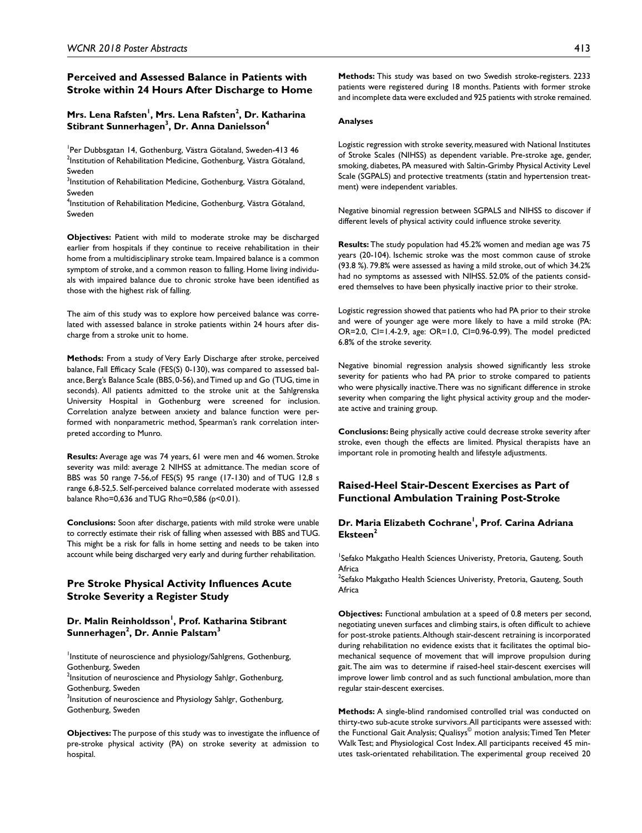## **Perceived and Assessed Balance in Patients with Stroke within 24 Hours After Discharge to Home**

### **Mrs. Lena Rafsten<sup>1</sup>, Mrs. Lena Rafsten<sup>2</sup>, Dr. Katharina Stibrant Sunnerhagen3 , Dr. Anna Danielsson4**

1 Per Dubbsgatan 14, Gothenburg, Västra Götaland, Sweden-413 46 <sup>2</sup>Institution of Rehabilitation Medicine, Gothenburg, Västra Götaland, Sweden

<sup>3</sup>Institution of Rehabilitation Medicine, Gothenburg, Västra Götaland, Sweden

4 Institution of Rehabilitation Medicine, Gothenburg, Västra Götaland, Sweden

**Objectives:** Patient with mild to moderate stroke may be discharged earlier from hospitals if they continue to receive rehabilitation in their home from a multidisciplinary stroke team. Impaired balance is a common symptom of stroke, and a common reason to falling. Home living individuals with impaired balance due to chronic stroke have been identified as those with the highest risk of falling.

The aim of this study was to explore how perceived balance was correlated with assessed balance in stroke patients within 24 hours after discharge from a stroke unit to home.

**Methods:** From a study of Very Early Discharge after stroke, perceived balance, Fall Efficacy Scale (FES(S) 0-130), was compared to assessed balance, Berg's Balance Scale (BBS, 0-56), and Timed up and Go (TUG, time in seconds). All patients admitted to the stroke unit at the Sahlgrenska University Hospital in Gothenburg were screened for inclusion. Correlation analyze between anxiety and balance function were performed with nonparametric method, Spearman's rank correlation interpreted according to Munro.

**Results:** Average age was 74 years, 61 were men and 46 women. Stroke severity was mild: average 2 NIHSS at admittance. The median score of BBS was 50 range 7-56,of FES(S) 95 range (17-130) and of TUG 12,8 s range 6,8-52,5. Self-perceived balance correlated moderate with assessed balance Rho=0,636 and TUG Rho=0,586 (p<0.01).

**Conclusions:** Soon after discharge, patients with mild stroke were unable to correctly estimate their risk of falling when assessed with BBS and TUG. This might be a risk for falls in home setting and needs to be taken into account while being discharged very early and during further rehabilitation.

## **Pre Stroke Physical Activity Influences Acute Stroke Severity a Register Study**

## Dr. Malin Reinholdsson<sup>1</sup>, Prof. Katharina Stibrant **Sunnerhagen<sup>2</sup> , Dr. Annie Palstam3**

<sup>1</sup>Institute of neuroscience and physiology/Sahlgrens, Gothenburg, Gothenburg, Sweden

<sup>2</sup>Insitution of neuroscience and Physiology Sahlgr, Gothenburg, Gothenburg, Sweden

 $^3$ Insitution of neuroscience and Physiology Sahlgr, Gothenburg, Gothenburg, Sweden

**Objectives:** The purpose of this study was to investigate the influence of pre-stroke physical activity (PA) on stroke severity at admission to hospital.

**Methods:** This study was based on two Swedish stroke-registers. 2233 patients were registered during 18 months. Patients with former stroke and incomplete data were excluded and 925 patients with stroke remained.

#### **Analyses**

Logistic regression with stroke severity, measured with National Institutes of Stroke Scales (NIHSS) as dependent variable. Pre-stroke age, gender, smoking, diabetes, PA measured with Saltin-Grimby Physical Activity Level Scale (SGPALS) and protective treatments (statin and hypertension treatment) were independent variables.

Negative binomial regression between SGPALS and NIHSS to discover if different levels of physical activity could influence stroke severity.

**Results:** The study population had 45.2% women and median age was 75 years (20-104). Ischemic stroke was the most common cause of stroke (93.8 %). 79.8% were assessed as having a mild stroke, out of which 34.2% had no symptoms as assessed with NIHSS. 52.0% of the patients considered themselves to have been physically inactive prior to their stroke.

Logistic regression showed that patients who had PA prior to their stroke and were of younger age were more likely to have a mild stroke (PA: OR=2.0, CI=1.4-2.9, age: OR=1.0, CI=0.96-0.99). The model predicted 6.8% of the stroke severity.

Negative binomial regression analysis showed significantly less stroke severity for patients who had PA prior to stroke compared to patients who were physically inactive. There was no significant difference in stroke severity when comparing the light physical activity group and the moderate active and training group.

**Conclusions:** Being physically active could decrease stroke severity after stroke, even though the effects are limited. Physical therapists have an important role in promoting health and lifestyle adjustments.

## **Raised-Heel Stair-Descent Exercises as Part of Functional Ambulation Training Post-Stroke**

### **Dr. Maria Elizabeth Cochrane1 , Prof. Carina Adriana Eksteen<sup>2</sup>**

<sup>1</sup>Sefako Makgatho Health Sciences Univeristy, Pretoria, Gauteng, South Africa

 $^{2}$ Sefako Makgatho Health Sciences Univeristy, Pretoria, Gauteng, South Africa

**Objectives:** Functional ambulation at a speed of 0.8 meters per second, negotiating uneven surfaces and climbing stairs, is often difficult to achieve for post-stroke patients. Although stair-descent retraining is incorporated during rehabilitation no evidence exists that it facilitates the optimal biomechanical sequence of movement that will improve propulsion during gait. The aim was to determine if raised-heel stair-descent exercises will improve lower limb control and as such functional ambulation, more than regular stair-descent exercises.

**Methods:** A single-blind randomised controlled trial was conducted on thirty-two sub-acute stroke survivors. All participants were assessed with: the Functional Gait Analysis; Qualisys<sup>®</sup> motion analysis; Timed Ten Meter Walk Test; and Physiological Cost Index. All participants received 45 minutes task-orientated rehabilitation. The experimental group received 20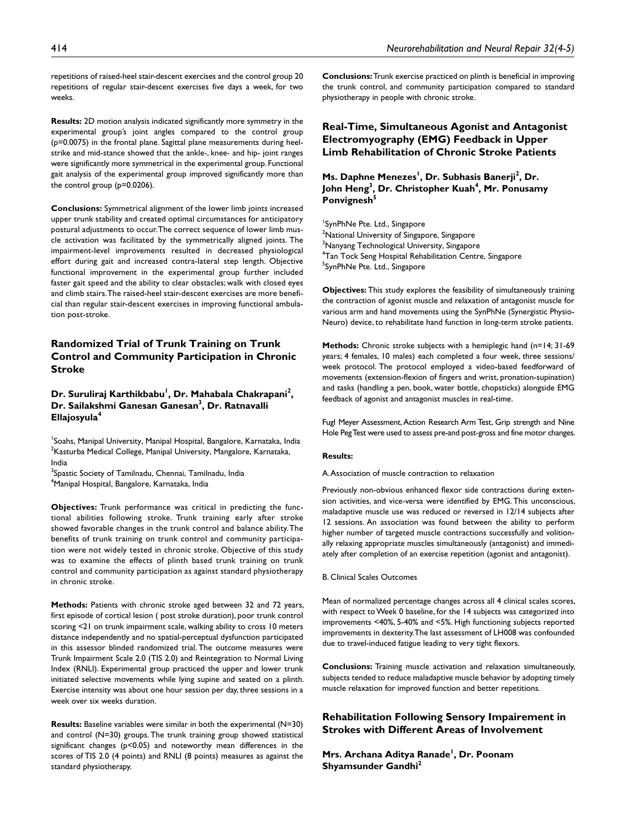repetitions of raised-heel stair-descent exercises and the control group 20 repetitions of regular stair-descent exercises five days a week, for two weeks.

**Results:** 2D motion analysis indicated significantly more symmetry in the experimental group's joint angles compared to the control group (p=0.0075) in the frontal plane. Sagittal plane measurements during heelstrike and mid-stance showed that the ankle-, knee- and hip- joint ranges were significantly more symmetrical in the experimental group. Functional gait analysis of the experimental group improved significantly more than the control group (p=0.0206).

**Conclusions:** Symmetrical alignment of the lower limb joints increased upper trunk stability and created optimal circumstances for anticipatory postural adjustments to occur. The correct sequence of lower limb muscle activation was facilitated by the symmetrically aligned joints. The impairment-level improvements resulted in decreased physiological effort during gait and increased contra-lateral step length. Objective functional improvement in the experimental group further included faster gait speed and the ability to clear obstacles; walk with closed eyes and climb stairs. The raised-heel stair-descent exercises are more beneficial than regular stair-descent exercises in improving functional ambulation post-stroke.

## **Randomized Trial of Trunk Training on Trunk Control and Community Participation in Chronic Stroke**

## Dr. Suruliraj Karthikbabu<sup>1</sup>, Dr. Mahabala Chakrapani<sup>2</sup>, **Dr. Sailakshmi Ganesan Ganesan3 , Dr. Ratnavalli Ellajosyula<sup>4</sup>**

<sup>1</sup>Soahs, Manipal University, Manipal Hospital, Bangalore, Karnataka, India <sup>2</sup>Kasturba Medical College, Manipal University, Mangalore, Karnataka, India

<sup>3</sup>Spastic Society of Tamilnadu, Chennai, Tamilnadu, India 4 Manipal Hospital, Bangalore, Karnataka, India

**Objectives:** Trunk performance was critical in predicting the functional abilities following stroke. Trunk training early after stroke showed favorable changes in the trunk control and balance ability. The benefits of trunk training on trunk control and community participation were not widely tested in chronic stroke. Objective of this study was to examine the effects of plinth based trunk training on trunk control and community participation as against standard physiotherapy in chronic stroke.

**Methods:** Patients with chronic stroke aged between 32 and 72 years, first episode of cortical lesion ( post stroke duration), poor trunk control scoring <21 on trunk impairment scale, walking ability to cross 10 meters distance independently and no spatial-perceptual dysfunction participated in this assessor blinded randomized trial. The outcome measures were Trunk Impairment Scale 2.0 (TIS 2.0) and Reintegration to Normal Living Index (RNLI). Experimental group practiced the upper and lower trunk initiated selective movements while lying supine and seated on a plinth. Exercise intensity was about one hour session per day, three sessions in a week over six weeks duration.

**Results:** Baseline variables were similar in both the experimental (N=30) and control (N=30) groups. The trunk training group showed statistical significant changes (p<0.05) and noteworthy mean differences in the scores of TIS 2.0 (4 points) and RNLI (8 points) measures as against the standard physiotherapy.

**Conclusions:** Trunk exercise practiced on plinth is beneficial in improving the trunk control, and community participation compared to standard physiotherapy in people with chronic stroke.

## **Real-Time, Simultaneous Agonist and Antagonist Electromyography (EMG) Feedback in Upper Limb Rehabilitation of Chronic Stroke Patients**

**Ms. Daphne Menezes<sup>I</sup>, Dr. Subhasis Banerji<sup>2</sup>, Dr. John Heng<sup>3</sup>, Dr. Christopher Kuah<sup>4</sup>, Mr. Ponusamy** Ponvignesh<sup>5</sup>

<sup>1</sup>SynPhNe Pte. Ltd., Singapore  $^{2}$ National University of Singapore, Singapore  $^3$ Nanyang Technological University, Singapore 4 Tan Tock Seng Hospital Rehabilitation Centre, Singapore <sup>5</sup>SynPhNe Pte. Ltd., Singapore

**Objectives:** This study explores the feasibility of simultaneously training the contraction of agonist muscle and relaxation of antagonist muscle for various arm and hand movements using the SynPhNe (Synergistic Physio-Neuro) device, to rehabilitate hand function in long-term stroke patients.

**Methods:** Chronic stroke subjects with a hemiplegic hand (n=14; 31-69 years; 4 females, 10 males) each completed a four week, three sessions/ week protocol. The protocol employed a video-based feedforward of movements (extension-flexion of fingers and wrist, pronation-supination) and tasks (handling a pen, book, water bottle, chopsticks) alongside EMG feedback of agonist and antagonist muscles in real-time.

Fugl Meyer Assessment, Action Research Arm Test, Grip strength and Nine Hole Peg Test were used to assess pre-and post-gross and fine motor changes.

### **Results:**

A. Association of muscle contraction to relaxation

Previously non-obvious enhanced flexor side contractions during extension activities, and vice-versa were identified by EMG. This unconscious, maladaptive muscle use was reduced or reversed in 12/14 subjects after 12 sessions. An association was found between the ability to perform higher number of targeted muscle contractions successfully and volitionally relaxing appropriate muscles simultaneously (antagonist) and immediately after completion of an exercise repetition (agonist and antagonist).

### B. Clinical Scales Outcomes

Mean of normalized percentage changes across all 4 clinical scales scores, with respect to Week 0 baseline, for the 14 subjects was categorized into improvements <40%, 5-40% and <5%. High functioning subjects reported improvements in dexterity. The last assessment of LH008 was confounded due to travel-induced fatigue leading to very tight flexors.

**Conclusions:** Training muscle activation and relaxation simultaneously, subjects tended to reduce maladaptive muscle behavior by adopting timely muscle relaxation for improved function and better repetitions.

## **Rehabilitation Following Sensory Impairement in Strokes with Different Areas of Involvement**

**Mrs. Archana Aditya Ranade1 , Dr. Poonam Shyamsunder Gandhi<sup>2</sup>**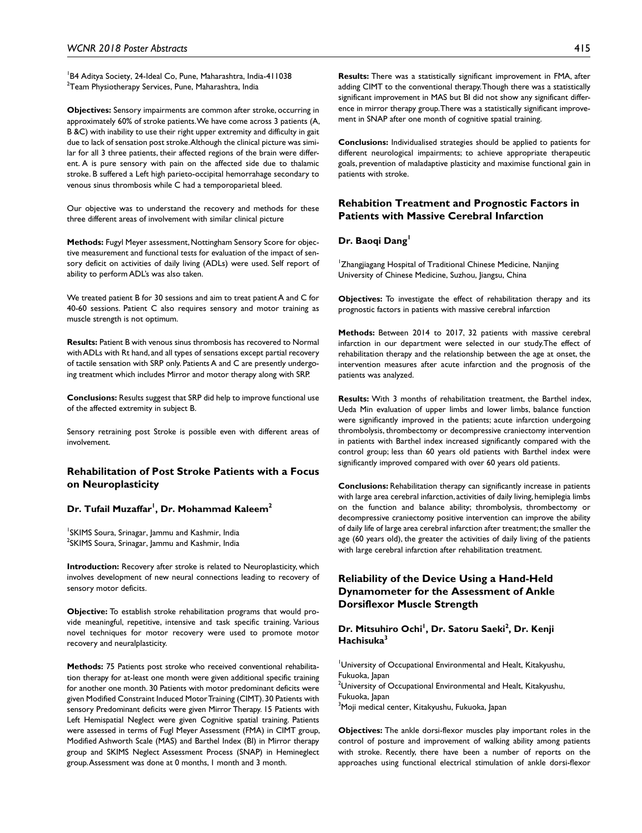<sup>1</sup>B4 Aditya Society, 24-Ideal Co, Pune, Maharashtra, India-411038  $^{2}$ Team Physiotherapy Services, Pune, Maharashtra, India

**Objectives:** Sensory impairments are common after stroke, occurring in approximately 60% of stroke patients. We have come across 3 patients (A, B &C) with inability to use their right upper extremity and difficulty in gait due to lack of sensation post stroke. Although the clinical picture was similar for all 3 three patients, their affected regions of the brain were different. A is pure sensory with pain on the affected side due to thalamic stroke. B suffered a Left high parieto-occipital hemorrahage secondary to venous sinus thrombosis while C had a temporoparietal bleed.

Our objective was to understand the recovery and methods for these three different areas of involvement with similar clinical picture

**Methods:** Fugyl Meyer assessment, Nottingham Sensory Score for objective measurement and functional tests for evaluation of the impact of sensory deficit on activities of daily living (ADLs) were used. Self report of ability to perform ADL's was also taken.

We treated patient B for 30 sessions and aim to treat patient A and C for 40-60 sessions. Patient C also requires sensory and motor training as muscle strength is not optimum.

**Results:** Patient B with venous sinus thrombosis has recovered to Normal with ADLs with Rt hand, and all types of sensations except partial recovery of tactile sensation with SRP only. Patients A and C are presently undergoing treatment which includes Mirror and motor therapy along with SRP.

**Conclusions:** Results suggest that SRP did help to improve functional use of the affected extremity in subject B.

Sensory retraining post Stroke is possible even with different areas of involvement.

# **Rehabilitation of Post Stroke Patients with a Focus on Neuroplasticity**

### **Dr. Tufail Muzaffar1 , Dr. Mohammad Kaleem2**

<sup>1</sup>SKIMS Soura, Srinagar, Jammu and Kashmir, India <sup>2</sup>SKIMS Soura, Srinagar, Jammu and Kashmir, India

**Introduction:** Recovery after stroke is related to Neuroplasticity, which involves development of new neural connections leading to recovery of sensory motor deficits.

**Objective:** To establish stroke rehabilitation programs that would provide meaningful, repetitive, intensive and task specific training. Various novel techniques for motor recovery were used to promote motor recovery and neuralplasticity.

**Methods:** 75 Patients post stroke who received conventional rehabilitation therapy for at-least one month were given additional specific training for another one month. 30 Patients with motor predominant deficits were given Modified Constraint Induced Motor Training (CIMT). 30 Patients with sensory Predominant deficits were given Mirror Therapy. 15 Patients with Left Hemispatial Neglect were given Cognitive spatial training. Patients were assessed in terms of Fugl Meyer Assessment (FMA) in CIMT group, Modified Ashworth Scale (MAS) and Barthel Index (BI) in Mirror therapy group and SKIMS Neglect Assessment Process (SNAP) in Hemineglect group. Assessment was done at 0 months, 1 month and 3 month.

**Results:** There was a statistically significant improvement in FMA, after adding CIMT to the conventional therapy. Though there was a statistically significant improvement in MAS but BI did not show any significant difference in mirror therapy group. There was a statistically significant improvement in SNAP after one month of cognitive spatial training.

**Conclusions:** Individualised strategies should be applied to patients for different neurological impairments; to achieve appropriate therapeutic goals, prevention of maladaptive plasticity and maximise functional gain in patients with stroke.

### **Rehabition Treatment and Prognostic Factors in Patients with Massive Cerebral Infarction**

### Dr. Baoqi Dang<sup>1</sup>

<sup>1</sup>Zhangjiagang Hospital of Traditional Chinese Medicine, Nanjing University of Chinese Medicine, Suzhou, Jiangsu, China

**Objectives:** To investigate the effect of rehabilitation therapy and its prognostic factors in patients with massive cerebral infarction

**Methods:** Between 2014 to 2017, 32 patients with massive cerebral infarction in our department were selected in our study.The effect of rehabilitation therapy and the relationship between the age at onset, the intervention measures after acute infarction and the prognosis of the patients was analyzed.

**Results:** With 3 months of rehabilitation treatment, the Barthel index, Ueda Min evaluation of upper limbs and lower limbs, balance function were significantly improved in the patients; acute infarction undergoing thrombolysis, thrombectomy or decompressive craniectomy intervention in patients with Barthel index increased significantly compared with the control group; less than 60 years old patients with Barthel index were significantly improved compared with over 60 years old patients.

**Conclusions:** Rehabilitation therapy can significantly increase in patients with large area cerebral infarction, activities of daily living, hemiplegia limbs on the function and balance ability; thrombolysis, thrombectomy or decompressive craniectomy positive intervention can improve the ability of daily life of large area cerebral infarction after treatment; the smaller the age (60 years old), the greater the activities of daily living of the patients with large cerebral infarction after rehabilitation treatment.

## **Reliability of the Device Using a Hand-Held Dynamometer for the Assessment of Ankle Dorsiflexor Muscle Strength**

## **Dr. Mitsuhiro Ochi<sup>I</sup>, Dr. Satoru Saeki<sup>2</sup>, Dr. Kenji Hachisuka3**

1 University of Occupational Environmental and Healt, Kitakyushu, Fukuoka, Japan

 $^{2}$ University of Occupational Environmental and Healt, Kitakyushu, Fukuoka, Japan

<sup>3</sup>Moji medical center, Kitakyushu, Fukuoka, Japan

**Objectives:** The ankle dorsi-flexor muscles play important roles in the control of posture and improvement of walking ability among patients with stroke. Recently, there have been a number of reports on the approaches using functional electrical stimulation of ankle dorsi-flexor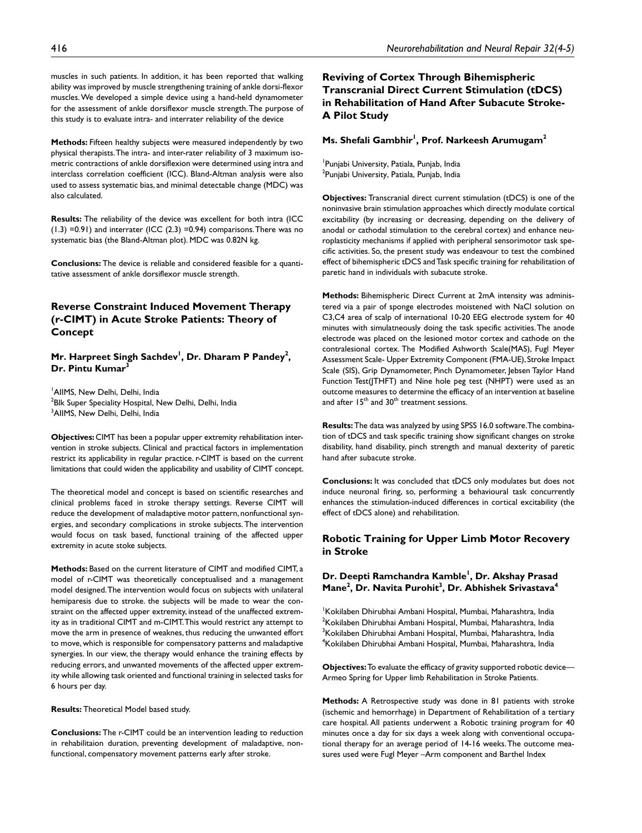muscles in such patients. In addition, it has been reported that walking ability was improved by muscle strengthening training of ankle dorsi-flexor muscles. We developed a simple device using a hand-held dynamometer for the assessment of ankle dorsiflexor muscle strength. The purpose of this study is to evaluate intra- and interrater reliability of the device

**Methods:** Fifteen healthy subjects were measured independently by two physical therapists. The intra- and inter-rater reliability of 3 maximum isometric contractions of ankle dorsiflexion were determined using intra and interclass correlation coefficient (ICC). Bland-Altman analysis were also used to assess systematic bias, and minimal detectable change (MDC) was also calculated.

**Results:** The reliability of the device was excellent for both intra (ICC  $(1.3)$  =0.91) and interrater (ICC  $(2.3)$  =0.94) comparisons. There was no systematic bias (the Bland-Altman plot). MDC was 0.82N kg.

**Conclusions:** The device is reliable and considered feasible for a quantitative assessment of ankle dorsiflexor muscle strength.

# **Reverse Constraint Induced Movement Therapy (r-CIMT) in Acute Stroke Patients: Theory of Concept**

## **Mr. Harpreet Singh Sachdev<sup>1</sup>, Dr. Dharam P Pandey<sup>2</sup>, Dr. Pintu Kumar3**

1 AIIMS, New Delhi, Delhi, India  $^2$ Blk Super Speciality Hospital, New Delhi, Delhi, India 3 AIIMS, New Delhi, Delhi, India

**Objectives:** CIMT has been a popular upper extremity rehabilitation intervention in stroke subjects. Clinical and practical factors in implementation restrict its applicability in regular practice. r-CIMT is based on the current limitations that could widen the applicability and usability of CIMT concept.

The theoretical model and concept is based on scientific researches and clinical problems faced in stroke therapy settings. Reverse CIMT will reduce the development of maladaptive motor pattern, nonfunctional synergies, and secondary complications in stroke subjects. The intervention would focus on task based, functional training of the affected upper extremity in acute stoke subjects.

**Methods:** Based on the current literature of CIMT and modified CIMT, a model of r-CIMT was theoretically conceptualised and a management model designed. The intervention would focus on subjects with unilateral hemiparesis due to stroke. the subjects will be made to wear the constraint on the affected upper extremity, instead of the unaffected extremity as in traditional CIMT and m-CIMT. This would restrict any attempt to move the arm in presence of weaknes, thus reducing the unwanted effort to move, which is responsible for compensatory patterns and maladaptive synergies. In our view, the therapy would enhance the training effects by reducing errors, and unwanted movements of the affected upper extremity while allowing task oriented and functional training in selected tasks for 6 hours per day.

**Results:** Theoretical Model based study.

**Conclusions:** The r-CIMT could be an intervention leading to reduction in rehabilitaion duration, preventing development of maladaptive, nonfunctional, compensatory movement patterns early after stroke.

# **Reviving of Cortex Through Bihemispheric Transcranial Direct Current Stimulation (tDCS) in Rehabilitation of Hand After Subacute Stroke-A Pilot Study**

## **Ms. Shefali Gambhir1 , Prof. Narkeesh Arumugam2**

1 Punjabi University, Patiala, Punjab, India <sup>2</sup>Punjabi University, Patiala, Punjab, India

**Objectives:** Transcranial direct current stimulation (tDCS) is one of the noninvasive brain stimulation approaches which directly modulate cortical excitability (by increasing or decreasing, depending on the delivery of anodal or cathodal stimulation to the cerebral cortex) and enhance neuroplasticity mechanisms if applied with peripheral sensorimotor task specific activities. So, the present study was endeavour to test the combined effect of bihemispheric tDCS and Task specific training for rehabilitation of paretic hand in individuals with subacute stroke.

**Methods:** Bihemispheric Direct Current at 2mA intensity was administered via a pair of sponge electrodes moistened with NaCl solution on C3,C4 area of scalp of international 10-20 EEG electrode system for 40 minutes with simulatneously doing the task specific activities. The anode electrode was placed on the lesioned motor cortex and cathode on the contralesional cortex. The Modified Ashworth Scale(MAS), Fugl Meyer Assessment Scale- Upper Extremity Component (FMA-UE), Stroke Impact Scale (SIS), Grip Dynamometer, Pinch Dynamometer, Jebsen Taylor Hand Function Test(JTHFT) and Nine hole peg test (NHPT) were used as an outcome measures to determine the efficacy of an intervention at baseline and after  $15<sup>th</sup>$  and  $30<sup>th</sup>$  treatment sessions.

**Results:** The data was analyzed by using SPSS 16.0 software. The combination of tDCS and task specific training show significant changes on stroke disability, hand disability, pinch strength and manual dexterity of paretic hand after subacute stroke.

**Conclusions:** It was concluded that tDCS only modulates but does not induce neuronal firing, so, performing a behavioural task concurrently enhances the stimulation-induced differences in cortical excitability (the effect of tDCS alone) and rehabilitation.

## **Robotic Training for Upper Limb Motor Recovery in Stroke**

## **Dr. Deepti Ramchandra Kamble1 , Dr. Akshay Prasad Mane<sup>2</sup>, Dr. Navita Purohit<sup>3</sup>, Dr. Abhishek Srivastava<sup>4</sup>**

1 Kokilaben Dhirubhai Ambani Hospital, Mumbai, Maharashtra, India  $^{2}$ Kokilaben Dhirubhai Ambani Hospital, Mumbai, Maharashtra, India <sup>3</sup>Kokilaben Dhirubhai Ambani Hospital, Mumbai, Maharashtra, India 4 Kokilaben Dhirubhai Ambani Hospital, Mumbai, Maharashtra, India

**Objectives:** To evaluate the efficacy of gravity supported robotic device— Armeo Spring for Upper limb Rehabilitation in Stroke Patients.

**Methods:** A Retrospective study was done in 81 patients with stroke (ischemic and hemorrhage) in Department of Rehabilitation of a tertiary care hospital. All patients underwent a Robotic training program for 40 minutes once a day for six days a week along with conventional occupational therapy for an average period of 14-16 weeks. The outcome measures used were Fugl Meyer –Arm component and Barthel Index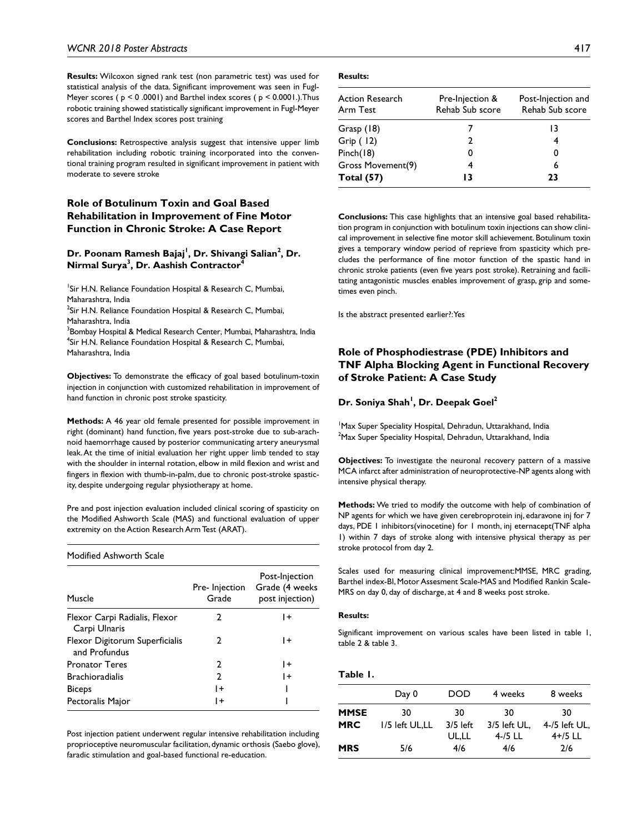**Results:** Wilcoxon signed rank test (non parametric test) was used for statistical analysis of the data. Significant improvement was seen in Fugl-Meyer scores ( p < 0 .0001) and Barthel index scores ( p < 0.0001.).Thus robotic training showed statistically significant improvement in Fugl-Meyer scores and Barthel Index scores post training

**Conclusions:** Retrospective analysis suggest that intensive upper limb rehabilitation including robotic training incorporated into the conventional training program resulted in significant improvement in patient with moderate to severe stroke

# **Role of Botulinum Toxin and Goal Based Rehabilitation in Improvement of Fine Motor Function in Chronic Stroke: A Case Report**

### Dr. Poonam Ramesh Bajaj<sup>1</sup>, Dr. Shivangi Salian<sup>2</sup>, Dr. **Nirmal Surya3 , Dr. Aashish Contractor4**

<sup>1</sup>Sir H.N. Reliance Foundation Hospital & Research C, Mumbai, Maharashtra, India

<sup>2</sup>Sir H.N. Reliance Foundation Hospital & Research C, Mumbai, Maharashtra, India

 $^3$ Bombay Hospital & Medical Research Center, Mumbai, Maharashtra, India <sup>4</sup>Sir H.N. Reliance Foundation Hospital & Research C, Mumbai, Maharashtra, India

**Objectives:** To demonstrate the efficacy of goal based botulinum-toxin injection in conjunction with customized rehabilitation in improvement of hand function in chronic post stroke spasticity.

**Methods:** A 46 year old female presented for possible improvement in right (dominant) hand function, five years post-stroke due to sub-arachnoid haemorrhage caused by posterior communicating artery aneurysmal leak. At the time of initial evaluation her right upper limb tended to stay with the shoulder in internal rotation, elbow in mild flexion and wrist and fingers in flexion with thumb-in-palm, due to chronic post-stroke spasticity, despite undergoing regular physiotherapy at home.

Pre and post injection evaluation included clinical scoring of spasticity on the Modified Ashworth Scale (MAS) and functional evaluation of upper extremity on the Action Research Arm Test (ARAT).

### Modified Ashworth Scale

| Muscle                                          | Pre-Injection<br>Grade | Post-Injection<br>Grade (4 weeks<br>post injection) |
|-------------------------------------------------|------------------------|-----------------------------------------------------|
| Flexor Carpi Radialis, Flexor<br>Carpi Ulnaris  | 7                      | I+                                                  |
| Flexor Digitorum Superficialis<br>and Profundus | 7                      | $^{+}$                                              |
| <b>Pronator Teres</b>                           | 2                      | $+$                                                 |
| <b>Brachioradialis</b>                          | 2                      | I+                                                  |
| <b>Biceps</b>                                   | $+$                    |                                                     |
| Pectoralis Major                                | $^{1+}$                |                                                     |

Post injection patient underwent regular intensive rehabilitation including proprioceptive neuromuscular facilitation, dynamic orthosis (Saebo glove), faradic stimulation and goal-based functional re-education.

### **Results:**

| <b>Action Research</b><br>Arm Test | Pre-Injection &<br>Rehab Sub score | Post-Injection and<br>Rehab Sub score |
|------------------------------------|------------------------------------|---------------------------------------|
| Grasp $(18)$                       |                                    | 13                                    |
| Grip $(12)$                        | 2                                  | 4                                     |
| Pinch $(18)$                       |                                    | 0                                     |
| Gross Movement(9)                  |                                    | 6                                     |
| <b>Total (57)</b>                  | 13                                 | フマ                                    |

**Conclusions:** This case highlights that an intensive goal based rehabilitation program in conjunction with botulinum toxin injections can show clinical improvement in selective fine motor skill achievement. Botulinum toxin gives a temporary window period of reprieve from spasticity which precludes the performance of fine motor function of the spastic hand in chronic stroke patients (even five years post stroke). Retraining and facilitating antagonistic muscles enables improvement of grasp, grip and sometimes even pinch.

Is the abstract presented earlier?: Yes

# **Role of Phosphodiestrase (PDE) Inhibitors and TNF Alpha Blocking Agent in Functional Recovery of Stroke Patient: A Case Study**

### **Dr. Soniya Shah1 , Dr. Deepak Goel2**

<sup>1</sup> Max Super Speciality Hospital, Dehradun, Uttarakhand, India  $^{2}$ Max Super Speciality Hospital, Dehradun, Uttarakhand, India

**Objectives:** To investigate the neuronal recovery pattern of a massive MCA infarct after administration of neuroprotective-NP agents along with intensive physical therapy.

**Methods:** We tried to modify the outcome with help of combination of NP agents for which we have given cerebroprotein inj, edaravone inj for 7 days, PDE 1 inhibitors(vinocetine) for 1 month, inj eternacept(TNF alpha 1) within 7 days of stroke along with intensive physical therapy as per stroke protocol from day 2.

Scales used for measuring clinical improvement:MMSE, MRC grading, Barthel index-BI, Motor Assesment Scale-MAS and Modified Rankin Scale-MRS on day 0, day of discharge, at 4 and 8 weeks post stroke.

#### **Results:**

Significant improvement on various scales have been listed in table 1, table 2 & table 3.

### **Table 1.**

|             | Day 0          | DOD                 | 4 weeks                   | 8 weeks                     |
|-------------|----------------|---------------------|---------------------------|-----------------------------|
| <b>MMSE</b> | 30             | 30                  | 30                        | 30                          |
| <b>MRC</b>  | 1/5 left UL.LL | $3/5$ left<br>UL.LL | 3/5 left UL.<br>$4-/5$ LL | 4-/5 left UL.<br>$4+$ /5 LL |
| <b>MRS</b>  | 5/6            | 4/6                 | 4/6                       | 2/6                         |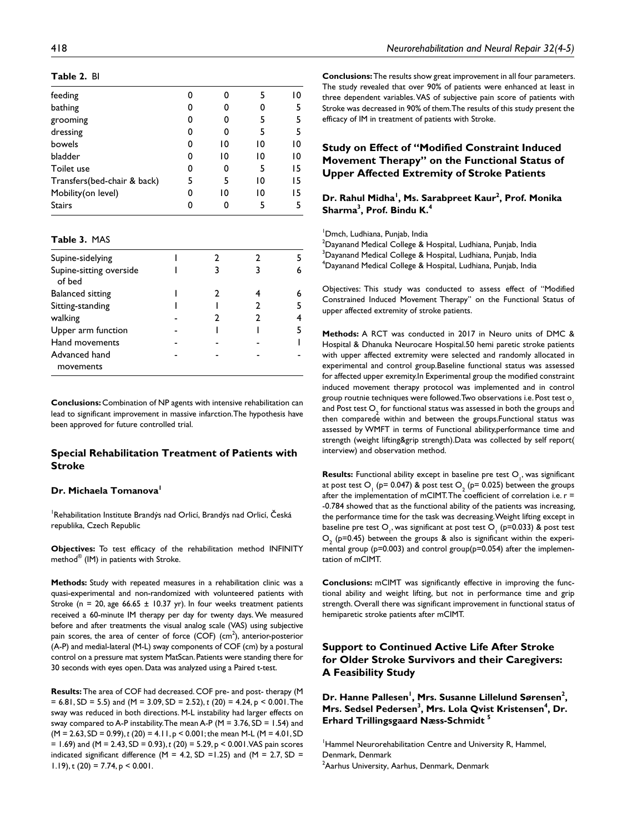### **Table 2.** BI

| feeding                     |   | 0  | 5  | 10 |
|-----------------------------|---|----|----|----|
| bathing                     |   | 0  |    | 5  |
| grooming                    |   | 0  | 5  | 5  |
| dressing                    |   | 0  | 5  | 5  |
| bowels                      | o | 10 | 10 | 10 |
| bladder                     |   | 10 | 10 | 10 |
| Toilet use                  | o | 0  | 5  | 15 |
| Transfers(bed-chair & back) | 5 | 5  | 10 | 15 |
| Mobility (on level)         | o | 10 | 10 | 15 |
| Stairs                      |   | 0  | 5  | 5  |
|                             |   |    |    |    |

### **Table 3.** MAS

| Supine-sidelying                  |  |   |
|-----------------------------------|--|---|
| Supine-sitting overside<br>of bed |  | 6 |
| <b>Balanced sitting</b>           |  | 6 |
| Sitting-standing                  |  |   |
| walking                           |  |   |
| Upper arm function                |  |   |
| Hand movements                    |  |   |
| Advanced hand<br>movements        |  |   |
|                                   |  |   |

**Conclusions:** Combination of NP agents with intensive rehabilitation can lead to significant improvement in massive infarction.The hypothesis have been approved for future controlled trial.

### **Special Rehabilitation Treatment of Patients with Stroke**

### **Dr. Michaela Tomanova1**

1 Rehabilitation Institute Brandýs nad Orlicí, Brandýs nad Orlicí, Česká republika, Czech Republic

**Objectives:** To test efficacy of the rehabilitation method INFINITY method<sup>®</sup> (IM) in patients with Stroke.

**Methods:** Study with repeated measures in a rehabilitation clinic was a quasi-experimental and non-randomized with volunteered patients with Stroke (n = 20, age 66.65  $\pm$  10.37 yr). In four weeks treatment patients received a 60-minute IM therapy per day for twenty days. We measured before and after treatments the visual analog scale (VAS) using subjective pain scores, the area of center of force (COF) ( $cm<sup>2</sup>$ ), anterior-posterior (A-P) and medial-lateral (M-L) sway components of COF (cm) by a postural control on a pressure mat system MatScan. Patients were standing there for 30 seconds with eyes open. Data was analyzed using a Paired t-test.

**Results:** The area of COF had decreased. COF pre- and post- therapy (M = 6.81, SD = 5.5) and (M = 3.09, SD = 2.52), *t* (20) = 4.24, p < 0.001. The sway was reduced in both directions. M-L instability had larger effects on sway compared to A-P instability. The mean A-P ( $M = 3.76$ , SD = 1.54) and (M = 2.63, SD = 0.99), *t* (20) = 4.11, p < 0.001; the mean M-L (M = 4.01, SD = 1.69) and (M = 2.43, SD = 0.93), *t* (20) = 5.29, p < 0.001. VAS pain scores indicated significant difference ( $M = 4.2$ , SD = 1.25) and ( $M = 2.7$ , SD = 1.19), t  $(20) = 7.74$ ,  $p \le 0.001$ .

**Conclusions:** The results show great improvement in all four parameters. The study revealed that over 90% of patients were enhanced at least in three dependent variables. VAS of subjective pain score of patients with Stroke was decreased in 90% of them. The results of this study present the efficacy of IM in treatment of patients with Stroke.

## **Study on Effect of "Modified Constraint Induced Movement Therapy" on the Functional Status of Upper Affected Extremity of Stroke Patients**

### Dr. Rahul Midha<sup>l</sup>, Ms. Sarabpreet Kaur<sup>2</sup>, Prof. Monika **Sharma3 , Prof. Bindu K.4**

1 Dmch, Ludhiana, Punjab, India

 $^{\rm 2}$ Dayanand Medical College & Hospital, Ludhiana, Punjab, India  $^3$ Dayanand Medical College & Hospital, Ludhiana, Punjab, India

4 Dayanand Medical College & Hospital, Ludhiana, Punjab, India

Objectives: This study was conducted to assess effect of "Modified Constrained Induced Movement Therapy" on the Functional Status of upper affected extremity of stroke patients.

**Methods:** A RCT was conducted in 2017 in Neuro units of DMC & Hospital & Dhanuka Neurocare Hospital.50 hemi paretic stroke patients with upper affected extremity were selected and randomly allocated in experimental and control group.Baseline functional status was assessed for affected upper exremity.In Experimental group the modified constraint induced movement therapy protocol was implemented and in control group routnie techniques were followed. Two observations i.e. Post test o and Post test  $O_2$  for functional status was assessed in both the groups and then comparede within and between the groups.Functional status was assessed by WMFT in terms of Functional ability,performance time and strength (weight lifting&grip strength).Data was collected by self report( interview) and observation method.

**Results:** Functional ability except in baseline pre test  $O_{\frac{1}{l}}$ , was significant at post test O<sub>1</sub> (p= 0.047) & post test O<sub>2</sub> (p= 0.025) between the groups after the implementation of mCIMT. The coefficient of correlation i.e. r = -0.784 showed that as the functional ability of the patients was increasing, the performance time for the task was decreasing. Weight lifting except in baseline pre test  $\overline{O}_{_{|}}$ , was significant at post test  $\overline{O}_{_{|}}$  (p=0.033) & post test  $\overline{\mathrm{O}}_{_{2}}$  (p=0.45) between the groups & also is significant within the experimental group (p=0.003) and control group(p=0.054) after the implementation of mCIMT.

**Conclusions:** mCIMT was significantly effective in improving the functional ability and weight lifting, but not in performance time and grip strength. Overall there was significant improvement in functional status of hemiparetic stroke patients after mCIMT.

## **Support to Continued Active Life After Stroke for Older Stroke Survivors and their Caregivers: A Feasibility Study**

### Dr. Hanne Pallesen<sup>1</sup>, Mrs. Susanne Lillelund Sørensen<sup>2</sup>, **Mrs. Sedsel Pedersen<sup>3</sup>, Mrs. Lola Qvist Kristensen<sup>4</sup>, Dr. Erhard Trillingsgaard Næss-Schmidt 5**

<sup>1</sup>Hammel Neurorehabilitation Centre and University R, Hammel, Denmark, Denmark <sup>2</sup>Aarhus University, Aarhus, Denmark, Denmark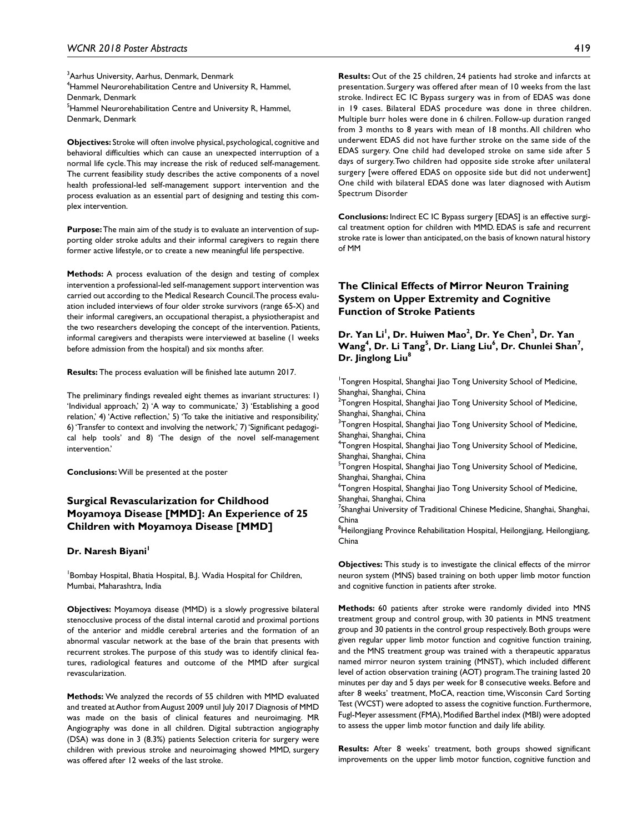<sup>3</sup>Aarhus University, Aarhus, Denmark, Denmark

4 Hammel Neurorehabilitation Centre and University R, Hammel, Denmark, Denmark

 $^5$ Hammel Neurorehabilitation Centre and University R, Hammel, Denmark, Denmark

**Objectives:** Stroke will often involve physical, psychological, cognitive and behavioral difficulties which can cause an unexpected interruption of a normal life cycle. This may increase the risk of reduced self-management. The current feasibility study describes the active components of a novel health professional-led self-management support intervention and the process evaluation as an essential part of designing and testing this complex intervention.

**Purpose:** The main aim of the study is to evaluate an intervention of supporting older stroke adults and their informal caregivers to regain there former active lifestyle, or to create a new meaningful life perspective.

**Methods:** A process evaluation of the design and testing of complex intervention a professional-led self-management support intervention was carried out according to the Medical Research Council. The process evaluation included interviews of four older stroke survivors (range 65-X) and their informal caregivers, an occupational therapist, a physiotherapist and the two researchers developing the concept of the intervention. Patients, informal caregivers and therapists were interviewed at baseline (1 weeks before admission from the hospital) and six months after.

**Results:** The process evaluation will be finished late autumn 2017.

The preliminary findings revealed eight themes as invariant structures: 1) 'Individual approach,' 2) 'A way to communicate,' 3) 'Establishing a good relation,' 4) 'Active reflection,' 5) 'To take the initiative and responsibility,' 6) 'Transfer to context and involving the network,' 7) 'Significant pedagogical help tools' and 8) 'The design of the novel self-management intervention.'

**Conclusions:** Will be presented at the poster

## **Surgical Revascularization for Childhood Moyamoya Disease [MMD]: An Experience of 25 Children with Moyamoya Disease [MMD]**

#### **Dr. Naresh Biyani**

1 Bombay Hospital, Bhatia Hospital, B.J. Wadia Hospital for Children, Mumbai, Maharashtra, India

**Objectives:** Moyamoya disease (MMD) is a slowly progressive bilateral stenocclusive process of the distal internal carotid and proximal portions of the anterior and middle cerebral arteries and the formation of an abnormal vascular network at the base of the brain that presents with recurrent strokes. The purpose of this study was to identify clinical features, radiological features and outcome of the MMD after surgical revascularization.

**Methods:** We analyzed the records of 55 children with MMD evaluated and treated at Author from August 2009 until July 2017 Diagnosis of MMD was made on the basis of clinical features and neuroimaging. MR Angiography was done in all children. Digital subtraction angiography (DSA) was done in 3 (8.3%) patients Selection criteria for surgery were children with previous stroke and neuroimaging showed MMD, surgery was offered after 12 weeks of the last stroke.

**Results:** Out of the 25 children, 24 patients had stroke and infarcts at presentation. Surgery was offered after mean of 10 weeks from the last stroke. Indirect EC IC Bypass surgery was in from of EDAS was done in 19 cases. Bilateral EDAS procedure was done in three children. Multiple burr holes were done in 6 chilren. Follow-up duration ranged from 3 months to 8 years with mean of 18 months. All children who underwent EDAS did not have further stroke on the same side of the EDAS surgery. One child had developed stroke on same side after 5 days of surgery.Two children had opposite side stroke after unilateral surgery [were offered EDAS on opposite side but did not underwent] One child with bilateral EDAS done was later diagnosed with Autism Spectrum Disorder

**Conclusions:** Indirect EC IC Bypass surgery [EDAS] is an effective surgical treatment option for children with MMD. EDAS is safe and recurrent stroke rate is lower than anticipated, on the basis of known natural history of MM

# **The Clinical Effects of Mirror Neuron Training System on Upper Extremity and Cognitive Function of Stroke Patients**

Dr. Yan Li<sup>I</sup>, Dr. Huiwen Mao<sup>2</sup>, Dr. Ye Chen<sup>3</sup>, Dr. Yan Wang<sup>4</sup>, Dr. Li Tang<sup>5</sup>, Dr. Liang Liu<sup>6</sup>, Dr. Chunlei Shan<sup>7</sup>, **Dr. Jinglong Liu<sup>8</sup>**

<sup>1</sup>Tongren Hospital, Shanghai Jiao Tong University School of Medicine, Shanghai, Shanghai, China  $2$ Tongren Hospital, Shanghai Jiao Tong University School of Medicine, Shanghai, Shanghai, China  $3$ Tongren Hospital, Shanghai Jiao Tong University School of Medicine, Shanghai, Shanghai, China 4 Tongren Hospital, Shanghai Jiao Tong University School of Medicine, Shanghai, Shanghai, China <sup>5</sup>Tongren Hospital, Shanghai Jiao Tong University School of Medicine, Shanghai, Shanghai, China 6 Tongren Hospital, Shanghai Jiao Tong University School of Medicine, Shanghai, Shanghai, China <sup>7</sup>Shanghai University of Traditional Chinese Medicine, Shanghai, Shanghai, China

<sup>8</sup>Heilongjiang Province Rehabilitation Hospital, Heilongjiang, Heilongjiang, China

**Objectives:** This study is to investigate the clinical effects of the mirror neuron system (MNS) based training on both upper limb motor function and cognitive function in patients after stroke.

**Methods:** 60 patients after stroke were randomly divided into MNS treatment group and control group, with 30 patients in MNS treatment group and 30 patients in the control group respectively. Both groups were given regular upper limb motor function and cognitive function training, and the MNS treatment group was trained with a therapeutic apparatus named mirror neuron system training (MNST), which included different level of action observation training (AOT) program. The training lasted 20 minutes per day and 5 days per week for 8 consecutive weeks. Before and after 8 weeks' treatment, MoCA, reaction time, Wisconsin Card Sorting Test (WCST) were adopted to assess the cognitive function. Furthermore, Fugl-Meyer assessment (FMA), Modified Barthel index (MBI) were adopted to assess the upper limb motor function and daily life ability.

**Results:** After 8 weeks' treatment, both groups showed significant improvements on the upper limb motor function, cognitive function and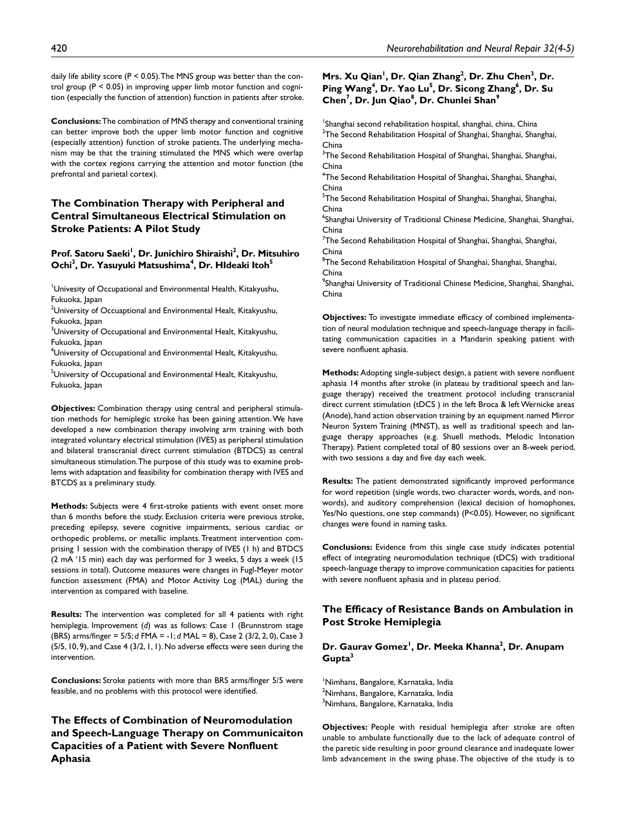daily life ability score ( $P < 0.05$ ). The MNS group was better than the control group (P < 0.05) in improving upper limb motor function and cognition (especially the function of attention) function in patients after stroke.

**Conclusions:** The combination of MNS therapy and conventional training can better improve both the upper limb motor function and cognitive (especially attention) function of stroke patients. The underlying mechanism may be that the training stimulated the MNS which were overlap with the cortex regions carrying the attention and motor function (the prefrontal and parietal cortex).

## **The Combination Therapy with Peripheral and Central Simultaneous Electrical Stimulation on Stroke Patients: A Pilot Study**

### Prof. Satoru Saeki<sup>I</sup>, Dr. Junichiro Shiraishi<sup>2</sup>, Dr. Mitsuhiro Ochi<sup>3</sup>, Dr. Yasuyuki Matsushima<sup>4</sup>, Dr. HIdeaki Itoh<sup>5</sup>

Univesity of Occupational and Environmental Health, Kitakyushu, Fukuoka, Japan

 $2$ University of Occuaptional and Environmental Healt, Kitakyushu, Fukuoka, Japan

 $3$ University of Occupational and Environmental Healt, Kitakyushu, Fukuoka, Japan

4 University of Occupational and Environmental Healt, Kitakyushu, Fukuoka, Japan

5 University of Occupational and Environmental Healt, Kitakyushu, Fukuoka, Japan

**Objectives:** Combination therapy using central and peripheral stimulation methods for hemiplegic stroke has been gaining attention. We have developed a new combination therapy involving arm training with both integrated voluntary electrical stimulation (IVES) as peripheral stimulation and bilateral transcranial direct current stimulation (BTDCS) as central simultaneous stimulation. The purpose of this study was to examine problems with adaptation and feasibility for combination therapy with IVES and BTCDS as a preliminary study.

**Methods:** Subjects were 4 first-stroke patients with event onset more than 6 months before the study. Exclusion criteria were previous stroke, preceding epilepsy, severe cognitive impairments, serious cardiac or orthopedic problems, or metallic implants. Treatment intervention comprising 1 session with the combination therapy of IVES (1 h) and BTDCS (2 mA ′15 min) each day was performed for 3 weeks, 5 days a week (15 sessions in total). Outcome measures were changes in Fugl-Meyer motor function assessment (FMA) and Motor Activity Log (MAL) during the intervention as compared with baseline.

**Results:** The intervention was completed for all 4 patients with right hemiplegia. Improvement (*d*) was as follows: Case 1 (Brunnstrom stage (BRS) arms/finger = 5/5; *d* FMA = -1; *d* MAL = 8), Case 2 (3/2, 2, 0), Case 3 (5/5, 10, 9), and Case 4 (3/2, 1, 1). No adverse effects were seen during the intervention.

**Conclusions:** Stroke patients with more than BRS arms/finger 5/5 were feasible, and no problems with this protocol were identified.

**The Effects of Combination of Neuromodulation and Speech-Language Therapy on Communicaiton Capacities of a Patient with Severe Nonfluent Aphasia**

## **Mrs. Xu Qian<sup>1</sup>, Dr. Qian Zhang<sup>2</sup>, Dr. Zhu Chen<sup>3</sup>, Dr.** Ping Wang<sup>4</sup>, Dr. Yao Lu<sup>5</sup>, Dr. Sicong Zhang<sup>6</sup>, Dr. Su  $\mathsf{Chen}^7$ , Dr. Jun Qiao<sup>8</sup>, Dr. Chunlei Shan<sup>9</sup>

<sup>1</sup>Shanghai second rehabilitation hospital, shanghai, china, China <sup>2</sup>The Second Rehabilitation Hospital of Shanghai, Shanghai, Shanghai, China

<sup>3</sup>The Second Rehabilitation Hospital of Shanghai, Shanghai, Shanghai, China

4 The Second Rehabilitation Hospital of Shanghai, Shanghai, Shanghai, China

<sup>5</sup>The Second Rehabilitation Hospital of Shanghai, Shanghai, Shanghai, China

6 Shanghai University of Traditional Chinese Medicine, Shanghai, Shanghai, China

 $7$ The Second Rehabilitation Hospital of Shanghai, Shanghai, Shanghai, China

<sup>8</sup>The Second Rehabilitation Hospital of Shanghai, Shanghai, Shanghai, China

<sup>9</sup>Shanghai University of Traditional Chinese Medicine, Shanghai, Shanghai, China

**Objectives:** To investigate immediate efficacy of combined implementation of neural modulation technique and speech-language therapy in facilitating communication capacities in a Mandarin speaking patient with severe nonfluent aphasia.

**Methods:** Adopting single-subject design, a patient with severe nonfluent aphasia 14 months after stroke (in plateau by traditional speech and language therapy) received the treatment protocol including transcranial direct current stimulation (tDCS ) in the left Broca & left Wernicke areas (Anode), hand action observation training by an equipment named Mirror Neuron System Training (MNST), as well as traditional speech and language therapy approaches (e.g. Shuell methods, Melodic Intonation Therapy). Patient completed total of 80 sessions over an 8-week period, with two sessions a day and five day each week.

**Results:** The patient demonstrated significantly improved performance for word repetition (single words, two character words, words, and nonwords), and auditory comprehension (lexical decision of homophones, Yes/No questions, one step commands) (P<0.05). However, no significant changes were found in naming tasks.

**Conclusions:** Evidence from this single case study indicates potential effect of integrating neuromodulation technique (tDCS) with traditional speech-language therapy to improve communication capacities for patients with severe nonfluent aphasia and in plateau period.

## **The Efficacy of Resistance Bands on Ambulation in Post Stroke Hemiplegia**

## Dr. Gaurav Gomez<sup>i</sup>, Dr. Meeka Khanna<sup>2</sup>, Dr. Anupam **Gupta3**

1 Nimhans, Bangalore, Karnataka, India <sup>2</sup>Nimhans, Bangalore, Karnataka, India <sup>3</sup>Nimhans, Bangalore, Karnataka, India

**Objectives:** People with residual hemiplegia after stroke are often unable to ambulate functionally due to the lack of adequate control of the paretic side resulting in poor ground clearance and inadequate lower limb advancement in the swing phase. The objective of the study is to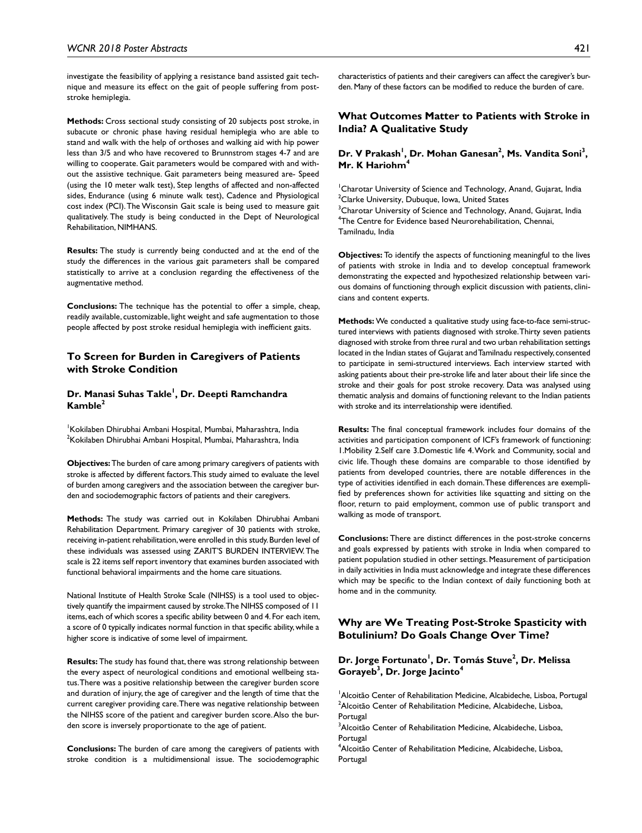investigate the feasibility of applying a resistance band assisted gait technique and measure its effect on the gait of people suffering from poststroke hemiplegia.

**Methods:** Cross sectional study consisting of 20 subjects post stroke, in subacute or chronic phase having residual hemiplegia who are able to stand and walk with the help of orthoses and walking aid with hip power less than 3/5 and who have recovered to Brunnstrom stages 4-7 and are willing to cooperate. Gait parameters would be compared with and without the assistive technique. Gait parameters being measured are- Speed (using the 10 meter walk test), Step lengths of affected and non-affected sides, Endurance (using 6 minute walk test), Cadence and Physiological cost index (PCI). The Wisconsin Gait scale is being used to measure gait qualitatively. The study is being conducted in the Dept of Neurological Rehabilitation, NIMHANS.

**Results:** The study is currently being conducted and at the end of the study the differences in the various gait parameters shall be compared statistically to arrive at a conclusion regarding the effectiveness of the augmentative method.

**Conclusions:** The technique has the potential to offer a simple, cheap, readily available, customizable, light weight and safe augmentation to those people affected by post stroke residual hemiplegia with inefficient gaits.

## **To Screen for Burden in Caregivers of Patients with Stroke Condition**

### **Dr. Manasi Suhas Takle1 , Dr. Deepti Ramchandra Kamble<sup>2</sup>**

1 Kokilaben Dhirubhai Ambani Hospital, Mumbai, Maharashtra, India  $^{2}$ Kokilaben Dhirubhai Ambani Hospital, Mumbai, Maharashtra, India

**Objectives:** The burden of care among primary caregivers of patients with stroke is affected by different factors. This study aimed to evaluate the level of burden among caregivers and the association between the caregiver burden and sociodemographic factors of patients and their caregivers.

**Methods:** The study was carried out in Kokilaben Dhirubhai Ambani Rehabilitation Department. Primary caregiver of 30 patients with stroke, receiving in-patient rehabilitation, were enrolled in this study. Burden level of these individuals was assessed using ZARIT'S BURDEN INTERVIEW. The scale is 22 items self report inventory that examines burden associated with functional behavioral impairments and the home care situations.

National Institute of Health Stroke Scale (NIHSS) is a tool used to objectively quantify the impairment caused by stroke. The NIHSS composed of 11 items, each of which scores a specific ability between 0 and 4. For each item, a score of 0 typically indicates normal function in that specific ability, while a higher score is indicative of some level of impairment.

**Results:** The study has found that, there was strong relationship between the every aspect of neurological conditions and emotional wellbeing status. There was a positive relationship between the caregiver burden score and duration of injury, the age of caregiver and the length of time that the current caregiver providing care. There was negative relationship between the NIHSS score of the patient and caregiver burden score. Also the burden score is inversely proportionate to the age of patient.

**Conclusions:** The burden of care among the caregivers of patients with stroke condition is a multidimensional issue. The sociodemographic characteristics of patients and their caregivers can affect the caregiver's burden. Many of these factors can be modified to reduce the burden of care.

## **What Outcomes Matter to Patients with Stroke in India? A Qualitative Study**

### Dr. V Prakash<sup>1</sup>, Dr. Mohan Ganesan<sup>2</sup>, Ms. Vandita Soni<sup>3</sup>, **Mr. K Hariohm4**

<sup>1</sup>Charotar University of Science and Technology, Anand, Gujarat, India  $^2$ Clarke University, Dubuque, Iowa, United States  $^3$ Charotar University of Science and Technology, Anand, Gujarat, India

4 The Centre for Evidence based Neurorehabilitation, Chennai, Tamilnadu, India

**Objectives:** To identify the aspects of functioning meaningful to the lives of patients with stroke in India and to develop conceptual framework demonstrating the expected and hypothesized relationship between various domains of functioning through explicit discussion with patients, clinicians and content experts.

**Methods:** We conducted a qualitative study using face-to-face semi-structured interviews with patients diagnosed with stroke. Thirty seven patients diagnosed with stroke from three rural and two urban rehabilitation settings located in the Indian states of Gujarat and Tamilnadu respectively, consented to participate in semi-structured interviews. Each interview started with asking patients about their pre-stroke life and later about their life since the stroke and their goals for post stroke recovery. Data was analysed using thematic analysis and domains of functioning relevant to the Indian patients with stroke and its interrelationship were identified.

**Results:** The final conceptual framework includes four domains of the activities and participation component of ICF's framework of functioning: 1.Mobility 2.Self care 3.Domestic life 4. Work and Community, social and civic life. Though these domains are comparable to those identified by patients from developed countries, there are notable differences in the type of activities identified in each domain. These differences are exemplified by preferences shown for activities like squatting and sitting on the floor, return to paid employment, common use of public transport and walking as mode of transport.

**Conclusions:** There are distinct differences in the post-stroke concerns and goals expressed by patients with stroke in India when compared to patient population studied in other settings. Measurement of participation in daily activities in India must acknowledge and integrate these differences which may be specific to the Indian context of daily functioning both at home and in the community.

### **Why are We Treating Post-Stroke Spasticity with Botulinium? Do Goals Change Over Time?**

## **Dr. Jorge Fortunato1 , Dr. Tomás Stuve2 , Dr. Melissa Gorayeb3 , Dr. Jorge Jacinto4**

<sup>1</sup> Alcoitão Center of Rehabilitation Medicine, Alcabideche, Lisboa, Portugal 2 Alcoitão Center of Rehabilitation Medicine, Alcabideche, Lisboa, Portugal

3 Alcoitão Center of Rehabilitation Medicine, Alcabideche, Lisboa, Portugal

4 Alcoitão Center of Rehabilitation Medicine, Alcabideche, Lisboa, Portugal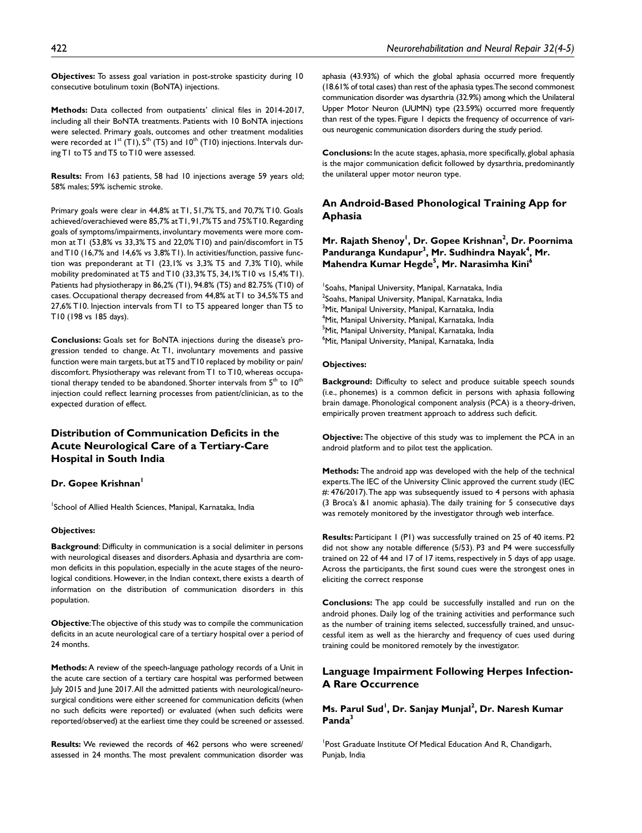**Objectives:** To assess goal variation in post-stroke spasticity during 10 consecutive botulinum toxin (BoNTA) injections.

**Methods:** Data collected from outpatients' clinical files in 2014-2017, including all their BoNTA treatments. Patients with 10 BoNTA injections were selected. Primary goals, outcomes and other treatment modalities were recorded at  $1^{st}$  (T1),  $5^{th}$  (T5) and  $10^{th}$  (T10) injections. Intervals during T1 to T5 and T5 to T10 were assessed.

**Results:** From 163 patients, 58 had 10 injections average 59 years old; 58% males; 59% ischemic stroke.

Primary goals were clear in 44,8% at T1, 51,7% T5, and 70,7% T10. Goals achieved/overachieved were 85,7% at T1, 91,7% T5 and 75% T10. Regarding goals of symptoms/impairments, involuntary movements were more common at T1 (53,8% vs 33,3% T5 and 22,0% T10) and pain/discomfort in T5 and T10 (16,7% and 14,6% vs 3,8% T1). In activities/function, passive function was preponderant at T1 (23,1% vs 3,3% T5 and 7,3% T10), while mobility predominated at T5 and T10 (33,3% T5, 34,1% T10 vs 15,4% T1). Patients had physiotherapy in 86,2% (T1), 94.8% (T5) and 82.75% (T10) of cases. Occupational therapy decreased from 44,8% at T1 to 34,5% T5 and 27,6% T10. Injection intervals from T1 to T5 appeared longer than T5 to T10 (198 vs 185 days).

**Conclusions:** Goals set for BoNTA injections during the disease's progression tended to change. At T1, involuntary movements and passive function were main targets, but at T5 and T10 replaced by mobility or pain/ discomfort. Physiotherapy was relevant from T1 to T10, whereas occupational therapy tended to be abandoned. Shorter intervals from  $5<sup>th</sup>$  to  $10<sup>th</sup>$ injection could reflect learning processes from patient/clinician, as to the expected duration of effect.

# **Distribution of Communication Deficits in the Acute Neurological Care of a Tertiary-Care Hospital in South India**

### **Dr. Gopee Krishnan**

<sup>1</sup>School of Allied Health Sciences, Manipal, Karnataka, India

#### **Objectives:**

**Background**: Difficulty in communication is a social delimiter in persons with neurological diseases and disorders. Aphasia and dysarthria are common deficits in this population, especially in the acute stages of the neurological conditions. However, in the Indian context, there exists a dearth of information on the distribution of communication disorders in this population.

**Objective**: The objective of this study was to compile the communication deficits in an acute neurological care of a tertiary hospital over a period of 24 months.

**Methods:** A review of the speech-language pathology records of a Unit in the acute care section of a tertiary care hospital was performed between July 2015 and June 2017. All the admitted patients with neurological/neurosurgical conditions were either screened for communication deficits (when no such deficits were reported) or evaluated (when such deficits were reported/observed) at the earliest time they could be screened or assessed.

**Results:** We reviewed the records of 462 persons who were screened/ assessed in 24 months. The most prevalent communication disorder was

aphasia (43.93%) of which the global aphasia occurred more frequently (18.61% of total cases) than rest of the aphasia types. The second commonest communication disorder was dysarthria (32.9%) among which the Unilateral Upper Motor Neuron (UUMN) type (23.59%) occurred more frequently than rest of the types. Figure 1 depicts the frequency of occurrence of various neurogenic communication disorders during the study period.

**Conclusions:** In the acute stages, aphasia, more specifically, global aphasia is the major communication deficit followed by dysarthria, predominantly the unilateral upper motor neuron type.

### **An Android-Based Phonological Training App for Aphasia**

**Mr. Rajath Shenoy1 , Dr. Gopee Krishnan2 , Dr. Poornima**  Panduranga Kundapur<sup>3</sup>, Mr. Sudhindra Nayak<sup>4</sup>, Mr. **Mahendra Kumar Hegde5 , Mr. Narasimha Kini6**

<sup>1</sup>Soahs, Manipal University, Manipal, Karnataka, India <sup>2</sup>Soahs, Manipal University, Manipal, Karnataka, India <sup>3</sup>Mit, Manipal University, Manipal, Karnataka, India 4 Mit, Manipal University, Manipal, Karnataka, India <sup>5</sup>Mit, Manipal University, Manipal, Karnataka, India 6 Mit, Manipal University, Manipal, Karnataka, India

### **Objectives:**

**Background:** Difficulty to select and produce suitable speech sounds (i.e., phonemes) is a common deficit in persons with aphasia following brain damage. Phonological component analysis (PCA) is a theory-driven, empirically proven treatment approach to address such deficit.

**Objective:** The objective of this study was to implement the PCA in an android platform and to pilot test the application.

**Methods:** The android app was developed with the help of the technical experts. The IEC of the University Clinic approved the current study (IEC #: 476/2017). The app was subsequently issued to 4 persons with aphasia (3 Broca's &1 anomic aphasia). The daily training for 5 consecutive days was remotely monitored by the investigator through web interface.

**Results:** Participant 1 (P1) was successfully trained on 25 of 40 items. P2 did not show any notable difference (5/53). P3 and P4 were successfully trained on 22 of 44 and 17 of 17 items, respectively in 5 days of app usage. Across the participants, the first sound cues were the strongest ones in eliciting the correct response

**Conclusions:** The app could be successfully installed and run on the android phones. Daily log of the training activities and performance such as the number of training items selected, successfully trained, and unsuccessful item as well as the hierarchy and frequency of cues used during training could be monitored remotely by the investigator.

## **Language Impairment Following Herpes Infection-A Rare Occurrence**

### **Ms. Parul Sud<sup>I</sup>, Dr. Sanjay Munjal<sup>2</sup>, Dr. Naresh Kumar Panda3**

<sup>1</sup>Post Graduate Institute Of Medical Education And R, Chandigarh, Punjab, India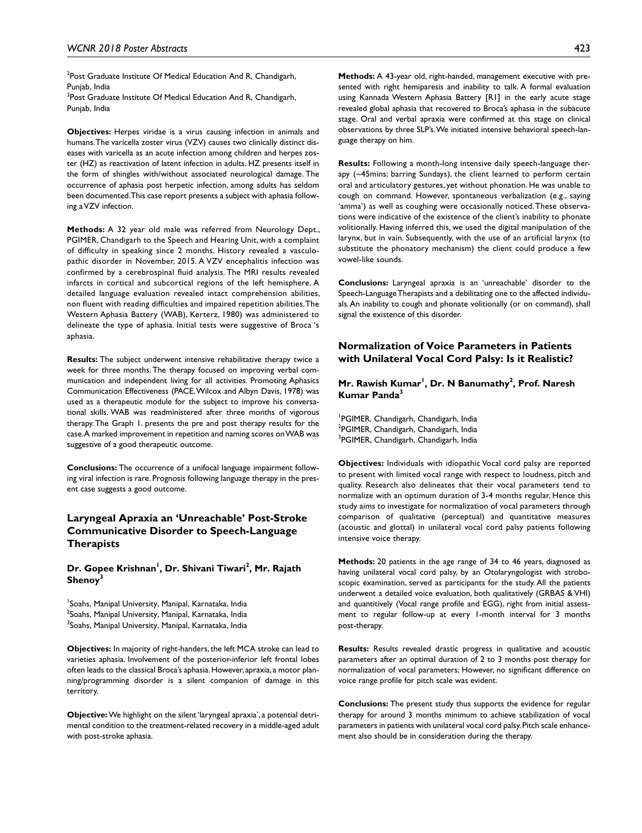$^{2}$ Post Graduate Institute Of Medical Education And R, Chandigarh, Punjab, India  $3$ Post Graduate Institute Of Medical Education And R, Chandigarh, Punjab, India

**Objectives:** Herpes viridae is a virus causing infection in animals and humans. The varicella zoster virus (VZV) causes two clinically distinct diseases with varicella as an acute infection among children and herpes zoster (HZ) as reactivation of latent infection in adults. HZ presents itself in the form of shingles with/without associated neurological damage. The occurrence of aphasia post herpetic infection, among adults has seldom been documented. This case report presents a subject with aphasia following a VZV infection.

**Methods:** A 32 year old male was referred from Neurology Dept., PGIMER, Chandigarh to the Speech and Hearing Unit, with a complaint of difficulty in speaking since 2 months. History revealed a vasculopathic disorder in November, 2015. A VZV encephalitis infection was confirmed by a cerebrospinal fluid analysis. The MRI results revealed infarcts in cortical and subcortical regions of the left hemisphere. A detailed language evaluation revealed intact comprehension abilities, non fluent with reading difficulties and impaired repetition abilities. The Western Aphasia Battery (WAB), Kerterz, 1980) was administered to delineate the type of aphasia. Initial tests were suggestive of Broca 's aphasia.

**Results:** The subject underwent intensive rehabilitative therapy twice a week for three months. The therapy focused on improving verbal communication and independent living for all activities. Promoting Aphasics Communication Effectiveness (PACE, Wilcox and Albyn Davis, 1978) was used as a therapeutic module for the subject to improve his conversational skills. WAB was readministered after three months of vigorous therapy. The Graph 1. presents the pre and post therapy results for the case. A marked improvement in repetition and naming scores on WAB was suggestive of a good therapeutic outcome.

**Conclusions:** The occurrence of a unifocal language impairment following viral infection is rare. Prognosis following language therapy in the present case suggests a good outcome.

# **Laryngeal Apraxia an 'Unreachable' Post-Stroke Communicative Disorder to Speech-Language Therapists**

### Dr. Gopee Krishnan<sup>'</sup>, Dr. Shivani Tiwari<sup>2</sup>, Mr. Rajath **Shenoy3**

<sup>1</sup>Soahs, Manipal University, Manipal, Karnataka, India <sup>2</sup>Soahs, Manipal University, Manipal, Karnataka, India <sup>3</sup>Soahs, Manipal University, Manipal, Karnataka, India

**Objectives:** In majority of right-handers, the left MCA stroke can lead to varieties aphasia. Involvement of the posterior-inferior left frontal lobes often leads to the classical Broca's aphasia. However, apraxia, a motor planning/programming disorder is a silent companion of damage in this territory.

**Objective:** We highlight on the silent 'laryngeal apraxia', a potential detrimental condition to the treatment-related recovery in a middle-aged adult with post-stroke aphasia.

**Methods:** A 43-year old, right-handed, management executive with presented with right hemiparesis and inability to talk. A formal evaluation using Kannada Western Aphasia Battery [R1] in the early acute stage revealed global aphasia that recovered to Broca's aphasia in the subacute stage. Oral and verbal apraxia were confirmed at this stage on clinical observations by three SLP's. We initiated intensive behavioral speech-language therapy on him.

**Results:** Following a month-long intensive daily speech-language therapy (~45mins; barring Sundays), the client learned to perform certain oral and articulatory gestures, yet without phonation. He was unable to cough on command. However, spontaneous verbalization (e.g., saying 'amma') as well as coughing were occasionally noticed. These observations were indicative of the existence of the client's inability to phonate volitionally. Having inferred this, we used the digital manipulation of the larynx, but in vain. Subsequently, with the use of an artificial larynx (to substitute the phonatory mechanism) the client could produce a few vowel-like sounds.

**Conclusions:** Laryngeal apraxia is an 'unreachable' disorder to the Speech-Language Therapists and a debilitating one to the affected individuals. An inability to cough and phonate volitionally (or on command), shall signal the existence of this disorder.

## **Normalization of Voice Parameters in Patients with Unilateral Vocal Cord Palsy: Is it Realistic?**

### **Mr. Rawish Kumar<sup>1</sup>, Dr. N Banumathy<sup>2</sup>, Prof. Naresh Kumar Panda3**

1 PGIMER, Chandigarh, Chandigarh, India <sup>2</sup>PGIMER, Chandigarh, Chandigarh, India <sup>3</sup>PGIMER, Chandigarh, Chandigarh, India

**Objectives:** Individuals with idiopathic Vocal cord palsy are reported to present with limited vocal range with respect to loudness, pitch and quality. Research also delineates that their vocal parameters tend to normalize with an optimum duration of 3-4 months regular. Hence this study aims to investigate for normalization of vocal parameters through comparison of qualitative (perceptual) and quantitative measures (acoustic and glottal) in unilateral vocal cord palsy patients following intensive voice therapy.

**Methods:** 20 patients in the age range of 34 to 46 years, diagnosed as having unilateral vocal cord palsy, by an Otolaryngologist with stroboscopic examination, served as participants for the study. All the patients underwent a detailed voice evaluation, both qualitatively (GRBAS & VHI) and quantitively (Vocal range profile and EGG), right from initial assessment to regular follow-up at every 1-month interval for 3 months post-therapy.

**Results:** Results revealed drastic progress in qualitative and acoustic parameters after an optimal duration of 2 to 3 months post therapy for normalization of vocal parameters; However, no significant difference on voice range profile for pitch scale was evident.

**Conclusions:** The present study thus supports the evidence for regular therapy for around 3 months minimum to achieve stabilization of vocal parameters in patients with unilateral vocal cord palsy. Pitch scale enhancement also should be in consideration during the therapy.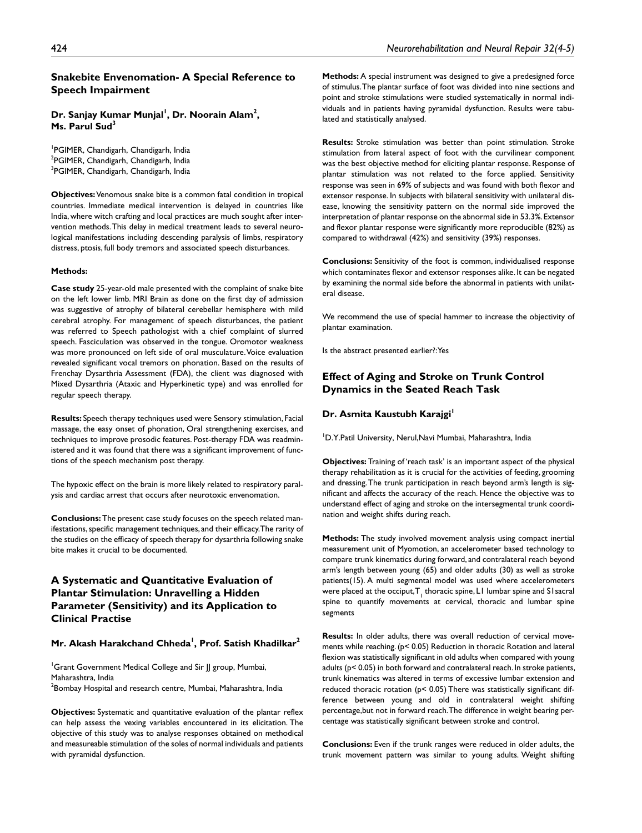### **Snakebite Envenomation- A Special Reference to Speech Impairment**

### Dr. Sanjay Kumar Munjal<sup>I</sup>, Dr. Noorain Alam<sup>2</sup>, **Ms. Parul Sud3**

1 PGIMER, Chandigarh, Chandigarh, India <sup>2</sup>PGIMER, Chandigarh, Chandigarh, India <sup>3</sup>PGIMER, Chandigarh, Chandigarh, India

**Objectives:** Venomous snake bite is a common fatal condition in tropical countries. Immediate medical intervention is delayed in countries like India, where witch crafting and local practices are much sought after intervention methods. This delay in medical treatment leads to several neurological manifestations including descending paralysis of limbs, respiratory distress, ptosis, full body tremors and associated speech disturbances.

### **Methods:**

**Case study** 25-year-old male presented with the complaint of snake bite on the left lower limb. MRI Brain as done on the first day of admission was suggestive of atrophy of bilateral cerebellar hemisphere with mild cerebral atrophy. For management of speech disturbances, the patient was referred to Speech pathologist with a chief complaint of slurred speech. Fasciculation was observed in the tongue. Oromotor weakness was more pronounced on left side of oral musculature. Voice evaluation revealed significant vocal tremors on phonation. Based on the results of Frenchay Dysarthria Assessment (FDA), the client was diagnosed with Mixed Dysarthria (Ataxic and Hyperkinetic type) and was enrolled for regular speech therapy.

**Results:** Speech therapy techniques used were Sensory stimulation, Facial massage, the easy onset of phonation, Oral strengthening exercises, and techniques to improve prosodic features. Post-therapy FDA was readministered and it was found that there was a significant improvement of functions of the speech mechanism post therapy.

The hypoxic effect on the brain is more likely related to respiratory paralysis and cardiac arrest that occurs after neurotoxic envenomation.

**Conclusions:** The present case study focuses on the speech related manifestations, specific management techniques, and their efficacy. The rarity of the studies on the efficacy of speech therapy for dysarthria following snake bite makes it crucial to be documented.

# **A Systematic and Quantitative Evaluation of Plantar Stimulation: Unravelling a Hidden Parameter (Sensitivity) and its Application to Clinical Practise**

### **Mr. Akash Harakchand Chheda1 , Prof. Satish Khadilkar2**

<sup>1</sup>Grant Government Medical College and Sir JJ group, Mumbai, Maharashtra, India  $^2$ Bombay Hospital and research centre, Mumbai, Maharashtra, India

**Objectives:** Systematic and quantitative evaluation of the plantar reflex can help assess the vexing variables encountered in its elicitation. The objective of this study was to analyse responses obtained on methodical and measureable stimulation of the soles of normal individuals and patients with pyramidal dysfunction.

**Methods:** A special instrument was designed to give a predesigned force of stimulus. The plantar surface of foot was divided into nine sections and point and stroke stimulations were studied systematically in normal individuals and in patients having pyramidal dysfunction. Results were tabulated and statistically analysed.

**Results:** Stroke stimulation was better than point stimulation. Stroke stimulation from lateral aspect of foot with the curvilinear component was the best objective method for eliciting plantar response. Response of plantar stimulation was not related to the force applied. Sensitivity response was seen in 69% of subjects and was found with both flexor and extensor response. In subjects with bilateral sensitivity with unilateral disease, knowing the sensitivity pattern on the normal side improved the interpretation of plantar response on the abnormal side in 53.3%. Extensor and flexor plantar response were significantly more reproducible (82%) as compared to withdrawal (42%) and sensitivity (39%) responses.

**Conclusions:** Sensitivity of the foot is common, individualised response which contaminates flexor and extensor responses alike. It can be negated by examining the normal side before the abnormal in patients with unilateral disease.

We recommend the use of special hammer to increase the objectivity of plantar examination.

Is the abstract presented earlier?: Yes

## **Effect of Aging and Stroke on Trunk Control Dynamics in the Seated Reach Task**

### **Dr. Asmita Kaustubh Karajgi**

1 D.Y.Patil University, Nerul,Navi Mumbai, Maharashtra, India

**Objectives:** Training of 'reach task' is an important aspect of the physical therapy rehabilitation as it is crucial for the activities of feeding, grooming and dressing. The trunk participation in reach beyond arm's length is significant and affects the accuracy of the reach. Hence the objective was to understand effect of aging and stroke on the intersegmental trunk coordination and weight shifts during reach.

**Methods:** The study involved movement analysis using compact inertial measurement unit of Myomotion, an accelerometer based technology to compare trunk kinematics during forward, and contralateral reach beyond arm's length between young (65) and older adults (30) as well as stroke patients(15). A multi segmental model was used where accelerometers were placed at the occiput, ${\sf T}_{_{\rm I}}$  thoracic spine, L1 lumbar spine and S1sacral spine to quantify movements at cervical, thoracic and lumbar spine segments

**Results:** In older adults, there was overall reduction of cervical movements while reaching. (p< 0.05) Reduction in thoracic Rotation and lateral flexion was statistically significant in old adults when compared with young adults (p< 0.05) in both forward and contralateral reach. In stroke patients, trunk kinematics was altered in terms of excessive lumbar extension and reduced thoracic rotation (p< 0.05) There was statistically significant difference between young and old in contralateral weight shifting percentage,but not in forward reach. The difference in weight bearing percentage was statistically significant between stroke and control.

**Conclusions:** Even if the trunk ranges were reduced in older adults, the trunk movement pattern was similar to young adults. Weight shifting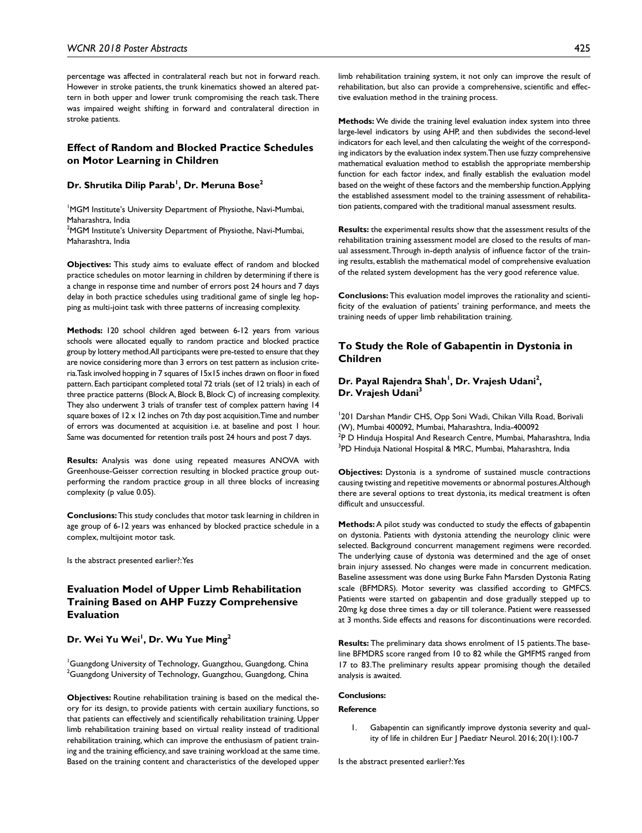percentage was affected in contralateral reach but not in forward reach. However in stroke patients, the trunk kinematics showed an altered pattern in both upper and lower trunk compromising the reach task. There was impaired weight shifting in forward and contralateral direction in stroke patients.

## **Effect of Random and Blocked Practice Schedules on Motor Learning in Children**

### **Dr. Shrutika Dilip Parab1 , Dr. Meruna Bose2**

<sup>1</sup>MGM Institute's University Department of Physiothe, Navi-Mumbai, Maharashtra, India

<sup>2</sup>MGM Institute's University Department of Physiothe, Navi-Mumbai, Maharashtra, India

**Objectives:** This study aims to evaluate effect of random and blocked practice schedules on motor learning in children by determining if there is a change in response time and number of errors post 24 hours and 7 days delay in both practice schedules using traditional game of single leg hopping as multi-joint task with three patterns of increasing complexity.

**Methods:** 120 school children aged between 6-12 years from various schools were allocated equally to random practice and blocked practice group by lottery method. All participants were pre-tested to ensure that they are novice considering more than 3 errors on test pattern as inclusion criteria. Task involved hopping in 7 squares of 15x15 inches drawn on floor in fixed pattern. Each participant completed total 72 trials (set of 12 trials) in each of three practice patterns (Block A, Block B, Block C) of increasing complexity. They also underwent 3 trials of transfer test of complex pattern having 14 square boxes of 12 x 12 inches on 7th day post acquisition. Time and number of errors was documented at acquisition i.e. at baseline and post 1 hour. Same was documented for retention trails post 24 hours and post 7 days.

**Results:** Analysis was done using repeated measures ANOVA with Greenhouse-Geisser correction resulting in blocked practice group outperforming the random practice group in all three blocks of increasing complexity (p value 0.05).

**Conclusions:** This study concludes that motor task learning in children in age group of 6-12 years was enhanced by blocked practice schedule in a complex, multijoint motor task.

Is the abstract presented earlier?: Yes

# **Evaluation Model of Upper Limb Rehabilitation Training Based on AHP Fuzzy Comprehensive Evaluation**

### **Dr. Wei Yu Wei1 , Dr. Wu Yue Ming2**

<sup>1</sup>Guangdong University of Technology, Guangzhou, Guangdong, China  $^2$ Guangdong University of Technology, Guangzhou, Guangdong, China

**Objectives:** Routine rehabilitation training is based on the medical theory for its design, to provide patients with certain auxiliary functions, so that patients can effectively and scientifically rehabilitation training. Upper limb rehabilitation training based on virtual reality instead of traditional rehabilitation training, which can improve the enthusiasm of patient training and the training efficiency, and save training workload at the same time. Based on the training content and characteristics of the developed upper limb rehabilitation training system, it not only can improve the result of rehabilitation, but also can provide a comprehensive, scientific and effective evaluation method in the training process.

**Methods:** We divide the training level evaluation index system into three large-level indicators by using AHP, and then subdivides the second-level indicators for each level, and then calculating the weight of the corresponding indicators by the evaluation index system. Then use fuzzy comprehensive mathematical evaluation method to establish the appropriate membership function for each factor index, and finally establish the evaluation model based on the weight of these factors and the membership function. Applying the established assessment model to the training assessment of rehabilitation patients, compared with the traditional manual assessment results.

**Results:** the experimental results show that the assessment results of the rehabilitation training assessment model are closed to the results of manual assessment. Through in-depth analysis of influence factor of the training results, establish the mathematical model of comprehensive evaluation of the related system development has the very good reference value.

**Conclusions:** This evaluation model improves the rationality and scientificity of the evaluation of patients' training performance, and meets the training needs of upper limb rehabilitation training.

## **To Study the Role of Gabapentin in Dystonia in Children**

## Dr. Payal Rajendra Shah<sup>l</sup>, Dr. Vrajesh Udani<sup>2</sup>, **Dr. Vrajesh Udani**<sup>3</sup>

1 201 Darshan Mandir CHS, Opp Soni Wadi, Chikan Villa Road, Borivali (W), Mumbai 400092, Mumbai, Maharashtra, India-400092 <sup>2</sup>P D Hinduja Hospital And Research Centre, Mumbai, Maharashtra, India <sup>3</sup>PD Hinduja National Hospital & MRC, Mumbai, Maharashtra, India

**Objectives:** Dystonia is a syndrome of sustained muscle contractions causing twisting and repetitive movements or abnormal postures. Although there are several options to treat dystonia, its medical treatment is often difficult and unsuccessful.

**Methods:** A pilot study was conducted to study the effects of gabapentin on dystonia. Patients with dystonia attending the neurology clinic were selected. Background concurrent management regimens were recorded. The underlying cause of dystonia was determined and the age of onset brain injury assessed. No changes were made in concurrent medication. Baseline assessment was done using Burke Fahn Marsden Dystonia Rating scale (BFMDRS). Motor severity was classified according to GMFCS. Patients were started on gabapentin and dose gradually stepped up to 20mg kg dose three times a day or till tolerance. Patient were reassessed at 3 months. Side effects and reasons for discontinuations were recorded.

**Results:** The preliminary data shows enrolment of 15 patients. The baseline BFMDRS score ranged from 10 to 82 while the GMFMS ranged from 17 to 83.The preliminary results appear promising though the detailed analysis is awaited.

#### **Conclusions:**

#### **Reference**

1. Gabapentin can significantly improve dystonia severity and quality of life in children Eur J Paediatr Neurol. 2016; 20(1):100-7

Is the abstract presented earlier?: Yes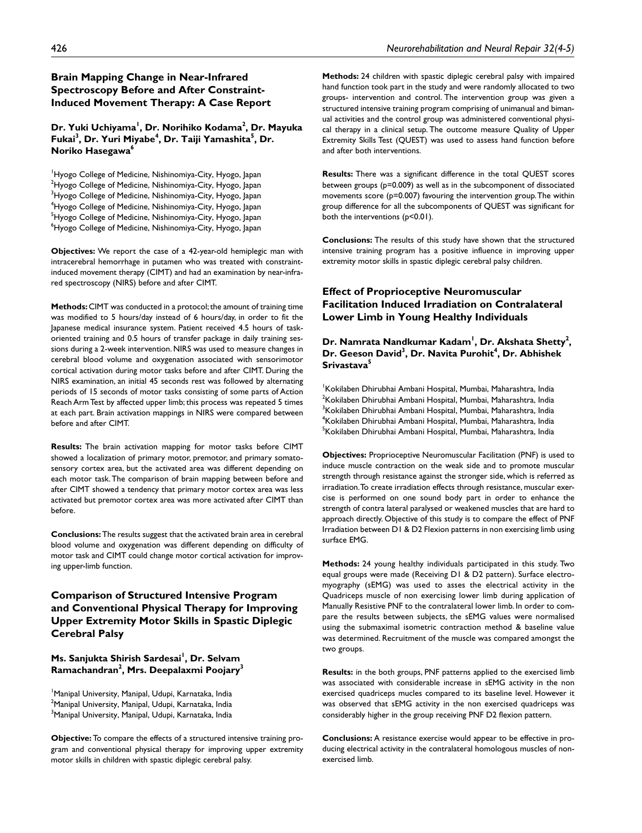## **Brain Mapping Change in Near-Infrared Spectroscopy Before and After Constraint-Induced Movement Therapy: A Case Report**

### **Dr. Yuki Uchiyama1 , Dr. Norihiko Kodama2 , Dr. Mayuka**  Fukai<sup>3</sup>, Dr. Yuri Miyabe<sup>4</sup>, Dr. Taiji Yamashita<sup>5</sup>, Dr. **Noriko Hasegawa**<sup>6</sup>

<sup>1</sup>Hyogo College of Medicine, Nishinomiya-City, Hyogo, Japan  $^{2}$ Hyogo College of Medicine, Nishinomiya-City, Hyogo, Japan <sup>3</sup>Hyogo College of Medicine, Nishinomiya-City, Hyogo, Japan 4 Hyogo College of Medicine, Nishinomiya-City, Hyogo, Japan <sup>5</sup>Hyogo College of Medicine, Nishinomiya-City, Hyogo, Japan 6 Hyogo College of Medicine, Nishinomiya-City, Hyogo, Japan

**Objectives:** We report the case of a 42-year-old hemiplegic man with intracerebral hemorrhage in putamen who was treated with constraintinduced movement therapy (CIMT) and had an examination by near-infrared spectroscopy (NIRS) before and after CIMT.

**Methods:** CIMT was conducted in a protocol; the amount of training time was modified to 5 hours/day instead of 6 hours/day, in order to fit the Japanese medical insurance system. Patient received 4.5 hours of taskoriented training and 0.5 hours of transfer package in daily training sessions during a 2-week intervention. NIRS was used to measure changes in cerebral blood volume and oxygenation associated with sensorimotor cortical activation during motor tasks before and after CIMT. During the NIRS examination, an initial 45 seconds rest was followed by alternating periods of 15 seconds of motor tasks consisting of some parts of Action Reach Arm Test by affected upper limb; this process was repeated 5 times at each part. Brain activation mappings in NIRS were compared between before and after CIMT.

**Results:** The brain activation mapping for motor tasks before CIMT showed a localization of primary motor, premotor, and primary somatosensory cortex area, but the activated area was different depending on each motor task. The comparison of brain mapping between before and after CIMT showed a tendency that primary motor cortex area was less activated but premotor cortex area was more activated after CIMT than before.

**Conclusions:** The results suggest that the activated brain area in cerebral blood volume and oxygenation was different depending on difficulty of motor task and CIMT could change motor cortical activation for improving upper-limb function.

# **Comparison of Structured Intensive Program and Conventional Physical Therapy for Improving Upper Extremity Motor Skills in Spastic Diplegic Cerebral Palsy**

## **Ms. Sanjukta Shirish Sardesai<sup>l</sup>, Dr. Selvam Ramachandran<sup>2</sup> , Mrs. Deepalaxmi Poojary3**

1 Manipal University, Manipal, Udupi, Karnataka, India <sup>2</sup>Manipal University, Manipal, Udupi, Karnataka, India <sup>3</sup>Manipal University, Manipal, Udupi, Karnataka, India

**Objective:** To compare the effects of a structured intensive training program and conventional physical therapy for improving upper extremity motor skills in children with spastic diplegic cerebral palsy.

**Methods:** 24 children with spastic diplegic cerebral palsy with impaired hand function took part in the study and were randomly allocated to two groups- intervention and control. The intervention group was given a structured intensive training program comprising of unimanual and bimanual activities and the control group was administered conventional physical therapy in a clinical setup. The outcome measure Quality of Upper Extremity Skills Test (QUEST) was used to assess hand function before and after both interventions.

**Results:** There was a significant difference in the total QUEST scores between groups (p=0.009) as well as in the subcomponent of dissociated movements score (p=0.007) favouring the intervention group. The within group difference for all the subcomponents of QUEST was significant for both the interventions (p<0.01).

**Conclusions:** The results of this study have shown that the structured intensive training program has a positive influence in improving upper extremity motor skills in spastic diplegic cerebral palsy children.

# **Effect of Proprioceptive Neuromuscular Facilitation Induced Irradiation on Contralateral Lower Limb in Young Healthy Individuals**

## Dr. Namrata Nandkumar Kadam<sup>1</sup>, Dr. Akshata Shetty<sup>2</sup>, Dr. Geeson David<sup>3</sup>, Dr. Navita Purohit<sup>4</sup>, Dr. Abhishek **Srivastava5**

1 Kokilaben Dhirubhai Ambani Hospital, Mumbai, Maharashtra, India  $^{2}$ Kokilaben Dhirubhai Ambani Hospital, Mumbai, Maharashtra, India  $^3$ Kokilaben Dhirubhai Ambani Hospital, Mumbai, Maharashtra, India 4 Kokilaben Dhirubhai Ambani Hospital, Mumbai, Maharashtra, India <sup>5</sup>Kokilaben Dhirubhai Ambani Hospital, Mumbai, Maharashtra, India

**Objectives:** Proprioceptive Neuromuscular Facilitation (PNF) is used to induce muscle contraction on the weak side and to promote muscular strength through resistance against the stronger side, which is referred as irradiation. To create irradiation effects through resistance, muscular exercise is performed on one sound body part in order to enhance the strength of contra lateral paralysed or weakened muscles that are hard to approach directly. Objective of this study is to compare the effect of PNF Irradiation between D1 & D2 Flexion patterns in non exercising limb using surface EMG.

**Methods:** 24 young healthy individuals participated in this study. Two equal groups were made (Receiving D1 & D2 pattern). Surface electromyography (sEMG) was used to asses the electrical activity in the Quadriceps muscle of non exercising lower limb during application of Manually Resistive PNF to the contralateral lower limb. In order to compare the results between subjects, the sEMG values were normalised using the submaximal isometric contraction method & baseline value was determined. Recruitment of the muscle was compared amongst the two groups.

**Results:** in the both groups, PNF patterns applied to the exercised limb was associated with considerable increase in sEMG activity in the non exercised quadriceps mucles compared to its baseline level. However it was observed that sEMG activity in the non exercised quadriceps was considerably higher in the group receiving PNF D2 flexion pattern.

**Conclusions:** A resistance exercise would appear to be effective in producing electrical activity in the contralateral homologous muscles of nonexercised limb.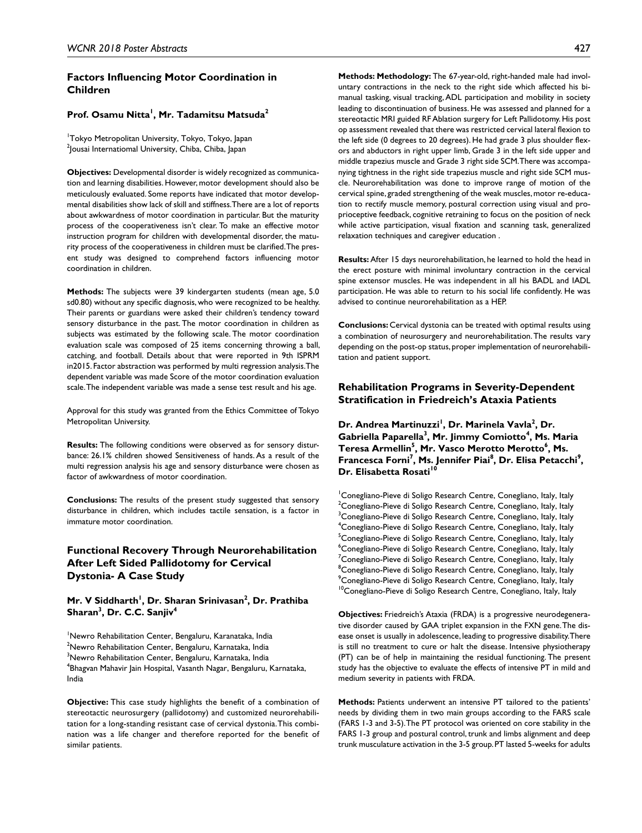### **Factors Influencing Motor Coordination in Children**

### **Prof. Osamu Nitta1 , Mr. Tadamitsu Matsuda2**

1 Tokyo Metropolitan University, Tokyo, Tokyo, Japan  $^{2}$ Jousai Internatiomal University, Chiba, Chiba, Japan

**Objectives:** Developmental disorder is widely recognized as communication and learning disabilities. However, motor development should also be meticulously evaluated. Some reports have indicated that motor developmental disabilities show lack of skill and stiffness. There are a lot of reports about awkwardness of motor coordination in particular. But the maturity process of the cooperativeness isn't clear. To make an effective motor instruction program for children with developmental disorder, the maturity process of the cooperativeness in children must be clarified. The present study was designed to comprehend factors influencing motor coordination in children.

**Methods:** The subjects were 39 kindergarten students (mean age, 5.0 sd0.80) without any specific diagnosis, who were recognized to be healthy. Their parents or guardians were asked their children's tendency toward sensory disturbance in the past. The motor coordination in children as subjects was estimated by the following scale. The motor coordination evaluation scale was composed of 25 items concerning throwing a ball, catching, and football. Details about that were reported in 9th ISPRM in2015. Factor abstraction was performed by multi regression analysis. The dependent variable was made Score of the motor coordination evaluation scale. The independent variable was made a sense test result and his age.

Approval for this study was granted from the Ethics Committee of Tokyo Metropolitan University.

**Results:** The following conditions were observed as for sensory disturbance: 26.1% children showed Sensitiveness of hands. As a result of the multi regression analysis his age and sensory disturbance were chosen as factor of awkwardness of motor coordination.

**Conclusions:** The results of the present study suggested that sensory disturbance in children, which includes tactile sensation, is a factor in immature motor coordination.

# **Functional Recovery Through Neurorehabilitation After Left Sided Pallidotomy for Cervical Dystonia- A Case Study**

**Mr. V Siddharth<sup>1</sup>, Dr. Sharan Srinivasan<sup>2</sup>, Dr. Prathiba Sharan3 , Dr. C.C. Sanjiv4**

<sup>1</sup>Newro Rehabilitation Center, Bengaluru, Karanataka, India  $^{2}$ Newro Rehabilitation Center, Bengaluru, Karnataka, India  $^3$ Newro Rehabilitation Center, Bengaluru, Karnataka, India 4 Bhagvan Mahavir Jain Hospital, Vasanth Nagar, Bengaluru, Karnataka, India

**Objective:** This case study highlights the benefit of a combination of stereotactic neurosurgery (pallidotomy) and customized neurorehabilitation for a long-standing resistant case of cervical dystonia. This combination was a life changer and therefore reported for the benefit of similar patients.

**Methods: Methodology:** The 67-year-old, right-handed male had involuntary contractions in the neck to the right side which affected his bimanual tasking, visual tracking, ADL participation and mobility in society leading to discontinuation of business. He was assessed and planned for a stereotactic MRI guided RF Ablation surgery for Left Pallidotomy. His post op assessment revealed that there was restricted cervical lateral flexion to the left side (0 degrees to 20 degrees). He had grade 3 plus shoulder flexors and abductors in right upper limb, Grade 3 in the left side upper and middle trapezius muscle and Grade 3 right side SCM. There was accompanying tightness in the right side trapezius muscle and right side SCM muscle. Neurorehabilitation was done to improve range of motion of the cervical spine, graded strengthening of the weak muscles, motor re-education to rectify muscle memory, postural correction using visual and proprioceptive feedback, cognitive retraining to focus on the position of neck while active participation, visual fixation and scanning task, generalized relaxation techniques and caregiver education .

**Results:** After 15 days neurorehabilitation, he learned to hold the head in the erect posture with minimal involuntary contraction in the cervical spine extensor muscles. He was independent in all his BADL and IADL participation. He was able to return to his social life confidently. He was advised to continue neurorehabilitation as a HEP.

**Conclusions:** Cervical dystonia can be treated with optimal results using a combination of neurosurgery and neurorehabilitation. The results vary depending on the post-op status, proper implementation of neurorehabilitation and patient support.

## **Rehabilitation Programs in Severity-Dependent Stratification in Friedreich's Ataxia Patients**

Dr. Andrea Martinuzzi<sup>'</sup>, Dr. Marinela Vavla<sup>2</sup>, Dr. **Gabriella Paparella3 , Mr. Jimmy Comiotto4 , Ms. Maria**   $T$ eresa Armellin<sup>5</sup>, Mr. Vasco Merotto Merotto<sup>6</sup>, Ms. Francesca Forni<sup>7</sup>, Ms. Jennifer Piai<sup>8</sup>, Dr. Elisa Petacchi<sup>9</sup>, **Dr. Elisabetta Rosati<sup>10</sup>** 

<sup>1</sup> Conegliano-Pieve di Soligo Research Centre, Conegliano, Italy, Italy  $^{2}$ Conegliano-Pieve di Soligo Research Centre, Conegliano, Italy, Italy <sup>3</sup>Conegliano-Pieve di Soligo Research Centre, Conegliano, Italy, Italy <sup>4</sup> Conegliano-Pieve di Soligo Research Centre, Conegliano, Italy, Italy <sup>5</sup>Conegliano-Pieve di Soligo Research Centre, Conegliano, Italy, Italy 6 Conegliano-Pieve di Soligo Research Centre, Conegliano, Italy, Italy <sup>7</sup> Conegliano-Pieve di Soligo Research Centre, Conegliano, Italy, Italy <sup>8</sup>Conegliano-Pieve di Soligo Research Centre, Conegliano, Italy, Italy <sup>9</sup> Conegliano-Pieve di Soligo Research Centre, Conegliano, Italy, Italy <sup>10</sup>Conegliano-Pieve di Soligo Research Centre, Conegliano, Italy, Italy

**Objectives:** Friedreich's Ataxia (FRDA) is a progressive neurodegenerative disorder caused by GAA triplet expansion in the FXN gene. The disease onset is usually in adolescence, leading to progressive disability. There is still no treatment to cure or halt the disease. Intensive physiotherapy (PT) can be of help in maintaining the residual functioning. The present study has the objective to evaluate the effects of intensive PT in mild and medium severity in patients with FRDA.

**Methods:** Patients underwent an intensive PT tailored to the patients' needs by dividing them in two main groups according to the FARS scale (FARS 1-3 and 3-5). The PT protocol was oriented on core stability in the FARS 1-3 group and postural control, trunk and limbs alignment and deep trunk musculature activation in the 3-5 group. PT lasted 5-weeks for adults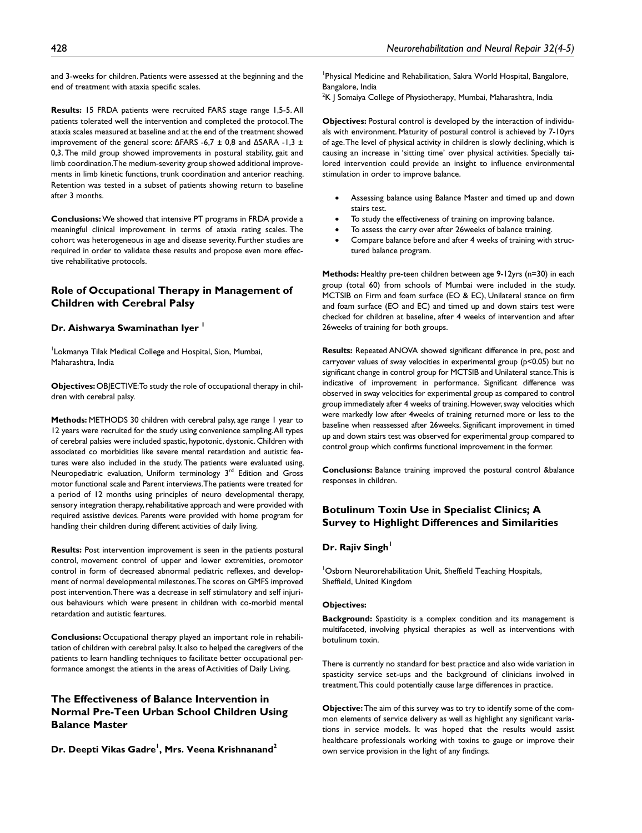and 3-weeks for children. Patients were assessed at the beginning and the end of treatment with ataxia specific scales.

**Results:** 15 FRDA patients were recruited FARS stage range 1,5-5. All patients tolerated well the intervention and completed the protocol. The ataxia scales measured at baseline and at the end of the treatment showed improvement of the general score: ∆FARS -6,7 ± 0,8 and ∆SARA -1,3 ± 0,3. The mild group showed improvements in postural stability, gait and limb coordination. The medium-severity group showed additional improvements in limb kinetic functions, trunk coordination and anterior reaching. Retention was tested in a subset of patients showing return to baseline after 3 months.

**Conclusions:** We showed that intensive PT programs in FRDA provide a meaningful clinical improvement in terms of ataxia rating scales. The cohort was heterogeneous in age and disease severity. Further studies are required in order to validate these results and propose even more effective rehabilitative protocols.

## **Role of Occupational Therapy in Management of Children with Cerebral Palsy**

### **Dr. Aishwarya Swaminathan Iyer 1**

Lokmanya Tilak Medical College and Hospital, Sion, Mumbai, Maharashtra, India

**Objectives: OB|ECTIVE: To study the role of occupational therapy in chil**dren with cerebral palsy.

**Methods:** METHODS 30 children with cerebral palsy, age range 1 year to 12 years were recruited for the study using convenience sampling. All types of cerebral palsies were included spastic, hypotonic, dystonic. Children with associated co morbidities like severe mental retardation and autistic features were also included in the study. The patients were evaluated using, Neuropediatric evaluation, Uniform terminology 3<sup>rd</sup> Edition and Gross motor functional scale and Parent interviews. The patients were treated for a period of 12 months using principles of neuro developmental therapy, sensory integration therapy, rehabilitative approach and were provided with required assistive devices. Parents were provided with home program for handling their children during different activities of daily living.

**Results:** Post intervention improvement is seen in the patients postural control, movement control of upper and lower extremities, oromotor control in form of decreased abnormal pediatric reflexes, and development of normal developmental milestones. The scores on GMFS improved post intervention. There was a decrease in self stimulatory and self injurious behaviours which were present in children with co-morbid mental retardation and autistic feartures.

**Conclusions:** Occupational therapy played an important role in rehabilitation of children with cerebral palsy. It also to helped the caregivers of the patients to learn handling techniques to facilitate better occupational performance amongst the atients in the areas of Activities of Daily Living.

# **The Effectiveness of Balance Intervention in Normal Pre-Teen Urban School Children Using Balance Master**

**Dr. Deepti Vikas Gadre1 , Mrs. Veena Krishnanand2**

<sup>1</sup>Physical Medicine and Rehabilitation, Sakra World Hospital, Bangalore, Bangalore, India

 $^2$ K J Somaiya College of Physiotherapy, Mumbai, Maharashtra, India

**Objectives:** Postural control is developed by the interaction of individuals with environment. Maturity of postural control is achieved by 7-10yrs of age. The level of physical activity in children is slowly declining, which is causing an increase in 'sitting time' over physical activities. Specially tailored intervention could provide an insight to influence environmental stimulation in order to improve balance.

- Assessing balance using Balance Master and timed up and down stairs test.
- To study the effectiveness of training on improving balance.
- To assess the carry over after 26weeks of balance training.
- Compare balance before and after 4 weeks of training with structured balance program.

**Methods:** Healthy pre-teen children between age 9-12yrs (n=30) in each group (total 60) from schools of Mumbai were included in the study. MCTSIB on Firm and foam surface (EO & EC), Unilateral stance on firm and foam surface (EO and EC) and timed up and down stairs test were checked for children at baseline, after 4 weeks of intervention and after 26weeks of training for both groups.

**Results:** Repeated ANOVA showed significant difference in pre, post and carryover values of sway velocities in experimental group (p<0.05) but no significant change in control group for MCTSIB and Unilateral stance. This is indicative of improvement in performance. Significant difference was observed in sway velocities for experimental group as compared to control group immediately after 4 weeks of training. However, sway velocities which were markedly low after 4weeks of training returned more or less to the baseline when reassessed after 26weeks. Significant improvement in timed up and down stairs test was observed for experimental group compared to control group which confirms functional improvement in the former.

**Conclusions:** Balance training improved the postural control &balance responses in children.

### **Botulinum Toxin Use in Specialist Clinics; A Survey to Highlight Differences and Similarities**

### **Dr. Rajiv Singh<sup>1</sup>**

<sup>1</sup>Osborn Neurorehabilitation Unit, Sheffield Teaching Hospitals, Sheffield, United Kingdom

### **Objectives:**

**Background:** Spasticity is a complex condition and its management is multifaceted, involving physical therapies as well as interventions with botulinum toxin.

There is currently no standard for best practice and also wide variation in spasticity service set-ups and the background of clinicians involved in treatment. This could potentially cause large differences in practice.

**Objective:** The aim of this survey was to try to identify some of the common elements of service delivery as well as highlight any significant variations in service models. It was hoped that the results would assist healthcare professionals working with toxins to gauge or improve their own service provision in the light of any findings.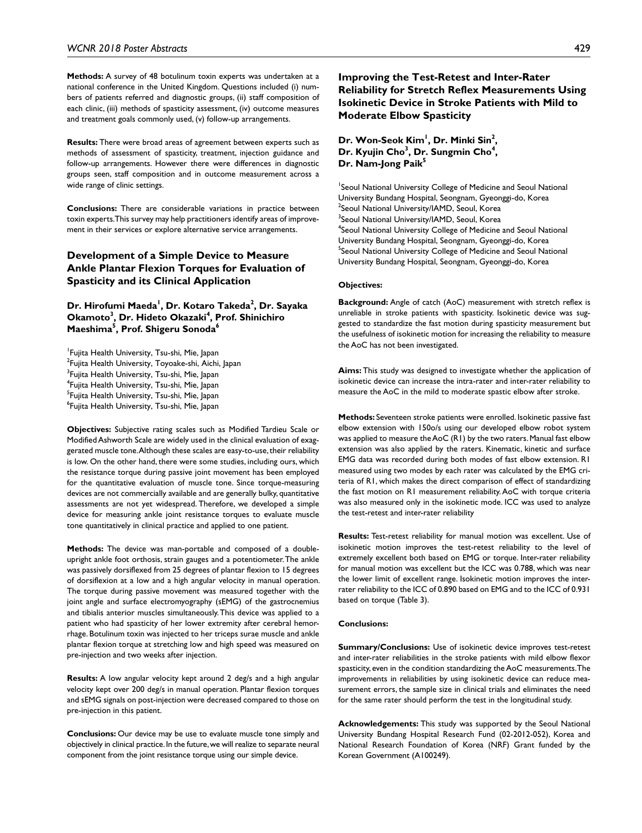**Methods:** A survey of 48 botulinum toxin experts was undertaken at a national conference in the United Kingdom. Questions included (i) numbers of patients referred and diagnostic groups, (ii) staff composition of each clinic, (iii) methods of spasticity assessment, (iv) outcome measures and treatment goals commonly used, (v) follow-up arrangements.

**Results:** There were broad areas of agreement between experts such as methods of assessment of spasticity, treatment, injection guidance and follow-up arrangements. However there were differences in diagnostic groups seen, staff composition and in outcome measurement across a wide range of clinic settings.

**Conclusions:** There are considerable variations in practice between toxin experts. This survey may help practitioners identify areas of improvement in their services or explore alternative service arrangements.

# **Development of a Simple Device to Measure Ankle Plantar Flexion Torques for Evaluation of Spasticity and its Clinical Application**

## Dr. Hirofumi Maeda<sup>l</sup>, Dr. Kotaro Takeda<sup>2</sup>, Dr. Sayaka Okamoto<sup>3</sup>, Dr. Hideto Okazaki<sup>4</sup>, Prof. Shinichiro **Maeshima5 , Prof. Shigeru Sonoda6**

1 Fujita Health University, Tsu-shi, Mie, Japan <sup>2</sup>Fujita Health University, Toyoake-shi, Aichi, Japan <sup>3</sup>Fujita Health University, Tsu-shi, Mie, Japan 4 Fujita Health University, Tsu-shi, Mie, Japan <sup>5</sup>Fujita Health University, Tsu-shi, Mie, Japan <sup>6</sup>Fujita Health University, Tsu-shi, Mie, Japan

**Objectives:** Subjective rating scales such as Modified Tardieu Scale or Modified Ashworth Scale are widely used in the clinical evaluation of exaggerated muscle tone. Although these scales are easy-to-use, their reliability is low. On the other hand, there were some studies, including ours, which the resistance torque during passive joint movement has been employed for the quantitative evaluation of muscle tone. Since torque-measuring devices are not commercially available and are generally bulky, quantitative assessments are not yet widespread. Therefore, we developed a simple device for measuring ankle joint resistance torques to evaluate muscle tone quantitatively in clinical practice and applied to one patient.

**Methods:** The device was man-portable and composed of a doubleupright ankle foot orthosis, strain gauges and a potentiometer. The ankle was passively dorsiflexed from 25 degrees of plantar flexion to 15 degrees of dorsiflexion at a low and a high angular velocity in manual operation. The torque during passive movement was measured together with the joint angle and surface electromyography (sEMG) of the gastrocnemius and tibialis anterior muscles simultaneously. This device was applied to a patient who had spasticity of her lower extremity after cerebral hemorrhage. Botulinum toxin was injected to her triceps surae muscle and ankle plantar flexion torque at stretching low and high speed was measured on pre-injection and two weeks after injection.

**Results:** A low angular velocity kept around 2 deg/s and a high angular velocity kept over 200 deg/s in manual operation. Plantar flexion torques and sEMG signals on post-injection were decreased compared to those on pre-injection in this patient.

**Conclusions:** Our device may be use to evaluate muscle tone simply and objectively in clinical practice. In the future, we will realize to separate neural component from the joint resistance torque using our simple device.

## **Improving the Test-Retest and Inter-Rater Reliability for Stretch Reflex Measurements Using Isokinetic Device in Stroke Patients with Mild to Moderate Elbow Spasticity**

## Dr. Won-Seok Kim<sup>1</sup>, Dr. Minki Sin<sup>2</sup>, Dr. Kyujin Cho<sup>3</sup>, Dr. Sungmin Cho<sup>4</sup>, Dr. Nam-Jong Paik<sup>5</sup>

<sup>1</sup>Seoul National University College of Medicine and Seoul National University Bundang Hospital, Seongnam, Gyeonggi-do, Korea <sup>2</sup>Seoul National University/IAMD, Seoul, Korea <sup>3</sup>Seoul National University/IAMD, Seoul, Korea 4 Seoul National University College of Medicine and Seoul National University Bundang Hospital, Seongnam, Gyeonggi-do, Korea <sup>5</sup>Seoul National University College of Medicine and Seoul National University Bundang Hospital, Seongnam, Gyeonggi-do, Korea

#### **Objectives:**

**Background:** Angle of catch (AoC) measurement with stretch reflex is unreliable in stroke patients with spasticity. Isokinetic device was suggested to standardize the fast motion during spasticity measurement but the usefulness of isokinetic motion for increasing the reliability to measure the AoC has not been investigated.

**Aims:** This study was designed to investigate whether the application of isokinetic device can increase the intra-rater and inter-rater reliability to measure the AoC in the mild to moderate spastic elbow after stroke.

**Methods:** Seventeen stroke patients were enrolled. Isokinetic passive fast elbow extension with 150o/s using our developed elbow robot system was applied to measure the AoC (R1) by the two raters. Manual fast elbow extension was also applied by the raters. Kinematic, kinetic and surface EMG data was recorded during both modes of fast elbow extension. R1 measured using two modes by each rater was calculated by the EMG criteria of R1, which makes the direct comparison of effect of standardizing the fast motion on R1 measurement reliability. AoC with torque criteria was also measured only in the isokinetic mode. ICC was used to analyze the test-retest and inter-rater reliability

**Results:** Test-retest reliability for manual motion was excellent. Use of isokinetic motion improves the test-retest reliability to the level of extremely excellent both based on EMG or torque. Inter-rater reliability for manual motion was excellent but the ICC was 0.788, which was near the lower limit of excellent range. Isokinetic motion improves the interrater reliability to the ICC of 0.890 based on EMG and to the ICC of 0.931 based on torque (Table 3).

#### **Conclusions:**

**Summary/Conclusions:** Use of isokinetic device improves test-retest and inter-rater reliabilities in the stroke patients with mild elbow flexor spasticity, even in the condition standardizing the AoC measurements. The improvements in reliabilities by using isokinetic device can reduce measurement errors, the sample size in clinical trials and eliminates the need for the same rater should perform the test in the longitudinal study.

**Acknowledgements:** This study was supported by the Seoul National University Bundang Hospital Research Fund (02-2012-052), Korea and National Research Foundation of Korea (NRF) Grant funded by the Korean Government (A100249).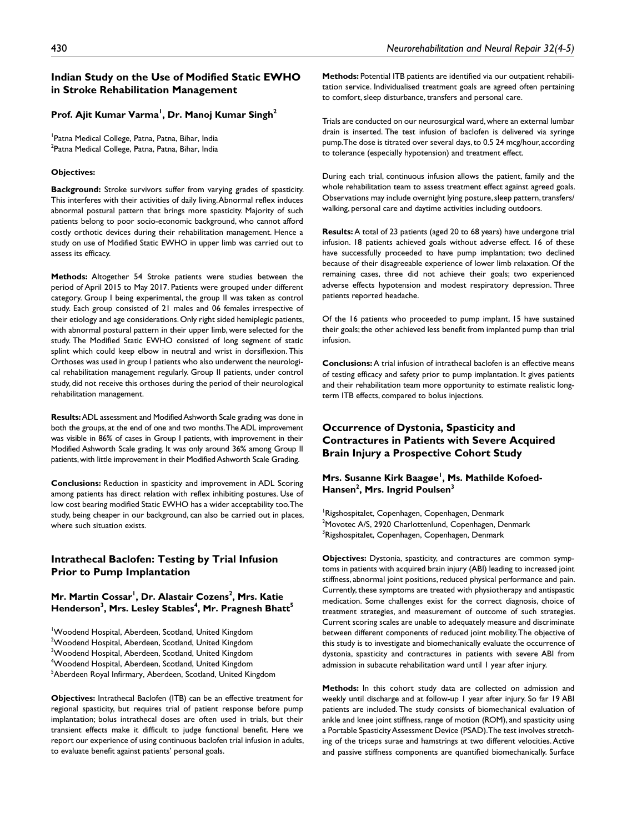## **Indian Study on the Use of Modified Static EWHO in Stroke Rehabilitation Management**

### **Prof. Ajit Kumar Varma1 , Dr. Manoj Kumar Singh2**

<sup>1</sup> Patna Medical College, Patna, Patna, Bihar, India <sup>2</sup>Patna Medical College, Patna, Patna, Bihar, India

### **Objectives:**

**Background:** Stroke survivors suffer from varying grades of spasticity. This interferes with their activities of daily living. Abnormal reflex induces abnormal postural pattern that brings more spasticity. Majority of such patients belong to poor socio-economic background, who cannot afford costly orthotic devices during their rehabilitation management. Hence a study on use of Modified Static EWHO in upper limb was carried out to assess its efficacy.

**Methods:** Altogether 54 Stroke patients were studies between the period of April 2015 to May 2017. Patients were grouped under different category. Group I being experimental, the group II was taken as control study. Each group consisted of 21 males and 06 females irrespective of their etiology and age considerations. Only right sided hemiplegic patients, with abnormal postural pattern in their upper limb, were selected for the study. The Modified Static EWHO consisted of long segment of static splint which could keep elbow in neutral and wrist in dorsiflexion. This Orthoses was used in group I patients who also underwent the neurological rehabilitation management regularly. Group II patients, under control study, did not receive this orthoses during the period of their neurological rehabilitation management.

**Results:** ADL assessment and Modified Ashworth Scale grading was done in both the groups, at the end of one and two months. The ADL improvement was visible in 86% of cases in Group I patients, with improvement in their Modified Ashworth Scale grading. It was only around 36% among Group II patients, with little improvement in their Modified Ashworth Scale Grading.

**Conclusions:** Reduction in spasticity and improvement in ADL Scoring among patients has direct relation with reflex inhibiting postures. Use of low cost bearing modified Static EWHO has a wider acceptability too. The study, being cheaper in our background, can also be carried out in places, where such situation exists.

## **Intrathecal Baclofen: Testing by Trial Infusion Prior to Pump Implantation**

## **Mr. Martin Cossar<sup>1</sup>, Dr. Alastair Cozens<sup>2</sup>, Mrs. Katie**  $\mathsf{H}$ enderson $^3$ , Mrs. Lesley Stables $^4$ , Mr. Pragnesh Bhatt $^5$

<sup>1</sup>Woodend Hospital, Aberdeen, Scotland, United Kingdom <sup>2</sup>Woodend Hospital, Aberdeen, Scotland, United Kingdom <sup>3</sup>Woodend Hospital, Aberdeen, Scotland, United Kingdom 4 Woodend Hospital, Aberdeen, Scotland, United Kingdom <sup>5</sup>Aberdeen Royal Infirmary, Aberdeen, Scotland, United Kingdom

**Objectives:** Intrathecal Baclofen (ITB) can be an effective treatment for regional spasticity, but requires trial of patient response before pump implantation; bolus intrathecal doses are often used in trials, but their transient effects make it difficult to judge functional benefit. Here we report our experience of using continuous baclofen trial infusion in adults, to evaluate benefit against patients' personal goals.

**Methods:** Potential ITB patients are identified via our outpatient rehabilitation service. Individualised treatment goals are agreed often pertaining to comfort, sleep disturbance, transfers and personal care.

Trials are conducted on our neurosurgical ward, where an external lumbar drain is inserted. The test infusion of baclofen is delivered via syringe pump. The dose is titrated over several days, to 0.5 24 mcg/hour, according to tolerance (especially hypotension) and treatment effect.

During each trial, continuous infusion allows the patient, family and the whole rehabilitation team to assess treatment effect against agreed goals. Observations may include overnight lying posture, sleep pattern, transfers/ walking, personal care and daytime activities including outdoors.

**Results:** A total of 23 patients (aged 20 to 68 years) have undergone trial infusion. 18 patients achieved goals without adverse effect. 16 of these have successfully proceeded to have pump implantation; two declined because of their disagreeable experience of lower limb relaxation. Of the remaining cases, three did not achieve their goals; two experienced adverse effects hypotension and modest respiratory depression. Three patients reported headache.

Of the 16 patients who proceeded to pump implant, 15 have sustained their goals; the other achieved less benefit from implanted pump than trial infusion.

**Conclusions:** A trial infusion of intrathecal baclofen is an effective means of testing efficacy and safety prior to pump implantation. It gives patients and their rehabilitation team more opportunity to estimate realistic longterm ITB effects, compared to bolus injections.

## **Occurrence of Dystonia, Spasticity and Contractures in Patients with Severe Acquired Brain Injury a Prospective Cohort Study**

## **Mrs. Susanne Kirk Baagøe1 , Ms. Mathilde Kofoed-Hansen<sup>2</sup> , Mrs. Ingrid Poulsen3**

<sup>1</sup>Rigshospitalet, Copenhagen, Copenhagen, Denmark <sup>2</sup>Movotec A/S, 2920 Charlottenlund, Copenhagen, Denmark <sup>3</sup>Rigshospitalet, Copenhagen, Copenhagen, Denmark

**Objectives:** Dystonia, spasticity, and contractures are common symptoms in patients with acquired brain injury (ABI) leading to increased joint stiffness, abnormal joint positions, reduced physical performance and pain. Currently, these symptoms are treated with physiotherapy and antispastic medication. Some challenges exist for the correct diagnosis, choice of treatment strategies, and measurement of outcome of such strategies. Current scoring scales are unable to adequately measure and discriminate between different components of reduced joint mobility. The objective of this study is to investigate and biomechanically evaluate the occurrence of dystonia, spasticity and contractures in patients with severe ABI from admission in subacute rehabilitation ward until 1 year after injury.

**Methods:** In this cohort study data are collected on admission and weekly until discharge and at follow-up 1 year after injury. So far 19 ABI patients are included. The study consists of biomechanical evaluation of ankle and knee joint stiffness, range of motion (ROM), and spasticity using a Portable Spasticity Assessment Device (PSAD). The test involves stretching of the triceps surae and hamstrings at two different velocities. Active and passive stiffness components are quantified biomechanically. Surface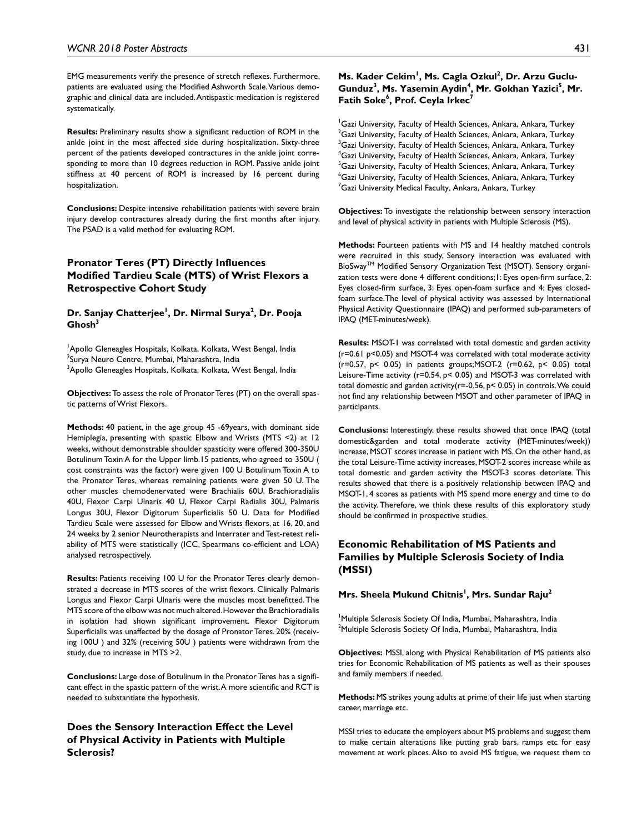EMG measurements verify the presence of stretch reflexes. Furthermore, patients are evaluated using the Modified Ashworth Scale. Various demographic and clinical data are included. Antispastic medication is registered systematically.

**Results:** Preliminary results show a significant reduction of ROM in the ankle joint in the most affected side during hospitalization. Sixty-three percent of the patients developed contractures in the ankle joint corresponding to more than 10 degrees reduction in ROM. Passive ankle joint stiffness at 40 percent of ROM is increased by 16 percent during hospitalization.

**Conclusions:** Despite intensive rehabilitation patients with severe brain injury develop contractures already during the first months after injury. The PSAD is a valid method for evaluating ROM.

## **Pronator Teres (PT) Directly Influences Modified Tardieu Scale (MTS) of Wrist Flexors a Retrospective Cohort Study**

## Dr. Sanjay Chatterjee<sup>'</sup>, Dr. Nirmal Surya<sup>2</sup>, Dr. Pooja **Ghosh3**

<sup>1</sup> Apollo Gleneagles Hospitals, Kolkata, Kolkata, West Bengal, India <sup>2</sup>Surya Neuro Centre, Mumbai, Maharashtra, India  $^3$ Apollo Gleneagles Hospitals, Kolkata, Kolkata, West Bengal, India

**Objectives:** To assess the role of Pronator Teres (PT) on the overall spastic patterns of Wrist Flexors.

**Methods:** 40 patient, in the age group 45 -69years, with dominant side Hemiplegia, presenting with spastic Elbow and Wrists (MTS <2) at 12 weeks, without demonstrable shoulder spasticity were offered 300-350U Botulinum Toxin A for the Upper limb.15 patients, who agreed to 350U ( cost constraints was the factor) were given 100 U Botulinum Toxin A to the Pronator Teres, whereas remaining patients were given 50 U. The other muscles chemodenervated were Brachialis 60U, Brachioradialis 40U, Flexor Carpi Ulnaris 40 U, Flexor Carpi Radialis 30U, Palmaris Longus 30U, Flexor Digitorum Superficialis 50 U. Data for Modified Tardieu Scale were assessed for Elbow and Wrists flexors, at 16, 20, and 24 weeks by 2 senior Neurotherapists and Interrater and Test-retest reliability of MTS were statistically (ICC, Spearmans co-efficient and LOA) analysed retrospectively.

**Results:** Patients receiving 100 U for the Pronator Teres clearly demonstrated a decrease in MTS scores of the wrist flexors. Clinically Palmaris Longus and Flexor Carpi Ulnaris were the muscles most benefitted. The MTS score of the elbow was not much altered. However the Brachioradialis in isolation had shown significant improvement. Flexor Digitorum Superficialis was unaffected by the dosage of Pronator Teres. 20% (receiving 100U ) and 32% (receiving 50U ) patients were withdrawn from the study, due to increase in MTS >2.

**Conclusions:** Large dose of Botulinum in the Pronator Teres has a significant effect in the spastic pattern of the wrist. A more scientific and RCT is needed to substantiate the hypothesis.

## **Does the Sensory Interaction Effect the Level of Physical Activity in Patients with Multiple Sclerosis?**

## **Ms. Kader Cekim<sup>1</sup>, Ms. Cagla Ozkul<sup>2</sup>, Dr. Arzu Guclu-**Gunduz<sup>3</sup>, Ms. Yasemin Aydin<sup>4</sup>, Mr. Gokhan Yazici<sup>5</sup>, Mr. **Fatih Soke6 , Prof. Ceyla Irkec7**

1 Gazi University, Faculty of Health Sciences, Ankara, Ankara, Turkey  $^2$ Gazi University, Faculty of Health Sciences, Ankara, Ankara, Turkey  $^3$ Gazi University, Faculty of Health Sciences, Ankara, Ankara, Turkey  ${\rm ^4}$ Gazi University, Faculty of Health Sciences, Ankara, Ankara, Turkey <sup>5</sup>Gazi University, Faculty of Health Sciences, Ankara, Ankara, Turkey  $^6$ Gazi University, Faculty of Health Sciences, Ankara, Ankara, Turkey  ${\rm ^7}$ Gazi University Medical Faculty, Ankara, Ankara, Turkey

**Objectives:** To investigate the relationship between sensory interaction and level of physical activity in patients with Multiple Sclerosis (MS).

**Methods:** Fourteen patients with MS and 14 healthy matched controls were recruited in this study. Sensory interaction was evaluated with BioSwayTM Modified Sensory Organization Test (MSOT). Sensory organization tests were done 4 different conditions;1: Eyes open-firm surface, 2: Eyes closed-firm surface, 3: Eyes open-foam surface and 4: Eyes closedfoam surface.The level of physical activity was assessed by International Physical Activity Questionnaire (IPAQ) and performed sub-parameters of IPAQ (MET-minutes/week).

**Results:** MSOT-1 was correlated with total domestic and garden activity (r=0.61 p<0.05) and MSOT-4 was correlated with total moderate activity (r=0.57, p< 0.05) in patients groups;MSOT-2 (r=0.62, p< 0.05) total Leisure-Time activity (r=0.54, p< 0.05) and MSOT-3 was correlated with total domestic and garden activity( $r = -0.56$ ,  $p < 0.05$ ) in controls. We could not find any relationship between MSOT and other parameter of IPAQ in participants.

**Conclusions:** Interestingly, these results showed that once IPAQ (total domestic&garden and total moderate activity (MET-minutes/week)) increase, MSOT scores increase in patient with MS. On the other hand, as the total Leisure-Time activity increases, MSOT-2 scores increase while as total domestic and garden activity the MSOT-3 scores detoriate. This results showed that there is a positively relationship between IPAQ and MSOT-1, 4 scores as patients with MS spend more energy and time to do the activity. Therefore, we think these results of this exploratory study should be confirmed in prospective studies.

# **Economic Rehabilitation of MS Patients and Families by Multiple Sclerosis Society of India (MSSI)**

# **Mrs. Sheela Mukund Chitnis1 , Mrs. Sundar Raju2**

1 Multiple Sclerosis Society Of India, Mumbai, Maharashtra, India <sup>2</sup>Multiple Sclerosis Society Of India, Mumbai, Maharashtra, India

**Objectives:** MSSI, along with Physical Rehabilitation of MS patients also tries for Economic Rehabilitation of MS patients as well as their spouses and family members if needed.

**Methods:** MS strikes young adults at prime of their life just when starting career, marriage etc.

MSSI tries to educate the employers about MS problems and suggest them to make certain alterations like putting grab bars, ramps etc for easy movement at work places. Also to avoid MS fatigue, we request them to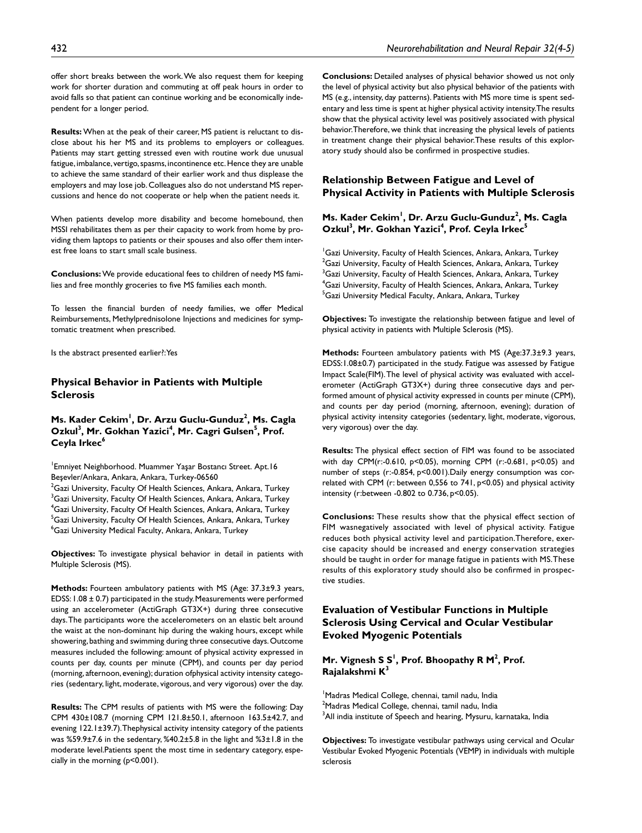offer short breaks between the work. We also request them for keeping work for shorter duration and commuting at off peak hours in order to avoid falls so that patient can continue working and be economically independent for a longer period.

**Results:** When at the peak of their career, MS patient is reluctant to disclose about his her MS and its problems to employers or colleagues. Patients may start getting stressed even with routine work due unusual fatigue, imbalance, vertigo, spasms, incontinence etc. Hence they are unable to achieve the same standard of their earlier work and thus displease the employers and may lose job. Colleagues also do not understand MS repercussions and hence do not cooperate or help when the patient needs it.

When patients develop more disability and become homebound, then MSSI rehabilitates them as per their capacity to work from home by providing them laptops to patients or their spouses and also offer them interest free loans to start small scale business.

**Conclusions:** We provide educational fees to children of needy MS families and free monthly groceries to five MS families each month.

To lessen the financial burden of needy families, we offer Medical Reimbursements, Methylprednisolone Injections and medicines for symptomatic treatment when prescribed.

Is the abstract presented earlier?: Yes

### **Physical Behavior in Patients with Multiple Sclerosis**

## **Ms. Kader Cekim1 , Dr. Arzu Guclu-Gunduz2 , Ms. Cagla**  Ozkul<sup>3</sup>, Mr. Gokhan Yazici<sup>4</sup>, Mr. Cagri Gulsen<sup>5</sup>, Prof. Ceyla Irkec<sup>6</sup>

1 Emniyet Neighborhood. Muammer Yaşar Bostancı Street. Apt.16 Beşevler/Ankara, Ankara, Ankara, Turkey-06560

 $^2$ Gazi University, Faculty Of Health Sciences, Ankara, Ankara, Turkey <sup>3</sup>Gazi University, Faculty Of Health Sciences, Ankara, Ankara, Turkey 4 Gazi University, Faculty Of Health Sciences, Ankara, Ankara, Turkey <sup>5</sup>Gazi University, Faculty Of Health Sciences, Ankara, Ankara, Turkey 6 Gazi University Medical Faculty, Ankara, Ankara, Turkey

**Objectives:** To investigate physical behavior in detail in patients with Multiple Sclerosis (MS).

**Methods:** Fourteen ambulatory patients with MS (Age: 37.3±9.3 years, EDSS: 1.08 ± 0.7) participated in the study. Measurements were performed using an accelerometer (ActiGraph GT3X+) during three consecutive days. The participants wore the accelerometers on an elastic belt around the waist at the non-dominant hip during the waking hours, except while showering, bathing and swimming during three consecutive days. Outcome measures included the following: amount of physical activity expressed in counts per day, counts per minute (CPM), and counts per day period (morning, afternoon, evening); duration ofphysical activity intensity categories (sedentary, light, moderate, vigorous, and very vigorous) over the day.

**Results:** The CPM results of patients with MS were the following: Day CPM 430±108.7 (morning CPM 121.8±50.1, afternoon 163.5±42.7, and evening 122.1±39.7). Thephysical activity intensity category of the patients was %59.9±7.6 in the sedentary, %40.2±5.8 in the light and %3±1.8 in the moderate level.Patients spent the most time in sedentary category, especially in the morning (p<0.001).

**Conclusions:** Detailed analyses of physical behavior showed us not only the level of physical activity but also physical behavior of the patients with MS (e.g., intensity, day patterns). Patients with MS more time is spent sedentary and less time is spent at higher physical activity intensity. The results show that the physical activity level was positively associated with physical behavior.Therefore, we think that increasing the physical levels of patients in treatment change their physical behavior.These results of this exploratory study should also be confirmed in prospective studies.

## **Relationship Between Fatigue and Level of Physical Activity in Patients with Multiple Sclerosis**

### **Ms. Kader Cekim<sup>1</sup>, Dr. Arzu Guclu-Gunduz<sup>2</sup>, Ms. Cagla Ozkul3 , Mr. Gokhan Yazici4 , Prof. Ceyla Irkec5**

<sup>1</sup>Gazi University, Faculty of Health Sciences, Ankara, Ankara, Turkey  $^2$ Gazi University, Faculty of Health Sciences, Ankara, Ankara, Turkey  $^3$ Gazi University, Faculty of Health Sciences, Ankara, Ankara, Turkey 4 Gazi University, Faculty of Health Sciences, Ankara, Ankara, Turkey <sup>5</sup>Gazi University Medical Faculty, Ankara, Ankara, Turkey

**Objectives:** To investigate the relationship between fatigue and level of physical activity in patients with Multiple Sclerosis (MS).

**Methods:** Fourteen ambulatory patients with MS (Age:37.3±9.3 years, EDSS:1.08±0.7) participated in the study. Fatigue was assessed by Fatigue Impact Scale(FIM). The level of physical activity was evaluated with accelerometer (ActiGraph GT3X+) during three consecutive days and performed amount of physical activity expressed in counts per minute (CPM), and counts per day period (morning, afternoon, evening); duration of physical activity intensity categories (sedentary, light, moderate, vigorous, very vigorous) over the day.

**Results:** The physical effect section of FIM was found to be associated with day CPM(r:-0.610, p<0.05), morning CPM (r:-0.681, p<0.05) and number of steps (r:-0.854, p<0.001).Daily energy consumption was correlated with CPM (r: between 0,556 to 741, p<0.05) and physical activity intensity (r:between -0.802 to 0.736, p<0.05).

**Conclusions:** These results show that the physical effect section of FIM wasnegatively associated with level of physical activity. Fatigue reduces both physical activity level and participation.Therefore, exercise capacity should be increased and energy conservation strategies should be taught in order for manage fatigue in patients with MS. These results of this exploratory study should also be confirmed in prospective studies.

## **Evaluation of Vestibular Functions in Multiple Sclerosis Using Cervical and Ocular Vestibular Evoked Myogenic Potentials**

### **Mr. Vignesh S S<sup>1</sup>, Prof. Bhoopathy R M<sup>2</sup>, Prof. Rajalakshmi K3**

<sup>1</sup>Madras Medical College, chennai, tamil nadu, India <sup>2</sup>Madras Medical College, chennai, tamil nadu, India  $^3$ All india institute of Speech and hearing, Mysuru, karnataka, India

**Objectives:** To investigate vestibular pathways using cervical and Ocular Vestibular Evoked Myogenic Potentials (VEMP) in individuals with multiple sclerosis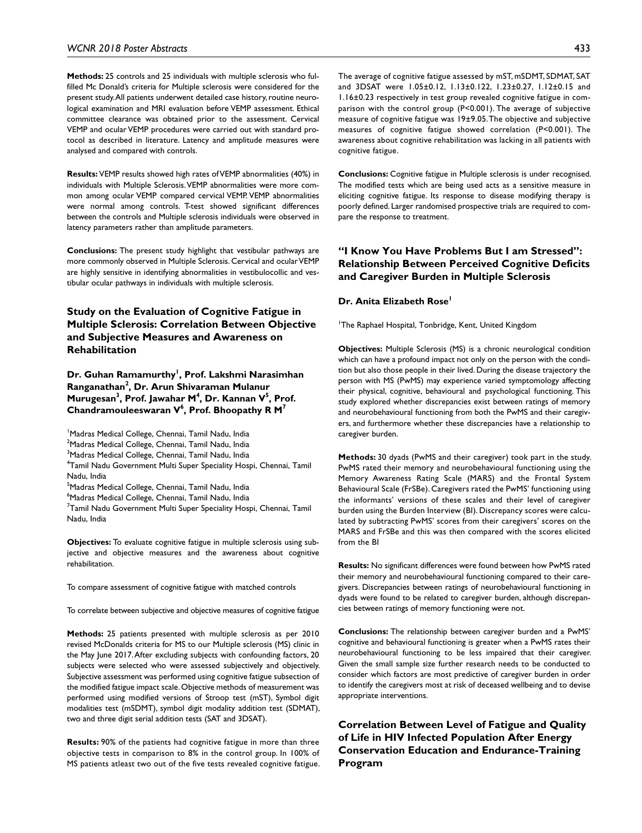**Methods:** 25 controls and 25 individuals with multiple sclerosis who fulfilled Mc Donald's criteria for Multiple sclerosis were considered for the present study. All patients underwent detailed case history, routine neurological examination and MRI evaluation before VEMP assessment. Ethical committee clearance was obtained prior to the assessment. Cervical VEMP and ocular VEMP procedures were carried out with standard protocol as described in literature. Latency and amplitude measures were analysed and compared with controls.

**Results:** VEMP results showed high rates of VEMP abnormalities (40%) in individuals with Multiple Sclerosis. VEMP abnormalities were more common among ocular VEMP compared cervical VEMP. VEMP abnormalities were normal among controls. T-test showed significant differences between the controls and Multiple sclerosis individuals were observed in latency parameters rather than amplitude parameters.

**Conclusions:** The present study highlight that vestibular pathways are more commonly observed in Multiple Sclerosis. Cervical and ocular VEMP are highly sensitive in identifying abnormalities in vestibulocollic and vestibular ocular pathways in individuals with multiple sclerosis.

## **Study on the Evaluation of Cognitive Fatigue in Multiple Sclerosis: Correlation Between Objective and Subjective Measures and Awareness on Rehabilitation**

**Dr. Guhan Ramamurthy1 , Prof. Lakshmi Narasimhan Ranganathan<sup>2</sup> , Dr. Arun Shivaraman Mulanur**  Murugesan<sup>3</sup>, Prof. Jawahar M<sup>4</sup>, Dr. Kannan V<sup>5</sup>, Prof. **Chandramouleeswaran V6 , Prof. Bhoopathy R M7**

<sup>1</sup> Madras Medical College, Chennai, Tamil Nadu, India <sup>2</sup>Madras Medical College, Chennai, Tamil Nadu, India

<sup>3</sup>Madras Medical College, Chennai, Tamil Nadu, India

4 Tamil Nadu Government Multi Super Speciality Hospi, Chennai, Tamil Nadu, India

<sup>5</sup>Madras Medical College, Chennai, Tamil Nadu, India

6 Madras Medical College, Chennai, Tamil Nadu, India

<sup>7</sup>Tamil Nadu Government Multi Super Speciality Hospi, Chennai, Tamil Nadu, India

**Objectives:** To evaluate cognitive fatigue in multiple sclerosis using subjective and objective measures and the awareness about cognitive rehabilitation.

To compare assessment of cognitive fatigue with matched controls

To correlate between subjective and objective measures of cognitive fatigue

**Methods:** 25 patients presented with multiple sclerosis as per 2010 revised McDonalds criteria for MS to our Multiple sclerosis (MS) clinic in the May June 2017. After excluding subjects with confounding factors, 20 subjects were selected who were assessed subjectively and objectively. Subjective assessment was performed using cognitive fatigue subsection of the modified fatigue impact scale. Objective methods of measurement was performed using modified versions of Stroop test (mST), Symbol digit modalities test (mSDMT), symbol digit modality addition test (SDMAT), two and three digit serial addition tests (SAT and 3DSAT).

**Results:** 90% of the patients had cognitive fatigue in more than three objective tests in comparison to 8% in the control group. In 100% of MS patients atleast two out of the five tests revealed cognitive fatigue. The average of cognitive fatigue assessed by mST, mSDMT, SDMAT, SAT and 3DSAT were 1.05±0.12, 1.13±0.122, 1.23±0.27, 1.12±0.15 and 1.16±0.23 respectively in test group revealed cognitive fatigue in comparison with the control group (P<0.001). The average of subjective measure of cognitive fatigue was 19±9.05. The objective and subjective measures of cognitive fatigue showed correlation (P<0.001). The awareness about cognitive rehabilitation was lacking in all patients with cognitive fatigue.

**Conclusions:** Cognitive fatigue in Multiple sclerosis is under recognised. The modified tests which are being used acts as a sensitive measure in eliciting cognitive fatigue. Its response to disease modifying therapy is poorly defined. Larger randomised prospective trials are required to compare the response to treatment.

# **"I Know You Have Problems But I am Stressed": Relationship Between Perceived Cognitive Deficits and Caregiver Burden in Multiple Sclerosis**

### **Dr. Anita Elizabeth Rose**

<sup>1</sup>The Raphael Hospital, Tonbridge, Kent, United Kingdom

**Objectives:** Multiple Sclerosis (MS) is a chronic neurological condition which can have a profound impact not only on the person with the condition but also those people in their lived. During the disease trajectory the person with MS (PwMS) may experience varied symptomology affecting their physical, cognitive, behavioural and psychological functioning. This study explored whether discrepancies exist between ratings of memory and neurobehavioural functioning from both the PwMS and their caregivers, and furthermore whether these discrepancies have a relationship to caregiver burden.

**Methods:** 30 dyads (PwMS and their caregiver) took part in the study. PwMS rated their memory and neurobehavioural functioning using the Memory Awareness Rating Scale (MARS) and the Frontal System Behavioural Scale (FrSBe). Caregivers rated the PwMS' functioning using the informants' versions of these scales and their level of caregiver burden using the Burden Interview (BI). Discrepancy scores were calculated by subtracting PwMS' scores from their caregivers' scores on the MARS and FrSBe and this was then compared with the scores elicited from the BI

**Results:** No significant differences were found between how PwMS rated their memory and neurobehavioural functioning compared to their caregivers. Discrepancies between ratings of neurobehavioural functioning in dyads were found to be related to caregiver burden, although discrepancies between ratings of memory functioning were not.

**Conclusions:** The relationship between caregiver burden and a PwMS' cognitive and behavioural functioning is greater when a PwMS rates their neurobehavioural functioning to be less impaired that their caregiver. Given the small sample size further research needs to be conducted to consider which factors are most predictive of caregiver burden in order to identify the caregivers most at risk of deceased wellbeing and to devise appropriate interventions.

**Correlation Between Level of Fatigue and Quality of Life in HIV Infected Population After Energy Conservation Education and Endurance-Training Program**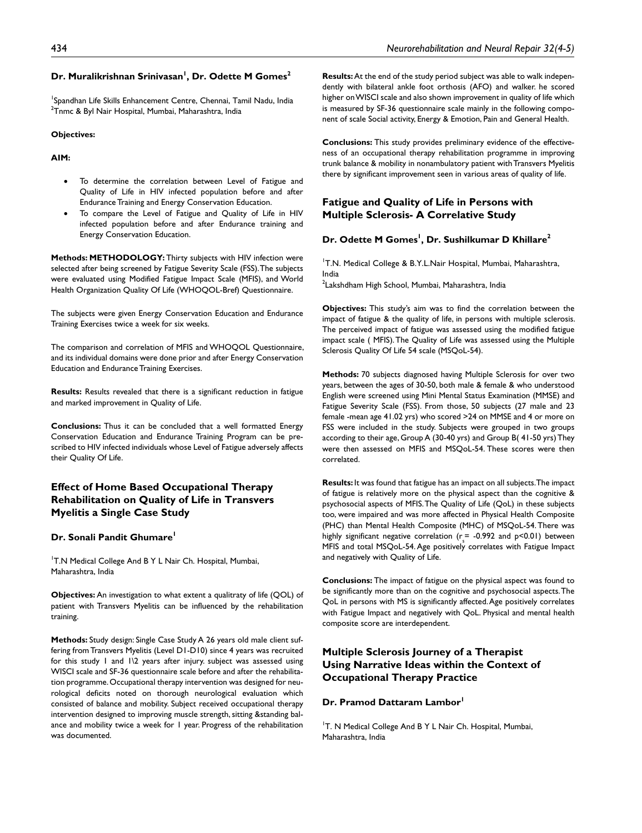### **Dr. Muralikrishnan Srinivasan<sup>I</sup>, Dr. Odette M Gomes<sup>2</sup>**

<sup>1</sup>Spandhan Life Skills Enhancement Centre, Chennai, Tamil Nadu, India  $^{2}$ Tnmc & Byl Nair Hospital, Mumbai, Maharashtra, India

#### **Objectives:**

#### **AIM:**

- To determine the correlation between Level of Fatigue and Quality of Life in HIV infected population before and after Endurance Training and Energy Conservation Education.
- To compare the Level of Fatigue and Quality of Life in HIV infected population before and after Endurance training and Energy Conservation Education.

**Methods: METHODOLOGY:** Thirty subjects with HIV infection were selected after being screened by Fatigue Severity Scale (FSS). The subjects were evaluated using Modified Fatigue Impact Scale (MFIS), and World Health Organization Quality Of Life (WHOQOL-Bref) Questionnaire.

The subjects were given Energy Conservation Education and Endurance Training Exercises twice a week for six weeks.

The comparison and correlation of MFIS and WHOQOL Questionnaire, and its individual domains were done prior and after Energy Conservation Education and Endurance Training Exercises.

**Results:** Results revealed that there is a significant reduction in fatigue and marked improvement in Quality of Life.

**Conclusions:** Thus it can be concluded that a well formatted Energy Conservation Education and Endurance Training Program can be prescribed to HIV infected individuals whose Level of Fatigue adversely affects their Quality Of Life.

# **Effect of Home Based Occupational Therapy Rehabilitation on Quality of Life in Transvers Myelitis a Single Case Study**

## **Dr. Sonali Pandit Ghumare1**

<sup>1</sup>T.N Medical College And B Y L Nair Ch. Hospital, Mumbai, Maharashtra, India

**Objectives:** An investigation to what extent a qualitraty of life (QOL) of patient with Transvers Myelitis can be influenced by the rehabilitation training.

**Methods:** Study design: Single Case Study A 26 years old male client suffering from Transvers Myelitis (Level D1-D10) since 4 years was recruited for this study 1 and 1\2 years after injury. subject was assessed using WISCI scale and SF-36 questionnaire scale before and after the rehabilitation programme. Occupational therapy intervention was designed for neurological deficits noted on thorough neurological evaluation which consisted of balance and mobility. Subject received occupational therapy intervention designed to improving muscle strength, sitting &standing balance and mobility twice a week for 1 year. Progress of the rehabilitation was documented.

**Results:** At the end of the study period subject was able to walk independently with bilateral ankle foot orthosis (AFO) and walker. he scored higher on WISCI scale and also shown improvement in quality of life which is measured by SF-36 questionnaire scale mainly in the following component of scale Social activity, Energy & Emotion, Pain and General Health.

**Conclusions:** This study provides preliminary evidence of the effectiveness of an occupational therapy rehabilitation programme in improving trunk balance & mobility in nonambulatory patient with Transvers Myelitis there by significant improvement seen in various areas of quality of life.

## **Fatigue and Quality of Life in Persons with Multiple Sclerosis- A Correlative Study**

## **Dr. Odette M Gomes1 , Dr. Sushilkumar D Khillare2**

<sup>1</sup>T.N. Medical College & B.Y.L.Nair Hospital, Mumbai, Maharashtra, India

 $^2$ Lakshdham High School, Mumbai, Maharashtra, India

**Objectives:** This study's aim was to find the correlation between the impact of fatigue & the quality of life, in persons with multiple sclerosis. The perceived impact of fatigue was assessed using the modified fatigue impact scale ( MFIS). The Quality of Life was assessed using the Multiple Sclerosis Quality Of Life 54 scale (MSQoL-54).

**Methods:** 70 subjects diagnosed having Multiple Sclerosis for over two years, between the ages of 30-50, both male & female & who understood English were screened using Mini Mental Status Examination (MMSE) and Fatigue Severity Scale (FSS). From those, 50 subjects (27 male and 23 female -mean age 41.02 yrs) who scored >24 on MMSE and 4 or more on FSS were included in the study. Subjects were grouped in two groups according to their age, Group A (30-40 yrs) and Group B( 41-50 yrs) They were then assessed on MFIS and MSQoL-54. These scores were then correlated.

**Results:** It was found that fatigue has an impact on all subjects. The impact of fatigue is relatively more on the physical aspect than the cognitive & psychosocial aspects of MFIS. The Quality of Life (QoL) in these subjects too, were impaired and was more affected in Physical Health Composite (PHC) than Mental Health Composite (MHC) of MSQoL-54. There was highly significant negative correlation ( $r_s$  = -0.992 and p<0.01) between MFIS and total MSQoL-54. Age positively correlates with Fatigue Impact and negatively with Quality of Life.

**Conclusions:** The impact of fatigue on the physical aspect was found to be significantly more than on the cognitive and psychosocial aspects. The QoL in persons with MS is significantly affected. Age positively correlates with Fatigue Impact and negatively with QoL. Physical and mental health composite score are interdependent.

# **Multiple Sclerosis Journey of a Therapist Using Narrative Ideas within the Context of Occupational Therapy Practice**

### **Dr. Pramod Dattaram Lambor'**

<sup>1</sup>T. N Medical College And B Y L Nair Ch. Hospital, Mumbai, Maharashtra, India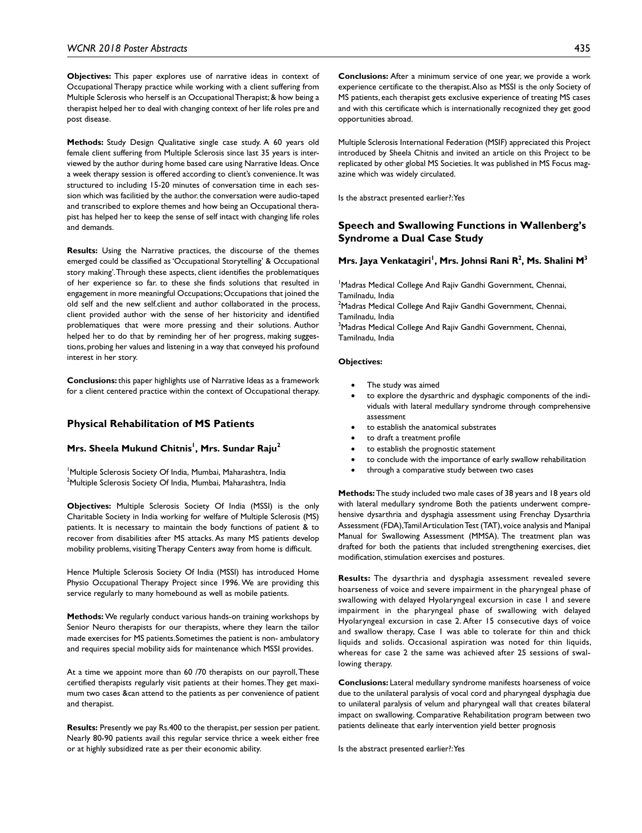**Objectives:** This paper explores use of narrative ideas in context of Occupational Therapy practice while working with a client suffering from Multiple Sclerosis who herself is an Occupational Therapist; & how being a therapist helped her to deal with changing context of her life roles pre and post disease.

**Methods:** Study Design Qualitative single case study. A 60 years old female client suffering from Multiple Sclerosis since last 35 years is interviewed by the author during home based care using Narrative Ideas. Once a week therapy session is offered according to client's convenience. It was structured to including 15-20 minutes of conversation time in each session which was facilitied by the author. the conversation were audio-taped and transcribed to explore themes and how being an Occupational therapist has helped her to keep the sense of self intact with changing life roles and demands.

**Results:** Using the Narrative practices, the discourse of the themes emerged could be classified as 'Occupational Storytelling' & Occupational story making'. Through these aspects, client identifies the problematiques of her experience so far. to these she finds solutions that resulted in engagement in more meaningful Occupations; Occupations that joined the old self and the new self.client and author collaborated in the process, client provided author with the sense of her historicity and identified problematiques that were more pressing and their solutions. Author helped her to do that by reminding her of her progress, making suggestions, probing her values and listening in a way that conveyed his profound interest in her story.

**Conclusions:** this paper highlights use of Narrative Ideas as a framework for a client centered practice within the context of Occupational therapy.

### **Physical Rehabilitation of MS Patients**

### **Mrs. Sheela Mukund Chitnis1 , Mrs. Sundar Raju2**

1 Multiple Sclerosis Society Of India, Mumbai, Maharashtra, India <sup>2</sup>Multiple Sclerosis Society Of India, Mumbai, Maharashtra, India

**Objectives:** Multiple Sclerosis Society Of India (MSSI) is the only Charitable Society in India working for welfare of Multiple Sclerosis (MS) patients. It is necessary to maintain the body functions of patient & to recover from disabilities after MS attacks. As many MS patients develop mobility problems, visiting Therapy Centers away from home is difficult.

Hence Multiple Sclerosis Society Of India (MSSI) has introduced Home Physio Occupational Therapy Project since 1996. We are providing this service regularly to many homebound as well as mobile patients.

**Methods:** We regularly conduct various hands-on training workshops by Senior Neuro therapists for our therapists, where they learn the tailor made exercises for MS patients.Sometimes the patient is non- ambulatory and requires special mobility aids for maintenance which MSSI provides.

At a time we appoint more than 60 /70 therapists on our payroll, These certified therapists regularly visit patients at their homes. They get maximum two cases &can attend to the patients as per convenience of patient and therapist.

**Results:** Presently we pay Rs.400 to the therapist, per session per patient. Nearly 80-90 patients avail this regular service thrice a week either free or at highly subsidized rate as per their economic ability.

**Conclusions:** After a minimum service of one year, we provide a work experience certificate to the therapist. Also as MSSI is the only Society of MS patients, each therapist gets exclusive experience of treating MS cases and with this certificate which is internationally recognized they get good opportunities abroad.

Multiple Sclerosis International Federation (MSIF) appreciated this Project introduced by Sheela Chitnis and invited an article on this Project to be replicated by other global MS Societies. It was published in MS Focus magazine which was widely circulated.

Is the abstract presented earlier?: Yes

## **Speech and Swallowing Functions in Wallenberg's Syndrome a Dual Case Study**

### Mrs. Jaya Venkatagiri<sup>'</sup>, Mrs. Johnsi Rani R<sup>2</sup>, Ms. Shalini M<sup>3</sup>

<sup>1</sup> Madras Medical College And Rajiv Gandhi Government, Chennai, Tamilnadu, India <sup>2</sup>Madras Medical College And Rajiv Gandhi Government, Chennai, Tamilnadu, India <sup>3</sup>Madras Medical College And Rajiv Gandhi Government, Chennai, Tamilnadu, India

### **Objectives:**

- The study was aimed
- to explore the dysarthric and dysphagic components of the individuals with lateral medullary syndrome through comprehensive assessment
- to establish the anatomical substrates
- to draft a treatment profile
- to establish the prognostic statement
- to conclude with the importance of early swallow rehabilitation
- through a comparative study between two cases

**Methods:** The study included two male cases of 38 years and 18 years old with lateral medullary syndrome Both the patients underwent comprehensive dysarthria and dysphagia assessment using Frenchay Dysarthria Assessment (FDA),Tamil Articulation Test (TAT), voice analysis and Manipal Manual for Swallowing Assessment (MMSA). The treatment plan was drafted for both the patients that included strengthening exercises, diet modification, stimulation exercises and postures.

**Results:** The dysarthria and dysphagia assessment revealed severe hoarseness of voice and severe impairment in the pharyngeal phase of swallowing with delayed Hyolaryngeal excursion in case 1 and severe impairment in the pharyngeal phase of swallowing with delayed Hyolaryngeal excursion in case 2. After 15 consecutive days of voice and swallow therapy, Case 1 was able to tolerate for thin and thick liquids and solids. Occasional aspiration was noted for thin liquids, whereas for case 2 the same was achieved after 25 sessions of swallowing therapy.

**Conclusions:** Lateral medullary syndrome manifests hoarseness of voice due to the unilateral paralysis of vocal cord and pharyngeal dysphagia due to unilateral paralysis of velum and pharyngeal wall that creates bilateral impact on swallowing. Comparative Rehabilitation program between two patients delineate that early intervention yield better prognosis

Is the abstract presented earlier?: Yes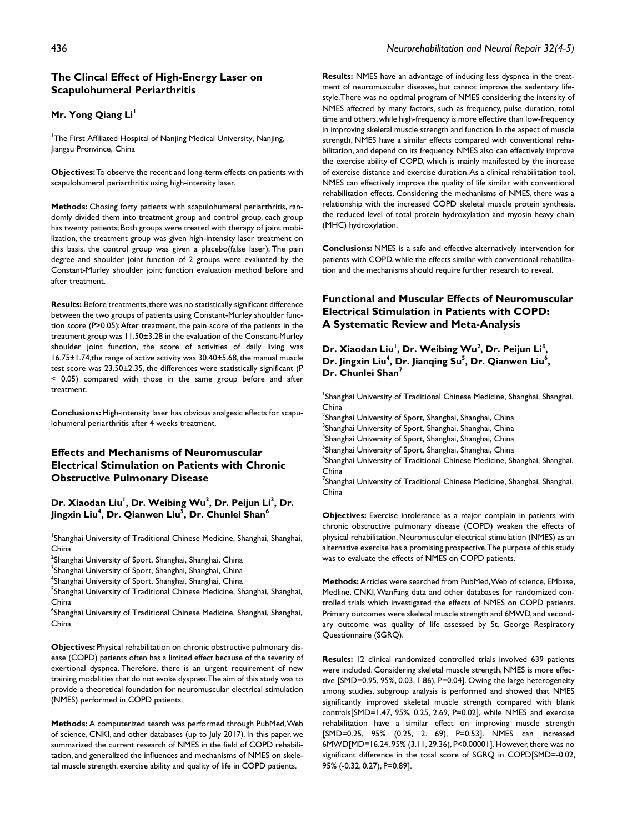## **The Clincal Effect of High-Energy Laser on Scapulohumeral Periarthritis**

### **Mr. Yong Qiang Li**

<sup>1</sup>The First Affiliated Hospital of Nanjing Medical University, Nanjing, Jiangsu Pronvince, China

**Objectives:** To observe the recent and long-term effects on patients with scapulohumeral periarthritis using high-intensity laser.

**Methods:** Chosing forty patients with scapulohumeral periarthritis, randomly divided them into treatment group and control group, each group has twenty patients; Both groups were treated with therapy of joint mobilization, the treatment group was given high-intensity laser treatment on this basis, the control group was given a placebo(false laser); The pain degree and shoulder joint function of 2 groups were evaluated by the Constant-Murley shoulder joint function evaluation method before and after treatment.

**Results:** Before treatments, there was no statistically significant difference between the two groups of patients using Constant-Murley shoulder function score (P>0.05); After treatment, the pain score of the patients in the treatment group was 11.50±3.28 in the evaluation of the Constant-Murley shoulder joint function, the score of activities of daily living was 16.75±1.74,the range of active activity was 30.40±5.68, the manual muscle test score was 23.50±2.35, the differences were statistically significant (P < 0.05) compared with those in the same group before and after treatment.

**Conclusions:** High-intensity laser has obvious analgesic effects for scapulohumeral periarthritis after 4 weeks treatment.

# **Effects and Mechanisms of Neuromuscular Electrical Stimulation on Patients with Chronic Obstructive Pulmonary Disease**

Dr. Xiaodan Liu<sup>1</sup>, Dr. Weibing Wu<sup>2</sup>, Dr. Peijun Li<sup>3</sup>, Dr. **Jingxin Liu4 , Dr. Qianwen Liu5 , Dr. Chunlei Shan6**

<sup>1</sup>Shanghai University of Traditional Chinese Medicine, Shanghai, Shanghai, China

<sup>2</sup>Shanghai University of Sport, Shanghai, Shanghai, China

<sup>3</sup>Shanghai University of Sport, Shanghai, Shanghai, China

4 Shanghai University of Sport, Shanghai, Shanghai, China

<sup>5</sup>Shanghai University of Traditional Chinese Medicine, Shanghai, Shanghai, China

6 Shanghai University of Traditional Chinese Medicine, Shanghai, Shanghai, China

**Objectives:** Physical rehabilitation on chronic obstructive pulmonary disease (COPD) patients often has a limited effect because of the severity of exertional dyspnea. Therefore, there is an urgent requirement of new training modalities that do not evoke dyspnea. The aim of this study was to provide a theoretical foundation for neuromuscular electrical stimulation (NMES) performed in COPD patients.

**Methods:** A computerized search was performed through PubMed, Web of science, CNKI, and other databases (up to July 2017). In this paper, we summarized the current research of NMES in the field of COPD rehabilitation, and generalized the influences and mechanisms of NMES on skeletal muscle strength, exercise ability and quality of life in COPD patients.

in improving skeletal muscle strength and function. In the aspect of muscle strength, NMES have a similar effects compared with conventional rehabilitation, and depend on its frequency. NMES also can effectively improve the exercise ability of COPD, which is mainly manifested by the increase of exercise distance and exercise duration. As a clinical rehabilitation tool, NMES can effectively improve the quality of life similar with conventional rehabilitation effects. Considering the mechanisms of NMES, there was a relationship with the increased COPD skeletal muscle protein synthesis, the reduced level of total protein hydroxylation and myosin heavy chain (MHC) hydroxylation.

**Conclusions:** NMES is a safe and effective alternatively intervention for patients with COPD, while the effects similar with conventional rehabilitation and the mechanisms should require further research to reveal.

# **Functional and Muscular Effects of Neuromuscular Electrical Stimulation in Patients with COPD: A Systematic Review and Meta-Analysis**

Dr. Xiaodan Liu<sup>1</sup>, Dr. Weibing Wu<sup>2</sup>, Dr. Peijun Li<sup>3</sup>, Dr. Jingxin Liu<sup>4</sup>, Dr. Jianqing Su<sup>5</sup>, Dr. Qianwen Liu<sup>6</sup>, **Dr. Chunlei Shan7**

<sup>1</sup>Shanghai University of Traditional Chinese Medicine, Shanghai, Shanghai, China

<sup>2</sup>Shanghai University of Sport, Shanghai, Shanghai, China <sup>3</sup>Shanghai University of Sport, Shanghai, Shanghai, China

4 Shanghai University of Sport, Shanghai, Shanghai, China

<sup>5</sup>Shanghai University of Sport, Shanghai, Shanghai, China

6 Shanghai University of Traditional Chinese Medicine, Shanghai, Shanghai, China

<sup>7</sup>Shanghai University of Traditional Chinese Medicine, Shanghai, Shanghai, China

**Objectives:** Exercise intolerance as a major complain in patients with chronic obstructive pulmonary disease (COPD) weaken the effects of physical rehabilitation. Neuromuscular electrical stimulation (NMES) as an alternative exercise has a promising prospective. The purpose of this study was to evaluate the effects of NMES on COPD patients.

**Methods:** Articles were searched from PubMed, Web of science, EMbase, Medline, CNKI, WanFang data and other databases for randomized controlled trials which investigated the effects of NMES on COPD patients. Primary outcomes were skeletal muscle strength and 6MWD, and secondary outcome was quality of life assessed by St. George Respiratory Questionnaire (SGRQ).

**Results:** 12 clinical randomized controlled trials involved 639 patients were included. Considering skeletal muscle strength, NMES is more effective [SMD=0.95, 95%, 0.03, 1.86), P=0.04]. Owing the large heterogeneity among studies, subgroup analysis is performed and showed that NMES significantly improved skeletal muscle strength compared with blank controls[SMD=1.47, 95%, 0.25, 2.69, P=0.02], while NMES and exercise rehabilitation have a similar effect on improving muscle strength [SMD=0.25, 95% (0.25, 2. 69), P=0.53]. NMES can increased 6MWD[MD=16.24, 95% (3.11, 29.36), P<0.00001]. However, there was no significant difference in the total score of SGRQ in COPD[SMD=-0.02, 95% (-0.32, 0.27), P=0.89].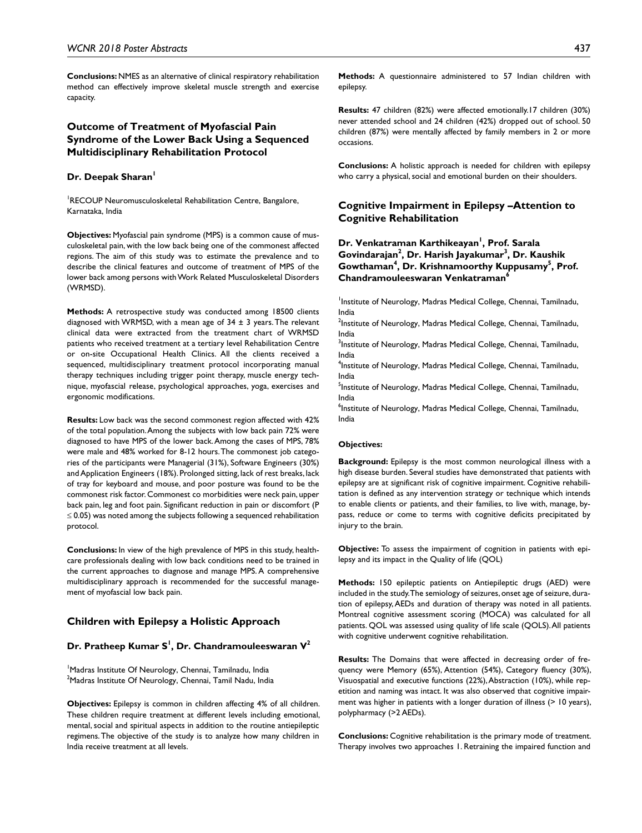**Conclusions:** NMES as an alternative of clinical respiratory rehabilitation method can effectively improve skeletal muscle strength and exercise capacity.

## **Outcome of Treatment of Myofascial Pain Syndrome of the Lower Back Using a Sequenced Multidisciplinary Rehabilitation Protocol**

### **Dr. Deepak Sharan**

<sup>1</sup>RECOUP Neuromusculoskeletal Rehabilitation Centre, Bangalore, Karnataka, India

**Objectives:** Myofascial pain syndrome (MPS) is a common cause of musculoskeletal pain, with the low back being one of the commonest affected regions. The aim of this study was to estimate the prevalence and to describe the clinical features and outcome of treatment of MPS of the lower back among persons with Work Related Musculoskeletal Disorders (WRMSD).

**Methods:** A retrospective study was conducted among 18500 clients diagnosed with WRMSD, with a mean age of  $34 \pm 3$  years. The relevant clinical data were extracted from the treatment chart of WRMSD patients who received treatment at a tertiary level Rehabilitation Centre or on-site Occupational Health Clinics. All the clients received a sequenced, multidisciplinary treatment protocol incorporating manual therapy techniques including trigger point therapy, muscle energy technique, myofascial release, psychological approaches, yoga, exercises and ergonomic modifications.

**Results:** Low back was the second commonest region affected with 42% of the total population. Among the subjects with low back pain 72% were diagnosed to have MPS of the lower back. Among the cases of MPS, 78% were male and 48% worked for 8-12 hours. The commonest job categories of the participants were Managerial (31%), Software Engineers (30%) and Application Engineers (18%). Prolonged sitting, lack of rest breaks, lack of tray for keyboard and mouse, and poor posture was found to be the commonest risk factor. Commonest co morbidities were neck pain, upper back pain, leg and foot pain. Significant reduction in pain or discomfort (P ≤ 0.05) was noted among the subjects following a sequenced rehabilitation protocol.

**Conclusions:** In view of the high prevalence of MPS in this study, healthcare professionals dealing with low back conditions need to be trained in the current approaches to diagnose and manage MPS. A comprehensive multidisciplinary approach is recommended for the successful management of myofascial low back pain.

### **Children with Epilepsy a Holistic Approach**

### **Dr. Pratheep Kumar S1 , Dr. Chandramouleeswaran V2**

<sup>1</sup>Madras Institute Of Neurology, Chennai, Tamilnadu, India <sup>2</sup>Madras Institute Of Neurology, Chennai, Tamil Nadu, India

**Objectives:** Epilepsy is common in children affecting 4% of all children. These children require treatment at different levels including emotional, mental, social and spiritual aspects in addition to the routine antiepileptic regimens. The objective of the study is to analyze how many children in India receive treatment at all levels.

**Methods:** A questionnaire administered to 57 Indian children with epilepsy.

**Results:** 47 children (82%) were affected emotionally.17 children (30%) never attended school and 24 children (42%) dropped out of school. 50 children (87%) were mentally affected by family members in 2 or more occasions.

**Conclusions:** A holistic approach is needed for children with epilepsy who carry a physical, social and emotional burden on their shoulders.

# **Cognitive Impairment in Epilepsy –Attention to Cognitive Rehabilitation**

Dr. Venkatraman Karthikeayan<sup>'</sup>, Prof. Sarala **Govindarajan<sup>2</sup> , Dr. Harish Jayakumar3 , Dr. Kaushik**  Gowthaman<sup>4</sup>, Dr. Krishnamoorthy Kuppusamy<sup>5</sup>, Prof. **Chandramouleeswaran Venkatraman6**

<sup>1</sup>Institute of Neurology, Madras Medical College, Chennai, Tamilnadu, India

<sup>2</sup>Institute of Neurology, Madras Medical College, Chennai, Tamilnadu, India

<sup>3</sup>Institute of Neurology, Madras Medical College, Chennai, Tamilnadu, India

4 Institute of Neurology, Madras Medical College, Chennai, Tamilnadu, India

<sup>5</sup>Institute of Neurology, Madras Medical College, Chennai, Tamilnadu, India

6 Institute of Neurology, Madras Medical College, Chennai, Tamilnadu, India

### **Objectives:**

**Background:** Epilepsy is the most common neurological illness with a high disease burden. Several studies have demonstrated that patients with epilepsy are at significant risk of cognitive impairment. Cognitive rehabilitation is defined as any intervention strategy or technique which intends to enable clients or patients, and their families, to live with, manage, bypass, reduce or come to terms with cognitive deficits precipitated by injury to the brain.

**Objective:** To assess the impairment of cognition in patients with epilepsy and its impact in the Quality of life (QOL)

**Methods:** 150 epileptic patients on Antiepileptic drugs (AED) were included in the study. The semiology of seizures, onset age of seizure, duration of epilepsy, AEDs and duration of therapy was noted in all patients. Montreal cognitive assessment scoring (MOCA) was calculated for all patients. QOL was assessed using quality of life scale (QOLS). All patients with cognitive underwent cognitive rehabilitation.

**Results:** The Domains that were affected in decreasing order of frequency were Memory (65%), Attention (54%), Category fluency (30%), Visuospatial and executive functions (22%), Abstraction (10%), while repetition and naming was intact. It was also observed that cognitive impairment was higher in patients with a longer duration of illness (> 10 years), polypharmacy (>2 AEDs).

**Conclusions:** Cognitive rehabilitation is the primary mode of treatment. Therapy involves two approaches 1. Retraining the impaired function and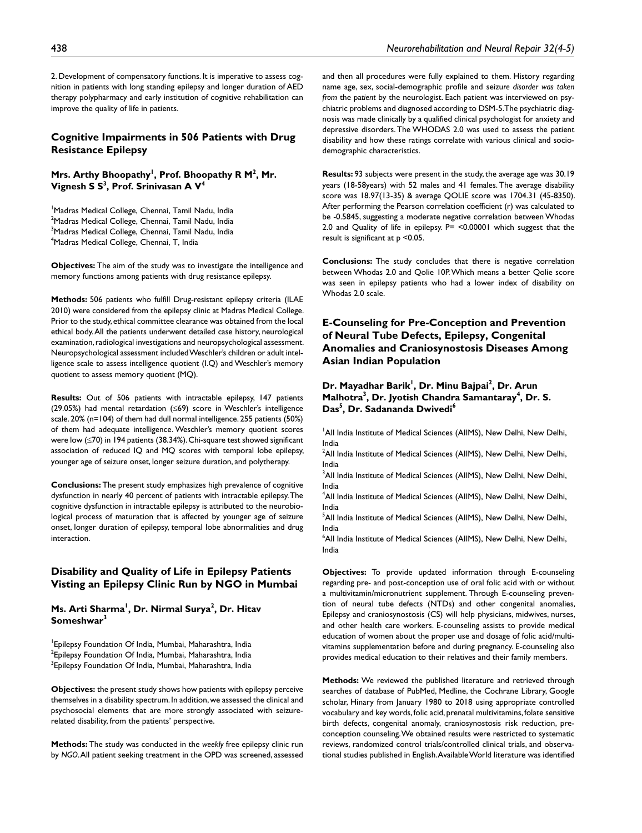2. Development of compensatory functions. It is imperative to assess cognition in patients with long standing epilepsy and longer duration of AED therapy polypharmacy and early institution of cognitive rehabilitation can improve the quality of life in patients.

## **Cognitive Impairments in 506 Patients with Drug Resistance Epilepsy**

## **Mrs. Arthy Bhoopathy<sup>1</sup>, Prof. Bhoopathy R M<sup>2</sup>, Mr. Vignesh S S3 , Prof. Srinivasan A V4**

<sup>1</sup> Madras Medical College, Chennai, Tamil Nadu, India <sup>2</sup>Madras Medical College, Chennai, Tamil Nadu, India <sup>3</sup>Madras Medical College, Chennai, Tamil Nadu, India 4 Madras Medical College, Chennai, T, India

**Objectives:** The aim of the study was to investigate the intelligence and memory functions among patients with drug resistance epilepsy.

**Methods:** 506 patients who fulfill Drug-resistant epilepsy criteria (ILAE 2010) were considered from the epilepsy clinic at Madras Medical College. Prior to the study, ethical committee clearance was obtained from the local ethical body. All the patients underwent detailed case history, neurological examination, radiological investigations and neuropsychological assessment. Neuropsychological assessment included Weschler's children or adult intelligence scale to assess intelligence quotient (I.Q) and Weschler's memory quotient to assess memory quotient (MQ).

**Results:** Out of 506 patients with intractable epilepsy, 147 patients (29.05%) had mental retardation (≤69) score in Weschler's intelligence scale. 20% (n=104) of them had dull normal intelligence. 255 patients (50%) of them had adequate intelligence. Weschler's memory quotient scores were low (≤70) in 194 patients (38.34%). Chi-square test showed significant association of reduced IQ and MQ scores with temporal lobe epilepsy, younger age of seizure onset, longer seizure duration, and polytherapy.

**Conclusions:** The present study emphasizes high prevalence of cognitive dysfunction in nearly 40 percent of patients with intractable epilepsy. The cognitive dysfunction in intractable epilepsy is attributed to the neurobiological process of maturation that is affected by younger age of seizure onset, longer duration of epilepsy, temporal lobe abnormalities and drug interaction.

## **Disability and Quality of Life in Epilepsy Patients Visting an Epilepsy Clinic Run by NGO in Mumbai**

## **Ms. Arti Sharma<sup>1</sup>, Dr. Nirmal Surya<sup>2</sup>, Dr. Hitav Someshwar3**

1 Epilepsy Foundation Of India, Mumbai, Maharashtra, India  $^2$ Epilepsy Foundation Of India, Mumbai, Maharashtra, India  $^3$ Epilepsy Foundation Of India, Mumbai, Maharashtra, India

**Objectives:** the present study shows how patients with epilepsy perceive themselves in a disability spectrum. In addition, we assessed the clinical and psychosocial elements that are more strongly associated with seizurerelated disability, from the patients' perspective.

**Methods:** The study was conducted in the *weekly* free epilepsy clinic run by *NGO*. All patient seeking treatment in the OPD was screened, assessed and then all procedures were fully explained to them. History regarding name age, sex, social-demographic profile and seizu*re disorder was taken from* the pa*tient* by the neurologist. Each patient was interviewed on psychiatric problems and diagnosed according to DSM-5. The psychiatric diagnosis was made clinically by a qualified clinical psychologist for anxiety and depressive disorders. The WHODAS 2.0 was used to assess the patient disability and how these ratings correlate with various clinical and sociodemographic characteristics.

**Results:** 93 subjects were present in the study, the average age was 30.19 years (18-58years) with 52 males and 41 females. The average disability score was 18.97(13-35) & average QOLIE score was 1704.31 (45-8350). After performing the Pearson correlation coefficient (r) was calculated to be -0.5845, suggesting a moderate negative correlation between Whodas 2.0 and Quality of life in epilepsy. P= <0.00001 which suggest that the result is significant at p <0.05.

**Conclusions:** The study concludes that there is negative correlation between Whodas 2.0 and Qolie 10P. Which means a better Qolie score was seen in epilepsy patients who had a lower index of disability on Whodas 2.0 scale.

# **E-Counseling for Pre-Conception and Prevention of Neural Tube Defects, Epilepsy, Congenital Anomalies and Craniosynostosis Diseases Among Asian Indian Population**

# Dr. Mayadhar Barik<sup>I</sup>, Dr. Minu Bajpai<sup>2</sup>, Dr. Arun **Malhotra<sup>3</sup>, Dr. Jyotish Chandra Samantaray<sup>4</sup>, Dr. S. Das5 , Dr. Sadananda Dwivedi6**

<sup>1</sup> All India Institute of Medical Sciences (AIIMS), New Delhi, New Delhi, India

<sup>2</sup>All India Institute of Medical Sciences (AIIMS), New Delhi, New Delhi, India

<sup>3</sup>All India Institute of Medical Sciences (AIIMS), New Delhi, New Delhi, India

4 All India Institute of Medical Sciences (AIIMS), New Delhi, New Delhi, India

<sup>5</sup>All India Institute of Medical Sciences (AIIMS), New Delhi, New Delhi, India

6 All India Institute of Medical Sciences (AIIMS), New Delhi, New Delhi, India

**Objectives:** To provide updated information through E-counseling regarding pre- and post-conception use of oral folic acid with or without a multivitamin/micronutrient supplement. Through E-counseling prevention of neural tube defects (NTDs) and other congenital anomalies, Epilepsy and craniosynostosis (CS) will help physicians, midwives, nurses, and other health care workers. E-counseling assists to provide medical education of women about the proper use and dosage of folic acid/multivitamins supplementation before and during pregnancy. E-counseling also provides medical education to their relatives and their family members.

**Methods:** We reviewed the published literature and retrieved through searches of database of PubMed, Medline, the Cochrane Library, Google scholar, Hinary from January 1980 to 2018 using appropriate controlled vocabulary and key words, folic acid, prenatal multivitamins, folate sensitive birth defects, congenital anomaly, craniosynostosis risk reduction, preconception counseling. We obtained results were restricted to systematic reviews, randomized control trials/controlled clinical trials, and observational studies published in English. Available World literature was identified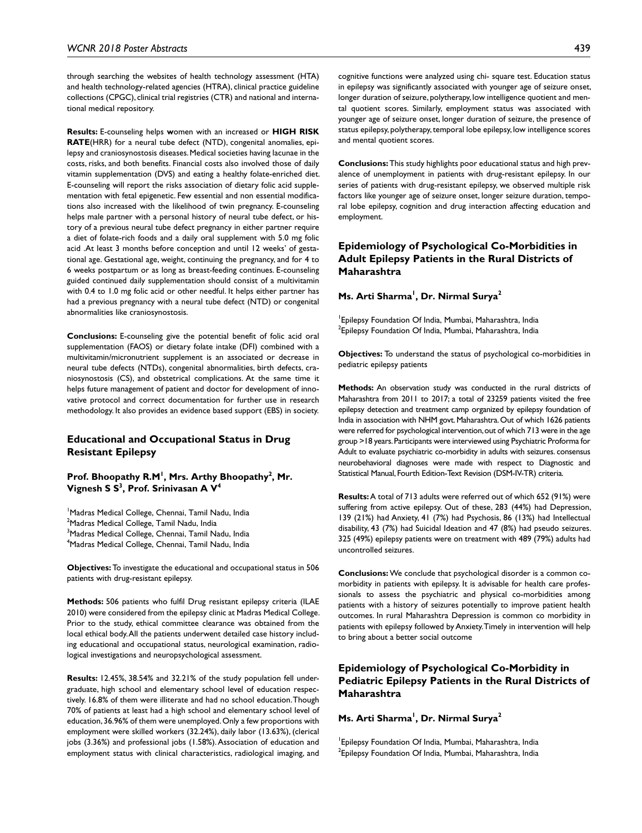through searching the websites of health technology assessment (HTA) and health technology-related agencies (HTRA), clinical practice guideline collections (CPGC), clinical trial registries (CTR) and national and international medical repository.

**Results:** E-counseling helps **w**omen with an increased or **HIGH RISK RATE**(HRR) for a neural tube defect (NTD), congenital anomalies, epilepsy and craniosynostosis diseases. Medical societies having lacunae in the costs, risks, and both benefits. Financial costs also involved those of daily vitamin supplementation (DVS) and eating a healthy folate-enriched diet. E-counseling will report the risks association of dietary folic acid supplementation with fetal epigenetic. Few essential and non essential modifications also increased with the likelihood of twin pregnancy. E-counseling helps male partner with a personal history of neural tube defect, or history of a previous neural tube defect pregnancy in either partner require a diet of folate-rich foods and a daily oral supplement with 5.0 mg folic acid .At least 3 months before conception and until 12 weeks' of gestational age. Gestational age, weight, continuing the pregnancy, and for 4 to 6 weeks postpartum or as long as breast-feeding continues. E-counseling guided continued daily supplementation should consist of a multivitamin with 0.4 to 1.0 mg folic acid or other needful. It helps either partner has had a previous pregnancy with a neural tube defect (NTD) or congenital abnormalities like craniosynostosis.

**Conclusions:** E-counseling give the potential benefit of folic acid oral supplementation (FAOS) or dietary folate intake (DFI) combined with a multivitamin/micronutrient supplement is an associated or decrease in neural tube defects (NTDs), congenital abnormalities, birth defects, craniosynostosis (CS), and obstetrical complications. At the same time it helps future management of patient and doctor for development of innovative protocol and correct documentation for further use in research methodology. It also provides an evidence based support (EBS) in society.

# **Educational and Occupational Status in Drug Resistant Epilepsy**

## Prof. Bhoopathy R.M<sup>1</sup>, Mrs. Arthy Bhoopathy<sup>2</sup>, Mr. **Vignesh S S3 , Prof. Srinivasan A V4**

<sup>1</sup> Madras Medical College, Chennai, Tamil Nadu, India  $^{2}$ Madras Medical College, Tamil Nadu, India <sup>3</sup>Madras Medical College, Chennai, Tamil Nadu, India 4 Madras Medical College, Chennai, Tamil Nadu, India

**Objectives:** To investigate the educational and occupational status in 506 patients with drug-resistant epilepsy.

**Methods:** 506 patients who fulfil Drug resistant epilepsy criteria (ILAE 2010) were considered from the epilepsy clinic at Madras Medical College. Prior to the study, ethical committee clearance was obtained from the local ethical body. All the patients underwent detailed case history including educational and occupational status, neurological examination, radiological investigations and neuropsychological assessment.

**Results:** 12.45%, 38.54% and 32.21% of the study population fell undergraduate, high school and elementary school level of education respectively. 16.8% of them were illiterate and had no school education. Though 70% of patients at least had a high school and elementary school level of education, 36.96% of them were unemployed. Only a few proportions with employment were skilled workers (32.24%), daily labor (13.63%), (clerical jobs (3.36%) and professional jobs (1.58%). Association of education and employment status with clinical characteristics, radiological imaging, and

cognitive functions were analyzed using chi- square test. Education status in epilepsy was significantly associated with younger age of seizure onset, longer duration of seizure, polytherapy, low intelligence quotient and mental quotient scores. Similarly, employment status was associated with younger age of seizure onset, longer duration of seizure, the presence of status epilepsy, polytherapy, temporal lobe epilepsy, low intelligence scores and mental quotient scores.

**Conclusions:** This study highlights poor educational status and high prevalence of unemployment in patients with drug-resistant epilepsy. In our series of patients with drug-resistant epilepsy, we observed multiple risk factors like younger age of seizure onset, longer seizure duration, temporal lobe epilepsy, cognition and drug interaction affecting education and employment.

# **Epidemiology of Psychological Co-Morbidities in Adult Epilepsy Patients in the Rural Districts of Maharashtra**

### **Ms. Arti Sharma1 , Dr. Nirmal Surya2**

1 Epilepsy Foundation Of India, Mumbai, Maharashtra, India  $^{\rm 2}$ Epilepsy Foundation Of India, Mumbai, Maharashtra, India

**Objectives:** To understand the status of psychological co-morbidities in pediatric epilepsy patients

**Methods:** An observation study was conducted in the rural districts of Maharashtra from 2011 to 2017; a total of 23259 patients visited the free epilepsy detection and treatment camp organized by epilepsy foundation of India in association with NHM govt. Maharashtra. Out of which 1626 patients were referred for psychological intervention, out of which 713 were in the age group >18 years. Participants were interviewed using Psychiatric Proforma for Adult to evaluate psychiatric co-morbidity in adults with seizures. consensus neurobehavioral diagnoses were made with respect to Diagnostic and Statistical Manual, Fourth Edition-Text Revision (DSM-IV-TR) criteria.

**Results:** A total of 713 adults were referred out of which 652 (91%) were suffering from active epilepsy. Out of these, 283 (44%) had Depression, 139 (21%) had Anxiety, 41 (7%) had Psychosis, 86 (13%) had Intellectual disability, 43 (7%) had Suicidal Ideation and 47 (8%) had pseudo seizures. 325 (49%) epilepsy patients were on treatment with 489 (79%) adults had uncontrolled seizures.

**Conclusions:** We conclude that psychological disorder is a common comorbidity in patients with epilepsy. It is advisable for health care professionals to assess the psychiatric and physical co-morbidities among patients with a history of seizures potentially to improve patient health outcomes. In rural Maharashtra Depression is common co morbidity in patients with epilepsy followed by Anxiety. Timely in intervention will help to bring about a better social outcome

# **Epidemiology of Psychological Co-Morbidity in Pediatric Epilepsy Patients in the Rural Districts of Maharashtra**

# **Ms. Arti Sharma1 , Dr. Nirmal Surya2**

1 Epilepsy Foundation Of India, Mumbai, Maharashtra, India  $^{\rm 2}$ Epilepsy Foundation Of India, Mumbai, Maharashtra, India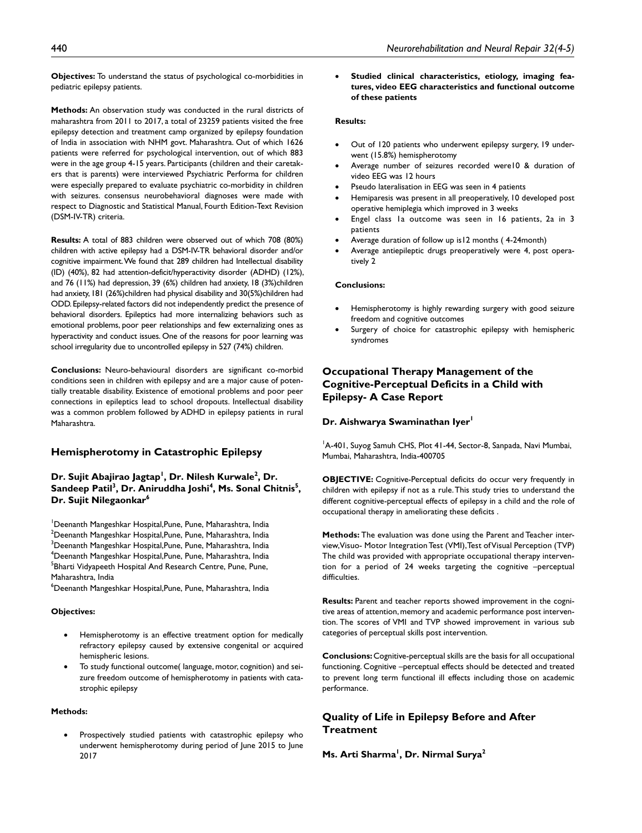**Objectives:** To understand the status of psychological co-morbidities in pediatric epilepsy patients.

**Methods:** An observation study was conducted in the rural districts of maharashtra from 2011 to 2017, a total of 23259 patients visited the free epilepsy detection and treatment camp organized by epilepsy foundation of India in association with NHM govt. Maharashtra. Out of which 1626 patients were referred for psychological intervention, out of which 883 were in the age group 4-15 years. Participants (children and their caretakers that is parents) were interviewed Psychiatric Performa for children were especially prepared to evaluate psychiatric co-morbidity in children with seizures. consensus neurobehavioral diagnoses were made with respect to Diagnostic and Statistical Manual, Fourth Edition-Text Revision (DSM-IV-TR) criteria.

**Results:** A total of 883 children were observed out of which 708 (80%) children with active epilepsy had a DSM-IV-TR behavioral disorder and/or cognitive impairment. We found that 289 children had Intellectual disability (ID) (40%), 82 had attention-deficit/hyperactivity disorder (ADHD) (12%), and 76 (11%) had depression, 39 (6%) children had anxiety, 18 (3%)children had anxiety, 181 (26%)children had physical disability and 30(5%)children had ODD. Epilepsy-related factors did not independently predict the presence of behavioral disorders. Epileptics had more internalizing behaviors such as emotional problems, poor peer relationships and few externalizing ones as hyperactivity and conduct issues. One of the reasons for poor learning was school irregularity due to uncontrolled epilepsy in 527 (74%) children.

**Conclusions:** Neuro-behavioural disorders are significant co-morbid conditions seen in children with epilepsy and are a major cause of potentially treatable disability. Existence of emotional problems and poor peer connections in epileptics lead to school dropouts. Intellectual disability was a common problem followed by ADHD in epilepsy patients in rural Maharashtra.

### **Hemispherotomy in Catastrophic Epilepsy**

### Dr. Sujit Abajirao Jagtap<sup>1</sup>, Dr. Nilesh Kurwale<sup>2</sup>, Dr. Sandeep Patil<sup>3</sup>, Dr. Aniruddha Joshi<sup>4</sup>, Ms. Sonal Chitnis<sup>5</sup>, **Dr. Sujit Nilegaonkar6**

1 Deenanth Mangeshkar Hospital,Pune, Pune, Maharashtra, India  $^{\rm 2}$ Deenanth Mangeshkar Hospital,Pune, Pune, Maharashtra, India  $^3$ Deenanth Mangeshkar Hospital,Pune, Pune, Maharashtra, India 4 Deenanth Mangeshkar Hospital,Pune, Pune, Maharashtra, India <sup>5</sup>Bharti Vidyapeeth Hospital And Research Centre, Pune, Pune, Maharashtra, India

6 Deenanth Mangeshkar Hospital,Pune, Pune, Maharashtra, India

#### **Objectives:**

- Hemispherotomy is an effective treatment option for medically refractory epilepsy caused by extensive congenital or acquired hemispheric lesions.
- To study functional outcome( language, motor, cognition) and seizure freedom outcome of hemispherotomy in patients with catastrophic epilepsy

### **Methods:**

• Prospectively studied patients with catastrophic epilepsy who underwent hemispherotomy during period of June 2015 to June 2017

Studied clinical characteristics, etiology, imaging fea**tures, video EEG characteristics and functional outcome of these patients**

#### **Results:**

- Out of 120 patients who underwent epilepsy surgery, 19 underwent (15.8%) hemispherotomy
- Average number of seizures recorded were10 & duration of video EEG was 12 hours
- Pseudo lateralisation in EEG was seen in 4 patients
- Hemiparesis was present in all preoperatively, 10 developed post operative hemiplegia which improved in 3 weeks
- Engel class 1a outcome was seen in 16 patients, 2a in 3 patients
- Average duration of follow up is12 months ( 4-24month)
- Average antiepileptic drugs preoperatively were 4, post operatively 2

#### **Conclusions:**

- Hemispherotomy is highly rewarding surgery with good seizure freedom and cognitive outcomes
- Surgery of choice for catastrophic epilepsy with hemispheric syndromes

## **Occupational Therapy Management of the Cognitive-Perceptual Deficits in a Child with Epilepsy- A Case Report**

### **Dr. Aishwarya Swaminathan Iyer**

<sup>1</sup>A-401, Suyog Samuh CHS, Plot 41-44, Sector-8, Sanpada, Navi Mumbai, Mumbai, Maharashtra, India-400705

**OBJECTIVE:** Cognitive-Perceptual deficits do occur very frequently in children with epilepsy if not as a rule. This study tries to understand the different cognitive-perceptual effects of epilepsy in a child and the role of occupational therapy in ameliorating these deficits .

**Methods:** The evaluation was done using the Parent and Teacher interview, Visuo- Motor Integration Test (VMI), Test of Visual Perception (TVP) The child was provided with appropriate occupational therapy intervention for a period of 24 weeks targeting the cognitive –perceptual difficulties.

**Results:** Parent and teacher reports showed improvement in the cognitive areas of attention, memory and academic performance post intervention. The scores of VMI and TVP showed improvement in various sub categories of perceptual skills post intervention.

**Conclusions:** Cognitive-perceptual skills are the basis for all occupational functioning. Cognitive –perceptual effects should be detected and treated to prevent long term functional ill effects including those on academic performance.

# **Quality of Life in Epilepsy Before and After Treatment**

**Ms. Arti Sharma1 , Dr. Nirmal Surya2**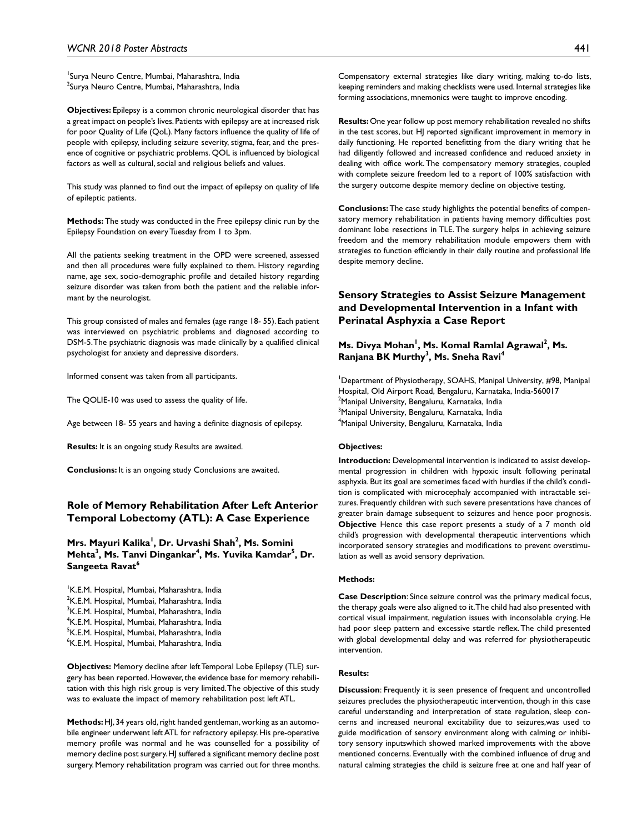<sup>1</sup>Surya Neuro Centre, Mumbai, Maharashtra, India <sup>2</sup>Surya Neuro Centre, Mumbai, Maharashtra, India

**Objectives:** Epilepsy is a common chronic neurological disorder that has a great impact on people's lives. Patients with epilepsy are at increased risk for poor Quality of Life (QoL). Many factors influence the quality of life of people with epilepsy, including seizure severity, stigma, fear, and the presence of cognitive or psychiatric problems. QOL is influenced by biological factors as well as cultural, social and religious beliefs and values.

This study was planned to find out the impact of epilepsy on quality of life of epileptic patients.

**Methods:** The study was conducted in the Free epilepsy clinic run by the Epilepsy Foundation on every Tuesday from 1 to 3pm.

All the patients seeking treatment in the OPD were screened, assessed and then all procedures were fully explained to them. History regarding name, age sex, socio-demographic profile and detailed history regarding seizure disorder was taken from both the patient and the reliable informant by the neurologist.

This group consisted of males and females (age range 18- 55). Each patient was interviewed on psychiatric problems and diagnosed according to DSM-5. The psychiatric diagnosis was made clinically by a qualified clinical psychologist for anxiety and depressive disorders.

Informed consent was taken from all participants.

The QOLIE-10 was used to assess the quality of life.

Age between 18- 55 years and having a definite diagnosis of epilepsy.

**Results:** It is an ongoing study Results are awaited.

**Conclusions:** It is an ongoing study Conclusions are awaited.

### **Role of Memory Rehabilitation After Left Anterior Temporal Lobectomy (ATL): A Case Experience**

Mrs. Mayuri Kalika<sup>l</sup>, Dr. Urvashi Shah<sup>2</sup>, Ms. Somini **M**ehta<sup>3</sup>, Ms. Tanvi Dingankar<sup>4</sup>, Ms. Yuvika Kamdar<sup>5</sup>, Dr. **Sangeeta Ravat**<sup>6</sup>

<sup>1</sup> K.E.M. Hospital, Mumbai, Maharashtra, India <sup>2</sup>K.E.M. Hospital, Mumbai, Maharashtra, India <sup>3</sup>K.E.M. Hospital, Mumbai, Maharashtra, India <sup>4</sup>K.E.M. Hospital, Mumbai, Maharashtra, India <sup>5</sup>K.E.M. Hospital, Mumbai, Maharashtra, India 6 K.E.M. Hospital, Mumbai, Maharashtra, India

**Objectives:** Memory decline after left Temporal Lobe Epilepsy (TLE) surgery has been reported. However, the evidence base for memory rehabilitation with this high risk group is very limited. The objective of this study was to evaluate the impact of memory rehabilitation post left ATL.

**Methods:** HJ, 34 years old, right handed gentleman, working as an automobile engineer underwent left ATL for refractory epilepsy. His pre-operative memory profile was normal and he was counselled for a possibility of memory decline post surgery. HJ suffered a significant memory decline post surgery. Memory rehabilitation program was carried out for three months. Compensatory external strategies like diary writing, making to-do lists, keeping reminders and making checklists were used. Internal strategies like forming associations, mnemonics were taught to improve encoding.

**Results:** One year follow up post memory rehabilitation revealed no shifts in the test scores, but HJ reported significant improvement in memory in daily functioning. He reported benefitting from the diary writing that he had diligently followed and increased confidence and reduced anxiety in dealing with office work. The compensatory memory strategies, coupled with complete seizure freedom led to a report of 100% satisfaction with the surgery outcome despite memory decline on objective testing.

**Conclusions:** The case study highlights the potential benefits of compensatory memory rehabilitation in patients having memory difficulties post dominant lobe resections in TLE. The surgery helps in achieving seizure freedom and the memory rehabilitation module empowers them with strategies to function efficiently in their daily routine and professional life despite memory decline.

# **Sensory Strategies to Assist Seizure Management and Developmental Intervention in a Infant with Perinatal Asphyxia a Case Report**

## Ms. Divya Mohan<sup>1</sup>, Ms. Komal Ramlal Agrawal<sup>2</sup>, Ms. **Ranjana BK Murthy3 , Ms. Sneha Ravi4**

<sup>1</sup>Department of Physiotherapy, SOAHS, Manipal University, #98, Manipal Hospital, Old Airport Road, Bengaluru, Karnataka, India-560017  $^{2}$ Manipal University, Bengaluru, Karnataka, India <sup>3</sup>Manipal University, Bengaluru, Karnataka, India 4 Manipal University, Bengaluru, Karnataka, India

### **Objectives:**

**Introduction:** Developmental intervention is indicated to assist developmental progression in children with hypoxic insult following perinatal asphyxia. But its goal are sometimes faced with hurdles if the child's condition is complicated with microcephaly accompanied with intractable seizures. Frequently children with such severe presentations have chances of greater brain damage subsequent to seizures and hence poor prognosis. **Objective** Hence this case report presents a study of a 7 month old child's progression with developmental therapeutic interventions which incorporated sensory strategies and modifications to prevent overstimulation as well as avoid sensory deprivation.

#### **Methods:**

**Case Description**: Since seizure control was the primary medical focus, the therapy goals were also aligned to it. The child had also presented with cortical visual impairment, regulation issues with inconsolable crying. He had poor sleep pattern and excessive startle reflex. The child presented with global developmental delay and was referred for physiotherapeutic intervention.

### **Results:**

**Discussion**: Frequently it is seen presence of frequent and uncontrolled seizures precludes the physiotherapeutic intervention, though in this case careful understanding and interpretation of state regulation, sleep concerns and increased neuronal excitability due to seizures,was used to guide modification of sensory environment along with calming or inhibitory sensory inputswhich showed marked improvements with the above mentioned concerns. Eventually with the combined influence of drug and natural calming strategies the child is seizure free at one and half year of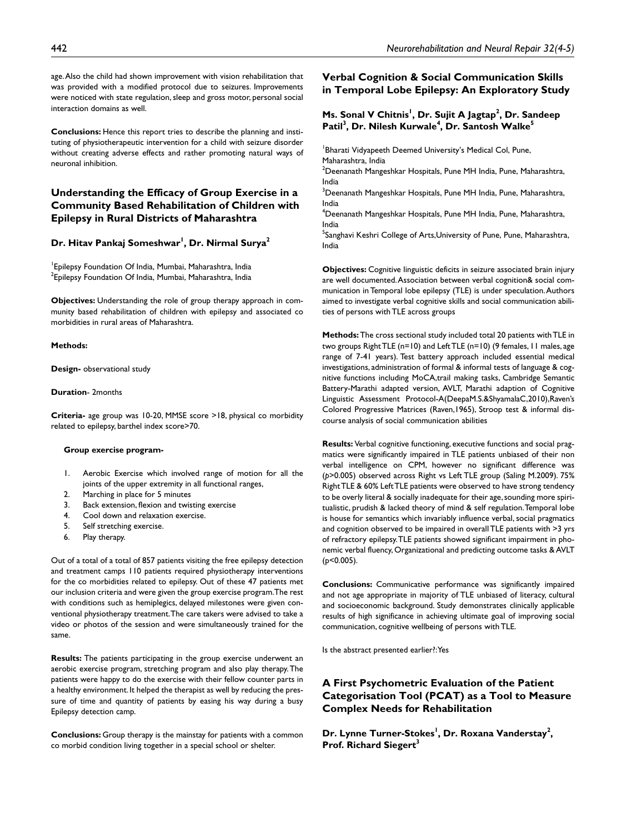age. Also the child had shown improvement with vision rehabilitation that was provided with a modified protocol due to seizures. Improvements were noticed with state regulation, sleep and gross motor, personal social interaction domains as well.

**Conclusions:** Hence this report tries to describe the planning and instituting of physiotherapeutic intervention for a child with seizure disorder without creating adverse effects and rather promoting natural ways of neuronal inhibition.

# **Understanding the Efficacy of Group Exercise in a Community Based Rehabilitation of Children with Epilepsy in Rural Districts of Maharashtra**

### **Dr. Hitav Pankaj Someshwar1 , Dr. Nirmal Surya2**

1 Epilepsy Foundation Of India, Mumbai, Maharashtra, India  $^{\rm 2}$ Epilepsy Foundation Of India, Mumbai, Maharashtra, India

**Objectives:** Understanding the role of group therapy approach in community based rehabilitation of children with epilepsy and associated co morbidities in rural areas of Maharashtra.

### **Methods:**

**Design-** observational study

### **Duration**- 2months

**Criteria-** age group was 10-20, MMSE score >18, physical co morbidity related to epilepsy, barthel index score>70.

#### **Group exercise program-**

- 1. Aerobic Exercise which involved range of motion for all the joints of the upper extremity in all functional ranges,
- 2. Marching in place for 5 minutes
- 3. Back extension, flexion and twisting exercise
- 4. Cool down and relaxation exercise.
- 5. Self stretching exercise.
- 6. Play therapy.

Out of a total of a total of 857 patients visiting the free epilepsy detection and treatment camps 110 patients required physiotherapy interventions for the co morbidities related to epilepsy. Out of these 47 patients met our inclusion criteria and were given the group exercise program. The rest with conditions such as hemiplegics, delayed milestones were given conventional physiotherapy treatment. The care takers were advised to take a video or photos of the session and were simultaneously trained for the same.

**Results:** The patients participating in the group exercise underwent an aerobic exercise program, stretching program and also play therapy. The patients were happy to do the exercise with their fellow counter parts in a healthy environment. It helped the therapist as well by reducing the pressure of time and quantity of patients by easing his way during a busy Epilepsy detection camp.

**Conclusions:** Group therapy is the mainstay for patients with a common co morbid condition living together in a special school or shelter.

### **Verbal Cognition & Social Communication Skills in Temporal Lobe Epilepsy: An Exploratory Study**

## **Ms. Sonal V Chitnis<sup>1</sup>, Dr. Sujit A Jagtap<sup>2</sup>, Dr. Sandeep** Patil<sup>3</sup>, Dr. Nilesh Kurwale<sup>4</sup>, Dr. Santosh Walke<sup>5</sup>

<sup>1</sup> Bharati Vidyapeeth Deemed University's Medical Col, Pune, Maharashtra, India

 $^{2}$ Deenanath Mangeshkar Hospitals, Pune MH India, Pune, Maharashtra, India

<sup>3</sup>Deenanath Mangeshkar Hospitals, Pune MH India, Pune, Maharashtra, India

4 Deenanath Mangeshkar Hospitals, Pune MH India, Pune, Maharashtra, India

<sup>5</sup>Sanghavi Keshri College of Arts,University of Pune, Pune, Maharashtra, India

**Objectives:** Cognitive linguistic deficits in seizure associated brain injury are well documented. Association between verbal cognition& social communication in Temporal lobe epilepsy (TLE) is under speculation. Authors aimed to investigate verbal cognitive skills and social communication abilities of persons with TLE across groups

**Methods:** The cross sectional study included total 20 patients with TLE in two groups Right TLE (n=10) and Left TLE (n=10) (9 females, 11 males, age range of 7-41 years). Test battery approach included essential medical investigations, administration of formal & informal tests of language & cognitive functions including MoCA,trail making tasks, Cambridge Semantic Battery-Marathi adapted version, AVLT, Marathi adaption of Cognitive Linguistic Assessment Protocol-A(DeepaM.S.&ShyamalaC,2010),Raven's Colored Progressive Matrices (Raven,1965), Stroop test & informal discourse analysis of social communication abilities

**Results:** Verbal cognitive functioning, executive functions and social pragmatics were significantly impaired in TLE patients unbiased of their non verbal intelligence on CPM, however no significant difference was (*p*>0.005) observed across Right vs Left TLE group (Saling M.2009). 75% Right TLE & 60% Left TLE patients were observed to have strong tendency to be overly literal & socially inadequate for their age, sounding more spiritualistic, prudish & lacked theory of mind & self regulation. Temporal lobe is house for semantics which invariably influence verbal, social pragmatics and cognition observed to be impaired in overall TLE patients with >3 yrs of refractory epilepsy. TLE patients showed significant impairment in phonemic verbal fluency, Organizational and predicting outcome tasks & AVLT (p<0.005).

**Conclusions:** Communicative performance was significantly impaired and not age appropriate in majority of TLE unbiased of literacy, cultural and socioeconomic background. Study demonstrates clinically applicable results of high significance in achieving ultimate goal of improving social communication, cognitive wellbeing of persons with TLE.

Is the abstract presented earlier?: Yes

# **A First Psychometric Evaluation of the Patient Categorisation Tool (PCAT) as a Tool to Measure Complex Needs for Rehabilitation**

Dr. Lynne Turner-Stokes<sup>!</sup>, Dr. Roxana Vanderstay<sup>2</sup>, **Prof. Richard Siegert<sup>3</sup>**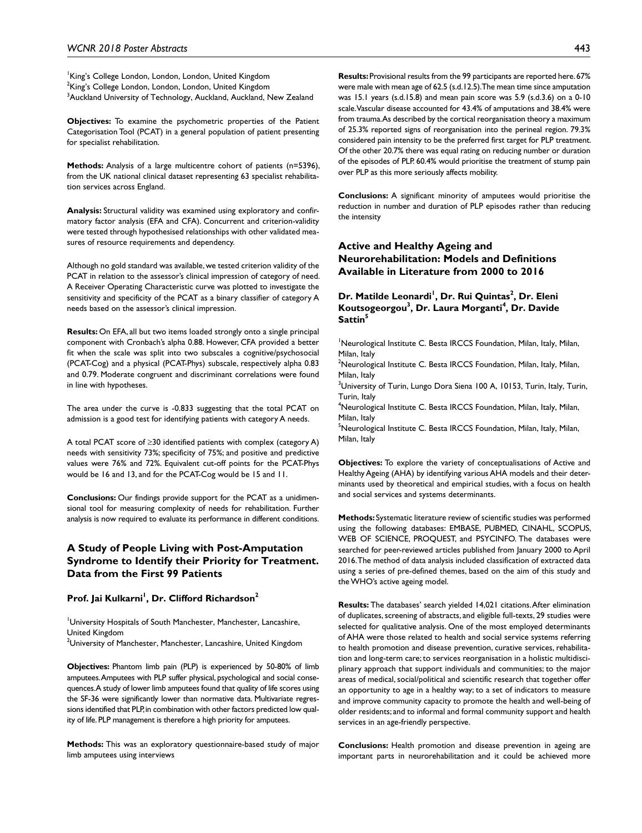King's College London, London, London, United Kingdom <sup>2</sup>King's College London, London, London, United Kingdom  $^3$ Auckland University of Technology, Auckland, Auckland, New Zealand

**Objectives:** To examine the psychometric properties of the Patient Categorisation Tool (PCAT) in a general population of patient presenting for specialist rehabilitation.

**Methods:** Analysis of a large multicentre cohort of patients (n=5396), from the UK national clinical dataset representing 63 specialist rehabilitation services across England.

**Analysis:** Structural validity was examined using exploratory and confirmatory factor analysis (EFA and CFA). Concurrent and criterion-validity were tested through hypothesised relationships with other validated measures of resource requirements and dependency.

Although no gold standard was available, we tested criterion validity of the PCAT in relation to the assessor's clinical impression of category of need. A Receiver Operating Characteristic curve was plotted to investigate the sensitivity and specificity of the PCAT as a binary classifier of category A needs based on the assessor's clinical impression.

**Results:** On EFA, all but two items loaded strongly onto a single principal component with Cronbach's alpha 0.88. However, CFA provided a better fit when the scale was split into two subscales a cognitive/psychosocial (PCAT-Cog) and a physical (PCAT-Phys) subscale, respectively alpha 0.83 and 0.79. Moderate congruent and discriminant correlations were found in line with hypotheses.

The area under the curve is -0.833 suggesting that the total PCAT on admission is a good test for identifying patients with category A needs.

A total PCAT score of ≥30 identified patients with complex (category A) needs with sensitivity 73%; specificity of 75%; and positive and predictive values were 76% and 72%. Equivalent cut-off points for the PCAT-Phys would be 16 and 13, and for the PCAT-Cog would be 15 and 11.

**Conclusions:** Our findings provide support for the PCAT as a unidimensional tool for measuring complexity of needs for rehabilitation. Further analysis is now required to evaluate its performance in different conditions.

# **A Study of People Living with Post-Amputation Syndrome to Identify their Priority for Treatment. Data from the First 99 Patients**

### Prof. Jai Kulkarni<sup>!</sup>, Dr. Clifford Richardson<sup>2</sup>

1 University Hospitals of South Manchester, Manchester, Lancashire, United Kingdom

 $^{\rm 2}$ University of Manchester, Manchester, Lancashire, United Kingdom

**Objectives:** Phantom limb pain (PLP) is experienced by 50-80% of limb amputees. Amputees with PLP suffer physical, psychological and social consequences. A study of lower limb amputees found that quality of life scores using the SF-36 were significantly lower than normative data. Multivariate regressions identified that PLP, in combination with other factors predicted low quality of life. PLP management is therefore a high priority for amputees.

**Methods:** This was an exploratory questionnaire-based study of major limb amputees using interviews

**Results:** Provisional results from the 99 participants are reported here. 67% were male with mean age of 62.5 (s.d.12.5). The mean time since amputation was 15.1 years (s.d.15.8) and mean pain score was 5.9 (s.d.3.6) on a 0-10 scale. Vascular disease accounted for 43.4% of amputations and 38.4% were from trauma. As described by the cortical reorganisation theory a maximum of 25.3% reported signs of reorganisation into the perineal region. 79.3% considered pain intensity to be the preferred first target for PLP treatment. Of the other 20.7% there was equal rating on reducing number or duration of the episodes of PLP. 60.4% would prioritise the treatment of stump pain over PLP as this more seriously affects mobility.

**Conclusions:** A significant minority of amputees would prioritise the reduction in number and duration of PLP episodes rather than reducing the intensity

# **Active and Healthy Ageing and Neurorehabilitation: Models and Definitions Available in Literature from 2000 to 2016**

### Dr. Matilde Leonardi<sup>'</sup>, Dr. Rui Quintas<sup>2</sup>, Dr. Eleni **Koutsogeorgou3 , Dr. Laura Morganti4 , Dr. Davide Sattin5**

<sup>1</sup>Neurological Institute C. Besta IRCCS Foundation, Milan, Italy, Milan, Milan, Italy

<sup>2</sup>Neurological Institute C. Besta IRCCS Foundation, Milan, Italy, Milan, Milan, Italy

<sup>3</sup>University of Turin, Lungo Dora Siena 100 A, 10153, Turin, Italy, Turin, Turin, Italy

4 Neurological Institute C. Besta IRCCS Foundation, Milan, Italy, Milan, Milan, Italy

<sup>5</sup>Neurological Institute C. Besta IRCCS Foundation, Milan, Italy, Milan, Milan, Italy

**Objectives:** To explore the variety of conceptualisations of Active and Healthy Ageing (AHA) by identifying various AHA models and their determinants used by theoretical and empirical studies, with a focus on health and social services and systems determinants.

**Methods:** Systematic literature review of scientific studies was performed using the following databases: EMBASE, PUBMED, CINAHL, SCOPUS, WEB OF SCIENCE, PROQUEST, and PSYCINFO. The databases were searched for peer-reviewed articles published from January 2000 to April 2016. The method of data analysis included classification of extracted data using a series of pre-defined themes, based on the aim of this study and the WHO's active ageing model.

**Results:** The databases' search yielded 14,021 citations. After elimination of duplicates, screening of abstracts, and eligible full-texts, 29 studies were selected for qualitative analysis. One of the most employed determinants of AHA were those related to health and social service systems referring to health promotion and disease prevention, curative services, rehabilitation and long-term care; to services reorganisation in a holistic multidisciplinary approach that support individuals and communities; to the major areas of medical, social/political and scientific research that together offer an opportunity to age in a healthy way; to a set of indicators to measure and improve community capacity to promote the health and well-being of older residents; and to informal and formal community support and health services in an age-friendly perspective.

**Conclusions:** Health promotion and disease prevention in ageing are important parts in neurorehabilitation and it could be achieved more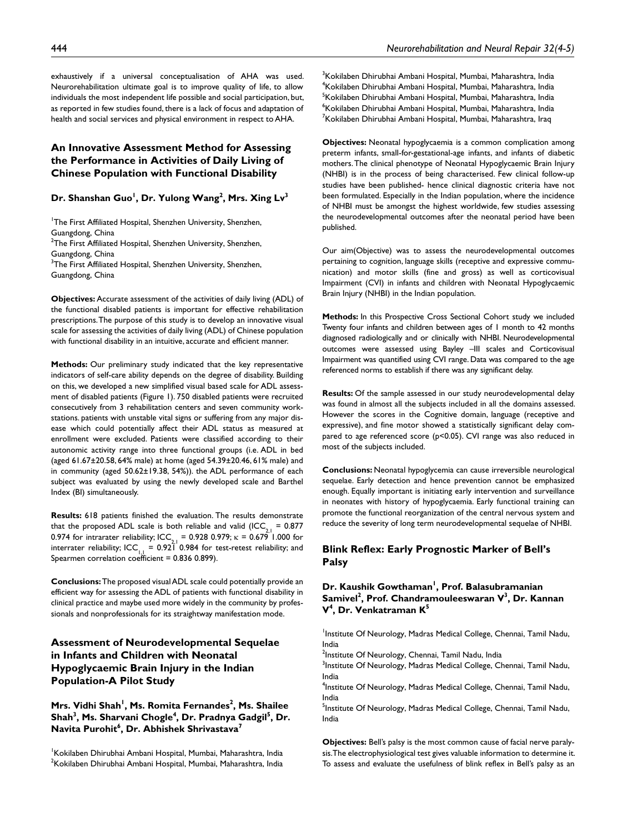exhaustively if a universal conceptualisation of AHA was used. Neurorehabilitation ultimate goal is to improve quality of life, to allow individuals the most independent life possible and social participation, but, as reported in few studies found, there is a lack of focus and adaptation of health and social services and physical environment in respect to AHA.

# **An Innovative Assessment Method for Assessing the Performance in Activities of Daily Living of Chinese Population with Functional Disability**

Dr. Shanshan Guo<sup>1</sup>, Dr. Yulong Wang<sup>2</sup>, Mrs. Xing Lv<sup>3</sup>

<sup>1</sup>The First Affiliated Hospital, Shenzhen University, Shenzhen, Guangdong, China

<sup>2</sup>The First Affiliated Hospital, Shenzhen University, Shenzhen, Guangdong, China

<sup>3</sup>The First Affiliated Hospital, Shenzhen University, Shenzhen, Guangdong, China

**Objectives:** Accurate assessment of the activities of daily living (ADL) of the functional disabled patients is important for effective rehabilitation prescriptions. The purpose of this study is to develop an innovative visual scale for assessing the activities of daily living (ADL) of Chinese population with functional disability in an intuitive, accurate and efficient manner.

**Methods:** Our preliminary study indicated that the key representative indicators of self-care ability depends on the degree of disability. Building on this, we developed a new simplified visual based scale for ADL assessment of disabled patients (Figure 1). 750 disabled patients were recruited consecutively from 3 rehabilitation centers and seven community workstations. patients with unstable vital signs or suffering from any major disease which could potentially affect their ADL status as measured at enrollment were excluded. Patients were classified according to their autonomic activity range into three functional groups (i.e. ADL in bed (aged 61.67±20.58, 64% male) at home (aged 54.39±20.46, 61% male) and in community (aged 50.62±19.38, 54%)). the ADL performance of each subject was evaluated by using the newly developed scale and Barthel Index (BI) simultaneously.

**Results:** 618 patients finished the evaluation. The results demonstrate that the proposed ADL scale is both reliable and valid (ICC<sub>2,1</sub> = 0.877 0.974 for intrarater reliability; ICC<sub>21</sub> = 0.928 0.979;  $\kappa$  = 0.679 1.000 for interrater reliability;  $ICC_{1,1} = 0.92\hat{1}$  0.984 for test-retest reliability; and Spearmen correlation coefficient = 0.836 0.899).

**Conclusions:** The proposed visual ADL scale could potentially provide an efficient way for assessing the ADL of patients with functional disability in clinical practice and maybe used more widely in the community by professionals and nonprofessionals for its straightway manifestation mode.

# **Assessment of Neurodevelopmental Sequelae in Infants and Children with Neonatal Hypoglycaemic Brain Injury in the Indian Population-A Pilot Study**

**Mrs. Vidhi Shah<sup>1</sup>, Ms. Romita Fernandes<sup>2</sup>, Ms. Shailee** Shah<sup>3</sup>, Ms. Sharvani Chogle<sup>4</sup>, Dr. Pradnya Gadgil<sup>5</sup>, Dr. **Navita Purohit6 , Dr. Abhishek Shrivastava7**

1 Kokilaben Dhirubhai Ambani Hospital, Mumbai, Maharashtra, India  $^{2}$ Kokilaben Dhirubhai Ambani Hospital, Mumbai, Maharashtra, India  $^3$ Kokilaben Dhirubhai Ambani Hospital, Mumbai, Maharashtra, India 4 Kokilaben Dhirubhai Ambani Hospital, Mumbai, Maharashtra, India <sup>5</sup>Kokilaben Dhirubhai Ambani Hospital, Mumbai, Maharashtra, India 6 Kokilaben Dhirubhai Ambani Hospital, Mumbai, Maharashtra, India <sup>7</sup>Kokilaben Dhirubhai Ambani Hospital, Mumbai, Maharashtra, Iraq

**Objectives:** Neonatal hypoglycaemia is a common complication among preterm infants, small-for-gestational-age infants, and infants of diabetic mothers. The clinical phenotype of Neonatal Hypoglycaemic Brain Injury (NHBI) is in the process of being characterised. Few clinical follow-up studies have been published- hence clinical diagnostic criteria have not been formulated. Especially in the Indian population, where the incidence of NHBI must be amongst the highest worldwide, few studies assessing the neurodevelopmental outcomes after the neonatal period have been published.

Our aim(Objective) was to assess the neurodevelopmental outcomes pertaining to cognition, language skills (receptive and expressive communication) and motor skills (fine and gross) as well as corticovisual Impairment (CVI) in infants and children with Neonatal Hypoglycaemic Brain Injury (NHBI) in the Indian population.

**Methods:** In this Prospective Cross Sectional Cohort study we included Twenty four infants and children between ages of 1 month to 42 months diagnosed radiologically and or clinically with NHBI. Neurodevelopmental outcomes were assessed using Bayley –III scales and Corticovisual Impairment was quantified using CVI range. Data was compared to the age referenced norms to establish if there was any significant delay.

**Results:** Of the sample assessed in our study neurodevelopmental delay was found in almost all the subjects included in all the domains assessed. However the scores in the Cognitive domain, language (receptive and expressive), and fine motor showed a statistically significant delay compared to age referenced score (p<0.05). CVI range was also reduced in most of the subjects included.

**Conclusions:** Neonatal hypoglycemia can cause irreversible neurological sequelae. Early detection and hence prevention cannot be emphasized enough. Equally important is initiating early intervention and surveillance in neonates with history of hypoglycaemia. Early functional training can promote the functional reorganization of the central nervous system and reduce the severity of long term neurodevelopmental sequelae of NHBI.

# **Blink Reflex: Early Prognostic Marker of Bell's Palsy**

## Dr. Kaushik Gowthaman<sup>I</sup>, Prof. Balasubramanian **Samivel<sup>2</sup> , Prof. Chandramouleeswaran V3 , Dr. Kannan V<sup>4</sup>, Dr. Venkatraman K** $^5$

<sup>1</sup>Institute Of Neurology, Madras Medical College, Chennai, Tamil Nadu, India

<sup>2</sup>Institute Of Neurology, Chennai, Tamil Nadu, India

<sup>3</sup>Institute Of Neurology, Madras Medical College, Chennai, Tamil Nadu, India

<sup>4</sup>Institute Of Neurology, Madras Medical College, Chennai, Tamil Nadu, India

<sup>5</sup>Institute Of Neurology, Madras Medical College, Chennai, Tamil Nadu, India

**Objectives:** Bell's palsy is the most common cause of facial nerve paralysis. The electrophysiological test gives valuable information to determine it. To assess and evaluate the usefulness of blink reflex in Bell's palsy as an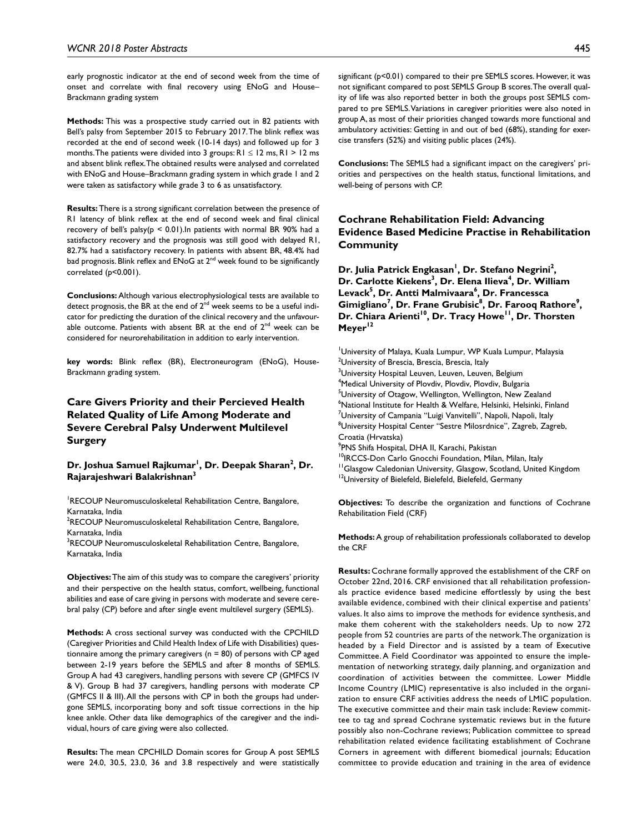early prognostic indicator at the end of second week from the time of onset and correlate with final recovery using ENoG and House– Brackmann grading system

**Methods:** This was a prospective study carried out in 82 patients with Bell's palsy from September 2015 to February 2017. The blink reflex was recorded at the end of second week (10-14 days) and followed up for 3 months. The patients were divided into 3 groups:  $R1 \le 12$  ms,  $R1 > 12$  ms and absent blink reflex. The obtained results were analysed and correlated with ENoG and House–Brackmann grading system in which grade 1 and 2 were taken as satisfactory while grade 3 to 6 as unsatisfactory.

**Results:** There is a strong significant correlation between the presence of R1 latency of blink reflex at the end of second week and final clinical recovery of bell's palsy(p < 0.01).In patients with normal BR 90% had a satisfactory recovery and the prognosis was still good with delayed R1, 82.7% had a satisfactory recovery. In patients with absent BR, 48.4% had bad prognosis. Blink reflex and ENoG at 2<sup>nd</sup> week found to be significantly correlated (p<0.001).

**Conclusions:** Although various electrophysiological tests are available to detect prognosis, the BR at the end of  $2<sup>nd</sup>$  week seems to be a useful indicator for predicting the duration of the clinical recovery and the unfavourable outcome. Patients with absent BR at the end of  $2^{nd}$  week can be considered for neurorehabilitation in addition to early intervention.

**key words:** Blink reflex (BR), Electroneurogram (ENoG), House-Brackmann grading system.

# **Care Givers Priority and their Percieved Health Related Quality of Life Among Moderate and Severe Cerebral Palsy Underwent Multilevel Surgery**

## Dr. Joshua Samuel Rajkumar<sup>ı</sup>, Dr. Deepak Sharan<sup>2</sup>, Dr. **Rajarajeshwari Balakrishnan3**

<sup>1</sup>RECOUP Neuromusculoskeletal Rehabilitation Centre, Bangalore, Karnataka, India

<sup>2</sup>RECOUP Neuromusculoskeletal Rehabilitation Centre, Bangalore, Karnataka, India

<sup>3</sup>RECOUP Neuromusculoskeletal Rehabilitation Centre, Bangalore, Karnataka, India

**Objectives:** The aim of this study was to compare the caregivers' priority and their perspective on the health status, comfort, wellbeing, functional abilities and ease of care giving in persons with moderate and severe cerebral palsy (CP) before and after single event multilevel surgery (SEMLS).

**Methods:** A cross sectional survey was conducted with the CPCHILD (Caregiver Priorities and Child Health Index of Life with Disabilities) questionnaire among the primary caregivers ( $n = 80$ ) of persons with CP aged between 2-19 years before the SEMLS and after 8 months of SEMLS. Group A had 43 caregivers, handling persons with severe CP (GMFCS IV & V). Group B had 37 caregivers, handling persons with moderate CP (GMFCS II & III). All the persons with CP in both the groups had undergone SEMLS, incorporating bony and soft tissue corrections in the hip knee ankle. Other data like demographics of the caregiver and the individual, hours of care giving were also collected.

**Results:** The mean CPCHILD Domain scores for Group A post SEMLS were 24.0, 30.5, 23.0, 36 and 3.8 respectively and were statistically

significant (p<0.01) compared to their pre SEMLS scores. However, it was not significant compared to post SEMLS Group B scores. The overall quality of life was also reported better in both the groups post SEMLS compared to pre SEMLS. Variations in caregiver priorities were also noted in group A, as most of their priorities changed towards more functional and ambulatory activities: Getting in and out of bed (68%), standing for exercise transfers (52%) and visiting public places (24%).

**Conclusions:** The SEMLS had a significant impact on the caregivers' priorities and perspectives on the health status, functional limitations, and well-being of persons with CP.

# **Cochrane Rehabilitation Field: Advancing Evidence Based Medicine Practise in Rehabilitation Community**

Dr. Julia Patrick Engkasan<sup>1</sup>, Dr. Stefano Negrini<sup>2</sup>, Dr. Carlotte Kiekens<sup>3</sup>, Dr. Elena Ilieva<sup>4</sup>, Dr. William Levack<sup>5</sup>, Dr. Antti Malmivaara<sup>6</sup>, Dr. Francessca  $G$ imigliano<sup>7</sup>, Dr. Frane Grubisic<sup>8</sup>, Dr. Farooq Rathore<sup>9</sup>, Dr. Chiara Arienti<sup>10</sup>, Dr. Tracy Howe<sup>11</sup>, Dr. Thorsten Meyer<sup>12</sup>

1 University of Malaya, Kuala Lumpur, WP Kuala Lumpur, Malaysia  $^{\rm 2}$ University of Brescia, Brescia, Brescia, Italy  $^3$ University Hospital Leuven, Leuven, Leuven, Belgium 4 Medical University of Plovdiv, Plovdiv, Plovdiv, Bulgaria <sup>5</sup>University of Otagow, Wellington, Wellington, New Zealand  $^6$ National Institute for Health & Welfare, Helsinki, Helsinki, Finland <sup>7</sup>University of Campania ''Luigi Vanvitelli'', Napoli, Napoli, Italy <sup>8</sup>University Hospital Center "Sestre Milosrdnice", Zagreb, Zagreb, Croatia (Hrvatska) 9 PNS Shifa Hospital, DHA II, Karachi, Pakistan <sup>10</sup>IRCCS-Don Carlo Gnocchi Foundation, Milan, Milan, Italy <sup>11</sup> Glasgow Caledonian University, Glasgow, Scotland, United Kingdom

<sup>12</sup>University of Bielefeld, Bielefeld, Bielefeld, Germany

**Objectives:** To describe the organization and functions of Cochrane Rehabilitation Field (CRF)

**Methods:** A group of rehabilitation professionals collaborated to develop the CRF

**Results:** Cochrane formally approved the establishment of the CRF on October 22nd, 2016. CRF envisioned that all rehabilitation professionals practice evidence based medicine effortlessly by using the best available evidence, combined with their clinical expertise and patients' values. It also aims to improve the methods for evidence synthesis, and make them coherent with the stakeholders needs. Up to now 272 people from 52 countries are parts of the network. The organization is headed by a Field Director and is assisted by a team of Executive Committee. A Field Coordinator was appointed to ensure the implementation of networking strategy, daily planning, and organization and coordination of activities between the committee. Lower Middle Income Country (LMIC) representative is also included in the organization to ensure CRF activities address the needs of LMIC population. The executive committee and their main task include: Review committee to tag and spread Cochrane systematic reviews but in the future possibly also non-Cochrane reviews; Publication committee to spread rehabilitation related evidence facilitating establishment of Cochrane Corners in agreement with different biomedical journals; Education committee to provide education and training in the area of evidence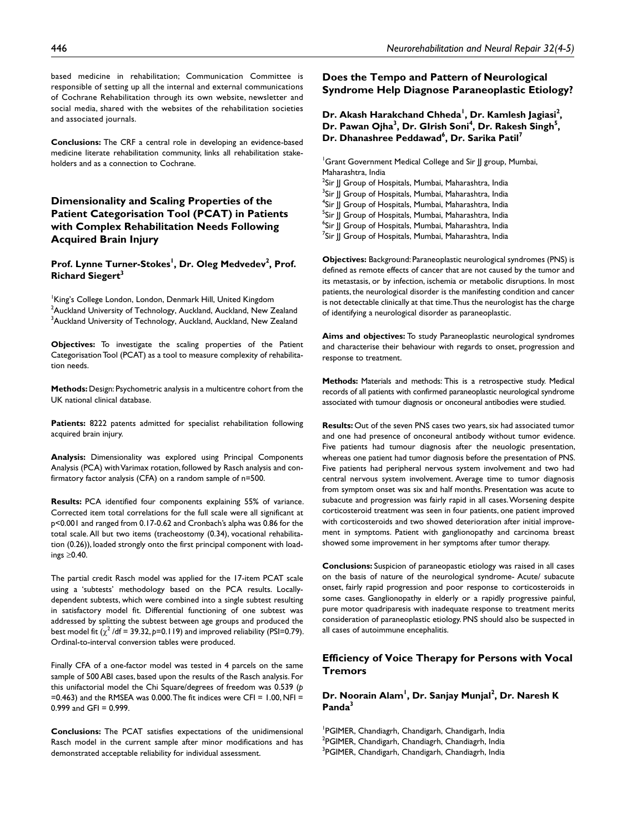based medicine in rehabilitation; Communication Committee is responsible of setting up all the internal and external communications of Cochrane Rehabilitation through its own website, newsletter and social media, shared with the websites of the rehabilitation societies and associated journals.

**Conclusions:** The CRF a central role in developing an evidence-based medicine literate rehabilitation community, links all rehabilitation stakeholders and as a connection to Cochrane.

# **Dimensionality and Scaling Properties of the Patient Categorisation Tool (PCAT) in Patients with Complex Rehabilitation Needs Following Acquired Brain Injury**

Prof. Lynne Turner-Stokes<sup>1</sup>, Dr. Oleg Medvedev<sup>2</sup>, Prof. **Richard Siegert<sup>3</sup>** 

King's College London, London, Denmark Hill, United Kingdom  $^2$ Auckland University of Technology, Auckland, Auckland, New Zealand  $^3$ Auckland University of Technology, Auckland, Auckland, New Zealand

**Objectives:** To investigate the scaling properties of the Patient Categorisation Tool (PCAT) as a tool to measure complexity of rehabilitation needs.

**Methods:** Design: Psychometric analysis in a multicentre cohort from the UK national clinical database.

Patients: 8222 patents admitted for specialist rehabilitation following acquired brain injury.

**Analysis:** Dimensionality was explored using Principal Components Analysis (PCA) with Varimax rotation, followed by Rasch analysis and confirmatory factor analysis (CFA) on a random sample of n=500.

**Results:** PCA identified four components explaining 55% of variance. Corrected item total correlations for the full scale were all significant at p<0.001 and ranged from 0.17-0.62 and Cronbach's alpha was 0.86 for the total scale. All but two items (tracheostomy (0.34), vocational rehabilitation (0.26)), loaded strongly onto the first principal component with loadings ≥0.40.

The partial credit Rasch model was applied for the 17-item PCAT scale using a 'subtests' methodology based on the PCA results. Locallydependent subtests, which were combined into a single subtest resulting in satisfactory model fit. Differential functioning of one subtest was addressed by splitting the subtest between age groups and produced the best model fit ( $\chi^2$  /df = 39.32, p=0.119) and improved reliability (PSI=0.79). Ordinal-to-interval conversion tables were produced.

Finally CFA of a one-factor model was tested in 4 parcels on the same sample of 500 ABI cases, based upon the results of the Rasch analysis. For this unifactorial model the Chi Square/degrees of freedom was 0.539 (*p*  $=0.463$ ) and the RMSEA was 0.000. The fit indices were CFI = 1.00, NFI =  $0.999$  and GFI = 0.999.

**Conclusions:** The PCAT satisfies expectations of the unidimensional Rasch model in the current sample after minor modifications and has demonstrated acceptable reliability for individual assessment.

## **Does the Tempo and Pattern of Neurological Syndrome Help Diagnose Paraneoplastic Etiology?**

## Dr. Akash Harakchand Chheda<sup>1</sup>, Dr. Kamlesh Jagiasi<sup>2</sup>, Dr. Pawan Ojha<sup>3</sup>, Dr. GIrish Soni<sup>4</sup>, Dr. Rakesh Singh<sup>5</sup>, **Dr. Dhanashree Peddawad6 , Dr. Sarika Patil7**

<sup>1</sup>Grant Government Medical College and Sir JJ group, Mumbai, Maharashtra, India

- <sup>2</sup>Sir JJ Group of Hospitals, Mumbai, Maharashtra, India
- <sup>3</sup>Sir JJ Group of Hospitals, Mumbai, Maharashtra, India
- <sup>4</sup>Sir JJ Group of Hospitals, Mumbai, Maharashtra, India
- <sup>5</sup>Sir JJ Group of Hospitals, Mumbai, Maharashtra, India
- <sup>6</sup>Sir JJ Group of Hospitals, Mumbai, Maharashtra, India
- <sup>7</sup>Sir JJ Group of Hospitals, Mumbai, Maharashtra, India

**Objectives:** Background: Paraneoplastic neurological syndromes (PNS) is defined as remote effects of cancer that are not caused by the tumor and its metastasis, or by infection, ischemia or metabolic disruptions. In most patients, the neurological disorder is the manifesting condition and cancer is not detectable clinically at that time. Thus the neurologist has the charge of identifying a neurological disorder as paraneoplastic.

**Aims and objectives:** To study Paraneoplastic neurological syndromes and characterise their behaviour with regards to onset, progression and response to treatment.

**Methods:** Materials and methods: This is a retrospective study. Medical records of all patients with confirmed paraneoplastic neurological syndrome associated with tumour diagnosis or onconeural antibodies were studied.

**Results:** Out of the seven PNS cases two years, six had associated tumor and one had presence of onconeural antibody without tumor evidence. Five patients had tumour diagnosis after the neuologic presentation, whereas one patient had tumor diagnosis before the presentation of PNS. Five patients had peripheral nervous system involvement and two had central nervous system involvement. Average time to tumor diagnosis from symptom onset was six and half months. Presentation was acute to subacute and progression was fairly rapid in all cases. Worsening despite corticosteroid treatment was seen in four patients, one patient improved with corticosteroids and two showed deterioration after initial improvement in symptoms. Patient with ganglionopathy and carcinoma breast showed some improvement in her symptoms after tumor therapy.

**Conclusions:** Suspicion of paraneopastic etiology was raised in all cases on the basis of nature of the neurological syndrome- Acute/ subacute onset, fairly rapid progression and poor response to corticosteroids in some cases. Ganglionopathy in elderly or a rapidly progressive painful, pure motor quadriparesis with inadequate response to treatment merits consideration of paraneoplastic etiology. PNS should also be suspected in all cases of autoimmune encephalitis.

# **Efficiency of Voice Therapy for Persons with Vocal Tremors**

## **Dr. Noorain Alam1 , Dr. Sanjay Munjal2 , Dr. Naresh K Panda3**

1 PGIMER, Chandiagrh, Chandigarh, Chandigarh, India <sup>2</sup>PGIMER, Chandigarh, Chandiagrh, Chandiagrh, India <sup>3</sup>PGIMER, Chandigarh, Chandigarh, Chandiagrh, India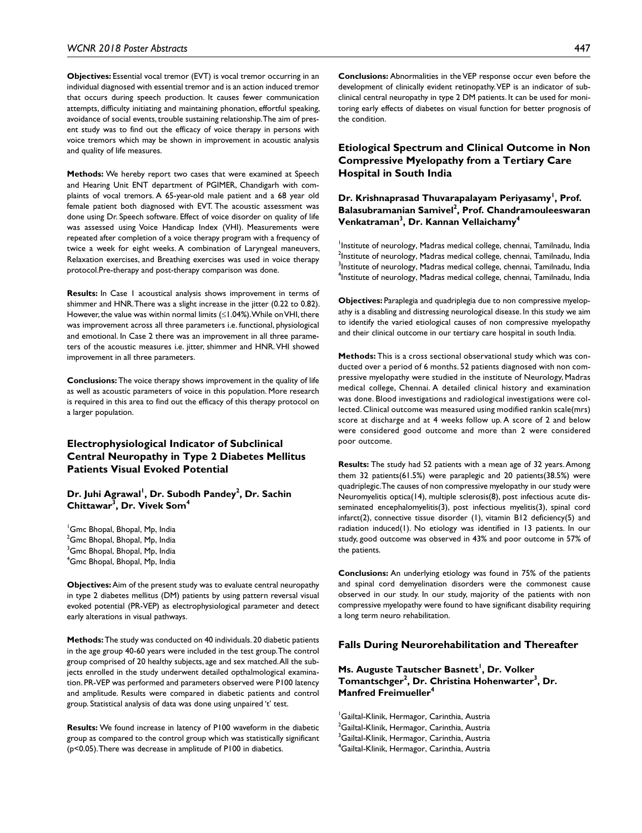**Objectives:** Essential vocal tremor (EVT) is vocal tremor occurring in an individual diagnosed with essential tremor and is an action induced tremor that occurs during speech production. It causes fewer communication attempts, difficulty initiating and maintaining phonation, effortful speaking, avoidance of social events, trouble sustaining relationship. The aim of present study was to find out the efficacy of voice therapy in persons with voice tremors which may be shown in improvement in acoustic analysis and quality of life measures.

**Methods:** We hereby report two cases that were examined at Speech and Hearing Unit ENT department of PGIMER, Chandigarh with complaints of vocal tremors. A 65-year-old male patient and a 68 year old female patient both diagnosed with EVT. The acoustic assessment was done using Dr. Speech software. Effect of voice disorder on quality of life was assessed using Voice Handicap Index (VHI). Measurements were repeated after completion of a voice therapy program with a frequency of twice a week for eight weeks. A combination of Laryngeal maneuvers, Relaxation exercises, and Breathing exercises was used in voice therapy protocol.Pre-therapy and post-therapy comparison was done.

**Results:** In Case 1 acoustical analysis shows improvement in terms of shimmer and HNR. There was a slight increase in the jitter (0.22 to 0.82). However, the value was within normal limits (≤1.04%). While on VHI, there was improvement across all three parameters i.e. functional, physiological and emotional. In Case 2 there was an improvement in all three parameters of the acoustic measures i.e. jitter, shimmer and HNR. VHI showed improvement in all three parameters.

**Conclusions:** The voice therapy shows improvement in the quality of life as well as acoustic parameters of voice in this population. More research is required in this area to find out the efficacy of this therapy protocol on a larger population.

# **Electrophysiological Indicator of Subclinical Central Neuropathy in Type 2 Diabetes Mellitus Patients Visual Evoked Potential**

Dr. Juhi Agrawal<sup>1</sup>, Dr. Subodh Pandey<sup>2</sup>, Dr. Sachin **Chittawar3 , Dr. Vivek Som4**

<sup>1</sup>Gmc Bhopal, Bhopal, Mp, India <sup>2</sup>Gmc Bhopal, Bhopal, Mp, India <sup>3</sup>Gmc Bhopal, Bhopal, Mp, India <sup>4</sup>Gmc Bhopal, Bhopal, Mp, India

**Objectives:** Aim of the present study was to evaluate central neuropathy in type 2 diabetes mellitus (DM) patients by using pattern reversal visual evoked potential (PR-VEP) as electrophysiological parameter and detect early alterations in visual pathways.

**Methods:** The study was conducted on 40 individuals. 20 diabetic patients in the age group 40-60 years were included in the test group. The control group comprised of 20 healthy subjects, age and sex matched. All the subjects enrolled in the study underwent detailed opthalmological examination. PR-VEP was performed and parameters observed were P100 latency and amplitude. Results were compared in diabetic patients and control group. Statistical analysis of data was done using unpaired 't' test.

**Results:** We found increase in latency of P100 waveform in the diabetic group as compared to the control group which was statistically significant (p<0.05). There was decrease in amplitude of P100 in diabetics.

**Conclusions:** Abnormalities in the VEP response occur even before the development of clinically evident retinopathy. VEP is an indicator of subclinical central neuropathy in type 2 DM patients. It can be used for monitoring early effects of diabetes on visual function for better prognosis of the condition.

# **Etiological Spectrum and Clinical Outcome in Non Compressive Myelopathy from a Tertiary Care Hospital in South India**

## Dr. Krishnaprasad Thuvarapalayam Periyasamy<sup>I</sup>, Prof. **Balasubramanian Samivel2 , Prof. Chandramouleeswaran Venkatraman<sup>3</sup> , Dr. Kannan Vellaichamy4**

<sup>1</sup>Institute of neurology, Madras medical college, chennai, Tamilnadu, India  $^{2}$ Institute of neurology, Madras medical college, chennai, Tamilnadu, India  $^3$ Institute of neurology, Madras medical college, chennai, Tamilnadu, India <sup>4</sup>Institute of neurology, Madras medical college, chennai, Tamilnadu, India

**Objectives:** Paraplegia and quadriplegia due to non compressive myelopathy is a disabling and distressing neurological disease. In this study we aim to identify the varied etiological causes of non compressive myelopathy and their clinical outcome in our tertiary care hospital in south India.

**Methods:** This is a cross sectional observational study which was conducted over a period of 6 months. 52 patients diagnosed with non compressive myelopathy were studied in the institute of Neurology, Madras medical college, Chennai. A detailed clinical history and examination was done. Blood investigations and radiological investigations were collected. Clinical outcome was measured using modified rankin scale(mrs) score at discharge and at 4 weeks follow up. A score of 2 and below were considered good outcome and more than 2 were considered poor outcome.

**Results:** The study had 52 patients with a mean age of 32 years. Among them 32 patients(61.5%) were paraplegic and 20 patients(38.5%) were quadriplegic. The causes of non compressive myelopathy in our study were Neuromyelitis optica(14), multiple sclerosis(8), post infectious acute disseminated encephalomyelitis(3), post infectious myelitis(3), spinal cord infarct(2), connective tissue disorder (1), vitamin B12 deficiency(5) and radiation induced(1). No etiology was identified in 13 patients. In our study, good outcome was observed in 43% and poor outcome in 57% of the patients.

**Conclusions:** An underlying etiology was found in 75% of the patients and spinal cord demyelination disorders were the commonest cause observed in our study. In our study, majority of the patients with non compressive myelopathy were found to have significant disability requiring a long term neuro rehabilitation.

### **Falls During Neurorehabilitation and Thereafter**

## **Ms. Auguste Tautscher Basnett<sup>1</sup>, Dr. Volker Tomantschger<sup>2</sup>, Dr. Christina Hohenwarter<sup>3</sup>, Dr. Manfred Freimueller4**

1 Gailtal-Klinik, Hermagor, Carinthia, Austria  $^{2}$ Gailtal-Klinik, Hermagor, Carinthia, Austria <sup>3</sup>Gailtal-Klinik, Hermagor, Carinthia, Austria 4 Gailtal-Klinik, Hermagor, Carinthia, Austria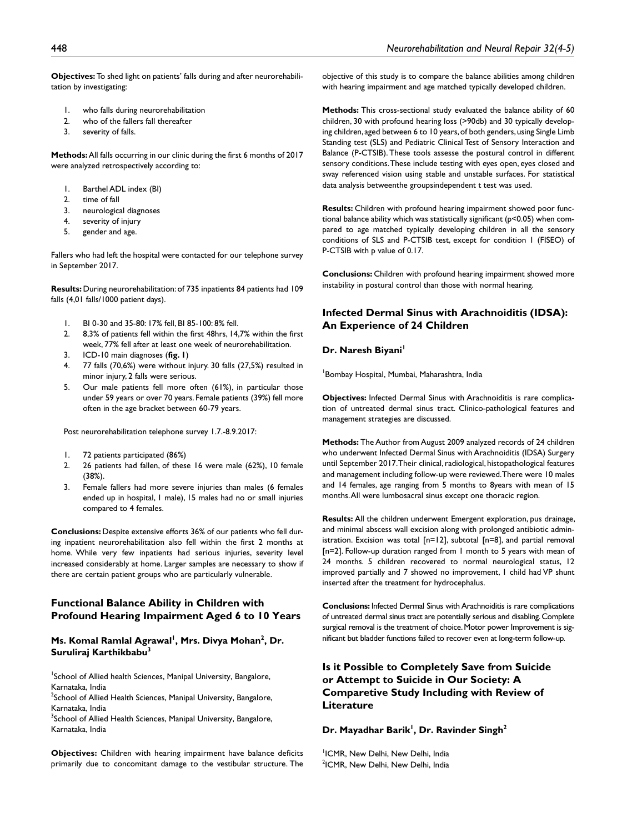**Objectives:** To shed light on patients' falls during and after neurorehabilitation by investigating:

- 1. who falls during neurorehabilitation
- 2. who of the fallers fall thereafter
- 3. severity of falls.

**Methods:** All falls occurring in our clinic during the first 6 months of 2017 were analyzed retrospectively according to:

- 1. Barthel ADL index (BI)
- 2. time of fall
- 3. neurological diagnoses
- 4. severity of injury
- 5. gender and age.

Fallers who had left the hospital were contacted for our telephone survey in September 2017.

**Results:** During neurorehabilitation: of 735 inpatients 84 patients had 109 falls (4,01 falls/1000 patient days).

- 1. BI 0-30 and 35-80: 17% fell, BI 85-100: 8% fell.
- 2. 8,3% of patients fell within the first 48hrs, 14,7% within the first week, 77% fell after at least one week of neurorehabilitation.
- 3. ICD-10 main diagnoses (**fig. 1**)
- 4. 77 falls (70,6%) were without injury. 30 falls (27,5%) resulted in minor injury, 2 falls were serious.
- 5. Our male patients fell more often (61%), in particular those under 59 years or over 70 years. Female patients (39%) fell more often in the age bracket between 60-79 years.

Post neurorehabilitation telephone survey 1.7.-8.9.2017:

- 1. 72 patients participated (86%)
- 2. 26 patients had fallen, of these 16 were male (62%), 10 female (38%).
- 3. Female fallers had more severe injuries than males (6 females ended up in hospital, 1 male), 15 males had no or small injuries compared to 4 females.

**Conclusions:** Despite extensive efforts 36% of our patients who fell during inpatient neurorehabilitation also fell within the first 2 months at home. While very few inpatients had serious injuries, severity level increased considerably at home. Larger samples are necessary to show if there are certain patient groups who are particularly vulnerable.

## **Functional Balance Ability in Children with Profound Hearing Impairment Aged 6 to 10 Years**

## **Ms. Komal Ramlal Agrawal<sup>1</sup>, Mrs. Divya Mohan<sup>2</sup>, Dr. Suruliraj Karthikbabu3**

<sup>1</sup>School of Allied health Sciences, Manipal University, Bangalore, Karnataka, India

 $^2$ School of Allied Health Sciences, Manipal University, Bangalore, Karnataka, India

<sup>3</sup>School of Allied Health Sciences, Manipal University, Bangalore, Karnataka, India

**Objectives:** Children with hearing impairment have balance deficits primarily due to concomitant damage to the vestibular structure. The objective of this study is to compare the balance abilities among children with hearing impairment and age matched typically developed children.

**Methods:** This cross-sectional study evaluated the balance ability of 60 children, 30 with profound hearing loss (>90db) and 30 typically developing children, aged between 6 to 10 years, of both genders, using Single Limb Standing test (SLS) and Pediatric Clinical Test of Sensory Interaction and Balance (P-CTSIB). These tools assesse the postural control in different sensory conditions. These include testing with eyes open, eyes closed and sway referenced vision using stable and unstable surfaces. For statistical data analysis betweenthe groupsindependent t test was used.

**Results:** Children with profound hearing impairment showed poor functional balance ability which was statistically significant (p<0.05) when compared to age matched typically developing children in all the sensory conditions of SLS and P-CTSIB test, except for condition 1 (FISEO) of P-CTSIB with p value of 0.17.

**Conclusions:** Children with profound hearing impairment showed more instability in postural control than those with normal hearing.

### **Infected Dermal Sinus with Arachnoiditis (IDSA): An Experience of 24 Children**

### **Dr. Naresh Biyani**

1 Bombay Hospital, Mumbai, Maharashtra, India

**Objectives:** Infected Dermal Sinus with Arachnoiditis is rare complication of untreated dermal sinus tract. Clinico-pathological features and management strategies are discussed.

**Methods:** The Author from August 2009 analyzed records of 24 children who underwent Infected Dermal Sinus with Arachnoiditis (IDSA) Surgery until September 2017. Their clinical, radiological, histopathological features and management including follow-up were reviewed. There were 10 males and 14 females, age ranging from 5 months to 8years with mean of 15 months. All were lumbosacral sinus except one thoracic region.

**Results:** All the children underwent Emergent exploration, pus drainage, and minimal abscess wall excision along with prolonged antibiotic administration. Excision was total [n=12], subtotal [n=8], and partial removal [n=2]. Follow-up duration ranged from 1 month to 5 years with mean of 24 months. 5 children recovered to normal neurological status, 12 improved partially and 7 showed no improvement, 1 child had VP shunt inserted after the treatment for hydrocephalus.

**Conclusions:** Infected Dermal Sinus with Arachnoiditis is rare complications of untreated dermal sinus tract are potentially serious and disabling. Complete surgical removal is the treatment of choice. Motor power Improvement is significant but bladder functions failed to recover even at long-term follow-up.

# **Is it Possible to Completely Save from Suicide or Attempt to Suicide in Our Society: A Comparetive Study Including with Review of Literature**

### **Dr. Mayadhar Barik1 , Dr. Ravinder Singh2**

1 ICMR, New Delhi, New Delhi, India 2 ICMR, New Delhi, New Delhi, India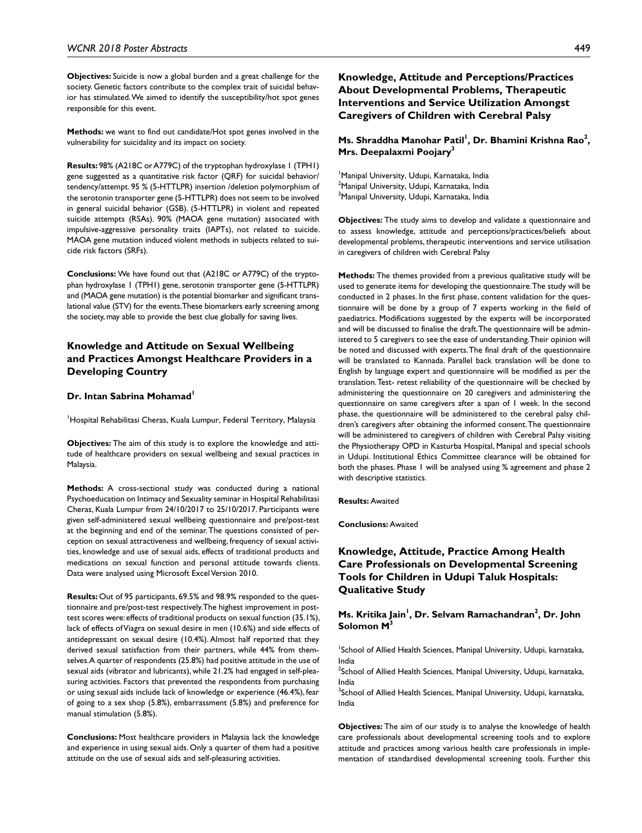**Objectives:** Suicide is now a global burden and a great challenge for the society. Genetic factors contribute to the complex trait of suicidal behavior has stimulated. We aimed to identify the susceptibility/hot spot genes responsible for this event.

**Methods:** we want to find out candidate/Hot spot genes involved in the vulnerability for suicidality and its impact on society.

**Results:** 98% (A218C or A779C) of the tryptophan hydroxylase 1 (TPH1) gene suggested as a quantitative risk factor (QRF) for suicidal behavior/ tendency/attempt. 95 % (5-HTTLPR) insertion /deletion polymorphism of the serotonin transporter gene (5-HTTLPR) does not seem to be involved in general suicidal behavior (GSB). (5-HTTLPR) in violent and repeated suicide attempts (RSAs). 90% (MAOA gene mutation) associated with impulsive-aggressive personality traits (IAPTs), not related to suicide. MAOA gene mutation induced violent methods in subjects related to suicide risk factors (SRFs).

**Conclusions:** We have found out that (A218C or A779C) of the tryptophan hydroxylase 1 (TPH1) gene, serotonin transporter gene (5-HTTLPR) and (MAOA gene mutation) is the potential biomarker and significant translational value (STV) for the events. These biomarkers early screening among the society, may able to provide the best clue globally for saving lives.

# **Knowledge and Attitude on Sexual Wellbeing and Practices Amongst Healthcare Providers in a Developing Country**

### **Dr. Intan Sabrina Mohamad**

<sup>1</sup>Hospital Rehabilitasi Cheras, Kuala Lumpur, Federal Territory, Malaysia

**Objectives:** The aim of this study is to explore the knowledge and attitude of healthcare providers on sexual wellbeing and sexual practices in Malaysia.

**Methods:** A cross-sectional study was conducted during a national Psychoeducation on Intimacy and Sexuality seminar in Hospital Rehabilitasi Cheras, Kuala Lumpur from 24/10/2017 to 25/10/2017. Participants were given self-administered sexual wellbeing questionnaire and pre/post-test at the beginning and end of the seminar. The questions consisted of perception on sexual attractiveness and wellbeing, frequency of sexual activities, knowledge and use of sexual aids, effects of traditional products and medications on sexual function and personal attitude towards clients. Data were analysed using Microsoft Excel Version 2010.

**Results:** Out of 95 participants, 69.5% and 98.9% responded to the questionnaire and pre/post-test respectively. The highest improvement in posttest scores were: effects of traditional products on sexual function (35.1%), lack of effects of Viagra on sexual desire in men (10.6%) and side effects of antidepressant on sexual desire (10.4%). Almost half reported that they derived sexual satisfaction from their partners, while 44% from themselves. A quarter of respondents (25.8%) had positive attitude in the use of sexual aids (vibrator and lubricants), while 21.2% had engaged in self-pleasuring activities. Factors that prevented the respondents from purchasing or using sexual aids include lack of knowledge or experience (46.4%), fear of going to a sex shop (5.8%), embarrassment (5.8%) and preference for manual stimulation (5.8%).

**Conclusions:** Most healthcare providers in Malaysia lack the knowledge and experience in using sexual aids. Only a quarter of them had a positive attitude on the use of sexual aids and self-pleasuring activities.

# **Knowledge, Attitude and Perceptions/Practices About Developmental Problems, Therapeutic Interventions and Service Utilization Amongst Caregivers of Children with Cerebral Palsy**

### Ms. Shraddha Manohar Patil<sup>!</sup>, Dr. Bhamini Krishna Rao<sup>2</sup>, **Mrs. Deepalaxmi Poojary**<sup>3</sup>

1 Manipal University, Udupi, Karnataka, India <sup>2</sup>Manipal University, Udupi, Karnataka, India <sup>3</sup>Manipal University, Udupi, Karnataka, India

**Objectives:** The study aims to develop and validate a questionnaire and to assess knowledge, attitude and perceptions/practices/beliefs about developmental problems, therapeutic interventions and service utilisation in caregivers of children with Cerebral Palsy

**Methods:** The themes provided from a previous qualitative study will be used to generate items for developing the questionnaire. The study will be conducted in 2 phases. In the first phase, content validation for the questionnaire will be done by a group of 7 experts working in the field of paediatrics. Modifications suggested by the experts will be incorporated and will be discussed to finalise the draft. The questionnaire will be administered to 5 caregivers to see the ease of understanding. Their opinion will be noted and discussed with experts. The final draft of the questionnaire will be translated to Kannada. Parallel back translation will be done to English by language expert and questionnaire will be modified as per the translation. Test- retest reliability of the questionnaire will be checked by administering the questionnaire on 20 caregivers and administering the questionnaire on same caregivers after a span of 1 week. In the second phase, the questionnaire will be administered to the cerebral palsy children's caregivers after obtaining the informed consent. The questionnaire will be administered to caregivers of children with Cerebral Palsy visiting the Physiotherapy OPD in Kasturba Hospital, Manipal and special schools in Udupi. Institutional Ethics Committee clearance will be obtained for both the phases. Phase 1 will be analysed using % agreement and phase 2 with descriptive statistics.

**Results:** Awaited

**Conclusions:** Awaited

# **Knowledge, Attitude, Practice Among Health Care Professionals on Developmental Screening Tools for Children in Udupi Taluk Hospitals: Qualitative Study**

### **Ms. Kritika Jain<sup>1</sup>, Dr. Selvam Ramachandran<sup>2</sup>, Dr. John Solomon M3**

<sup>1</sup>School of Allied Health Sciences, Manipal University, Udupi, karnataka, India

<sup>2</sup>School of Allied Health Sciences, Manipal University, Udupi, karnataka, India

<sup>3</sup>School of Allied Health Sciences, Manipal University, Udupi, karnataka, India

**Objectives:** The aim of our study is to analyse the knowledge of health care professionals about developmental screening tools and to explore attitude and practices among various health care professionals in implementation of standardised developmental screening tools. Further this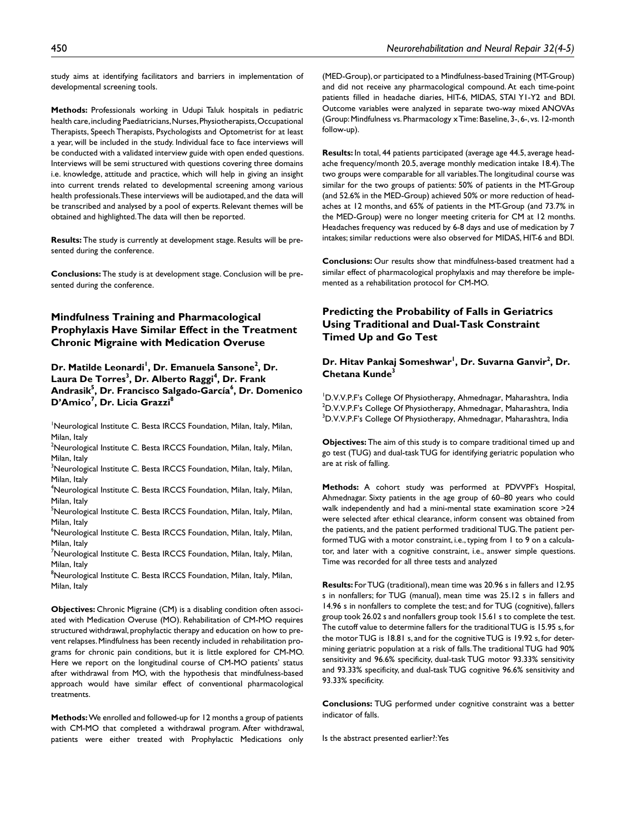study aims at identifying facilitators and barriers in implementation of developmental screening tools.

**Methods:** Professionals working in Udupi Taluk hospitals in pediatric health care, including Paediatricians, Nurses, Physiotherapists, Occupational Therapists, Speech Therapists, Psychologists and Optometrist for at least a year, will be included in the study. Individual face to face interviews will be conducted with a validated interview guide with open ended questions. Interviews will be semi structured with questions covering three domains i.e. knowledge, attitude and practice, which will help in giving an insight into current trends related to developmental screening among various health professionals. These interviews will be audiotaped, and the data will be transcribed and analysed by a pool of experts. Relevant themes will be obtained and highlighted. The data will then be reported.

**Results:** The study is currently at development stage. Results will be presented during the conference.

**Conclusions:** The study is at development stage. Conclusion will be presented during the conference.

# **Mindfulness Training and Pharmacological Prophylaxis Have Similar Effect in the Treatment Chronic Migraine with Medication Overuse**

## Dr. Matilde Leonardi<sup>'</sup>, Dr. Emanuela Sansone<sup>2</sup>, Dr. Laura De Torres<sup>3</sup>, Dr. Alberto Raggi<sup>4</sup>, Dr. Frank Andrasik<sup>5</sup>, Dr. Francisco Salgado-García<sup>6</sup>, Dr. Domenico **D'Amico7 , Dr. Licia Grazzi8**

<sup>1</sup>Neurological Institute C. Besta IRCCS Foundation, Milan, Italy, Milan, Milan, Italy

<sup>2</sup>Neurological Institute C. Besta IRCCS Foundation, Milan, Italy, Milan, Milan, Italy

<sup>3</sup>Neurological Institute C. Besta IRCCS Foundation, Milan, Italy, Milan, Milan, Italy

4 Neurological Institute C. Besta IRCCS Foundation, Milan, Italy, Milan, Milan, Italy

<sup>5</sup>Neurological Institute C. Besta IRCCS Foundation, Milan, Italy, Milan, Milan, Italy

6 Neurological Institute C. Besta IRCCS Foundation, Milan, Italy, Milan, Milan, Italy

 $^7$ Neurological Institute C. Besta IRCCS Foundation, Milan, Italy, Milan, Milan, Italy

<sup>8</sup>Neurological Institute C. Besta IRCCS Foundation, Milan, Italy, Milan, Milan, Italy

**Objectives:** Chronic Migraine (CM) is a disabling condition often associated with Medication Overuse (MO). Rehabilitation of CM-MO requires structured withdrawal, prophylactic therapy and education on how to prevent relapses. Mindfulness has been recently included in rehabilitation programs for chronic pain conditions, but it is little explored for CM-MO. Here we report on the longitudinal course of CM-MO patients' status after withdrawal from MO, with the hypothesis that mindfulness-based approach would have similar effect of conventional pharmacological treatments.

**Methods:** We enrolled and followed-up for 12 months a group of patients with CM-MO that completed a withdrawal program. After withdrawal, patients were either treated with Prophylactic Medications only

(MED-Group), or participated to a Mindfulness-based Training (MT-Group) and did not receive any pharmacological compound. At each time-point patients filled in headache diaries, HIT-6, MIDAS, STAI Y1-Y2 and BDI. Outcome variables were analyzed in separate two-way mixed ANOVAs (Group: Mindfulness vs. Pharmacology x Time: Baseline, 3-, 6-, vs. 12-month follow-up).

**Results:** In total, 44 patients participated (average age 44.5, average headache frequency/month 20.5, average monthly medication intake 18.4). The two groups were comparable for all variables. The longitudinal course was similar for the two groups of patients: 50% of patients in the MT-Group (and 52.6% in the MED-Group) achieved 50% or more reduction of headaches at 12 months, and 65% of patients in the MT-Group (and 73.7% in the MED-Group) were no longer meeting criteria for CM at 12 months. Headaches frequency was reduced by 6-8 days and use of medication by 7 intakes; similar reductions were also observed for MIDAS, HIT-6 and BDI.

**Conclusions:** Our results show that mindfulness-based treatment had a similar effect of pharmacological prophylaxis and may therefore be implemented as a rehabilitation protocol for CM-MO.

# **Predicting the Probability of Falls in Geriatrics Using Traditional and Dual-Task Constraint Timed Up and Go Test**

### Dr. Hitav Pankaj Someshwar<sup>ı</sup>, Dr. Suvarna Ganvir<sup>2</sup>, Dr. **Chetana Kunde**

<sup>1</sup>D.V.V.P.F's College Of Physiotherapy, Ahmednagar, Maharashtra, India  $^2$ D.V.V.P.F's College Of Physiotherapy, Ahmednagar, Maharashtra, India <sup>3</sup>D.V.V.P.F's College Of Physiotherapy, Ahmednagar, Maharashtra, India

**Objectives:** The aim of this study is to compare traditional timed up and go test (TUG) and dual-task TUG for identifying geriatric population who are at risk of falling.

**Methods:** A cohort study was performed at PDVVPF's Hospital, Ahmednagar. Sixty patients in the age group of 60–80 years who could walk independently and had a mini-mental state examination score >24 were selected after ethical clearance, inform consent was obtained from the patients, and the patient performed traditional TUG. The patient performed TUG with a motor constraint, i.e., typing from 1 to 9 on a calculator, and later with a cognitive constraint, i.e., answer simple questions. Time was recorded for all three tests and analyzed

**Results:** For TUG (traditional), mean time was 20.96 s in fallers and 12.95 s in nonfallers; for TUG (manual), mean time was 25.12 s in fallers and 14.96 s in nonfallers to complete the test; and for TUG (cognitive), fallers group took 26.02 s and nonfallers group took 15.61 s to complete the test. The cutoff value to determine fallers for the traditional TUG is 15.95 s, for the motor TUG is 18.81 s, and for the cognitive TUG is 19.92 s, for determining geriatric population at a risk of falls. The traditional TUG had 90% sensitivity and 96.6% specificity, dual-task TUG motor 93.33% sensitivity and 93.33% specificity, and dual-task TUG cognitive 96.6% sensitivity and 93.33% specificity.

**Conclusions:** TUG performed under cognitive constraint was a better indicator of falls.

Is the abstract presented earlier?: Yes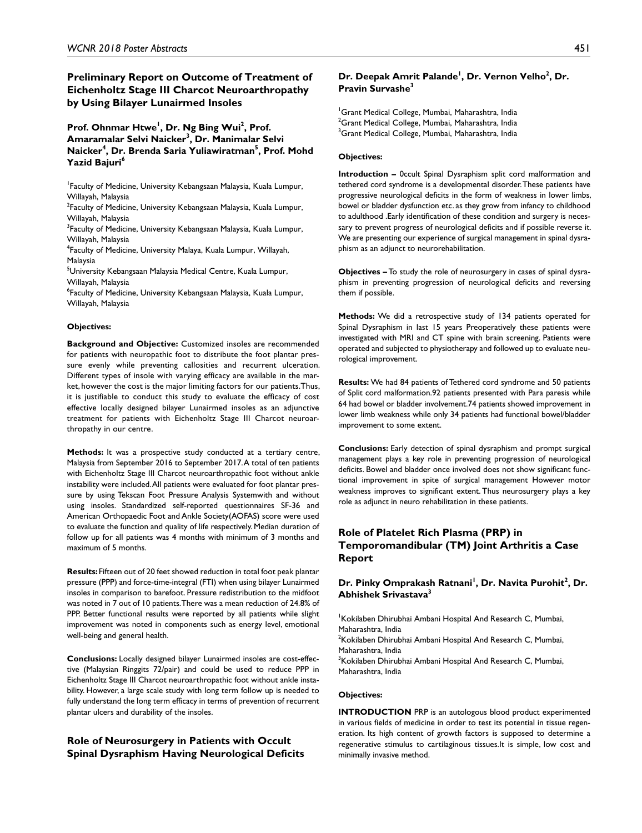# **Preliminary Report on Outcome of Treatment of Eichenholtz Stage III Charcot Neuroarthropathy by Using Bilayer Lunairmed Insoles**

## Prof. Ohnmar Htwe<sup>1</sup>, Dr. Ng Bing Wui<sup>2</sup>, Prof. **Amaramalar Selvi Naicker3 , Dr. Manimalar Selvi Naicker<sup>4</sup> , Dr. Brenda Saria Yuliawiratman5 , Prof. Mohd Yazid Bajuri6**

1 Faculty of Medicine, University Kebangsaan Malaysia, Kuala Lumpur, Willayah, Malaysia

<sup>2</sup>Faculty of Medicine, University Kebangsaan Malaysia, Kuala Lumpur, Willayah, Malaysia

<sup>3</sup>Faculty of Medicine, University Kebangsaan Malaysia, Kuala Lumpur, Willayah, Malaysia

4 Faculty of Medicine, University Malaya, Kuala Lumpur, Willayah, Malaysia

5 University Kebangsaan Malaysia Medical Centre, Kuala Lumpur, Willayah, Malaysia

6 Faculty of Medicine, University Kebangsaan Malaysia, Kuala Lumpur, Willayah, Malaysia

### **Objectives:**

**Background and Objective:** Customized insoles are recommended for patients with neuropathic foot to distribute the foot plantar pressure evenly while preventing callosities and recurrent ulceration. Different types of insole with varying efficacy are available in the market, however the cost is the major limiting factors for our patients.Thus, it is justifiable to conduct this study to evaluate the efficacy of cost effective locally designed bilayer Lunairmed insoles as an adjunctive treatment for patients with Eichenholtz Stage III Charcot neuroarthropathy in our centre.

**Methods:** It was a prospective study conducted at a tertiary centre, Malaysia from September 2016 to September 2017. A total of ten patients with Eichenholtz Stage III Charcot neuroarthropathic foot without ankle instability were included. All patients were evaluated for foot plantar pressure by using Tekscan Foot Pressure Analysis Systemwith and without using insoles. Standardized self-reported questionnaires SF-36 and American Orthopaedic Foot and Ankle Society(AOFAS) score were used to evaluate the function and quality of life respectively. Median duration of follow up for all patients was 4 months with minimum of 3 months and maximum of 5 months.

**Results:** Fifteen out of 20 feet showed reduction in total foot peak plantar pressure (PPP) and force-time-integral (FTI) when using bilayer Lunairmed insoles in comparison to barefoot. Pressure redistribution to the midfoot was noted in 7 out of 10 patients. There was a mean reduction of 24.8% of PPP. Better functional results were reported by all patients while slight improvement was noted in components such as energy level, emotional well-being and general health.

**Conclusions:** Locally designed bilayer Lunairmed insoles are cost-effective (Malaysian Ringgits 72/pair) and could be used to reduce PPP in Eichenholtz Stage III Charcot neuroarthropathic foot without ankle instability. However, a large scale study with long term follow up is needed to fully understand the long term efficacy in terms of prevention of recurrent plantar ulcers and durability of the insoles.

## **Role of Neurosurgery in Patients with Occult Spinal Dysraphism Having Neurological Deficits**

## Dr. Deepak Amrit Palande<sup>l</sup>, Dr. Vernon Velho<sup>2</sup>, Dr. **Pravin Survashe3**

<sup>1</sup> Grant Medical College, Mumbai, Maharashtra, India  $^{2}$ Grant Medical College, Mumbai, Maharashtra, India <sup>3</sup>Grant Medical College, Mumbai, Maharashtra, India

### **Objectives:**

**Introduction –** 0ccult Spinal Dysraphism split cord malformation and tethered cord syndrome is a developmental disorder. These patients have progressive neurological deficits in the form of weakness in lower limbs, bowel or bladder dysfunction etc. as they grow from infancy to childhood to adulthood .Early identification of these condition and surgery is necessary to prevent progress of neurological deficits and if possible reverse it. We are presenting our experience of surgical management in spinal dysraphism as an adjunct to neurorehabilitation.

**Objectives –** To study the role of neurosurgery in cases of spinal dysraphism in preventing progression of neurological deficits and reversing them if possible.

**Methods:** We did a retrospective study of 134 patients operated for Spinal Dysraphism in last 15 years Preoperatively these patients were investigated with MRI and CT spine with brain screening. Patients were operated and subjected to physiotherapy and followed up to evaluate neurological improvement.

**Results:** We had 84 patients of Tethered cord syndrome and 50 patients of Split cord malformation.92 patients presented with Para paresis while 64 had bowel or bladder involvement.74 patients showed improvement in lower limb weakness while only 34 patients had functional bowel/bladder improvement to some extent.

**Conclusions:** Early detection of spinal dysraphism and prompt surgical management plays a key role in preventing progression of neurological deficits. Bowel and bladder once involved does not show significant functional improvement in spite of surgical management However motor weakness improves to significant extent. Thus neurosurgery plays a key role as adjunct in neuro rehabilitation in these patients.

# **Role of Platelet Rich Plasma (PRP) in Temporomandibular (TM) Joint Arthritis a Case Report**

## Dr. Pinky Omprakash Ratnani<sup>1</sup>, Dr. Navita Purohit<sup>2</sup>, Dr. **Abhishek Srivastava3**

1 Kokilaben Dhirubhai Ambani Hospital And Research C, Mumbai, Maharashtra, India

 $2$ Kokilaben Dhirubhai Ambani Hospital And Research C, Mumbai, Maharashtra, India

<sup>3</sup> Kokilaben Dhirubhai Ambani Hospital And Research C, Mumbai, Maharashtra, India

### **Objectives:**

**INTRODUCTION** PRP is an autologous blood product experimented in various fields of medicine in order to test its potential in tissue regeneration. Its high content of growth factors is supposed to determine a regenerative stimulus to cartilaginous tissues.It is simple, low cost and minimally invasive method.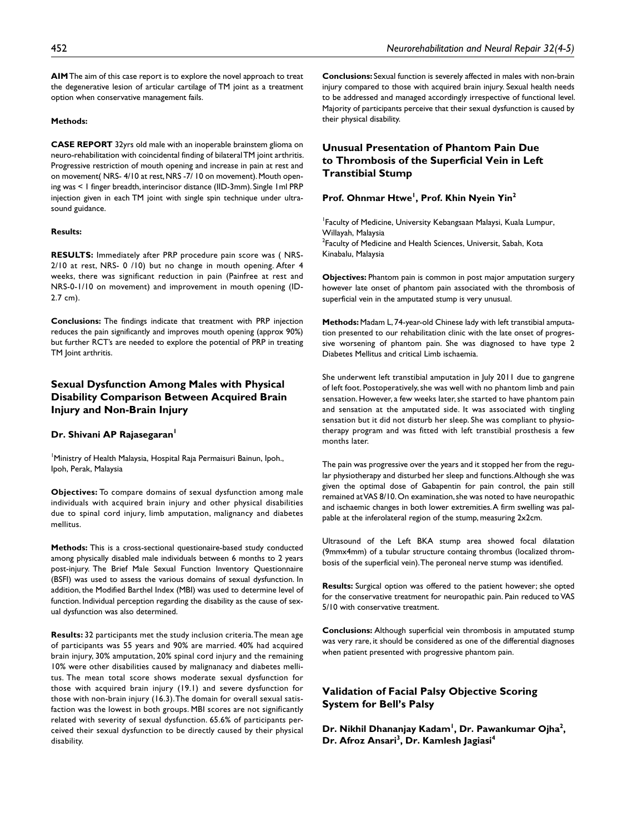**AIM** The aim of this case report is to explore the novel approach to treat the degenerative lesion of articular cartilage of TM joint as a treatment option when conservative management fails.

### **Methods:**

**CASE REPORT** 32yrs old male with an inoperable brainstem glioma on neuro-rehabilitation with coincidental finding of bilateral TM joint arthritis. Progressive restriction of mouth opening and increase in pain at rest and on movement( NRS- 4/10 at rest, NRS -7/ 10 on movement). Mouth opening was < 1 finger breadth, interincisor distance (IID-3mm). Single 1ml PRP injection given in each TM joint with single spin technique under ultrasound guidance.

### **Results:**

**RESULTS:** Immediately after PRP procedure pain score was ( NRS-2/10 at rest, NRS- 0 /10) but no change in mouth opening. After 4 weeks, there was significant reduction in pain (Painfree at rest and NRS-0-1/10 on movement) and improvement in mouth opening (ID-2.7 cm).

**Conclusions:** The findings indicate that treatment with PRP injection reduces the pain significantly and improves mouth opening (approx 90%) but further RCT's are needed to explore the potential of PRP in treating TM Joint arthritis.

# **Sexual Dysfunction Among Males with Physical Disability Comparison Between Acquired Brain Injury and Non-Brain Injury**

### **Dr. Shivani AP Rajasegaran'**

1 Ministry of Health Malaysia, Hospital Raja Permaisuri Bainun, Ipoh., Ipoh, Perak, Malaysia

**Objectives:** To compare domains of sexual dysfunction among male individuals with acquired brain injury and other physical disabilities due to spinal cord injury, limb amputation, malignancy and diabetes mellitus.

**Methods:** This is a cross-sectional questionaire-based study conducted among physically disabled male individuals between 6 months to 2 years post-injury. The Brief Male Sexual Function Inventory Questionnaire (BSFI) was used to assess the various domains of sexual dysfunction. In addition, the Modified Barthel Index (MBI) was used to determine level of function. Individual perception regarding the disability as the cause of sexual dysfunction was also determined.

**Results:** 32 participants met the study inclusion criteria. The mean age of participants was 55 years and 90% are married. 40% had acquired brain injury, 30% amputation, 20% spinal cord injury and the remaining 10% were other disabilities caused by malignanacy and diabetes mellitus. The mean total score shows moderate sexual dysfunction for those with acquired brain injury (19.1) and severe dysfunction for those with non-brain injury (16.3). The domain for overall sexual satisfaction was the lowest in both groups. MBI scores are not significantly related with severity of sexual dysfunction. 65.6% of participants perceived their sexual dysfunction to be directly caused by their physical disability.

**Conclusions:** Sexual function is severely affected in males with non-brain injury compared to those with acquired brain injury. Sexual health needs to be addressed and managed accordingly irrespective of functional level. Majority of participants perceive that their sexual dysfunction is caused by their physical disability.

# **Unusual Presentation of Phantom Pain Due to Thrombosis of the Superficial Vein in Left Transtibial Stump**

### **Prof. Ohnmar Htwe1 , Prof. Khin Nyein Yin2**

1 Faculty of Medicine, University Kebangsaan Malaysi, Kuala Lumpur, Willayah, Malaysia <sup>2</sup>Faculty of Medicine and Health Sciences, Universit, Sabah, Kota Kinabalu, Malaysia

**Objectives:** Phantom pain is common in post major amputation surgery however late onset of phantom pain associated with the thrombosis of superficial vein in the amputated stump is very unusual.

**Methods:** Madam L, 74-year-old Chinese lady with left transtibial amputation presented to our rehabilitation clinic with the late onset of progressive worsening of phantom pain. She was diagnosed to have type 2 Diabetes Mellitus and critical Limb ischaemia.

She underwent left transtibial amputation in July 2011 due to gangrene of left foot. Postoperatively, she was well with no phantom limb and pain sensation. However, a few weeks later, she started to have phantom pain and sensation at the amputated side. It was associated with tingling sensation but it did not disturb her sleep. She was compliant to physiotherapy program and was fitted with left transtibial prosthesis a few months later.

The pain was progressive over the years and it stopped her from the regular physiotherapy and disturbed her sleep and functions. Although she was given the optimal dose of Gabapentin for pain control, the pain still remained at VAS 8/10. On examination, she was noted to have neuropathic and ischaemic changes in both lower extremities. A firm swelling was palpable at the inferolateral region of the stump, measuring 2x2cm.

Ultrasound of the Left BKA stump area showed focal dilatation (9mmx4mm) of a tubular structure containg thrombus (localized thrombosis of the superficial vein). The peroneal nerve stump was identified.

**Results:** Surgical option was offered to the patient however; she opted for the conservative treatment for neuropathic pain. Pain reduced to VAS 5/10 with conservative treatment.

**Conclusions:** Although superficial vein thrombosis in amputated stump was very rare, it should be considered as one of the differential diagnoses when patient presented with progressive phantom pain.

# **Validation of Facial Palsy Objective Scoring System for Bell's Palsy**

Dr. Nikhil Dhananjay Kadam<sup>1</sup>, Dr. Pawankumar Ojha<sup>2</sup>, **Dr. Afroz Ansari3 , Dr. Kamlesh Jagiasi4**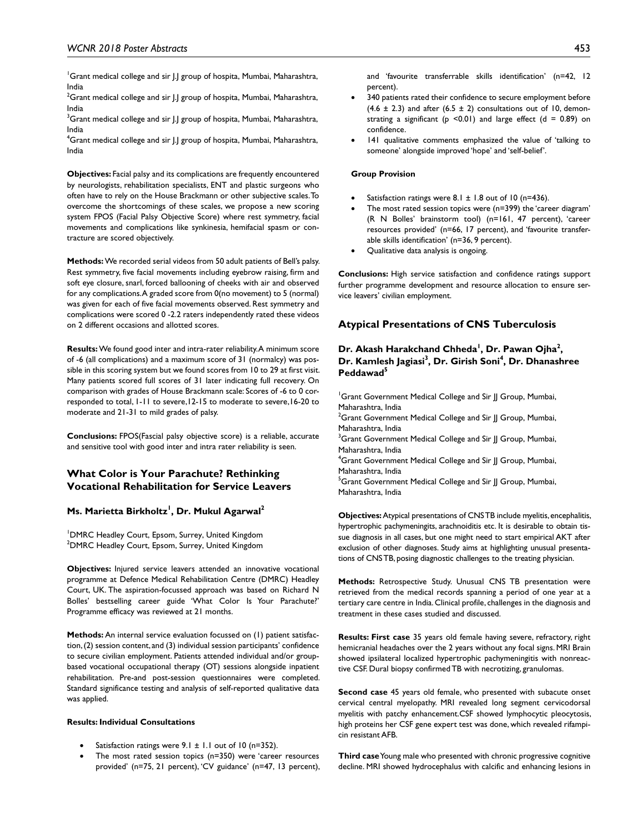<sup>1</sup>Grant medical college and sir J.J group of hospita, Mumbai, Maharashtra, India

 $^2$ Grant medical college and sir J.J group of hospita, Mumbai, Maharashtra, India

 $3$ Grant medical college and sir J.J group of hospita, Mumbai, Maharashtra, India

 $^4$ Grant medical college and sir J.J group of hospita, Mumbai, Maharashtra, India

**Objectives:** Facial palsy and its complications are frequently encountered by neurologists, rehabilitation specialists, ENT and plastic surgeons who often have to rely on the House Brackmann or other subjective scales. To overcome the shortcomings of these scales, we propose a new scoring system FPOS (Facial Palsy Objective Score) where rest symmetry, facial movements and complications like synkinesia, hemifacial spasm or contracture are scored objectively.

**Methods:** We recorded serial videos from 50 adult patients of Bell's palsy. Rest symmetry, five facial movements including eyebrow raising, firm and soft eye closure, snarl, forced ballooning of cheeks with air and observed for any complications. A graded score from 0(no movement) to 5 (normal) was given for each of five facial movements observed. Rest symmetry and complications were scored 0 -2.2 raters independently rated these videos on 2 different occasions and allotted scores.

**Results:** We found good inter and intra-rater reliability. A minimum score of -6 (all complications) and a maximum score of 31 (normalcy) was possible in this scoring system but we found scores from 10 to 29 at first visit. Many patients scored full scores of 31 later indicating full recovery. On comparison with grades of House Brackmann scale: Scores of -6 to 0 corresponded to total, 1-11 to severe,12-15 to moderate to severe,16-20 to moderate and 21-31 to mild grades of palsy.

**Conclusions:** FPOS(Fascial palsy objective score) is a reliable, accurate and sensitive tool with good inter and intra rater reliability is seen.

## **What Color is Your Parachute? Rethinking Vocational Rehabilitation for Service Leavers**

### **Ms. Marietta Birkholtz1 , Dr. Mukul Agarwal2**

<sup>1</sup>DMRC Headley Court, Epsom, Surrey, United Kingdom  $^2$ DMRC Headley Court, Epsom, Surrey, United Kingdom

**Objectives:** Injured service leavers attended an innovative vocational programme at Defence Medical Rehabilitation Centre (DMRC) Headley Court, UK. The aspiration-focussed approach was based on Richard N Bolles' bestselling career guide 'What Color Is Your Parachute?' Programme efficacy was reviewed at 21 months.

**Methods:** An internal service evaluation focussed on (1) patient satisfaction, (2) session content, and (3) individual session participants' confidence to secure civilian employment. Patients attended individual and/or groupbased vocational occupational therapy (OT) sessions alongside inpatient rehabilitation. Pre-and post-session questionnaires were completed. Standard significance testing and analysis of self-reported qualitative data was applied.

### **Results: Individual Consultations**

- Satisfaction ratings were  $9.1 \pm 1.1$  out of 10 (n=352).
- The most rated session topics (n=350) were 'career resources provided' (n=75, 21 percent), 'CV guidance' (n=47, 13 percent),

and 'favourite transferrable skills identification' (n=42, 12 percent).

- 340 patients rated their confidence to secure employment before  $(4.6 \pm 2.3)$  and after  $(6.5 \pm 2)$  consultations out of 10, demonstrating a significant ( $p$  <0.01) and large effect ( $d = 0.89$ ) on confidence.
- 141 qualitative comments emphasized the value of 'talking to someone' alongside improved 'hope' and 'self-belief'.

#### **Group Provision**

- Satisfaction ratings were  $8.1 \pm 1.8$  out of 10 (n=436).
- The most rated session topics were (n=399) the 'career diagram' (R N Bolles' brainstorm tool) (n=161, 47 percent), 'career resources provided' (n=66, 17 percent), and 'favourite transferable skills identification' (n=36, 9 percent).
- Qualitative data analysis is ongoing.

**Conclusions:** High service satisfaction and confidence ratings support further programme development and resource allocation to ensure service leavers' civilian employment.

### **Atypical Presentations of CNS Tuberculosis**

## Dr. Akash Harakchand Chheda<sup>1</sup>, Dr. Pawan Ojha<sup>2</sup>, **Dr. Kamlesh Jagiasi3 , Dr. Girish Soni4 , Dr. Dhanashree Peddawad5**

<sup>1</sup>Grant Government Medical College and Sir JJ Group, Mumbai, Maharashtra, India

 $^2$ Grant Government Medical College and Sir JJ Group, Mumbai, Maharashtra, India

 $^3$ Grant Government Medical College and Sir JJ Group, Mumbai, Maharashtra, India

<sup>4</sup>Grant Government Medical College and Sir JJ Group, Mumbai, Maharashtra, India

<sup>5</sup>Grant Government Medical College and Sir JJ Group, Mumbai, Maharashtra, India

**Objectives:** Atypical presentations of CNS TB include myelitis, encephalitis, hypertrophic pachymeningits, arachnoiditis etc. It is desirable to obtain tissue diagnosis in all cases, but one might need to start empirical AKT after exclusion of other diagnoses. Study aims at highlighting unusual presentations of CNS TB, posing diagnostic challenges to the treating physician.

**Methods:** Retrospective Study. Unusual CNS TB presentation were retrieved from the medical records spanning a period of one year at a tertiary care centre in India. Clinical profile, challenges in the diagnosis and treatment in these cases studied and discussed.

**Results: First case** 35 years old female having severe, refractory, right hemicranial headaches over the 2 years without any focal signs. MRI Brain showed ipsilateral localized hypertrophic pachymeningitis with nonreactive CSF. Dural biopsy confirmed TB with necrotizing, granulomas.

**Second case** 45 years old female, who presented with subacute onset cervical central myelopathy. MRI revealed long segment cervicodorsal myelitis with patchy enhancement.CSF showed lymphocytic pleocytosis, high proteins her CSF gene expert test was done, which revealed rifampicin resistant AFB.

**Third case** Young male who presented with chronic progressive cognitive decline. MRI showed hydrocephalus with calcific and enhancing lesions in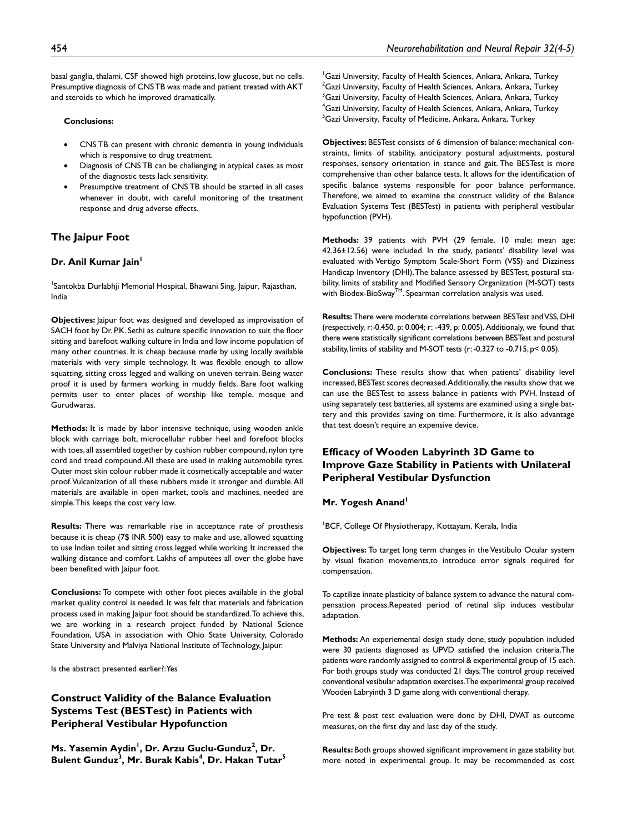basal ganglia, thalami, CSF showed high proteins, low glucose, but no cells. Presumptive diagnosis of CNS TB was made and patient treated with AKT and steroids to which he improved dramatically.

### **Conclusions:**

- CNS TB can present with chronic dementia in young individuals which is responsive to drug treatment.
- Diagnosis of CNS TB can be challenging in atypical cases as most of the diagnostic tests lack sensitivity.
- Presumptive treatment of CNS TB should be started in all cases whenever in doubt, with careful monitoring of the treatment response and drug adverse effects.

### **The Jaipur Foot**

### **Dr. Anil Kumar Jain'**

<sup>1</sup> Santokba Durlabhji Memorial Hospital, Bhawani Sing, Jaipur, Rajasthan, India

**Objectives:** Jaipur foot was designed and developed as improvisation of SACH foot by Dr. P.K. Sethi as culture specific innovation to suit the floor sitting and barefoot walking culture in India and low income population of many other countries. It is cheap because made by using locally available materials with very simple technology. It was flexible enough to allow squatting, sitting cross legged and walking on uneven terrain. Being water proof it is used by farmers working in muddy fields. Bare foot walking permits user to enter places of worship like temple, mosque and Gurudwaras.

**Methods:** It is made by labor intensive technique, using wooden ankle block with carriage bolt, microcellular rubber heel and forefoot blocks with toes, all assembled together by cushion rubber compound, nylon tyre cord and tread compound. All these are used in making automobile tyres. Outer most skin colour rubber made it cosmetically acceptable and water proof. Vulcanization of all these rubbers made it stronger and durable. All materials are available in open market, tools and machines, needed are simple. This keeps the cost very low.

**Results:** There was remarkable rise in acceptance rate of prosthesis because it is cheap (7\$ INR 500) easy to make and use, allowed squatting to use Indian toilet and sitting cross legged while working. It increased the walking distance and comfort. Lakhs of amputees all over the globe have been benefited with Jaipur foot.

**Conclusions:** To compete with other foot pieces available in the global market quality control is needed. It was felt that materials and fabrication process used in making Jaipur foot should be standardized. To achieve this, we are working in a research project funded by National Science Foundation, USA in association with Ohio State University, Colorado State University and Malviya National Institute of Technology, Jaipur.

Is the abstract presented earlier?: Yes

# **Construct Validity of the Balance Evaluation Systems Test (BESTest) in Patients with Peripheral Vestibular Hypofunction**

**Ms. Yasemin Aydin1 , Dr. Arzu Guclu-Gunduz2 , Dr. Bulent Gunduz3 , Mr. Burak Kabis4 , Dr. Hakan Tutar5** 1 Gazi University, Faculty of Health Sciences, Ankara, Ankara, Turkey  $^2$ Gazi University, Faculty of Health Sciences, Ankara, Ankara, Turkey  $^3$ Gazi University, Faculty of Health Sciences, Ankara, Ankara, Turkey  ${\rm ^4}$ Gazi University, Faculty of Health Sciences, Ankara, Ankara, Turkey <sup>5</sup>Gazi University, Faculty of Medicine, Ankara, Ankara, Turkey

**Objectives:** BESTest consists of 6 dimension of balance: mechanical constraints, limits of stability, anticipatory postural adjustments, postural responses, sensory orientation in stance and gait. The BESTest is more comprehensive than other balance tests. It allows for the identification of specific balance systems responsible for poor balance performance. Therefore, we aimed to examine the construct validity of the Balance Evaluation Systems Test (BESTest) in patients with peripheral vestibular hypofunction (PVH).

**Methods:** 39 patients with PVH (29 female, 10 male; mean age: 42.36±12.56) were included. In the study, patients' disability level was evaluated with Vertigo Symptom Scale-Short Form (VSS) and Dizziness Handicap Inventory (DHI). The balance assessed by BESTest, postural stability, limits of stability and Modified Sensory Organization (M-SOT) tests with Biodex-BioSway<sup>TM</sup>. Spearman correlation analysis was used.

**Results:** There were moderate correlations between BESTest and VSS, DHI (respectively, r:-0.450, p: 0.004; r: -439, p: 0.005). Additionaly, we found that there were statistically significant correlations between BESTest and postural stability, limits of stability and M-SOT tests (r: -0.327 to -0.715, p< 0.05).

**Conclusions:** These results show that when patients' disability level increased, BESTest scores decreased. Additionally, the results show that we can use the BESTest to assess balance in patients with PVH. Instead of using separately test batteries, all systems are examined using a single battery and this provides saving on time. Furthermore, it is also advantage that test doesn't require an expensive device.

# **Efficacy of Wooden Labyrinth 3D Game to Improve Gaze Stability in Patients with Unilateral Peripheral Vestibular Dysfunction**

### **Mr. Yogesh Anand**

<sup>1</sup>BCF, College Of Physiotherapy, Kottayam, Kerala, India

**Objectives:** To target long term changes in the Vestibulo Ocular system by visual fixation movements,to introduce error signals required for compensation.

To captilize innate plasticity of balance system to advance the natural compensation process.Repeated period of retinal slip induces vestibular adaptation.

**Methods:** An experiemental design study done, study population included were 30 patients diagnosed as UPVD satisfied the inclusion criteria.The patients were randomly assigned to control & experimental group of 15 each. For both groups study was conducted 21 days. The control group received conventional vesibular adaptation exercises.The experimental group received Wooden Labryinth 3 D game along with conventional therapy.

Pre test & post test evaluation were done by DHI, DVAT as outcome measures, on the first day and last day of the study.

**Results:** Both groups showed significant improvement in gaze stability but more noted in experimental group. It may be recommended as cost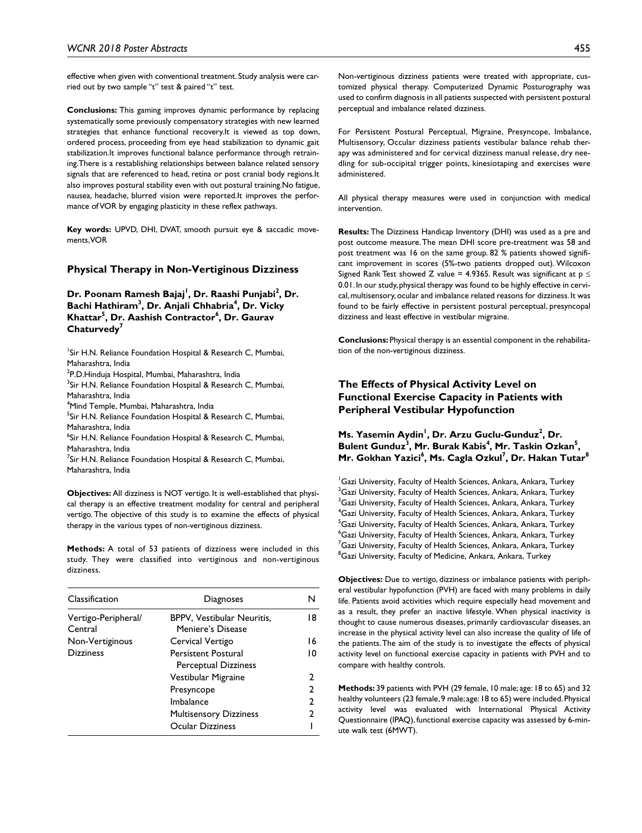effective when given with conventional treatment. Study analysis were carried out by two sample "t" test & paired "t" test.

**Conclusions:** This gaming improves dynamic performance by replacing systematically some previously compensatory strategies with new learned strategies that enhance functional recovery.It is viewed as top down, ordered process, proceeding from eye head stabilization to dynamic gait stabilization.It improves functional balance performance through retraining.There is a restablishing relationships between balance related sensory signals that are referenced to head, retina or post cranial body regions.It also improves postural stability even with out postural training.No fatigue, nausea, headache, blurred vision were reported.It improves the performance of VOR by engaging plasticity in these reflex pathways.

**Key words:** UPVD, DHI, DVAT, smooth pursuit eye & saccadic movements, VOR

### **Physical Therapy in Non-Vertiginous Dizziness**

Dr. Poonam Ramesh Bajaj<sup>I</sup>, Dr. Raashi Punjabi<sup>2</sup>, Dr. **Bachi Hathiram3 , Dr. Anjali Chhabria4 , Dr. Vicky Khattar5 , Dr. Aashish Contractor6 , Dr. Gaurav**  Chaturvedy<sup>'</sup>

<sup>1</sup>Sir H.N. Reliance Foundation Hospital & Research C, Mumbai, Maharashtra, India

<sup>2</sup>P.D.Hinduja Hospital, Mumbai, Maharashtra, India

 $3$ Sir H.N. Reliance Foundation Hospital & Research C, Mumbai, Maharashtra, India

4 Mind Temple, Mumbai, Maharashtra, India

<sup>5</sup>Sir H.N. Reliance Foundation Hospital & Research C, Mumbai, Maharashtra, India

6 Sir H.N. Reliance Foundation Hospital & Research C, Mumbai, Maharashtra, India

 $^7$ Sir H.N. Reliance Foundation Hospital & Research C, Mumbai, Maharashtra, India

**Objectives:** All dizziness is NOT vertigo. It is well-established that physical therapy is an effective treatment modality for central and peripheral vertigo. The objective of this study is to examine the effects of physical therapy in the various types of non-vertiginous dizziness.

**Methods:** A total of 53 patients of dizziness were included in this study. They were classified into vertiginous and non-vertiginous dizziness.

| Classification                 | Diagnoses                                                                        | N              |
|--------------------------------|----------------------------------------------------------------------------------|----------------|
| Vertigo-Peripheral/<br>Central | BPPV, Vestibular Neuritis,<br>Meniere's Disease                                  | 18             |
| Non-Vertiginous                | Cervical Vertigo                                                                 | 16             |
| <b>Dizziness</b>               | <b>Persistent Postural</b><br><b>Perceptual Dizziness</b><br>Vestibular Migraine | ١o<br>2        |
|                                | Presyncope                                                                       | 2              |
|                                | Imbalance                                                                        | $\mathfrak{p}$ |
|                                | <b>Multisensory Dizziness</b>                                                    | າ              |
|                                | Ocular Dizziness                                                                 |                |

Non-vertiginous dizziness patients were treated with appropriate, customized physical therapy. Computerized Dynamic Posturography was used to confirm diagnosis in all patients suspected with persistent postural perceptual and imbalance related dizziness.

For Persistent Postural Perceptual, Migraine, Presyncope, Imbalance, Multisensory, Occular dizziness patients vestibular balance rehab therapy was administered and for cervical dizziness manual release, dry needling for sub-occipital trigger points, kinesiotaping and exercises were administered.

All physical therapy measures were used in conjunction with medical intervention.

**Results:** The Dizziness Handicap Inventory (DHI) was used as a pre and post outcome measure. The mean DHI score pre-treatment was 58 and post treatment was 16 on the same group. 82 % patients showed significant improvement in scores (5%-two patients dropped out). Wilcoxon Signed Rank Test showed Z value = 4.9365. Result was significant at  $p \le$ 0.01. In our study, physical therapy was found to be highly effective in cervical, multisensory, ocular and imbalance related reasons for dizziness. It was found to be fairly effective in persistent postural perceptual, presyncopal dizziness and least effective in vestibular migraine.

**Conclusions:** Physical therapy is an essential component in the rehabilitation of the non-vertiginous dizziness.

# **The Effects of Physical Activity Level on Functional Exercise Capacity in Patients with Peripheral Vestibular Hypofunction**

## **Ms. Yasemin Aydin1 , Dr. Arzu Guclu-Gunduz2 , Dr.**  Bulent Gunduz<sup>3</sup>, Mr. Burak Kabis<sup>4</sup>, Mr. Taskin Ozkan<sup>5</sup>, **Mr. Gokhan Yazici6 , Ms. Cagla Ozkul7 , Dr. Hakan Tutar8**

1 Gazi University, Faculty of Health Sciences, Ankara, Ankara, Turkey  $^2$ Gazi University, Faculty of Health Sciences, Ankara, Ankara, Turkey  $^3$ Gazi University, Faculty of Health Sciences, Ankara, Ankara, Turkey  ${\rm ^4}$ Gazi University, Faculty of Health Sciences, Ankara, Ankara, Turkey <sup>5</sup>Gazi University, Faculty of Health Sciences, Ankara, Ankara, Turkey  $^6$ Gazi University, Faculty of Health Sciences, Ankara, Ankara, Turkey  ${\rm ^7}$ Gazi University, Faculty of Health Sciences, Ankara, Ankara, Turkey <sup>8</sup>Gazi University, Faculty of Medicine, Ankara, Ankara, Turkey

**Objectives:** Due to vertigo, dizziness or imbalance patients with peripheral vestibular hypofunction (PVH) are faced with many problems in daily life. Patients avoid activities which require especially head movement and as a result, they prefer an inactive lifestyle. When physical inactivity is thought to cause numerous diseases, primarily cardiovascular diseases, an increase in the physical activity level can also increase the quality of life of the patients. The aim of the study is to investigate the effects of physical activity level on functional exercise capacity in patients with PVH and to compare with healthy controls.

**Methods:** 39 patients with PVH (29 female, 10 male; age: 18 to 65) and 32 healthy volunteers (23 female, 9 male; age: 18 to 65) were included. Physical activity level was evaluated with International Physical Activity Questionnaire (IPAQ), functional exercise capacity was assessed by 6-minute walk test (6MWT).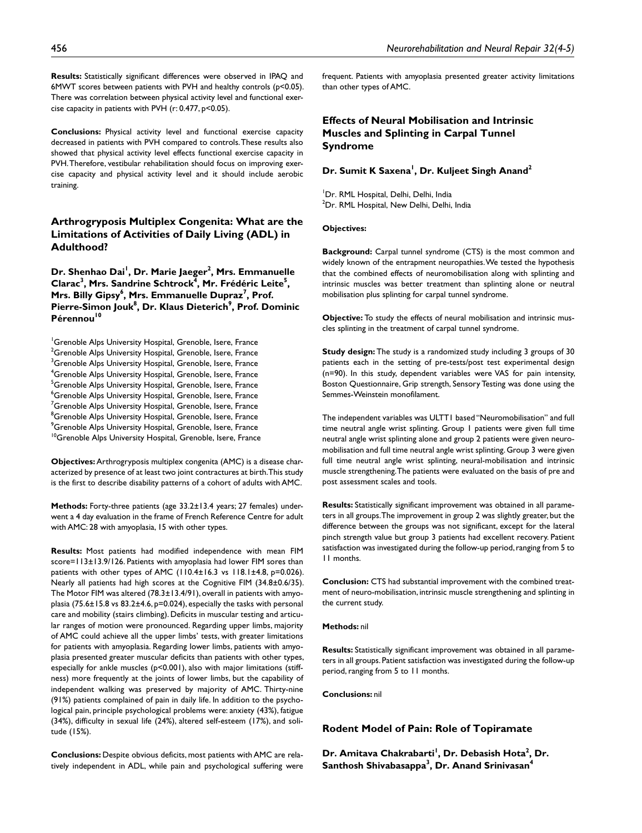**Results:** Statistically significant differences were observed in IPAQ and 6MWT scores between patients with PVH and healthy controls (p<0.05). There was correlation between physical activity level and functional exercise capacity in patients with PVH (r: 0.477, p<0.05).

**Conclusions:** Physical activity level and functional exercise capacity decreased in patients with PVH compared to controls. These results also showed that physical activity level effects functional exercise capacity in PVH. Therefore, vestibular rehabilitation should focus on improving exercise capacity and physical activity level and it should include aerobic training.

## **Arthrogryposis Multiplex Congenita: What are the Limitations of Activities of Daily Living (ADL) in Adulthood?**

**Dr. Shenhao Dai<sup>'</sup>, Dr. Marie Jaeger<sup>2</sup>, Mrs. Emmanuelle** Clarac<sup>3</sup>, Mrs. Sandrine Schtrock<sup>4</sup>, Mr. Frédéric Leite<sup>5</sup>, Mrs. Billy Gipsy<sup>6</sup>, Mrs. Emmanuelle Dupraz<sup>7</sup>, Prof. Pierre-Simon Jouk<sup>8</sup>, Dr. Klaus Dieterich<sup>9</sup>, Prof. Dominic Pérennou<sup>10</sup>

<sup>1</sup>Grenoble Alps University Hospital, Grenoble, Isere, France  $^{\rm 2}$ Grenoble Alps University Hospital, Grenoble, Isere, France  $^3$ Grenoble Alps University Hospital, Grenoble, Isere, France 4 Grenoble Alps University Hospital, Grenoble, Isere, France <sup>5</sup>Grenoble Alps University Hospital, Grenoble, Isere, France  $\mathrm{^6}$ Grenoble Alps University Hospital, Grenoble, Isere, France  ${\rm ^7}$ Grenoble Alps University Hospital, Grenoble, Isere, France  $\mathrm{^{8}G}$ renoble Alps University Hospital, Grenoble, Isere, France  $\rm{^9}$ Grenoble Alps University Hospital, Grenoble, Isere, France <sup>10</sup>Grenoble Alps University Hospital, Grenoble, Isere, France

**Objectives:** Arthrogryposis multiplex congenita (AMC) is a disease characterized by presence of at least two joint contractures at birth. This study is the first to describe disability patterns of a cohort of adults with AMC.

**Methods:** Forty-three patients (age 33.2±13.4 years; 27 females) underwent a 4 day evaluation in the frame of French Reference Centre for adult with AMC: 28 with amyoplasia, 15 with other types.

**Results:** Most patients had modified independence with mean FIM score=113±13.9/126. Patients with amyoplasia had lower FIM sores than patients with other types of AMC (110.4±16.3 vs 118.1±4.8, p=0.026). Nearly all patients had high scores at the Cognitive FIM (34.8±0.6/35). The Motor FIM was altered (78.3±13.4/91), overall in patients with amyoplasia (75.6±15.8 vs 83.2±4.6, p=0.024), especially the tasks with personal care and mobility (stairs climbing). Deficits in muscular testing and articular ranges of motion were pronounced. Regarding upper limbs, majority of AMC could achieve all the upper limbs' tests, with greater limitations for patients with amyoplasia. Regarding lower limbs, patients with amyoplasia presented greater muscular deficits than patients with other types, especially for ankle muscles (p<0.001), also with major limitations (stiffness) more frequently at the joints of lower limbs, but the capability of independent walking was preserved by majority of AMC. Thirty-nine (91%) patients complained of pain in daily life. In addition to the psychological pain, principle psychological problems were: anxiety (43%), fatigue (34%), difficulty in sexual life (24%), altered self-esteem (17%), and solitude (15%).

**Conclusions:** Despite obvious deficits, most patients with AMC are relatively independent in ADL, while pain and psychological suffering were frequent. Patients with amyoplasia presented greater activity limitations than other types of AMC.

# **Effects of Neural Mobilisation and Intrinsic Muscles and Splinting in Carpal Tunnel Syndrome**

## Dr. Sumit K Saxena<sup>1</sup>, Dr. Kuljeet Singh Anand<sup>2</sup>

<sup>1</sup>Dr. RML Hospital, Delhi, Delhi, India <sup>2</sup>Dr. RML Hospital, New Delhi, Delhi, India

### **Objectives:**

**Background:** Carpal tunnel syndrome (CTS) is the most common and widely known of the entrapment neuropathies. We tested the hypothesis that the combined effects of neuromobilisation along with splinting and intrinsic muscles was better treatment than splinting alone or neutral mobilisation plus splinting for carpal tunnel syndrome.

**Objective:** To study the effects of neural mobilisation and intrinsic muscles splinting in the treatment of carpal tunnel syndrome.

**Study design:** The study is a randomized study including 3 groups of 30 patients each in the setting of pre-tests/post test experimental design (n=90). In this study, dependent variables were VAS for pain intensity, Boston Questionnaire, Grip strength, Sensory Testing was done using the Semmes-Weinstein monofilament.

The independent variables was ULTT1 based "Neuromobilisation" and full time neutral angle wrist splinting. Group 1 patients were given full time neutral angle wrist splinting alone and group 2 patients were given neuromobilisation and full time neutral angle wrist splinting. Group 3 were given full time neutral angle wrist splinting, neural-mobilisation and intrinsic muscle strengthening. The patients were evaluated on the basis of pre and post assessment scales and tools.

**Results:** Statistically significant improvement was obtained in all parameters in all groups. The improvement in group 2 was slightly greater, but the difference between the groups was not significant, except for the lateral pinch strength value but group 3 patients had excellent recovery. Patient satisfaction was investigated during the follow-up period, ranging from 5 to 11 months.

**Conclusion:** CTS had substantial improvement with the combined treatment of neuro-mobilisation, intrinsic muscle strengthening and splinting in the current study.

#### **Methods:** nil

**Results:** Statistically significant improvement was obtained in all parameters in all groups. Patient satisfaction was investigated during the follow-up period, ranging from 5 to 11 months.

### **Conclusions:** nil

#### **Rodent Model of Pain: Role of Topiramate**

Dr. Amitava Chakrabarti<sup>!</sup>, Dr. Debasish Hota<sup>2</sup>, Dr. **Santhosh Shivabasappa3 , Dr. Anand Srinivasan4**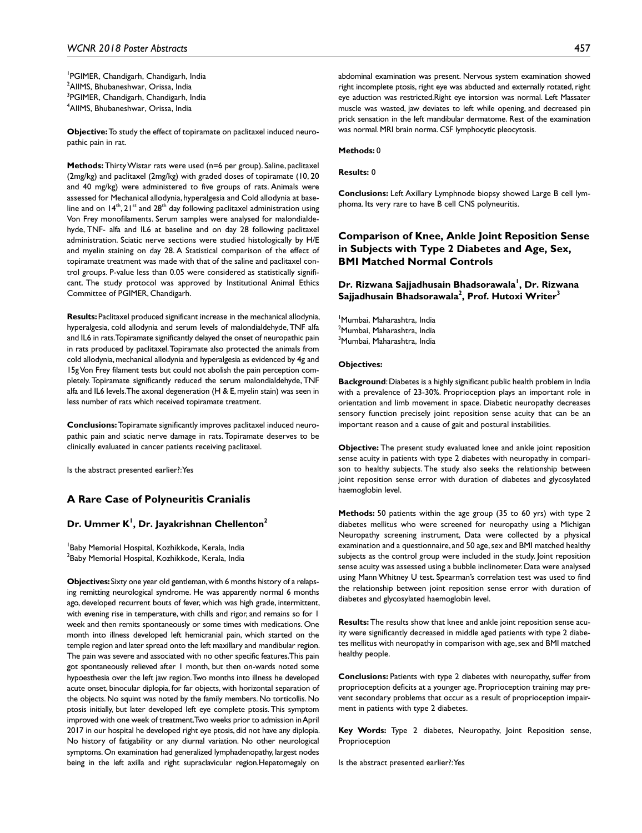1 PGIMER, Chandigarh, Chandigarh, India <sup>2</sup>AIIMS, Bhubaneshwar, Orissa, India <sup>3</sup>PGIMER, Chandigarh, Chandigarh, India 4 AIIMS, Bhubaneshwar, Orissa, India

**Objective:** To study the effect of topiramate on paclitaxel induced neuropathic pain in rat.

**Methods:** Thirty Wistar rats were used (n=6 per group). Saline, paclitaxel (2mg/kg) and paclitaxel (2mg/kg) with graded doses of topiramate (10, 20 and 40 mg/kg) were administered to five groups of rats. Animals were assessed for Mechanical allodynia, hyperalgesia and Cold allodynia at baseline and on  $14<sup>th</sup>$ ,  $21<sup>st</sup>$  and  $28<sup>th</sup>$  day following paclitaxel administration using Von Frey monofilaments. Serum samples were analysed for malondialdehyde, TNF- alfa and IL6 at baseline and on day 28 following paclitaxel administration. Sciatic nerve sections were studied histologically by H/E and myelin staining on day 28. A Statistical comparison of the effect of topiramate treatment was made with that of the saline and paclitaxel control groups. P-value less than 0.05 were considered as statistically significant. The study protocol was approved by Institutional Animal Ethics Committee of PGIMER, Chandigarh.

**Results:** Paclitaxel produced significant increase in the mechanical allodynia, hyperalgesia, cold allodynia and serum levels of malondialdehyde, TNF alfa and IL6 in rats. Topiramate significantly delayed the onset of neuropathic pain in rats produced by paclitaxel. Topiramate also protected the animals from cold allodynia, mechanical allodynia and hyperalgesia as evidenced by 4g and 15g Von Frey filament tests but could not abolish the pain perception completely. Topiramate significantly reduced the serum malondialdehyde, TNF alfa and IL6 levels. The axonal degeneration (H & E, myelin stain) was seen in less number of rats which received topiramate treatment.

**Conclusions:** Topiramate significantly improves paclitaxel induced neuropathic pain and sciatic nerve damage in rats. Topiramate deserves to be clinically evaluated in cancer patients receiving paclitaxel.

Is the abstract presented earlier?: Yes

### **A Rare Case of Polyneuritis Cranialis**

### **Dr. Ummer K1 , Dr. Jayakrishnan Chellenton2**

1 Baby Memorial Hospital, Kozhikkode, Kerala, India  $^{2}$ Baby Memorial Hospital, Kozhikkode, Kerala, India

**Objectives:** Sixty one year old gentleman, with 6 months history of a relapsing remitting neurological syndrome. He was apparently normal 6 months ago, developed recurrent bouts of fever, which was high grade, intermittent, with evening rise in temperature, with chills and rigor, and remains so for 1 week and then remits spontaneously or some times with medications. One month into illness developed left hemicranial pain, which started on the temple region and later spread onto the left maxillary and mandibular region. The pain was severe and associated with no other specific features.This pain got spontaneously relieved after 1 month, but then on-wards noted some hypoesthesia over the left jaw region. Two months into illness he developed acute onset, binocular diplopia, for far objects, with horizontal separation of the objects. No squint was noted by the family members. No torticollis. No ptosis initially, but later developed left eye complete ptosis. This symptom improved with one week of treatment. Two weeks prior to admission in April 2017 in our hospital he developed right eye ptosis, did not have any diplopia. No history of fatigability or any diurnal variation. No other neurological symptoms. On examination had generalized lymphadenopathy, largest nodes being in the left axilla and right supraclavicular region.Hepatomegaly on abdominal examination was present. Nervous system examination showed right incomplete ptosis, right eye was abducted and externally rotated, right eye aduction was restricted.Right eye intorsion was normal. Left Massater muscle was wasted, jaw deviates to left while opening, and decreased pin prick sensation in the left mandibular dermatome. Rest of the examination was normal. MRI brain norma. CSF lymphocytic pleocytosis.

#### **Methods:** 0

**Results:** 0

**Conclusions:** Left Axillary Lymphnode biopsy showed Large B cell lymphoma. Its very rare to have B cell CNS polyneuritis.

# **Comparison of Knee, Ankle Joint Reposition Sense in Subjects with Type 2 Diabetes and Age, Sex, BMI Matched Normal Controls**

## Dr. Rizwana Sajjadhusain Bhadsorawala<sup>l</sup>, Dr. Rizwana **Sajjadhusain Bhadsorawala<sup>2</sup> , Prof. Hutoxi Writer3**

1 Mumbai, Maharashtra, India <sup>2</sup>Mumbai, Maharashtra, India <sup>3</sup>Mumbai, Maharashtra, India

#### **Objectives:**

**Background**: Diabetes is a highly significant public health problem in India with a prevalence of 23-30%. Proprioception plays an important role in orientation and limb movement in space. Diabetic neuropathy decreases sensory function precisely joint reposition sense acuity that can be an important reason and a cause of gait and postural instabilities.

**Objective:** The present study evaluated knee and ankle joint reposition sense acuity in patients with type 2 diabetes with neuropathy in comparison to healthy subjects. The study also seeks the relationship between joint reposition sense error with duration of diabetes and glycosylated haemoglobin level.

**Methods:** 50 patients within the age group (35 to 60 yrs) with type 2 diabetes mellitus who were screened for neuropathy using a Michigan Neuropathy screening instrument, Data were collected by a physical examination and a questionnaire, and 50 age, sex and BMI matched healthy subjects as the control group were included in the study. Joint reposition sense acuity was assessed using a bubble inclinometer. Data were analysed using Mann Whitney U test. Spearman's correlation test was used to find the relationship between joint reposition sense error with duration of diabetes and glycosylated haemoglobin level.

**Results:** The results show that knee and ankle joint reposition sense acuity were significantly decreased in middle aged patients with type 2 diabetes mellitus with neuropathy in comparison with age, sex and BMI matched healthy people.

**Conclusions:** Patients with type 2 diabetes with neuropathy, suffer from proprioception deficits at a younger age. Proprioception training may prevent secondary problems that occur as a result of proprioception impairment in patients with type 2 diabetes.

**Key Words:** Type 2 diabetes, Neuropathy, Joint Reposition sense, Proprioception

Is the abstract presented earlier?: Yes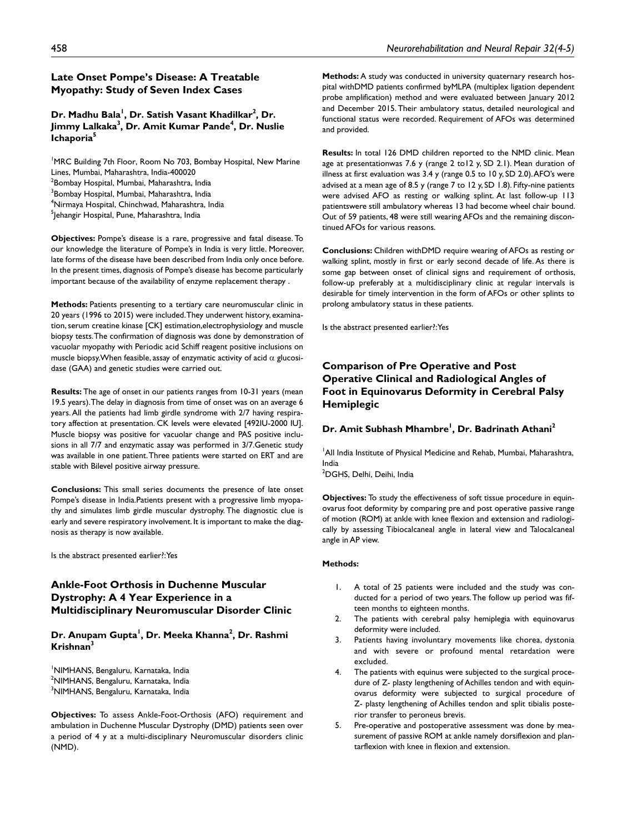## **Late Onset Pompe's Disease: A Treatable Myopathy: Study of Seven Index Cases**

### Dr. Madhu Bala<sup>l</sup>, Dr. Satish Vasant Khadilkar<sup>2</sup>, Dr. **Jimmy Lalkaka3 , Dr. Amit Kumar Pande4 , Dr. Nuslie Ichaporia5**

<sup>1</sup> MRC Building 7th Floor, Room No 703, Bombay Hospital, New Marine Lines, Mumbai, Maharashtra, India-400020 <sup>2</sup>Bombay Hospital, Mumbai, Maharashtra, India <sup>3</sup>Bombay Hospital, Mumbai, Maharashtra, India 4 Nirmaya Hospital, Chinchwad, Maharashtra, India <sup>5</sup>Jehangir Hospital, Pune, Maharashtra, India

**Objectives:** Pompe's disease is a rare, progressive and fatal disease. To our knowledge the literature of Pompe's in India is very little. Moreover, late forms of the disease have been described from India only once before. In the present times, diagnosis of Pompe's disease has become particularly important because of the availability of enzyme replacement therapy .

**Methods:** Patients presenting to a tertiary care neuromuscular clinic in 20 years (1996 to 2015) were included. They underwent history, examination, serum creatine kinase [CK] estimation,electrophysiology and muscle biopsy tests. The confirmation of diagnosis was done by demonstration of vacuolar myopathy with Periodic acid Schiff reagent positive inclusions on muscle biopsy. When feasible, assay of enzymatic activity of acid  $\alpha$  glucosidase (GAA) and genetic studies were carried out.

**Results:** The age of onset in our patients ranges from 10-31 years (mean 19.5 years). The delay in diagnosis from time of onset was on an average 6 years. All the patients had limb girdle syndrome with 2/7 having respiratory affection at presentation. CK levels were elevated [492IU-2000 IU]. Muscle biopsy was positive for vacuolar change and PAS positive inclusions in all 7/7 and enzymatic assay was performed in 3/7.Genetic study was available in one patient. Three patients were started on ERT and are stable with Bilevel positive airway pressure.

**Conclusions:** This small series documents the presence of late onset Pompe's disease in India.Patients present with a progressive limb myopathy and simulates limb girdle muscular dystrophy. The diagnostic clue is early and severe respiratory involvement. It is important to make the diagnosis as therapy is now available.

Is the abstract presented earlier?: Yes

# **Ankle-Foot Orthosis in Duchenne Muscular Dystrophy: A 4 Year Experience in a Multidisciplinary Neuromuscular Disorder Clinic**

Dr. Anupam Gupta<sup>l</sup>, Dr. Meeka Khanna<sup>2</sup>, Dr. Rashmi **Krishnan3**

1 NIMHANS, Bengaluru, Karnataka, India <sup>2</sup>NIMHANS, Bengaluru, Karnataka, India <sup>3</sup>NIMHANS, Bengaluru, Karnataka, India

**Objectives:** To assess Ankle-Foot-Orthosis (AFO) requirement and ambulation in Duchenne Muscular Dystrophy (DMD) patients seen over a period of 4 y at a multi-disciplinary Neuromuscular disorders clinic (NMD).

**Methods:** A study was conducted in university quaternary research hospital withDMD patients confirmed byMLPA (multiplex ligation dependent probe amplification) method and were evaluated between January 2012 and December 2015. Their ambulatory status, detailed neurological and functional status were recorded. Requirement of AFOs was determined and provided.

**Results:** In total 126 DMD children reported to the NMD clinic. Mean age at presentationwas 7.6 y (range 2 to12 y, SD 2.1). Mean duration of illness at first evaluation was 3.4 y (range 0.5 to 10 y, SD 2.0). AFO's were advised at a mean age of 8.5 y (range 7 to 12 y, SD 1.8). Fifty-nine patients were advised AFO as resting or walking splint. At last follow-up 113 patientswere still ambulatory whereas 13 had become wheel chair bound. Out of 59 patients, 48 were still wearing AFOs and the remaining discontinued AFOs for various reasons.

**Conclusions:** Children withDMD require wearing of AFOs as resting or walking splint, mostly in first or early second decade of life. As there is some gap between onset of clinical signs and requirement of orthosis, follow-up preferably at a multidisciplinary clinic at regular intervals is desirable for timely intervention in the form of AFOs or other splints to prolong ambulatory status in these patients.

Is the abstract presented earlier?: Yes

# **Comparison of Pre Operative and Post Operative Clinical and Radiological Angles of Foot in Equinovarus Deformity in Cerebral Palsy Hemiplegic**

### **Dr. Amit Subhash Mhambre1 , Dr. Badrinath Athani2**

<sup>1</sup>All India Institute of Physical Medicine and Rehab, Mumbai, Maharashtra, India 2 DGHS, Delhi, Deihi, India

**Objectives:** To study the effectiveness of soft tissue procedure in equinovarus foot deformity by comparing pre and post operative passive range of motion (ROM) at ankle with knee flexion and extension and radiologically by assessing Tibiocalcaneal angle in lateral view and Talocalcaneal angle in AP view.

#### **Methods:**

- 1. A total of 25 patients were included and the study was conducted for a period of two years. The follow up period was fifteen months to eighteen months.
- 2. The patients with cerebral palsy hemiplegia with equinovarus deformity were included.
- 3. Patients having involuntary movements like chorea, dystonia and with severe or profound mental retardation were excluded.
- 4. The patients with equinus were subjected to the surgical procedure of Z- plasty lengthening of Achilles tendon and with equinovarus deformity were subjected to surgical procedure of Z- plasty lengthening of Achilles tendon and split tibialis posterior transfer to peroneus brevis.
- 5. Pre-operative and postoperative assessment was done by measurement of passive ROM at ankle namely dorsiflexion and plantarflexion with knee in flexion and extension.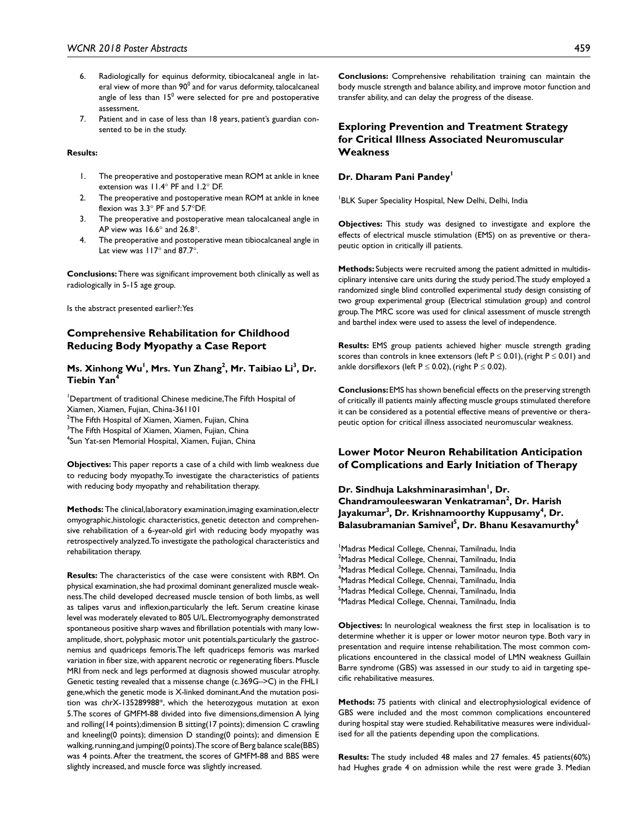- 6. Radiologically for equinus deformity, tibiocalcaneal angle in lateral view of more than  $90^{\rm o}$  and for varus deformity, talocalcaneal angle of less than  $15^0$  were selected for pre and postoperative assessment.
- 7. Patient and in case of less than 18 years, patient's guardian consented to be in the study.

### **Results:**

- 1. The preoperative and postoperative mean ROM at ankle in knee extension was 11.4° PF and 1.2° DF.
- 2. The preoperative and postoperative mean ROM at ankle in knee flexion was 3.3° PF and 5.7°DF.
- 3. The preoperative and postoperative mean talocalcaneal angle in AP view was 16.6° and 26.8°.
- 4. The preoperative and postoperative mean tibiocalcaneal angle in Lat view was 117° and 87.7°.

**Conclusions:** There was significant improvement both clinically as well as radiologically in 5-15 age group.

Is the abstract presented earlier?: Yes

# **Comprehensive Rehabilitation for Childhood Reducing Body Myopathy a Case Report**

### **Ms. Xinhong Wu<sup>1</sup>, Mrs. Yun Zhang<sup>2</sup>, Mr. Taibiao Li<sup>3</sup>, Dr. Tiebin Yan4**

<sup>1</sup>Department of traditional Chinese medicine, The Fifth Hospital of Xiamen, Xiamen, Fujian, China-361101  $^{2}$ The Fifth Hospital of Xiamen, Xiamen, Fujian, China  $^3$ The Fifth Hospital of Xiamen, Xiamen, Fujian, China 4 Sun Yat-sen Memorial Hospital, Xiamen, Fujian, China

**Objectives:** This paper reports a case of a child with limb weakness due to reducing body myopathy.To investigate the characteristics of patients with reducing body myopathy and rehabilitation therapy.

**Methods:** The clinical,laboratory examination,imaging examination,electr omyographic,histologic characteristics, genetic detecton and comprehensive rehabilitation of a 6-year-old girl with reducing body myopathy was retrospectively analyzed.To investigate the pathological characteristics and rehabilitation therapy.

**Results:** The characteristics of the case were consistent with RBM. On physical examination, she had proximal dominant generalized muscle weakness.The child developed decreased muscle tension of both limbs, as well as talipes varus and inflexion,particularly the left. Serum creatine kinase level was moderately elevated to 805 U/L. Electromyography demonstrated spontaneous positive sharp waves and fibrillation potentials with many lowamplitude, short, polyphasic motor unit potentials,particularly the gastrocnemius and quadriceps femoris.The left quadriceps femoris was marked variation in fiber size, with apparent necrotic or regenerating fibers. Muscle MRI from neck and legs performed at diagnosis showed muscular atrophy. Genetic testing revealed that a missense change (c.369G–>C) in the FHL1 gene,which the genetic mode is X-linked dominant.And the mutation position was chrX-135289988\*, which the heterozygous mutation at exon 5.The scores of GMFM-88 divided into five dimensions,dimension A lying and rolling(14 points);dimension B sitting(17 points); dimension C crawling and kneeling(0 points); dimension D standing(0 points); and dimension E walking, running,and jumping(0 points). The score of Berg balance scale(BBS) was 4 points. After the treatment, the scores of GMFM-88 and BBS were slightly increased, and muscle force was slightly increased.

**Conclusions:** Comprehensive rehabilitation training can maintain the body muscle strength and balance ability, and improve motor function and transfer ability, and can delay the progress of the disease.

# **Exploring Prevention and Treatment Strategy for Critical Illness Associated Neuromuscular Weakness**

### **Dr. Dharam Pani Pandey**

<sup>1</sup>BLK Super Speciality Hospital, New Delhi, Delhi, India

**Objectives:** This study was designed to investigate and explore the effects of electrical muscle stimulation (EMS) on as preventive or therapeutic option in critically ill patients.

**Methods:** Subjects were recruited among the patient admitted in multidisciplinary intensive care units during the study period. The study employed a randomized single blind controlled experimental study design consisting of two group experimental group (Electrical stimulation group) and control group. The MRC score was used for clinical assessment of muscle strength and barthel index were used to assess the level of independence.

**Results:** EMS group patients achieved higher muscle strength grading scores than controls in knee extensors (left  $P \le 0.01$ ), (right  $P \le 0.01$ ) and ankle dorsiflexors (left  $P \le 0.02$ ), (right  $P \le 0.02$ ).

**Conclusions:** EMS has shown beneficial effects on the preserving strength of critically ill patients mainly affecting muscle groups stimulated therefore it can be considered as a potential effective means of preventive or therapeutic option for critical illness associated neuromuscular weakness.

## **Lower Motor Neuron Rehabilitation Anticipation of Complications and Early Initiation of Therapy**

## Dr. Sindhuja Lakshminarasimhan<sup>i</sup>, Dr. **Chandramouleeswaran Venkatraman<sup>2</sup> , Dr. Harish Jayakumar<sup>3</sup> , Dr. Krishnamoorthy Kuppusamy4 , Dr. Balasubramanian Samivel5 , Dr. Bhanu Kesavamurthy6**

<sup>1</sup>Madras Medical College, Chennai, Tamilnadu, India <sup>2</sup>Madras Medical College, Chennai, Tamilnadu, India <sup>3</sup>Madras Medical College, Chennai, Tamilnadu, India 4 Madras Medical College, Chennai, Tamilnadu, India <sup>5</sup>Madras Medical College, Chennai, Tamilnadu, India 6 Madras Medical College, Chennai, Tamilnadu, India

**Objectives:** In neurological weakness the first step in localisation is to determine whether it is upper or lower motor neuron type. Both vary in presentation and require intense rehabilitation. The most common complications encountered in the classical model of LMN weakness Guillain Barre syndrome (GBS) was assessed in our study to aid in targeting specific rehabilitative measures.

**Methods:** 75 patients with clinical and electrophysiological evidence of GBS were included and the most common complications encountered during hospital stay were studied. Rehabilitative measures were individualised for all the patients depending upon the complications.

**Results:** The study included 48 males and 27 females. 45 patients(60%) had Hughes grade 4 on admission while the rest were grade 3. Median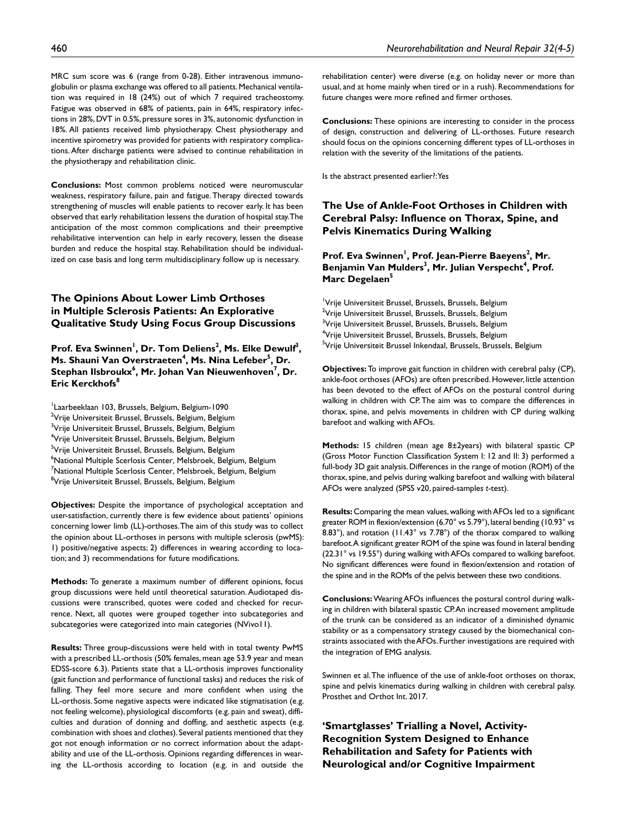**Conclusions:** Most common problems noticed were neuromuscular weakness, respiratory failure, pain and fatigue. Therapy directed towards strengthening of muscles will enable patients to recover early. It has been observed that early rehabilitation lessens the duration of hospital stay. The anticipation of the most common complications and their preemptive rehabilitative intervention can help in early recovery, lessen the disease burden and reduce the hospital stay. Rehabilitation should be individualized on case basis and long term multidisciplinary follow up is necessary.

# **The Opinions About Lower Limb Orthoses in Multiple Sclerosis Patients: An Explorative Qualitative Study Using Focus Group Discussions**

Prof. Eva Swinnen<sup>1</sup>, Dr. Tom Deliens<sup>2</sup>, Ms. Elke Dewulf<sup>3</sup>, **Ms. Shauni Van Overstraeten<sup>4</sup>, Ms. Nina Lefeber<sup>5</sup>, Dr. Stephan Ilsbroukx6 , Mr. Johan Van Nieuwenhoven7 , Dr. Eric Kerckhofs**<sup>8</sup>

<sup>1</sup> Laarbeeklaan 103, Brussels, Belgium, Belgium-1090 <sup>2</sup>Vrije Universiteit Brussel, Brussels, Belgium, Belgium <sup>3</sup>Vrije Universiteit Brussel, Brussels, Belgium, Belgium 4 Vrije Universiteit Brussel, Brussels, Belgium, Belgium <sup>5</sup>Vrije Universiteit Brussel, Brussels, Belgium, Belgium 6 National Multiple Scerlosis Center, Melsbroek, Belgium, Belgium  $^7$ National Multiple Scerlosis Center, Melsbroek, Belgium, Belgium <sup>8</sup>Vrije Universiteit Brussel, Brussels, Belgium, Belgium

**Objectives:** Despite the importance of psychological acceptation and user-satisfaction, currently there is few evidence about patients' opinions concerning lower limb (LL)-orthoses. The aim of this study was to collect the opinion about LL-orthoses in persons with multiple sclerosis (pwMS): 1) positive/negative aspects; 2) differences in wearing according to location; and 3) recommendations for future modifications.

**Methods:** To generate a maximum number of different opinions, focus group discussions were held until theoretical saturation. Audiotaped discussions were transcribed, quotes were coded and checked for recurrence. Next, all quotes were grouped together into subcategories and subcategories were categorized into main categories (NVivo11).

**Results:** Three group-discussions were held with in total twenty PwMS with a prescribed LL-orthosis (50% females, mean age 53.9 year and mean EDSS-score 6.3). Patients state that a LL-orthosis improves functionality (gait function and performance of functional tasks) and reduces the risk of falling. They feel more secure and more confident when using the LL-orthosis. Some negative aspects were indicated like stigmatisation (e.g. not feeling welcome), physiological discomforts (e.g. pain and sweat), difficulties and duration of donning and doffing, and aesthetic aspects (e.g. combination with shoes and clothes). Several patients mentioned that they got not enough information or no correct information about the adaptability and use of the LL-orthosis. Opinions regarding differences in wearing the LL-orthosis according to location (e.g. in and outside the

rehabilitation center) were diverse (e.g. on holiday never or more than usual, and at home mainly when tired or in a rush). Recommendations for future changes were more refined and firmer orthoses.

**Conclusions:** These opinions are interesting to consider in the process of design, construction and delivering of LL-orthoses. Future research should focus on the opinions concerning different types of LL-orthoses in relation with the severity of the limitations of the patients.

Is the abstract presented earlier?: Yes

# **The Use of Ankle-Foot Orthoses in Children with Cerebral Palsy: Influence on Thorax, Spine, and Pelvis Kinematics During Walking**

## Prof. Eva Swinnen<sup>1</sup>, Prof. Jean-Pierre Baeyens<sup>2</sup>, Mr. Benjamin Van Mulders<sup>3</sup>, Mr. Julian Verspecht<sup>4</sup>, Prof. Marc Degelaen<sup>5</sup>

<sup>1</sup>Vrije Universiteit Brussel, Brussels, Brussels, Belgium <sup>2</sup>Vrije Universiteit Brussel, Brussels, Brussels, Belgium <sup>3</sup>Vrije Universiteit Brussel, Brussels, Brussels, Belgium 4 Vrije Universiteit Brussel, Brussels, Brussels, Belgium <sup>5</sup>Vrije Universiteit Brussel Inkendaal, Brussels, Brussels, Belgium

**Objectives:** To improve gait function in children with cerebral palsy (CP), ankle-foot orthoses (AFOs) are often prescribed. However, little attention has been devoted to the effect of AFOs on the postural control during walking in children with CP. The aim was to compare the differences in thorax, spine, and pelvis movements in children with CP during walking barefoot and walking with AFOs.

**Methods:** 15 children (mean age 8±2years) with bilateral spastic CP (Gross Motor Function Classification System I: 12 and II: 3) performed a full-body 3D gait analysis. Differences in the range of motion (ROM) of the thorax, spine, and pelvis during walking barefoot and walking with bilateral AFOs were analyzed (SPSS v20, paired-samples *t*-test).

**Results:** Comparing the mean values, walking with AFOs led to a significant greater ROM in flexion/extension (6.70° vs 5.79°), lateral bending (10.93° vs 8.83°), and rotation (11.43° vs 7.78°) of the thorax compared to walking barefoot. A significant greater ROM of the spine was found in lateral bending (22.31° vs 19.55°) during walking with AFOs compared to walking barefoot. No significant differences were found in flexion/extension and rotation of the spine and in the ROMs of the pelvis between these two conditions.

**Conclusions:** Wearing AFOs influences the postural control during walking in children with bilateral spastic CP. An increased movement amplitude of the trunk can be considered as an indicator of a diminished dynamic stability or as a compensatory strategy caused by the biomechanical constraints associated with the AFOs. Further investigations are required with the integration of EMG analysis.

Swinnen et al. The influence of the use of ankle-foot orthoses on thorax, spine and pelvis kinematics during walking in children with cerebral palsy. Prosthet and Orthot Int. 2017.

**'Smartglasses' Trialling a Novel, Activity-Recognition System Designed to Enhance Rehabilitation and Safety for Patients with Neurological and/or Cognitive Impairment**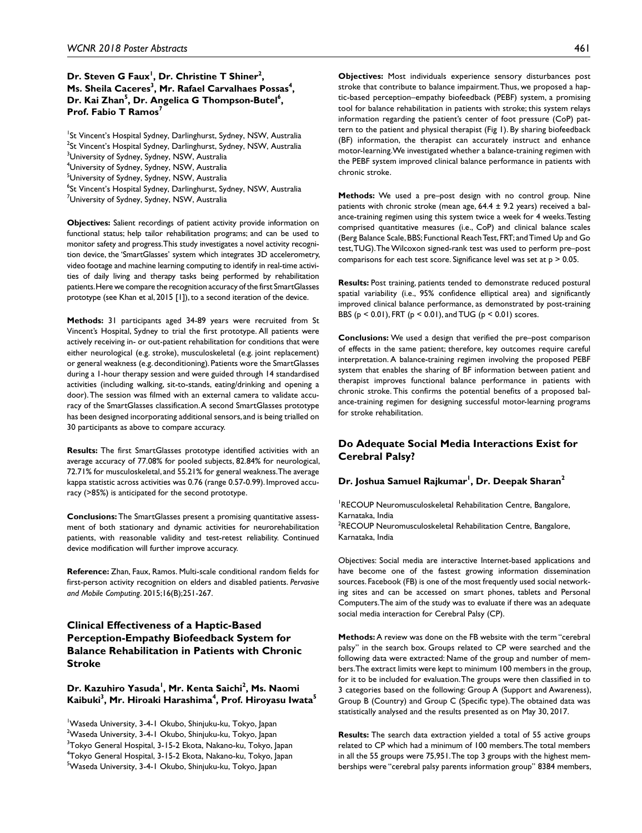## Dr. Steven G Faux<sup>1</sup>, Dr. Christine T Shiner<sup>2</sup>, **Ms. Sheila Caceres<sup>3</sup>, Mr. Rafael Carvalhaes Possas<sup>4</sup>,** Dr. Kai Zhan<sup>5</sup>, Dr. Angelica G Thompson-Butel<sup>6</sup>, **Prof. Fabio T Ramos<sup>7</sup>**

<sup>1</sup>St Vincent's Hospital Sydney, Darlinghurst, Sydney, NSW, Australia  $^{2}$ St Vincent's Hospital Sydney, Darlinghurst, Sydney, NSW, Australia <sup>3</sup>University of Sydney, Sydney, NSW, Australia 4 University of Sydney, Sydney, NSW, Australia <sup>5</sup>University of Sydney, Sydney, NSW, Australia 6 St Vincent's Hospital Sydney, Darlinghurst, Sydney, NSW, Australia  ${\rm ^7}$ University of Sydney, Sydney, NSW, Australia

**Objectives:** Salient recordings of patient activity provide information on functional status; help tailor rehabilitation programs; and can be used to monitor safety and progress. This study investigates a novel activity recognition device, the 'SmartGlasses' system which integrates 3D accelerometry, video footage and machine learning computing to identify in real-time activities of daily living and therapy tasks being performed by rehabilitation patients. Here we compare the recognition accuracy of the first SmartGlasses prototype (see Khan et al, 2015 [1]), to a second iteration of the device.

**Methods:** 31 participants aged 34-89 years were recruited from St Vincent's Hospital, Sydney to trial the first prototype. All patients were actively receiving in- or out-patient rehabilitation for conditions that were either neurological (e.g. stroke), musculoskeletal (e.g. joint replacement) or general weakness (e.g. deconditioning). Patients wore the SmartGlasses during a 1-hour therapy session and were guided through 14 standardised activities (including walking, sit-to-stands, eating/drinking and opening a door). The session was filmed with an external camera to validate accuracy of the SmartGlasses classification. A second SmartGlasses prototype has been designed incorporating additional sensors, and is being trialled on 30 participants as above to compare accuracy.

**Results:** The first SmartGlasses prototype identified activities with an average accuracy of 77.08% for pooled subjects, 82.84% for neurological, 72.71% for musculoskeletal, and 55.21% for general weakness. The average kappa statistic across activities was 0.76 (range 0.57-0.99). Improved accuracy (>85%) is anticipated for the second prototype.

**Conclusions:** The SmartGlasses present a promising quantitative assessment of both stationary and dynamic activities for neurorehabilitation patients, with reasonable validity and test-retest reliability. Continued device modification will further improve accuracy.

**Reference:** Zhan, Faux, Ramos. Multi-scale conditional random fields for first-person activity recognition on elders and disabled patients. *Pervasive and Mobile Computing*. 2015;16(B);251-267.

# **Clinical Effectiveness of a Haptic-Based Perception-Empathy Biofeedback System for Balance Rehabilitation in Patients with Chronic Stroke**

Dr. Kazuhiro Yasuda<sup>l</sup>, Mr. Kenta Saichi<sup>2</sup>, Ms. Naomi Kaibuki<sup>3</sup>, Mr. Hiroaki Harashima<sup>4</sup>, Prof. Hiroyasu Iwata<sup>5</sup> **Objectives:** Most individuals experience sensory disturbances post stroke that contribute to balance impairment. Thus, we proposed a haptic-based perception–empathy biofeedback (PEBF) system, a promising tool for balance rehabilitation in patients with stroke; this system relays information regarding the patient's center of foot pressure (CoP) pattern to the patient and physical therapist (Fig 1). By sharing biofeedback (BF) information, the therapist can accurately instruct and enhance motor-learning. We investigated whether a balance-training regimen with the PEBF system improved clinical balance performance in patients with chronic stroke.

**Methods:** We used a pre–post design with no control group. Nine patients with chronic stroke (mean age, 64.4 ± 9.2 years) received a balance-training regimen using this system twice a week for 4 weeks. Testing comprised quantitative measures (i.e., CoP) and clinical balance scales (Berg Balance Scale, BBS; Functional Reach Test, FRT; and Timed Up and Go test, TUG). The Wilcoxon signed-rank test was used to perform pre–post comparisons for each test score. Significance level was set at  $p > 0.05$ .

**Results:** Post training, patients tended to demonstrate reduced postural spatial variability (i.e., 95% confidence elliptical area) and significantly improved clinical balance performance, as demonstrated by post-training BBS (p < 0.01), FRT (p < 0.01), and TUG (p < 0.01) scores.

**Conclusions:** We used a design that verified the pre–post comparison of effects in the same patient; therefore, key outcomes require careful interpretation. A balance-training regimen involving the proposed PEBF system that enables the sharing of BF information between patient and therapist improves functional balance performance in patients with chronic stroke. This confirms the potential benefits of a proposed balance-training regimen for designing successful motor-learning programs for stroke rehabilitation.

# **Do Adequate Social Media Interactions Exist for Cerebral Palsy?**

### **Dr. Joshua Samuel Rajkumar1 , Dr. Deepak Sharan2**

<sup>1</sup>RECOUP Neuromusculoskeletal Rehabilitation Centre, Bangalore, Karnataka, India

<sup>2</sup>RECOUP Neuromusculoskeletal Rehabilitation Centre, Bangalore, Karnataka, India

Objectives: Social media are interactive Internet-based applications and have become one of the fastest growing information dissemination sources. Facebook (FB) is one of the most frequently used social networking sites and can be accessed on smart phones, tablets and Personal Computers. The aim of the study was to evaluate if there was an adequate social media interaction for Cerebral Palsy (CP).

**Methods:** A review was done on the FB website with the term "cerebral palsy" in the search box. Groups related to CP were searched and the following data were extracted: Name of the group and number of members. The extract limits were kept to minimum 100 members in the group, for it to be included for evaluation. The groups were then classified in to 3 categories based on the following: Group A (Support and Awareness), Group B (Country) and Group C (Specific type). The obtained data was statistically analysed and the results presented as on May 30, 2017.

**Results:** The search data extraction yielded a total of 55 active groups related to CP which had a minimum of 100 members. The total members in all the 55 groups were 75,951. The top 3 groups with the highest memberships were "cerebral palsy parents information group" 8384 members,

<sup>&</sup>lt;sup>1</sup>Waseda University, 3-4-1 Okubo, Shinjuku-ku, Tokyo, Japan <sup>2</sup>Waseda University, 3-4-1 Okubo, Shinjuku-ku, Tokyo, Japan <sup>3</sup>Tokyo General Hospital, 3-15-2 Ekota, Nakano-ku, Tokyo, Japan 4 Tokyo General Hospital, 3-15-2 Ekota, Nakano-ku, Tokyo, Japan

<sup>&</sup>lt;sup>5</sup>Waseda University, 3-4-1 Okubo, Shinjuku-ku, Tokyo, Japan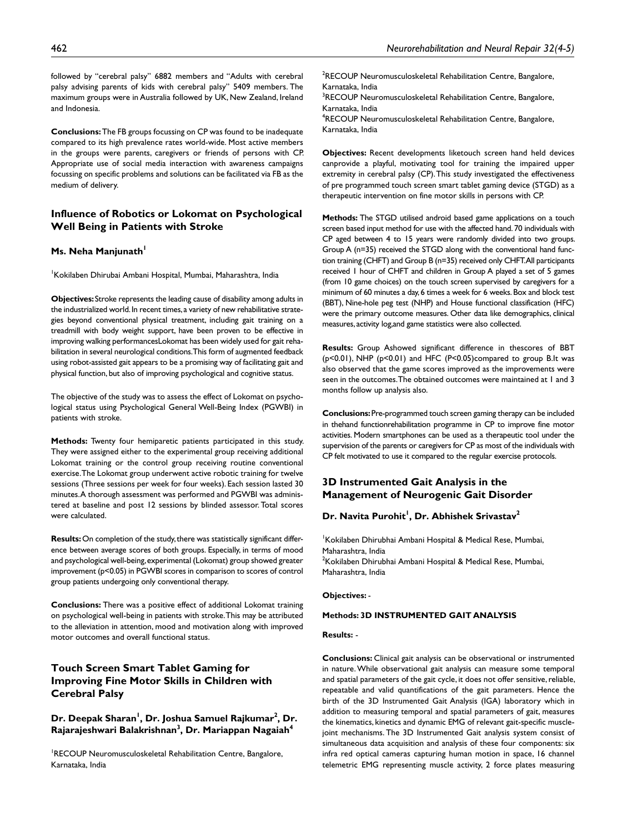followed by "cerebral palsy" 6882 members and "Adults with cerebral palsy advising parents of kids with cerebral palsy" 5409 members. The maximum groups were in Australia followed by UK, New Zealand, Ireland and Indonesia.

**Conclusions:** The FB groups focussing on CP was found to be inadequate compared to its high prevalence rates world-wide. Most active members in the groups were parents, caregivers or friends of persons with CP. Appropriate use of social media interaction with awareness campaigns focussing on specific problems and solutions can be facilitated via FB as the medium of delivery.

# **Influence of Robotics or Lokomat on Psychological Well Being in Patients with Stroke**

### **Ms. Neha Manjunath**

1 Kokilaben Dhirubai Ambani Hospital, Mumbai, Maharashtra, India

**Objectives:** Stroke represents the leading cause of disability among adults in the industrialized world. In recent times, a variety of new rehabilitative strategies beyond conventional physical treatment, including gait training on a treadmill with body weight support, have been proven to be effective in improving walking performancesLokomat has been widely used for gait rehabilitation in several neurological conditions. This form of augmented feedback using robot-assisted gait appears to be a promising way of facilitating gait and physical function, but also of improving psychological and cognitive status.

The objective of the study was to assess the effect of Lokomat on psychological status using Psychological General Well-Being Index (PGWBI) in patients with stroke.

**Methods:** Twenty four hemiparetic patients participated in this study. They were assigned either to the experimental group receiving additional Lokomat training or the control group receiving routine conventional exercise. The Lokomat group underwent active robotic training for twelve sessions (Three sessions per week for four weeks). Each session lasted 30 minutes. A thorough assessment was performed and PGWBI was administered at baseline and post 12 sessions by blinded assessor. Total scores were calculated.

**Results:** On completion of the study, there was statistically significant difference between average scores of both groups. Especially, in terms of mood and psychological well-being, experimental (Lokomat) group showed greater improvement (p<0.05) in PGWBI scores in comparison to scores of control group patients undergoing only conventional therapy.

**Conclusions:** There was a positive effect of additional Lokomat training on psychological well-being in patients with stroke. This may be attributed to the alleviation in attention, mood and motivation along with improved motor outcomes and overall functional status.

# **Touch Screen Smart Tablet Gaming for Improving Fine Motor Skills in Children with Cerebral Palsy**

Dr. Deepak Sharan<sup>'</sup>, Dr. Joshua Samuel Rajkumar<sup>2</sup>, Dr. **Rajarajeshwari Balakrishnan3 , Dr. Mariappan Nagaiah4**

<sup>1</sup>RECOUP Neuromusculoskeletal Rehabilitation Centre, Bangalore, Karnataka, India

<sup>2</sup>RECOUP Neuromusculoskeletal Rehabilitation Centre, Bangalore, Karnataka, India <sup>3</sup>RECOUP Neuromusculoskeletal Rehabilitation Centre, Bangalore, Karnataka, India 4 RECOUP Neuromusculoskeletal Rehabilitation Centre, Bangalore, Karnataka, India

**Objectives:** Recent developments liketouch screen hand held devices canprovide a playful, motivating tool for training the impaired upper extremity in cerebral palsy (CP). This study investigated the effectiveness of pre programmed touch screen smart tablet gaming device (STGD) as a therapeutic intervention on fine motor skills in persons with CP.

**Methods:** The STGD utilised android based game applications on a touch screen based input method for use with the affected hand. 70 individuals with CP aged between 4 to 15 years were randomly divided into two groups. Group A (n=35) received the STGD along with the conventional hand function training (CHFT) and Group B (n=35) received only CHFT. All participants received 1 hour of CHFT and children in Group A played a set of 5 games (from 10 game choices) on the touch screen supervised by caregivers for a minimum of 60 minutes a day, 6 times a week for 6 weeks. Box and block test (BBT), Nine-hole peg test (NHP) and House functional classification (HFC) were the primary outcome measures. Other data like demographics, clinical measures, activity log,and game statistics were also collected.

**Results:** Group Ashowed significant difference in thescores of BBT (p<0.01), NHP (p<0.01) and HFC (P<0.05)compared to group B.It was also observed that the game scores improved as the improvements were seen in the outcomes. The obtained outcomes were maintained at 1 and 3 months follow up analysis also.

**Conclusions:** Pre-programmed touch screen gaming therapy can be included in thehand functionrehabilitation programme in CP to improve fine motor activities. Modern smartphones can be used as a therapeutic tool under the supervision of the parents or caregivers for CP as most of the individuals with CP felt motivated to use it compared to the regular exercise protocols.

### **3D Instrumented Gait Analysis in the Management of Neurogenic Gait Disorder**

### Dr. Navita Purohit<sup>I</sup>, Dr. Abhishek Srivastav<sup>2</sup>

1 Kokilaben Dhirubhai Ambani Hospital & Medical Rese, Mumbai, Maharashtra, India  $^{2}$ Kokilaben Dhirubhai Ambani Hospital & Medical Rese, Mumbai, Maharashtra, India

**Objectives:** -

## **Methods: 3D INSTRUMENTED GAIT ANALYSIS**

#### **Results:** -

**Conclusions:** Clinical gait analysis can be observational or instrumented in nature. While observational gait analysis can measure some temporal and spatial parameters of the gait cycle, it does not offer sensitive, reliable, repeatable and valid quantifications of the gait parameters. Hence the birth of the 3D Instrumented Gait Analysis (IGA) laboratory which in addition to measuring temporal and spatial parameters of gait, measures the kinematics, kinetics and dynamic EMG of relevant gait-specific musclejoint mechanisms. The 3D Instrumented Gait analysis system consist of simultaneous data acquisition and analysis of these four components: six infra red optical cameras capturing human motion in space, 16 channel telemetric EMG representing muscle activity, 2 force plates measuring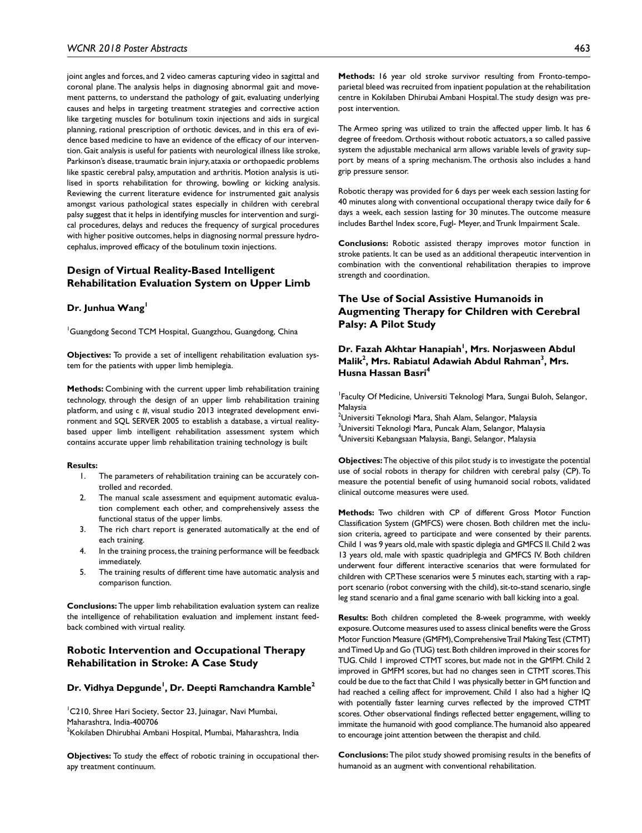joint angles and forces, and 2 video cameras capturing video in sagittal and coronal plane. The analysis helps in diagnosing abnormal gait and movement patterns, to understand the pathology of gait, evaluating underlying causes and helps in targeting treatment strategies and corrective action like targeting muscles for botulinum toxin injections and aids in surgical planning, rational prescription of orthotic devices, and in this era of evidence based medicine to have an evidence of the efficacy of our intervention. Gait analysis is useful for patients with neurological illness like stroke, Parkinson's disease, traumatic brain injury, ataxia or orthopaedic problems like spastic cerebral palsy, amputation and arthritis. Motion analysis is utilised in sports rehabilitation for throwing, bowling or kicking analysis. Reviewing the current literature evidence for instrumented gait analysis amongst various pathological states especially in children with cerebral palsy suggest that it helps in identifying muscles for intervention and surgical procedures, delays and reduces the frequency of surgical procedures with higher positive outcomes, helps in diagnosing normal pressure hydrocephalus, improved efficacy of the botulinum toxin injections.

## **Design of Virtual Reality-Based Intelligent Rehabilitation Evaluation System on Upper Limb**

### Dr. Junhua Wang<sup>1</sup>

1 Guangdong Second TCM Hospital, Guangzhou, Guangdong, China

**Objectives:** To provide a set of intelligent rehabilitation evaluation system for the patients with upper limb hemiplegia.

**Methods:** Combining with the current upper limb rehabilitation training technology, through the design of an upper limb rehabilitation training platform, and using c #, visual studio 2013 integrated development environment and SQL SERVER 2005 to establish a database, a virtual realitybased upper limb intelligent rehabilitation assessment system which contains accurate upper limb rehabilitation training technology is built

#### **Results:**

- 1. The parameters of rehabilitation training can be accurately controlled and recorded.
- 2. The manual scale assessment and equipment automatic evaluation complement each other, and comprehensively assess the functional status of the upper limbs.
- 3. The rich chart report is generated automatically at the end of each training.
- 4. In the training process, the training performance will be feedback immediately.
- 5. The training results of different time have automatic analysis and comparison function.

**Conclusions:** The upper limb rehabilitation evaluation system can realize the intelligence of rehabilitation evaluation and implement instant feedback combined with virtual reality.

# **Robotic Intervention and Occupational Therapy Rehabilitation in Stroke: A Case Study**

### **Dr. Vidhya Depgunde1 , Dr. Deepti Ramchandra Kamble2**

<sup>1</sup>C210, Shree Hari Society, Sector 23, Juinagar, Navi Mumbai, Maharashtra, India-400706  $^{2}$ Kokilaben Dhirubhai Ambani Hospital, Mumbai, Maharashtra, India

**Objectives:** To study the effect of robotic training in occupational therapy treatment continuum.

**Methods:** 16 year old stroke survivor resulting from Fronto-tempoparietal bleed was recruited from inpatient population at the rehabilitation centre in Kokilaben Dhirubai Ambani Hospital. The study design was prepost intervention.

The Armeo spring was utilized to train the affected upper limb. It has 6 degree of freedom. Orthosis without robotic actuators, a so called passive system the adjustable mechanical arm allows variable levels of gravity support by means of a spring mechanism. The orthosis also includes a hand grip pressure sensor.

Robotic therapy was provided for 6 days per week each session lasting for 40 minutes along with conventional occupational therapy twice daily for 6 days a week, each session lasting for 30 minutes. The outcome measure includes Barthel Index score, Fugl- Meyer, and Trunk Impairment Scale.

**Conclusions:** Robotic assisted therapy improves motor function in stroke patients. It can be used as an additional therapeutic intervention in combination with the conventional rehabilitation therapies to improve strength and coordination.

# **The Use of Social Assistive Humanoids in Augmenting Therapy for Children with Cerebral Palsy: A Pilot Study**

# Dr. Fazah Akhtar Hanapiah<sup>I</sup>, Mrs. Norjasween Abdul Malik<sup>2</sup>, Mrs. Rabiatul Adawiah Abdul Rahman<sup>3</sup>, Mrs. **Husna Hassan Basri4**

1 Faculty Of Medicine, Universiti Teknologi Mara, Sungai Buloh, Selangor, Malaysia

 $^{\rm 2}$ Universiti Teknologi Mara, Shah Alam, Selangor, Malaysia <sup>3</sup>Universiti Teknologi Mara, Puncak Alam, Selangor, Malaysia 4 Universiti Kebangsaan Malaysia, Bangi, Selangor, Malaysia

**Objectives:** The objective of this pilot study is to investigate the potential use of social robots in therapy for children with cerebral palsy (CP). To measure the potential benefit of using humanoid social robots, validated clinical outcome measures were used.

**Methods:** Two children with CP of different Gross Motor Function Classification System (GMFCS) were chosen. Both children met the inclusion criteria, agreed to participate and were consented by their parents. Child 1 was 9 years old, male with spastic diplegia and GMFCS II. Child 2 was 13 years old, male with spastic quadriplegia and GMFCS IV. Both children underwent four different interactive scenarios that were formulated for children with CP. These scenarios were 5 minutes each, starting with a rapport scenario (robot conversing with the child), sit-to-stand scenario, single leg stand scenario and a final game scenario with ball kicking into a goal.

**Results:** Both children completed the 8-week programme, with weekly exposure. Outcome measures used to assess clinical benefits were the Gross Motor Function Measure (GMFM), Comprehensive Trail Making Test (CTMT) and Timed Up and Go (TUG) test. Both children improved in their scores for TUG. Child 1 improved CTMT scores, but made not in the GMFM. Child 2 improved in GMFM scores, but had no changes seen in CTMT scores. This could be due to the fact that Child 1 was physically better in GM function and had reached a ceiling affect for improvement. Child 1 also had a higher IQ with potentially faster learning curves reflected by the improved CTMT scores. Other observational findings reflected better engagement, willing to immitate the humanoid with good compliance. The humanoid also appeared to encourage joint attention between the therapist and child.

**Conclusions:** The pilot study showed promising results in the benefits of humanoid as an augment with conventional rehabilitation.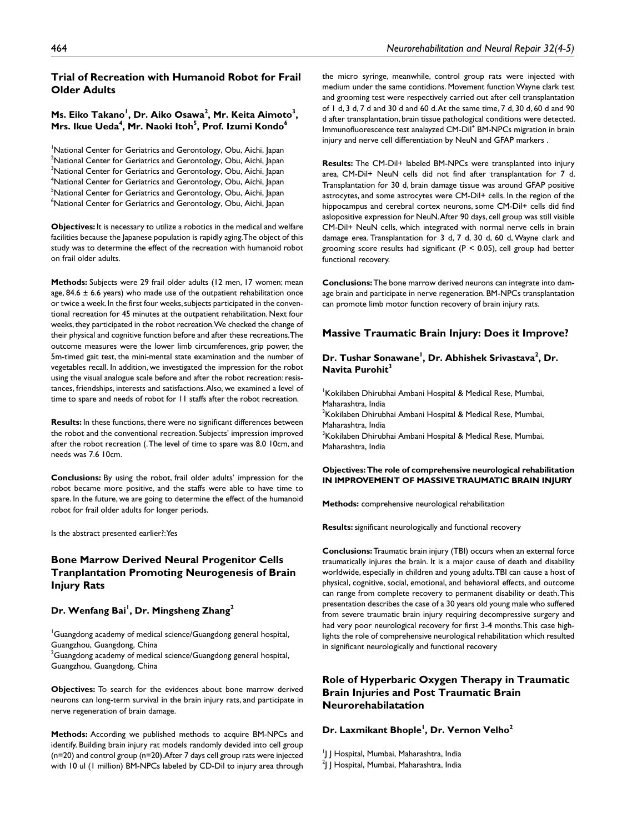# **Trial of Recreation with Humanoid Robot for Frail Older Adults**

## **Ms. Eiko Takano<sup>1</sup>, Dr. Aiko Osawa<sup>2</sup>, Mr. Keita Aimoto<sup>3</sup>, Mrs. Ikue Ueda4 , Mr. Naoki Itoh5 , Prof. Izumi Kondo6**

<sup>1</sup>National Center for Geriatrics and Gerontology, Obu, Aichi, Japan <sup>2</sup>National Center for Geriatrics and Gerontology, Obu, Aichi, Japan  $3$ National Center for Geriatrics and Gerontology, Obu, Aichi, Japan <sup>4</sup>National Center for Geriatrics and Gerontology, Obu, Aichi, Japan <sup>5</sup>National Center for Geriatrics and Gerontology, Obu, Aichi, Japan 6 National Center for Geriatrics and Gerontology, Obu, Aichi, Japan

**Objectives:** It is necessary to utilize a robotics in the medical and welfare facilities because the Japanese population is rapidly aging. The object of this study was to determine the effect of the recreation with humanoid robot on frail older adults.

**Methods:** Subjects were 29 frail older adults (12 men, 17 women; mean age,  $84.6 \pm 6.6$  years) who made use of the outpatient rehabilitation once or twice a week. In the first four weeks, subjects participated in the conventional recreation for 45 minutes at the outpatient rehabilitation. Next four weeks, they participated in the robot recreation. We checked the change of their physical and cognitive function before and after these recreations. The outcome measures were the lower limb circumferences, grip power, the 5m-timed gait test, the mini-mental state examination and the number of vegetables recall. In addition, we investigated the impression for the robot using the visual analogue scale before and after the robot recreation: resistances, friendships, interests and satisfactions. Also, we examined a level of time to spare and needs of robot for 11 staffs after the robot recreation.

**Results:** In these functions, there were no significant differences between the robot and the conventional recreation. Subjects' impression improved after the robot recreation (. The level of time to spare was 8.0 10cm, and needs was 7.6 10cm.

**Conclusions:** By using the robot, frail older adults' impression for the robot became more positive, and the staffs were able to have time to spare. In the future, we are going to determine the effect of the humanoid robot for frail older adults for longer periods.

Is the abstract presented earlier?: Yes

# **Bone Marrow Derived Neural Progenitor Cells Tranplantation Promoting Neurogenesis of Brain Injury Rats**

### **Dr. Wenfang Bai1 , Dr. Mingsheng Zhang2**

1 Guangdong academy of medical science/Guangdong general hospital, Guangzhou, Guangdong, China

 $^2$ Guangdong academy of medical science/Guangdong general hospital, Guangzhou, Guangdong, China

**Objectives:** To search for the evidences about bone marrow derived neurons can long-term survival in the brain injury rats, and participate in nerve regeneration of brain damage.

**Methods:** According we published methods to acquire BM-NPCs and identify. Building brain injury rat models randomly devided into cell group (n=20) and control group (n=20). After 7 days cell group rats were injected with 10 ul (1 million) BM-NPCs labeled by CD-Dil to injury area through

the micro syringe, meanwhile, control group rats were injected with medium under the same contidions. Movement function Wayne clark test and grooming test were respectively carried out after cell transplantation of 1 d, 3 d, 7 d and 30 d and 60 d. At the same time, 7 d, 30 d, 60 d and 90 d after transplantation, brain tissue pathological conditions were detected. Immunofluorescence test analayzed CM-Dil<sup>+</sup> BM-NPCs migration in brain injury and nerve cell differentiation by NeuN and GFAP markers .

**Results:** The CM-Dil+ labeled BM-NPCs were transplanted into injury area, CM-Dil+ NeuN cells did not find after transplantation for 7 d. Transplantation for 30 d, brain damage tissue was around GFAP positive astrocytes, and some astrocytes were CM-Dil+ cells. In the region of the hippocampus and cerebral cortex neurons, some CM-Dil+ cells did find aslopositive expression for NeuN. After 90 days, cell group was still visible CM-Dil+ NeuN cells, which integrated with normal nerve cells in brain damage erea. Transplantation for 3 d, 7 d, 30 d, 60 d, Wayne clark and grooming score results had significant ( $P < 0.05$ ), cell group had better functional recovery.

**Conclusions:** The bone marrow derived neurons can integrate into damage brain and participate in nerve regeneration. BM-NPCs transplantation can promote limb motor function recovery of brain injury rats.

### **Massive Traumatic Brain Injury: Does it Improve?**

### Dr. Tushar Sonawane<sup>l</sup>, Dr. Abhishek Srivastava<sup>2</sup>, Dr. **Navita Purohit<sup>3</sup>**

1 Kokilaben Dhirubhai Ambani Hospital & Medical Rese, Mumbai, Maharashtra, India  $^{2}$ Kokilaben Dhirubhai Ambani Hospital & Medical Rese, Mumbai, Maharashtra, India  $3$ Kokilaben Dhirubhai Ambani Hospital & Medical Rese, Mumbai, Maharashtra, India

### **Objectives: The role of comprehensive neurological rehabilitation IN IMPROVEMENT OF MASSIVE TRAUMATIC BRAIN INJURY**

**Methods:** comprehensive neurological rehabilitation

**Results:** significant neurologically and functional recovery

**Conclusions:** Traumatic brain injury (TBI) occurs when an external force traumatically injures the brain. It is a major cause of death and disability worldwide, especially in children and young adults. TBI can cause a host of physical, cognitive, social, emotional, and behavioral effects, and outcome can range from complete recovery to permanent disability or death. This presentation describes the case of a 30 years old young male who suffered from severe traumatic brain injury requiring decompressive surgery and had very poor neurological recovery for first 3-4 months. This case highlights the role of comprehensive neurological rehabilitation which resulted in significant neurologically and functional recovery

# **Role of Hyperbaric Oxygen Therapy in Traumatic Brain Injuries and Post Traumatic Brain Neurorehabilatation**

## **Dr. Laxmikant Bhople1 , Dr. Vernon Velho2**

<sup>1</sup>J J Hospital, Mumbai, Maharashtra, India

 $^2$ J J Hospital, Mumbai, Maharashtra, India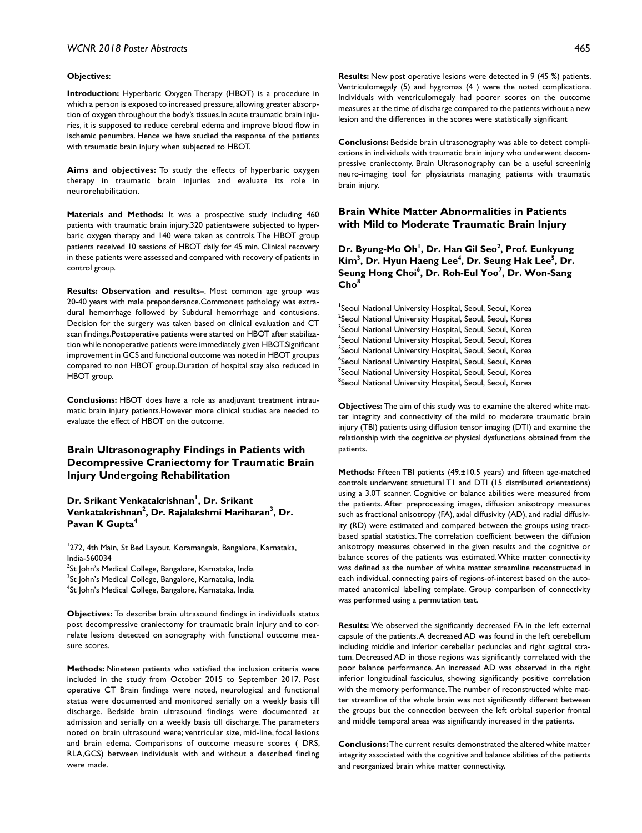#### **Objectives**:

**Introduction:** Hyperbaric Oxygen Therapy (HBOT) is a procedure in which a person is exposed to increased pressure, allowing greater absorption of oxygen throughout the body's tissues.In acute traumatic brain injuries, it is supposed to reduce cerebral edema and improve blood flow in ischemic penumbra. Hence we have studied the response of the patients with traumatic brain injury when subjected to HBOT.

**Aims and objectives:** To study the effects of hyperbaric oxygen therapy in traumatic brain injuries and evaluate its role in neurorehabilitation.

**Materials and Methods:** It was a prospective study including 460 patients with traumatic brain injury.320 patientswere subjected to hyperbaric oxygen therapy and 140 were taken as controls. The HBOT group patients received 10 sessions of HBOT daily for 45 min. Clinical recovery in these patients were assessed and compared with recovery of patients in control group.

**Results: Observation and results–**. Most common age group was 20-40 years with male preponderance.Commonest pathology was extradural hemorrhage followed by Subdural hemorrhage and contusions. Decision for the surgery was taken based on clinical evaluation and CT scan findings.Postoperative patients were started on HBOT after stabilization while nonoperative patients were immediately given HBOT.Significant improvement in GCS and functional outcome was noted in HBOT groupas compared to non HBOT group.Duration of hospital stay also reduced in HBOT group.

**Conclusions:** HBOT does have a role as anadjuvant treatment intraumatic brain injury patients.However more clinical studies are needed to evaluate the effect of HBOT on the outcome.

# **Brain Ultrasonography Findings in Patients with Decompressive Craniectomy for Traumatic Brain Injury Undergoing Rehabilitation**

**Dr. Srikant Venkatakrishnan1 , Dr. Srikant Venkatakrishnan<sup>2</sup> , Dr. Rajalakshmi Hariharan3 , Dr.**  Pavan K Gupta<sup>4</sup>

<sup>1</sup>272, 4th Main, St Bed Layout, Koramangala, Bangalore, Karnataka, India-560034

- <sup>2</sup>St John's Medical College, Bangalore, Karnataka, India <sup>3</sup>St John's Medical College, Bangalore, Karnataka, India
- <sup>4</sup>St John's Medical College, Bangalore, Karnataka, India

**Objectives:** To describe brain ultrasound findings in individuals status post decompressive craniectomy for traumatic brain injury and to correlate lesions detected on sonography with functional outcome measure scores.

**Methods:** Nineteen patients who satisfied the inclusion criteria were included in the study from October 2015 to September 2017. Post operative CT Brain findings were noted, neurological and functional status were documented and monitored serially on a weekly basis till discharge. Bedside brain ultrasound findings were documented at admission and serially on a weekly basis till discharge. The parameters noted on brain ultrasound were; ventricular size, mid-line, focal lesions and brain edema. Comparisons of outcome measure scores ( DRS, RLA,GCS) between individuals with and without a described finding were made.

**Results:** New post operative lesions were detected in 9 (45 %) patients. Ventriculomegaly (5) and hygromas (4 ) were the noted complications. Individuals with ventriculomegaly had poorer scores on the outcome measures at the time of discharge compared to the patients without a new lesion and the differences in the scores were statistically significant

**Conclusions:** Bedside brain ultrasonography was able to detect complications in individuals with traumatic brain injury who underwent decompressive craniectomy. Brain Ultrasonography can be a useful screeninig neuro-imaging tool for physiatrists managing patients with traumatic brain injury.

# **Brain White Matter Abnormalities in Patients with Mild to Moderate Traumatic Brain Injury**

**Dr. Byung-Mo Oh1 , Dr. Han Gil Seo2 , Prof. Eunkyung Kim<sup>3</sup>, Dr. Hyun Haeng Lee<sup>4</sup>, Dr. Seung Hak Lee<sup>5</sup>, Dr. Seung Hong Choi6 , Dr. Roh-Eul Yoo7 , Dr. Won-Sang**  Cho<sup>8</sup>

<sup>1</sup>Seoul National University Hospital, Seoul, Seoul, Korea <sup>2</sup>Seoul National University Hospital, Seoul, Seoul, Korea <sup>3</sup>Seoul National University Hospital, Seoul, Seoul, Korea 4 Seoul National University Hospital, Seoul, Seoul, Korea <sup>5</sup>Seoul National University Hospital, Seoul, Seoul, Korea 6 Seoul National University Hospital, Seoul, Seoul, Korea <sup>7</sup>Seoul National University Hospital, Seoul, Seoul, Korea <sup>8</sup>Seoul National University Hospital, Seoul, Seoul, Korea

**Objectives:** The aim of this study was to examine the altered white matter integrity and connectivity of the mild to moderate traumatic brain injury (TBI) patients using diffusion tensor imaging (DTI) and examine the relationship with the cognitive or physical dysfunctions obtained from the patients.

**Methods:** Fifteen TBI patients (49.±10.5 years) and fifteen age-matched controls underwent structural T1 and DTI (15 distributed orientations) using a 3.0T scanner. Cognitive or balance abilities were measured from the patients. After preprocessing images, diffusion anisotropy measures such as fractional anisotropy (FA), axial diffusivity (AD), and radial diffusivity (RD) were estimated and compared between the groups using tractbased spatial statistics. The correlation coefficient between the diffusion anisotropy measures observed in the given results and the cognitive or balance scores of the patients was estimated. White matter connectivity was defined as the number of white matter streamline reconstructed in each individual, connecting pairs of regions-of-interest based on the automated anatomical labelling template. Group comparison of connectivity was performed using a permutation test.

**Results:** We observed the significantly decreased FA in the left external capsule of the patients. A decreased AD was found in the left cerebellum including middle and inferior cerebellar peduncles and right sagittal stratum. Decreased AD in those regions was significantly correlated with the poor balance performance. An increased AD was observed in the right inferior longitudinal fasciculus, showing significantly positive correlation with the memory performance. The number of reconstructed white matter streamline of the whole brain was not significantly different between the groups but the connection between the left orbital superior frontal and middle temporal areas was significantly increased in the patients.

**Conclusions:** The current results demonstrated the altered white matter integrity associated with the cognitive and balance abilities of the patients and reorganized brain white matter connectivity.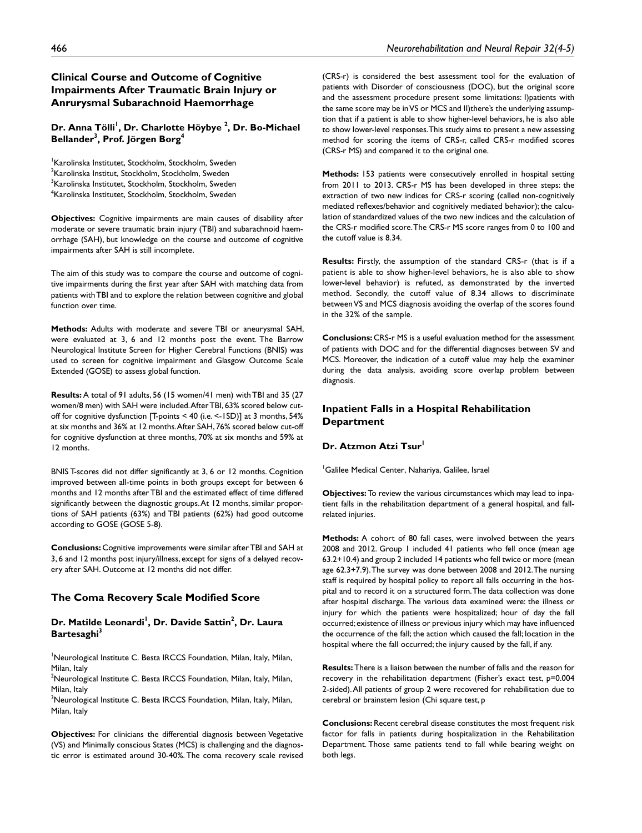# **Clinical Course and Outcome of Cognitive Impairments After Traumatic Brain Injury or Anrurysmal Subarachnoid Haemorrhage**

## Dr. Anna Tölli<sup>!</sup>, Dr. Charlotte Höybye<sup>2</sup>, Dr. Bo-Michael **Bellander3 , Prof. Jörgen Borg4**

1 Karolinska Institutet, Stockholm, Stockholm, Sweden <sup>2</sup>Karolinska Institut, Stockholm, Stockholm, Sweden  $^3$ Karolinska Institutet, Stockholm, Stockholm, Sweden 4 Karolinska Institutet, Stockholm, Stockholm, Sweden

**Objectives:** Cognitive impairments are main causes of disability after moderate or severe traumatic brain injury (TBI) and subarachnoid haemorrhage (SAH), but knowledge on the course and outcome of cognitive impairments after SAH is still incomplete.

The aim of this study was to compare the course and outcome of cognitive impairments during the first year after SAH with matching data from patients with TBI and to explore the relation between cognitive and global function over time.

**Methods:** Adults with moderate and severe TBI or aneurysmal SAH, were evaluated at 3, 6 and 12 months post the event. The Barrow Neurological Institute Screen for Higher Cerebral Functions (BNIS) was used to screen for cognitive impairment and Glasgow Outcome Scale Extended (GOSE) to assess global function.

**Results:** A total of 91 adults, 56 (15 women/41 men) with TBI and 35 (27 women/8 men) with SAH were included. After TBI, 63% scored below cutoff for cognitive dysfunction [T-points < 40 (i.e. <-1SD)] at 3 months, 54% at six months and 36% at 12 months. After SAH, 76% scored below cut-off for cognitive dysfunction at three months, 70% at six months and 59% at 12 months.

BNIS T-scores did not differ significantly at 3, 6 or 12 months. Cognition improved between all-time points in both groups except for between 6 months and 12 months after TBI and the estimated effect of time differed significantly between the diagnostic groups. At 12 months, similar proportions of SAH patients (63%) and TBI patients (62%) had good outcome according to GOSE (GOSE 5-8).

**Conclusions:** Cognitive improvements were similar after TBI and SAH at 3, 6 and 12 months post injury/illness, except for signs of a delayed recovery after SAH. Outcome at 12 months did not differ.

### **The Coma Recovery Scale Modified Score**

# Dr. Matilde Leonardi<sup>1</sup>, Dr. Davide Sattin<sup>2</sup>, Dr. Laura Bartesaghi<sup>3</sup>

<sup>1</sup>Neurological Institute C. Besta IRCCS Foundation, Milan, Italy, Milan, Milan, Italy

 $2$ Neurological Institute C. Besta IRCCS Foundation, Milan, Italy, Milan, Milan, Italy

<sup>3</sup>Neurological Institute C. Besta IRCCS Foundation, Milan, Italy, Milan, Milan, Italy

**Objectives:** For clinicians the differential diagnosis between Vegetative (VS) and Minimally conscious States (MCS) is challenging and the diagnostic error is estimated around 30-40%. The coma recovery scale revised

(CRS-r) is considered the best assessment tool for the evaluation of patients with Disorder of consciousness (DOC), but the original score and the assessment procedure present some limitations: I)patients with the same score may be in VS or MCS and II)there's the underlying assumption that if a patient is able to show higher-level behaviors, he is also able to show lower-level responses. This study aims to present a new assessing method for scoring the items of CRS-r, called CRS-r modified scores (CRS-r MS) and compared it to the original one.

**Methods:** 153 patients were consecutively enrolled in hospital setting from 2011 to 2013. CRS-r MS has been developed in three steps: the extraction of two new indices for CRS-r scoring (called non-cognitively mediated reflexes/behavior and cognitively mediated behavior); the calculation of standardized values of the two new indices and the calculation of the CRS-r modified score. The CRS-r MS score ranges from 0 to 100 and the cutoff value is 8.34.

**Results:** Firstly, the assumption of the standard CRS-r (that is if a patient is able to show higher-level behaviors, he is also able to show lower-level behavior) is refuted, as demonstrated by the inverted method. Secondly, the cutoff value of 8.34 allows to discriminate between VS and MCS diagnosis avoiding the overlap of the scores found in the 32% of the sample.

**Conclusions:** CRS-r MS is a useful evaluation method for the assessment of patients with DOC and for the differential diagnoses between SV and MCS. Moreover, the indication of a cutoff value may help the examiner during the data analysis, avoiding score overlap problem between diagnosis.

## **Inpatient Falls in a Hospital Rehabilitation Department**

### **Dr. Atzmon Atzi Tsur1**

<sup>1</sup>Galilee Medical Center, Nahariya, Galilee, Israel

**Objectives:** To review the various circumstances which may lead to inpatient falls in the rehabilitation department of a general hospital, and fallrelated injuries.

**Methods:** A cohort of 80 fall cases, were involved between the years 2008 and 2012. Group 1 included 41 patients who fell once (mean age 63.2+10.4) and group 2 included 14 patients who fell twice or more (mean age 62.3+7.9). The survey was done between 2008 and 2012. The nursing staff is required by hospital policy to report all falls occurring in the hospital and to record it on a structured form. The data collection was done after hospital discharge. The various data examined were: the illness or injury for which the patients were hospitalized; hour of day the fall occurred; existence of illness or previous injury which may have influenced the occurrence of the fall; the action which caused the fall; location in the hospital where the fall occurred; the injury caused by the fall, if any.

**Results:** There is a liaison between the number of falls and the reason for recovery in the rehabilitation department (Fisher's exact test, p=0.004 2-sided). All patients of group 2 were recovered for rehabilitation due to cerebral or brainstem lesion (Chi square test, p

**Conclusions:** Recent cerebral disease constitutes the most frequent risk factor for falls in patients during hospitalization in the Rehabilitation Department. Those same patients tend to fall while bearing weight on both legs.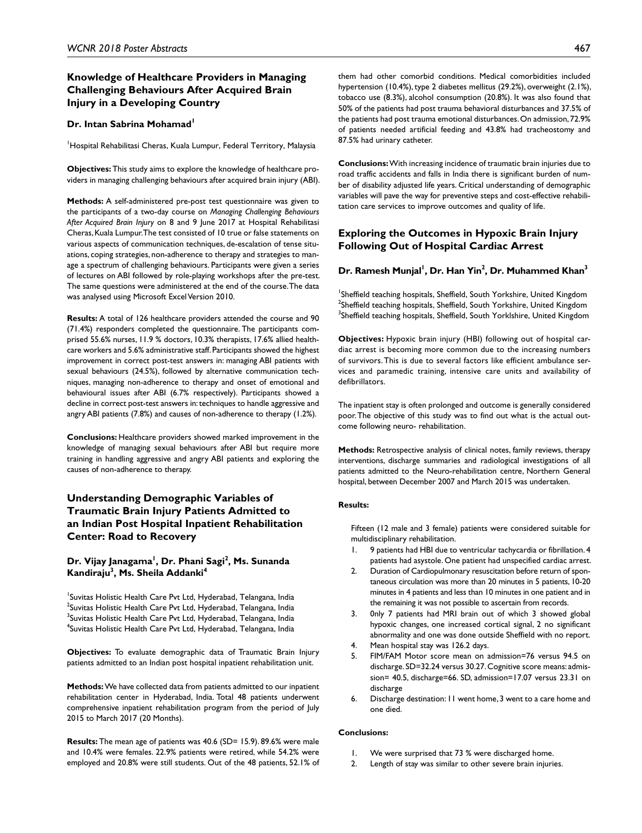# **Knowledge of Healthcare Providers in Managing Challenging Behaviours After Acquired Brain Injury in a Developing Country**

### **Dr. Intan Sabrina Mohamad**

<sup>1</sup>Hospital Rehabilitasi Cheras, Kuala Lumpur, Federal Territory, Malaysia

**Objectives:** This study aims to explore the knowledge of healthcare providers in managing challenging behaviours after acquired brain injury (ABI).

**Methods:** A self-administered pre-post test questionnaire was given to the participants of a two-day course on *Managing Challenging Behaviours After Acquired Brain Injury* on 8 and 9 June 2017 at Hospital Rehabilitasi Cheras, Kuala Lumpur. The test consisted of 10 true or false statements on various aspects of communication techniques, de-escalation of tense situations, coping strategies, non-adherence to therapy and strategies to manage a spectrum of challenging behaviours. Participants were given a series of lectures on ABI followed by role-playing workshops after the pre-test. The same questions were administered at the end of the course. The data was analysed using Microsoft Excel Version 2010.

**Results:** A total of 126 healthcare providers attended the course and 90 (71.4%) responders completed the questionnaire. The participants comprised 55.6% nurses, 11.9 % doctors, 10.3% therapists, 17.6% allied healthcare workers and 5.6% administrative staff. Participants showed the highest improvement in correct post-test answers in: managing ABI patients with sexual behaviours (24.5%), followed by alternative communication techniques, managing non-adherence to therapy and onset of emotional and behavioural issues after ABI (6.7% respectively). Participants showed a decline in correct post-test answers in: techniques to handle aggressive and angry ABI patients (7.8%) and causes of non-adherence to therapy (1.2%).

**Conclusions:** Healthcare providers showed marked improvement in the knowledge of managing sexual behaviours after ABI but require more training in handling aggressive and angry ABI patients and exploring the causes of non-adherence to therapy.

# **Understanding Demographic Variables of Traumatic Brain Injury Patients Admitted to an Indian Post Hospital Inpatient Rehabilitation Center: Road to Recovery**

Dr. Vijay Janagama<sup>l</sup>, Dr. Phani Sagi<sup>2</sup>, Ms. Sunanda **Kandiraju3 , Ms. Sheila Addanki4**

<sup>1</sup>Suvitas Holistic Health Care Pvt Ltd, Hyderabad, Telangana, India <sup>2</sup>Suvitas Holistic Health Care Pvt Ltd, Hyderabad, Telangana, India <sup>3</sup>Suvitas Holistic Health Care Pvt Ltd, Hyderabad, Telangana, India 4 Suvitas Holistic Health Care Pvt Ltd, Hyderabad, Telangana, India

**Objectives:** To evaluate demographic data of Traumatic Brain Injury patients admitted to an Indian post hospital inpatient rehabilitation unit.

**Methods:** We have collected data from patients admitted to our inpatient rehabilitation center in Hyderabad, India. Total 48 patients underwent comprehensive inpatient rehabilitation program from the period of July 2015 to March 2017 (20 Months).

**Results:** The mean age of patients was 40.6 (SD= 15.9). 89.6% were male and 10.4% were females. 22.9% patients were retired, while 54.2% were employed and 20.8% were still students. Out of the 48 patients, 52.1% of them had other comorbid conditions. Medical comorbidities included hypertension (10.4%), type 2 diabetes mellitus (29.2%), overweight (2.1%), tobacco use (8.3%), alcohol consumption (20.8%). It was also found that 50% of the patients had post trauma behavioral disturbances and 37.5% of the patients had post trauma emotional disturbances. On admission, 72.9% of patients needed artificial feeding and 43.8% had tracheostomy and 87.5% had urinary catheter.

**Conclusions:** With increasing incidence of traumatic brain injuries due to road traffic accidents and falls in India there is significant burden of number of disability adjusted life years. Critical understanding of demographic variables will pave the way for preventive steps and cost-effective rehabilitation care services to improve outcomes and quality of life.

# **Exploring the Outcomes in Hypoxic Brain Injury Following Out of Hospital Cardiac Arrest**

### **Dr. Ramesh Munjal<sup>I</sup>, Dr. Han Yin<sup>2</sup>, Dr. Muhammed Khan<sup>3</sup>**

<sup>1</sup>Sheffield teaching hospitals, Sheffield, South Yorkshire, United Kingdom  $^2$ Sheffield teaching hospitals, Sheffield, South Yorkshire, United Kingdom  $^3$ Sheffield teaching hospitals, Sheffield, South Yorklshire, United Kingdom

**Objectives:** Hypoxic brain injury (HBI) following out of hospital cardiac arrest is becoming more common due to the increasing numbers of survivors. This is due to several factors like efficient ambulance services and paramedic training, intensive care units and availability of defibrillators.

The inpatient stay is often prolonged and outcome is generally considered poor. The objective of this study was to find out what is the actual outcome following neuro- rehabilitation.

**Methods:** Retrospective analysis of clinical notes, family reviews, therapy interventions, discharge summaries and radiological investigations of all patients admitted to the Neuro-rehabilitation centre, Northern General hospital, between December 2007 and March 2015 was undertaken.

### **Results:**

Fifteen (12 male and 3 female) patients were considered suitable for multidisciplinary rehabilitation.

- 1. 9 patients had HBI due to ventricular tachycardia or fibrillation. 4 patients had asystole. One patient had unspecified cardiac arrest.
- 2. Duration of Cardiopulmonary resuscitation before return of spontaneous circulation was more than 20 minutes in 5 patients, 10-20 minutes in 4 patients and less than 10 minutes in one patient and in the remaining it was not possible to ascertain from records.
- 3. 0nly 7 patients had MRI brain out of which 3 showed global hypoxic changes, one increased cortical signal, 2 no significant abnormality and one was done outside Sheffield with no report.
- 4. Mean hospital stay was 126.2 days.
- 5. FIM/FAM Motor score mean on admission=76 versus 94.5 on discharge. SD=32.24 versus 30.27. Cognitive score means: admission= 40.5, discharge=66. SD, admission=17.07 versus 23.31 on discharge
- 6. Discharge destination: 11 went home, 3 went to a care home and one died.

#### **Conclusions:**

- 1. We were surprised that 73 % were discharged home.
- 2. Length of stay was similar to other severe brain injuries.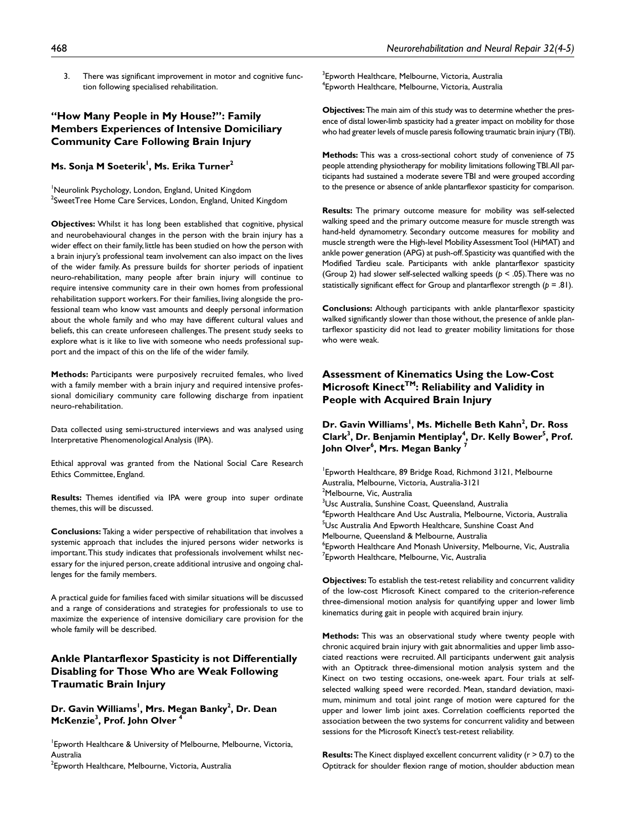3. There was significant improvement in motor and cognitive function following specialised rehabilitation.

# **"How Many People in My House?": Family Members Experiences of Intensive Domiciliary Community Care Following Brain Injury**

### **Ms. Sonja M Soeterik<sup>I</sup>, Ms. Erika Turner<sup>2</sup>**

<sup>1</sup>Neurolink Psychology, London, England, United Kingdom  $^2$ SweetTree Home Care Services, London, England, United Kingdom

**Objectives:** Whilst it has long been established that cognitive, physical and neurobehavioural changes in the person with the brain injury has a wider effect on their family, little has been studied on how the person with a brain injury's professional team involvement can also impact on the lives of the wider family. As pressure builds for shorter periods of inpatient neuro-rehabilitation, many people after brain injury will continue to require intensive community care in their own homes from professional rehabilitation support workers. For their families, living alongside the professional team who know vast amounts and deeply personal information about the whole family and who may have different cultural values and beliefs, this can create unforeseen challenges. The present study seeks to explore what is it like to live with someone who needs professional support and the impact of this on the life of the wider family.

**Methods:** Participants were purposively recruited females, who lived with a family member with a brain injury and required intensive professional domiciliary community care following discharge from inpatient neuro-rehabilitation.

Data collected using semi-structured interviews and was analysed using Interpretative Phenomenological Analysis (IPA).

Ethical approval was granted from the National Social Care Research Ethics Committee, England.

**Results:** Themes identified via IPA were group into super ordinate themes, this will be discussed.

**Conclusions:** Taking a wider perspective of rehabilitation that involves a systemic approach that includes the injured persons wider networks is important. This study indicates that professionals involvement whilst necessary for the injured person, create additional intrusive and ongoing challenges for the family members.

A practical guide for families faced with similar situations will be discussed and a range of considerations and strategies for professionals to use to maximize the experience of intensive domiciliary care provision for the whole family will be described.

# **Ankle Plantarflexor Spasticity is not Differentially Disabling for Those Who are Weak Following Traumatic Brain Injury**

Dr. Gavin Williams<sup>1</sup>, Mrs. Megan Banky<sup>2</sup>, Dr. Dean **McKenzie3 , Prof. John Olver 4**

1 Epworth Healthcare & University of Melbourne, Melbourne, Victoria, Australia

 $^2$ Epworth Healthcare, Melbourne, Victoria, Australia

 $^3$ Epworth Healthcare, Melbourne, Victoria, Australia 4 Epworth Healthcare, Melbourne, Victoria, Australia

**Objectives:** The main aim of this study was to determine whether the presence of distal lower-limb spasticity had a greater impact on mobility for those who had greater levels of muscle paresis following traumatic brain injury (TBI).

**Methods:** This was a cross-sectional cohort study of convenience of 75 people attending physiotherapy for mobility limitations following TBI. All participants had sustained a moderate severe TBI and were grouped according to the presence or absence of ankle plantarflexor spasticity for comparison.

**Results:** The primary outcome measure for mobility was self-selected walking speed and the primary outcome measure for muscle strength was hand-held dynamometry. Secondary outcome measures for mobility and muscle strength were the High-level Mobility Assessment Tool (HiMAT) and ankle power generation (APG) at push-off. Spasticity was quantified with the Modified Tardieu scale. Participants with ankle plantarflexor spasticity (Group 2) had slower self-selected walking speeds (*p* < .05). There was no statistically significant effect for Group and plantarflexor strength  $(p = .81)$ .

**Conclusions:** Although participants with ankle plantarflexor spasticity walked significantly slower than those without, the presence of ankle plantarflexor spasticity did not lead to greater mobility limitations for those who were weak.

# **Assessment of Kinematics Using the Low-Cost**  Microsoft Kinect<sup>™</sup>: Reliability and Validity in **People with Acquired Brain Injury**

# Dr. Gavin Williams<sup>1</sup>, Ms. Michelle Beth Kahn<sup>2</sup>, Dr. Ross Clark<sup>3</sup>, Dr. Benjamin Mentiplay<sup>4</sup>, Dr. Kelly Bower<sup>5</sup>, Prof. **John Olver6 , Mrs. Megan Banky 7**

1 Epworth Healthcare, 89 Bridge Road, Richmond 3121, Melbourne Australia, Melbourne, Victoria, Australia-3121 <sup>2</sup>Melbourne, Vic, Australia <sup>3</sup>Usc Australia, Sunshine Coast, Queensland, Australia 4 Epworth Healthcare And Usc Australia, Melbourne, Victoria, Australia <sup>5</sup>Usc Australia And Epworth Healthcare, Sunshine Coast And Melbourne, Queensland & Melbourne, Australia 6 Epworth Healthcare And Monash University, Melbourne, Vic, Australia  ${\rm ^7}$ Epworth Healthcare, Melbourne, Vic, Australia

**Objectives:** To establish the test-retest reliability and concurrent validity of the low-cost Microsoft Kinect compared to the criterion-reference three-dimensional motion analysis for quantifying upper and lower limb kinematics during gait in people with acquired brain injury.

**Methods:** This was an observational study where twenty people with chronic acquired brain injury with gait abnormalities and upper limb associated reactions were recruited. All participants underwent gait analysis with an Optitrack three-dimensional motion analysis system and the Kinect on two testing occasions, one-week apart. Four trials at selfselected walking speed were recorded. Mean, standard deviation, maximum, minimum and total joint range of motion were captured for the upper and lower limb joint axes. Correlation coefficients reported the association between the two systems for concurrent validity and between sessions for the Microsoft Kinect's test-retest reliability.

**Results:** The Kinect displayed excellent concurrent validity (r > 0.7) to the Optitrack for shoulder flexion range of motion, shoulder abduction mean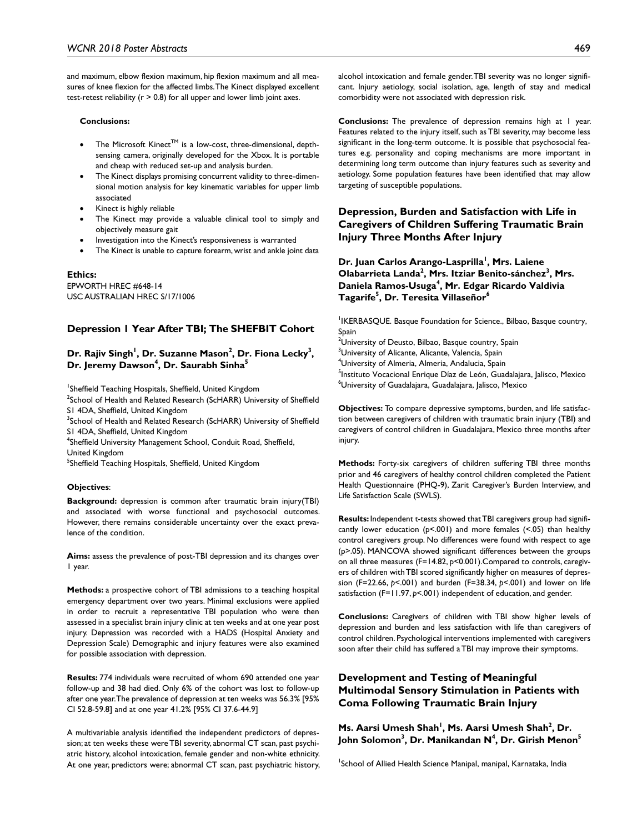and maximum, elbow flexion maximum, hip flexion maximum and all measures of knee flexion for the affected limbs. The Kinect displayed excellent test-retest reliability ( $r > 0.8$ ) for all upper and lower limb joint axes.

#### **Conclusions:**

- The Microsoft Kinect<sup>TM</sup> is a low-cost, three-dimensional, depthsensing camera, originally developed for the Xbox. It is portable and cheap with reduced set-up and analysis burden.
- The Kinect displays promising concurrent validity to three-dimensional motion analysis for key kinematic variables for upper limb associated
- Kinect is highly reliable
- The Kinect may provide a valuable clinical tool to simply and objectively measure gait
- Investigation into the Kinect's responsiveness is warranted
- The Kinect is unable to capture forearm, wrist and ankle joint data

#### **Ethics:**

EPWORTH HREC #648-14 USC AUSTRALIAN HREC S/17/1006

### **Depression 1 Year After TBI; The SHEFBIT Cohort**

## Dr. Rajiv Singh<sup>1</sup>, Dr. Suzanne Mason<sup>2</sup>, Dr. Fiona Lecky<sup>3</sup>, Dr. Jeremy Dawson<sup>4</sup>, Dr. Saurabh Sinha<sup>5</sup>

<sup>1</sup>Sheffield Teaching Hospitals, Sheffield, United Kingdom

<sup>2</sup>School of Health and Related Research (ScHARR) University of Sheffield S1 4DA, Sheffield, United Kingdom

<sup>3</sup>School of Health and Related Research (ScHARR) University of Sheffield S1 4DA, Sheffield, United Kingdom

4 Sheffield University Management School, Conduit Road, Sheffield, United Kingdom

<sup>5</sup>Sheffield Teaching Hospitals, Sheffield, United Kingdom

#### **Objectives**:

**Background:** depression is common after traumatic brain injury(TBI) and associated with worse functional and psychosocial outcomes. However, there remains considerable uncertainty over the exact prevalence of the condition.

**Aims:** assess the prevalence of post-TBI depression and its changes over 1 year.

**Methods:** a prospective cohort of TBI admissions to a teaching hospital emergency department over two years. Minimal exclusions were applied in order to recruit a representative TBI population who were then assessed in a specialist brain injury clinic at ten weeks and at one year post injury. Depression was recorded with a HADS (Hospital Anxiety and Depression Scale) Demographic and injury features were also examined for possible association with depression.

**Results:** 774 individuals were recruited of whom 690 attended one year follow-up and 38 had died. Only 6% of the cohort was lost to follow-up after one year. The prevalence of depression at ten weeks was 56.3% [95% CI 52.8-59.8] and at one year 41.2% [95% CI 37.6-44.9]

A multivariable analysis identified the independent predictors of depression; at ten weeks these were TBI severity, abnormal CT scan, past psychiatric history, alcohol intoxication, female gender and non-white ethnicity. At one year, predictors were; abnormal CT scan, past psychiatric history, alcohol intoxication and female gender. TBI severity was no longer significant. Injury aetiology, social isolation, age, length of stay and medical comorbidity were not associated with depression risk.

**Conclusions:** The prevalence of depression remains high at 1 year. Features related to the injury itself, such as TBI severity, may become less significant in the long-term outcome. It is possible that psychosocial features e.g. personality and coping mechanisms are more important in determining long term outcome than injury features such as severity and aetiology. Some population features have been identified that may allow targeting of susceptible populations.

# **Depression, Burden and Satisfaction with Life in Caregivers of Children Suffering Traumatic Brain Injury Three Months After Injury**

## **Dr. Juan Carlos Arango-Lasprilla<sup>l</sup>, Mrs. Laiene** Olabarrieta Landa<sup>2</sup>, Mrs. Itziar Benito-sánchez<sup>3</sup>, Mrs. **Daniela Ramos-Usuga4 , Mr. Edgar Ricardo Valdivia Tagarife<sup>5</sup> , Dr. Teresita Villaseñor6**

<sup>1</sup>IKERBASQUE. Basque Foundation for Science., Bilbao, Basque country, Spain

 $^{2}$ University of Deusto, Bilbao, Basque country, Spain  $^3$ University of Alicante, Alicante, Valencia, Spain

4 University of Almeria, Almeria, Andalucia, Spain

<sup>5</sup>Instituto Vocacional Enrique Díaz de León, Guadalajara, Jalisco, Mexico

 $^6$ University of Guadalajara, Guadalajara, Jalisco, Mexico

**Objectives:** To compare depressive symptoms, burden, and life satisfaction between caregivers of children with traumatic brain injury (TBI) and caregivers of control children in Guadalajara, Mexico three months after injury.

**Methods:** Forty-six caregivers of children suffering TBI three months prior and 46 caregivers of healthy control children completed the Patient Health Questionnaire (PHQ-9), Zarit Caregiver's Burden Interview, and Life Satisfaction Scale (SWLS).

**Results:** Independent t-tests showed that TBI caregivers group had significantly lower education ( $p$ <.001) and more females (<.05) than healthy control caregivers group. No differences were found with respect to age (p>.05). MANCOVA showed significant differences between the groups on all three measures (F=14.82, p<0.001).Compared to controls, caregivers of children with TBI scored significantly higher on measures of depression (F=22.66, *p*<.001) and burden (F=38.34, *p*<.001) and lower on life satisfaction (F=11.97, *p*<.001) independent of education, and gender.

**Conclusions:** Caregivers of children with TBI show higher levels of depression and burden and less satisfaction with life than caregivers of control children. Psychological interventions implemented with caregivers soon after their child has suffered a TBI may improve their symptoms.

# **Development and Testing of Meaningful Multimodal Sensory Stimulation in Patients with Coma Following Traumatic Brain Injury**

**Ms. Aarsi Umesh Shah<sup>1</sup>, Ms. Aarsi Umesh Shah<sup>2</sup>, Dr.** John Solomon<sup>3</sup>, Dr. Manikandan N<sup>4</sup>, Dr. Girish Menon<sup>5</sup>

<sup>1</sup>School of Allied Health Science Manipal, manipal, Karnataka, India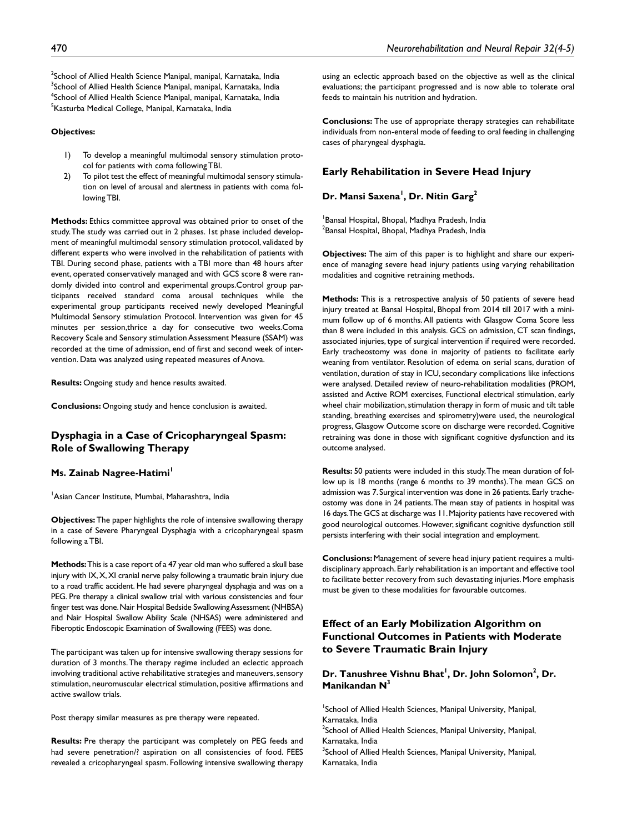$^{\rm 2}$ School of Allied Health Science Manipal, manipal, Karnataka, India <sup>3</sup>School of Allied Health Science Manipal, manipal, Karnataka, India 4 School of Allied Health Science Manipal, manipal, Karnataka, India <sup>5</sup>Kasturba Medical College, Manipal, Karnataka, India

### **Objectives:**

- 1) To develop a meaningful multimodal sensory stimulation protocol for patients with coma following TBI.
- 2) To pilot test the effect of meaningful multimodal sensory stimulation on level of arousal and alertness in patients with coma following TBI.

**Methods:** Ethics committee approval was obtained prior to onset of the study. The study was carried out in 2 phases. 1st phase included development of meaningful multimodal sensory stimulation protocol, validated by different experts who were involved in the rehabilitation of patients with TBI. During second phase, patients with a TBI more than 48 hours after event, operated conservatively managed and with GCS score 8 were randomly divided into control and experimental groups.Control group participants received standard coma arousal techniques while the experimental group participants received newly developed Meaningful Multimodal Sensory stimulation Protocol. Intervention was given for 45 minutes per session,thrice a day for consecutive two weeks.Coma Recovery Scale and Sensory stimulation Assessment Measure (SSAM) was recorded at the time of admission, end of first and second week of intervention. Data was analyzed using repeated measures of Anova.

**Results:** Ongoing study and hence results awaited.

**Conclusions:** Ongoing study and hence conclusion is awaited.

# **Dysphagia in a Case of Cricopharyngeal Spasm: Role of Swallowing Therapy**

### **Ms. Zainab Nagree-Hatimi**

1 Asian Cancer Institute, Mumbai, Maharashtra, India

**Objectives:** The paper highlights the role of intensive swallowing therapy in a case of Severe Pharyngeal Dysphagia with a cricopharyngeal spasm following a TBI.

**Methods:** This is a case report of a 47 year old man who suffered a skull base injury with IX, X, XI cranial nerve palsy following a traumatic brain injury due to a road traffic accident. He had severe pharyngeal dysphagia and was on a PEG. Pre therapy a clinical swallow trial with various consistencies and four finger test was done. Nair Hospital Bedside Swallowing Assessment (NHBSA) and Nair Hospital Swallow Ability Scale (NHSAS) were administered and Fiberoptic Endoscopic Examination of Swallowing (FEES) was done.

The participant was taken up for intensive swallowing therapy sessions for duration of 3 months. The therapy regime included an eclectic approach involving traditional active rehabilitative strategies and maneuvers, sensory stimulation, neuromuscular electrical stimulation, positive affirmations and active swallow trials.

Post therapy similar measures as pre therapy were repeated.

**Results:** Pre therapy the participant was completely on PEG feeds and had severe penetration/? aspiration on all consistencies of food. FEES revealed a cricopharyngeal spasm. Following intensive swallowing therapy using an eclectic approach based on the objective as well as the clinical evaluations; the participant progressed and is now able to tolerate oral feeds to maintain his nutrition and hydration.

**Conclusions:** The use of appropriate therapy strategies can rehabilitate individuals from non-enteral mode of feeding to oral feeding in challenging cases of pharyngeal dysphagia.

### **Early Rehabilitation in Severe Head Injury**

### **Dr. Mansi Saxena1 , Dr. Nitin Garg2**

<sup>1</sup> Bansal Hospital, Bhopal, Madhya Pradesh, India <sup>2</sup>Bansal Hospital, Bhopal, Madhya Pradesh, India

**Objectives:** The aim of this paper is to highlight and share our experience of managing severe head injury patients using varying rehabilitation modalities and cognitive retraining methods.

**Methods:** This is a retrospective analysis of 50 patients of severe head injury treated at Bansal Hospital, Bhopal from 2014 till 2017 with a minimum follow up of 6 months. All patients with Glasgow Coma Score less than 8 were included in this analysis. GCS on admission, CT scan findings, associated injuries, type of surgical intervention if required were recorded. Early tracheostomy was done in majority of patients to facilitate early weaning from ventilator. Resolution of edema on serial scans, duration of ventilation, duration of stay in ICU, secondary complications like infections were analysed. Detailed review of neuro-rehabilitation modalities (PROM, assisted and Active ROM exercises, Functional electrical stimulation, early wheel chair mobilization, stimulation therapy in form of music and tilt table standing, breathing exercises and spirometry)were used, the neurological progress, Glasgow Outcome score on discharge were recorded. Cognitive retraining was done in those with significant cognitive dysfunction and its outcome analysed.

**Results:** 50 patients were included in this study. The mean duration of follow up is 18 months (range 6 months to 39 months). The mean GCS on admission was 7. Surgical intervention was done in 26 patients. Early tracheostomy was done in 24 patients. The mean stay of patients in hospital was 16 days. The GCS at discharge was 11. Majority patients have recovered with good neurological outcomes. However, significant cognitive dysfunction still persists interfering with their social integration and employment.

**Conclusions:** Management of severe head injury patient requires a multidisciplinary approach. Early rehabilitation is an important and effective tool to facilitate better recovery from such devastating injuries. More emphasis must be given to these modalities for favourable outcomes.

# **Effect of an Early Mobilization Algorithm on Functional Outcomes in Patients with Moderate to Severe Traumatic Brain Injury**

## Dr. Tanushree Vishnu Bhat<sup>1</sup>, Dr. John Solomon<sup>2</sup>, Dr. Manikandan N<sup>3</sup>

<sup>1</sup>School of Allied Health Sciences, Manipal University, Manipal, Karnataka, India

 $2$ School of Allied Health Sciences, Manipal University, Manipal, Karnataka, India

<sup>3</sup>School of Allied Health Sciences, Manipal University, Manipal, Karnataka, India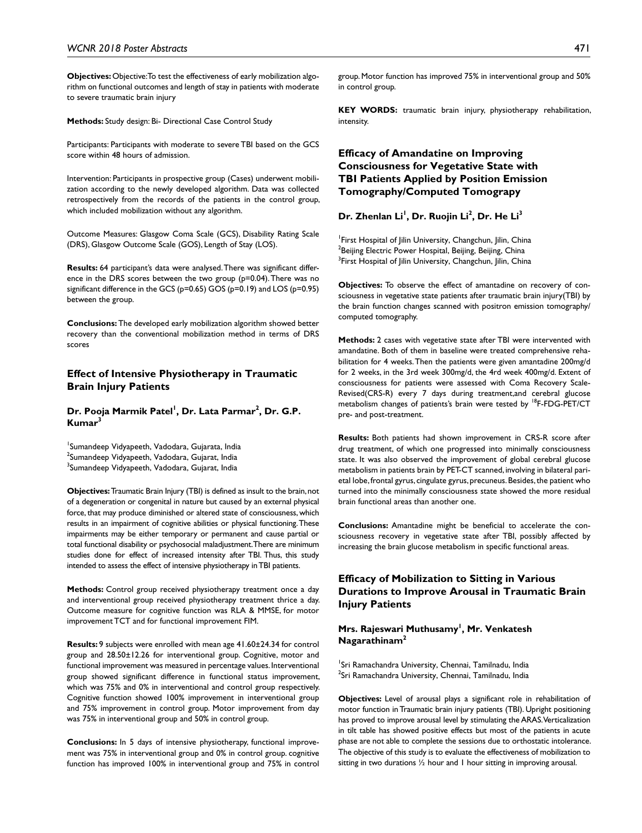**Objectives:** Objective: To test the effectiveness of early mobilization algorithm on functional outcomes and length of stay in patients with moderate to severe traumatic brain injury

**Methods:** Study design: Bi- Directional Case Control Study

Participants: Participants with moderate to severe TBI based on the GCS score within 48 hours of admission.

Intervention: Participants in prospective group (Cases) underwent mobilization according to the newly developed algorithm. Data was collected retrospectively from the records of the patients in the control group, which included mobilization without any algorithm.

Outcome Measures: Glasgow Coma Scale (GCS), Disability Rating Scale (DRS), Glasgow Outcome Scale (GOS), Length of Stay (LOS).

**Results:** 64 participant's data were analysed. There was significant difference in the DRS scores between the two group (p=0.04). There was no significant difference in the GCS (p=0.65) GOS (p=0.19) and LOS (p=0.95) between the group.

**Conclusions:** The developed early mobilization algorithm showed better recovery than the conventional mobilization method in terms of DRS scores

## **Effect of Intensive Physiotherapy in Traumatic Brain Injury Patients**

Dr. Pooja Marmik Patel<sup>'</sup>, Dr. Lata Parmar<sup>2</sup>, Dr. G.P. **Kumar3**

1 Sumandeep Vidyapeeth, Vadodara, Gujarata, India <sup>2</sup>Sumandeep Vidyapeeth, Vadodara, Gujarat, India <sup>3</sup>Sumandeep Vidyapeeth, Vadodara, Gujarat, India

**Objectives:** Traumatic Brain Injury (TBI) is defined as insult to the brain, not of a degeneration or congenital in nature but caused by an external physical force, that may produce diminished or altered state of consciousness, which results in an impairment of cognitive abilities or physical functioning. These impairments may be either temporary or permanent and cause partial or total functional disability or psychosocial maladjustment. There are minimum studies done for effect of increased intensity after TBI. Thus, this study intended to assess the effect of intensive physiotherapy in TBI patients.

**Methods:** Control group received physiotherapy treatment once a day and interventional group received physiotherapy treatment thrice a day. Outcome measure for cognitive function was RLA & MMSE, for motor improvement TCT and for functional improvement FIM.

**Results:** 9 subjects were enrolled with mean age 41.60±24.34 for control group and 28.50±12.26 for interventional group. Cognitive, motor and functional improvement was measured in percentage values. Interventional group showed significant difference in functional status improvement, which was 75% and 0% in interventional and control group respectively. Cognitive function showed 100% improvement in interventional group and 75% improvement in control group. Motor improvement from day was 75% in interventional group and 50% in control group.

**Conclusions:** In 5 days of intensive physiotherapy, functional improvement was 75% in interventional group and 0% in control group. cognitive function has improved 100% in interventional group and 75% in control group. Motor function has improved 75% in interventional group and 50% in control group.

**KEY WORDS:** traumatic brain injury, physiotherapy rehabilitation, intensity.

# **Efficacy of Amandatine on Improving Consciousness for Vegetative State with TBI Patients Applied by Position Emission Tomography/Computed Tomograpy**

## **Dr. Zhenlan Li1 , Dr. Ruojin Li2 , Dr. He Li3**

<sup>1</sup>First Hospital of Jilin University, Changchun, Jilin, China <sup>2</sup>Beijing Electric Power Hospital, Beijing, Beijing, China  $^3$ First Hospital of Jilin University, Changchun, Jilin, China

**Objectives:** To observe the effect of amantadine on recovery of consciousness in vegetative state patients after traumatic brain injury(TBI) by the brain function changes scanned with positron emission tomography/ computed tomography.

**Methods:** 2 cases with vegetative state after TBI were intervented with amandatine. Both of them in baseline were treated comprehensive rehabilitation for 4 weeks. Then the patients were given amantadine 200mg/d for 2 weeks, in the 3rd week 300mg/d, the 4rd week 400mg/d. Extent of consciousness for patients were assessed with Coma Recovery Scale-Revised(CRS-R) every 7 days during treatment,and cerebral glucose metabolism changes of patients's brain were tested by <sup>18</sup>F-FDG-PET/CT pre- and post-treatment.

**Results:** Both patients had shown improvement in CRS-R score after drug treatment, of which one progressed into minimally consciousness state. It was also observed the improvement of global cerebral glucose metabolism in patients brain by PET-CT scanned, involving in bilateral parietal lobe, frontal gyrus, cingulate gyrus, precuneus. Besides, the patient who turned into the minimally consciousness state showed the more residual brain functional areas than another one.

**Conclusions:** Amantadine might be beneficial to accelerate the consciousness recovery in vegetative state after TBI, possibly affected by increasing the brain glucose metabolism in specific functional areas.

## **Efficacy of Mobilization to Sitting in Various Durations to Improve Arousal in Traumatic Brain Injury Patients**

### **Mrs. Rajeswari Muthusamy1 , Mr. Venkatesh Nagarathinam<sup>2</sup>**

<sup>1</sup>Sri Ramachandra University, Chennai, Tamilnadu, India <sup>2</sup>Sri Ramachandra University, Chennai, Tamilnadu, India

**Objectives:** Level of arousal plays a significant role in rehabilitation of motor function in Traumatic brain injury patients (TBI). Upright positioning has proved to improve arousal level by stimulating the ARAS. Verticalization in tilt table has showed positive effects but most of the patients in acute phase are not able to complete the sessions due to orthostatic intolerance. The objective of this study is to evaluate the effectiveness of mobilization to sitting in two durations ½ hour and 1 hour sitting in improving arousal.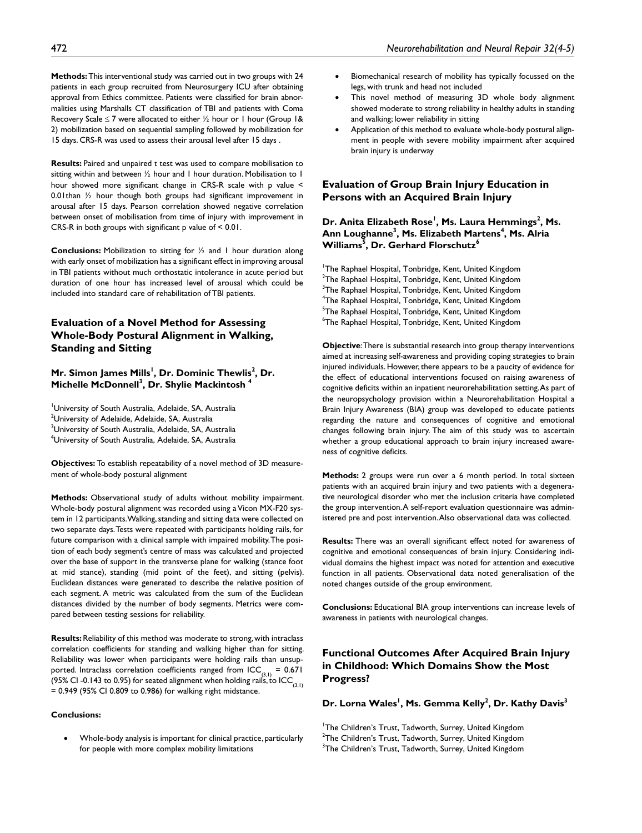**Methods:** This interventional study was carried out in two groups with 24 patients in each group recruited from Neurosurgery ICU after obtaining approval from Ethics committee. Patients were classified for brain abnormalities using Marshalls CT classification of TBI and patients with Coma Recovery Scale  $\leq$  7 were allocated to either  $\frac{1}{2}$  hour or 1 hour (Group 1& 2) mobilization based on sequential sampling followed by mobilization for 15 days. CRS-R was used to assess their arousal level after 15 days .

**Results:** Paired and unpaired t test was used to compare mobilisation to sitting within and between ½ hour and 1 hour duration. Mobilisation to 1 hour showed more significant change in CRS-R scale with p value < 0.01than ½ hour though both groups had significant improvement in arousal after 15 days. Pearson correlation showed negative correlation between onset of mobilisation from time of injury with improvement in CRS-R in both groups with significant p value of < 0.01.

**Conclusions:** Mobilization to sitting for ½ and 1 hour duration along with early onset of mobilization has a significant effect in improving arousal in TBI patients without much orthostatic intolerance in acute period but duration of one hour has increased level of arousal which could be included into standard care of rehabilitation of TBI patients.

# **Evaluation of a Novel Method for Assessing Whole-Body Postural Alignment in Walking, Standing and Sitting**

## **Mr. Simon James Mills<sup>1</sup>, Dr. Dominic Thewlis<sup>2</sup>, Dr. Michelle McDonnell3 , Dr. Shylie Mackintosh 4**

University of South Australia, Adelaide, SA, Australia <sup>2</sup>University of Adelaide, Adelaide, SA, Australia <sup>3</sup>University of South Australia, Adelaide, SA, Australia 4 University of South Australia, Adelaide, SA, Australia

**Objectives:** To establish repeatability of a novel method of 3D measurement of whole-body postural alignment

**Methods:** Observational study of adults without mobility impairment. Whole-body postural alignment was recorded using a Vicon MX-F20 system in 12 participants. Walking, standing and sitting data were collected on two separate days. Tests were repeated with participants holding rails, for future comparison with a clinical sample with impaired mobility. The position of each body segment's centre of mass was calculated and projected over the base of support in the transverse plane for walking (stance foot at mid stance), standing (mid point of the feet), and sitting (pelvis). Euclidean distances were generated to describe the relative position of each segment. A metric was calculated from the sum of the Euclidean distances divided by the number of body segments. Metrics were compared between testing sessions for reliability.

**Results:** Reliability of this method was moderate to strong, with intraclass correlation coefficients for standing and walking higher than for sitting. Reliability was lower when participants were holding rails than unsupported. Intraclass correlation coefficients ranged from  $ICC_{(3,1)} = 0.671$ (95% CI -0.143 to 0.95) for seated alignment when holding rails, to ICC<sub>(3,1)</sub> = 0.949 (95% CI 0.809 to 0.986) for walking right midstance.

#### **Conclusions:**

• Whole-body analysis is important for clinical practice, particularly for people with more complex mobility limitations

- Biomechanical research of mobility has typically focussed on the legs, with trunk and head not included
- This novel method of measuring 3D whole body alignment showed moderate to strong reliability in healthy adults in standing and walking; lower reliability in sitting
- Application of this method to evaluate whole-body postural alignment in people with severe mobility impairment after acquired brain injury is underway

## **Evaluation of Group Brain Injury Education in Persons with an Acquired Brain Injury**

## Dr. Anita Elizabeth Rose<sup>l</sup>, Ms. Laura Hemmings<sup>2</sup>, Ms. **Ann Loughanne3 , Ms. Elizabeth Martens4 , Ms. Alria**   $\mathsf{Williams}^5$ , Dr. Gerhard Florschutz<sup>6</sup>

<sup>1</sup>The Raphael Hospital, Tonbridge, Kent, United Kingdom  $^{\rm 2}$ The Raphael Hospital, Tonbridge, Kent, United Kingdom  $^3$ The Raphael Hospital, Tonbridge, Kent, United Kingdom <sup>4</sup>The Raphael Hospital, Tonbridge, Kent, United Kingdom <sup>5</sup>The Raphael Hospital, Tonbridge, Kent, United Kingdom  $^6$ The Raphael Hospital, Tonbridge, Kent, United Kingdom

**Objective**: There is substantial research into group therapy interventions aimed at increasing self-awareness and providing coping strategies to brain injured individuals. However, there appears to be a paucity of evidence for the effect of educational interventions focused on raising awareness of cognitive deficits within an inpatient neurorehabilitation setting. As part of the neuropsychology provision within a Neurorehabilitation Hospital a Brain Injury Awareness (BIA) group was developed to educate patients regarding the nature and consequences of cognitive and emotional changes following brain injury. The aim of this study was to ascertain whether a group educational approach to brain injury increased awareness of cognitive deficits.

**Methods:** 2 groups were run over a 6 month period. In total sixteen patients with an acquired brain injury and two patients with a degenerative neurological disorder who met the inclusion criteria have completed the group intervention. A self-report evaluation questionnaire was administered pre and post intervention. Also observational data was collected.

**Results:** There was an overall significant effect noted for awareness of cognitive and emotional consequences of brain injury. Considering individual domains the highest impact was noted for attention and executive function in all patients. Observational data noted generalisation of the noted changes outside of the group environment.

**Conclusions:** Educational BIA group interventions can increase levels of awareness in patients with neurological changes.

# **Functional Outcomes After Acquired Brain Injury in Childhood: Which Domains Show the Most Progress?**

## Dr. Lorna Wales<sup>I</sup>, Ms. Gemma Kelly<sup>2</sup>, Dr. Kathy Davis<sup>3</sup>

<sup>1</sup>The Children's Trust, Tadworth, Surrey, United Kingdom  $^{2}$ The Children's Trust, Tadworth, Surrey, United Kingdom  $^3$ The Children's Trust, Tadworth, Surrey, United Kingdom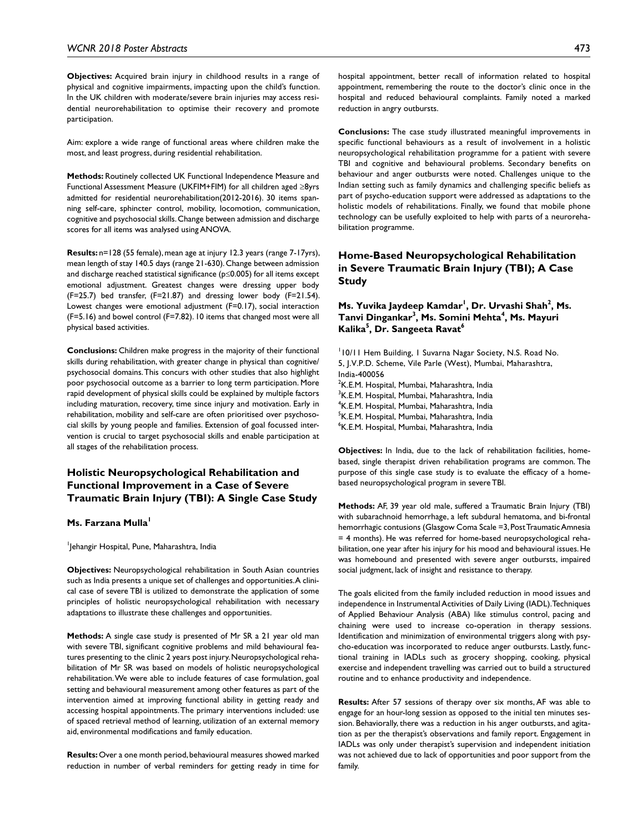**Objectives:** Acquired brain injury in childhood results in a range of physical and cognitive impairments, impacting upon the child's function. In the UK children with moderate/severe brain injuries may access residential neurorehabilitation to optimise their recovery and promote participation.

Aim: explore a wide range of functional areas where children make the most, and least progress, during residential rehabilitation.

**Methods:** Routinely collected UK Functional Independence Measure and Functional Assessment Measure (UKFIM+FIM) for all children aged ≥8yrs admitted for residential neurorehabilitation(2012-2016). 30 items spanning self-care, sphincter control, mobility, locomotion, communication, cognitive and psychosocial skills. Change between admission and discharge scores for all items was analysed using ANOVA.

**Results:** n=128 (55 female), mean age at injury 12.3 years (range 7-17yrs), mean length of stay 140.5 days (range 21-630). Change between admission and discharge reached statistical significance (p≤0.005) for all items except emotional adjustment. Greatest changes were dressing upper body (F=25.7) bed transfer, (F=21.87) and dressing lower body (F=21.54). Lowest changes were emotional adjustment (F=0.17), social interaction (F=5.16) and bowel control (F=7.82). 10 items that changed most were all physical based activities.

**Conclusions:** Children make progress in the majority of their functional skills during rehabilitation, with greater change in physical than cognitive/ psychosocial domains. This concurs with other studies that also highlight poor psychosocial outcome as a barrier to long term participation. More rapid development of physical skills could be explained by multiple factors including maturation, recovery, time since injury and motivation. Early in rehabilitation, mobility and self-care are often prioritised over psychosocial skills by young people and families. Extension of goal focussed intervention is crucial to target psychosocial skills and enable participation at all stages of the rehabilitation process.

## **Holistic Neuropsychological Rehabilitation and Functional Improvement in a Case of Severe Traumatic Brain Injury (TBI): A Single Case Study**

#### **Ms. Farzana Mulla**<sup>1</sup>

<sup>1</sup>Jehangir Hospital, Pune, Maharashtra, India

**Objectives:** Neuropsychological rehabilitation in South Asian countries such as India presents a unique set of challenges and opportunities. A clinical case of severe TBI is utilized to demonstrate the application of some principles of holistic neuropsychological rehabilitation with necessary adaptations to illustrate these challenges and opportunities.

**Methods:** A single case study is presented of Mr SR a 21 year old man with severe TBI, significant cognitive problems and mild behavioural features presenting to the clinic 2 years post injury. Neuropsychological rehabilitation of Mr SR was based on models of holistic neuropsychological rehabilitation. We were able to include features of case formulation, goal setting and behavioural measurement among other features as part of the intervention aimed at improving functional ability in getting ready and accessing hospital appointments. The primary interventions included: use of spaced retrieval method of learning, utilization of an external memory aid, environmental modifications and family education.

**Results:** Over a one month period, behavioural measures showed marked reduction in number of verbal reminders for getting ready in time for

hospital appointment, better recall of information related to hospital appointment, remembering the route to the doctor's clinic once in the hospital and reduced behavioural complaints. Family noted a marked reduction in angry outbursts.

**Conclusions:** The case study illustrated meaningful improvements in specific functional behaviours as a result of involvement in a holistic neuropsychological rehabilitation programme for a patient with severe TBI and cognitive and behavioural problems. Secondary benefits on behaviour and anger outbursts were noted. Challenges unique to the Indian setting such as family dynamics and challenging specific beliefs as part of psycho-education support were addressed as adaptations to the holistic models of rehabilitations. Finally, we found that mobile phone technology can be usefully exploited to help with parts of a neurorehabilitation programme.

# **Home-Based Neuropsychological Rehabilitation in Severe Traumatic Brain Injury (TBI); A Case Study**

## **Ms. Yuvika Jaydeep Kamdar<sup>i</sup>, Dr. Urvashi Shah<sup>2</sup>, Ms. Tanvi Dingankar3 , Ms. Somini Mehta4 , Ms. Mayuri**  Kalika<sup>5</sup>, Dr. Sangeeta Ravat<sup>6</sup>

<sup>1</sup>10/11 Hem Building, I Suvarna Nagar Society, N.S. Road No. 5, J.V.P.D. Scheme, Vile Parle (West), Mumbai, Maharashtra, India-400056  $^{2}$ K.E.M. Hospital, Mumbai, Maharashtra, India <sup>3</sup>K.E.M. Hospital, Mumbai, Maharashtra, India 4 K.E.M. Hospital, Mumbai, Maharashtra, India <sup>5</sup>K.E.M. Hospital, Mumbai, Maharashtra, India 6 K.E.M. Hospital, Mumbai, Maharashtra, India

**Objectives:** In India, due to the lack of rehabilitation facilities, homebased, single therapist driven rehabilitation programs are common. The purpose of this single case study is to evaluate the efficacy of a homebased neuropsychological program in severe TBI.

**Methods:** AF, 39 year old male, suffered a Traumatic Brain Injury (TBI) with subarachnoid hemorrhage, a left subdural hematoma, and bi-frontal hemorrhagic contusions (Glasgow Coma Scale =3, Post Traumatic Amnesia = 4 months). He was referred for home-based neuropsychological rehabilitation, one year after his injury for his mood and behavioural issues. He was homebound and presented with severe anger outbursts, impaired social judgment, lack of insight and resistance to therapy.

The goals elicited from the family included reduction in mood issues and independence in Instrumental Activities of Daily Living (IADL). Techniques of Applied Behaviour Analysis (ABA) like stimulus control, pacing and chaining were used to increase co-operation in therapy sessions. Identification and minimization of environmental triggers along with psycho-education was incorporated to reduce anger outbursts. Lastly, functional training in IADLs such as grocery shopping, cooking, physical exercise and independent travelling was carried out to build a structured routine and to enhance productivity and independence.

**Results:** After 57 sessions of therapy over six months, AF was able to engage for an hour-long session as opposed to the initial ten minutes session. Behaviorally, there was a reduction in his anger outbursts, and agitation as per the therapist's observations and family report. Engagement in IADLs was only under therapist's supervision and independent initiation was not achieved due to lack of opportunities and poor support from the family.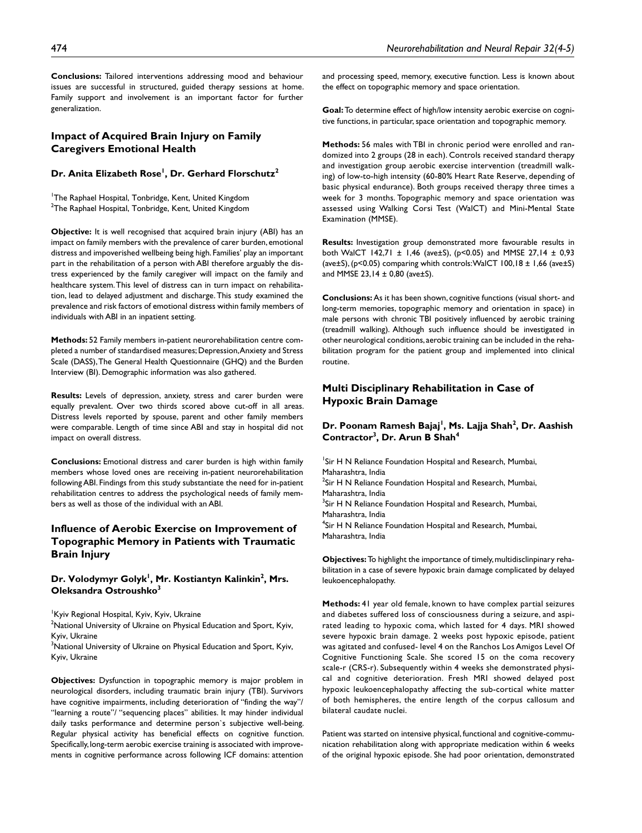**Conclusions:** Tailored interventions addressing mood and behaviour issues are successful in structured, guided therapy sessions at home. Family support and involvement is an important factor for further generalization.

# **Impact of Acquired Brain Injury on Family Caregivers Emotional Health**

## **Dr. Anita Elizabeth Rose1 , Dr. Gerhard Florschutz2**

<sup>1</sup>The Raphael Hospital, Tonbridge, Kent, United Kingdom  $^{2}$ The Raphael Hospital, Tonbridge, Kent, United Kingdom

**Objective:** It is well recognised that acquired brain injury (ABI) has an impact on family members with the prevalence of carer burden, emotional distress and impoverished wellbeing being high. Families' play an important part in the rehabilitation of a person with ABI therefore arguably the distress experienced by the family caregiver will impact on the family and healthcare system. This level of distress can in turn impact on rehabilitation, lead to delayed adjustment and discharge. This study examined the prevalence and risk factors of emotional distress within family members of individuals with ABI in an inpatient setting.

**Methods:** 52 Family members in-patient neurorehabilitation centre completed a number of standardised measures; Depression, Anxiety and Stress Scale (DASS), The General Health Questionnaire (GHQ) and the Burden Interview (BI). Demographic information was also gathered.

**Results:** Levels of depression, anxiety, stress and carer burden were equally prevalent. Over two thirds scored above cut-off in all areas. Distress levels reported by spouse, parent and other family members were comparable. Length of time since ABI and stay in hospital did not impact on overall distress.

**Conclusions:** Emotional distress and carer burden is high within family members whose loved ones are receiving in-patient neurorehabilitation following ABI. Findings from this study substantiate the need for in-patient rehabilitation centres to address the psychological needs of family members as well as those of the individual with an ABI.

# **Influence of Aerobic Exercise on Improvement of Topographic Memory in Patients with Traumatic Brain Injury**

### Dr. Volodymyr Golyk<sup>I</sup>, Mr. Kostiantyn Kalinkin<sup>2</sup>, Mrs. **Oleksandra Ostroushko**<sup>3</sup>

1 Kyiv Regional Hospital, Kyiv, Kyiv, Ukraine

 $^2$ National University of Ukraine on Physical Education and Sport, Kyiv, Kyiv, Ukraine

 $3$ National University of Ukraine on Physical Education and Sport, Kyiv, Kyiv, Ukraine

**Objectives:** Dysfunction in topographic memory is major problem in neurological disorders, including traumatic brain injury (TBI). Survivors have cognitive impairments, including deterioration of "finding the way"/ "learning a route"/ "sequencing places" abilities. It may hinder individual daily tasks performance and determine person`s subjective well-being. Regular physical activity has beneficial effects on cognitive function. Specifically, long-term aerobic exercise training is associated with improvements in cognitive performance across following ICF domains: attention

and processing speed, memory, executive function. Less is known about the effect on topographic memory and space orientation.

**Goal:** To determine effect of high/low intensity aerobic exercise on cognitive functions, in particular, space orientation and topographic memory.

**Methods:** 56 males with TBI in chronic period were enrolled and randomized into 2 groups (28 in each). Controls received standard therapy and investigation group aerobic exercise intervention (treadmill walking) of low-to-high intensity (60-80% Heart Rate Reserve, depending of basic physical endurance). Both groups received therapy three times a week for 3 months. Topographic memory and space orientation was assessed using Walking Corsi Test (WalCT) and Mini-Mental State Examination (MMSE).

**Results:** Investigation group demonstrated more favourable results in both WalCT 142,71 ± 1,46 (ave±S), (p<0.05) and MMSE 27,14 ± 0,93 (ave $\pm$ S), (p<0.05) comparing whith controls: WalCT 100,18  $\pm$  1,66 (ave $\pm$ S) and MMSE 23,  $14 \pm 0.80$  (ave $\pm$ S).

**Conclusions:** As it has been shown, cognitive functions (visual short- and long-term memories, topographic memory and orientation in space) in male persons with chronic TBI positively influenced by aerobic training (treadmill walking). Although such influence should be investigated in other neurological conditions, aerobic training can be included in the rehabilitation program for the patient group and implemented into clinical routine.

## **Multi Disciplinary Rehabilitation in Case of Hypoxic Brain Damage**

## Dr. Poonam Ramesh Bajaj<sup>1</sup>, Ms. Lajja Shah<sup>2</sup>, Dr. Aashish **Contractor3 , Dr. Arun B Shah4**

<sup>1</sup>Sir H N Reliance Foundation Hospital and Research, Mumbai, Maharashtra, India

 $2$ Sir H N Reliance Foundation Hospital and Research, Mumbai, Maharashtra, India

 $3$ Sir H N Reliance Foundation Hospital and Research, Mumbai, Maharashtra, India

4 Sir H N Reliance Foundation Hospital and Research, Mumbai, Maharashtra, India

**Objectives:** To highlight the importance of timely, multidisclinpinary rehabilitation in a case of severe hypoxic brain damage complicated by delayed leukoencephalopathy.

**Methods:** 41 year old female, known to have complex partial seizures and diabetes suffered loss of consciousness during a seizure, and aspirated leading to hypoxic coma, which lasted for 4 days. MRI showed severe hypoxic brain damage. 2 weeks post hypoxic episode, patient was agitated and confused- level 4 on the Ranchos Los Amigos Level Of Cognitive Functioning Scale. She scored 15 on the coma recovery scale-r (CRS-r). Subsequently within 4 weeks she demonstrated physical and cognitive deterioration. Fresh MRI showed delayed post hypoxic leukoencephalopathy affecting the sub-cortical white matter of both hemispheres, the entire length of the corpus callosum and bilateral caudate nuclei.

Patient was started on intensive physical, functional and cognitive-communication rehabilitation along with appropriate medication within 6 weeks of the original hypoxic episode. She had poor orientation, demonstrated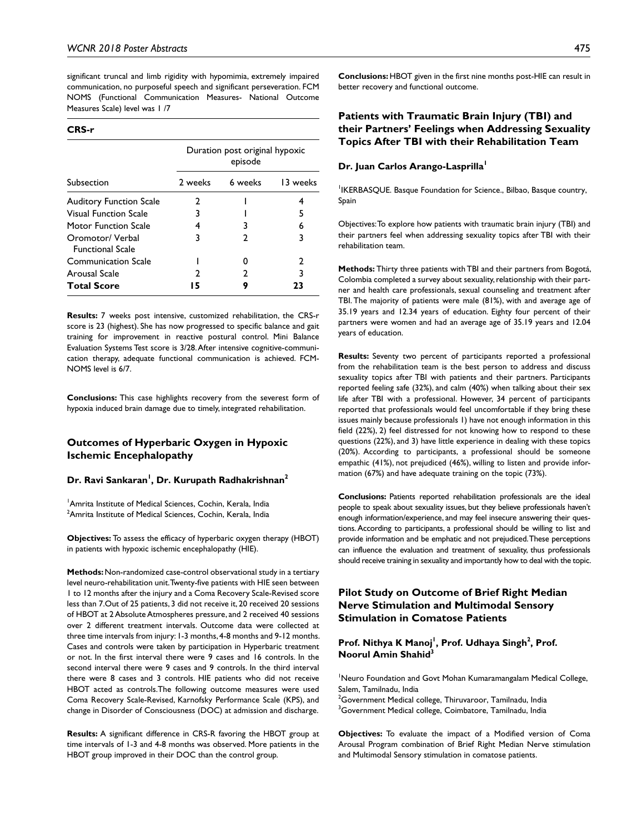significant truncal and limb rigidity with hypomimia, extremely impaired communication, no purposeful speech and significant perseveration. FCM NOMS (Functional Communication Measures- National Outcome Measures Scale) level was 1 /7

#### **CRS-r**

| Subsection                                  | Duration post original hypoxic<br>episode |         |          |  |
|---------------------------------------------|-------------------------------------------|---------|----------|--|
|                                             | 2 weeks                                   | 6 weeks | 13 weeks |  |
| <b>Auditory Function Scale</b>              | 2                                         |         |          |  |
| <b>Visual Function Scale</b>                | 3                                         |         | 5        |  |
| Motor Function Scale                        |                                           |         | 6        |  |
| Oromotor/ Verbal<br><b>Functional Scale</b> | 3                                         | 2       | 3        |  |
| Communication Scale                         |                                           |         | 2        |  |
| Arousal Scale                               | 2                                         | າ       | 3        |  |
| <b>Total Score</b>                          | 15                                        |         | 23       |  |

**Results:** 7 weeks post intensive, customized rehabilitation, the CRS-r score is 23 (highest). She has now progressed to specific balance and gait training for improvement in reactive postural control. Mini Balance Evaluation Systems Test score is 3/28. After intensive cognitive-communication therapy, adequate functional communication is achieved. FCM-NOMS level is 6/7.

**Conclusions:** This case highlights recovery from the severest form of hypoxia induced brain damage due to timely, integrated rehabilitation.

## **Outcomes of Hyperbaric Oxygen in Hypoxic Ischemic Encephalopathy**

## **Dr. Ravi Sankaran1 , Dr. Kurupath Radhakrishnan2**

<sup>1</sup> Amrita Institute of Medical Sciences, Cochin, Kerala, India 2 Amrita Institute of Medical Sciences, Cochin, Kerala, India

**Objectives:** To assess the efficacy of hyperbaric oxygen therapy (HBOT) in patients with hypoxic ischemic encephalopathy (HIE).

**Methods:** Non-randomized case-control observational study in a tertiary level neuro-rehabilitation unit. Twenty-five patients with HIE seen between 1 to 12 months after the injury and a Coma Recovery Scale-Revised score less than 7.Out of 25 patients, 3 did not receive it, 20 received 20 sessions of HBOT at 2 Absolute Atmospheres pressure, and 2 received 40 sessions over 2 different treatment intervals. Outcome data were collected at three time intervals from injury: 1-3 months, 4-8 months and 9-12 months. Cases and controls were taken by participation in Hyperbaric treatment or not. In the first interval there were 9 cases and 16 controls. In the second interval there were 9 cases and 9 controls. In the third interval there were 8 cases and 3 controls. HIE patients who did not receive HBOT acted as controls.The following outcome measures were used Coma Recovery Scale-Revised, Karnofsky Performance Scale (KPS), and change in Disorder of Consciousness (DOC) at admission and discharge.

**Results:** A significant difference in CRS-R favoring the HBOT group at time intervals of 1-3 and 4-8 months was observed. More patients in the HBOT group improved in their DOC than the control group.

**Conclusions:** HBOT given in the first nine months post-HIE can result in better recovery and functional outcome.

## **Patients with Traumatic Brain Injury (TBI) and their Partners' Feelings when Addressing Sexuality Topics After TBI with their Rehabilitation Team**

#### **Dr. Juan Carlos Arango-Lasprilla**

<sup>1</sup>IKERBASQUE. Basque Foundation for Science., Bilbao, Basque country, Spain

Objectives: To explore how patients with traumatic brain injury (TBI) and their partners feel when addressing sexuality topics after TBI with their rehabilitation team.

**Methods:** Thirty three patients with TBI and their partners from Bogotá, Colombia completed a survey about sexuality, relationship with their partner and health care professionals, sexual counseling and treatment after TBI. The majority of patients were male (81%), with and average age of 35.19 years and 12.34 years of education. Eighty four percent of their partners were women and had an average age of 35.19 years and 12.04 years of education.

**Results:** Seventy two percent of participants reported a professional from the rehabilitation team is the best person to address and discuss sexuality topics after TBI with patients and their partners. Participants reported feeling safe (32%), and calm (40%) when talking about their sex life after TBI with a professional. However, 34 percent of participants reported that professionals would feel uncomfortable if they bring these issues mainly because professionals 1) have not enough information in this field (22%), 2) feel distressed for not knowing how to respond to these questions (22%), and 3) have little experience in dealing with these topics (20%). According to participants, a professional should be someone empathic (41%), not prejudiced (46%), willing to listen and provide information (67%) and have adequate training on the topic (73%).

**Conclusions:** Patients reported rehabilitation professionals are the ideal people to speak about sexuality issues, but they believe professionals haven't enough information/experience, and may feel insecure answering their questions. According to participants, a professional should be willing to list and provide information and be emphatic and not prejudiced. These perceptions can influence the evaluation and treatment of sexuality, thus professionals should receive training in sexuality and importantly how to deal with the topic.

# **Pilot Study on Outcome of Brief Right Median Nerve Stimulation and Multimodal Sensory Stimulation in Comatose Patients**

## Prof. Nithya K Manoj<sup>1</sup>, Prof. Udhaya Singh<sup>2</sup>, Prof. **Noorul Amin Shahid**

<sup>1</sup>Neuro Foundation and Govt Mohan Kumaramangalam Medical College, Salem, Tamilnadu, India

 $^2$ Government Medical college, Thiruvaroor, Tamilnadu, India  $^3$ Government Medical college, Coimbatore, Tamilnadu, India

**Objectives:** To evaluate the impact of a Modified version of Coma Arousal Program combination of Brief Right Median Nerve stimulation and Multimodal Sensory stimulation in comatose patients.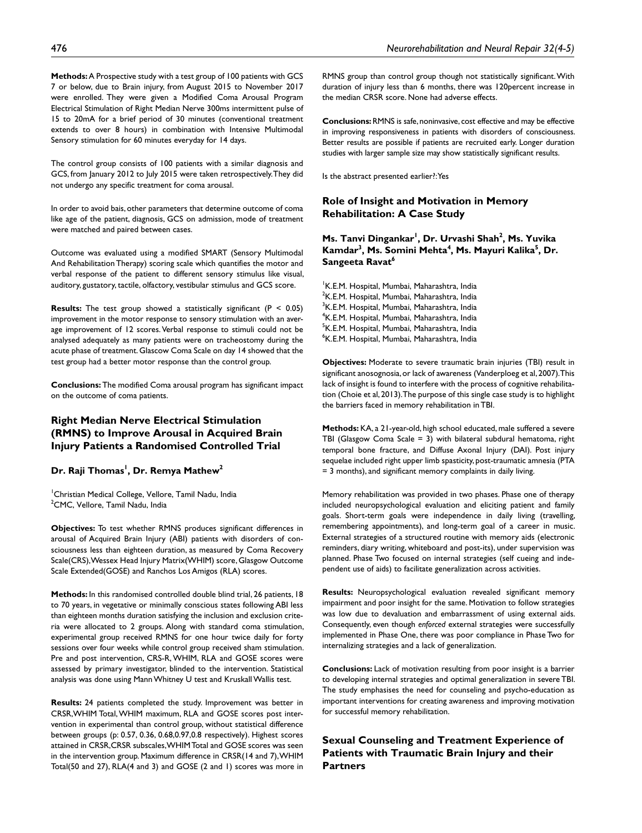**Methods:** A Prospective study with a test group of 100 patients with GCS 7 or below, due to Brain injury, from August 2015 to November 2017 were enrolled. They were given a Modified Coma Arousal Program Electrical Stimulation of Right Median Nerve 300ms intermittent pulse of 15 to 20mA for a brief period of 30 minutes (conventional treatment extends to over 8 hours) in combination with Intensive Multimodal Sensory stimulation for 60 minutes everyday for 14 days.

The control group consists of 100 patients with a similar diagnosis and GCS, from January 2012 to July 2015 were taken retrospectively. They did not undergo any specific treatment for coma arousal.

In order to avoid bais, other parameters that determine outcome of coma like age of the patient, diagnosis, GCS on admission, mode of treatment were matched and paired between cases.

Outcome was evaluated using a modified SMART (Sensory Multimodal And Rehabilitation Therapy) scoring scale which quantifies the motor and verbal response of the patient to different sensory stimulus like visual, auditory, gustatory, tactile, olfactory, vestibular stimulus and GCS score.

**Results:** The test group showed a statistically significant (P < 0.05) improvement in the motor response to sensory stimulation with an average improvement of 12 scores. Verbal response to stimuli could not be analysed adequately as many patients were on tracheostomy during the acute phase of treatment. Glascow Coma Scale on day 14 showed that the test group had a better motor response than the control group.

**Conclusions:** The modified Coma arousal program has significant impact on the outcome of coma patients.

## **Right Median Nerve Electrical Stimulation (RMNS) to Improve Arousal in Acquired Brain Injury Patients a Randomised Controlled Trial**

#### Dr. Raji Thomas<sup>I</sup>, Dr. Remya Mathew<sup>2</sup>

<sup>1</sup> Christian Medical College, Vellore, Tamil Nadu, India <sup>2</sup>CMC, Vellore, Tamil Nadu, India

**Objectives:** To test whether RMNS produces significant differences in arousal of Acquired Brain Injury (ABI) patients with disorders of consciousness less than eighteen duration, as measured by Coma Recovery Scale(CRS), Wessex Head Injury Matrix(WHIM) score, Glasgow Outcome Scale Extended(GOSE) and Ranchos Los Amigos (RLA) scores.

**Methods:** In this randomised controlled double blind trial, 26 patients, 18 to 70 years, in vegetative or minimally conscious states following ABI less than eighteen months duration satisfying the inclusion and exclusion criteria were allocated to 2 groups. Along with standard coma stimulation, experimental group received RMNS for one hour twice daily for forty sessions over four weeks while control group received sham stimulation. Pre and post intervention, CRS-R, WHIM, RLA and GOSE scores were assessed by primary investigator, blinded to the intervention. Statistical analysis was done using Mann Whitney U test and Kruskall Wallis test.

**Results:** 24 patients completed the study. Improvement was better in CRSR,WHIM Total, WHIM maximum, RLA and GOSE scores post intervention in experimental than control group, without statistical difference between groups (p: 0.57, 0.36, 0.68,0.97,0.8 respectively). Highest scores attained in CRSR,CRSR subscales, WHIM Total and GOSE scores was seen in the intervention group. Maximum difference in CRSR(14 and 7), WHIM Total(50 and 27), RLA(4 and 3) and GOSE (2 and 1) scores was more in

RMNS group than control group though not statistically significant. With duration of injury less than 6 months, there was 120percent increase in the median CRSR score. None had adverse effects.

**Conclusions:** RMNS is safe, noninvasive, cost effective and may be effective in improving responsiveness in patients with disorders of consciousness. Better results are possible if patients are recruited early. Longer duration studies with larger sample size may show statistically significant results.

Is the abstract presented earlier?: Yes

## **Role of Insight and Motivation in Memory Rehabilitation: A Case Study**

**Ms. Tanvi Dingankar1 , Dr. Urvashi Shah2 , Ms. Yuvika**  Kamdar<sup>3</sup>, Ms. Somini Mehta<sup>4</sup>, Ms. Mayuri Kalika<sup>5</sup>, Dr. **Sangeeta Ravat<sup>6</sup>** 

<sup>1</sup> K.E.M. Hospital, Mumbai, Maharashtra, India  $^{2}$ K.E.M. Hospital, Mumbai, Maharashtra, India <sup>3</sup>K.E.M. Hospital, Mumbai, Maharashtra, India <sup>4</sup>K.E.M. Hospital, Mumbai, Maharashtra, India <sup>5</sup>K.E.M. Hospital, Mumbai, Maharashtra, India 6 K.E.M. Hospital, Mumbai, Maharashtra, India

**Objectives:** Moderate to severe traumatic brain injuries (TBI) result in significant anosognosia, or lack of awareness (Vanderploeg et al, 2007). This lack of insight is found to interfere with the process of cognitive rehabilitation (Choie et al, 2013). The purpose of this single case study is to highlight the barriers faced in memory rehabilitation in TBI.

**Methods:** KA, a 21-year-old, high school educated, male suffered a severe TBI (Glasgow Coma Scale = 3) with bilateral subdural hematoma, right temporal bone fracture, and Diffuse Axonal Injury (DAI). Post injury sequelae included right upper limb spasticity, post-traumatic amnesia (PTA = 3 months), and significant memory complaints in daily living.

Memory rehabilitation was provided in two phases. Phase one of therapy included neuropsychological evaluation and eliciting patient and family goals. Short-term goals were independence in daily living (travelling, remembering appointments), and long-term goal of a career in music. External strategies of a structured routine with memory aids (electronic reminders, diary writing, whiteboard and post-its), under supervision was planned. Phase Two focused on internal strategies (self cueing and independent use of aids) to facilitate generalization across activities.

**Results:** Neuropsychological evaluation revealed significant memory impairment and poor insight for the same. Motivation to follow strategies was low due to devaluation and embarrassment of using external aids. Consequently, even though *enforced* external strategies were successfully implemented in Phase One, there was poor compliance in Phase Two for internalizing strategies and a lack of generalization.

**Conclusions:** Lack of motivation resulting from poor insight is a barrier to developing internal strategies and optimal generalization in severe TBI. The study emphasises the need for counseling and psycho-education as important interventions for creating awareness and improving motivation for successful memory rehabilitation.

**Sexual Counseling and Treatment Experience of Patients with Traumatic Brain Injury and their Partners**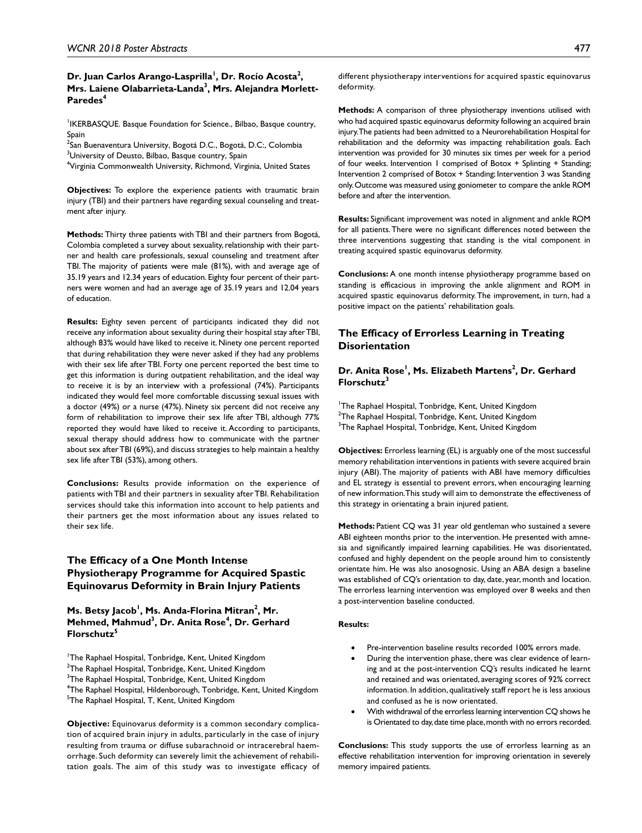## Dr. Juan Carlos Arango-Lasprilla<sup>1</sup>, Dr. Rocío Acosta<sup>2</sup>, **Mrs. Laiene Olabarrieta-Landa3 , Mrs. Alejandra Morlett-Paredes<sup>4</sup>**

<sup>1</sup>IKERBASQUE. Basque Foundation for Science., Bilbao, Basque country, Spain

<sup>2</sup>San Buenaventura University, Bogotá D.C., Bogotá, D.C:, Colombia  $^3$ University of Deusto, Bilbao, Basque country, Spain

4 Virginia Commonwealth University, Richmond, Virginia, United States

**Objectives:** To explore the experience patients with traumatic brain injury (TBI) and their partners have regarding sexual counseling and treatment after injury.

**Methods:** Thirty three patients with TBI and their partners from Bogotá, Colombia completed a survey about sexuality, relationship with their partner and health care professionals, sexual counseling and treatment after TBI. The majority of patients were male (81%), with and average age of 35.19 years and 12.34 years of education. Eighty four percent of their partners were women and had an average age of 35.19 years and 12.04 years of education.

**Results:** Eighty seven percent of participants indicated they did not receive any information about sexuality during their hospital stay after TBI, although 83% would have liked to receive it. Ninety one percent reported that during rehabilitation they were never asked if they had any problems with their sex life after TBI. Forty one percent reported the best time to get this information is during outpatient rehabilitation, and the ideal way to receive it is by an interview with a professional (74%). Participants indicated they would feel more comfortable discussing sexual issues with a doctor (49%) or a nurse (47%). Ninety six percent did not receive any form of rehabilitation to improve their sex life after TBI, although 77% reported they would have liked to receive it. According to participants, sexual therapy should address how to communicate with the partner about sex after TBI (69%), and discuss strategies to help maintain a healthy sex life after TBI (53%), among others.

**Conclusions:** Results provide information on the experience of patients with TBI and their partners in sexuality after TBI. Rehabilitation services should take this information into account to help patients and their partners get the most information about any issues related to their sex life.

# **The Efficacy of a One Month Intense Physiotherapy Programme for Acquired Spastic Equinovarus Deformity in Brain Injury Patients**

**Ms. Betsy Jacob<sup>1</sup>, Ms. Anda-Florina Mitran<sup>2</sup>, Mr. Mehmed, Mahmud3 , Dr. Anita Rose4 , Dr. Gerhard Florschutz5**

<sup>1</sup>The Raphael Hospital, Tonbridge, Kent, United Kingdom

- $^{\rm 2}$ The Raphael Hospital, Tonbridge, Kent, United Kingdom
- $^3$ The Raphael Hospital, Tonbridge, Kent, United Kingdom

4 The Raphael Hospital, Hildenborough, Tonbridge, Kent, United Kingdom <sup>5</sup>The Raphael Hospital, T, Kent, United Kingdom

tation goals. The aim of this study was to investigate efficacy of

**Objective:** Equinovarus deformity is a common secondary complication of acquired brain injury in adults, particularly in the case of injury resulting from trauma or diffuse subarachnoid or intracerebral haemorrhage. Such deformity can severely limit the achievement of rehabilidifferent physiotherapy interventions for acquired spastic equinovarus deformity.

**Methods:** A comparison of three physiotherapy inventions utilised with who had acquired spastic equinovarus deformity following an acquired brain injury. The patients had been admitted to a Neurorehabilitation Hospital for rehabilitation and the deformity was impacting rehabilitation goals. Each intervention was provided for 30 minutes six times per week for a period of four weeks. Intervention 1 comprised of Botox + Splinting + Standing; Intervention 2 comprised of Botox + Standing; Intervention 3 was Standing only. Outcome was measured using goniometer to compare the ankle ROM before and after the intervention.

**Results:** Significant improvement was noted in alignment and ankle ROM for all patients. There were no significant differences noted between the three interventions suggesting that standing is the vital component in treating acquired spastic equinovarus deformity.

**Conclusions:** A one month intense physiotherapy programme based on standing is efficacious in improving the ankle alignment and ROM in acquired spastic equinovarus deformity. The improvement, in turn, had a positive impact on the patients' rehabilitation goals.

## **The Efficacy of Errorless Learning in Treating Disorientation**

## Dr. Anita Rose<sup>l</sup>, Ms. Elizabeth Martens<sup>2</sup>, Dr. Gerhard **Florschutz3**

<sup>1</sup>The Raphael Hospital, Tonbridge, Kent, United Kingdom  $^{\rm 2}$ The Raphael Hospital, Tonbridge, Kent, United Kingdom  $^3$ The Raphael Hospital, Tonbridge, Kent, United Kingdom

**Objectives:** Errorless learning (EL) is arguably one of the most successful memory rehabilitation interventions in patients with severe acquired brain injury (ABI). The majority of patients with ABI have memory difficulties and EL strategy is essential to prevent errors, when encouraging learning of new information. This study will aim to demonstrate the effectiveness of this strategy in orientating a brain injured patient.

**Methods:** Patient CQ was 31 year old gentleman who sustained a severe ABI eighteen months prior to the intervention. He presented with amnesia and significantly impaired learning capabilities. He was disorientated, confused and highly dependent on the people around him to consistently orientate him. He was also anosognosic. Using an ABA design a baseline was established of CQ's orientation to day, date, year, month and location. The errorless learning intervention was employed over 8 weeks and then a post-intervention baseline conducted.

#### **Results:**

- Pre-intervention baseline results recorded 100% errors made.
- During the intervention phase, there was clear evidence of learning and at the post-intervention CQ's results indicated he learnt and retained and was orientated, averaging scores of 92% correct information. In addition, qualitatively staff report he is less anxious and confused as he is now orientated.
- With withdrawal of the errorless learning intervention CQ shows he is Orientated to day, date time place, month with no errors recorded.

**Conclusions:** This study supports the use of errorless learning as an effective rehabilitation intervention for improving orientation in severely memory impaired patients.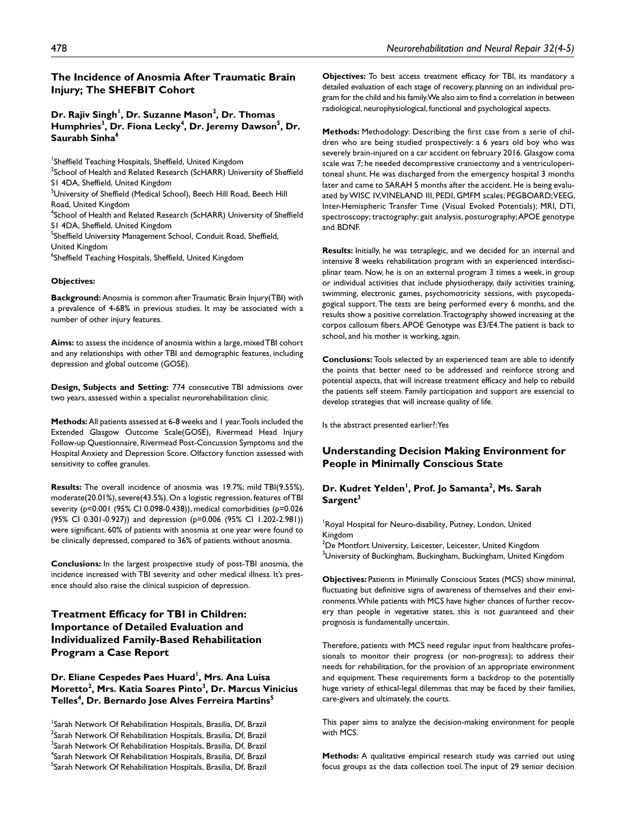## **The Incidence of Anosmia After Traumatic Brain Injury; The SHEFBIT Cohort**

## Dr. Rajiv Singh<sup>1</sup>, Dr. Suzanne Mason<sup>2</sup>, Dr. Thomas Humphries<sup>3</sup>, Dr. Fiona Lecky<sup>4</sup>, Dr. Jeremy Dawson<sup>5</sup>, Dr. Saurabh Sinha<sup>6</sup>

<sup>1</sup>Sheffield Teaching Hospitals, Sheffield, United Kingdom

 $^2$ School of Health and Related Research (ScHARR) University of Sheffield S1 4DA, Sheffield, United Kingdom

<sup>3</sup>University of Sheffield (Medical School), Beech Hill Road, Beech Hill Road, United Kingdom

4 School of Health and Related Research (ScHARR) University of Sheffield S1 4DA, Sheffield, United Kingdom

<sup>5</sup>Sheffield University Management School, Conduit Road, Sheffield, United Kingdom

<sup>6</sup>Sheffield Teaching Hospitals, Sheffield, United Kingdom

#### **Objectives:**

**Background:** Anosmia is common after Traumatic Brain Injury(TBI) with a prevalence of 4-68% in previous studies. It may be associated with a number of other injury features.

**Aims:** to assess the incidence of anosmia within a large, mixed TBI cohort and any relationships with other TBI and demographic features, including depression and global outcome (GOSE).

**Design, Subjects and Setting:** 774 consecutive TBI admissions over two years, assessed within a specialist neurorehabilitation clinic.

**Methods:** All patients assessed at 6-8 weeks and 1 year. Tools included the Extended Glasgow Outcome Scale(GOSE), Rivermead Head Injury Follow-up Questionnaire, Rivermead Post-Concussion Symptoms and the Hospital Anxiety and Depression Score. Olfactory function assessed with sensitivity to coffee granules.

**Results:** The overall incidence of anosmia was 19.7%; mild TBI(9.55%), moderate(20.01%), severe(43.5%). On a logistic regression, features of TBI severity (p<0.001 (95% CI 0.098-0.438)), medical comorbidities (p=0.026 (95% CI 0.301-0.927)) and depression (p=0.006 (95% CI 1.202-2.981)) were significant. 60% of patients with anosmia at one year were found to be clinically depressed, compared to 36% of patients without anosmia.

**Conclusions:** In the largest prospective study of post-TBI anosmia, the incidence increased with TBI severity and other medical illness. It's presence should also raise the clinical suspicion of depression.

# **Treatment Efficacy for TBI in Children: Importance of Detailed Evaluation and Individualized Family-Based Rehabilitation Program a Case Report**

## Dr. Eliane Cespedes Paes Huard<sup>1</sup>, Mrs. Ana Luisa **Moretto<sup>2</sup>, Mrs. Katia Soares Pinto<sup>3</sup>, Dr. Marcus Vinicius Telles4 , Dr. Bernardo Jose Alves Ferreira Martins5**

<sup>1</sup>Sarah Network Of Rehabilitation Hospitals, Brasilia, Df, Brazil <sup>2</sup>Sarah Network Of Rehabilitation Hospitals, Brasilia, Df, Brazil <sup>3</sup>Sarah Network Of Rehabilitation Hospitals, Brasilia, Df, Brazil 4 Sarah Network Of Rehabilitation Hospitals, Brasilia, Df, Brazil <sup>5</sup>Sarah Network Of Rehabilitation Hospitals, Brasilia, Df, Brazil

**Objectives:** To best access treatment efficacy for TBI, its mandatory a detailed evaluation of each stage of recovery, planning on an individual program for the child and his family. We also aim to find a correlation in between radiological, neurophysiological, functional and psychological aspects.

**Methods:** Methodology: Describing the first case from a serie of children who are being studied prospectively: a 6 years old boy who was severely brain-injured on a car accident on february 2016. Glasgow coma scale was 7; he needed decompressive craniectomy and a ventriculoperitoneal shunt. He was discharged from the emergency hospital 3 months later and came to SARAH 5 months after the accident. He is being evaluated by WISC IV, VINELAND III, PEDI, GMFM scales; PEGBOARD; VEEG, Inter-Hemispheric Transfer Time (Visual Evoked Potentials); MRI, DTI, spectroscopy; tractography; gait analysis, posturography; APOE genotype and BDNF.

**Results:** Initially, he was tetraplegic, and we decided for an internal and intensive 8 weeks rehabilitation program with an experienced interdisciplinar team. Now, he is on an external program 3 times a week, in group or individual activities that include physiotherapy, daily activities training, swimming, electronic games, psychomotricity sessions, with psycopedagogical support. The tests are being performed every 6 months, and the results show a positive correlation. Tractography showed increasing at the corpos callosum fibers. APOE Genotype was E3/E4.The patient is back to school, and his mother is working, again.

**Conclusions:** Tools selected by an experienced team are able to identify the points that better need to be addressed and reinforce strong and potential aspects, that will increase treatment efficacy and help to rebuild the patients self steem. Family participation and support are essencial to develop strategies that will increase quality of life.

Is the abstract presented earlier?: Yes

## **Understanding Decision Making Environment for People in Minimally Conscious State**

## Dr. Kudret Yelden<sup>I</sup>, Prof. Jo Samanta<sup>2</sup>, Ms. Sarah Sargent<sup>3</sup>

<sup>1</sup>Royal Hospital for Neuro-disability, Putney, London, United Kingdom

 $^2$ De Montfort University, Leicester, Leicester, United Kingdom <sup>3</sup>University of Buckingham, Buckingham, Buckingham, United Kingdom

**Objectives:** Patients in Minimally Conscious States (MCS) show minimal, fluctuating but definitive signs of awareness of themselves and their environments. While patients with MCS have higher chances of further recovery than people in vegetative states, this is not guaranteed and their prognosis is fundamentally uncertain.

Therefore, patients with MCS need regular input from healthcare professionals to monitor their progress (or non-progress); to address their needs for rehabilitation, for the provision of an appropriate environment and equipment. These requirements form a backdrop to the potentially huge variety of ethical-legal dilemmas that may be faced by their families, care-givers and ultimately, the courts.

This paper aims to analyze the decision-making environment for people with MCS.

**Methods:** A qualitative empirical research study was carried out using focus groups as the data collection tool. The input of 29 senior decision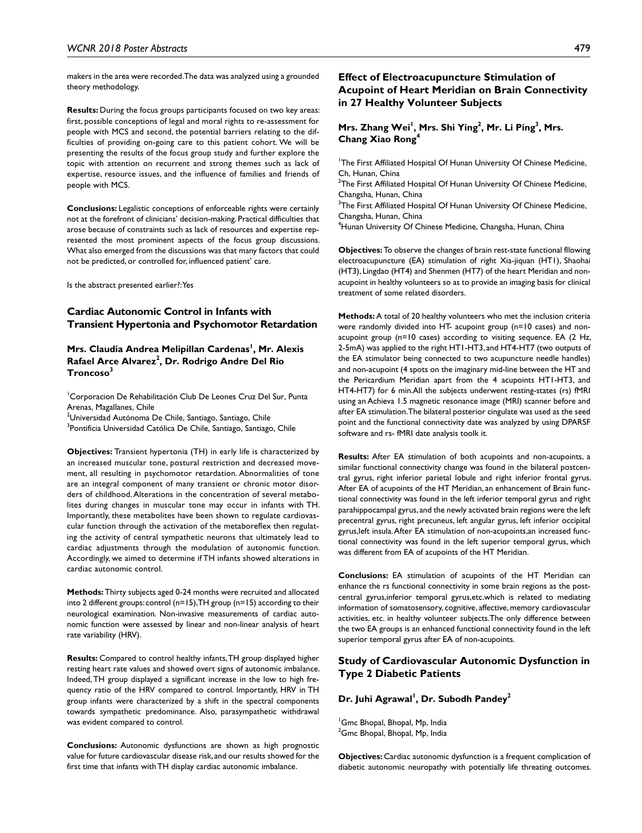makers in the area were recorded. The data was analyzed using a grounded theory methodology.

**Results:** During the focus groups participants focused on two key areas: first, possible conceptions of legal and moral rights to re-assessment for people with MCS and second, the potential barriers relating to the difficulties of providing on-going care to this patient cohort. We will be presenting the results of the focus group study and further explore the topic with attention on recurrent and strong themes such as lack of expertise, resource issues, and the influence of families and friends of people with MCS.

**Conclusions:** Legalistic conceptions of enforceable rights were certainly not at the forefront of clinicians' decision-making. Practical difficulties that arose because of constraints such as lack of resources and expertise represented the most prominent aspects of the focus group discussions. What also emerged from the discussions was that many factors that could not be predicted, or controlled for, influenced patient' care.

Is the abstract presented earlier?: Yes

## **Cardiac Autonomic Control in Infants with Transient Hypertonia and Psychomotor Retardation**

## **Mrs. Claudia Andrea Melipillan Cardenas<sup>1</sup>, Mr. Alexis Rafael Arce Alvarez<sup>2</sup> , Dr. Rodrigo Andre Del Rio Troncoso<sup>3</sup>**

<sup>1</sup> Corporacion De Rehabilitación Club De Leones Cruz Del Sur, Punta Arenas, Magallanes, Chile

 $^{\rm 2}$ Universidad Autónoma De Chile, Santiago, Santiago, Chile <sup>3</sup>Pontificia Universidad Católica De Chile, Santiago, Santiago, Chile

**Objectives:** Transient hypertonia (TH) in early life is characterized by an increased muscular tone, postural restriction and decreased movement, all resulting in psychomotor retardation. Abnormalities of tone are an integral component of many transient or chronic motor disorders of childhood. Alterations in the concentration of several metabolites during changes in muscular tone may occur in infants with TH. Importantly, these metabolites have been shown to regulate cardiovascular function through the activation of the metaboreflex then regulating the activity of central sympathetic neurons that ultimately lead to cardiac adjustments through the modulation of autonomic function. Accordingly, we aimed to determine if TH infants showed alterations in cardiac autonomic control.

**Methods:** Thirty subjects aged 0-24 months were recruited and allocated into 2 different groups: control (n=15), TH group (n=15) according to their neurological examination. Non-invasive measurements of cardiac autonomic function were assessed by linear and non-linear analysis of heart rate variability (HRV).

**Results:** Compared to control healthy infants, TH group displayed higher resting heart rate values and showed overt signs of autonomic imbalance. Indeed, TH group displayed a significant increase in the low to high frequency ratio of the HRV compared to control. Importantly, HRV in TH group infants were characterized by a shift in the spectral components towards sympathetic predominance. Also, parasympathetic withdrawal was evident compared to control.

**Conclusions:** Autonomic dysfunctions are shown as high prognostic value for future cardiovascular disease risk, and our results showed for the first time that infants with TH display cardiac autonomic imbalance.

## **Effect of Electroacupuncture Stimulation of Acupoint of Heart Meridian on Brain Connectivity in 27 Healthy Volunteer Subjects**

## **Mrs. Zhang Wei<sup>1</sup>, Mrs. Shi Ying<sup>2</sup>, Mr. Li Ping<sup>3</sup>, Mrs. Chang Xiao Rong4**

<sup>1</sup>The First Affiliated Hospital Of Hunan University Of Chinese Medicine, Ch, Hunan, China

 $^{2}$ The First Affiliated Hospital Of Hunan University Of Chinese Medicine, Changsha, Hunan, China

<sup>3</sup>The First Affiliated Hospital Of Hunan University Of Chinese Medicine, Changsha, Hunan, China

4 Hunan University Of Chinese Medicine, Changsha, Hunan, China

**Objectives:** To observe the changes of brain rest-state functional fllowing electroacupuncture (EA) stimulation of right Xia-jiquan (HT1), Shaohai (HT3), Lingdao (HT4) and Shenmen (HT7) of the heart Meridian and nonacupoint in healthy volunteers so as to provide an imaging basis for clinical treatment of some related disorders.

**Methods:** A total of 20 healthy volunteers who met the inclusion criteria were randomly divided into HT- acupoint group (n=10 cases) and nonacupoint group (n=10 cases) according to visiting sequence. EA (2 Hz, 2-5mA) was applied to the right HT1-HT3, and HT4-HT7 (two outputs of the EA stimulator being connected to two acupuncture needle handles) and non-acupoint (4 spots on the imaginary mid-line between the HT and the Pericardium Meridian apart from the 4 acupoints HT1-HT3, and HT4-HT7) for 6 min.All the subjects underwent resting-states (rs) fMRI using an Achieva 1.5 magnetic resonance image (MRI) scanner before and after EA stimulation. The bilateral posterior cingulate was used as the seed point and the functional connectivity date was analyzed by using DPARSF software and rs- fMRI date analysis toolk it.

**Results:** After EA stimulation of both acupoints and non-acupoints, a similar functional connectivity change was found in the bilateral postcentral gyrus, right inferior parietal lobule and right inferior frontal gyrus. After EA of acupoints of the HT Meridian, an enhancement of Brain functional connectivity was found in the left inferior temporal gyrus and right parahippocampal gyrus, and the newly activated brain regions were the left precentral gyrus, right precuneus, left angular gyrus, left inferior occipital gyrus,left insula. After EA stimulation of non-acupoints,an increased functional connectivity was found in the left superior temporal gyrus, which was different from EA of acupoints of the HT Meridian.

**Conclusions:** EA stimulation of acupoints of the HT Meridian can enhance the rs functional connectivity in some brain regions as the postcentral gyrus,inferior temporal gyrus,etc.which is related to mediating information of somatosensory, cognitive, affective, memory cardiovascular activities, etc. in healthy volunteer subjects.The only difference between the two EA groups is an enhanced functional connectivity found in the left superior temporal gyrus after EA of non-acupoints.

## **Study of Cardiovascular Autonomic Dysfunction in Type 2 Diabetic Patients**

### Dr. Juhi Agrawal<sup>I</sup>, Dr. Subodh Pandey<sup>2</sup>

<sup>1</sup>Gmc Bhopal, Bhopal, Mp, India  $^{2}$ Gmc Bhopal, Bhopal, Mp, India

**Objectives:** Cardiac autonomic dysfunction is a frequent complication of diabetic autonomic neuropathy with potentially life threating outcomes.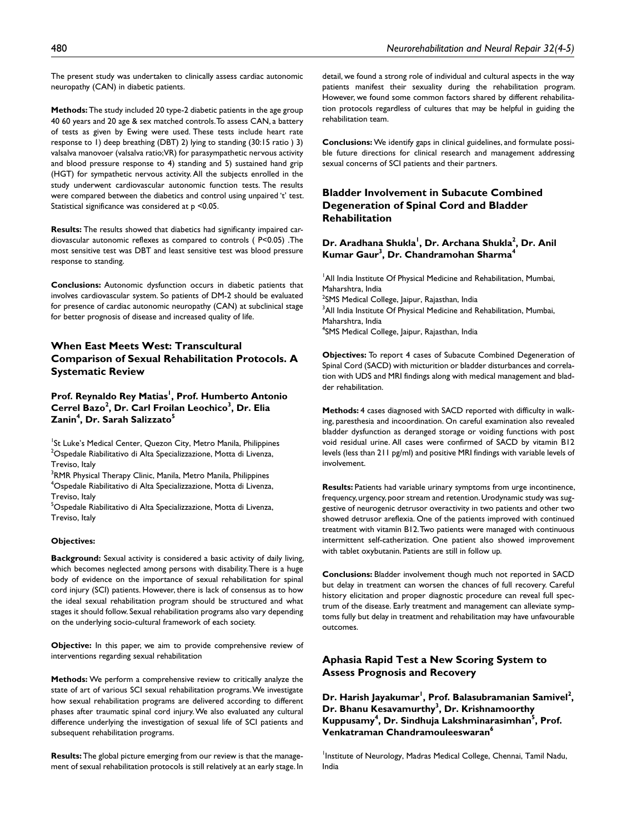The present study was undertaken to clinically assess cardiac autonomic neuropathy (CAN) in diabetic patients.

**Methods:** The study included 20 type-2 diabetic patients in the age group 40 60 years and 20 age & sex matched controls. To assess CAN, a battery of tests as given by Ewing were used. These tests include heart rate response to 1) deep breathing (DBT) 2) lying to standing (30:15 ratio ) 3) valsalva manovoer (valsalva ratio;VR) for parasympathetic nervous activity and blood pressure response to 4) standing and 5) sustained hand grip (HGT) for sympathetic nervous activity. All the subjects enrolled in the study underwent cardiovascular autonomic function tests. The results were compared between the diabetics and control using unpaired 't' test. Statistical significance was considered at p <0.05.

**Results:** The results showed that diabetics had significanty impaired cardiovascular autonomic reflexes as compared to controls ( P<0.05) .The most sensitive test was DBT and least sensitive test was blood pressure response to standing.

**Conclusions:** Autonomic dysfunction occurs in diabetic patients that involves cardiovascular system. So patients of DM-2 should be evaluated for presence of cardiac autonomic neuropathy (CAN) at subclinical stage for better prognosis of disease and increased quality of life.

# **When East Meets West: Transcultural Comparison of Sexual Rehabilitation Protocols. A Systematic Review**

Prof. Reynaldo Rey Matias<sup>1</sup>, Prof. Humberto Antonio **Cerrel Bazo<sup>2</sup> , Dr. Carl Froilan Leochico3 , Dr. Elia Zanin4 , Dr. Sarah Salizzato5**

<sup>1</sup>St Luke's Medical Center, Quezon City, Metro Manila, Philippines  $^{2}$ Ospedale Riabilitativo di Alta Specializzazione, Motta di Livenza, Treviso, Italy

<sup>3</sup>RMR Physical Therapy Clinic, Manila, Metro Manila, Philippines 4 Ospedale Riabilitativo di Alta Specializzazione, Motta di Livenza, Treviso, Italy

<sup>5</sup>Ospedale Riabilitativo di Alta Specializzazione, Motta di Livenza, Treviso, Italy

#### **Objectives:**

**Background:** Sexual activity is considered a basic activity of daily living, which becomes neglected among persons with disability. There is a huge body of evidence on the importance of sexual rehabilitation for spinal cord injury (SCI) patients. However, there is lack of consensus as to how the ideal sexual rehabilitation program should be structured and what stages it should follow. Sexual rehabilitation programs also vary depending on the underlying socio-cultural framework of each society.

**Objective:** In this paper, we aim to provide comprehensive review of interventions regarding sexual rehabilitation

**Methods:** We perform a comprehensive review to critically analyze the state of art of various SCI sexual rehabilitation programs. We investigate how sexual rehabilitation programs are delivered according to different phases after traumatic spinal cord injury. We also evaluated any cultural difference underlying the investigation of sexual life of SCI patients and subsequent rehabilitation programs.

**Results:** The global picture emerging from our review is that the management of sexual rehabilitation protocols is still relatively at an early stage. In

detail, we found a strong role of individual and cultural aspects in the way patients manifest their sexuality during the rehabilitation program. However, we found some common factors shared by different rehabilitation protocols regardless of cultures that may be helpful in guiding the rehabilitation team.

**Conclusions:** We identify gaps in clinical guidelines, and formulate possible future directions for clinical research and management addressing sexual concerns of SCI patients and their partners.

# **Bladder Involvement in Subacute Combined Degeneration of Spinal Cord and Bladder Rehabilitation**

## Dr. Aradhana Shukla<sup>l</sup>, Dr. Archana Shukla<sup>2</sup>, Dr. Anil **Kumar Gaur3 , Dr. Chandramohan Sharma4**

<sup>1</sup>All India Institute Of Physical Medicine and Rehabilitation, Mumbai, Maharshtra, India <sup>2</sup>SMS Medical College, Jaipur, Rajasthan, India <sup>3</sup>All India Institute Of Physical Medicine and Rehabilitation, Mumbai, Maharshtra, India 4 SMS Medical College, Jaipur, Rajasthan, India

**Objectives:** To report 4 cases of Subacute Combined Degeneration of Spinal Cord (SACD) with micturition or bladder disturbances and correlation with UDS and MRI findings along with medical management and bladder rehabilitation.

**Methods:** 4 cases diagnosed with SACD reported with difficulty in walking, paresthesia and incoordination. On careful examination also revealed bladder dysfunction as deranged storage or voiding functions with post void residual urine. All cases were confirmed of SACD by vitamin B12 levels (less than 211 pg/ml) and positive MRI findings with variable levels of involvement.

**Results:** Patients had variable urinary symptoms from urge incontinence, frequency, urgency, poor stream and retention. Urodynamic study was suggestive of neurogenic detrusor overactivity in two patients and other two showed detrusor areflexia. One of the patients improved with continued treatment with vitamin B12. Two patients were managed with continuous intermittent self-catherization. One patient also showed improvement with tablet oxybutanin. Patients are still in follow up.

**Conclusions:** Bladder involvement though much not reported in SACD but delay in treatment can worsen the chances of full recovery. Careful history elicitation and proper diagnostic procedure can reveal full spectrum of the disease. Early treatment and management can alleviate symptoms fully but delay in treatment and rehabilitation may have unfavourable outcomes.

## **Aphasia Rapid Test a New Scoring System to Assess Prognosis and Recovery**

Dr. Harish Jayakumar<sup>ı</sup>, Prof. Balasubramanian Samivel<sup>2</sup>, **Dr. Bhanu Kesavamurthy3 , Dr. Krishnamoorthy**  Kuppusamy<sup>4</sup>, Dr. Sindhuja Lakshminarasimhan<sup>5</sup>, Prof. **Venkatraman Chandramouleeswaran6**

<sup>1</sup>Institute of Neurology, Madras Medical College, Chennai, Tamil Nadu, India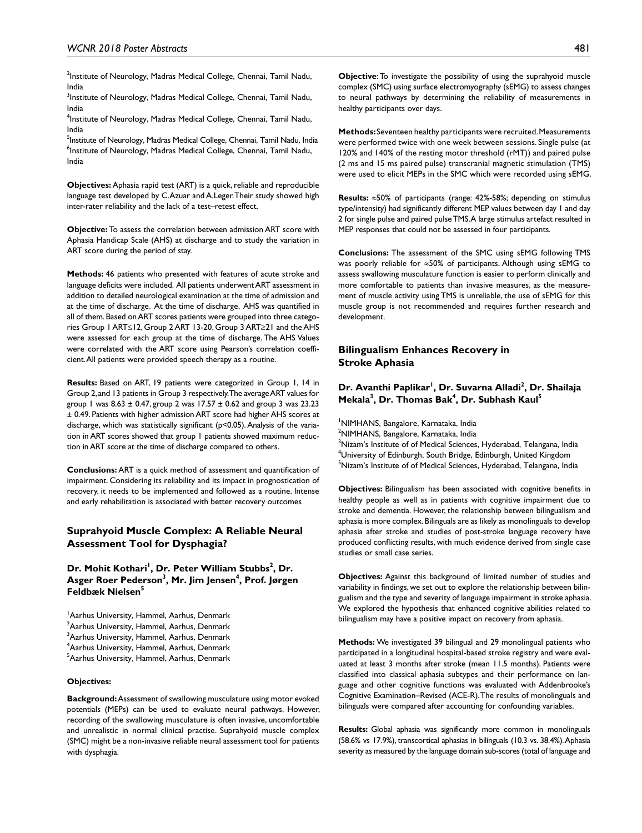<sup>2</sup>Institute of Neurology, Madras Medical College, Chennai, Tamil Nadu, India

<sup>3</sup>Institute of Neurology, Madras Medical College, Chennai, Tamil Nadu, India

<sup>4</sup>Institute of Neurology, Madras Medical College, Chennai, Tamil Nadu, India

<sup>5</sup>Institute of Neurology, Madras Medical College, Chennai, Tamil Nadu, India <sup>6</sup>Institute of Neurology, Madras Medical College, Chennai, Tamil Nadu, India

**Objectives:** Aphasia rapid test (ART) is a quick, reliable and reproducible language test developed by C.Azuar and A.Leger. Their study showed high inter-rater reliability and the lack of a test–retest effect.

**Objective:** To assess the correlation between admission ART score with Aphasia Handicap Scale (AHS) at discharge and to study the variation in ART score during the period of stay.

**Methods:** 46 patients who presented with features of acute stroke and language deficits were included. All patients underwent ART assessment in addition to detailed neurological examination at the time of admission and at the time of discharge. At the time of discharge, AHS was quantified in all of them. Based on ART scores patients were grouped into three categories Group 1 ART≤12, Group 2 ART 13-20, Group 3 ART≥21 and the AHS were assessed for each group at the time of discharge. The AHS Values were correlated with the ART score using Pearson's correlation coefficient. All patients were provided speech therapy as a routine.

**Results:** Based on ART, 19 patients were categorized in Group 1, 14 in Group 2, and 13 patients in Group 3 respectively. The average ART values for group 1 was  $8.63 \pm 0.47$ , group 2 was  $17.57 \pm 0.62$  and group 3 was 23.23 ± 0.49. Patients with higher admission ART score had higher AHS scores at discharge, which was statistically significant (p<0.05). Analysis of the variation in ART scores showed that group 1 patients showed maximum reduction in ART score at the time of discharge compared to others.

**Conclusions:** ART is a quick method of assessment and quantification of impairment. Considering its reliability and its impact in prognostication of recovery, it needs to be implemented and followed as a routine. Intense and early rehabilitation is associated with better recovery outcomes

## **Suprahyoid Muscle Complex: A Reliable Neural Assessment Tool for Dysphagia?**

## Dr. Mohit Kothari<sup>'</sup>, Dr. Peter William Stubbs<sup>2</sup>, Dr. **Asger Roer Pederson3 , Mr. Jim Jensen4 , Prof. Jørgen Feldbæk Nielsen5**

1 Aarhus University, Hammel, Aarhus, Denmark <sup>2</sup>Aarhus University, Hammel, Aarhus, Denmark  $^3$ Aarhus University, Hammel, Aarhus, Denmark 4 Aarhus University, Hammel, Aarhus, Denmark <sup>5</sup>Aarhus University, Hammel, Aarhus, Denmark

#### **Objectives:**

**Background:** Assessment of swallowing musculature using motor evoked potentials (MEPs) can be used to evaluate neural pathways. However, recording of the swallowing musculature is often invasive, uncomfortable and unrealistic in normal clinical practise. Suprahyoid muscle complex (SMC) might be a non-invasive reliable neural assessment tool for patients with dysphagia.

**Objective**: To investigate the possibility of using the suprahyoid muscle complex (SMC) using surface electromyography (sEMG) to assess changes to neural pathways by determining the reliability of measurements in healthy participants over days.

**Methods:** Seventeen healthy participants were recruited. Measurements were performed twice with one week between sessions. Single pulse (at 120% and 140% of the resting motor threshold (rMT)) and paired pulse (2 ms and 15 ms paired pulse) transcranial magnetic stimulation (TMS) were used to elicit MEPs in the SMC which were recorded using sEMG.

**Results:** ≈50% of participants (range: 42%-58%; depending on stimulus type/intensity) had significantly different MEP values between day 1 and day 2 for single pulse and paired pulse TMS. A large stimulus artefact resulted in MEP responses that could not be assessed in four participants.

**Conclusions:** The assessment of the SMC using sEMG following TMS was poorly reliable for ≈50% of participants. Although using sEMG to assess swallowing musculature function is easier to perform clinically and more comfortable to patients than invasive measures, as the measurement of muscle activity using TMS is unreliable, the use of sEMG for this muscle group is not recommended and requires further research and development.

## **Bilingualism Enhances Recovery in Stroke Aphasia**

## **Dr. Avanthi Paplikar1 , Dr. Suvarna Alladi2 , Dr. Shailaja Mekala3 , Dr. Thomas Bak4 , Dr. Subhash Kaul5**

1 NIMHANS, Bangalore, Karnataka, India <sup>2</sup>NIMHANS, Bangalore, Karnataka, India  $^3$ Nizam's Institute of of Medical Sciences, Hyderabad, Telangana, India  $^4$ University of Edinburgh, South Bridge, Edinburgh, United Kingdom  $^5$ Nizam's Institute of of Medical Sciences, Hyderabad, Telangana, India

**Objectives:** Bilingualism has been associated with cognitive benefits in healthy people as well as in patients with cognitive impairment due to stroke and dementia. However, the relationship between bilingualism and aphasia is more complex. Bilinguals are as likely as monolinguals to develop aphasia after stroke and studies of post-stroke language recovery have produced conflicting results, with much evidence derived from single case studies or small case series.

**Objectives:** Against this background of limited number of studies and variability in findings, we set out to explore the relationship between bilingualism and the type and severity of language impairment in stroke aphasia. We explored the hypothesis that enhanced cognitive abilities related to bilingualism may have a positive impact on recovery from aphasia.

**Methods:** We investigated 39 bilingual and 29 monolingual patients who participated in a longitudinal hospital-based stroke registry and were evaluated at least 3 months after stroke (mean 11.5 months). Patients were classified into classical aphasia subtypes and their performance on language and other cognitive functions was evaluated with Addenbrooke's Cognitive Examination–Revised (ACE-R). The results of monolinguals and bilinguals were compared after accounting for confounding variables.

**Results:** Global aphasia was significantly more common in monolinguals (58.6% vs 17.9%), transcortical aphasias in bilinguals (10.3 vs. 38.4%). Aphasia severity as measured by the language domain sub-scores (total of language and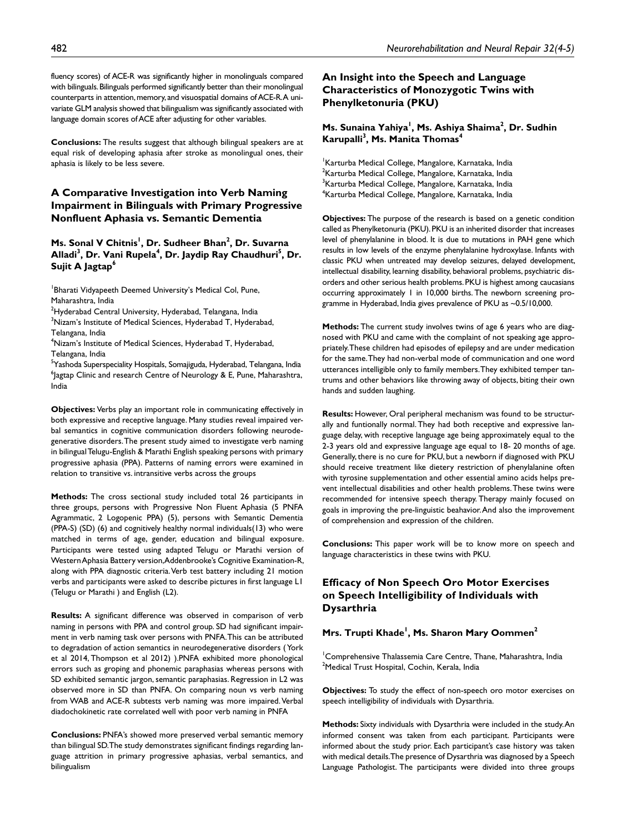fluency scores) of ACE-R was significantly higher in monolinguals compared with bilinguals. Bilinguals performed significantly better than their monolingual counterparts in attention, memory, and visuospatial domains of ACE-R. A univariate GLM analysis showed that bilingualism was significantly associated with language domain scores of ACE after adjusting for other variables.

**Conclusions:** The results suggest that although bilingual speakers are at equal risk of developing aphasia after stroke as monolingual ones, their aphasia is likely to be less severe.

## **A Comparative Investigation into Verb Naming Impairment in Bilinguals with Primary Progressive Nonfluent Aphasia vs. Semantic Dementia**

## **Ms. Sonal V Chitnis<sup>1</sup>, Dr. Sudheer Bhan<sup>2</sup>, Dr. Suvarna** Alladi<sup>3</sup>, Dr. Vani Rupela<sup>4</sup>, Dr. Jaydip Ray Chaudhuri<sup>5</sup>, Dr. Sujit A Jagtap<sup>6</sup>

<sup>1</sup> Bharati Vidyapeeth Deemed University's Medical Col, Pune, Maharashtra, India

 $^2$ Hyderabad Central University, Hyderabad, Telangana, India

 $3$ Nizam's Institute of Medical Sciences, Hyderabad T, Hyderabad, Telangana, India

4 Nizam's Institute of Medical Sciences, Hyderabad T, Hyderabad, Telangana, India

<sup>5</sup>Yashoda Superspeciality Hospitals, Somajiguda, Hyderabad, Telangana, India 6 Jagtap Clinic and research Centre of Neurology & E, Pune, Maharashtra, India

**Objectives:** Verbs play an important role in communicating effectively in both expressive and receptive language. Many studies reveal impaired verbal semantics in cognitive communication disorders following neurodegenerative disorders. The present study aimed to investigate verb naming in bilingual Telugu-English & Marathi English speaking persons with primary progressive aphasia (PPA). Patterns of naming errors were examined in relation to transitive vs. intransitive verbs across the groups

**Methods:** The cross sectional study included total 26 participants in three groups, persons with Progressive Non Fluent Aphasia (5 PNFA Agrammatic, 2 Logopenic PPA) (5), persons with Semantic Dementia (PPA-S) (SD) (6) and cognitively healthy normal individuals(13) who were matched in terms of age, gender, education and bilingual exposure. Participants were tested using adapted Telugu or Marathi version of Western Aphasia Battery version, Addenbrooke's Cognitive Examination-R, along with PPA diagnostic criteria. Verb test battery including 21 motion verbs and participants were asked to describe pictures in first language L1 (Telugu or Marathi ) and English (L2).

**Results:** A significant difference was observed in comparison of verb naming in persons with PPA and control group. SD had significant impairment in verb naming task over persons with PNFA. This can be attributed to degradation of action semantics in neurodegenerative disorders ( York et al 2014, Thompson et al 2012) ).PNFA exhibited more phonological errors such as groping and phonemic paraphasias whereas persons with SD exhibited semantic jargon, semantic paraphasias. Regression in L2 was observed more in SD than PNFA. On comparing noun vs verb naming from WAB and ACE-R subtests verb naming was more impaired. Verbal diadochokinetic rate correlated well with poor verb naming in PNFA

**Conclusions:** PNFA's showed more preserved verbal semantic memory than bilingual SD. The study demonstrates significant findings regarding language attrition in primary progressive aphasias, verbal semantics, and bilingualism

## **An Insight into the Speech and Language Characteristics of Monozygotic Twins with Phenylketonuria (PKU)**

## **Ms. Sunaina Yahiya<sup>l</sup>, Ms. Ashiya Shaima<sup>2</sup>, Dr. Sudhin Karupalli3 , Ms. Manita Thomas4**

<sup>1</sup> Karturba Medical College, Mangalore, Karnataka, India <sup>2</sup>Karturba Medical College, Mangalore, Karnataka, India <sup>3</sup>Karturba Medical College, Mangalore, Karnataka, India 4 Karturba Medical College, Mangalore, Karnataka, India

**Objectives:** The purpose of the research is based on a genetic condition called as Phenylketonuria (PKU). PKU is an inherited disorder that increases level of phenylalanine in blood. It is due to mutations in PAH gene which results in low levels of the enzyme phenylalanine hydroxylase. Infants with classic PKU when untreated may develop seizures, delayed development, intellectual disability, learning disability, behavioral problems, psychiatric disorders and other serious health problems. PKU is highest among caucasians occurring approximately 1 in 10,000 births. The newborn screening programme in Hyderabad, India gives prevalence of PKU as ~0.5/10,000.

**Methods:** The current study involves twins of age 6 years who are diagnosed with PKU and came with the complaint of not speaking age appropriately. These children had episodes of epilepsy and are under medication for the same. They had non-verbal mode of communication and one word utterances intelligible only to family members. They exhibited temper tantrums and other behaviors like throwing away of objects, biting their own hands and sudden laughing.

**Results:** However, Oral peripheral mechanism was found to be structurally and funtionally normal. They had both receptive and expressive language delay, with receptive language age being approximately equal to the 2-3 years old and expressive language age equal to 18- 20 months of age. Generally, there is no cure for PKU, but a newborn if diagnosed with PKU should receive treatment like dietery restriction of phenylalanine often with tyrosine supplementation and other essential amino acids helps prevent intellectual disabilities and other health problems. These twins were recommended for intensive speech therapy. Therapy mainly focused on goals in improving the pre-linguistic beahavior. And also the improvement of comprehension and expression of the children.

**Conclusions:** This paper work will be to know more on speech and language characteristics in these twins with PKU.

# **Efficacy of Non Speech Oro Motor Exercises on Speech Intelligibility of Individuals with Dysarthria**

## **Mrs. Trupti Khade1 , Ms. Sharon Mary Oommen2**

<sup>1</sup> Comprehensive Thalassemia Care Centre, Thane, Maharashtra, India <sup>2</sup>Medical Trust Hospital, Cochin, Kerala, India

**Objectives:** To study the effect of non-speech oro motor exercises on speech intelligibility of individuals with Dysarthria.

**Methods:** Sixty individuals with Dysarthria were included in the study. An informed consent was taken from each participant. Participants were informed about the study prior. Each participant's case history was taken with medical details. The presence of Dysarthria was diagnosed by a Speech Language Pathologist. The participants were divided into three groups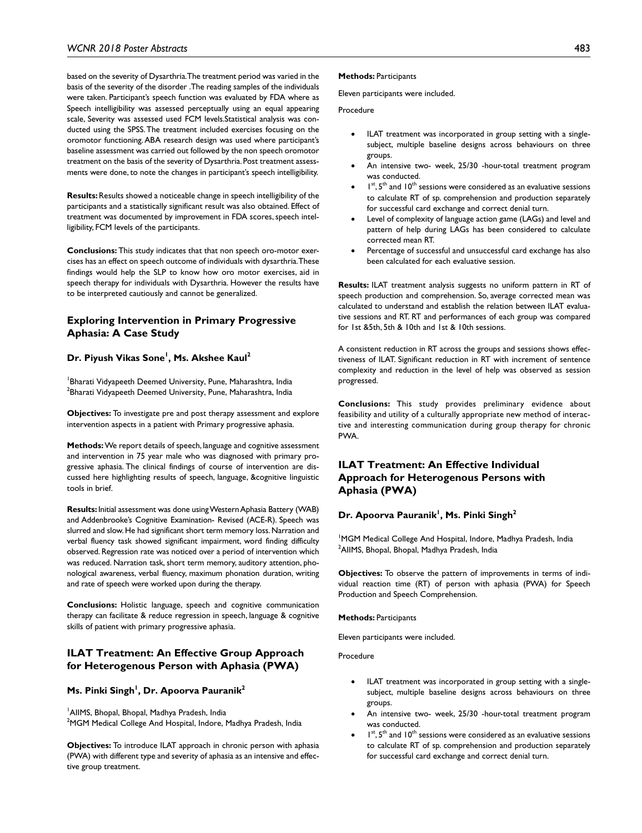based on the severity of Dysarthria. The treatment period was varied in the basis of the severity of the disorder .The reading samples of the individuals were taken. Participant's speech function was evaluated by FDA where as Speech intelligibility was assessed perceptually using an equal appearing scale, Severity was assessed used FCM levels.Statistical analysis was conducted using the SPSS. The treatment included exercises focusing on the oromotor functioning. ABA research design was used where participant's baseline assessment was carried out followed by the non speech oromotor treatment on the basis of the severity of Dysarthria. Post treatment assessments were done, to note the changes in participant's speech intelligibility.

**Results:** Results showed a noticeable change in speech intelligibility of the participants and a statistically significant result was also obtained. Effect of treatment was documented by improvement in FDA scores, speech intelligibility, FCM levels of the participants.

**Conclusions:** This study indicates that that non speech oro-motor exercises has an effect on speech outcome of individuals with dysarthria. These findings would help the SLP to know how oro motor exercises, aid in speech therapy for individuals with Dysarthria. However the results have to be interpreted cautiously and cannot be generalized.

# **Exploring Intervention in Primary Progressive Aphasia: A Case Study**

## **Dr. Piyush Vikas Sone1 , Ms. Akshee Kaul2**

<sup>1</sup> Bharati Vidyapeeth Deemed University, Pune, Maharashtra, India  $^2$ Bharati Vidyapeeth Deemed University, Pune, Maharashtra, India

**Objectives:** To investigate pre and post therapy assessment and explore intervention aspects in a patient with Primary progressive aphasia.

**Methods:** We report details of speech, language and cognitive assessment and intervention in 75 year male who was diagnosed with primary progressive aphasia. The clinical findings of course of intervention are discussed here highlighting results of speech, language, &cognitive linguistic tools in brief.

**Results:** Initial assessment was done using Western Aphasia Battery (WAB) and Addenbrooke's Cognitive Examination- Revised (ACE-R). Speech was slurred and slow. He had significant short term memory loss. Narration and verbal fluency task showed significant impairment, word finding difficulty observed. Regression rate was noticed over a period of intervention which was reduced. Narration task, short term memory, auditory attention, phonological awareness, verbal fluency, maximum phonation duration, writing and rate of speech were worked upon during the therapy.

**Conclusions:** Holistic language, speech and cognitive communication therapy can facilitate & reduce regression in speech, language & cognitive skills of patient with primary progressive aphasia.

## **ILAT Treatment: An Effective Group Approach for Heterogenous Person with Aphasia (PWA)**

#### **Ms. Pinki Singh<sup>1</sup>, Dr. Apoorva Pauranik<sup>2</sup>**

1 AIIMS, Bhopal, Bhopal, Madhya Pradesh, India  $^2$ MGM Medical College And Hospital, Indore, Madhya Pradesh, India

**Objectives:** To introduce ILAT approach in chronic person with aphasia (PWA) with different type and severity of aphasia as an intensive and effective group treatment.

#### **Methods:** Participants

Eleven participants were included.

Procedure

- ILAT treatment was incorporated in group setting with a singlesubject, multiple baseline designs across behaviours on three groups.
- An intensive two- week, 25/30 -hour-total treatment program was conducted.
- $1<sup>st</sup>$ ,  $5<sup>th</sup>$  and  $10<sup>th</sup>$  sessions were considered as an evaluative sessions to calculate RT of sp. comprehension and production separately for successful card exchange and correct denial turn.
- Level of complexity of language action game (LAGs) and level and pattern of help during LAGs has been considered to calculate corrected mean RT.
- Percentage of successful and unsuccessful card exchange has also been calculated for each evaluative session.

**Results:** ILAT treatment analysis suggests no uniform pattern in RT of speech production and comprehension. So, average corrected mean was calculated to understand and establish the relation between ILAT evaluative sessions and RT. RT and performances of each group was compared for 1st &5th, 5th & 10th and 1st & 10th sessions.

A consistent reduction in RT across the groups and sessions shows effectiveness of ILAT. Significant reduction in RT with increment of sentence complexity and reduction in the level of help was observed as session progressed.

**Conclusions:** This study provides preliminary evidence about feasibility and utility of a culturally appropriate new method of interactive and interesting communication during group therapy for chronic PWA.

# **ILAT Treatment: An Effective Individual Approach for Heterogenous Persons with Aphasia (PWA)**

#### Dr. Apoorva Pauranik<sup>I</sup>, Ms. Pinki Singh<sup>2</sup>

<sup>1</sup>MGM Medical College And Hospital, Indore, Madhya Pradesh, India <sup>2</sup>AIIMS, Bhopal, Bhopal, Madhya Pradesh, India

**Objectives:** To observe the pattern of improvements in terms of individual reaction time (RT) of person with aphasia (PWA) for Speech Production and Speech Comprehension.

**Methods:** Participants

Eleven participants were included.

Procedure

- ILAT treatment was incorporated in group setting with a singlesubject, multiple baseline designs across behaviours on three groups.
- An intensive two- week, 25/30 -hour-total treatment program was conducted.
- $1^{st}$ ,  $5^{th}$  and  $10^{th}$  sessions were considered as an evaluative sessions to calculate RT of sp. comprehension and production separately for successful card exchange and correct denial turn.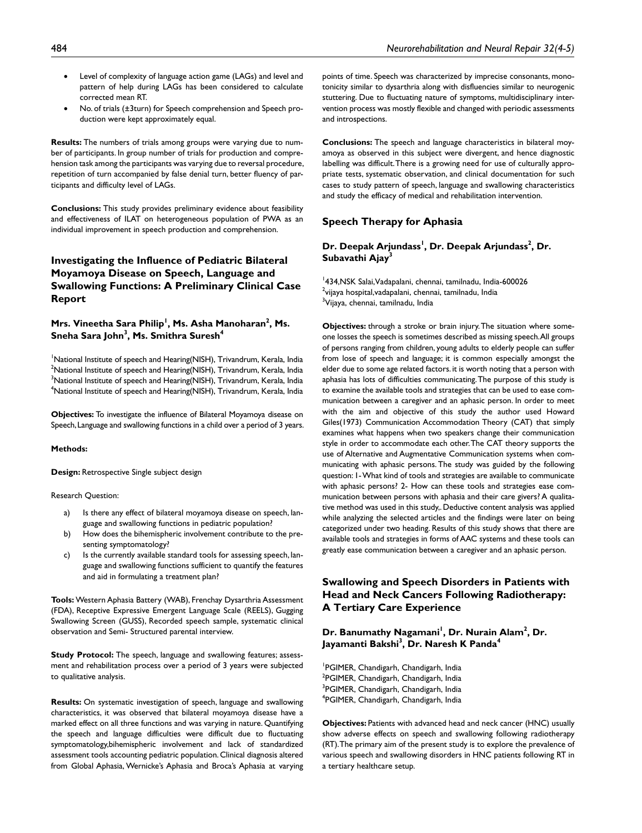- Level of complexity of language action game (LAGs) and level and pattern of help during LAGs has been considered to calculate corrected mean RT.
- No. of trials (±3turn) for Speech comprehension and Speech production were kept approximately equal.

**Results:** The numbers of trials among groups were varying due to number of participants. In group number of trials for production and comprehension task among the participants was varying due to reversal procedure, repetition of turn accompanied by false denial turn, better fluency of participants and difficulty level of LAGs.

**Conclusions:** This study provides preliminary evidence about feasibility and effectiveness of ILAT on heterogeneous population of PWA as an individual improvement in speech production and comprehension.

# **Investigating the Influence of Pediatric Bilateral Moyamoya Disease on Speech, Language and Swallowing Functions: A Preliminary Clinical Case Report**

## Mrs. Vineetha Sara Philip<sup>1</sup>, Ms. Asha Manoharan<sup>2</sup>, Ms. **Sneha Sara John3 , Ms. Smithra Suresh4**

<sup>1</sup>National Institute of speech and Hearing(NISH), Trivandrum, Kerala, India  $^{2}$ National Institute of speech and Hearing(NISH), Trivandrum, Kerala, India  $^3$ National Institute of speech and Hearing(NISH), Trivandrum, Kerala, India  $^4$ National Institute of speech and Hearing(NISH), Trivandrum, Kerala, India

**Objectives:** To investigate the influence of Bilateral Moyamoya disease on Speech, Language and swallowing functions in a child over a period of 3 years.

#### **Methods:**

**Design:** Retrospective Single subject design

Research Question:

- a) Is there any effect of bilateral moyamoya disease on speech, language and swallowing functions in pediatric population?
- b) How does the bihemispheric involvement contribute to the presenting symptomatology?
- c) Is the currently available standard tools for assessing speech, language and swallowing functions sufficient to quantify the features and aid in formulating a treatment plan?

**Tools:** Western Aphasia Battery (WAB), Frenchay Dysarthria Assessment (FDA), Receptive Expressive Emergent Language Scale (REELS), Gugging Swallowing Screen (GUSS), Recorded speech sample, systematic clinical observation and Semi- Structured parental interview.

**Study Protocol:** The speech, language and swallowing features; assessment and rehabilitation process over a period of 3 years were subjected to qualitative analysis.

**Results:** On systematic investigation of speech, language and swallowing characteristics, it was observed that bilateral moyamoya disease have a marked effect on all three functions and was varying in nature. Quantifying the speech and language difficulties were difficult due to fluctuating symptomatology,bihemispheric involvement and lack of standardized assessment tools accounting pediatric population. Clinical diagnosis altered from Global Aphasia, Wernicke's Aphasia and Broca's Aphasia at varying

points of time. Speech was characterized by imprecise consonants, monotonicity similar to dysarthria along with disfluencies similar to neurogenic stuttering. Due to fluctuating nature of symptoms, multidisciplinary intervention process was mostly flexible and changed with periodic assessments and introspections.

**Conclusions:** The speech and language characteristics in bilateral moyamoya as observed in this subject were divergent, and hence diagnostic labelling was difficult. There is a growing need for use of culturally appropriate tests, systematic observation, and clinical documentation for such cases to study pattern of speech, language and swallowing characteristics and study the efficacy of medical and rehabilitation intervention.

#### **Speech Therapy for Aphasia**

## Dr. Deepak Arjundass<sup>I</sup>, Dr. Deepak Arjundass<sup>2</sup>, Dr. Subavathi Ajay<sup>3</sup>

<sup>1</sup>434, NSK Salai, Vadapalani, chennai, tamilnadu, India-600026 <sup>2</sup>vijaya hospital,vadapalani, chennai, tamilnadu, India <sup>3</sup>Vijaya, chennai, tamilnadu, India

**Objectives:** through a stroke or brain injury. The situation where someone losses the speech is sometimes described as missing speech. All groups of persons ranging from children, young adults to elderly people can suffer from lose of speech and language; it is common especially amongst the elder due to some age related factors. it is worth noting that a person with aphasia has lots of difficulties communicating. The purpose of this study is to examine the available tools and strategies that can be used to ease communication between a caregiver and an aphasic person. In order to meet with the aim and objective of this study the author used Howard Giles(1973) Communication Accommodation Theory (CAT) that simply examines what happens when two speakers change their communication style in order to accommodate each other. The CAT theory supports the use of Alternative and Augmentative Communication systems when communicating with aphasic persons. The study was guided by the following question: 1- What kind of tools and strategies are available to communicate with aphasic persons? 2- How can these tools and strategies ease communication between persons with aphasia and their care givers? A qualitative method was used in this study,. Deductive content analysis was applied while analyzing the selected articles and the findings were later on being categorized under two heading. Results of this study shows that there are available tools and strategies in forms of AAC systems and these tools can greatly ease communication between a caregiver and an aphasic person.

# **Swallowing and Speech Disorders in Patients with Head and Neck Cancers Following Radiotherapy: A Tertiary Care Experience**

## Dr. Banumathy Nagamani<sup>1</sup>, Dr. Nurain Alam<sup>2</sup>, Dr. **Jayamanti Bakshi3 , Dr. Naresh K Panda4**

1 PGIMER, Chandigarh, Chandigarh, India <sup>2</sup>PGIMER, Chandigarh, Chandigarh, India <sup>3</sup>PGIMER, Chandigarh, Chandigarh, India 4 PGIMER, Chandigarh, Chandigarh, India

**Objectives:** Patients with advanced head and neck cancer (HNC) usually show adverse effects on speech and swallowing following radiotherapy (RT). The primary aim of the present study is to explore the prevalence of various speech and swallowing disorders in HNC patients following RT in a tertiary healthcare setup.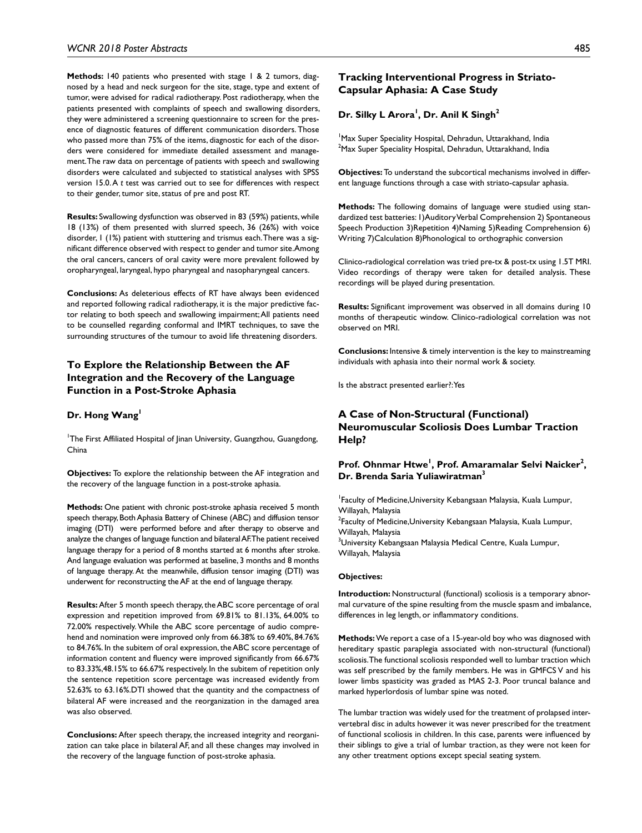**Methods:** 140 patients who presented with stage 1 & 2 tumors, diagnosed by a head and neck surgeon for the site, stage, type and extent of tumor, were advised for radical radiotherapy. Post radiotherapy, when the patients presented with complaints of speech and swallowing disorders, they were administered a screening questionnaire to screen for the presence of diagnostic features of different communication disorders. Those who passed more than 75% of the items, diagnostic for each of the disorders were considered for immediate detailed assessment and management. The raw data on percentage of patients with speech and swallowing disorders were calculated and subjected to statistical analyses with SPSS version 15.0. A *t* test was carried out to see for differences with respect to their gender, tumor site, status of pre and post RT.

**Results:** Swallowing dysfunction was observed in 83 (59%) patients, while 18 (13%) of them presented with slurred speech, 36 (26%) with voice disorder, 1 (1%) patient with stuttering and trismus each. There was a significant difference observed with respect to gender and tumor site. Among the oral cancers, cancers of oral cavity were more prevalent followed by oropharyngeal, laryngeal, hypo pharyngeal and nasopharyngeal cancers.

**Conclusions:** As deleterious effects of RT have always been evidenced and reported following radical radiotherapy, it is the major predictive factor relating to both speech and swallowing impairment; All patients need to be counselled regarding conformal and IMRT techniques, to save the surrounding structures of the tumour to avoid life threatening disorders.

## **To Explore the Relationship Between the AF Integration and the Recovery of the Language Function in a Post-Stroke Aphasia**

#### **Dr. Hong Wang1**

<sup>1</sup>The First Affiliated Hospital of Jinan University, Guangzhou, Guangdong, China

**Objectives:** To explore the relationship between the AF integration and the recovery of the language function in a post-stroke aphasia.

**Methods:** One patient with chronic post-stroke aphasia received 5 month speech therapy, Both Aphasia Battery of Chinese (ABC) and diffusion tensor imaging (DTI) were performed before and after therapy to observe and analyze the changes of language function and bilateral AF. The patient received language therapy for a period of 8 months started at 6 months after stroke. And language evaluation was performed at baseline, 3 months and 8 months of language therapy. At the meanwhile, diffusion tensor imaging (DTI) was underwent for reconstructing the AF at the end of language therapy.

**Results:** After 5 month speech therapy, the ABC score percentage of oral expression and repetition improved from 69.81% to 81.13%, 64.00% to 72.00% respectively. While the ABC score percentage of audio comprehend and nomination were improved only from 66.38% to 69.40%, 84.76% to 84.76%. In the subitem of oral expression, the ABC score percentage of information content and fluency were improved significantly from 66.67% to 83.33%,48.15% to 66.67% respectively. In the subitem of repetition only the sentence repetition score percentage was increased evidently from 52.63% to 63.16%.DTI showed that the quantity and the compactness of bilateral AF were increased and the reorganization in the damaged area was also observed.

**Conclusions:** After speech therapy, the increased integrity and reorganization can take place in bilateral AF, and all these changes may involved in the recovery of the language function of post-stroke aphasia.

## **Tracking Interventional Progress in Striato-Capsular Aphasia: A Case Study**

## Dr. Silky L Arora<sup>1</sup>, Dr. Anil K Singh<sup>2</sup>

<sup>1</sup> Max Super Speciality Hospital, Dehradun, Uttarakhand, India  $^{2}$ Max Super Speciality Hospital, Dehradun, Uttarakhand, India

**Objectives:** To understand the subcortical mechanisms involved in different language functions through a case with striato-capsular aphasia.

**Methods:** The following domains of language were studied using standardized test batteries: 1)Auditory Verbal Comprehension 2) Spontaneous Speech Production 3)Repetition 4)Naming 5)Reading Comprehension 6) Writing 7)Calculation 8)Phonological to orthographic conversion

Clinico-radiological correlation was tried pre-tx & post-tx using 1.5T MRI. Video recordings of therapy were taken for detailed analysis. These recordings will be played during presentation.

**Results:** Significant improvement was observed in all domains during 10 months of therapeutic window. Clinico-radiological correlation was not observed on MRI.

**Conclusions:** Intensive & timely intervention is the key to mainstreaming individuals with aphasia into their normal work & society.

Is the abstract presented earlier?: Yes

## **A Case of Non-Structural (Functional) Neuromuscular Scoliosis Does Lumbar Traction Help?**

#### Prof. Ohnmar Htwe<sup>1</sup>, Prof. Amaramalar Selvi Naicker<sup>2</sup>, **Dr. Brenda Saria Yuliawiratman3**

1 Faculty of Medicine,University Kebangsaan Malaysia, Kuala Lumpur, Willayah, Malaysia <sup>2</sup>Faculty of Medicine,University Kebangsaan Malaysia, Kuala Lumpur, Willayah, Malaysia  $3$ University Kebangsaan Malaysia Medical Centre, Kuala Lumpur, Willayah, Malaysia

#### **Objectives:**

**Introduction:** Nonstructural (functional) scoliosis is a temporary abnormal curvature of the spine resulting from the muscle spasm and imbalance, differences in leg length, or inflammatory conditions.

**Methods:** We report a case of a 15-year-old boy who was diagnosed with hereditary spastic paraplegia associated with non-structural (functional) scoliosis. The functional scoliosis responded well to lumbar traction which was self prescribed by the family members. He was in GMFCS V and his lower limbs spasticity was graded as MAS 2-3. Poor truncal balance and marked hyperlordosis of lumbar spine was noted.

The lumbar traction was widely used for the treatment of prolapsed intervertebral disc in adults however it was never prescribed for the treatment of functional scoliosis in children. In this case, parents were influenced by their siblings to give a trial of lumbar traction, as they were not keen for any other treatment options except special seating system.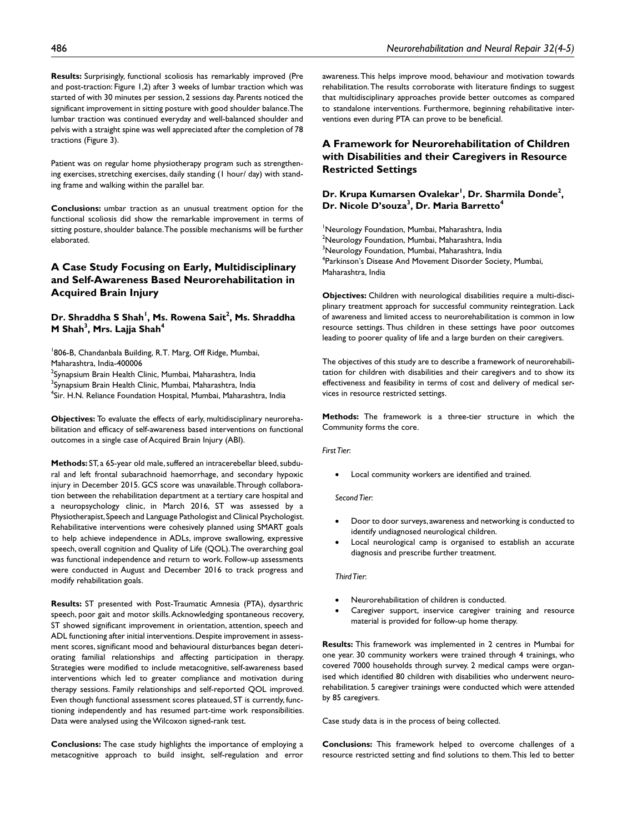**Results:** Surprisingly, functional scoliosis has remarkably improved (Pre and post-traction: Figure 1,2) after 3 weeks of lumbar traction which was started of with 30 minutes per session, 2 sessions day. Parents noticed the significant improvement in sitting posture with good shoulder balance. The lumbar traction was continued everyday and well-balanced shoulder and pelvis with a straight spine was well appreciated after the completion of 78 tractions (Figure 3).

Patient was on regular home physiotherapy program such as strengthening exercises, stretching exercises, daily standing (1 hour/ day) with standing frame and walking within the parallel bar.

**Conclusions:** umbar traction as an unusual treatment option for the functional scoliosis did show the remarkable improvement in terms of sitting posture, shoulder balance. The possible mechanisms will be further elaborated.

## **A Case Study Focusing on Early, Multidisciplinary and Self-Awareness Based Neurorehabilitation in Acquired Brain Injury**

Dr. Shraddha S Shah<sup>1</sup>, Ms. Rowena Sait<sup>2</sup>, Ms. Shraddha **M Shah3 , Mrs. Lajja Shah4**

<sup>1</sup>806-B, Chandanbala Building, R.T. Marg, Off Ridge, Mumbai, Maharashtra, India-400006 <sup>2</sup>Synapsium Brain Health Clinic, Mumbai, Maharashtra, India

<sup>3</sup>Synapsium Brain Health Clinic, Mumbai, Maharashtra, India <sup>4</sup>Sir. H.N. Reliance Foundation Hospital, Mumbai, Maharashtra, India

**Objectives:** To evaluate the effects of early, multidisciplinary neurorehabilitation and efficacy of self-awareness based interventions on functional outcomes in a single case of Acquired Brain Injury (ABI).

**Methods:** ST, a 65-year old male, suffered an intracerebellar bleed, subdural and left frontal subarachnoid haemorrhage, and secondary hypoxic injury in December 2015. GCS score was unavailable. Through collaboration between the rehabilitation department at a tertiary care hospital and a neuropsychology clinic, in March 2016, ST was assessed by a Physiotherapist, Speech and Language Pathologist and Clinical Psychologist. Rehabilitative interventions were cohesively planned using SMART goals to help achieve independence in ADLs, improve swallowing, expressive speech, overall cognition and Quality of Life (QOL). The overarching goal was functional independence and return to work. Follow-up assessments were conducted in August and December 2016 to track progress and modify rehabilitation goals.

**Results:** ST presented with Post-Traumatic Amnesia (PTA), dysarthric speech, poor gait and motor skills. Acknowledging spontaneous recovery, ST showed significant improvement in orientation, attention, speech and ADL functioning after initial interventions. Despite improvement in assessment scores, significant mood and behavioural disturbances began deteriorating familial relationships and affecting participation in therapy. Strategies were modified to include metacognitive, self-awareness based interventions which led to greater compliance and motivation during therapy sessions. Family relationships and self-reported QOL improved. Even though functional assessment scores plateaued, ST is currently, functioning independently and has resumed part-time work responsibilities. Data were analysed using the Wilcoxon signed-rank test.

**Conclusions:** The case study highlights the importance of employing a metacognitive approach to build insight, self-regulation and error

awareness. This helps improve mood, behaviour and motivation towards rehabilitation. The results corroborate with literature findings to suggest that multidisciplinary approaches provide better outcomes as compared to standalone interventions. Furthermore, beginning rehabilitative interventions even during PTA can prove to be beneficial.

## **A Framework for Neurorehabilitation of Children with Disabilities and their Caregivers in Resource Restricted Settings**

## Dr. Krupa Kumarsen Ovalekar<sup>i</sup>, Dr. Sharmila Donde<sup>2</sup>, **Dr. Nicole D'souza3 , Dr. Maria Barretto4**

<sup>1</sup>Neurology Foundation, Mumbai, Maharashtra, India <sup>2</sup>Neurology Foundation, Mumbai, Maharashtra, India  $^3$ Neurology Foundation, Mumbai, Maharashtra, India 4 Parkinson's Disease And Movement Disorder Society, Mumbai, Maharashtra, India

**Objectives:** Children with neurological disabilities require a multi-disciplinary treatment approach for successful community reintegration. Lack of awareness and limited access to neurorehabilitation is common in low resource settings. Thus children in these settings have poor outcomes leading to poorer quality of life and a large burden on their caregivers.

The objectives of this study are to describe a framework of neurorehabilitation for children with disabilities and their caregivers and to show its effectiveness and feasibility in terms of cost and delivery of medical services in resource restricted settings.

**Methods:** The framework is a three-tier structure in which the Community forms the core.

*First Tier*:

Local community workers are identified and trained.

*Second Tier*:

- Door to door surveys, awareness and networking is conducted to identify undiagnosed neurological children.
- Local neurological camp is organised to establish an accurate diagnosis and prescribe further treatment.

*Third Tier*:

- Neurorehabilitation of children is conducted.
- Caregiver support, inservice caregiver training and resource material is provided for follow-up home therapy.

**Results:** This framework was implemented in 2 centres in Mumbai for one year. 30 community workers were trained through 4 trainings, who covered 7000 households through survey. 2 medical camps were organised which identified 80 children with disabilities who underwent neurorehabilitation. 5 caregiver trainings were conducted which were attended by 85 caregivers.

Case study data is in the process of being collected.

**Conclusions:** This framework helped to overcome challenges of a resource restricted setting and find solutions to them. This led to better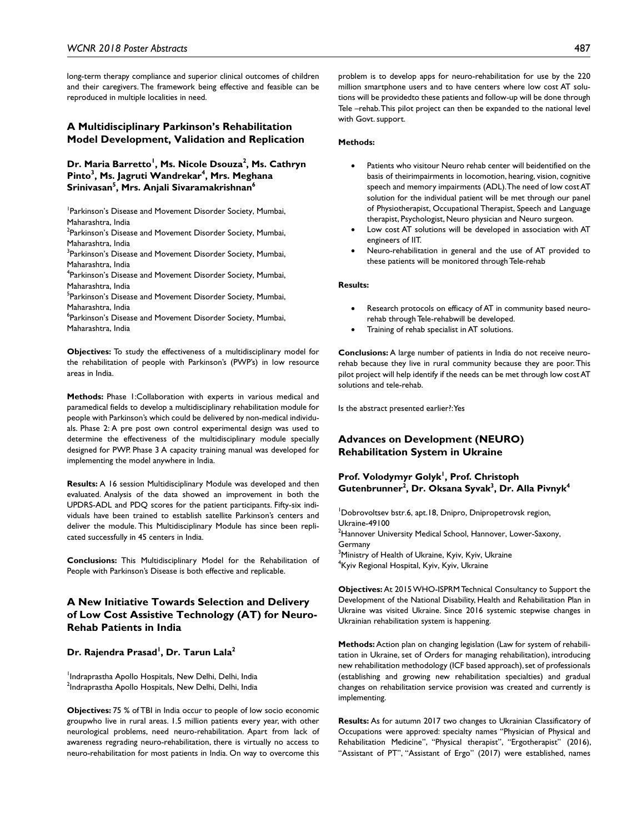long-term therapy compliance and superior clinical outcomes of children and their caregivers. The framework being effective and feasible can be reproduced in multiple localities in need.

## **A Multidisciplinary Parkinson's Rehabilitation Model Development, Validation and Replication**

Dr. Maria Barretto<sup>'</sup>, Ms. Nicole Dsouza<sup>2</sup>, Ms. Cathryn Pinto<sup>3</sup>, Ms. Jagruti Wandrekar<sup>4</sup>, Mrs. Meghana **Srinivasan5 , Mrs. Anjali Sivaramakrishnan6**

<sup>1</sup>Parkinson's Disease and Movement Disorder Society, Mumbai, Maharashtra, India

<sup>2</sup>Parkinson's Disease and Movement Disorder Society, Mumbai, Maharashtra, India

<sup>3</sup>Parkinson's Disease and Movement Disorder Society, Mumbai, Maharashtra, India

4 Parkinson's Disease and Movement Disorder Society, Mumbai, Maharashtra, India

<sup>5</sup>Parkinson's Disease and Movement Disorder Society, Mumbai, Maharashtra, India

6 Parkinson's Disease and Movement Disorder Society, Mumbai, Maharashtra, India

**Objectives:** To study the effectiveness of a multidisciplinary model for the rehabilitation of people with Parkinson's (PWP's) in low resource areas in India.

**Methods:** Phase 1:Collaboration with experts in various medical and paramedical fields to develop a multidisciplinary rehabilitation module for people with Parkinson's which could be delivered by non-medical individuals. Phase 2: A pre post own control experimental design was used to determine the effectiveness of the multidisciplinary module specially designed for PWP. Phase 3 A capacity training manual was developed for implementing the model anywhere in India.

**Results:** A 16 session Multidisciplinary Module was developed and then evaluated. Analysis of the data showed an improvement in both the UPDRS-ADL and PDQ scores for the patient participants. Fifty-six individuals have been trained to establish satellite Parkinson's centers and deliver the module. This Multidisciplinary Module has since been replicated successfully in 45 centers in India.

**Conclusions:** This Multidisciplinary Model for the Rehabilitation of People with Parkinson's Disease is both effective and replicable.

# **A New Initiative Towards Selection and Delivery of Low Cost Assistive Technology (AT) for Neuro-Rehab Patients in India**

#### Dr. Rajendra Prasad<sup>i</sup>, Dr. Tarun Lala<sup>2</sup>

<sup>1</sup>Indraprastha Apollo Hospitals, New Delhi, Delhi, India <sup>2</sup>Indraprastha Apollo Hospitals, New Delhi, Delhi, India

**Objectives:** 75 % of TBI in India occur to people of low socio economic groupwho live in rural areas. 1.5 million patients every year, with other neurological problems, need neuro-rehabilitation. Apart from lack of awareness regrading neuro-rehabilitation, there is virtually no access to neuro-rehabilitation for most patients in India. On way to overcome this problem is to develop apps for neuro-rehabilitation for use by the 220 million smartphone users and to have centers where low cost AT solutions will be providedto these patients and follow-up will be done through Tele –rehab. This pilot project can then be expanded to the national level with Govt. support.

#### **Methods:**

- Patients who visitour Neuro rehab center will beidentified on the basis of theirimpairments in locomotion, hearing, vision, cognitive speech and memory impairments (ADL). The need of low cost AT solution for the individual patient will be met through our panel of Physiotherapist, Occupational Therapist, Speech and Language therapist, Psychologist, Neuro physician and Neuro surgeon.
- Low cost AT solutions will be developed in association with AT engineers of IIT.
- Neuro-rehabilitation in general and the use of AT provided to these patients will be monitored through Tele-rehab

#### **Results:**

- Research protocols on efficacy of AT in community based neurorehab through Tele-rehabwill be developed.
- Training of rehab specialist in AT solutions.

**Conclusions:** A large number of patients in India do not receive neurorehab because they live in rural community because they are poor. This pilot project will help identify if the needs can be met through low cost AT solutions and tele-rehab.

Is the abstract presented earlier?: Yes

## **Advances on Development (NEURO) Rehabilitation System in Ukraine**

## Prof. Volodymyr Golyk<sup>I</sup>, Prof. Christoph **Gutenbrunner<sup>2</sup> , Dr. Oksana Syvak3 , Dr. Alla Pivnyk4**

1 Dobrovoltsev bstr.6, apt.18, Dnipro, Dnipropetrovsk region, Ukraine-49100 <sup>2</sup>Hannover University Medical School, Hannover, Lower-Saxony, Germany  $^3$ Ministry of Health of Ukraine, Kyiv, Kyiv, Ukraine 4 Kyiv Regional Hospital, Kyiv, Kyiv, Ukraine

**Objectives:** At 2015 WHO-ISPRM Technical Consultancy to Support the Development of the National Disability, Health and Rehabilitation Plan in Ukraine was visited Ukraine. Since 2016 systemic stepwise changes in Ukrainian rehabilitation system is happening.

**Methods:** Action plan on changing legislation (Law for system of rehabilitation in Ukraine, set of Orders for managing rehabilitation), introducing new rehabilitation methodology (ICF based approach), set of professionals (establishing and growing new rehabilitation specialties) and gradual changes on rehabilitation service provision was created and currently is implementing.

**Results:** As for autumn 2017 two changes to Ukrainian Classificatory of Occupations were approved: specialty names "Physician of Physical and Rehabilitation Medicine", "Physical therapist", "Ergotherapist" (2016), "Assistant of PT", "Assistant of Ergo" (2017) were established, names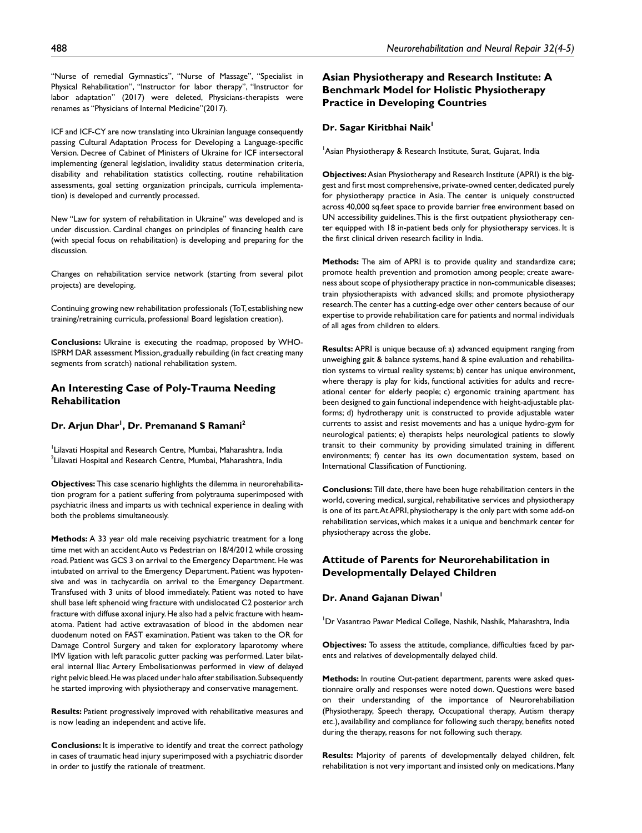"Nurse of remedial Gymnastics", "Nurse of Massage", "Specialist in Physical Rehabilitation", "Instructor for labor therapy", "Instructor for labor adaptation" (2017) were deleted, Physicians-therapists were renames as "Physicians of Internal Medicine"(2017).

ICF and ICF-CY are now translating into Ukrainian language consequently passing Cultural Adaptation Process for Developing a Language-specific Version. Decree of Cabinet of Ministers of Ukraine for ICF intersectoral implementing (general legislation, invalidity status determination criteria, disability and rehabilitation statistics collecting, routine rehabilitation assessments, goal setting organization principals, curricula implementation) is developed and currently processed.

New "Law for system of rehabilitation in Ukraine" was developed and is under discussion. Cardinal changes on principles of financing health care (with special focus on rehabilitation) is developing and preparing for the discussion.

Changes on rehabilitation service network (starting from several pilot projects) are developing.

Continuing growing new rehabilitation professionals (ToT, establishing new training/retraining curricula, professional Board legislation creation).

**Conclusions:** Ukraine is executing the roadmap, proposed by WHO-ISPRM DAR assessment Mission, gradually rebuilding (in fact creating many segments from scratch) national rehabilitation system.

## **An Interesting Case of Poly-Trauma Needing Rehabilitation**

#### Dr. Arjun Dhar<sup>i</sup>, Dr. Premanand S Ramani<sup>2</sup>

1 Lilavati Hospital and Research Centre, Mumbai, Maharashtra, India  $^2$ Lilavati Hospital and Research Centre, Mumbai, Maharashtra, India

**Objectives:** This case scenario highlights the dilemma in neurorehabilitation program for a patient suffering from polytrauma superimposed with psychiatric ilness and imparts us with technical experience in dealing with both the problems simultaneously.

**Methods:** A 33 year old male receiving psychiatric treatment for a long time met with an accident Auto vs Pedestrian on 18/4/2012 while crossing road. Patient was GCS 3 on arrival to the Emergency Department. He was intubated on arrival to the Emergency Department. Patient was hypotensive and was in tachycardia on arrival to the Emergency Department. Transfused with 3 units of blood immediately. Patient was noted to have shull base left sphenoid wing fracture with undislocated C2 posterior arch fracture with diffuse axonal injury. He also had a pelvic fracture with heamatoma. Patient had active extravasation of blood in the abdomen near duodenum noted on FAST examination. Patient was taken to the OR for Damage Control Surgery and taken for exploratory laparotomy where IMV ligation with left paracolic gutter packing was performed. Later bilateral internal Iliac Artery Embolisationwas performed in view of delayed right pelvic bleed. He was placed under halo after stabilisation. Subsequently he started improving with physiotherapy and conservative management.

**Results:** Patient progressively improved with rehabilitative measures and is now leading an independent and active life.

**Conclusions:** It is imperative to identify and treat the correct pathology in cases of traumatic head injury superimposed with a psychiatric disorder in order to justify the rationale of treatment.

# **Asian Physiotherapy and Research Institute: A Benchmark Model for Holistic Physiotherapy Practice in Developing Countries**

#### Dr. Sagar Kiritbhai Naik<sup>1</sup>

<sup>1</sup> Asian Physiotherapy & Research Institute, Surat, Gujarat, India

**Objectives:** Asian Physiotherapy and Research Institute (APRI) is the biggest and first most comprehensive, private-owned center, dedicated purely for physiotherapy practice in Asia. The center is uniquely constructed across 40,000 sq.feet space to provide barrier free environment based on UN accessibility guidelines. This is the first outpatient physiotherapy center equipped with 18 in-patient beds only for physiotherapy services. It is the first clinical driven research facility in India.

**Methods:** The aim of APRI is to provide quality and standardize care; promote health prevention and promotion among people; create awareness about scope of physiotherapy practice in non-communicable diseases; train physiotherapists with advanced skills; and promote physiotherapy research. The center has a cutting-edge over other centers because of our expertise to provide rehabilitation care for patients and normal individuals of all ages from children to elders.

**Results:** APRI is unique because of: a) advanced equipment ranging from unweighing gait & balance systems, hand & spine evaluation and rehabilitation systems to virtual reality systems; b) center has unique environment, where therapy is play for kids, functional activities for adults and recreational center for elderly people; c) ergonomic training apartment has been designed to gain functional independence with height-adjustable platforms; d) hydrotherapy unit is constructed to provide adjustable water currents to assist and resist movements and has a unique hydro-gym for neurological patients; e) therapists helps neurological patients to slowly transit to their community by providing simulated training in different environments; f) center has its own documentation system, based on International Classification of Functioning.

**Conclusions:** Till date, there have been huge rehabilitation centers in the world, covering medical, surgical, rehabilitative services and physiotherapy is one of its part. At APRI, physiotherapy is the only part with some add-on rehabilitation services, which makes it a unique and benchmark center for physiotherapy across the globe.

## **Attitude of Parents for Neurorehabilitation in Developmentally Delayed Children**

#### **Dr. Anand Gajanan Diwan**

1 Dr Vasantrao Pawar Medical College, Nashik, Nashik, Maharashtra, India

**Objectives:** To assess the attitude, compliance, difficulties faced by parents and relatives of developmentally delayed child.

**Methods:** In routine Out-patient department, parents were asked questionnaire orally and responses were noted down. Questions were based on their understanding of the importance of Neurorehabiliation (Physiotherapy, Speech therapy, Occupational therapy, Autism therapy etc.), availability and compliance for following such therapy, benefits noted during the therapy, reasons for not following such therapy.

**Results:** Majority of parents of developmentally delayed children, felt rehabilitation is not very important and insisted only on medications. Many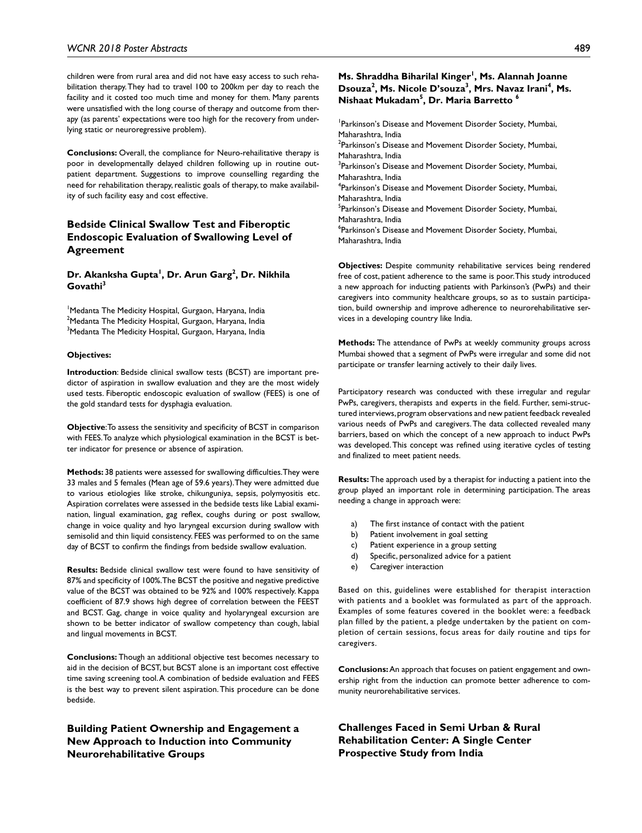children were from rural area and did not have easy access to such rehabilitation therapy. They had to travel 100 to 200km per day to reach the facility and it costed too much time and money for them. Many parents were unsatisfied with the long course of therapy and outcome from therapy (as parents' expectations were too high for the recovery from underlying static or neuroregressive problem).

**Conclusions:** Overall, the compliance for Neuro-rehailitative therapy is poor in developmentally delayed children following up in routine outpatient department. Suggestions to improve counselling regarding the need for rehabilitation therapy, realistic goals of therapy, to make availability of such facility easy and cost effective.

## **Bedside Clinical Swallow Test and Fiberoptic Endoscopic Evaluation of Swallowing Level of Agreement**

## **Dr. Akanksha Gupta1 , Dr. Arun Garg2 , Dr. Nikhila Govathi3**

<sup>1</sup>Medanta The Medicity Hospital, Gurgaon, Haryana, India  $^2$ Medanta The Medicity Hospital, Gurgaon, Haryana, India  $^3$ Medanta The Medicity Hospital, Gurgaon, Haryana, India

#### **Objectives:**

**Introduction**: Bedside clinical swallow tests (BCST) are important predictor of aspiration in swallow evaluation and they are the most widely used tests. Fiberoptic endoscopic evaluation of swallow (FEES) is one of the gold standard tests for dysphagia evaluation.

**Objective**: To assess the sensitivity and specificity of BCST in comparison with FEES. To analyze which physiological examination in the BCST is better indicator for presence or absence of aspiration.

**Methods:** 38 patients were assessed for swallowing difficulties. They were 33 males and 5 females (Mean age of 59.6 years). They were admitted due to various etiologies like stroke, chikunguniya, sepsis, polymyositis etc. Aspiration correlates were assessed in the bedside tests like Labial examination, lingual examination, gag reflex, coughs during or post swallow, change in voice quality and hyo laryngeal excursion during swallow with semisolid and thin liquid consistency. FEES was performed to on the same day of BCST to confirm the findings from bedside swallow evaluation.

**Results:** Bedside clinical swallow test were found to have sensitivity of 87% and specificity of 100%. The BCST the positive and negative predictive value of the BCST was obtained to be 92% and 100% respectively. Kappa coefficient of 87.9 shows high degree of correlation between the FEEST and BCST. Gag, change in voice quality and hyolaryngeal excursion are shown to be better indicator of swallow competency than cough, labial and lingual movements in BCST.

**Conclusions:** Though an additional objective test becomes necessary to aid in the decision of BCST, but BCST alone is an important cost effective time saving screening tool. A combination of bedside evaluation and FEES is the best way to prevent silent aspiration. This procedure can be done bedside.

# **Building Patient Ownership and Engagement a New Approach to Induction into Community Neurorehabilitative Groups**

## **Ms. Shraddha Biharilal Kinger1 , Ms. Alannah Joanne**  Dsouza<sup>2</sup>, Ms. Nicole D'souza<sup>3</sup>, Mrs. Navaz Irani<sup>4</sup>, Ms. **Nishaat Mukadam5 , Dr. Maria Barretto 6**

<sup>1</sup>Parkinson's Disease and Movement Disorder Society, Mumbai, Maharashtra, India <sup>2</sup>Parkinson's Disease and Movement Disorder Society, Mumbai, Maharashtra, India <sup>3</sup>Parkinson's Disease and Movement Disorder Society, Mumbai, Maharashtra, India 4 Parkinson's Disease and Movement Disorder Society, Mumbai, Maharashtra, India <sup>5</sup>Parkinson's Disease and Movement Disorder Society, Mumbai, Maharashtra, India 6 Parkinson's Disease and Movement Disorder Society, Mumbai, Maharashtra, India

**Objectives:** Despite community rehabilitative services being rendered free of cost, patient adherence to the same is poor. This study introduced a new approach for inducting patients with Parkinson's (PwPs) and their caregivers into community healthcare groups, so as to sustain participation, build ownership and improve adherence to neurorehabilitative services in a developing country like India.

**Methods:** The attendance of PwPs at weekly community groups across Mumbai showed that a segment of PwPs were irregular and some did not participate or transfer learning actively to their daily lives.

Participatory research was conducted with these irregular and regular PwPs, caregivers, therapists and experts in the field. Further, semi-structured interviews, program observations and new patient feedback revealed various needs of PwPs and caregivers. The data collected revealed many barriers, based on which the concept of a new approach to induct PwPs was developed. This concept was refined using iterative cycles of testing and finalized to meet patient needs.

**Results:** The approach used by a therapist for inducting a patient into the group played an important role in determining participation. The areas needing a change in approach were:

- a) The first instance of contact with the patient
- b) Patient involvement in goal setting
- c) Patient experience in a group setting
- d) Specific, personalized advice for a patient
- e) Caregiver interaction

Based on this, guidelines were established for therapist interaction with patients and a booklet was formulated as part of the approach. Examples of some features covered in the booklet were: a feedback plan filled by the patient, a pledge undertaken by the patient on completion of certain sessions, focus areas for daily routine and tips for caregivers.

**Conclusions:** An approach that focuses on patient engagement and ownership right from the induction can promote better adherence to community neurorehabilitative services.

**Challenges Faced in Semi Urban & Rural Rehabilitation Center: A Single Center Prospective Study from India**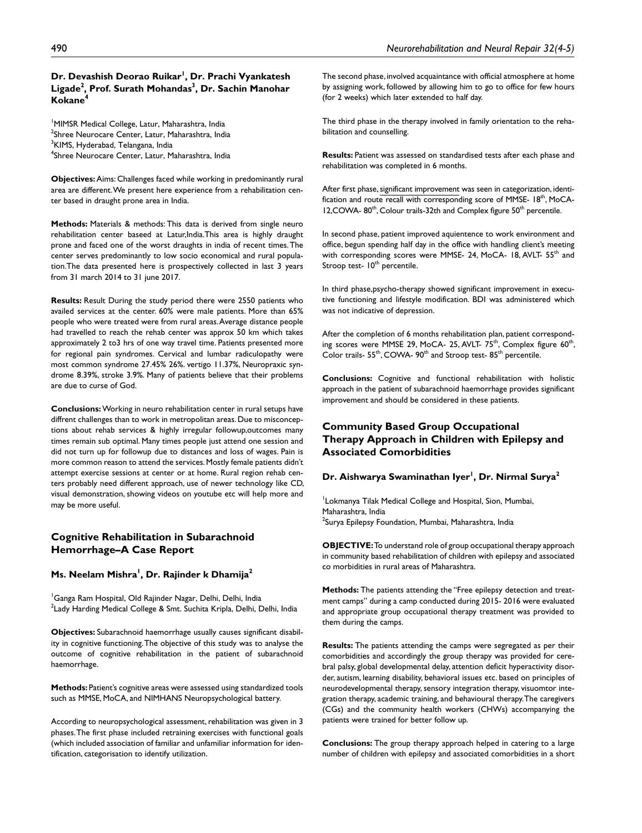## Dr. Devashish Deorao Ruikar<sup>i</sup>, Dr. Prachi Vyankatesh Ligade<sup>2</sup>, Prof. Surath Mohandas<sup>3</sup>, Dr. Sachin Manohar **Kokane4**

1 MIMSR Medical College, Latur, Maharashtra, India <sup>2</sup>Shree Neurocare Center, Latur, Maharashtra, India <sup>3</sup>KIMS, Hyderabad, Telangana, India 4 Shree Neurocare Center, Latur, Maharashtra, India

**Objectives:** Aims: Challenges faced while working in predominantly rural area are different. We present here experience from a rehabilitation center based in draught prone area in India.

**Methods:** Materials & methods: This data is derived from single neuro rehabilitation center baseed at Latur,India.This area is highly draught prone and faced one of the worst draughts in india of recent times. The center serves predominantly to low socio economical and rural population.The data presented here is prospectively collected in last 3 years from 31 march 2014 to 31 june 2017.

**Results:** Result During the study period there were 2550 patients who availed services at the center. 60% were male patients. More than 65% people who were treated were from rural areas. Average distance people had travelled to reach the rehab center was approx 50 km which takes approximately 2 to3 hrs of one way travel time. Patients presented more for regional pain syndromes. Cervical and lumbar radiculopathy were most common syndrome 27.45% 26%. vertigo 11.37%, Neuropraxic syndrome 8.39%, stroke 3.9%. Many of patients believe that their problems are due to curse of God.

**Conclusions:** Working in neuro rehabilitation center in rural setups have diffrent challenges than to work in metropolitan areas. Due to misconceptions about rehab services & highly irregular followup,outcomes many times remain sub optimal. Many times people just attend one session and did not turn up for followup due to distances and loss of wages. Pain is more common reason to attend the services. Mostly female patients didn't attempt exercise sessions at center or at home. Rural region rehab centers probably need different approach, use of newer technology like CD, visual demonstration, showing videos on youtube etc will help more and may be more useful.

## **Cognitive Rehabilitation in Subarachnoid Hemorrhage–A Case Report**

## **Ms. Neelam Mishra1 , Dr. Rajinder k Dhamija2**

<sup>1</sup>Ganga Ram Hospital, Old Rajinder Nagar, Delhi, Delhi, India  $^2$ Lady Harding Medical College & Smt. Suchita Kripla, Delhi, Delhi, India

**Objectives:** Subarachnoid haemorrhage usually causes significant disability in cognitive functioning. The objective of this study was to analyse the outcome of cognitive rehabilitation in the patient of subarachnoid haemorrhage.

**Methods:** Patient's cognitive areas were assessed using standardized tools such as MMSE, MoCA, and NIMHANS Neuropsychological battery.

According to neuropsychological assessment, rehabilitation was given in 3 phases. The first phase included retraining exercises with functional goals (which included association of familiar and unfamiliar information for identification, categorisation to identify utilization.

The second phase, involved acquaintance with official atmosphere at home by assigning work, followed by allowing him to go to office for few hours (for 2 weeks) which later extended to half day.

The third phase in the therapy involved in family orientation to the rehabilitation and counselling.

**Results:** Patient was assessed on standardised tests after each phase and rehabilitation was completed in 6 months.

After first phase, significant improvement was seen in categorization, identification and route recall with corresponding score of MMSE-  $18<sup>th</sup>$ , MoCA-12, COWA-  $80<sup>th</sup>$ , Colour trails-32th and Complex figure  $50<sup>th</sup>$  percentile.

In second phase, patient improved aquientence to work environment and office, begun spending half day in the office with handling client's meeting with corresponding scores were MMSE- 24, MoCA- 18, AVLT- 55<sup>th</sup> and Stroop test- 10<sup>th</sup> percentile.

In third phase,psycho-therapy showed significant improvement in executive functioning and lifestyle modification. BDI was administered which was not indicative of depression.

After the completion of 6 months rehabilitation plan, patient corresponding scores were MMSE 29, MoCA- 25, AVLT-  $75<sup>th</sup>$ , Complex figure 60<sup>th</sup>, Color trails-  $55<sup>th</sup>$ , COWA-  $90<sup>th</sup>$  and Stroop test-  $85<sup>th</sup>$  percentile.

**Conclusions:** Cognitive and functional rehabilitation with holistic approach in the patient of subarachnoid haemorrhage provides significant improvement and should be considered in these patients.

## **Community Based Group Occupational Therapy Approach in Children with Epilepsy and Associated Comorbidities**

### **Dr. Aishwarya Swaminathan Iyer1 , Dr. Nirmal Surya2**

Lokmanya Tilak Medical College and Hospital, Sion, Mumbai, Maharashtra, India <sup>2</sup>Surya Epilepsy Foundation, Mumbai, Maharashtra, India

**OBJECTIVE:** To understand role of group occupational therapy approach in community based rehabilitation of children with epilepsy and associated co morbidities in rural areas of Maharashtra.

**Methods:** The patients attending the "Free epilepsy detection and treatment camps" during a camp conducted during 2015- 2016 were evaluated and appropriate group occupational therapy treatment was provided to them during the camps.

**Results:** The patients attending the camps were segregated as per their comorbidities and accordingly the group therapy was provided for cerebral palsy, global developmental delay, attention deficit hyperactivity disorder, autism, learning disability, behavioral issues etc. based on principles of neurodevelopmental therapy, sensory integration therapy, visuomtor integration therapy, academic training, and behavioural therapy. The caregivers (CGs) and the community health workers (CHWs) accompanying the patients were trained for better follow up.

**Conclusions:** The group therapy approach helped in catering to a large number of children with epilepsy and associated comorbidities in a short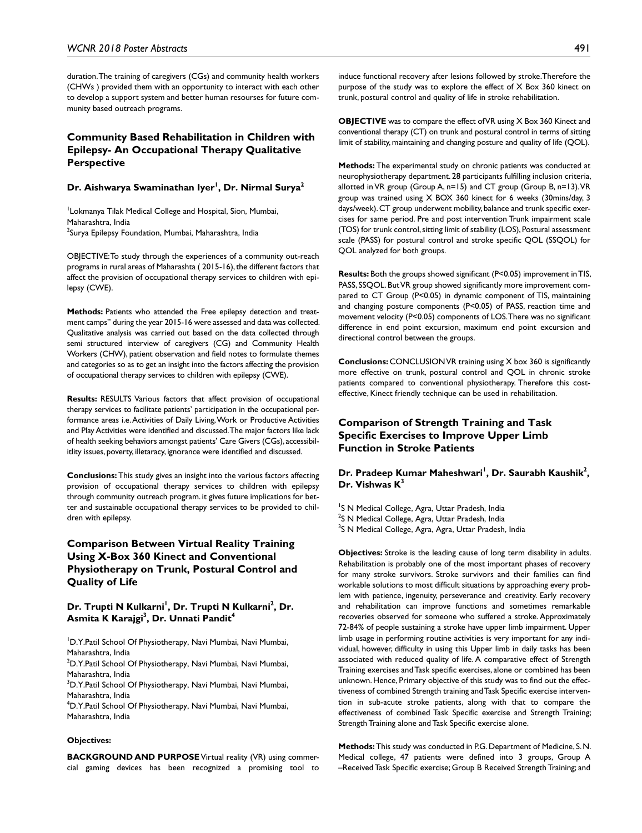duration. The training of caregivers (CGs) and community health workers (CHWs ) provided them with an opportunity to interact with each other to develop a support system and better human resourses for future community based outreach programs.

## **Community Based Rehabilitation in Children with Epilepsy- An Occupational Therapy Qualitative Perspective**

#### **Dr. Aishwarya Swaminathan Iyer1 , Dr. Nirmal Surya2**

Lokmanya Tilak Medical College and Hospital, Sion, Mumbai, Maharashtra, India <sup>2</sup>Surya Epilepsy Foundation, Mumbai, Maharashtra, India

OBJECTIVE: To study through the experiences of a community out-reach programs in rural areas of Maharashta ( 2015-16), the different factors that affect the provision of occupational therapy services to children with epilepsy (CWE).

**Methods:** Patients who attended the Free epilepsy detection and treatment camps" during the year 2015-16 were assessed and data was collected. Qualitative analysis was carried out based on the data collected through semi structured interview of caregivers (CG) and Community Health Workers (CHW), patient observation and field notes to formulate themes and categories so as to get an insight into the factors affecting the provision of occupational therapy services to children with epilepsy (CWE).

**Results:** RESULTS Various factors that affect provision of occupational therapy services to facilitate patients' participation in the occupational performance areas i.e. Activities of Daily Living, Work or Productive Activities and Play Activities were identified and discussed. The major factors like lack of health seeking behaviors amongst patients' Care Givers (CGs), accessibilitlity issues, poverty, illetaracy, ignorance were identified and discussed.

**Conclusions:** This study gives an insight into the various factors affecting provision of occupational therapy services to children with epilepsy through community outreach program. it gives future implications for better and sustainable occupational therapy services to be provided to children with epilepsy.

# **Comparison Between Virtual Reality Training Using X-Box 360 Kinect and Conventional Physiotherapy on Trunk, Postural Control and Quality of Life**

Dr. Trupti N Kulkarni<sup>1</sup>, Dr. Trupti N Kulkarni<sup>2</sup>, Dr. Asmita K Karajgi<sup>3</sup>, Dr. Unnati Pandit<sup>4</sup>

1 D.Y.Patil School Of Physiotherapy, Navi Mumbai, Navi Mumbai, Maharashtra, India

 $^{2}$ D.Y.Patil School Of Physiotherapy, Navi Mumbai, Navi Mumbai, Maharashtra, India

<sup>3</sup>D.Y.Patil School Of Physiotherapy, Navi Mumbai, Navi Mumbai, Maharashtra, India

4 D.Y.Patil School Of Physiotherapy, Navi Mumbai, Navi Mumbai, Maharashtra, India

#### **Objectives:**

**BACKGROUND AND PURPOSE** Virtual reality (VR) using commercial gaming devices has been recognized a promising tool to induce functional recovery after lesions followed by stroke.Therefore the purpose of the study was to explore the effect of X Box 360 kinect on trunk, postural control and quality of life in stroke rehabilitation.

**OBJECTIVE** was to compare the effect of VR using X Box 360 Kinect and conventional therapy (CT) on trunk and postural control in terms of sitting limit of stability, maintaining and changing posture and quality of life (QOL).

**Methods:** The experimental study on chronic patients was conducted at neurophysiotherapy department. 28 participants fulfilling inclusion criteria, allotted in VR group (Group A, n=15) and CT group (Group B, n=13). VR group was trained using X BOX 360 kinect for 6 weeks (30mins/day, 3 days/week). CT group underwent mobility, balance and trunk specific exercises for same period. Pre and post intervention Trunk impairment scale (TOS) for trunk control, sitting limit of stability (LOS), Postural assessment scale (PASS) for postural control and stroke specific QOL (SSQOL) for QOL analyzed for both groups.

**Results:** Both the groups showed significant (P<0.05) improvement in TIS, PASS, SSQOL. But VR group showed significantly more improvement compared to CT Group (P<0.05) in dynamic component of TIS, maintaining and changing posture components (P<0.05) of PASS, reaction time and movement velocity (P<0.05) components of LOS. There was no significant difference in end point excursion, maximum end point excursion and directional control between the groups.

**Conclusions:** CONCLUSION VR training using X box 360 is significantly more effective on trunk, postural control and QOL in chronic stroke patients compared to conventional physiotherapy. Therefore this costeffective, Kinect friendly technique can be used in rehabilitation.

## **Comparison of Strength Training and Task Specific Exercises to Improve Upper Limb Function in Stroke Patients**

## Dr. Pradeep Kumar Maheshwari<sup>'</sup>, Dr. Saurabh Kaushik<sup>2</sup>, **Dr. Vishwas K3**

<sup>1</sup>S N Medical College, Agra, Uttar Pradesh, India

<sup>2</sup>S N Medical College, Agra, Uttar Pradesh, India

<sup>3</sup>S N Medical College, Agra, Agra, Uttar Pradesh, India

**Objectives:** Stroke is the leading cause of long term disability in adults. Rehabilitation is probably one of the most important phases of recovery for many stroke survivors. Stroke survivors and their families can find workable solutions to most difficult situations by approaching every problem with patience, ingenuity, perseverance and creativity. Early recovery and rehabilitation can improve functions and sometimes remarkable recoveries observed for someone who suffered a stroke. Approximately 72-84% of people sustaining a stroke have upper limb impairment. Upper limb usage in performing routine activities is very important for any individual, however, difficulty in using this Upper limb in daily tasks has been associated with reduced quality of life. A comparative effect of Strength Training exercises and Task specific exercises, alone or combined has been unknown. Hence, Primary objective of this study was to find out the effectiveness of combined Strength training and Task Specific exercise intervention in sub-acute stroke patients, along with that to compare the effectiveness of combined Task Specific exercise and Strength Training; Strength Training alone and Task Specific exercise alone.

**Methods:** This study was conducted in P.G. Department of Medicine, S. N. Medical college, 47 patients were defined into 3 groups, Group A –Received Task Specific exercise; Group B Received Strength Training; and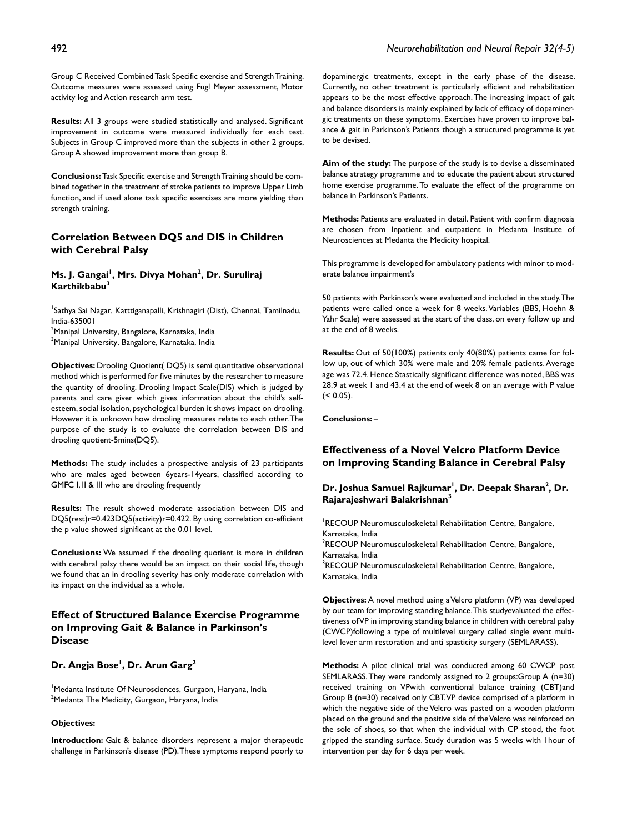Group C Received Combined Task Specific exercise and Strength Training. Outcome measures were assessed using Fugl Meyer assessment, Motor activity log and Action research arm test.

**Results:** All 3 groups were studied statistically and analysed. Significant improvement in outcome were measured individually for each test. Subjects in Group C improved more than the subjects in other 2 groups, Group A showed improvement more than group B.

**Conclusions:** Task Specific exercise and Strength Training should be combined together in the treatment of stroke patients to improve Upper Limb function, and if used alone task specific exercises are more yielding than strength training.

## **Correlation Between DQ5 and DIS in Children with Cerebral Palsy**

## **Ms. J. Gangai<sup>l</sup>, Mrs. Divya Mohan<sup>2</sup>, Dr. Suruliraj Karthikbabu3**

<sup>1</sup>Sathya Sai Nagar, Katttiganapalli, Krishnagiri (Dist), Chennai, Tamilnadu, India-635001

 $^{2}$ Manipal University, Bangalore, Karnataka, India

<sup>3</sup>Manipal University, Bangalore, Karnataka, India

**Objectives:** Drooling Quotient( DQ5) is semi quantitative observational method which is performed for five minutes by the researcher to measure the quantity of drooling. Drooling Impact Scale(DIS) which is judged by parents and care giver which gives information about the child's selfesteem, social isolation, psychological burden it shows impact on drooling. However it is unknown how drooling measures relate to each other. The purpose of the study is to evaluate the correlation between DIS and drooling quotient-5mins(DQ5).

**Methods:** The study includes a prospective analysis of 23 participants who are males aged between 6years-14years, classified according to GMFC I, II & III who are drooling frequently

**Results:** The result showed moderate association between DIS and DQ5(rest)r=0.423DQ5(activity)r=0.422. By using correlation co-efficient the p value showed significant at the 0.01 level.

**Conclusions:** We assumed if the drooling quotient is more in children with cerebral palsy there would be an impact on their social life, though we found that an in drooling severity has only moderate correlation with its impact on the individual as a whole.

## **Effect of Structured Balance Exercise Programme on Improving Gait & Balance in Parkinson's Disease**

## **Dr. Angja Bose1 , Dr. Arun Garg2**

<sup>1</sup>Medanta Institute Of Neurosciences, Gurgaon, Haryana, India  $^{2}$ Medanta The Medicity, Gurgaon, Haryana, India

#### **Objectives:**

**Introduction:** Gait & balance disorders represent a major therapeutic challenge in Parkinson's disease (PD). These symptoms respond poorly to

dopaminergic treatments, except in the early phase of the disease. Currently, no other treatment is particularly efficient and rehabilitation appears to be the most effective approach. The increasing impact of gait and balance disorders is mainly explained by lack of efficacy of dopaminergic treatments on these symptoms. Exercises have proven to improve balance & gait in Parkinson's Patients though a structured programme is yet to be devised.

**Aim of the study:** The purpose of the study is to devise a disseminated balance strategy programme and to educate the patient about structured home exercise programme. To evaluate the effect of the programme on balance in Parkinson's Patients.

**Methods:** Patients are evaluated in detail. Patient with confirm diagnosis are chosen from Inpatient and outpatient in Medanta Institute of Neurosciences at Medanta the Medicity hospital.

This programme is developed for ambulatory patients with minor to moderate balance impairment's

50 patients with Parkinson's were evaluated and included in the study. The patients were called once a week for 8 weeks. Variables (BBS, Hoehn & Yahr Scale) were assessed at the start of the class, on every follow up and at the end of 8 weeks.

**Results:** Out of 50(100%) patients only 40(80%) patients came for follow up, out of which 30% were male and 20% female patients. Average age was 72.4. Hence Stastically significant difference was noted, BBS was 28.9 at week 1 and 43.4 at the end of week 8 on an average with P value  $(< 0.05)$ .

**Conclusions:** –

## **Effectiveness of a Novel Velcro Platform Device on Improving Standing Balance in Cerebral Palsy**

## Dr. Joshua Samuel Rajkumar<sup>ı</sup>, Dr. Deepak Sharan<sup>2</sup>, Dr. **Rajarajeshwari Balakrishnan3**

<sup>1</sup>RECOUP Neuromusculoskeletal Rehabilitation Centre, Bangalore, Karnataka, India <sup>2</sup>RECOUP Neuromusculoskeletal Rehabilitation Centre, Bangalore,

Karnataka, India

<sup>3</sup>RECOUP Neuromusculoskeletal Rehabilitation Centre, Bangalore, Karnataka, India

**Objectives:** A novel method using a Velcro platform (VP) was developed by our team for improving standing balance. This studyevaluated the effectiveness of VP in improving standing balance in children with cerebral palsy (CWCP)following a type of multilevel surgery called single event multilevel lever arm restoration and anti spasticity surgery (SEMLARASS).

**Methods:** A pilot clinical trial was conducted among 60 CWCP post SEMLARASS. They were randomly assigned to 2 groups:Group A (n=30) received training on VPwith conventional balance training (CBT)and Group B (n=30) received only CBT. VP device comprised of a platform in which the negative side of the Velcro was pasted on a wooden platform placed on the ground and the positive side of the Velcro was reinforced on the sole of shoes, so that when the individual with CP stood, the foot gripped the standing surface. Study duration was 5 weeks with 1hour of intervention per day for 6 days per week.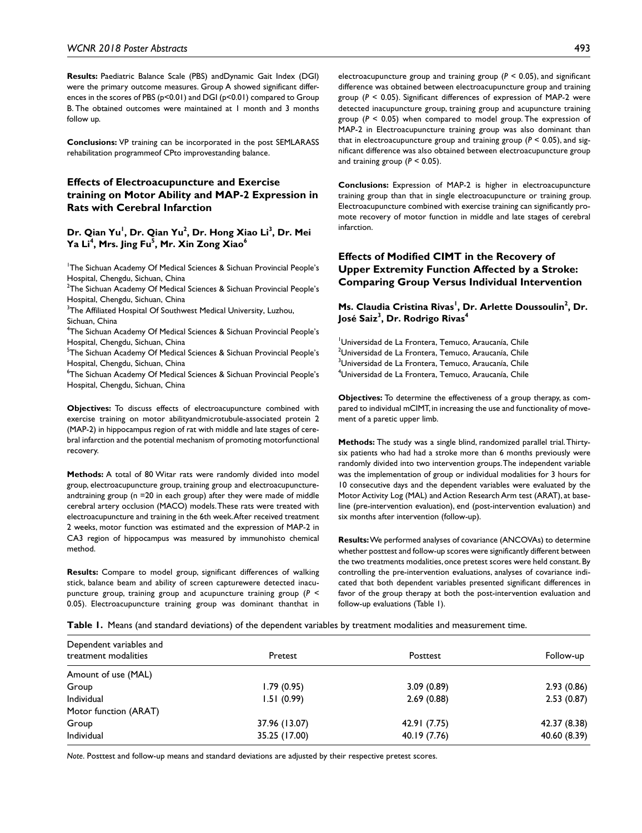**Results:** Paediatric Balance Scale (PBS) andDynamic Gait Index (DGI) were the primary outcome measures. Group A showed significant differences in the scores of PBS (p<0.01) and DGI (p<0.01) compared to Group B. The obtained outcomes were maintained at 1 month and 3 months follow up.

**Conclusions:** VP training can be incorporated in the post SEMLARASS rehabilitation programmeof CPto improvestanding balance.

## **Effects of Electroacupuncture and Exercise training on Motor Ability and MAP-2 Expression in Rats with Cerebral Infarction**

## Dr. Qian Yu<sup>1</sup>, Dr. Qian Yu<sup>2</sup>, Dr. Hong Xiao Li<sup>3</sup>, Dr. Mei **Ya Li4 , Mrs. Jing Fu5 , Mr. Xin Zong Xiao6**

<sup>1</sup>The Sichuan Academy Of Medical Sciences & Sichuan Provincial People's Hospital, Chengdu, Sichuan, China

 $^{2}$ The Sichuan Academy Of Medical Sciences & Sichuan Provincial People's Hospital, Chengdu, Sichuan, China

<sup>3</sup>The Affiliated Hospital Of Southwest Medical University, Luzhou, Sichuan, China

4 The Sichuan Academy Of Medical Sciences & Sichuan Provincial People's Hospital, Chengdu, Sichuan, China

<sup>5</sup>The Sichuan Academy Of Medical Sciences & Sichuan Provincial People's Hospital, Chengdu, Sichuan, China

6 The Sichuan Academy Of Medical Sciences & Sichuan Provincial People's Hospital, Chengdu, Sichuan, China

**Objectives:** To discuss effects of electroacupuncture combined with exercise training on motor abilityandmicrotubule-associated protein 2 (MAP-2) in hippocampus region of rat with middle and late stages of cerebral infarction and the potential mechanism of promoting motorfunctional recovery.

**Methods:** A total of 80 Witar rats were randomly divided into model group, electroacupuncture group, training group and electroacupunctureandtraining group (n =20 in each group) after they were made of middle cerebral artery occlusion (MACO) models. These rats were treated with electroacupuncture and training in the 6th week. After received treatment 2 weeks, motor function was estimated and the expression of MAP-2 in CA3 region of hippocampus was measured by immunohisto chemical method.

**Results:** Compare to model group, significant differences of walking stick, balance beam and ability of screen capturewere detected inacupuncture group, training group and acupuncture training group (*P* < 0.05). Electroacupuncture training group was dominant thanthat in electroacupuncture group and training group (*P* < 0.05), and significant difference was obtained between electroacupuncture group and training group (*P* < 0.05). Significant differences of expression of MAP-2 were detected inacupuncture group, training group and acupuncture training group (*P* < 0.05) when compared to model group. The expression of MAP-2 in Electroacupuncture training group was also dominant than that in electroacupuncture group and training group (*P* < 0.05), and significant difference was also obtained between electroacupuncture group and training group (*P* < 0.05).

**Conclusions:** Expression of MAP-2 is higher in electroacupuncture training group than that in single electroacupuncture or training group. Electroacupuncture combined with exercise training can significantly promote recovery of motor function in middle and late stages of cerebral infarction.

## **Effects of Modified CIMT in the Recovery of Upper Extremity Function Affected by a Stroke: Comparing Group Versus Individual Intervention**

## **Ms. Claudia Cristina Rivas<sup>1</sup>, Dr. Arlette Doussoulin<sup>2</sup>, Dr. José Saiz3 , Dr. Rodrigo Rivas4**

<sup>1</sup>Universidad de La Frontera, Temuco, Araucanía, Chile <sup>2</sup>Universidad de La Frontera, Temuco, Araucanía, Chile <sup>3</sup>Universidad de La Frontera, Temuco, Araucanía, Chile 4 Universidad de La Frontera, Temuco, Araucanía, Chile

**Objectives:** To determine the effectiveness of a group therapy, as compared to individual mCIMT, in increasing the use and functionality of movement of a paretic upper limb.

**Methods:** The study was a single blind, randomized parallel trial. Thirtysix patients who had had a stroke more than 6 months previously were randomly divided into two intervention groups. The independent variable was the implementation of group or individual modalities for 3 hours for 10 consecutive days and the dependent variables were evaluated by the Motor Activity Log (MAL) and Action Research Arm test (ARAT), at baseline (pre-intervention evaluation), end (post-intervention evaluation) and six months after intervention (follow-up).

**Results:** We performed analyses of covariance (ANCOVAs) to determine whether posttest and follow-up scores were significantly different between the two treatments modalities, once pretest scores were held constant. By controlling the pre-intervention evaluations, analyses of covariance indicated that both dependent variables presented significant differences in favor of the group therapy at both the post-intervention evaluation and follow-up evaluations (Table 1).

**Table 1.** Means (and standard deviations) of the dependent variables by treatment modalities and measurement time.

| Dependent variables and |               |              |              |
|-------------------------|---------------|--------------|--------------|
| treatment modalities    | Pretest       | Posttest     | Follow-up    |
| Amount of use (MAL)     |               |              |              |
| Group                   | 1.79(0.95)    | 3.09(0.89)   | 2.93(0.86)   |
| Individual              | 1.51(0.99)    | 2.69(0.88)   | 2.53(0.87)   |
| Motor function (ARAT)   |               |              |              |
| Group                   | 37.96 (13.07) | 42.91 (7.75) | 42.37 (8.38) |
| Individual              | 35.25 (17.00) | 40.19 (7.76) | 40.60 (8.39) |

*Note*. Posttest and follow-up means and standard deviations are adjusted by their respective pretest scores.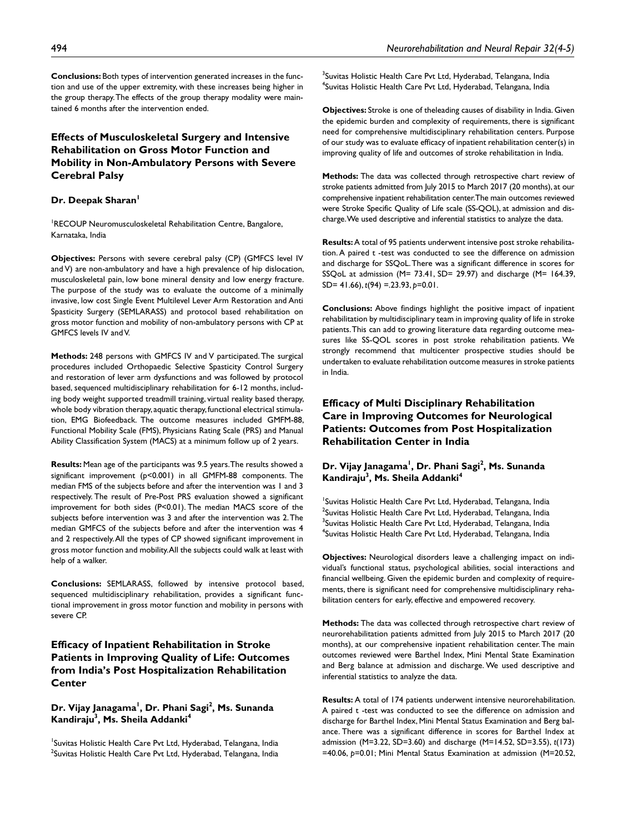**Conclusions:** Both types of intervention generated increases in the function and use of the upper extremity, with these increases being higher in the group therapy. The effects of the group therapy modality were maintained 6 months after the intervention ended.

# **Effects of Musculoskeletal Surgery and Intensive Rehabilitation on Gross Motor Function and Mobility in Non-Ambulatory Persons with Severe Cerebral Palsy**

#### **Dr. Deepak Sharan**

<sup>1</sup>RECOUP Neuromusculoskeletal Rehabilitation Centre, Bangalore, Karnataka, India

**Objectives:** Persons with severe cerebral palsy (CP) (GMFCS level IV and V) are non-ambulatory and have a high prevalence of hip dislocation, musculoskeletal pain, low bone mineral density and low energy fracture. The purpose of the study was to evaluate the outcome of a minimally invasive, low cost Single Event Multilevel Lever Arm Restoration and Anti Spasticity Surgery (SEMLARASS) and protocol based rehabilitation on gross motor function and mobility of non-ambulatory persons with CP at GMFCS levels IV and V.

**Methods:** 248 persons with GMFCS IV and V participated. The surgical procedures included Orthopaedic Selective Spasticity Control Surgery and restoration of lever arm dysfunctions and was followed by protocol based, sequenced multidisciplinary rehabilitation for 6-12 months, including body weight supported treadmill training, virtual reality based therapy, whole body vibration therapy, aquatic therapy, functional electrical stimulation, EMG Biofeedback. The outcome measures included GMFM-88, Functional Mobility Scale (FMS), Physicians Rating Scale (PRS) and Manual Ability Classification System (MACS) at a minimum follow up of 2 years.

**Results:** Mean age of the participants was 9.5 years. The results showed a significant improvement (p<0.001) in all GMFM-88 components. The median FMS of the subjects before and after the intervention was 1 and 3 respectively. The result of Pre-Post PRS evaluation showed a significant improvement for both sides (P<0.01). The median MACS score of the subjects before intervention was 3 and after the intervention was 2. The median GMFCS of the subjects before and after the intervention was 4 and 2 respectively. All the types of CP showed significant improvement in gross motor function and mobility. All the subjects could walk at least with help of a walker.

**Conclusions:** SEMLARASS, followed by intensive protocol based, sequenced multidisciplinary rehabilitation, provides a significant functional improvement in gross motor function and mobility in persons with severe CP.

# **Efficacy of Inpatient Rehabilitation in Stroke Patients in Improving Quality of Life: Outcomes from India's Post Hospitalization Rehabilitation Center**

## Dr. Vijay Janagama<sup>l</sup>, Dr. Phani Sagi<sup>2</sup>, Ms. Sunanda **Kandiraju3 , Ms. Sheila Addanki4**

<sup>1</sup>Suvitas Holistic Health Care Pvt Ltd, Hyderabad, Telangana, India <sup>2</sup>Suvitas Holistic Health Care Pvt Ltd, Hyderabad, Telangana, India <sup>3</sup>Suvitas Holistic Health Care Pvt Ltd, Hyderabad, Telangana, India 4 Suvitas Holistic Health Care Pvt Ltd, Hyderabad, Telangana, India

**Objectives:** Stroke is one of theleading causes of disability in India. Given the epidemic burden and complexity of requirements, there is significant need for comprehensive multidisciplinary rehabilitation centers. Purpose of our study was to evaluate efficacy of inpatient rehabilitation center(s) in improving quality of life and outcomes of stroke rehabilitation in India.

**Methods:** The data was collected through retrospective chart review of stroke patients admitted from July 2015 to March 2017 (20 months), at our comprehensive inpatient rehabilitation center. The main outcomes reviewed were Stroke Specific Quality of Life scale (SS-QOL), at admission and discharge. We used descriptive and inferential statistics to analyze the data.

**Results:** A total of 95 patients underwent intensive post stroke rehabilitation. A paired t -test was conducted to see the difference on admission and discharge for SSQoL. There was a significant difference in scores for SSQoL at admission (M= 73.41, SD= 29.97) and discharge (M= 164.39, SD= 41.66), *t*(94) =.23.93, *p*=0.01.

**Conclusions:** Above findings highlight the positive impact of inpatient rehabilitation by multidisciplinary team in improving quality of life in stroke patients. This can add to growing literature data regarding outcome measures like SS-QOL scores in post stroke rehabilitation patients. We strongly recommend that multicenter prospective studies should be undertaken to evaluate rehabilitation outcome measures in stroke patients in India.

# **Efficacy of Multi Disciplinary Rehabilitation Care in Improving Outcomes for Neurological Patients: Outcomes from Post Hospitalization Rehabilitation Center in India**

## Dr. Vijay Janagama<sup>l</sup>, Dr. Phani Sagi<sup>2</sup>, Ms. Sunanda **Kandiraju3 , Ms. Sheila Addanki4**

<sup>1</sup>Suvitas Holistic Health Care Pvt Ltd, Hyderabad, Telangana, India  $^2$ Suvitas Holistic Health Care Pvt Ltd, Hyderabad, Telangana, India <sup>3</sup>Suvitas Holistic Health Care Pvt Ltd, Hyderabad, Telangana, India 4 Suvitas Holistic Health Care Pvt Ltd, Hyderabad, Telangana, India

**Objectives:** Neurological disorders leave a challenging impact on individual's functional status, psychological abilities, social interactions and financial wellbeing. Given the epidemic burden and complexity of requirements, there is significant need for comprehensive multidisciplinary rehabilitation centers for early, effective and empowered recovery.

**Methods:** The data was collected through retrospective chart review of neurorehabilitation patients admitted from July 2015 to March 2017 (20 months), at our comprehensive inpatient rehabilitation center. The main outcomes reviewed were Barthel Index, Mini Mental State Examination and Berg balance at admission and discharge. We used descriptive and inferential statistics to analyze the data.

**Results:** A total of 174 patients underwent intensive neurorehabilitation. A paired t -test was conducted to see the difference on admission and discharge for Barthel Index, Mini Mental Status Examination and Berg balance. There was a significant difference in scores for Barthel Index at admission (M=3.22, SD=3.60) and discharge (M=14.52, SD=3.55), *t*(173) =40.06, *p*=0.01; Mini Mental Status Examination at admission (M=20.52,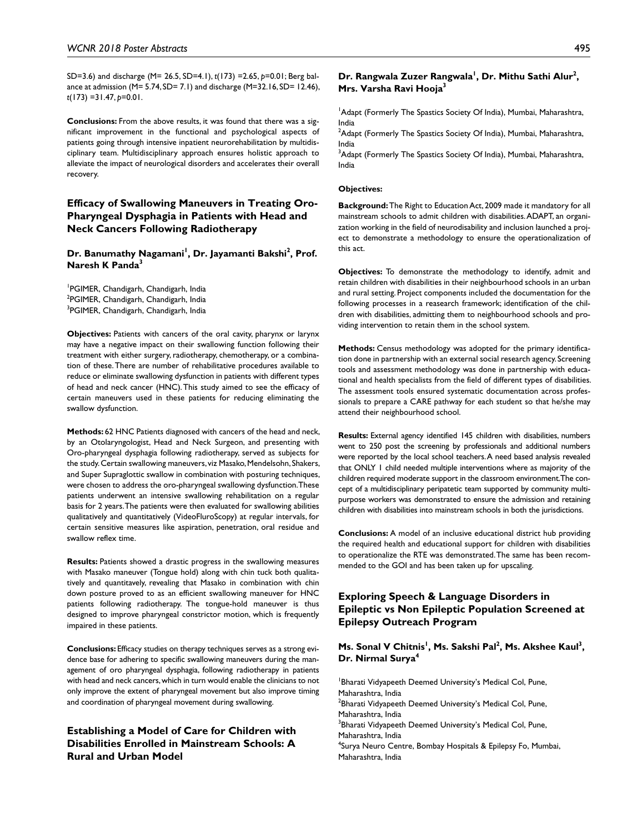SD=3.6) and discharge (M= 26.5, SD=4.1), *t*(173) =2.65, *p*=0.01; Berg balance at admission (M= 5.74, SD= 7.1) and discharge (M=32.16, SD= 12.46), *t*(173) =31.47, *p*=0.01.

**Conclusions:** From the above results, it was found that there was a significant improvement in the functional and psychological aspects of patients going through intensive inpatient neurorehabilitation by multidisciplinary team. Multidisciplinary approach ensures holistic approach to alleviate the impact of neurological disorders and accelerates their overall recovery.

# **Efficacy of Swallowing Maneuvers in Treating Oro-Pharyngeal Dysphagia in Patients with Head and Neck Cancers Following Radiotherapy**

### Dr. Banumathy Nagamani<sup>1</sup>, Dr. Jayamanti Bakshi<sup>2</sup>, Prof. **Naresh K Panda**<sup>3</sup>

1 PGIMER, Chandigarh, Chandigarh, India <sup>2</sup>PGIMER, Chandigarh, Chandigarh, India <sup>3</sup>PGIMER, Chandigarh, Chandigarh, India

**Objectives:** Patients with cancers of the oral cavity, pharynx or larynx may have a negative impact on their swallowing function following their treatment with either surgery, radiotherapy, chemotherapy, or a combination of these. There are number of rehabilitative procedures available to reduce or eliminate swallowing dysfunction in patients with different types of head and neck cancer (HNC). This study aimed to see the efficacy of certain maneuvers used in these patients for reducing eliminating the swallow dysfunction.

**Methods:** 62 HNC Patients diagnosed with cancers of the head and neck, by an Otolaryngologist, Head and Neck Surgeon, and presenting with Oro-pharyngeal dysphagia following radiotherapy, served as subjects for the study. Certain swallowing maneuvers, viz Masako, Mendelsohn, Shakers, and Super Supraglottic swallow in combination with posturing techniques, were chosen to address the oro-pharyngeal swallowing dysfunction. These patients underwent an intensive swallowing rehabilitation on a regular basis for 2 years. The patients were then evaluated for swallowing abilities qualitatively and quantitatively (VideoFluroScopy) at regular intervals, for certain sensitive measures like aspiration, penetration, oral residue and swallow reflex time.

**Results:** Patients showed a drastic progress in the swallowing measures with Masako maneuver (Tongue hold) along with chin tuck both qualitatively and quantitavely, revealing that Masako in combination with chin down posture proved to as an efficient swallowing maneuver for HNC patients following radiotherapy. The tongue-hold maneuver is thus designed to improve pharyngeal constrictor motion, which is frequently impaired in these patients.

**Conclusions:** Efficacy studies on therapy techniques serves as a strong evidence base for adhering to specific swallowing maneuvers during the management of oro pharyngeal dysphagia, following radiotherapy in patients with head and neck cancers, which in turn would enable the clinicians to not only improve the extent of pharyngeal movement but also improve timing and coordination of pharyngeal movement during swallowing.

**Establishing a Model of Care for Children with Disabilities Enrolled in Mainstream Schools: A Rural and Urban Model**

## Dr. Rangwala Zuzer Rangwala<sup>1</sup>, Dr. Mithu Sathi Alur<sup>2</sup>, **Mrs. Varsha Ravi Hooja3**

<sup>1</sup>Adapt (Formerly The Spastics Society Of India), Mumbai, Maharashtra, India

 $^{2}$ Adapt (Formerly The Spastics Society Of India), Mumbai, Maharashtra, India

 $3$ Adapt (Formerly The Spastics Society Of India), Mumbai, Maharashtra, India

#### **Objectives:**

**Background:** The Right to Education Act, 2009 made it mandatory for all mainstream schools to admit children with disabilities. ADAPT, an organization working in the field of neurodisability and inclusion launched a project to demonstrate a methodology to ensure the operationalization of this act.

**Objectives:** To demonstrate the methodology to identify, admit and retain children with disabilities in their neighbourhood schools in an urban and rural setting. Project components included the documentation for the following processes in a reasearch framework; identification of the children with disabilities, admitting them to neighbourhood schools and providing intervention to retain them in the school system.

**Methods:** Census methodology was adopted for the primary identification done in partnership with an external social research agency. Screening tools and assessment methodology was done in partnership with educational and health specialists from the field of different types of disabilities. The assessment tools ensured systematic documentation across professionals to prepare a CARE pathway for each student so that he/she may attend their neighbourhood school.

**Results:** External agency identified 145 children with disabilities, numbers went to 250 post the screening by professionals and additional numbers were reported by the local school teachers. A need based analysis revealed that ONLY 1 child needed multiple interventions where as majority of the children required moderate support in the classroom environment. The concept of a multidisciplinary peripatetic team supported by community multipurpose workers was demonstrated to ensure the admission and retaining children with disabilities into mainstream schools in both the jurisdictions.

**Conclusions:** A model of an inclusive educational district hub providing the required health and educational support for children with disabilities to operationalize the RTE was demonstrated. The same has been recommended to the GOI and has been taken up for upscaling.

# **Exploring Speech & Language Disorders in Epileptic vs Non Epileptic Population Screened at Epilepsy Outreach Program**

## Ms. Sonal V Chitnis<sup>1</sup>, Ms. Sakshi Pal<sup>2</sup>, Ms. Akshee Kaul<sup>3</sup>, **Dr. Nirmal Surya4**

<sup>1</sup> Bharati Vidyapeeth Deemed University's Medical Col, Pune, Maharashtra, India  $^2$ Bharati Vidyapeeth Deemed University's Medical Col, Pune, Maharashtra, India <sup>3</sup>Bharati Vidyapeeth Deemed University's Medical Col, Pune, Maharashtra, India 4 Surya Neuro Centre, Bombay Hospitals & Epilepsy Fo, Mumbai, Maharashtra, India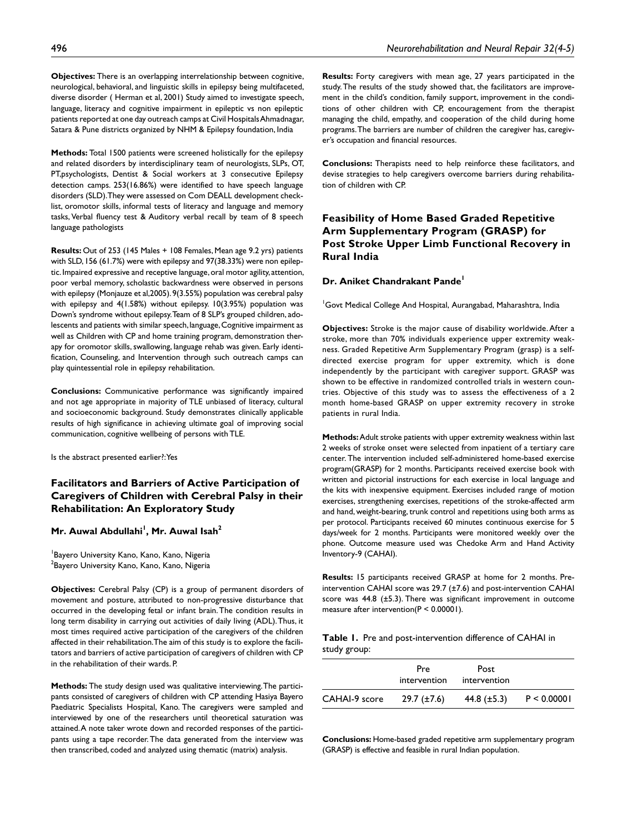**Objectives:** There is an overlapping interrelationship between cognitive, neurological, behavioral, and linguistic skills in epilepsy being multifaceted, diverse disorder ( Herman et al, 2001) Study aimed to investigate speech, language, literacy and cognitive impairment in epileptic vs non epileptic patients reported at one day outreach camps at Civil Hospitals Ahmadnagar, Satara & Pune districts organized by NHM & Epilepsy foundation, India

**Methods:** Total 1500 patients were screened holistically for the epilepsy and related disorders by interdisciplinary team of neurologists, SLPs, OT, PT,psychologists, Dentist & Social workers at 3 consecutive Epilepsy detection camps. 253(16.86%) were identified to have speech language disorders (SLD). They were assessed on Com DEALL development checklist, oromotor skills, informal tests of literacy and language and memory tasks, Verbal fluency test & Auditory verbal recall by team of 8 speech language pathologists

**Results:** Out of 253 (145 Males + 108 Females, Mean age 9.2 yrs) patients with SLD, 156 (61.7%) were with epilepsy and 97(38.33%) were non epileptic. Impaired expressive and receptive language, oral motor agility, attention, poor verbal memory, scholastic backwardness were observed in persons with epilepsy (Monjauze et al,2005). 9(3.55%) population was cerebral palsy with epilepsy and 4(1.58%) without epilepsy. 10(3.95%) population was Down's syndrome without epilepsy. Team of 8 SLP's grouped children, adolescents and patients with similar speech, language, Cognitive impairment as well as Children with CP and home training program, demonstration therapy for oromotor skills, swallowing, language rehab was given. Early identification, Counseling, and Intervention through such outreach camps can play quintessential role in epilepsy rehabilitation.

**Conclusions:** Communicative performance was significantly impaired and not age appropriate in majority of TLE unbiased of literacy, cultural and socioeconomic background. Study demonstrates clinically applicable results of high significance in achieving ultimate goal of improving social communication, cognitive wellbeing of persons with TLE.

Is the abstract presented earlier?: Yes

# **Facilitators and Barriers of Active Participation of Caregivers of Children with Cerebral Palsy in their Rehabilitation: An Exploratory Study**

#### **Mr. Auwal Abdullahi1 , Mr. Auwal Isah2**

1 Bayero University Kano, Kano, Kano, Nigeria <sup>2</sup>Bayero University Kano, Kano, Kano, Nigeria

**Objectives:** Cerebral Palsy (CP) is a group of permanent disorders of movement and posture, attributed to non-progressive disturbance that occurred in the developing fetal or infant brain. The condition results in long term disability in carrying out activities of daily living (ADL). Thus, it most times required active participation of the caregivers of the children affected in their rehabilitation.The aim of this study is to explore the facilitators and barriers of active participation of caregivers of children with CP in the rehabilitation of their wards. P.

**Methods:** The study design used was qualitative interviewing. The participants consisted of caregivers of children with CP attending Hasiya Bayero Paediatric Specialists Hospital, Kano. The caregivers were sampled and interviewed by one of the researchers until theoretical saturation was attained. A note taker wrote down and recorded responses of the participants using a tape recorder. The data generated from the interview was then transcribed, coded and analyzed using thematic (matrix) analysis.

**Results:** Forty caregivers with mean age, 27 years participated in the study. The results of the study showed that, the facilitators are improvement in the child's condition, family support, improvement in the conditions of other children with CP, encouragement from the therapist managing the child, empathy, and cooperation of the child during home programs. The barriers are number of children the caregiver has, caregiver's occupation and financial resources.

**Conclusions:** Therapists need to help reinforce these facilitators, and devise strategies to help caregivers overcome barriers during rehabilitation of children with CP.

# **Feasibility of Home Based Graded Repetitive Arm Supplementary Program (GRASP) for Post Stroke Upper Limb Functional Recovery in Rural India**

#### **Dr. Aniket Chandrakant Pande1**

<sup>1</sup>Govt Medical College And Hospital, Aurangabad, Maharashtra, India

**Objectives:** Stroke is the major cause of disability worldwide. After a stroke, more than 70% individuals experience upper extremity weakness. Graded Repetitive Arm Supplementary Program (grasp) is a selfdirected exercise program for upper extremity, which is done independently by the participant with caregiver support. GRASP was shown to be effective in randomized controlled trials in western countries. Objective of this study was to assess the effectiveness of a 2 month home-based GRASP on upper extremity recovery in stroke patients in rural India.

**Methods:** Adult stroke patients with upper extremity weakness within last 2 weeks of stroke onset were selected from inpatient of a tertiary care center. The intervention included self-administered home-based exercise program(GRASP) for 2 months. Participants received exercise book with written and pictorial instructions for each exercise in local language and the kits with inexpensive equipment. Exercises included range of motion exercises, strengthening exercises, repetitions of the stroke-affected arm and hand, weight-bearing, trunk control and repetitions using both arms as per protocol. Participants received 60 minutes continuous exercise for 5 days/week for 2 months. Participants were monitored weekly over the phone. Outcome measure used was Chedoke Arm and Hand Activity Inventory-9 (CAHAI).

**Results:** 15 participants received GRASP at home for 2 months. Preintervention CAHAI score was 29.7 (±7.6) and post-intervention CAHAI score was 44.8 (±5.3). There was significant improvement in outcome measure after intervention(P < 0.00001).

**Table 1.** Pre and post-intervention difference of CAHAI in study group:

|               | <b>Pre</b><br>intervention | Post<br>intervention |             |
|---------------|----------------------------|----------------------|-------------|
| CAHAI-9 score | $29.7 \ (\pm 7.6)$         | 44.8 $(\pm 5.3)$     | P < 0.00001 |

**Conclusions:** Home-based graded repetitive arm supplementary program (GRASP) is effective and feasible in rural Indian population.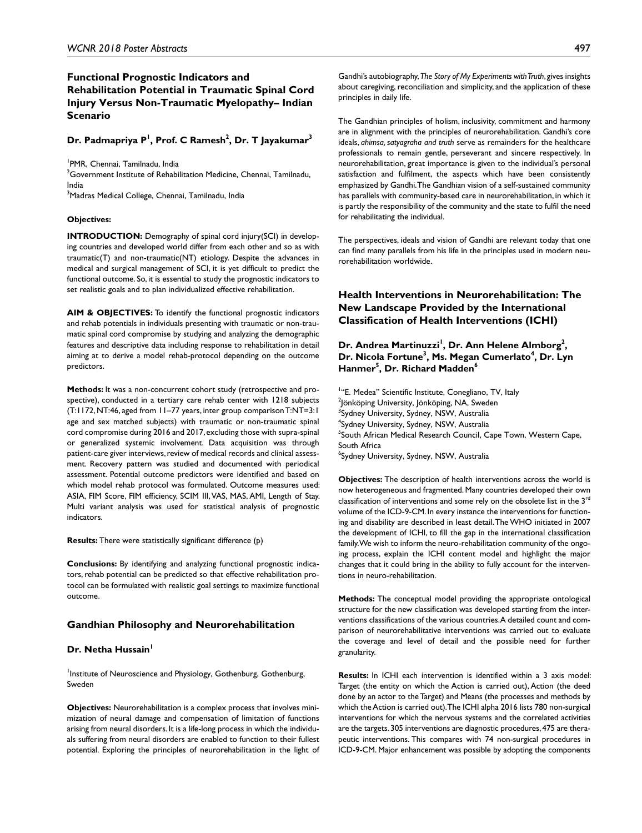## **Functional Prognostic Indicators and Rehabilitation Potential in Traumatic Spinal Cord Injury Versus Non-Traumatic Myelopathy– Indian Scenario**

#### **Dr. Padmapriya P1 , Prof. C Ramesh2 , Dr. T Jayakumar3**

1 PMR, Chennai, Tamilnadu, India

 $^2$ Government Institute of Rehabilitation Medicine, Chennai, Tamilnadu, India

<sup>3</sup>Madras Medical College, Chennai, Tamilnadu, India

#### **Objectives:**

**INTRODUCTION:** Demography of spinal cord injury(SCI) in developing countries and developed world differ from each other and so as with traumatic(T) and non-traumatic(NT) etiology. Despite the advances in medical and surgical management of SCI, it is yet difficult to predict the functional outcome. So, it is essential to study the prognostic indicators to set realistic goals and to plan individualized effective rehabilitation.

**AIM & OBJECTIVES:** To identify the functional prognostic indicators and rehab potentials in individuals presenting with traumatic or non-traumatic spinal cord compromise by studying and analyzing the demographic features and descriptive data including response to rehabilitation in detail aiming at to derive a model rehab-protocol depending on the outcome predictors.

Methods: It was a non-concurrent cohort study (retrospective and prospective), conducted in a tertiary care rehab center with 1218 subjects (T:1172, NT:46, aged from 11–77 years, inter group comparison T:NT=3:1 age and sex matched subjects) with traumatic or non-traumatic spinal cord compromise during 2016 and 2017, excluding those with supra-spinal or generalized systemic involvement. Data acquisition was through patient-care giver interviews, review of medical records and clinical assessment. Recovery pattern was studied and documented with periodical assessment. Potential outcome predictors were identified and based on which model rehab protocol was formulated. Outcome measures used: ASIA, FIM Score, FIM efficiency, SCIM III, VAS, MAS, AMI, Length of Stay. Multi variant analysis was used for statistical analysis of prognostic indicators.

**Results:** There were statistically significant difference (p)

**Conclusions:** By identifying and analyzing functional prognostic indicators, rehab potential can be predicted so that effective rehabilitation protocol can be formulated with realistic goal settings to maximize functional outcome.

#### **Gandhian Philosophy and Neurorehabilitation**

#### **Dr. Netha Hussain**

Institute of Neuroscience and Physiology, Gothenburg, Gothenburg, Sweden

**Objectives:** Neurorehabilitation is a complex process that involves minimization of neural damage and compensation of limitation of functions arising from neural disorders. It is a life-long process in which the individuals suffering from neural disorders are enabled to function to their fullest potential. Exploring the principles of neurorehabilitation in the light of Gandhi's autobiography, *The Story of My Experiments with Truth*, gives insights about caregiving, reconciliation and simplicity, and the application of these principles in daily life.

The Gandhian principles of holism, inclusivity, commitment and harmony are in alignment with the principles of neurorehabilitation. Gandhi's core ideals, *ahimsa, satyagraha and truth* serve as remainders for the healthcare professionals to remain gentle, perseverant and sincere respectively. In neurorehabilitation, great importance is given to the individual's personal satisfaction and fulfilment, the aspects which have been consistently emphasized by Gandhi. The Gandhian vision of a self-sustained community has parallels with community-based care in neurorehabilitation, in which it is partly the responsibility of the community and the state to fulfil the need for rehabilitating the individual.

The perspectives, ideals and vision of Gandhi are relevant today that one can find many parallels from his life in the principles used in modern neurorehabilitation worldwide.

# **Health Interventions in Neurorehabilitation: The New Landscape Provided by the International Classification of Health Interventions (ICHI)**

## Dr. Andrea Martinuzzi<sup>!</sup>, Dr. Ann Helene Almborg<sup>2</sup>, Dr. Nicola Fortune<sup>3</sup>, Ms. Megan Cumerlato<sup>4</sup>, Dr. Lyn **Hanmer5 , Dr. Richard Madden6**

<sup>1</sup>"E. Medea" Scientific Institute, Conegliano, TV, Italy <sup>2</sup>Jönköping University, Jönköping, NA, Sweden <sup>3</sup>Sydney University, Sydney, NSW, Australia 4 Sydney University, Sydney, NSW, Australia <sup>5</sup>South African Medical Research Council, Cape Town, Western Cape, South Africa 6 Sydney University, Sydney, NSW, Australia

**Objectives:** The description of health interventions across the world is now heterogeneous and fragmented. Many countries developed their own classification of interventions and some rely on the obsolete list in the  $3^{rd}$ volume of the ICD-9-CM. In every instance the interventions for functioning and disability are described in least detail. The WHO initiated in 2007 the development of ICHI, to fill the gap in the international classification family. We wish to inform the neuro-rehabilitation community of the ongoing process, explain the ICHI content model and highlight the major changes that it could bring in the ability to fully account for the interventions in neuro-rehabilitation.

**Methods:** The conceptual model providing the appropriate ontological structure for the new classification was developed starting from the interventions classifications of the various countries. A detailed count and comparison of neurorehabilitative interventions was carried out to evaluate the coverage and level of detail and the possible need for further granularity.

**Results:** In ICHI each intervention is identified within a 3 axis model: Target (the entity on which the Action is carried out), Action (the deed done by an actor to the Target) and Means (the processes and methods by which the Action is carried out). The ICHI alpha 2016 lists 780 non-surgical interventions for which the nervous systems and the correlated activities are the targets. 305 interventions are diagnostic procedures, 475 are therapeutic interventions. This compares with 74 non-surgical procedures in ICD-9-CM. Major enhancement was possible by adopting the components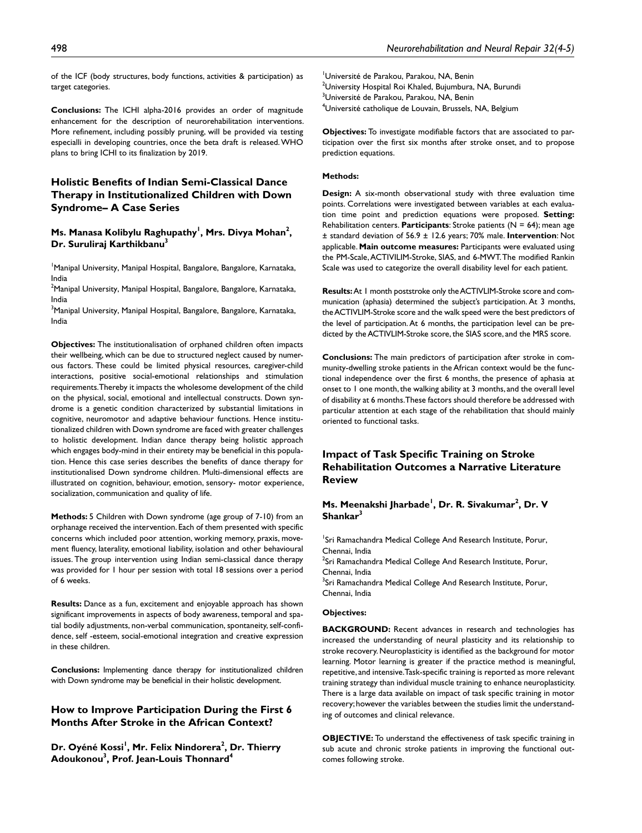of the ICF (body structures, body functions, activities & participation) as target categories.

**Conclusions:** The ICHI alpha-2016 provides an order of magnitude enhancement for the description of neurorehabilitation interventions. More refinement, including possibly pruning, will be provided via testing especialli in developing countries, once the beta draft is released. WHO plans to bring ICHI to its finalization by 2019.

# **Holistic Benefits of Indian Semi-Classical Dance Therapy in Institutionalized Children with Down Syndrome– A Case Series**

#### Ms. Manasa Kolibylu Raghupathy<sup>I</sup>, Mrs. Divya Mohan<sup>2</sup>, **Dr. Suruliraj Karthikbanu3**

1 Manipal University, Manipal Hospital, Bangalore, Bangalore, Karnataka, India

 $^{2}$ Manipal University, Manipal Hospital, Bangalore, Bangalore, Karnataka, India

<sup>3</sup>Manipal University, Manipal Hospital, Bangalore, Bangalore, Karnataka, India

**Objectives:** The institutionalisation of orphaned children often impacts their wellbeing, which can be due to structured neglect caused by numerous factors. These could be limited physical resources, caregiver-child interactions, positive social-emotional relationships and stimulation requirements. Thereby it impacts the wholesome development of the child on the physical, social, emotional and intellectual constructs. Down syndrome is a genetic condition characterized by substantial limitations in cognitive, neuromotor and adaptive behaviour functions. Hence institutionalized children with Down syndrome are faced with greater challenges to holistic development. Indian dance therapy being holistic approach which engages body-mind in their entirety may be beneficial in this population. Hence this case series describes the benefits of dance therapy for institutionalised Down syndrome children. Multi-dimensional effects are illustrated on cognition, behaviour, emotion, sensory- motor experience, socialization, communication and quality of life.

**Methods:** 5 Children with Down syndrome (age group of 7-10) from an orphanage received the intervention. Each of them presented with specific concerns which included poor attention, working memory, praxis, movement fluency, laterality, emotional liability, isolation and other behavioural issues. The group intervention using Indian semi-classical dance therapy was provided for 1 hour per session with total 18 sessions over a period of 6 weeks.

**Results:** Dance as a fun, excitement and enjoyable approach has shown significant improvements in aspects of body awareness, temporal and spatial bodily adjustments, non-verbal communication, spontaneity, self-confidence, self -esteem, social-emotional integration and creative expression in these children.

**Conclusions:** Implementing dance therapy for institutionalized children with Down syndrome may be beneficial in their holistic development.

## **How to Improve Participation During the First 6 Months After Stroke in the African Context?**

Dr. Oyéné Kossi<sup>!</sup>, Mr. Felix Nindorera<sup>2</sup>, Dr. Thierry **Adoukonou3 , Prof. Jean-Louis Thonnard4**

1 Université de Parakou, Parakou, NA, Benin <sup>2</sup>University Hospital Roi Khaled, Bujumbura, NA, Burundi <sup>3</sup>Université de Parakou, Parakou, NA, Benin  $^4$ Université catholique de Louvain, Brussels, NA, Belgium

**Objectives:** To investigate modifiable factors that are associated to participation over the first six months after stroke onset, and to propose prediction equations.

#### **Methods:**

**Design:** A six-month observational study with three evaluation time points. Correlations were investigated between variables at each evaluation time point and prediction equations were proposed. **Setting:** Rehabilitation centers. **Participants**: Stroke patients (N = 64); mean age ± standard deviation of 56.9 ± 12.6 years; 70% male. **Intervention**: Not applicable. **Main outcome measures:** Participants were evaluated using the PM-Scale, ACTIVILIM-Stroke, SIAS, and 6-MWT. The modified Rankin Scale was used to categorize the overall disability level for each patient.

**Results:** At 1 month poststroke only the ACTIVLIM-Stroke score and communication (aphasia) determined the subject's participation. At 3 months, the ACTIVLIM-Stroke score and the walk speed were the best predictors of the level of participation. At 6 months, the participation level can be predicted by the ACTIVLIM-Stroke score, the SIAS score, and the MRS score.

**Conclusions:** The main predictors of participation after stroke in community-dwelling stroke patients in the African context would be the functional independence over the first 6 months, the presence of aphasia at onset to 1 one month, the walking ability at 3 months, and the overall level of disability at 6 months. These factors should therefore be addressed with particular attention at each stage of the rehabilitation that should mainly oriented to functional tasks.

# **Impact of Task Specific Training on Stroke Rehabilitation Outcomes a Narrative Literature Review**

## **Ms. Meenakshi Jharbade<sup>l</sup>, Dr. R. Sivakumar<sup>2</sup>, Dr. V Shankar3**

<sup>1</sup>Sri Ramachandra Medical College And Research Institute, Porur, Chennai, India

<sup>2</sup>Sri Ramachandra Medical College And Research Institute, Porur, Chennai, India

<sup>3</sup>Sri Ramachandra Medical College And Research Institute, Porur, Chennai, India

#### **Objectives:**

**BACKGROUND:** Recent advances in research and technologies has increased the understanding of neural plasticity and its relationship to stroke recovery. Neuroplasticity is identified as the background for motor learning. Motor learning is greater if the practice method is meaningful, repetitive, and intensive. Task-specific training is reported as more relevant training strategy than individual muscle training to enhance neuroplasticity. There is a large data available on impact of task specific training in motor recovery; however the variables between the studies limit the understanding of outcomes and clinical relevance.

**OBJECTIVE:** To understand the effectiveness of task specific training in sub acute and chronic stroke patients in improving the functional outcomes following stroke.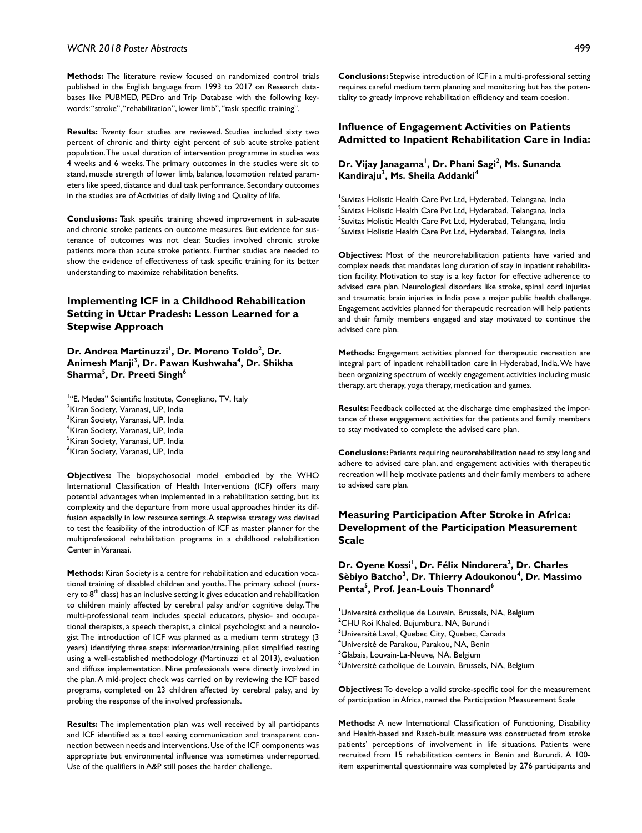**Methods:** The literature review focused on randomized control trials published in the English language from 1993 to 2017 on Research databases like PUBMED, PEDro and Trip Database with the following keywords: "stroke", "rehabilitation", lower limb", "task specific training".

**Results:** Twenty four studies are reviewed. Studies included sixty two percent of chronic and thirty eight percent of sub acute stroke patient population. The usual duration of intervention programme in studies was 4 weeks and 6 weeks. The primary outcomes in the studies were sit to stand, muscle strength of lower limb, balance, locomotion related parameters like speed, distance and dual task performance. Secondary outcomes in the studies are of Activities of daily living and Quality of life.

**Conclusions:** Task specific training showed improvement in sub-acute and chronic stroke patients on outcome measures. But evidence for sustenance of outcomes was not clear. Studies involved chronic stroke patients more than acute stroke patients. Further studies are needed to show the evidence of effectiveness of task specific training for its better understanding to maximize rehabilitation benefits.

# **Implementing ICF in a Childhood Rehabilitation Setting in Uttar Pradesh: Lesson Learned for a Stepwise Approach**

Dr. Andrea Martinuzzi<sup>1</sup>, Dr. Moreno Toldo<sup>2</sup>, Dr. **Animesh Manji3 , Dr. Pawan Kushwaha4 , Dr. Shikha Sharma5 , Dr. Preeti Singh6**

<sup>1</sup>"E. Medea" Scientific Institute, Conegliano, TV, Italy <sup>2</sup>Kiran Society, Varanasi, UP, India <sup>3</sup>Kiran Society, Varanasi, UP, India 4 Kiran Society, Varanasi, UP, India <sup>5</sup>Kiran Society, Varanasi, UP, India 6 Kiran Society, Varanasi, UP, India

**Objectives:** The biopsychosocial model embodied by the WHO International Classification of Health Interventions (ICF) offers many potential advantages when implemented in a rehabilitation setting, but its complexity and the departure from more usual approaches hinder its diffusion especially in low resource settings. A stepwise strategy was devised to test the feasibility of the introduction of ICF as master planner for the multiprofessional rehabilitation programs in a childhood rehabilitation Center in Varanasi.

**Methods:** Kiran Society is a centre for rehabilitation and education vocational training of disabled children and youths. The primary school (nursery to  $8<sup>th</sup>$  class) has an inclusive setting; it gives education and rehabilitation to children mainly affected by cerebral palsy and/or cognitive delay. The multi-professional team includes special educators, physio- and occupational therapists, a speech therapist, a clinical psychologist and a neurologist The introduction of ICF was planned as a medium term strategy (3 years) identifying three steps: information/training, pilot simplified testing using a well-established methodology (Martinuzzi et al 2013), evaluation and diffuse implementation. Nine professionals were directly involved in the plan. A mid-project check was carried on by reviewing the ICF based programs, completed on 23 children affected by cerebral palsy, and by probing the response of the involved professionals.

**Results:** The implementation plan was well received by all participants and ICF identified as a tool easing communication and transparent connection between needs and interventions. Use of the ICF components was appropriate but environmental influence was sometimes underreported. Use of the qualifiers in A&P still poses the harder challenge.

**Conclusions:** Stepwise introduction of ICF in a multi-professional setting requires careful medium term planning and monitoring but has the potentiality to greatly improve rehabilitation efficiency and team coesion.

#### **Influence of Engagement Activities on Patients Admitted to Inpatient Rehabilitation Care in India:**

## Dr. Vijay Janagama<sup>l</sup>, Dr. Phani Sagi<sup>2</sup>, Ms. Sunanda **Kandiraju3 , Ms. Sheila Addanki4**

<sup>1</sup>Suvitas Holistic Health Care Pvt Ltd, Hyderabad, Telangana, India  $^2$ Suvitas Holistic Health Care Pvt Ltd, Hyderabad, Telangana, India <sup>3</sup>Suvitas Holistic Health Care Pvt Ltd, Hyderabad, Telangana, India 4 Suvitas Holistic Health Care Pvt Ltd, Hyderabad, Telangana, India

**Objectives:** Most of the neurorehabilitation patients have varied and complex needs that mandates long duration of stay in inpatient rehabilitation facility. Motivation to stay is a key factor for effective adherence to advised care plan. Neurological disorders like stroke, spinal cord injuries and traumatic brain injuries in India pose a major public health challenge. Engagement activities planned for therapeutic recreation will help patients and their family members engaged and stay motivated to continue the advised care plan.

**Methods:** Engagement activities planned for therapeutic recreation are integral part of inpatient rehabilitation care in Hyderabad, India. We have been organizing spectrum of weekly engagement activities including music therapy, art therapy, yoga therapy, medication and games.

**Results:** Feedback collected at the discharge time emphasized the importance of these engagement activities for the patients and family members to stay motivated to complete the advised care plan.

**Conclusions:** Patients requiring neurorehabilitation need to stay long and adhere to advised care plan, and engagement activities with therapeutic recreation will help motivate patients and their family members to adhere to advised care plan.

# **Measuring Participation After Stroke in Africa: Development of the Participation Measurement Scale**

## Dr. Oyene Kossi<sup>!</sup>, Dr. Félix Nindorera<sup>2</sup>, Dr. Charles **Sèbiyo Batcho3 , Dr. Thierry Adoukonou4 , Dr. Massimo Penta5 , Prof. Jean-Louis Thonnard6**

<sup>1</sup>Université catholique de Louvain, Brussels, NA, Belgium <sup>2</sup>CHU Roi Khaled, Bujumbura, NA, Burundi  $^3$ Université Laval, Quebec City, Quebec, Canada 4 Université de Parakou, Parakou, NA, Benin <sup>5</sup>Glabais, Louvain-La-Neuve, NA, Belgium  $^6$ Université catholique de Louvain, Brussels, NA, Belgium

**Objectives:** To develop a valid stroke-specific tool for the measurement of participation in Africa, named the Participation Measurement Scale

**Methods:** A new International Classification of Functioning, Disability and Health-based and Rasch-built measure was constructed from stroke patients' perceptions of involvement in life situations. Patients were recruited from 15 rehabilitation centers in Benin and Burundi. A 100 item experimental questionnaire was completed by 276 participants and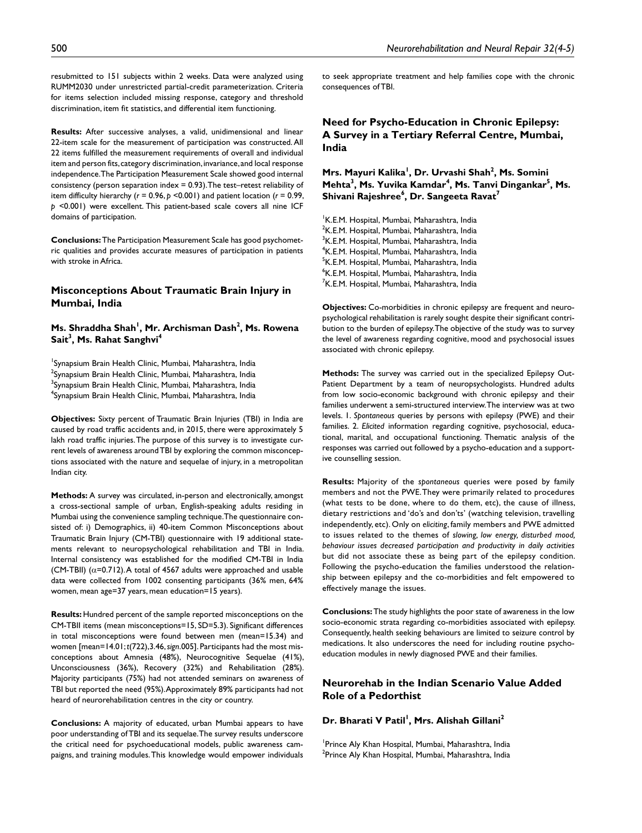resubmitted to 151 subjects within 2 weeks. Data were analyzed using RUMM2030 under unrestricted partial-credit parameterization. Criteria for items selection included missing response, category and threshold discrimination, item fit statistics, and differential item functioning.

**Results:** After successive analyses, a valid, unidimensional and linear 22-item scale for the measurement of participation was constructed. All 22 items fulfilled the measurement requirements of overall and individual item and person fits, category discrimination, invariance, and local response independence. The Participation Measurement Scale showed good internal consistency (person separation index = 0.93). The test–retest reliability of item difficulty hierarchy (*r* = 0.96, *p* <0.001) and patient location (*r* = 0.99, *p* <0.001) were excellent. This patient-based scale covers all nine ICF domains of participation.

**Conclusions:** The Participation Measurement Scale has good psychometric qualities and provides accurate measures of participation in patients with stroke in Africa.

## **Misconceptions About Traumatic Brain Injury in Mumbai, India**

## **Ms. Shraddha Shah<sup>1</sup>, Mr. Archisman Dash<sup>2</sup>, Ms. Rowena Sait3 , Ms. Rahat Sanghvi4**

1 Synapsium Brain Health Clinic, Mumbai, Maharashtra, India <sup>2</sup>Synapsium Brain Health Clinic, Mumbai, Maharashtra, India <sup>3</sup>Synapsium Brain Health Clinic, Mumbai, Maharashtra, India 4 Synapsium Brain Health Clinic, Mumbai, Maharashtra, India

**Objectives:** Sixty percent of Traumatic Brain Injuries (TBI) in India are caused by road traffic accidents and, in 2015, there were approximately 5 lakh road traffic injuries. The purpose of this survey is to investigate current levels of awareness around TBI by exploring the common misconceptions associated with the nature and sequelae of injury, in a metropolitan Indian city.

**Methods:** A survey was circulated, in-person and electronically, amongst a cross-sectional sample of urban, English-speaking adults residing in Mumbai using the convenience sampling technique. The questionnaire consisted of: i) Demographics, ii) 40-item Common Misconceptions about Traumatic Brain Injury (CM-TBI) questionnaire with 19 additional statements relevant to neuropsychological rehabilitation and TBI in India. Internal consistency was established for the modified CM-TBI in India (CM-TBII) ( $\alpha$ =0.712). A total of 4567 adults were approached and usable data were collected from 1002 consenting participants (36% men, 64% women, mean age=37 years, mean education=15 years).

**Results:** Hundred percent of the sample reported misconceptions on the CM-TBII items (mean misconceptions=15, SD=5.3). Significant differences in total misconceptions were found between men (mean=15.34) and women [mean=14.01; *t*(722),3.46, *sign*.005]. Participants had the most misconceptions about Amnesia (48%), Neurocognitive Sequelae (41%), Unconsciousness (36%), Recovery (32%) and Rehabilitation (28%). Majority participants (75%) had not attended seminars on awareness of TBI but reported the need (95%). Approximately 89% participants had not heard of neurorehabilitation centres in the city or country.

**Conclusions:** A majority of educated, urban Mumbai appears to have poor understanding of TBI and its sequelae. The survey results underscore the critical need for psychoeducational models, public awareness campaigns, and training modules. This knowledge would empower individuals

to seek appropriate treatment and help families cope with the chronic consequences of TBI.

**Need for Psycho-Education in Chronic Epilepsy: A Survey in a Tertiary Referral Centre, Mumbai, India**

Mrs. Mayuri Kalika<sup>l</sup>, Dr. Urvashi Shah<sup>2</sup>, Ms. Somini Mehta<sup>3</sup>, Ms. Yuvika Kamdar<sup>4</sup>, Ms. Tanvi Dingankar<sup>5</sup>, Ms. **Shivani Rajeshree6 , Dr. Sangeeta Ravat7**

<sup>1</sup> K.E.M. Hospital, Mumbai, Maharashtra, India <sup>2</sup>K.E.M. Hospital, Mumbai, Maharashtra, India <sup>3</sup>K.E.M. Hospital, Mumbai, Maharashtra, India <sup>4</sup>K.E.M. Hospital, Mumbai, Maharashtra, India <sup>5</sup>K.E.M. Hospital, Mumbai, Maharashtra, India 6 K.E.M. Hospital, Mumbai, Maharashtra, India <sup>7</sup>K.E.M. Hospital, Mumbai, Maharashtra, India

**Objectives:** Co-morbidities in chronic epilepsy are frequent and neuropsychological rehabilitation is rarely sought despite their significant contribution to the burden of epilepsy. The objective of the study was to survey the level of awareness regarding cognitive, mood and psychosocial issues associated with chronic epilepsy.

**Methods:** The survey was carried out in the specialized Epilepsy Out-Patient Department by a team of neuropsychologists. Hundred adults from low socio-economic background with chronic epilepsy and their families underwent a semi-structured interview. The interview was at two levels. 1. *Spontaneous* queries by persons with epilepsy (PWE) and their families. 2. *Elicited* information regarding cognitive, psychosocial, educational, marital, and occupational functioning. Thematic analysis of the responses was carried out followed by a psycho-education and a supportive counselling session.

**Results:** Majority of the *spontaneous* queries were posed by family members and not the PWE. They were primarily related to procedures (what tests to be done, where to do them, etc), the cause of illness, dietary restrictions and 'do's and don'ts' (watching television, travelling independently, etc). Only on *eliciting*, family members and PWE admitted to issues related to the themes of *slowing, low energy, disturbed mood, behaviour issues decreased participation and productivity in daily activities* but did not associate these as being part of the epilepsy condition. Following the psycho-education the families understood the relationship between epilepsy and the co-morbidities and felt empowered to effectively manage the issues.

**Conclusions:** The study highlights the poor state of awareness in the low socio-economic strata regarding co-morbidities associated with epilepsy. Consequently, health seeking behaviours are limited to seizure control by medications. It also underscores the need for including routine psychoeducation modules in newly diagnosed PWE and their families.

# **Neurorehab in the Indian Scenario Value Added Role of a Pedorthist**

### **Dr. Bharati V Patil1 , Mrs. Alishah Gillani2**

1 Prince Aly Khan Hospital, Mumbai, Maharashtra, India <sup>2</sup>Prince Aly Khan Hospital, Mumbai, Maharashtra, India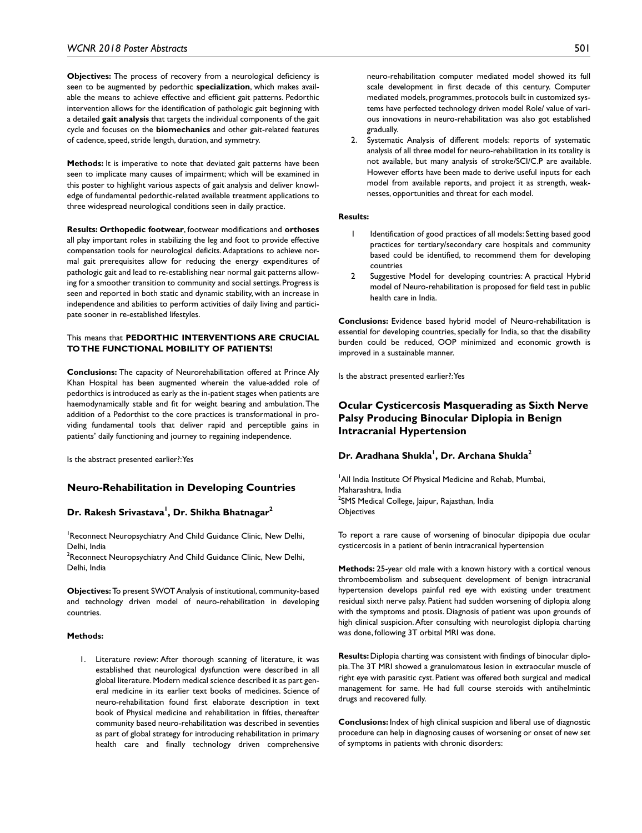**Objectives:** The process of recovery from a neurological deficiency is seen to be augmented by pedorthic **specialization**, which makes available the means to achieve effective and efficient gait patterns. Pedorthic intervention allows for the identification of pathologic gait beginning with a detailed **gait analysis** that targets the individual components of the gait cycle and focuses on the **biomechanics** and other gait-related features of cadence, speed, stride length, duration, and symmetry.

**Methods:** It is imperative to note that deviated gait patterns have been seen to implicate many causes of impairment; which will be examined in this poster to highlight various aspects of gait analysis and deliver knowledge of fundamental pedorthic-related available treatment applications to three widespread neurological conditions seen in daily practice.

**Results: Orthopedic footwear**, footwear modifications and **orthoses** all play important roles in stabilizing the leg and foot to provide effective compensation tools for neurological deficits. Adaptations to achieve normal gait prerequisites allow for reducing the energy expenditures of pathologic gait and lead to re-establishing near normal gait patterns allowing for a smoother transition to community and social settings. Progress is seen and reported in both static and dynamic stability, with an increase in independence and abilities to perform activities of daily living and participate sooner in re-established lifestyles.

#### This means that **PEDORTHIC INTERVENTIONS ARE CRUCIAL TO THE FUNCTIONAL MOBILITY OF PATIENTS!**

**Conclusions:** The capacity of Neurorehabilitation offered at Prince Aly Khan Hospital has been augmented wherein the value-added role of pedorthics is introduced as early as the in-patient stages when patients are haemodynamically stable and fit for weight bearing and ambulation. The addition of a Pedorthist to the core practices is transformational in providing fundamental tools that deliver rapid and perceptible gains in patients' daily functioning and journey to regaining independence.

Is the abstract presented earlier?: Yes

#### **Neuro-Rehabilitation in Developing Countries**

#### **Dr. Rakesh Srivastava1 , Dr. Shikha Bhatnagar2**

Reconnect Neuropsychiatry And Child Guidance Clinic, New Delhi, Delhi, India

 $^{2}$ Reconnect Neuropsychiatry And Child Guidance Clinic, New Delhi, Delhi, India

**Objectives:** To present SWOT Analysis of institutional, community-based and technology driven model of neuro-rehabilitation in developing countries.

#### **Methods:**

1. Literature review: After thorough scanning of literature, it was established that neurological dysfunction were described in all global literature. Modern medical science described it as part general medicine in its earlier text books of medicines. Science of neuro-rehabilitation found first elaborate description in text book of Physical medicine and rehabilitation in fifties, thereafter community based neuro-rehabilitation was described in seventies as part of global strategy for introducing rehabilitation in primary health care and finally technology driven comprehensive

neuro-rehabilitation computer mediated model showed its full scale development in first decade of this century. Computer mediated models, programmes, protocols built in customized systems have perfected technology driven model Role/ value of various innovations in neuro-rehabilitation was also got established gradually.

2. Systematic Analysis of different models: reports of systematic analysis of all three model for neuro-rehabilitation in its totality is not available, but many analysis of stroke/SCI/C.P are available. However efforts have been made to derive useful inputs for each model from available reports, and project it as strength, weaknesses, opportunities and threat for each model.

#### **Results:**

- 1 Identification of good practices of all models: Setting based good practices for tertiary/secondary care hospitals and community based could be identified, to recommend them for developing countries
- 2 Suggestive Model for developing countries: A practical Hybrid model of Neuro-rehabilitation is proposed for field test in public health care in India.

**Conclusions:** Evidence based hybrid model of Neuro-rehabilitation is essential for developing countries, specially for India, so that the disability burden could be reduced, OOP minimized and economic growth is improved in a sustainable manner.

Is the abstract presented earlier?: Yes

# **Ocular Cysticercosis Masquerading as Sixth Nerve Palsy Producing Binocular Diplopia in Benign Intracranial Hypertension**

#### **Dr. Aradhana Shukla1 , Dr. Archana Shukla2**

<sup>1</sup> All India Institute Of Physical Medicine and Rehab, Mumbai, Maharashtra, India <sup>2</sup>SMS Medical College, Jaipur, Rajasthan, India **Objectives** 

To report a rare cause of worsening of binocular dipipopia due ocular cysticercosis in a patient of benin intracranical hypertension

**Methods:** 25-year old male with a known history with a cortical venous thromboembolism and subsequent development of benign intracranial hypertension develops painful red eye with existing under treatment residual sixth nerve palsy. Patient had sudden worsening of diplopia along with the symptoms and ptosis. Diagnosis of patient was upon grounds of high clinical suspicion. After consulting with neurologist diplopia charting was done, following 3T orbital MRI was done.

**Results:** Diplopia charting was consistent with findings of binocular diplopia. The 3T MRI showed a granulomatous lesion in extraocular muscle of right eye with parasitic cyst. Patient was offered both surgical and medical management for same. He had full course steroids with antihelmintic drugs and recovered fully.

**Conclusions:** Index of high clinical suspicion and liberal use of diagnostic procedure can help in diagnosing causes of worsening or onset of new set of symptoms in patients with chronic disorders: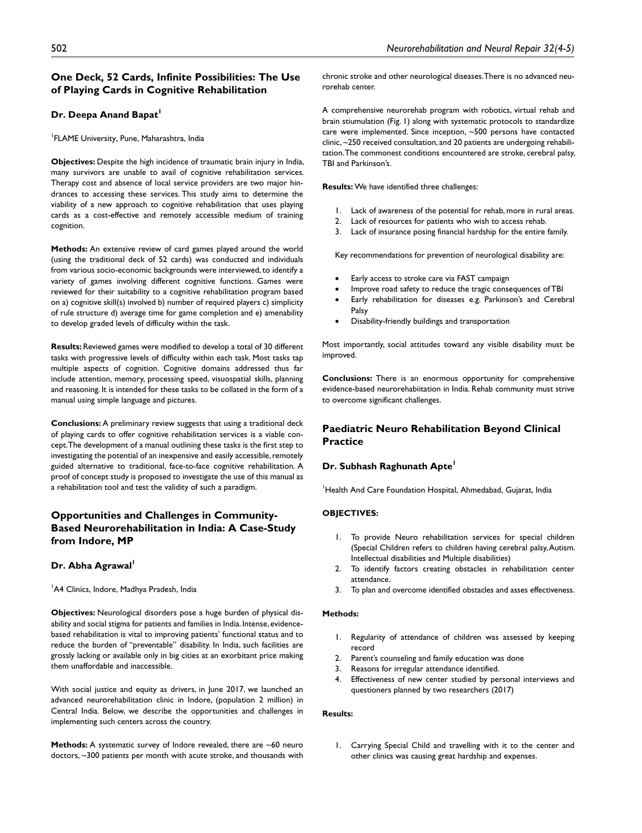## **One Deck, 52 Cards, Infinite Possibilities: The Use of Playing Cards in Cognitive Rehabilitation**

## **Dr. Deepa Anand Bapat**

1 FLAME University, Pune, Maharashtra, India

**Objectives:** Despite the high incidence of traumatic brain injury in India, many survivors are unable to avail of cognitive rehabilitation services. Therapy cost and absence of local service providers are two major hindrances to accessing these services. This study aims to determine the viability of a new approach to cognitive rehabilitation that uses playing cards as a cost-effective and remotely accessible medium of training cognition.

**Methods:** An extensive review of card games played around the world (using the traditional deck of 52 cards) was conducted and individuals from various socio-economic backgrounds were interviewed, to identify a variety of games involving different cognitive functions. Games were reviewed for their suitability to a cognitive rehabilitation program based on a) cognitive skill(s) involved b) number of required players c) simplicity of rule structure d) average time for game completion and e) amenability to develop graded levels of difficulty within the task.

**Results:** Reviewed games were modified to develop a total of 30 different tasks with progressive levels of difficulty within each task. Most tasks tap multiple aspects of cognition. Cognitive domains addressed thus far include attention, memory, processing speed, visuospatial skills, planning and reasoning. It is intended for these tasks to be collated in the form of a manual using simple language and pictures.

**Conclusions:** A preliminary review suggests that using a traditional deck of playing cards to offer cognitive rehabilitation services is a viable concept. The development of a manual outlining these tasks is the first step to investigating the potential of an inexpensive and easily accessible, remotely guided alternative to traditional, face-to-face cognitive rehabilitation. A proof of concept study is proposed to investigate the use of this manual as a rehabilitation tool and test the validity of such a paradigm.

# **Opportunities and Challenges in Community-Based Neurorehabilitation in India: A Case-Study from Indore, MP**

#### **Dr. Abha Agrawal**

<sup>1</sup>A4 Clinics, Indore, Madhya Pradesh, India

**Objectives:** Neurological disorders pose a huge burden of physical disability and social stigma for patients and families in India. Intense, evidencebased rehabilitation is vital to improving patients' functional status and to reduce the burden of "preventable" disability. In India, such facilities are grossly lacking or available only in big cities at an exorbitant price making them unaffordable and inaccessible.

With social justice and equity as drivers, in June 2017, we launched an advanced neurorehabilitation clinic in Indore, (population 2 million) in Central India. Below, we describe the opportunities and challenges in implementing such centers across the country.

**Methods:** A systematic survey of Indore revealed, there are ~60 neuro doctors, ~300 patients per month with acute stroke, and thousands with chronic stroke and other neurological diseases. There is no advanced neurorehab center.

A comprehensive neurorehab program with robotics, virtual rehab and brain stiumulation (Fig. 1) along with systematic protocols to standardize care were implemented. Since inception, ~500 persons have contacted clinic, ~250 received consultation, and 20 patients are undergoing rehabilitation. The commonest conditions encountered are stroke, cerebral palsy, TBI and Parkinson's.

**Results:** We have identified three challenges:

- 1. Lack of awareness of the potential for rehab, more in rural areas.
- 2. Lack of resources for patients who wish to access rehab.
- 3. Lack of insurance posing financial hardship for the entire family.

Key recommendations for prevention of neurological disability are:

- Early access to stroke care via FAST campaign
- Improve road safety to reduce the tragic consequences of TBI
- Early rehabilitation for diseases e.g. Parkinson's and Cerebral Palsy
- Disability-friendly buildings and transportation

Most importantly, social attitudes toward any visible disability must be improved.

**Conclusions:** There is an enormous opportunity for comprehensive evidence-based neurorehabiitation in India. Rehab community must strive to overcome significant challenges.

# **Paediatric Neuro Rehabilitation Beyond Clinical Practice**

#### **Dr. Subhash Raghunath Apte<sup>1</sup>**

<sup>1</sup>Health And Care Foundation Hospital, Ahmedabad, Gujarat, India

#### **OBJECTIVES:**

- 1. To provide Neuro rehabilitation services for special children (Special Children refers to children having cerebral palsy, Autism. Intellectual disabilities and Multiple disabilities)
- 2. To identify factors creating obstacles in rehabilitation center attendance.
- 3. To plan and overcome identified obstacles and asses effectiveness.

#### **Methods:**

- 1. Regularity of attendance of children was assessed by keeping record
- 2. Parent's counseling and family education was done
- 3. Reasons for irregular attendance identified.
- 4. Effectiveness of new center studied by personal interviews and questioners planned by two researchers (2017)

#### **Results:**

1. Carrying Special Child and travelling with it to the center and other clinics was causing great hardship and expenses.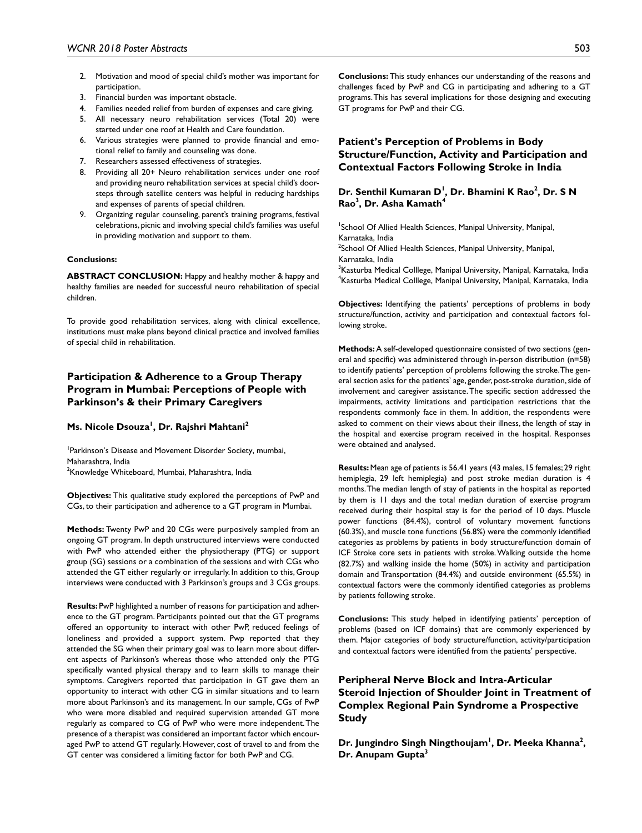- 2. Motivation and mood of special child's mother was important for participation.
- 3. Financial burden was important obstacle.
- 4. Families needed relief from burden of expenses and care giving.
- 5. All necessary neuro rehabilitation services (Total 20) were started under one roof at Health and Care foundation.
- 6. Various strategies were planned to provide financial and emotional relief to family and counseling was done.
- 7. Researchers assessed effectiveness of strategies.
- 8. Providing all 20+ Neuro rehabilitation services under one roof and providing neuro rehabilitation services at special child's doorsteps through satellite centers was helpful in reducing hardships and expenses of parents of special children.
- 9. Organizing regular counseling, parent's training programs, festival celebrations, picnic and involving special child's families was useful in providing motivation and support to them.

#### **Conclusions:**

**ABSTRACT CONCLUSION:** Happy and healthy mother & happy and healthy families are needed for successful neuro rehabilitation of special children.

To provide good rehabilitation services, along with clinical excellence, institutions must make plans beyond clinical practice and involved families of special child in rehabilitation.

# **Participation & Adherence to a Group Therapy Program in Mumbai: Perceptions of People with Parkinson's & their Primary Caregivers**

#### **Ms. Nicole Dsouza1 , Dr. Rajshri Mahtani2**

<sup>1</sup>Parkinson's Disease and Movement Disorder Society, mumbai, Maharashtra, India  $^{\rm 2}$ Knowledge Whiteboard, Mumbai, Maharashtra, India

**Objectives:** This qualitative study explored the perceptions of PwP and CGs, to their participation and adherence to a GT program in Mumbai.

**Methods:** Twenty PwP and 20 CGs were purposively sampled from an ongoing GT program. In depth unstructured interviews were conducted with PwP who attended either the physiotherapy (PTG) or support group (SG) sessions or a combination of the sessions and with CGs who attended the GT either regularly or irregularly. In addition to this, Group interviews were conducted with 3 Parkinson's groups and 3 CGs groups.

**Results:** PwP highlighted a number of reasons for participation and adherence to the GT program. Participants pointed out that the GT programs offered an opportunity to interact with other PwP, reduced feelings of loneliness and provided a support system. Pwp reported that they attended the SG when their primary goal was to learn more about different aspects of Parkinson's whereas those who attended only the PTG specifically wanted physical therapy and to learn skills to manage their symptoms. Caregivers reported that participation in GT gave them an opportunity to interact with other CG in similar situations and to learn more about Parkinson's and its management. In our sample, CGs of PwP who were more disabled and required supervision attended GT more regularly as compared to CG of PwP who were more independent. The presence of a therapist was considered an important factor which encouraged PwP to attend GT regularly. However, cost of travel to and from the GT center was considered a limiting factor for both PwP and CG.

**Conclusions:** This study enhances our understanding of the reasons and challenges faced by PwP and CG in participating and adhering to a GT programs. This has several implications for those designing and executing GT programs for PwP and their CG.

# **Patient's Perception of Problems in Body Structure/Function, Activity and Participation and Contextual Factors Following Stroke in India**

## **Dr. Senthil Kumaran D<sup>1</sup>, Dr. Bhamini K Rao<sup>2</sup>, Dr. S N Rao3 , Dr. Asha Kamath4**

<sup>1</sup>School Of Allied Health Sciences, Manipal University, Manipal, Karnataka, India

<sup>2</sup>School Of Allied Health Sciences, Manipal University, Manipal, Karnataka, India

 $^3$ Kasturba Medical Colllege, Manipal University, Manipal, Karnataka, India 4 Kasturba Medical Colllege, Manipal University, Manipal, Karnataka, India

**Objectives:** Identifying the patients' perceptions of problems in body structure/function, activity and participation and contextual factors following stroke.

**Methods:** A self-developed questionnaire consisted of two sections (general and specific) was administered through in-person distribution (n=58) to identify patients' perception of problems following the stroke. The general section asks for the patients' age, gender, post-stroke duration, side of involvement and caregiver assistance. The specific section addressed the impairments, activity limitations and participation restrictions that the respondents commonly face in them. In addition, the respondents were asked to comment on their views about their illness, the length of stay in the hospital and exercise program received in the hospital. Responses were obtained and analysed.

**Results:** Mean age of patients is 56.41 years (43 males, 15 females; 29 right hemiplegia, 29 left hemiplegia) and post stroke median duration is 4 months. The median length of stay of patients in the hospital as reported by them is 11 days and the total median duration of exercise program received during their hospital stay is for the period of 10 days. Muscle power functions (84.4%), control of voluntary movement functions (60.3%), and muscle tone functions (56.8%) were the commonly identified categories as problems by patients in body structure/function domain of ICF Stroke core sets in patients with stroke. Walking outside the home (82.7%) and walking inside the home (50%) in activity and participation domain and Transportation (84.4%) and outside environment (65.5%) in contextual factors were the commonly identified categories as problems by patients following stroke.

**Conclusions:** This study helped in identifying patients' perception of problems (based on ICF domains) that are commonly experienced by them. Major categories of body structure/function, activity/participation and contextual factors were identified from the patients' perspective.

# **Peripheral Nerve Block and Intra-Articular Steroid Injection of Shoulder Joint in Treatment of Complex Regional Pain Syndrome a Prospective Study**

Dr. Jungindro Singh Ningthoujam<sup>1</sup>, Dr. Meeka Khanna<sup>2</sup>, Dr. Anupam Gupta<sup>3</sup>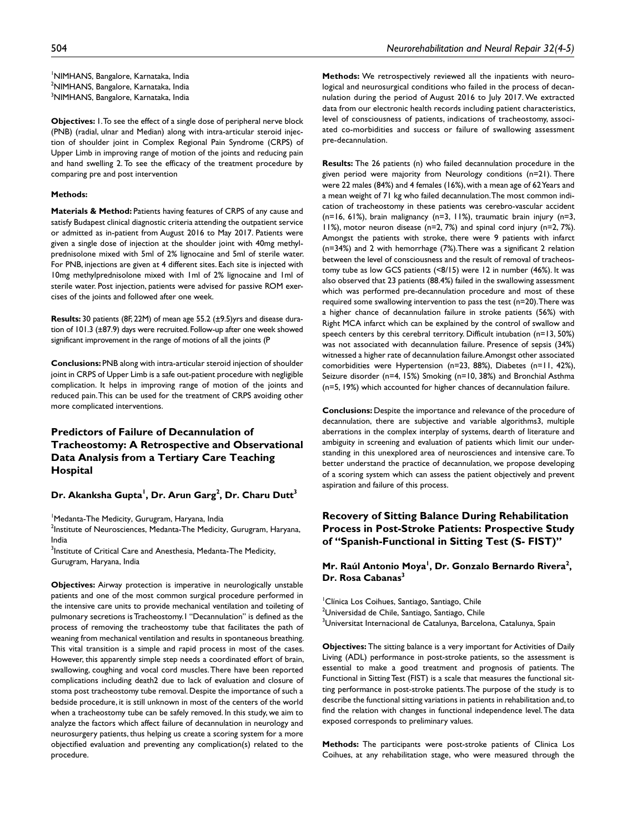1 NIMHANS, Bangalore, Karnataka, India <sup>2</sup>NIMHANS, Bangalore, Karnataka, India <sup>3</sup>NIMHANS, Bangalore, Karnataka, India

**Objectives:** 1. To see the effect of a single dose of peripheral nerve block (PNB) (radial, ulnar and Median) along with intra-articular steroid injection of shoulder joint in Complex Regional Pain Syndrome (CRPS) of Upper Limb in improving range of motion of the joints and reducing pain and hand swelling 2. To see the efficacy of the treatment procedure by comparing pre and post intervention

#### **Methods:**

**Materials & Method:** Patients having features of CRPS of any cause and satisfy Budapest clinical diagnostic criteria attending the outpatient service or admitted as in-patient from August 2016 to May 2017. Patients were given a single dose of injection at the shoulder joint with 40mg methylprednisolone mixed with 5ml of 2% lignocaine and 5ml of sterile water. For PNB, injections are given at 4 different sites. Each site is injected with 10mg methylprednisolone mixed with 1ml of 2% lignocaine and 1ml of sterile water. Post injection, patients were advised for passive ROM exercises of the joints and followed after one week.

**Results:** 30 patients (8F, 22M) of mean age 55.2 (±9.5)yrs and disease duration of 101.3 (±87.9) days were recruited. Follow-up after one week showed significant improvement in the range of motions of all the joints (P

**Conclusions:** PNB along with intra-articular steroid injection of shoulder joint in CRPS of Upper Limb is a safe out-patient procedure with negligible complication. It helps in improving range of motion of the joints and reduced pain. This can be used for the treatment of CRPS avoiding other more complicated interventions.

# **Predictors of Failure of Decannulation of Tracheostomy: A Retrospective and Observational Data Analysis from a Tertiary Care Teaching Hospital**

## **Dr. Akanksha Gupta1 , Dr. Arun Garg2 , Dr. Charu Dutt3**

1 Medanta-The Medicity, Gurugram, Haryana, India

 $^{2}$ Institute of Neurosciences, Medanta-The Medicity, Gurugram, Haryana, India

 $3$ Institute of Critical Care and Anesthesia, Medanta-The Medicity, Gurugram, Haryana, India

**Objectives:** Airway protection is imperative in neurologically unstable patients and one of the most common surgical procedure performed in the intensive care units to provide mechanical ventilation and toileting of pulmonary secretions is Tracheostomy.1 "Decannulation" is defined as the process of removing the tracheostomy tube that facilitates the path of weaning from mechanical ventilation and results in spontaneous breathing. This vital transition is a simple and rapid process in most of the cases. However, this apparently simple step needs a coordinated effort of brain, swallowing, coughing and vocal cord muscles. There have been reported complications including death2 due to lack of evaluation and closure of stoma post tracheostomy tube removal. Despite the importance of such a bedside procedure, it is still unknown in most of the centers of the world when a tracheostomy tube can be safely removed. In this study, we aim to analyze the factors which affect failure of decannulation in neurology and neurosurgery patients, thus helping us create a scoring system for a more objectified evaluation and preventing any complication(s) related to the procedure.

**Methods:** We retrospectively reviewed all the inpatients with neurological and neurosurgical conditions who failed in the process of decannulation during the period of August 2016 to July 2017. We extracted data from our electronic health records including patient characteristics, level of consciousness of patients, indications of tracheostomy, associated co-morbidities and success or failure of swallowing assessment pre-decannulation.

**Results:** The 26 patients (n) who failed decannulation procedure in the given period were majority from Neurology conditions (n=21). There were 22 males (84%) and 4 females (16%), with a mean age of 62 Years and a mean weight of 71 kg who failed decannulation. The most common indication of tracheostomy in these patients was cerebro-vascular accident (n=16, 61%), brain malignancy (n=3, 11%), traumatic brain injury (n=3, 11%), motor neuron disease (n=2, 7%) and spinal cord injury (n=2, 7%). Amongst the patients with stroke, there were 9 patients with infarct (n=34%) and 2 with hemorrhage (7%).There was a significant 2 relation between the level of consciousness and the result of removal of tracheostomy tube as low GCS patients (<8/15) were 12 in number (46%). It was also observed that 23 patients (88.4%) failed in the swallowing assessment which was performed pre-decannulation procedure and most of these required some swallowing intervention to pass the test (n=20). There was a higher chance of decannulation failure in stroke patients (56%) with Right MCA infarct which can be explained by the control of swallow and speech centers by this cerebral territory. Difficult intubation (n=13, 50%) was not associated with decannulation failure. Presence of sepsis (34%) witnessed a higher rate of decannulation failure. Amongst other associated comorbidities were Hypertension (n=23, 88%), Diabetes (n=11, 42%), Seizure disorder (n=4, 15%) Smoking (n=10, 38%) and Bronchial Asthma (n=5, 19%) which accounted for higher chances of decannulation failure.

**Conclusions:** Despite the importance and relevance of the procedure of decannulation, there are subjective and variable algorithms3, multiple aberrations in the complex interplay of systems, dearth of literature and ambiguity in screening and evaluation of patients which limit our understanding in this unexplored area of neurosciences and intensive care. To better understand the practice of decannulation, we propose developing of a scoring system which can assess the patient objectively and prevent aspiration and failure of this process.

# **Recovery of Sitting Balance During Rehabilitation Process in Post-Stroke Patients: Prospective Study of "Spanish-Functional in Sitting Test (S- FIST)"**

## Mr. Raúl Antonio Moya<sup>l</sup>, Dr. Gonzalo Bernardo Rivera<sup>2</sup>, Dr. Rosa Cabanas<sup>3</sup>

<sup>1</sup> Clínica Los Coihues, Santiago, Santiago, Chile  $^{2}$ Universidad de Chile, Santiago, Santiago, Chile <sup>3</sup>Universitat Internacional de Catalunya, Barcelona, Catalunya, Spain

**Objectives:** The sitting balance is a very important for Activities of Daily Living (ADL) performance in post-stroke patients, so the assessment is essential to make a good treatment and prognosis of patients. The Functional in Sitting Test (FIST) is a scale that measures the functional sitting performance in post-stroke patients. The purpose of the study is to describe the functional sitting variations in patients in rehabilitation and, to find the relation with changes in functional independence level. The data exposed corresponds to preliminary values.

**Methods:** The participants were post-stroke patients of Clinica Los Coihues, at any rehabilitation stage, who were measured through the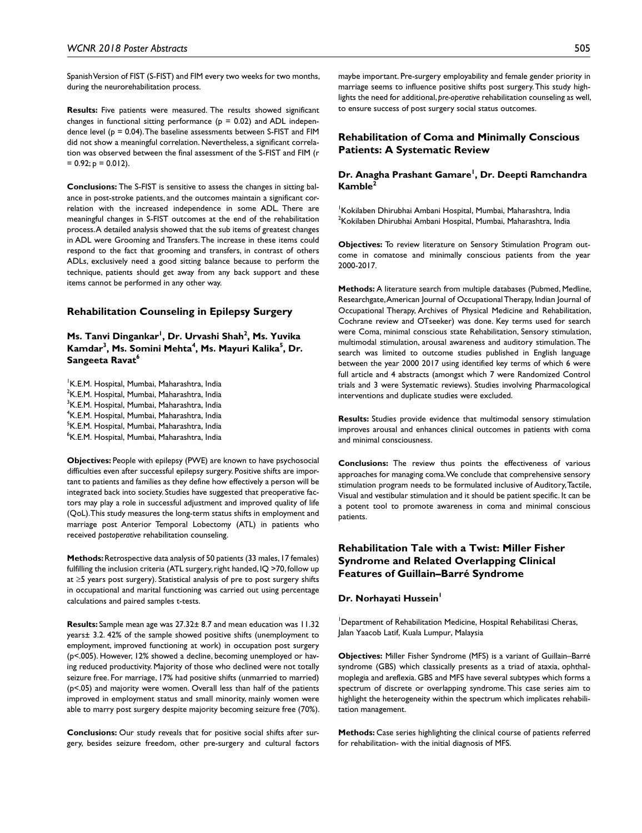Spanish Version of FIST (S-FIST) and FIM every two weeks for two months, during the neurorehabilitation process.

**Results:** Five patients were measured. The results showed significant changes in functional sitting performance  $(p = 0.02)$  and ADL independence level ( $p = 0.04$ ). The baseline assessments between S-FIST and FIM did not show a meaningful correlation. Nevertheless, a significant correlation was observed between the final assessment of the S-FIST and FIM (r  $= 0.92$ ;  $p = 0.012$ ).

**Conclusions:** The S-FIST is sensitive to assess the changes in sitting balance in post-stroke patients, and the outcomes maintain a significant correlation with the increased independence in some ADL. There are meaningful changes in S-FIST outcomes at the end of the rehabilitation process. A detailed analysis showed that the sub items of greatest changes in ADL were Grooming and Transfers. The increase in these items could respond to the fact that grooming and transfers, in contrast of others ADLs, exclusively need a good sitting balance because to perform the technique, patients should get away from any back support and these items cannot be performed in any other way.

#### **Rehabilitation Counseling in Epilepsy Surgery**

**Ms. Tanvi Dingankar1 , Dr. Urvashi Shah2 , Ms. Yuvika**  Kamdar<sup>3</sup>, Ms. Somini Mehta<sup>4</sup>, Ms. Mayuri Kalika<sup>5</sup>, Dr. **Sangeeta Ravat<sup>6</sup>** 

<sup>1</sup> K.E.M. Hospital, Mumbai, Maharashtra, India  $^{2}$ K.E.M. Hospital, Mumbai, Maharashtra, India <sup>3</sup>K.E.M. Hospital, Mumbai, Maharashtra, India 4 K.E.M. Hospital, Mumbai, Maharashtra, India <sup>5</sup>K.E.M. Hospital, Mumbai, Maharashtra, India 6 K.E.M. Hospital, Mumbai, Maharashtra, India

**Objectives:** People with epilepsy (PWE) are known to have psychosocial difficulties even after successful epilepsy surgery. Positive shifts are important to patients and families as they define how effectively a person will be integrated back into society. Studies have suggested that preoperative factors may play a role in successful adjustment and improved quality of life (QoL). This study measures the long-term status shifts in employment and marriage post Anterior Temporal Lobectomy (ATL) in patients who received *postoperative* rehabilitation counseling.

**Methods:** Retrospective data analysis of 50 patients (33 males, 17 females) fulfilling the inclusion criteria (ATL surgery, right handed, IQ >70, follow up at ≥5 years post surgery). Statistical analysis of pre to post surgery shifts in occupational and marital functioning was carried out using percentage calculations and paired samples t-tests.

**Results:** Sample mean age was 27.32± 8.7 and mean education was 11.32 years± 3.2. 42% of the sample showed positive shifts (unemployment to employment, improved functioning at work) in occupation post surgery (p<.005). However, 12% showed a decline, becoming unemployed or having reduced productivity. Majority of those who declined were not totally seizure free. For marriage, 17% had positive shifts (unmarried to married) (p<.05) and majority were women. Overall less than half of the patients improved in employment status and small minority, mainly women were able to marry post surgery despite majority becoming seizure free (70%).

**Conclusions:** Our study reveals that for positive social shifts after surgery, besides seizure freedom, other pre-surgery and cultural factors

maybe important. Pre-surgery employability and female gender priority in marriage seems to influence positive shifts post surgery. This study highlights the need for additional, *pre-operative* rehabilitation counseling as well, to ensure success of post surgery social status outcomes.

## **Rehabilitation of Coma and Minimally Conscious Patients: A Systematic Review**

#### **Dr. Anagha Prashant Gamare1 , Dr. Deepti Ramchandra Kamble<sup>2</sup>**

1 Kokilaben Dhirubhai Ambani Hospital, Mumbai, Maharashtra, India  $^{2}$ Kokilaben Dhirubhai Ambani Hospital, Mumbai, Maharashtra, India

**Objectives:** To review literature on Sensory Stimulation Program outcome in comatose and minimally conscious patients from the year 2000-2017.

**Methods:** A literature search from multiple databases (Pubmed, Medline, Researchgate, American Journal of Occupational Therapy, Indian Journal of Occupational Therapy, Archives of Physical Medicine and Rehabilitation, Cochrane review and OTseeker) was done. Key terms used for search were Coma, minimal conscious state Rehabilitation, Sensory stimulation, multimodal stimulation, arousal awareness and auditory stimulation. The search was limited to outcome studies published in English language between the year 2000 2017 using identified key terms of which 6 were full article and 4 abstracts (amongst which 7 were Randomized Control trials and 3 were Systematic reviews). Studies involving Pharmacological interventions and duplicate studies were excluded.

**Results:** Studies provide evidence that multimodal sensory stimulation improves arousal and enhances clinical outcomes in patients with coma and minimal consciousness.

**Conclusions:** The review thus points the effectiveness of various approaches for managing coma. We conclude that comprehensive sensory stimulation program needs to be formulated inclusive of Auditory, Tactile, Visual and vestibular stimulation and it should be patient specific. It can be a potent tool to promote awareness in coma and minimal conscious patients.

## **Rehabilitation Tale with a Twist: Miller Fisher Syndrome and Related Overlapping Clinical Features of Guillain–Barré Syndrome**

#### **Dr. Norhayati Hussein'**

<sup>1</sup>Department of Rehabilitation Medicine, Hospital Rehabilitasi Cheras, Jalan Yaacob Latif, Kuala Lumpur, Malaysia

**Objectives:** Miller Fisher Syndrome (MFS) is a variant of Guillain–Barré syndrome (GBS) which classically presents as a triad of ataxia, ophthalmoplegia and areflexia. GBS and MFS have several subtypes which forms a spectrum of discrete or overlapping syndrome. This case series aim to highlight the heterogeneity within the spectrum which implicates rehabilitation management.

**Methods:** Case series highlighting the clinical course of patients referred for rehabilitation- with the initial diagnosis of MFS.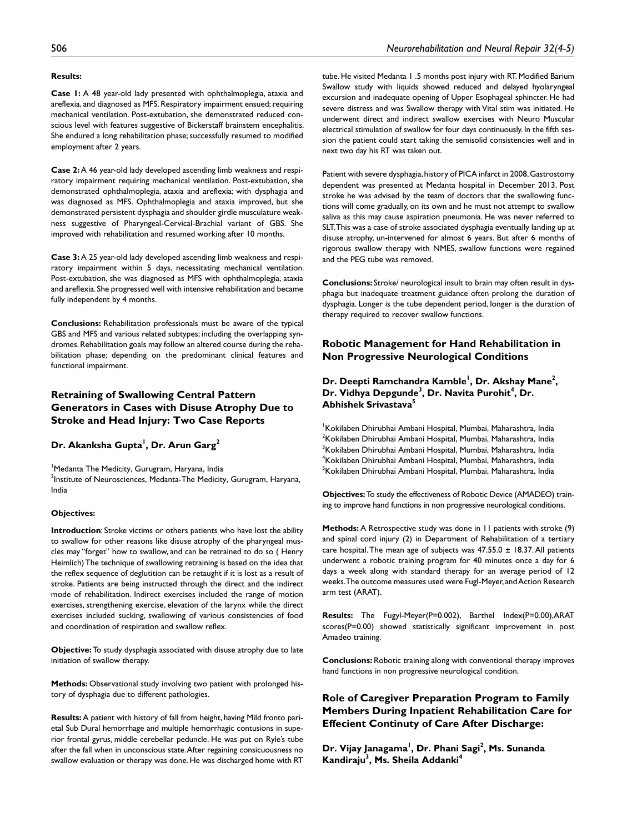#### **Results:**

**Case 1:** A 48 year-old lady presented with ophthalmoplegia, ataxia and areflexia, and diagnosed as MFS. Respiratory impairment ensued; requiring mechanical ventilation. Post-extubation, she demonstrated reduced conscious level with features suggestive of Bickerstaff brainstem encephalitis. She endured a long rehabilitation phase; successfully resumed to modified employment after 2 years.

**Case 2:** A 46 year-old lady developed ascending limb weakness and respiratory impairment requiring mechanical ventilation. Post-extubation, she demonstrated ophthalmoplegia, ataxia and areflexia; with dysphagia and was diagnosed as MFS. Ophthalmoplegia and ataxia improved, but she demonstrated persistent dysphagia and shoulder girdle musculature weakness suggestive of Pharyngeal-Cervical-Brachial variant of GBS. She improved with rehabilitation and resumed working after 10 months.

**Case 3:** A 25 year-old lady developed ascending limb weakness and respiratory impairment within 5 days, necessitating mechanical ventilation. Post-extubation, she was diagnosed as MFS with ophthalmoplegia, ataxia and areflexia. She progressed well with intensive rehabilitation and became fully independent by 4 months.

**Conclusions:** Rehabilitation professionals must be aware of the typical GBS and MFS and various related subtypes; including the overlapping syndromes. Rehabilitation goals may follow an altered course during the rehabilitation phase; depending on the predominant clinical features and functional impairment.

# **Retraining of Swallowing Central Pattern Generators in Cases with Disuse Atrophy Due to Stroke and Head Injury: Two Case Reports**

## **Dr. Akanksha Gupta1 , Dr. Arun Garg2**

<sup>1</sup>Medanta The Medicity, Gurugram, Haryana, India <sup>2</sup>Institute of Neurosciences, Medanta-The Medicity, Gurugram, Haryana, India

#### **Objectives:**

**Introduction**: Stroke victims or others patients who have lost the ability to swallow for other reasons like disuse atrophy of the pharyngeal muscles may "forget" how to swallow, and can be retrained to do so ( Henry Heimlich) The technique of swallowing retraining is based on the idea that the reflex sequence of deglutition can be retaught if it is lost as a result of stroke. Patients are being instructed through the direct and the indirect mode of rehabilitation. Indirect exercises included the range of motion exercises, strengthening exercise, elevation of the larynx while the direct exercises included sucking, swallowing of various consistencies of food and coordination of respiration and swallow reflex.

**Objective:** To study dysphagia associated with disuse atrophy due to late initiation of swallow therapy.

**Methods:** Observational study involving two patient with prolonged history of dysphagia due to different pathologies.

**Results:** A patient with history of fall from height, having Mild fronto parietal Sub Dural hemorrhage and multiple hemorrhagic contusions in superior frontal gyrus, middle cerebellar peduncle. He was put on Ryle's tube after the fall when in unconscious state. After regaining consicuousness no swallow evaluation or therapy was done. He was discharged home with RT

tube. He visited Medanta 1 .5 months post injury with RT. Modified Barium Swallow study with liquids showed reduced and delayed hyolaryngeal excursion and inadequate opening of Upper Esophageal sphincter. He had severe distress and was Swallow therapy with Vital stim was initiated. He underwent direct and indirect swallow exercises with Neuro Muscular electrical stimulation of swallow for four days continuously. In the fifth session the patient could start taking the semisolid consistencies well and in next two day his RT was taken out.

Patient with severe dysphagia, history of PICA infarct in 2008, Gastrostomy dependent was presented at Medanta hospital in December 2013. Post stroke he was advised by the team of doctors that the swallowing functions will come gradually, on its own and he must not attempt to swallow saliva as this may cause aspiration pneumonia. He was never referred to SLT. This was a case of stroke associated dysphagia eventually landing up at disuse atrophy, un-intervened for almost 6 years. But after 6 months of rigorous swallow therapy with NMES, swallow functions were regained and the PEG tube was removed.

**Conclusions:** Stroke/ neurological insult to brain may often result in dysphagia but inadequate treatment guidance often prolong the duration of dysphagia. Longer is the tube dependent period, longer is the duration of therapy required to recover swallow functions.

#### **Robotic Management for Hand Rehabilitation in Non Progressive Neurological Conditions**

## Dr. Deepti Ramchandra Kamble<sup>1</sup>, Dr. Akshay Mane<sup>2</sup>, Dr. Vidhya Depgunde<sup>3</sup>, Dr. Navita Purohit<sup>4</sup>, Dr. **Abhishek Srivastava5**

1 Kokilaben Dhirubhai Ambani Hospital, Mumbai, Maharashtra, India  $^{2}$ Kokilaben Dhirubhai Ambani Hospital, Mumbai, Maharashtra, India  $^3$ Kokilaben Dhirubhai Ambani Hospital, Mumbai, Maharashtra, India 4 Kokilaben Dhirubhai Ambani Hospital, Mumbai, Maharashtra, India <sup>5</sup>Kokilaben Dhirubhai Ambani Hospital, Mumbai, Maharashtra, India

**Objectives:** To study the effectiveness of Robotic Device (AMADEO) training to improve hand functions in non progressive neurological conditions.

**Methods:** A Retrospective study was done in 11 patients with stroke (9) and spinal cord injury (2) in Department of Rehabilitation of a tertiary care hospital. The mean age of subjects was  $47.55.0 \pm 18.37$ . All patients underwent a robotic training program for 40 minutes once a day for 6 days a week along with standard therapy for an average period of 12 weeks. The outcome measures used were Fugl-Meyer, and Action Research arm test (ARAT).

**Results:** The Fugyl-Meyer(P=0.002), Barthel Index(P=0.00),ARAT scores(P=0.00) showed statistically significant improvement in post Amadeo training.

**Conclusions:** Robotic training along with conventional therapy improves hand functions in non progressive neurological condition.

**Role of Caregiver Preparation Program to Family Members During Inpatient Rehabilitation Care for Effecient Continuty of Care After Discharge:**

Dr. Vijay Janagama<sup>l</sup>, Dr. Phani Sagi<sup>2</sup>, Ms. Sunanda **Kandiraju3 , Ms. Sheila Addanki4**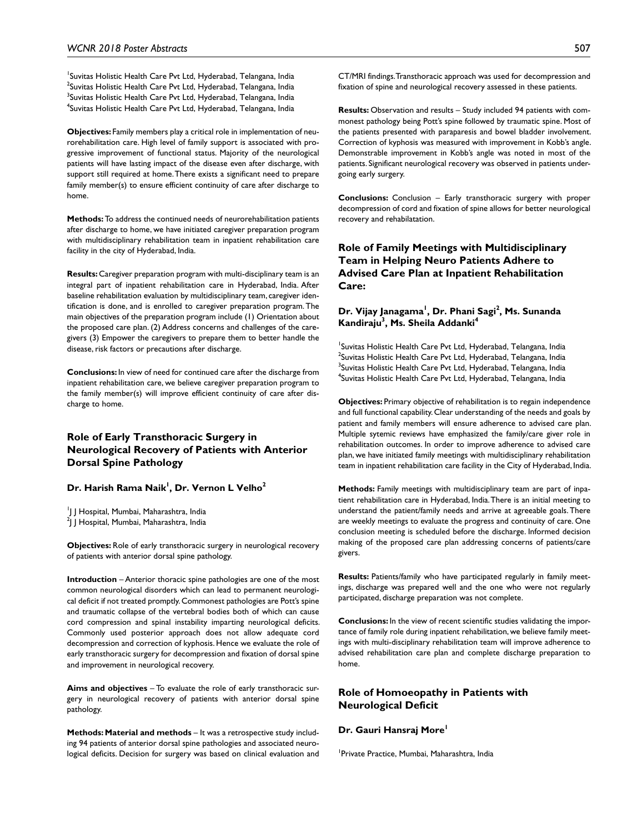<sup>1</sup>Suvitas Holistic Health Care Pvt Ltd, Hyderabad, Telangana, India <sup>2</sup>Suvitas Holistic Health Care Pvt Ltd, Hyderabad, Telangana, India <sup>3</sup>Suvitas Holistic Health Care Pvt Ltd, Hyderabad, Telangana, India 4 Suvitas Holistic Health Care Pvt Ltd, Hyderabad, Telangana, India

**Objectives:** Family members play a critical role in implementation of neurorehabilitation care. High level of family support is associated with progressive improvement of functional status. Majority of the neurological patients will have lasting impact of the disease even after discharge, with support still required at home. There exists a significant need to prepare family member(s) to ensure efficient continuity of care after discharge to home.

**Methods:** To address the continued needs of neurorehabilitation patients after discharge to home, we have initiated caregiver preparation program with multidisciplinary rehabilitation team in inpatient rehabilitation care facility in the city of Hyderabad, India.

**Results:** Caregiver preparation program with multi-disciplinary team is an integral part of inpatient rehabilitation care in Hyderabad, India. After baseline rehabilitation evaluation by multidisciplinary team, caregiver identification is done, and is enrolled to caregiver preparation program. The main objectives of the preparation program include (1) Orientation about the proposed care plan. (2) Address concerns and challenges of the caregivers (3) Empower the caregivers to prepare them to better handle the disease, risk factors or precautions after discharge.

**Conclusions:** In view of need for continued care after the discharge from inpatient rehabilitation care, we believe caregiver preparation program to the family member(s) will improve efficient continuity of care after discharge to home.

# **Role of Early Transthoracic Surgery in Neurological Recovery of Patients with Anterior Dorsal Spine Pathology**

#### **Dr. Harish Rama Naik1 , Dr. Vernon L Velho2**

<sup>1</sup>J J Hospital, Mumbai, Maharashtra, India

 $^2$ J J Hospital, Mumbai, Maharashtra, India

**Objectives:** Role of early transthoracic surgery in neurological recovery of patients with anterior dorsal spine pathology.

**Introduction** – Anterior thoracic spine pathologies are one of the most common neurological disorders which can lead to permanent neurological deficit if not treated promptly. Commonest pathologies are Pott's spine and traumatic collapse of the vertebral bodies both of which can cause cord compression and spinal instability imparting neurological deficits. Commonly used posterior approach does not allow adequate cord decompression and correction of kyphosis. Hence we evaluate the role of early transthoracic surgery for decompression and fixation of dorsal spine and improvement in neurological recovery.

**Aims and objectives** – To evaluate the role of early transthoracic surgery in neurological recovery of patients with anterior dorsal spine pathology.

**Methods: Material and methods** – It was a retrospective study including 94 patients of anterior dorsal spine pathologies and associated neurological deficits. Decision for surgery was based on clinical evaluation and CT/MRI findings. Transthoracic approach was used for decompression and fixation of spine and neurological recovery assessed in these patients.

**Results:** Observation and results – Study included 94 patients with commonest pathology being Pott's spine followed by traumatic spine. Most of the patients presented with paraparesis and bowel bladder involvement. Correction of kyphosis was measured with improvement in Kobb's angle. Demonstrable improvement in Kobb's angle was noted in most of the patients. Significant neurological recovery was observed in patients undergoing early surgery.

**Conclusions:** Conclusion – Early transthoracic surgery with proper decompression of cord and fixation of spine allows for better neurological recovery and rehabilatation.

# **Role of Family Meetings with Multidisciplinary Team in Helping Neuro Patients Adhere to Advised Care Plan at Inpatient Rehabilitation Care:**

## Dr. Vijay Janagama<sup>l</sup>, Dr. Phani Sagi<sup>2</sup>, Ms. Sunanda **Kandiraju3 , Ms. Sheila Addanki4**

<sup>1</sup>Suvitas Holistic Health Care Pvt Ltd, Hyderabad, Telangana, India  $^2$ Suvitas Holistic Health Care Pvt Ltd, Hyderabad, Telangana, India <sup>3</sup>Suvitas Holistic Health Care Pvt Ltd, Hyderabad, Telangana, India 4 Suvitas Holistic Health Care Pvt Ltd, Hyderabad, Telangana, India

**Objectives:** Primary objective of rehabilitation is to regain independence and full functional capability. Clear understanding of the needs and goals by patient and family members will ensure adherence to advised care plan. Multiple sytemic reviews have emphasized the family/care giver role in rehabilitation outcomes. In order to improve adherence to advised care plan, we have initiated family meetings with multidisciplinary rehabilitation team in inpatient rehabilitation care facility in the City of Hyderabad, India.

**Methods:** Family meetings with multidisciplinary team are part of inpatient rehabilitation care in Hyderabad, India. There is an initial meeting to understand the patient/family needs and arrive at agreeable goals. There are weekly meetings to evaluate the progress and continuity of care. One conclusion meeting is scheduled before the discharge. Informed decision making of the proposed care plan addressing concerns of patients/care givers.

**Results:** Patients/family who have participated regularly in family meetings, discharge was prepared well and the one who were not regularly participated, discharge preparation was not complete.

**Conclusions:** In the view of recent scientific studies validating the importance of family role during inpatient rehabilitation, we believe family meetings with multi-disciplinary rehabilitation team will improve adherence to advised rehabilitation care plan and complete discharge preparation to home.

### **Role of Homoeopathy in Patients with Neurological Deficit**

#### **Dr. Gauri Hansraj More**

1 Private Practice, Mumbai, Maharashtra, India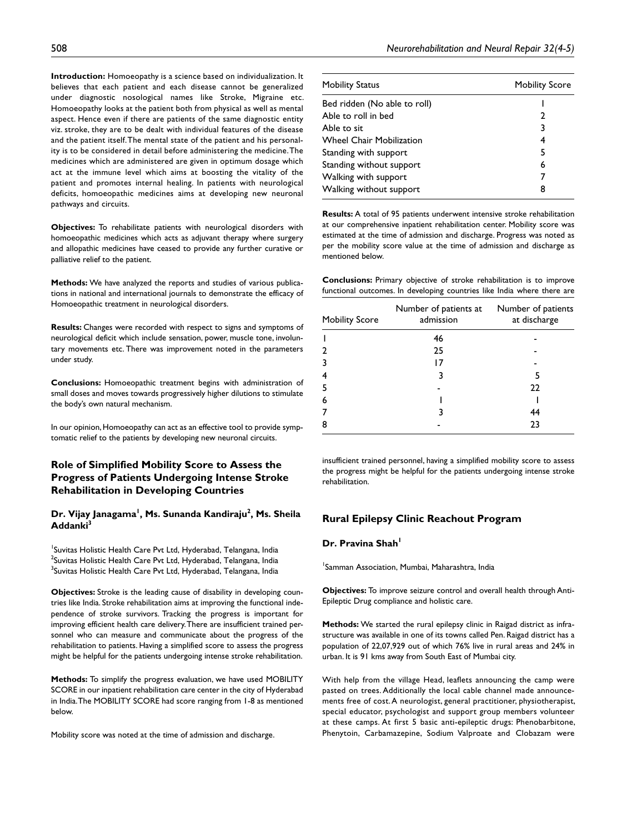**Introduction:** Homoeopathy is a science based on individualization. It believes that each patient and each disease cannot be generalized under diagnostic nosological names like Stroke, Migraine etc. Homoeopathy looks at the patient both from physical as well as mental aspect. Hence even if there are patients of the same diagnostic entity viz. stroke, they are to be dealt with individual features of the disease and the patient itself. The mental state of the patient and his personality is to be considered in detail before administering the medicine. The medicines which are administered are given in optimum dosage which act at the immune level which aims at boosting the vitality of the patient and promotes internal healing. In patients with neurological deficits, homoeopathic medicines aims at developing new neuronal pathways and circuits.

**Objectives:** To rehabilitate patients with neurological disorders with homoeopathic medicines which acts as adjuvant therapy where surgery and allopathic medicines have ceased to provide any further curative or palliative relief to the patient.

**Methods:** We have analyzed the reports and studies of various publications in national and international journals to demonstrate the efficacy of Homoeopathic treatment in neurological disorders.

**Results:** Changes were recorded with respect to signs and symptoms of neurological deficit which include sensation, power, muscle tone, involuntary movements etc. There was improvement noted in the parameters under study.

**Conclusions:** Homoeopathic treatment begins with administration of small doses and moves towards progressively higher dilutions to stimulate the body's own natural mechanism.

In our opinion, Homoeopathy can act as an effective tool to provide symptomatic relief to the patients by developing new neuronal circuits.

# **Role of Simplified Mobility Score to Assess the Progress of Patients Undergoing Intense Stroke Rehabilitation in Developing Countries**

## Dr. Vijay Janagama<sup>l</sup>, Ms. Sunanda Kandiraju<sup>2</sup>, Ms. Sheila **Addanki3**

<sup>1</sup>Suvitas Holistic Health Care Pvt Ltd, Hyderabad, Telangana, India  $^2$ Suvitas Holistic Health Care Pvt Ltd, Hyderabad, Telangana, India <sup>3</sup>Suvitas Holistic Health Care Pvt Ltd, Hyderabad, Telangana, India

**Objectives:** Stroke is the leading cause of disability in developing countries like India. Stroke rehabilitation aims at improving the functional independence of stroke survivors. Tracking the progress is important for improving efficient health care delivery. There are insufficient trained personnel who can measure and communicate about the progress of the rehabilitation to patients. Having a simplified score to assess the progress might be helpful for the patients undergoing intense stroke rehabilitation.

**Methods:** To simplify the progress evaluation, we have used MOBILITY SCORE in our inpatient rehabilitation care center in the city of Hyderabad in India. The MOBILITY SCORE had score ranging from 1-8 as mentioned below.

Mobility score was noted at the time of admission and discharge.

| <b>Mobility Status</b>          | <b>Mobility Score</b> |
|---------------------------------|-----------------------|
| Bed ridden (No able to roll)    |                       |
| Able to roll in bed             | 7                     |
| Able to sit                     | 3                     |
| <b>Wheel Chair Mobilization</b> | 4                     |
| Standing with support           | 5                     |
| Standing without support        | 6                     |
| Walking with support            |                       |
| Walking without support         | 8                     |

**Results:** A total of 95 patients underwent intensive stroke rehabilitation at our comprehensive inpatient rehabilitation center. Mobility score was estimated at the time of admission and discharge. Progress was noted as per the mobility score value at the time of admission and discharge as mentioned below.

**Conclusions:** Primary objective of stroke rehabilitation is to improve functional outcomes. In developing countries like India where there are

| <b>Mobility Score</b> | Number of patients at<br>admission | Number of patients<br>at discharge |  |  |
|-----------------------|------------------------------------|------------------------------------|--|--|
|                       | 46                                 |                                    |  |  |
|                       | 25                                 |                                    |  |  |
| 3                     | 17                                 |                                    |  |  |
|                       |                                    | 5                                  |  |  |
| 5                     |                                    | 22                                 |  |  |
| 6                     |                                    |                                    |  |  |
|                       |                                    | 44                                 |  |  |
| 8                     |                                    | 23                                 |  |  |

insufficient trained personnel, having a simplified mobility score to assess the progress might be helpful for the patients undergoing intense stroke rehabilitation.

#### **Rural Epilepsy Clinic Reachout Program**

#### **Dr. Pravina Shah<sup>1</sup>**

1 Samman Association, Mumbai, Maharashtra, India

**Objectives:** To improve seizure control and overall health through Anti-Epileptic Drug compliance and holistic care.

**Methods:** We started the rural epilepsy clinic in Raigad district as infrastructure was available in one of its towns called Pen. Raigad district has a population of 22,07,929 out of which 76% live in rural areas and 24% in urban. It is 91 kms away from South East of Mumbai city.

With help from the village Head, leaflets announcing the camp were pasted on trees. Additionally the local cable channel made announcements free of cost. A neurologist, general practitioner, physiotherapist, special educator, psychologist and support group members volunteer at these camps. At first 5 basic anti-epileptic drugs: Phenobarbitone, Phenytoin, Carbamazepine, Sodium Valproate and Clobazam were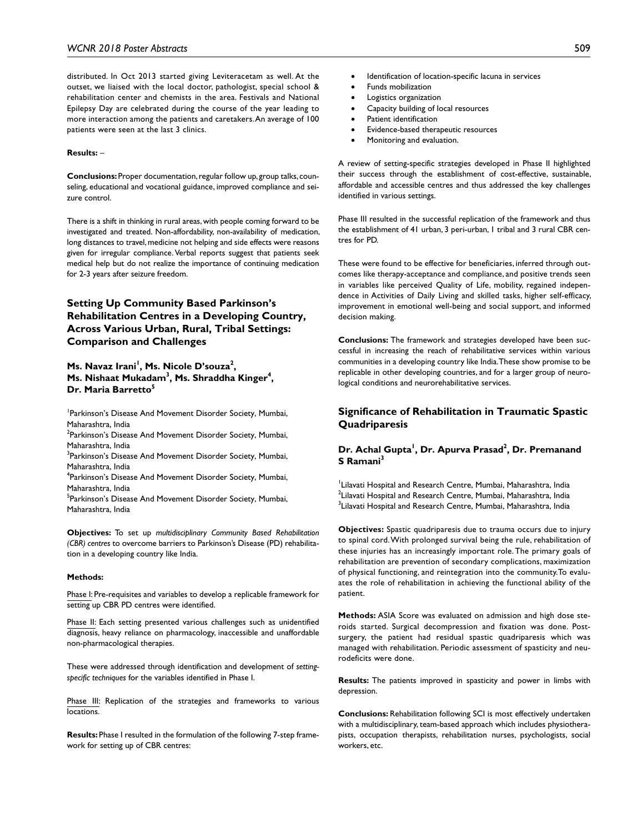distributed. In Oct 2013 started giving Leviteracetam as well. At the outset, we liaised with the local doctor, pathologist, special school & rehabilitation center and chemists in the area. Festivals and National Epilepsy Day are celebrated during the course of the year leading to more interaction among the patients and caretakers. An average of 100 patients were seen at the last 3 clinics.

#### **Results:** –

**Conclusions:** Proper documentation, regular follow up, group talks, counseling, educational and vocational guidance, improved compliance and seizure control.

There is a shift in thinking in rural areas, with people coming forward to be investigated and treated. Non-affordability, non-availability of medication, long distances to travel, medicine not helping and side effects were reasons given for irregular compliance. Verbal reports suggest that patients seek medical help but do not realize the importance of continuing medication for 2-3 years after seizure freedom.

# **Setting Up Community Based Parkinson's Rehabilitation Centres in a Developing Country, Across Various Urban, Rural, Tribal Settings: Comparison and Challenges**

## Ms. Navaz Irani<sup>1</sup>, Ms. Nicole D'souza<sup>2</sup>, **Ms. Nishaat Mukadam<sup>3</sup>, Ms. Shraddha Kinger<sup>4</sup>, Dr. Maria Barretto5**

<sup>1</sup>Parkinson's Disease And Movement Disorder Society, Mumbai, Maharashtra, India

<sup>2</sup>Parkinson's Disease And Movement Disorder Society, Mumbai, Maharashtra, India

<sup>3</sup>Parkinson's Disease And Movement Disorder Society, Mumbai, Maharashtra, India

4 Parkinson's Disease And Movement Disorder Society, Mumbai, Maharashtra, India

<sup>5</sup>Parkinson's Disease And Movement Disorder Society, Mumbai, Maharashtra, India

**Objectives:** To set up *multidisciplinary Community Based Rehabilitation (CBR) centres* to overcome barriers to Parkinson's Disease (PD) rehabilitation in a developing country like India.

#### **Methods:**

Phase I: Pre-requisites and variables to develop a replicable framework for setting up CBR PD centres were identified.

Phase II: Each setting presented various challenges such as unidentified diagnosis, heavy reliance on pharmacology, inaccessible and unaffordable non-pharmacological therapies.

These were addressed through identification and development of *settingspecific techniques* for the variables identified in Phase I.

Phase III: Replication of the strategies and frameworks to various locations.

**Results:** Phase I resulted in the formulation of the following 7-step framework for setting up of CBR centres:

- Identification of location-specific lacuna in services
- Funds mobilization
- Logistics organization
- Capacity building of local resources
- Patient identification
- Evidence-based therapeutic resources
- Monitoring and evaluation.

A review of setting-specific strategies developed in Phase II highlighted their success through the establishment of cost-effective, sustainable, affordable and accessible centres and thus addressed the key challenges identified in various settings.

Phase III resulted in the successful replication of the framework and thus the establishment of 41 urban, 3 peri-urban, 1 tribal and 3 rural CBR centres for PD.

These were found to be effective for beneficiaries, inferred through outcomes like therapy-acceptance and compliance, and positive trends seen in variables like perceived Quality of Life, mobility, regained independence in Activities of Daily Living and skilled tasks, higher self-efficacy, improvement in emotional well-being and social support, and informed decision making.

**Conclusions:** The framework and strategies developed have been successful in increasing the reach of rehabilitative services within various communities in a developing country like India. These show promise to be replicable in other developing countries, and for a larger group of neurological conditions and neurorehabilitative services.

### **Significance of Rehabilitation in Traumatic Spastic Quadriparesis**

#### Dr. Achal Gupta<sup>1</sup>, Dr. Apurva Prasad<sup>2</sup>, Dr. Premanand **S** Ramani<sup>3</sup>

1 Lilavati Hospital and Research Centre, Mumbai, Maharashtra, India  $^2$ Lilavati Hospital and Research Centre, Mumbai, Maharashtra, India  $^3$ Lilavati Hospital and Research Centre, Mumbai, Maharashtra, India

**Objectives:** Spastic quadriparesis due to trauma occurs due to injury to spinal cord. With prolonged survival being the rule, rehabilitation of these injuries has an increasingly important role. The primary goals of rehabilitation are prevention of secondary complications, maximization of physical functioning, and reintegration into the community.To evaluates the role of rehabilitation in achieving the functional ability of the patient.

**Methods:** ASIA Score was evaluated on admission and high dose steroids started. Surgical decompression and fixation was done. Postsurgery, the patient had residual spastic quadriparesis which was managed with rehabilitation. Periodic assessment of spasticity and neurodeficits were done.

**Results:** The patients improved in spasticity and power in limbs with depression.

**Conclusions:** Rehabilitation following SCI is most effectively undertaken with a multidisciplinary, team-based approach which includes physiotherapists, occupation therapists, rehabilitation nurses, psychologists, social workers, etc.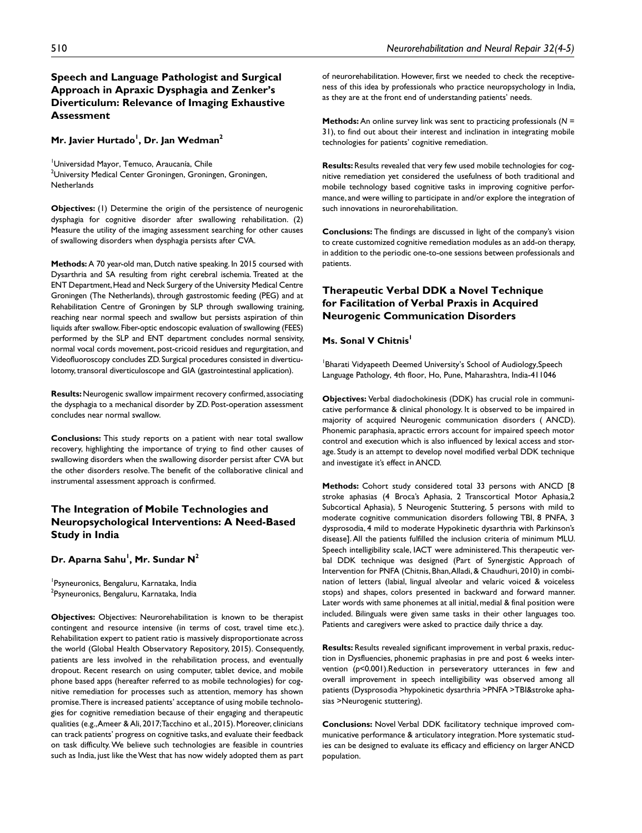# **Speech and Language Pathologist and Surgical Approach in Apraxic Dysphagia and Zenker's Diverticulum: Relevance of Imaging Exhaustive Assessment**

#### **Mr. Javier Hurtado<sup>l</sup>, Dr. Jan Wedman** $^2$

1 Universidad Mayor, Temuco, Araucanía, Chile <sup>2</sup>University Medical Center Groningen, Groningen, Groningen, **Netherlands** 

**Objectives:** (1) Determine the origin of the persistence of neurogenic dysphagia for cognitive disorder after swallowing rehabilitation. (2) Measure the utility of the imaging assessment searching for other causes of swallowing disorders when dysphagia persists after CVA.

**Methods:** A 70 year-old man, Dutch native speaking. In 2015 coursed with Dysarthria and SA resulting from right cerebral ischemia. Treated at the ENT Department, Head and Neck Surgery of the University Medical Centre Groningen (The Netherlands), through gastrostomic feeding (PEG) and at Rehabilitation Centre of Groningen by SLP through swallowing training, reaching near normal speech and swallow but persists aspiration of thin liquids after swallow. Fiber-optic endoscopic evaluation of swallowing (FEES) performed by the SLP and ENT department concludes normal sensivity, normal vocal cords movement, post-cricoid residues and regurgitation, and Videofluoroscopy concludes ZD. Surgical procedures consisted in diverticulotomy, transoral diverticuloscope and GIA (gastrointestinal application).

**Results:** Neurogenic swallow impairment recovery confirmed, associating the dysphagia to a mechanical disorder by ZD. Post-operation assessment concludes near normal swallow.

**Conclusions:** This study reports on a patient with near total swallow recovery, highlighting the importance of trying to find other causes of swallowing disorders when the swallowing disorder persist after CVA but the other disorders resolve. The benefit of the collaborative clinical and instrumental assessment approach is confirmed.

# **The Integration of Mobile Technologies and Neuropsychological Interventions: A Need-Based Study in India**

#### Dr. Aparna Sahu<sup>l</sup>, Mr. Sundar N<sup>2</sup>

<sup>1</sup>Psyneuronics, Bengaluru, Karnataka, India <sup>2</sup>Psyneuronics, Bengaluru, Karnataka, India

**Objectives:** Objectives: Neurorehabilitation is known to be therapist contingent and resource intensive (in terms of cost, travel time etc.). Rehabilitation expert to patient ratio is massively disproportionate across the world (Global Health Observatory Repository, 2015). Consequently, patients are less involved in the rehabilitation process, and eventually dropout. Recent research on using computer, tablet device, and mobile phone based apps (hereafter referred to as mobile technologies) for cognitive remediation for processes such as attention, memory has shown promise. There is increased patients' acceptance of using mobile technologies for cognitive remediation because of their engaging and therapeutic qualities (e.g., Ameer & Ali, 2017; Tacchino et al., 2015). Moreover, clinicians can track patients' progress on cognitive tasks, and evaluate their feedback on task difficulty. We believe such technologies are feasible in countries such as India, just like the West that has now widely adopted them as part

of neurorehabilitation. However, first we needed to check the receptiveness of this idea by professionals who practice neuropsychology in India, as they are at the front end of understanding patients' needs.

**Methods:** An online survey link was sent to practicing professionals (*N* = 31), to find out about their interest and inclination in integrating mobile technologies for patients' cognitive remediation.

**Results:** Results revealed that very few used mobile technologies for cognitive remediation yet considered the usefulness of both traditional and mobile technology based cognitive tasks in improving cognitive performance, and were willing to participate in and/or explore the integration of such innovations in neurorehabilitation.

**Conclusions:** The findings are discussed in light of the company's vision to create customized cognitive remediation modules as an add-on therapy, in addition to the periodic one-to-one sessions between professionals and patients.

# **Therapeutic Verbal DDK a Novel Technique for Facilitation of Verbal Praxis in Acquired Neurogenic Communication Disorders**

#### **Ms. Sonal V Chitnis**

<sup>1</sup>Bharati Vidyapeeth Deemed University's School of Audiology, Speech Language Pathology, 4th floor, Ho, Pune, Maharashtra, India-411046

**Objectives:** Verbal diadochokinesis (DDK) has crucial role in communicative performance & clinical phonology. It is observed to be impaired in majority of acquired Neurogenic communication disorders ( ANCD). Phonemic paraphasia, apractic errors account for impaired speech motor control and execution which is also influenced by lexical access and storage. Study is an attempt to develop novel modified verbal DDK technique and investigate it's effect in ANCD.

**Methods:** Cohort study considered total 33 persons with ANCD [8 stroke aphasias (4 Broca's Aphasia, 2 Transcortical Motor Aphasia,2 Subcortical Aphasia), 5 Neurogenic Stuttering, 5 persons with mild to moderate cognitive communication disorders following TBI, 8 PNFA, 3 dysprosodia, 4 mild to moderate Hypokinetic dysarthria with Parkinson's disease]. All the patients fulfilled the inclusion criteria of minimum MLU. Speech intelligibility scale, IACT were administered. This therapeutic verbal DDK technique was designed (Part of Synergistic Approach of Intervention for PNFA (Chitnis, Bhan, Alladi, & Chaudhuri, 2010) in combination of letters (labial, lingual alveolar and velaric voiced & voiceless stops) and shapes, colors presented in backward and forward manner. Later words with same phonemes at all initial, medial & final position were included. Bilinguals were given same tasks in their other languages too. Patients and caregivers were asked to practice daily thrice a day.

**Results:** Results revealed significant improvement in verbal praxis, reduction in Dysfluencies, phonemic praphasias in pre and post 6 weeks intervention (p<0.001).Reduction in perseveratory utterances in few and overall improvement in speech intelligibility was observed among all patients (Dysprosodia >hypokinetic dysarthria >PNFA >TBI&stroke aphasias >Neurogenic stuttering).

**Conclusions:** Novel Verbal DDK facilitatory technique improved communicative performance & articulatory integration. More systematic studies can be designed to evaluate its efficacy and efficiency on larger ANCD population.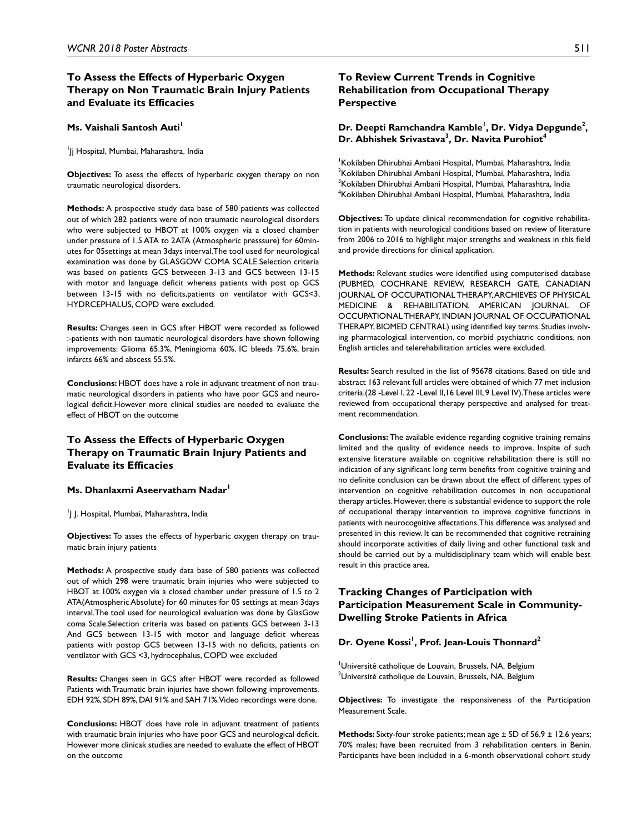## **To Assess the Effects of Hyperbaric Oxygen Therapy on Non Traumatic Brain Injury Patients and Evaluate its Efficacies**

## **Ms. Vaishali Santosh Auti<sup>1</sup>**

<sup>1</sup>Jj Hospital, Mumbai, Maharashtra, India

**Objectives:** To asess the effects of hyperbaric oxygen therapy on non traumatic neurological disorders.

**Methods:** A prospective study data base of 580 patients was collected out of which 282 patients were of non traumatic neurological disorders who were subjected to HBOT at 100% oxygen via a closed chamber under pressure of 1.5 ATA to 2ATA (Atmospheric presssure) for 60minutes for 05settings at mean 3days interval.The tool used for neurological examination was done by GLASGOW COMA SCALE.Selection criteria was based on patients GCS betweeen 3-13 and GCS between 13-15 with motor and language deficit whereas patients with post op GCS between 13-15 with no deficits,patients on ventilator with GCS<3, HYDRCEPHALUS, COPD were excluded.

**Results:** Changes seen in GCS after HBOT were recorded as followed :-patients with non taumatic neurological disorders have shown following improvements: Glioma 65.3%, Meningioma 60%, IC bleeds 75.6%, brain infarcts 66% and abscess 55.5%.

**Conclusions:** HBOT does have a role in adjuvant treatment of non traumatic neurological disorders in patients who have poor GCS and neurological deficit.However more clinical studies are needed to evaluate the effect of HBOT on the outcome

# **To Assess the Effects of Hyperbaric Oxygen Therapy on Traumatic Brain Injury Patients and Evaluate its Efficacies**

#### **Ms. Dhanlaxmi Aseervatham Nadar1**

<sup>1</sup>J J. Hospital, Mumbai, Maharashtra, India

**Objectives:** To asses the effects of hyperbaric oxygen therapy on traumatic brain injury patients

**Methods:** A prospective study data base of 580 patients was collected out of which 298 were traumatic brain injuries who were subjected to HBOT at 100% oxygen via a closed chamber under pressure of 1.5 to 2 ATA(Atmospheric Absolute) for 60 minutes for 05 settings at mean 3days interval.The tool used for neurological evaluation was done by GlasGow coma Scale.Selection criteria was based on patients GCS between 3-13 And GCS between 13-15 with motor and language deficit whereas patients with postop GCS between 13-15 with no deficits, patients on ventilator with GCS <3, hydrocephalus, COPD wee excluded

**Results:** Changes seen in GCS after HBOT were recorded as followed Patients with Traumatic brain injuries have shown following improvements. EDH 92%, SDH 89%, DAI 91% and SAH 71%. Video recordings were done.

**Conclusions:** HBOT does have role in adjuvant treatment of patients with traumatic brain injuries who have poor GCS and neurological deficit. However more clinicak studies are needed to evaluate the effect of HBOT on the outcome

## **To Review Current Trends in Cognitive Rehabilitation from Occupational Therapy Perspective**

## **Dr. Deepti Ramchandra Kamble1 , Dr. Vidya Depgunde2 , Dr. Abhishek Srivastava3 , Dr. Navita Purohiot4**

1 Kokilaben Dhirubhai Ambani Hospital, Mumbai, Maharashtra, India  $^{2}$ Kokilaben Dhirubhai Ambani Hospital, Mumbai, Maharashtra, India  $^3$ Kokilaben Dhirubhai Ambani Hospital, Mumbai, Maharashtra, India 4 Kokilaben Dhirubhai Ambani Hospital, Mumbai, Maharashtra, India

**Objectives:** To update clinical recommendation for cognitive rehabilitation in patients with neurological conditions based on review of literature from 2006 to 2016 to highlight major strengths and weakness in this field and provide directions for clinical application.

**Methods:** Relevant studies were identified using computerised database (PUBMED, COCHRANE REVIEW, RESEARCH GATE, CANADIAN JOURNAL OF OCCUPATIONAL THERAPY, ARCHIEVES OF PHYSICAL MEDICINE & REHABILITATION, AMERICAN JOURNAL OF OCCUPATIONAL THERAPY, INDIAN JOURNAL OF OCCUPATIONAL THERAPY, BIOMED CENTRAL) using identified key terms. Studies involving pharmacological intervention, co morbid psychiatric conditions, non English articles and telerehabilitation articles were excluded.

**Results:** Search resulted in the list of 95678 citations. Based on title and abstract 163 relevant full articles were obtained of which 77 met inclusion criteria.(28 -Level I, 22 -Level II,16 Level III, 9 Level IV).These articles were reviewed from occupational therapy perspective and analysed for treatment recommendation.

**Conclusions:** The available evidence regarding cognitive training remains limited and the quality of evidence needs to improve. Inspite of such extensive literature available on cognitive rehabilitation there is still no indication of any significant long term benefits from cognitive training and no definite conclusion can be drawn about the effect of different types of intervention on cognitive rehabilitation outcomes in non occupational therapy articles. However, there is substantial evidence to support the role of occupational therapy intervention to improve cognitive functions in patients with neurocognitive affectations. This difference was analysed and presented in this review. It can be recommended that cognitive retraining should incorporate activities of daily living and other functional task and should be carried out by a multidisciplinary team which will enable best result in this practice area.

# **Tracking Changes of Participation with Participation Measurement Scale in Community-Dwelling Stroke Patients in Africa**

#### Dr. Oyene Kossi<sup>'</sup>, Prof. Jean-Louis Thonnard<sup>2</sup>

<sup>1</sup>Université catholique de Louvain, Brussels, NA, Belgium  $^{\rm 2}$ Université catholique de Louvain, Brussels, NA, Belgium

**Objectives:** To investigate the responsiveness of the Participation Measurement Scale.

**Methods:** Sixty-four stroke patients; mean age  $\pm$  SD of 56.9  $\pm$  12.6 years; 70% males; have been recruited from 3 rehabilitation centers in Benin. Participants have been included in a 6-month observational cohort study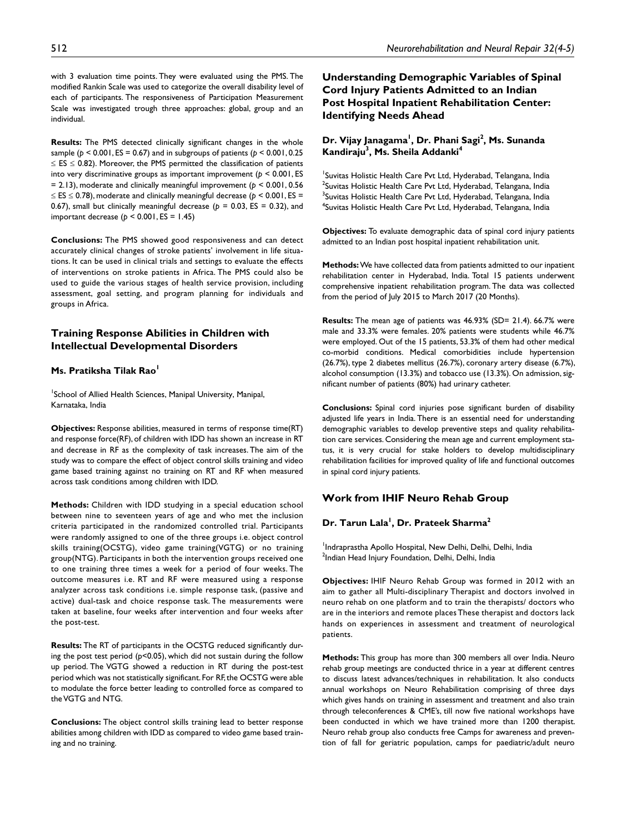with 3 evaluation time points. They were evaluated using the PMS. The modified Rankin Scale was used to categorize the overall disability level of each of participants. The responsiveness of Participation Measurement Scale was investigated trough three approaches: global, group and an individual.

**Results:** The PMS detected clinically significant changes in the whole sample  $(p < 0.001$ ,  $ES = 0.67)$  and in subgroups of patients  $(p < 0.001, 0.25)$  $\leq$  ES  $\leq$  0.82). Moreover, the PMS permitted the classification of patients into very discriminative groups as important improvement (*p* < 0.001, ES  $= 2.13$ ), moderate and clinically meaningful improvement ( $p \le 0.001$ , 0.56  $\le$  ES  $\le$  0.78), moderate and clinically meaningful decrease ( $p$  < 0.001, ES = 0.67), small but clinically meaningful decrease ( $p = 0.03$ , ES = 0.32), and important decrease (*p* < 0.001, ES = 1.45)

**Conclusions:** The PMS showed good responsiveness and can detect accurately clinical changes of stroke patients' involvement in life situations. It can be used in clinical trials and settings to evaluate the effects of interventions on stroke patients in Africa. The PMS could also be used to guide the various stages of health service provision, including assessment, goal setting, and program planning for individuals and groups in Africa.

## **Training Response Abilities in Children with Intellectual Developmental Disorders**

## **Ms. Pratiksha Tilak Rao**<sup>1</sup>

<sup>1</sup>School of Allied Health Sciences, Manipal University, Manipal, Karnataka, India

**Objectives:** Response abilities, measured in terms of response time(RT) and response force(RF), of children with IDD has shown an increase in RT and decrease in RF as the complexity of task increases. The aim of the study was to compare the effect of object control skills training and video game based training against no training on RT and RF when measured across task conditions among children with IDD.

**Methods:** Children with IDD studying in a special education school between nine to seventeen years of age and who met the inclusion criteria participated in the randomized controlled trial. Participants were randomly assigned to one of the three groups i.e. object control skills training(OCSTG), video game training(VGTG) or no training group(NTG). Participants in both the intervention groups received one to one training three times a week for a period of four weeks. The outcome measures i.e. RT and RF were measured using a response analyzer across task conditions i.e. simple response task, (passive and active) dual-task and choice response task. The measurements were taken at baseline, four weeks after intervention and four weeks after the post-test.

**Results:** The RT of participants in the OCSTG reduced significantly during the post test period (p<0.05), which did not sustain during the follow up period. The VGTG showed a reduction in RT during the post-test period which was not statistically significant. For RF, the OCSTG were able to modulate the force better leading to controlled force as compared to the VGTG and NTG.

**Conclusions:** The object control skills training lead to better response abilities among children with IDD as compared to video game based training and no training.

# **Understanding Demographic Variables of Spinal Cord Injury Patients Admitted to an Indian Post Hospital Inpatient Rehabilitation Center: Identifying Needs Ahead**

## Dr. Vijay Janagama<sup>l</sup>, Dr. Phani Sagi<sup>2</sup>, Ms. Sunanda **Kandiraju3 , Ms. Sheila Addanki4**

<sup>1</sup>Suvitas Holistic Health Care Pvt Ltd, Hyderabad, Telangana, India <sup>2</sup>Suvitas Holistic Health Care Pvt Ltd, Hyderabad, Telangana, India <sup>3</sup>Suvitas Holistic Health Care Pvt Ltd, Hyderabad, Telangana, India 4 Suvitas Holistic Health Care Pvt Ltd, Hyderabad, Telangana, India

**Objectives:** To evaluate demographic data of spinal cord injury patients admitted to an Indian post hospital inpatient rehabilitation unit.

**Methods:** We have collected data from patients admitted to our inpatient rehabilitation center in Hyderabad, India. Total 15 patients underwent comprehensive inpatient rehabilitation program. The data was collected from the period of July 2015 to March 2017 (20 Months).

**Results:** The mean age of patients was 46.93% (SD= 21.4). 66.7% were male and 33.3% were females. 20% patients were students while 46.7% were employed. Out of the 15 patients, 53.3% of them had other medical co-morbid conditions. Medical comorbidities include hypertension (26.7%), type 2 diabetes mellitus (26.7%), coronary artery disease (6.7%), alcohol consumption (13.3%) and tobacco use (13.3%). On admission, significant number of patients (80%) had urinary catheter.

**Conclusions:** Spinal cord injuries pose significant burden of disability adjusted life years in India. There is an essential need for understanding demographic variables to develop preventive steps and quality rehabilitation care services. Considering the mean age and current employment status, it is very crucial for stake holders to develop multidisciplinary rehabilitation facilities for improved quality of life and functional outcomes in spinal cord injury patients.

## **Work from IHIF Neuro Rehab Group**

#### **Dr. Tarun Lala1 , Dr. Prateek Sharma2**

<sup>1</sup>Indraprastha Apollo Hospital, New Delhi, Delhi, Delhi, India  $^2$ Indian Head Injury Foundation, Delhi, Delhi, India

**Objectives:** IHIF Neuro Rehab Group was formed in 2012 with an aim to gather all Multi-disciplinary Therapist and doctors involved in neuro rehab on one platform and to train the therapists/ doctors who are in the interiors and remote places These therapist and doctors lack hands on experiences in assessment and treatment of neurological patients.

**Methods:** This group has more than 300 members all over India. Neuro rehab group meetings are conducted thrice in a year at different centres to discuss latest advances/techniques in rehabilitation. It also conducts annual workshops on Neuro Rehabilitation comprising of three days which gives hands on training in assessment and treatment and also train through teleconferences & CME's, till now five national workshops have been conducted in which we have trained more than 1200 therapist. Neuro rehab group also conducts free Camps for awareness and prevention of fall for geriatric population, camps for paediatric/adult neuro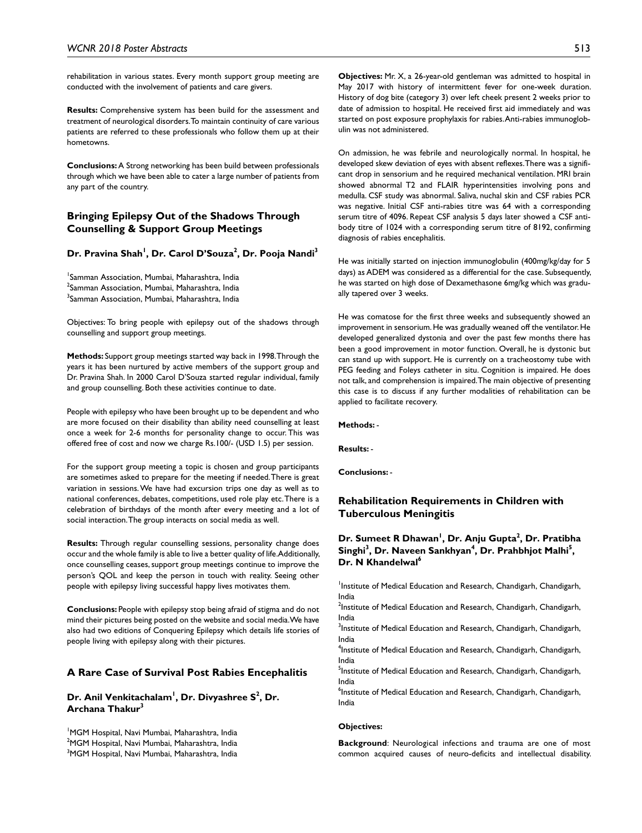rehabilitation in various states. Every month support group meeting are conducted with the involvement of patients and care givers.

**Results:** Comprehensive system has been build for the assessment and treatment of neurological disorders. To maintain continuity of care various patients are referred to these professionals who follow them up at their hometowns.

**Conclusions:** A Strong networking has been build between professionals through which we have been able to cater a large number of patients from any part of the country.

## **Bringing Epilepsy Out of the Shadows Through Counselling & Support Group Meetings**

#### **Dr. Pravina Shah1 , Dr. Carol D'Souza2 , Dr. Pooja Nandi3**

1 Samman Association, Mumbai, Maharashtra, India <sup>2</sup>Samman Association, Mumbai, Maharashtra, India <sup>3</sup>Samman Association, Mumbai, Maharashtra, India

Objectives: To bring people with epilepsy out of the shadows through counselling and support group meetings.

**Methods:** Support group meetings started way back in 1998. Through the years it has been nurtured by active members of the support group and Dr. Pravina Shah. In 2000 Carol D'Souza started regular individual, family and group counselling. Both these activities continue to date.

People with epilepsy who have been brought up to be dependent and who are more focused on their disability than ability need counselling at least once a week for 2-6 months for personality change to occur. This was offered free of cost and now we charge Rs.100/- (USD 1.5) per session.

For the support group meeting a topic is chosen and group participants are sometimes asked to prepare for the meeting if needed. There is great variation in sessions. We have had excursion trips one day as well as to national conferences, debates, competitions, used role play etc. There is a celebration of birthdays of the month after every meeting and a lot of social interaction. The group interacts on social media as well.

**Results:** Through regular counselling sessions, personality change does occur and the whole family is able to live a better quality of life. Additionally, once counselling ceases, support group meetings continue to improve the person's QOL and keep the person in touch with reality. Seeing other people with epilepsy living successful happy lives motivates them.

**Conclusions:** People with epilepsy stop being afraid of stigma and do not mind their pictures being posted on the website and social media. We have also had two editions of Conquering Epilepsy which details life stories of people living with epilepsy along with their pictures.

#### **A Rare Case of Survival Post Rabies Encephalitis**

#### Dr. Anil Venkitachalam<sup>1</sup>, Dr. Divyashree S<sup>2</sup>, Dr. **Archana Thakur3**

1 MGM Hospital, Navi Mumbai, Maharashtra, India <sup>2</sup>MGM Hospital, Navi Mumbai, Maharashtra, India 3 MGM Hospital, Navi Mumbai, Maharashtra, India **Objectives:** Mr. X, a 26-year-old gentleman was admitted to hospital in May 2017 with history of intermittent fever for one-week duration. History of dog bite (category 3) over left cheek present 2 weeks prior to date of admission to hospital. He received first aid immediately and was started on post exposure prophylaxis for rabies. Anti-rabies immunoglobulin was not administered.

On admission, he was febrile and neurologically normal. In hospital, he developed skew deviation of eyes with absent reflexes. There was a significant drop in sensorium and he required mechanical ventilation. MRI brain showed abnormal T2 and FLAIR hyperintensities involving pons and medulla. CSF study was abnormal. Saliva, nuchal skin and CSF rabies PCR was negative. Initial CSF anti-rabies titre was 64 with a corresponding serum titre of 4096. Repeat CSF analysis 5 days later showed a CSF antibody titre of 1024 with a corresponding serum titre of 8192, confirming diagnosis of rabies encephalitis.

He was initially started on injection immunoglobulin (400mg/kg/day for 5 days) as ADEM was considered as a differential for the case. Subsequently, he was started on high dose of Dexamethasone 6mg/kg which was gradually tapered over 3 weeks.

He was comatose for the first three weeks and subsequently showed an improvement in sensorium. He was gradually weaned off the ventilator. He developed generalized dystonia and over the past few months there has been a good improvement in motor function. Overall, he is dystonic but can stand up with support. He is currently on a tracheostomy tube with PEG feeding and Foleys catheter in situ. Cognition is impaired. He does not talk, and comprehension is impaired. The main objective of presenting this case is to discuss if any further modalities of rehabilitation can be applied to facilitate recovery.

**Methods:** -

**Results:** -

**Conclusions:** -

## **Rehabilitation Requirements in Children with Tuberculous Meningitis**

## Dr. Sumeet R Dhawan<sup>1</sup>, Dr. Anju Gupta<sup>2</sup>, Dr. Pratibha Singhi<sup>3</sup>, Dr. Naveen Sankhyan<sup>4</sup>, Dr. Prahbhjot Malhi<sup>5</sup>, Dr. N Khandelwal<sup>6</sup>

Institute of Medical Education and Research, Chandigarh, Chandigarh, India

<sup>2</sup>Institute of Medical Education and Research, Chandigarh, Chandigarh, India

<sup>3</sup>Institute of Medical Education and Research, Chandigarh, Chandigarh, India

4 Institute of Medical Education and Research, Chandigarh, Chandigarh, India

<sup>5</sup>Institute of Medical Education and Research, Chandigarh, Chandigarh, India

6 Institute of Medical Education and Research, Chandigarh, Chandigarh, India

#### **Objectives:**

**Background**: Neurological infections and trauma are one of most common acquired causes of neuro-deficits and intellectual disability.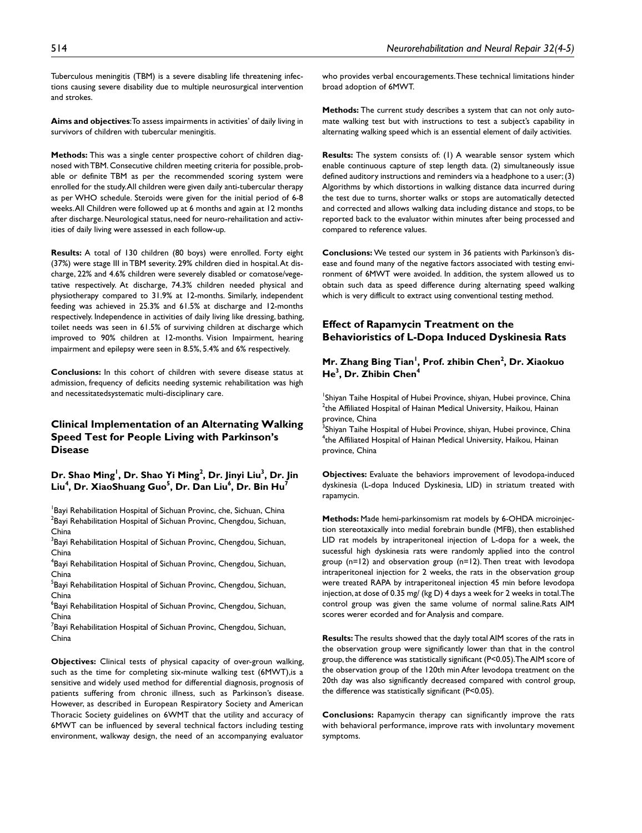Tuberculous meningitis (TBM) is a severe disabling life threatening infections causing severe disability due to multiple neurosurgical intervention and strokes.

**Aims and objectives**: To assess impairments in activities' of daily living in survivors of children with tubercular meningitis.

**Methods:** This was a single center prospective cohort of children diagnosed with TBM. Consecutive children meeting criteria for possible, probable or definite TBM as per the recommended scoring system were enrolled for the study. All children were given daily anti-tubercular therapy as per WHO schedule. Steroids were given for the initial period of 6-8 weeks. All Children were followed up at 6 months and again at 12 months after discharge. Neurological status, need for neuro-rehailitation and activities of daily living were assessed in each follow-up.

**Results:** A total of 130 children (80 boys) were enrolled. Forty eight (37%) were stage III in TBM severity. 29% children died in hospital. At discharge, 22% and 4.6% children were severely disabled or comatose/vegetative respectively. At discharge, 74.3% children needed physical and physiotherapy compared to 31.9% at 12-months. Similarly, independent feeding was achieved in 25.3% and 61.5% at discharge and 12-months respectively. Independence in activities of daily living like dressing, bathing, toilet needs was seen in 61.5% of surviving children at discharge which improved to 90% children at 12-months. Vision Impairment, hearing impairment and epilepsy were seen in 8.5%, 5.4% and 6% respectively.

**Conclusions:** In this cohort of children with severe disease status at admission, frequency of deficits needing systemic rehabilitation was high and necessitatedsystematic multi-disciplinary care.

# **Clinical Implementation of an Alternating Walking Speed Test for People Living with Parkinson's Disease**

Dr. Shao Ming<sup>1</sup>, Dr. Shao Yi Ming<sup>2</sup>, Dr. Jinyi Liu<sup>3</sup>, Dr. Jin **Liu4 , Dr. XiaoShuang Guo5 , Dr. Dan Liu6 , Dr. Bin Hu7**

<sup>1</sup> Bayi Rehabilitation Hospital of Sichuan Provinc, che, Sichuan, China  ${}^{2}$ Bayi Rehabilitation Hospital of Sichuan Provinc, Chengdou, Sichuan, China

 ${}^{3}$ Bayi Rehabilitation Hospital of Sichuan Provinc, Chengdou, Sichuan, China

4 Bayi Rehabilitation Hospital of Sichuan Provinc, Chengdou, Sichuan, China

<sup>5</sup>Bayi Rehabilitation Hospital of Sichuan Provinc, Chengdou, Sichuan, China

 $^6$ Bayi Rehabilitation Hospital of Sichuan Provinc, Chengdou, Sichuan, China

 $^7$ Bayi Rehabilitation Hospital of Sichuan Provinc, Chengdou, Sichuan, China

**Objectives:** Clinical tests of physical capacity of over-groun walking, such as the time for completing six-minute walking test (6MWT),is a sensitive and widely used method for differential diagnosis, prognosis of patients suffering from chronic illness, such as Parkinson's disease. However, as described in European Respiratory Society and American Thoracic Society guidelines on 6WMT that the utility and accuracy of 6MWT can be influenced by several technical factors including testing environment, walkway design, the need of an accompanying evaluator

who provides verbal encouragements. These technical limitations hinder broad adoption of 6MWT.

**Methods:** The current study describes a system that can not only automate walking test but with instructions to test a subject's capability in alternating walking speed which is an essential element of daily activities.

**Results:** The system consists of: (1) A wearable sensor system which enable continuous capture of step length data. (2) simultaneously issue defined auditory instructions and reminders via a headphone to a user; (3) Algorithms by which distortions in walking distance data incurred during the test due to turns, shorter walks or stops are automatically detected and corrected and allows walking data including distance and stops, to be reported back to the evaluator within minutes after being processed and compared to reference values.

**Conclusions:** We tested our system in 36 patients with Parkinson's disease and found many of the negative factors associated with testing environment of 6MWT were avoided. In addition, the system allowed us to obtain such data as speed difference during alternating speed walking which is very difficult to extract using conventional testing method.

# **Effect of Rapamycin Treatment on the Behavioristics of L-Dopa Induced Dyskinesia Rats**

# **Mr. Zhang Bing Tian<sup>1</sup>, Prof. zhibin Chen<sup>2</sup>, Dr. Xiaokuo He3 , Dr. Zhibin Chen4**

<sup>1</sup>Shiyan Taihe Hospital of Hubei Province, shiyan, Hubei province, China  $^{2}$ the Affiliated Hospital of Hainan Medical University, Haikou, Hainan province, China

<sup>3</sup>Shiyan Taihe Hospital of Hubei Province, shiyan, Hubei province, China 4 the Affiliated Hospital of Hainan Medical University, Haikou, Hainan province, China

**Objectives:** Evaluate the behaviors improvement of levodopa-induced dyskinesia (L-dopa Induced Dyskinesia, LID) in striatum treated with rapamycin.

**Methods:** Made hemi-parkinsomism rat models by 6-OHDA microinjection stereotaxically into medial forebrain bundle (MFB), then established LID rat models by intraperitoneal injection of L-dopa for a week, the sucessful high dyskinesia rats were randomly applied into the control group (n=12) and observation group (n=12). Then treat with levodopa intraperitoneal injection for 2 weeks, the rats in the observation group were treated RAPA by intraperitoneal injection 45 min before levodopa injection, at dose of 0.35 mg/ (kg D) 4 days a week for 2 weeks in total.The control group was given the same volume of normal saline.Rats AIM scores werer ecorded and for Analysis and compare.

**Results:** The results showed that the dayly total AIM scores of the rats in the observation group were significantly lower than that in the control group, the difference was statistically significant (P<0.05). The AIM score of the observation group of the 120th min After levodopa treatment on the 20th day was also significantly decreased compared with control group, the difference was statistically significant (P<0.05).

**Conclusions:** Rapamycin therapy can significantly improve the rats with behavioral performance, improve rats with involuntary movement symptoms.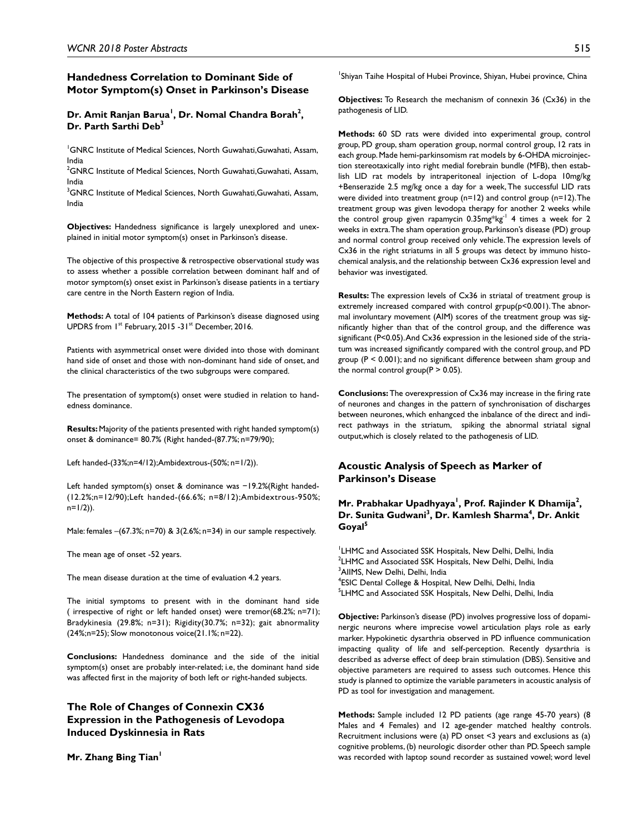## **Handedness Correlation to Dominant Side of Motor Symptom(s) Onset in Parkinson's Disease**

#### Dr. Amit Ranjan Barua<sup>1</sup>, Dr. Nomal Chandra Borah<sup>2</sup>, **Dr. Parth Sarthi Deb3**

1 GNRC Institute of Medical Sciences, North Guwahati,Guwahati, Assam, India

 $^2$ GNRC Institute of Medical Sciences, North Guwahati,Guwahati, Assam, India

<sup>3</sup>GNRC Institute of Medical Sciences, North Guwahati,Guwahati, Assam, India

**Objectives:** Handedness significance is largely unexplored and unexplained in initial motor symptom(s) onset in Parkinson's disease.

The objective of this prospective & retrospective observational study was to assess whether a possible correlation between dominant half and of motor symptom(s) onset exist in Parkinson's disease patients in a tertiary care centre in the North Eastern region of India.

**Methods:** A total of 104 patients of Parkinson's disease diagnosed using UPDRS from 1<sup>st</sup> February, 2015 -31<sup>st</sup> December, 2016.

Patients with asymmetrical onset were divided into those with dominant hand side of onset and those with non-dominant hand side of onset, and the clinical characteristics of the two subgroups were compared.

The presentation of symptom(s) onset were studied in relation to handedness dominance.

**Results:** Majority of the patients presented with right handed symptom(s) onset & dominance= 80.7% (Right handed-(87.7%; n=79/90);

Left handed-(33%;n=4/12);Ambidextrous-(50%; n=1/2)).

Left handed symptom(s) onset & dominance was −19.2%(Right handed- (12.2%;n=12/90);Left handed-(66.6%; n=8/12);Ambidextrous-950%; n=1/2)).

Male: females –(67.3%; n=70) & 3(2.6%; n=34) in our sample respectively.

The mean age of onset -52 years.

The mean disease duration at the time of evaluation 4.2 years.

The initial symptoms to present with in the dominant hand side ( irrespective of right or left handed onset) were tremor(68.2%; n=71); Bradykinesia (29.8%; n=31); Rigidity(30.7%; n=32); gait abnormality (24%;n=25); Slow monotonous voice(21.1%; n=22).

**Conclusions:** Handedness dominance and the side of the initial symptom(s) onset are probably inter-related; i.e, the dominant hand side was affected first in the majority of both left or right-handed subjects.

# **The Role of Changes of Connexin CX36 Expression in the Pathogenesis of Levodopa Induced Dyskinnesia in Rats**

Mr. Zhang Bing Tian<sup>1</sup>

<sup>1</sup>Shiyan Taihe Hospital of Hubei Province, Shiyan, Hubei province, China

**Objectives:** To Research the mechanism of connexin 36 (Cx36) in the pathogenesis of LID.

**Methods:** 60 SD rats were divided into experimental group, control group, PD group, sham operation group, normal control group, 12 rats in each group. Made hemi-parkinsomism rat models by 6-OHDA microinjection stereotaxically into right medial forebrain bundle (MFB), then establish LID rat models by intraperitoneal injection of L-dopa 10mg/kg +Benserazide 2.5 mg/kg once a day for a week, The successful LID rats were divided into treatment group (n=12) and control group (n=12). The treatment group was given levodopa therapy for another 2 weeks while the control group given rapamycin 0.35mg\*kg<sup>-1</sup> 4 times a week for 2 weeks in extra. The sham operation group, Parkinson's disease (PD) group and normal control group received only vehicle. The expression levels of Cx36 in the right striatums in all 5 groups was detect by immuno histochemical analysis, and the relationship between Cx36 expression level and behavior was investigated.

**Results:** The expression levels of Cx36 in striatal of treatment group is extremely increased compared with control grpup(p<0.001). The abnormal involuntary movement (AIM) scores of the treatment group was significantly higher than that of the control group, and the difference was significant (P<0.05). And Cx36 expression in the lesioned side of the striatum was increased significantly compared with the control group, and PD group (P < 0.001); and no significant difference between sham group and the normal control group( $P > 0.05$ ).

**Conclusions:** The overexpression of Cx36 may increase in the firing rate of neurones and changes in the pattern of synchronisation of discharges between neurones, which enhangced the inbalance of the direct and indirect pathways in the striatum, spiking the abnormal striatal signal output,which is closely related to the pathogenesis of LID.

## **Acoustic Analysis of Speech as Marker of Parkinson's Disease**

## Mr. Prabhakar Upadhyaya<sup>'</sup>, Prof. Rajinder K Dhamija<sup>2</sup>, Dr. Sunita Gudwani<sup>3</sup>, Dr. Kamlesh Sharma<sup>4</sup>, Dr. Ankit **Goyal5**

<sup>1</sup>LHMC and Associated SSK Hospitals, New Delhi, Delhi, India  $^{\rm 2}$ LHMC and Associated SSK Hospitals, New Delhi, Delhi, India 3 AIIMS, New Delhi, Delhi, India 4 ESIC Dental College & Hospital, New Delhi, Delhi, India <sup>5</sup>LHMC and Associated SSK Hospitals, New Delhi, Delhi, India

**Objective:** Parkinson's disease (PD) involves progressive loss of dopaminergic neurons where imprecise vowel articulation plays role as early marker. Hypokinetic dysarthria observed in PD influence communication impacting quality of life and self-perception. Recently dysarthria is described as adverse effect of deep brain stimulation (DBS). Sensitive and objective parameters are required to assess such outcomes. Hence this study is planned to optimize the variable parameters in acoustic analysis of PD as tool for investigation and management.

**Methods:** Sample included 12 PD patients (age range 45-70 years) (8 Males and 4 Females) and 12 age-gender matched healthy controls. Recruitment inclusions were (a) PD onset <3 years and exclusions as (a) cognitive problems, (b) neurologic disorder other than PD. Speech sample was recorded with laptop sound recorder as sustained vowel; word level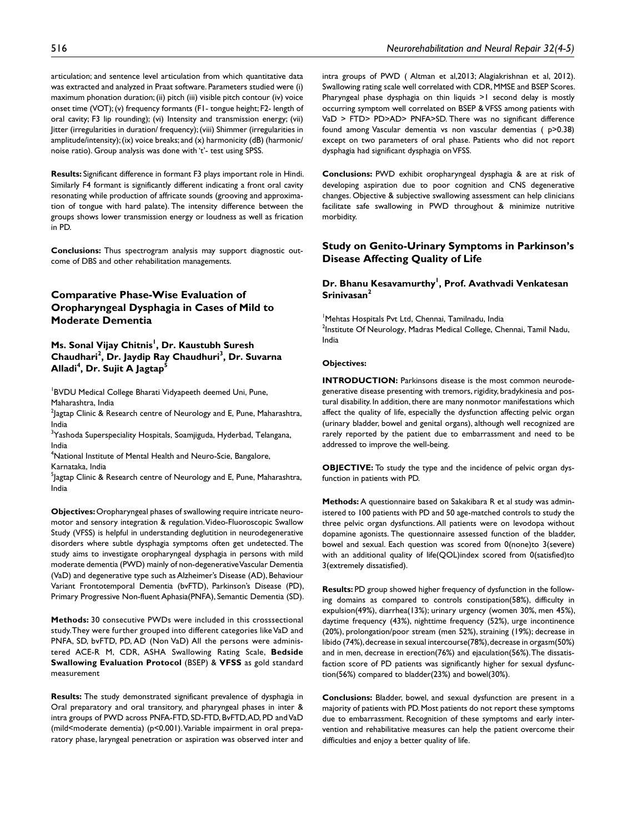articulation; and sentence level articulation from which quantitative data was extracted and analyzed in Praat software. Parameters studied were (i) maximum phonation duration; (ii) pitch (iii) visible pitch contour (iv) voice onset time (VOT); (v) frequency formants (F1- tongue height; F2- length of oral cavity; F3 lip rounding); (vi) Intensity and transmission energy; (vii) Jitter (irregularities in duration/ frequency); (viii) Shimmer (irregularities in amplitude/intensity); (ix) voice breaks; and (x) harmonicity (dB) (harmonic/ noise ratio). Group analysis was done with 't'- test using SPSS.

**Results:** Significant difference in formant F3 plays important role in Hindi. Similarly F4 formant is significantly different indicating a front oral cavity resonating while production of affricate sounds (grooving and approximation of tongue with hard palate). The intensity difference between the groups shows lower transmission energy or loudness as well as frication in PD.

**Conclusions:** Thus spectrogram analysis may support diagnostic outcome of DBS and other rehabilitation managements.

# **Comparative Phase-Wise Evaluation of Oropharyngeal Dysphagia in Cases of Mild to Moderate Dementia**

# **Ms. Sonal Vijay Chitnis1 , Dr. Kaustubh Suresh**  Chaudhari<sup>2</sup>, Dr. Jaydip Ray Chaudhuri<sup>3</sup>, Dr. Suvarna **Alladi4 , Dr. Sujit A Jagtap5**

1 BVDU Medical College Bharati Vidyapeeth deemed Uni, Pune, Maharashtra, India

 $^{2}$ Jagtap Clinic & Research centre of Neurology and E, Pune, Maharashtra, India

<sup>3</sup>Yashoda Superspeciality Hospitals, Soamjiguda, Hyderbad, Telangana, India

4 National Institute of Mental Health and Neuro-Scie, Bangalore, Karnataka, India

5 Jagtap Clinic & Research centre of Neurology and E, Pune, Maharashtra, India

**Objectives:** Oropharyngeal phases of swallowing require intricate neuromotor and sensory integration & regulation. Video-Fluoroscopic Swallow Study (VFSS) is helpful in understanding deglutition in neurodegenerative disorders where subtle dysphagia symptoms often get undetected. The study aims to investigate oropharyngeal dysphagia in persons with mild moderate dementia (PWD) mainly of non-degenerative Vascular Dementia (VaD) and degenerative type such as Alzheimer's Disease (AD), Behaviour Variant Frontotemporal Dementia (bvFTD), Parkinson's Disease (PD), Primary Progressive Non-fluent Aphasia(PNFA), Semantic Dementia (SD).

**Methods:** 30 consecutive PWDs were included in this crosssectional study. They were further grouped into different categories like VaD and PNFA, SD, bvFTD, PD, AD (Non VaD) All the persons were administered ACE-R M, CDR, ASHA Swallowing Rating Scale, **Bedside Swallowing Evaluation Protocol** (BSEP) & **VFSS** as gold standard measurement

**Results:** The study demonstrated significant prevalence of dysphagia in Oral preparatory and oral transitory, and pharyngeal phases in inter & intra groups of PWD across PNFA-FTD, SD-FTD, BvFTD, AD, PD and VaD (mild<moderate dementia) (p<0.001). Variable impairment in oral preparatory phase, laryngeal penetration or aspiration was observed inter and intra groups of PWD ( Altman et al,2013; Alagiakrishnan et al, 2012). Swallowing rating scale well correlated with CDR, MMSE and BSEP Scores. Pharyngeal phase dysphagia on thin liquids >1 second delay is mostly occurring symptom well correlated on BSEP & VFSS among patients with VaD > FTD> PD>AD> PNFA>SD. There was no significant difference found among Vascular dementia vs non vascular dementias ( p>0.38) except on two parameters of oral phase. Patients who did not report dysphagia had significant dysphagia on VFSS.

**Conclusions:** PWD exhibit oropharyngeal dysphagia & are at risk of developing aspiration due to poor cognition and CNS degenerative changes. Objective & subjective swallowing assessment can help clinicians facilitate safe swallowing in PWD throughout & minimize nutritive morbidity.

## **Study on Genito-Urinary Symptoms in Parkinson's Disease Affecting Quality of Life**

#### Dr. Bhanu Kesavamurthy<sup>¦</sup>, Prof. Avathvadi Venkatesan **Srinivasan<sup>2</sup>**

1 Mehtas Hospitals Pvt Ltd, Chennai, Tamilnadu, India <sup>2</sup>Institute Of Neurology, Madras Medical College, Chennai, Tamil Nadu, India

#### **Objectives:**

**INTRODUCTION:** Parkinsons disease is the most common neurodegenerative disease presenting with tremors, rigidity, bradykinesia and postural disability. In addition, there are many nonmotor manifestations which affect the quality of life, especially the dysfunction affecting pelvic organ (urinary bladder, bowel and genital organs), although well recognized are rarely reported by the patient due to embarrassment and need to be addressed to improve the well-being.

**OBJECTIVE:** To study the type and the incidence of pelvic organ dysfunction in patients with PD.

**Methods:** A questionnaire based on Sakakibara R et al study was administered to 100 patients with PD and 50 age-matched controls to study the three pelvic organ dysfunctions. All patients were on levodopa without dopamine agonists. The questionnaire assessed function of the bladder, bowel and sexual. Each question was scored from 0(none)to 3(severe) with an additional quality of life(QOL)index scored from 0(satisfied)to 3(extremely dissatisfied).

**Results:** PD group showed higher frequency of dysfunction in the following domains as compared to controls constipation(58%), difficulty in expulsion(49%), diarrhea(13%); urinary urgency (women 30%, men 45%), daytime frequency (43%), nighttime frequency (52%), urge incontinence (20%), prolongation/poor stream (men 52%), straining (19%); decrease in libido (74%), decrease in sexual intercourse(78%), decrease in orgasm(50%) and in men, decrease in erection(76%) and ejaculation(56%). The dissatisfaction score of PD patients was significantly higher for sexual dysfunction(56%) compared to bladder(23%) and bowel(30%).

**Conclusions:** Bladder, bowel, and sexual dysfunction are present in a majority of patients with PD. Most patients do not report these symptoms due to embarrassment. Recognition of these symptoms and early intervention and rehabilitative measures can help the patient overcome their difficulties and enjoy a better quality of life.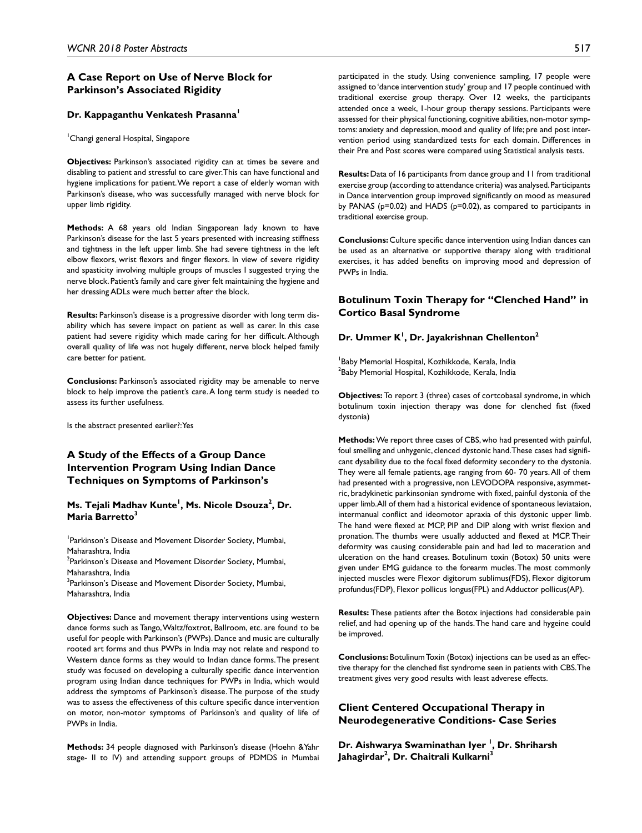## **A Case Report on Use of Nerve Block for Parkinson's Associated Rigidity**

#### **Dr. Kappaganthu Venkatesh Prasanna**

#### 1 Changi general Hospital, Singapore

**Objectives:** Parkinson's associated rigidity can at times be severe and disabling to patient and stressful to care giver. This can have functional and hygiene implications for patient. We report a case of elderly woman with Parkinson's disease, who was successfully managed with nerve block for upper limb rigidity.

**Methods:** A 68 years old Indian Singaporean lady known to have Parkinson's disease for the last 5 years presented with increasing stiffness and tightness in the left upper limb. She had severe tightness in the left elbow flexors, wrist flexors and finger flexors. In view of severe rigidity and spasticity involving multiple groups of muscles I suggested trying the nerve block. Patient's family and care giver felt maintaining the hygiene and her dressing ADLs were much better after the block.

**Results:** Parkinson's disease is a progressive disorder with long term disability which has severe impact on patient as well as carer. In this case patient had severe rigidity which made caring for her difficult. Although overall quality of life was not hugely different, nerve block helped family care better for patient.

**Conclusions:** Parkinson's associated rigidity may be amenable to nerve block to help improve the patient's care. A long term study is needed to assess its further usefulness.

Is the abstract presented earlier?: Yes

# **A Study of the Effects of a Group Dance Intervention Program Using Indian Dance Techniques on Symptoms of Parkinson's**

**Ms. Tejali Madhav Kunte1 , Ms. Nicole Dsouza2 , Dr.**  Maria Barretto<sup>3</sup>

<sup>1</sup>Parkinson's Disease and Movement Disorder Society, Mumbai, Maharashtra, India

<sup>2</sup>Parkinson's Disease and Movement Disorder Society, Mumbai, Maharashtra, India

<sup>3</sup>Parkinson's Disease and Movement Disorder Society, Mumbai, Maharashtra, India

**Objectives:** Dance and movement therapy interventions using western dance forms such as Tango, Waltz/foxtrot, Ballroom, etc. are found to be useful for people with Parkinson's (PWPs). Dance and music are culturally rooted art forms and thus PWPs in India may not relate and respond to Western dance forms as they would to Indian dance forms. The present study was focused on developing a culturally specific dance intervention program using Indian dance techniques for PWPs in India, which would address the symptoms of Parkinson's disease. The purpose of the study was to assess the effectiveness of this culture specific dance intervention on motor, non-motor symptoms of Parkinson's and quality of life of PWPs in India.

**Methods:** 34 people diagnosed with Parkinson's disease (Hoehn &Yahr stage- II to IV) and attending support groups of PDMDS in Mumbai

participated in the study. Using convenience sampling, 17 people were assigned to 'dance intervention study' group and 17 people continued with traditional exercise group therapy. Over 12 weeks, the participants attended once a week, 1-hour group therapy sessions. Participants were assessed for their physical functioning, cognitive abilities, non-motor symptoms: anxiety and depression, mood and quality of life; pre and post intervention period using standardized tests for each domain. Differences in their Pre and Post scores were compared using Statistical analysis tests.

**Results:** Data of 16 participants from dance group and 11 from traditional exercise group (according to attendance criteria) was analysed. Participants in Dance intervention group improved significantly on mood as measured by PANAS (p=0.02) and HADS (p=0.02), as compared to participants in traditional exercise group.

**Conclusions:** Culture specific dance intervention using Indian dances can be used as an alternative or supportive therapy along with traditional exercises, it has added benefits on improving mood and depression of PWPs in India.

## **Botulinum Toxin Therapy for "Clenched Hand" in Cortico Basal Syndrome**

#### **Dr. Ummer K1 , Dr. Jayakrishnan Chellenton2**

1 Baby Memorial Hospital, Kozhikkode, Kerala, India  $^{2}$ Baby Memorial Hospital, Kozhikkode, Kerala, India

**Objectives:** To report 3 (three) cases of cortcobasal syndrome, in which botulinum toxin injection therapy was done for clenched fist (fixed dystonia)

**Methods:** We report three cases of CBS, who had presented with painful, foul smelling and unhygenic, clenced dystonic hand. These cases had significant dysability due to the focal fixed deformity secondery to the dystonia. They were all female patients, age ranging from 60- 70 years. All of them had presented with a progressive, non LEVODOPA responsive, asymmetric, bradykinetic parkinsonian syndrome with fixed, painful dystonia of the upper limb. All of them had a historical evidence of spontaneous leviataion, intermanual conflict and ideomotor apraxia of this dystonic upper limb. The hand were flexed at MCP, PIP and DIP along with wrist flexion and pronation. The thumbs were usually adducted and flexed at MCP. Their deformity was causing considerable pain and had led to maceration and ulceration on the hand creases. Botulinum toxin (Botox) 50 units were given under EMG guidance to the forearm mucles. The most commonly injected muscles were Flexor digitorum sublimus(FDS), Flexor digitorum profundus(FDP), Flexor pollicus longus(FPL) and Adductor pollicus(AP).

**Results:** These patients after the Botox injections had considerable pain relief, and had opening up of the hands. The hand care and hygeine could be improved.

**Conclusions:** Botulinum Toxin (Botox) injections can be used as an effective therapy for the clenched fist syndrome seen in patients with CBS. The treatment gives very good results with least adverese effects.

#### **Client Centered Occupational Therapy in Neurodegenerative Conditions- Case Series**

**Dr. Aishwarya Swaminathan Iyer 1 , Dr. Shriharsh Jahagirdar<sup>2</sup> , Dr. Chaitrali Kulkarni3**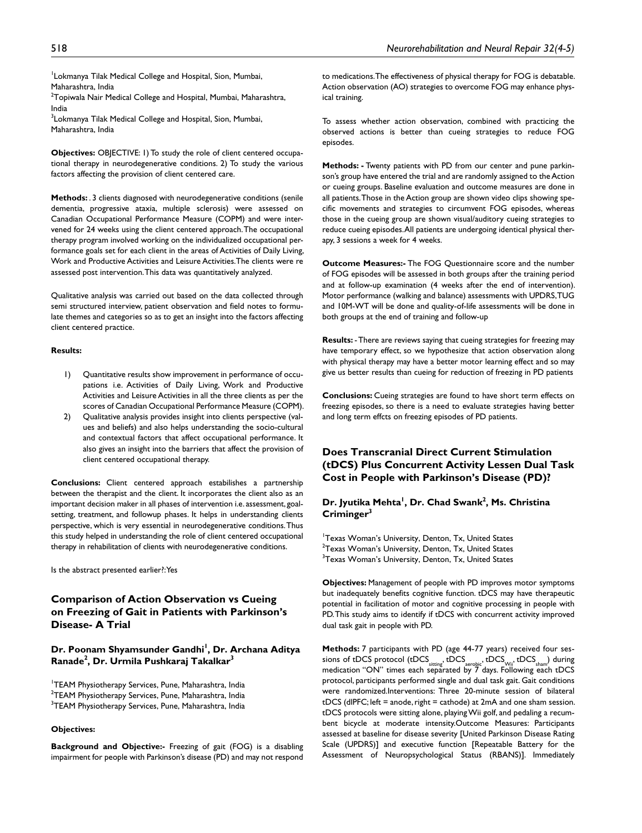Lokmanya Tilak Medical College and Hospital, Sion, Mumbai, Maharashtra, India

 $^{2}$ Topiwala Nair Medical College and Hospital, Mumbai, Maharashtra, India

<sup>3</sup>Lokmanya Tilak Medical College and Hospital, Sion, Mumbai, Maharashtra, India

**Objectives:** OBJECTIVE: 1) To study the role of client centered occupational therapy in neurodegenerative conditions. 2) To study the various factors affecting the provision of client centered care.

**Methods:** . 3 clients diagnosed with neurodegenerative conditions (senile dementia, progressive ataxia, multiple sclerosis) were assessed on Canadian Occupational Performance Measure (COPM) and were intervened for 24 weeks using the client centered approach. The occupational therapy program involved working on the individualized occupational performance goals set for each client in the areas of Activities of Daily Living, Work and Productive Activities and Leisure Activities.The clients were re assessed post intervention. This data was quantitatively analyzed.

Qualitative analysis was carried out based on the data collected through semi structured interview, patient observation and field notes to formulate themes and categories so as to get an insight into the factors affecting client centered practice.

#### **Results:**

- 1) Quantitative results show improvement in performance of occupations i.e. Activities of Daily Living, Work and Productive Activities and Leisure Activities in all the three clients as per the scores of Canadian Occupational Performance Measure (COPM).
- 2) Qualitative analysis provides insight into clients perspective (values and beliefs) and also helps understanding the socio-cultural and contextual factors that affect occupational performance. It also gives an insight into the barriers that affect the provision of client centered occupational therapy.

**Conclusions:** Client centered approach estabilishes a partnership between the therapist and the client. It incorporates the client also as an important decision maker in all phases of intervention i.e. assessment, goalsetting, treatment, and followup phases. It helps in understanding clients perspective, which is very essential in neurodegenerative conditions. Thus this study helped in understanding the role of client centered occupational therapy in rehabilitation of clients with neurodegenerative conditions.

Is the abstract presented earlier?: Yes

# **Comparison of Action Observation vs Cueing on Freezing of Gait in Patients with Parkinson's Disease- A Trial**

## **Dr. Poonam Shyamsunder Gandhi1 , Dr. Archana Aditya Ranade<sup>2</sup> , Dr. Urmila Pushkaraj Takalkar3**

1 TEAM Physiotherapy Services, Pune, Maharashtra, India  $^{2}$ TEAM Physiotherapy Services, Pune, Maharashtra, India <sup>3</sup>TEAM Physiotherapy Services, Pune, Maharashtra, India

#### **Objectives:**

**Background and Objective:-** Freezing of gait (FOG) is a disabling impairment for people with Parkinson's disease (PD) and may not respond

to medications. The effectiveness of physical therapy for FOG is debatable. Action observation (AO) strategies to overcome FOG may enhance physical training.

To assess whether action observation, combined with practicing the observed actions is better than cueing strategies to reduce FOG episodes.

**Methods: -** Twenty patients with PD from our center and pune parkinson's group have entered the trial and are randomly assigned to the Action or cueing groups. Baseline evaluation and outcome measures are done in all patients. Those in the Action group are shown video clips showing specific movements and strategies to circumvent FOG episodes, whereas those in the cueing group are shown visual/auditory cueing strategies to reduce cueing episodes. All patients are undergoing identical physical therapy, 3 sessions a week for 4 weeks.

**Outcome Measures:-** The FOG Questionnaire score and the number of FOG episodes will be assessed in both groups after the training period and at follow-up examination (4 weeks after the end of intervention). Motor performance (walking and balance) assessments with UPDRS, TUG and 10M-WT will be done and quality-of-life assessments will be done in both groups at the end of training and follow-up

**Results:** - There are reviews saying that cueing strategies for freezing may have temporary effect, so we hypothesize that action observation along with physical therapy may have a better motor learning effect and so may give us better results than cueing for reduction of freezing in PD patients

**Conclusions:** Cueing strategies are found to have short term effects on freezing episodes, so there is a need to evaluate strategies having better and long term effcts on freezing episodes of PD patients.

# **Does Transcranial Direct Current Stimulation (tDCS) Plus Concurrent Activity Lessen Dual Task Cost in People with Parkinson's Disease (PD)?**

### Dr. Jyutika Mehta<sup>1</sup>, Dr. Chad Swank<sup>2</sup>, Ms. Christina **Criminger3**

<sup>1</sup>Texas Woman's University, Denton, Tx, United States  $^{2}$ Texas Woman's University, Denton, Tx, United States <sup>3</sup>Texas Woman's University, Denton, Tx, United States

**Objectives:** Management of people with PD improves motor symptoms but inadequately benefits cognitive function. tDCS may have therapeutic potential in facilitation of motor and cognitive processing in people with PD. This study aims to identify if tDCS with concurrent activity improved dual task gait in people with PD.

**Methods:** 7 participants with PD (age 44-77 years) received four sessions of tDCS protocol (tDCS<sub>sitting</sub>, tDCS<sub>aerobic</sub>, tDCS<sub>sham</sub>) during<br>medication "ON" times each separated by 7 days. Following each tDCS protocol, participants performed single and dual task gait. Gait conditions were randomized.Interventions: Three 20-minute session of bilateral tDCS (dlPFC; left = anode, right = cathode) at 2mA and one sham session. tDCS protocols were sitting alone, playing Wii golf, and pedaling a recumbent bicycle at moderate intensity.Outcome Measures: Participants assessed at baseline for disease severity [United Parkinson Disease Rating Scale (UPDRS)] and executive function [Repeatable Battery for the Assessment of Neuropsychological Status (RBANS)]. Immediately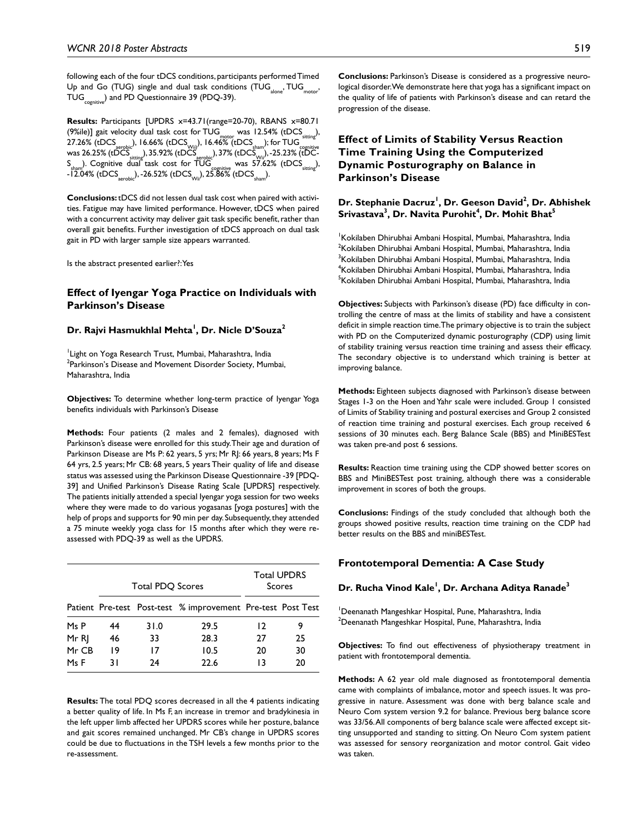following each of the four tDCS conditions, participants performed Timed Up and Go (TUG) single and dual task conditions (TUG<sub>alone</sub>, TUG<sub>motor</sub>, TUG cognitive) and PD Questionnaire 39 (PDQ-39).

**Results:** Participants [UPDRS x=43.71(range=20-70), RBANS x=80.71 (9%ile)] gait velocity dual task cost for  $TUG_{\text{motor}}$  was 12.54% (tDCS sitting), 27.26% (tDCS $_{\rm acrobic}$ ), 16.66% (tDCS $_{\rm Wij}$ ), 16.46% (tDCS $_{\rm sham}$ ); for TUG $_{\rm cognitive}$ was 26.25% (tDCS $_{\rm{sitting}}$ ), 35.92% (tDCS $_{\rm{aerobic}}$ ), 37% (tDCS $_{\rm{Wii}}$ ), -25.23% (tDC-). Cognitive dual task cost for  $\tilde{TUC}^\sim_{\text{C,2}}$  was 57.62% (tDCS sitting),  $-12.04\%$  (tDCS<sub>aerobic</sub>),  $-26.52\%$  (tDCS<sub>Vii</sub>),  $25.86\%$  (tDCS<sub>sham</sub>).

**Conclusions:** tDCS did not lessen dual task cost when paired with activities. Fatigue may have limited performance. However, tDCS when paired with a concurrent activity may deliver gait task specific benefit, rather than overall gait benefits. Further investigation of tDCS approach on dual task gait in PD with larger sample size appears warranted.

Is the abstract presented earlier?: Yes

## **Effect of Iyengar Yoga Practice on Individuals with Parkinson's Disease**

### **Dr. Rajvi Hasmukhlal Mehta1 , Dr. Nicle D'Souza2**

<sup>1</sup> Light on Yoga Research Trust, Mumbai, Maharashtra, India <sup>2</sup>Parkinson's Disease and Movement Disorder Society, Mumbai, Maharashtra, India

**Objectives:** To determine whether long-term practice of Iyengar Yoga benefits individuals with Parkinson's Disease

**Methods:** Four patients (2 males and 2 females), diagnosed with Parkinson's disease were enrolled for this study. Their age and duration of Parkinson Disease are Ms P: 62 years, 5 yrs; Mr RJ: 66 years, 8 years; Ms F 64 yrs, 2.5 years; Mr CB: 68 years, 5 years Their quality of life and disease status was assessed using the Parkinson Disease Questionnaire -39 [PDQ-39] and Unified Parkinson's Disease Rating Scale [UPDRS] respectively. The patients initially attended a special Iyengar yoga session for two weeks where they were made to do various yogasanas [yoga postures] with the help of props and supports for 90 min per day. Subsequently, they attended a 75 minute weekly yoga class for 15 months after which they were reassessed with PDQ-39 as well as the UPDRS.

|       |    | <b>Total PDO Scores</b> | <b>Total UPDRS</b><br>Scores                                |    |    |
|-------|----|-------------------------|-------------------------------------------------------------|----|----|
|       |    |                         | Patient Pre-test Post-test % improvement Pre-test Post Test |    |    |
| Ms P  | 44 | 31.0                    | 29.5                                                        | 12 | 9  |
| MrR   | 46 | 33                      | 28.3                                                        | 27 | 25 |
| Mr CB | 19 | 17                      | 10.5                                                        | 20 | 30 |
| MsF   | 31 | 24                      | 22.6                                                        | 13 | 20 |

**Results:** The total PDQ scores decreased in all the 4 patients indicating a better quality of life. In Ms F, an increase in tremor and bradykinesia in the left upper limb affected her UPDRS scores while her posture, balance and gait scores remained unchanged. Mr CB's change in UPDRS scores could be due to fluctuations in the TSH levels a few months prior to the re-assessment.

**Conclusions:** Parkinson's Disease is considered as a progressive neurological disorder. We demonstrate here that yoga has a significant impact on the quality of life of patients with Parkinson's disease and can retard the progression of the disease.

# **Effect of Limits of Stability Versus Reaction Time Training Using the Computerized Dynamic Posturography on Balance in Parkinson's Disease**

## Dr. Stephanie Dacruz<sup>I</sup>, Dr. Geeson David<sup>2</sup>, Dr. Abhishek Srivastava<sup>3</sup>, Dr. Navita Purohit<sup>4</sup>, Dr. Mohit Bhat<sup>5</sup>

1 Kokilaben Dhirubhai Ambani Hospital, Mumbai, Maharashtra, India  $^{2}$ Kokilaben Dhirubhai Ambani Hospital, Mumbai, Maharashtra, India <sup>3</sup>Kokilaben Dhirubhai Ambani Hospital, Mumbai, Maharashtra, India 4 Kokilaben Dhirubhai Ambani Hospital, Mumbai, Maharashtra, India <sup>5</sup>Kokilaben Dhirubhai Ambani Hospital, Mumbai, Maharashtra, India

**Objectives:** Subjects with Parkinson's disease (PD) face difficulty in controlling the centre of mass at the limits of stability and have a consistent deficit in simple reaction time. The primary objective is to train the subject with PD on the Computerized dynamic posturography (CDP) using limit of stability training versus reaction time training and assess their efficacy. The secondary objective is to understand which training is better at improving balance.

**Methods:** Eighteen subjects diagnosed with Parkinson's disease between Stages 1-3 on the Hoen and Yahr scale were included. Group 1 consisted of Limits of Stability training and postural exercises and Group 2 consisted of reaction time training and postural exercises. Each group received 6 sessions of 30 minutes each. Berg Balance Scale (BBS) and MiniBESTest was taken pre-and post 6 sessions.

**Results:** Reaction time training using the CDP showed better scores on BBS and MiniBESTest post training, although there was a considerable improvement in scores of both the groups.

**Conclusions:** Findings of the study concluded that although both the groups showed positive results, reaction time training on the CDP had better results on the BBS and miniBESTest.

#### **Frontotemporal Dementia: A Case Study**

### **Dr. Rucha Vinod Kale1 , Dr. Archana Aditya Ranade3**

1 Deenanath Mangeshkar Hospital, Pune, Maharashtra, India  $^{\rm 2}$ Deenanath Mangeshkar Hospital, Pune, Maharashtra, India

**Objectives:** To find out effectiveness of physiotherapy treatment in patient with frontotemporal dementia.

**Methods:** A 62 year old male diagnosed as frontotemporal dementia came with complaints of imbalance, motor and speech issues. It was progressive in nature. Assessment was done with berg balance scale and Neuro Com system version 9.2 for balance. Previous berg balance score was 33/56. All components of berg balance scale were affected except sitting unsupported and standing to sitting. On Neuro Com system patient was assessed for sensory reorganization and motor control. Gait video was taken.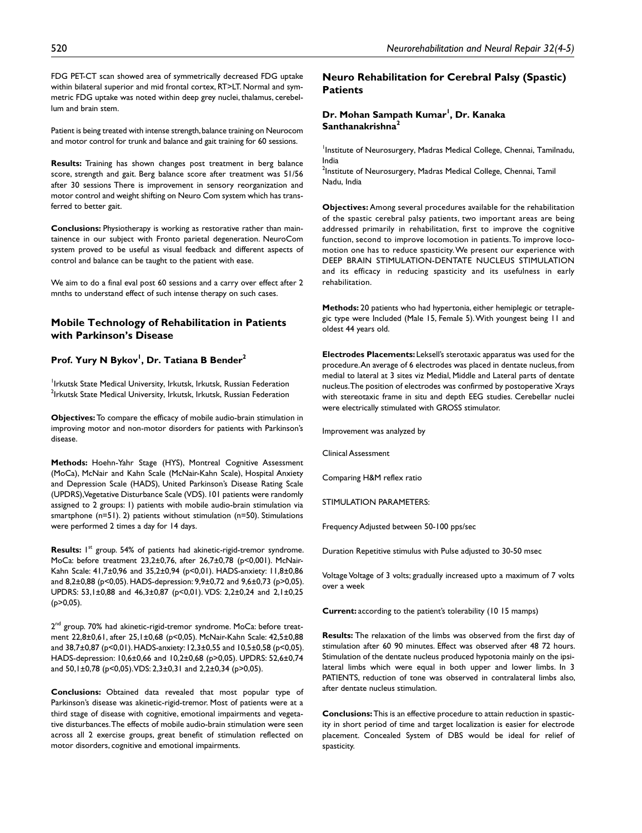FDG PET-CT scan showed area of symmetrically decreased FDG uptake within bilateral superior and mid frontal cortex, RT>LT. Normal and symmetric FDG uptake was noted within deep grey nuclei, thalamus, cerebellum and brain stem.

Patient is being treated with intense strength, balance training on Neurocom and motor control for trunk and balance and gait training for 60 sessions.

**Results:** Training has shown changes post treatment in berg balance score, strength and gait. Berg balance score after treatment was 51/56 after 30 sessions There is improvement in sensory reorganization and motor control and weight shifting on Neuro Com system which has transferred to better gait.

**Conclusions:** Physiotherapy is working as restorative rather than maintainence in our subject with Fronto parietal degeneration. NeuroCom system proved to be useful as visual feedback and different aspects of control and balance can be taught to the patient with ease.

We aim to do a final eval post 60 sessions and a carry over effect after 2 mnths to understand effect of such intense therapy on such cases.

## **Mobile Technology of Rehabilitation in Patients with Parkinson's Disease**

#### **Prof. Yury N Bykov1 , Dr. Tatiana B Bender2**

<sup>1</sup> Irkutsk State Medical University, Irkutsk, Irkutsk, Russian Federation <sup>2</sup>Irkutsk State Medical University, Irkutsk, Irkutsk, Russian Federation

**Objectives:** To compare the efficacy of mobile audio-brain stimulation in improving motor and non-motor disorders for patients with Parkinson's disease.

**Methods:** Hoehn-Yahr Stage (HYS), Montreal Cognitive Assessment (MoCa), McNair and Kahn Scale (McNair-Kahn Scale), Hospital Anxiety and Depression Scale (HADS), United Parkinson's Disease Rating Scale (UPDRS), Vegetative Disturbance Scale (VDS). 101 patients were randomly assigned to 2 groups: 1) patients with mobile audio-brain stimulation via smartphone (n=51). 2) patients without stimulation (n=50). Stimulations were performed 2 times a day for 14 days.

Results: I<sup>st</sup> group. 54% of patients had akinetic-rigid-tremor syndrome. MoCa: before treatment 23,2±0,76, after 26,7±0,78 (p<0,001). McNair-Kahn Scale: 41,7±0,96 and 35,2±0,94 (p<0,01). HADS-anxiety: 11,8±0,86 and 8,2±0,88 (p<0,05). HADS-depression: 9,9±0,72 and 9,6±0,73 (p>0,05). UPDRS: 53,1±0,88 and 46,3±0,87 (p<0,01). VDS: 2,2±0,24 and 2,1±0,25 (p>0,05).

2<sup>nd</sup> group. 70% had akinetic-rigid-tremor syndrome. MoCa: before treatment 22,8±0,61, after 25,1±0,68 (p<0,05). McNair-Kahn Scale: 42,5±0,88 and 38,7±0,87 (p<0,01). HADS-anxiety: 12,3±0,55 and 10,5±0,58 (p<0,05). HADS-depression: 10,6±0,66 and 10,2±0,68 (p>0,05). UPDRS: 52,6±0,74 and 50,1±0,78 (p<0,05). VDS: 2,3±0,31 and 2,2±0,34 (p>0,05).

**Conclusions:** Obtained data revealed that most popular type of Parkinson's disease was akinetic-rigid-tremor. Most of patients were at a third stage of disease with cognitive, emotional impairments and vegetative disturbances. The effects of mobile audio-brain stimulation were seen across all 2 exercise groups, great benefit of stimulation reflected on motor disorders, cognitive and emotional impairments.

## **Neuro Rehabilitation for Cerebral Palsy (Spastic) Patients**

### **Dr. Mohan Sampath Kumar1 , Dr. Kanaka Santhanakrishna<sup>2</sup>**

<sup>1</sup>Institute of Neurosurgery, Madras Medical College, Chennai, Tamilnadu, India

 $^{2}$ Institute of Neurosurgery, Madras Medical College, Chennai, Tamil Nadu, India

**Objectives:** Among several procedures available for the rehabilitation of the spastic cerebral palsy patients, two important areas are being addressed primarily in rehabilitation, first to improve the cognitive function, second to improve locomotion in patients. To improve locomotion one has to reduce spasticity. We present our experience with DEEP BRAIN STIMULATION-DENTATE NUCLEUS STIMULATION and its efficacy in reducing spasticity and its usefulness in early rehabilitation.

**Methods:** 20 patients who had hypertonia, either hemiplegic or tetraplegic type were Included (Male 15, Female 5). With youngest being 11 and oldest 44 years old.

**Electrodes Placements:** Leksell's sterotaxic apparatus was used for the procedure. An average of 6 electrodes was placed in dentate nucleus, from medial to lateral at 3 sites viz Medial, Middle and Lateral parts of dentate nucleus. The position of electrodes was confirmed by postoperative Xrays with stereotaxic frame in situ and depth EEG studies. Cerebellar nuclei were electrically stimulated with GROSS stimulator.

Improvement was analyzed by

Clinical Assessment

Comparing H&M reflex ratio

STIMULATION PARAMETERS:

Frequency Adjusted between 50-100 pps/sec

Duration Repetitive stimulus with Pulse adjusted to 30-50 msec

Voltage Voltage of 3 volts; gradually increased upto a maximum of 7 volts over a week

**Current:** according to the patient's tolerability (10 15 mamps)

**Results:** The relaxation of the limbs was observed from the first day of stimulation after 60 90 minutes. Effect was observed after 48 72 hours. Stimulation of the dentate nucleus produced hypotonia mainly on the ipsilateral limbs which were equal in both upper and lower limbs. In 3 PATIENTS, reduction of tone was observed in contralateral limbs also, after dentate nucleus stimulation.

**Conclusions:** This is an effective procedure to attain reduction in spasticity in short period of time and target localization is easier for electrode placement. Concealed System of DBS would be ideal for relief of spasticity.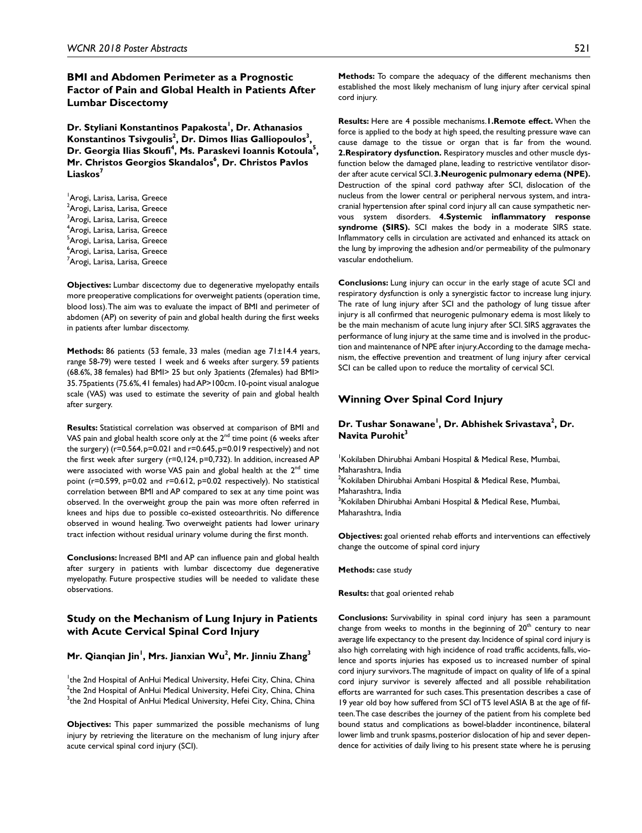# **BMI and Abdomen Perimeter as a Prognostic Factor of Pain and Global Health in Patients After Lumbar Discectomy**

**Dr. Styliani Konstantinos Papakosta1 , Dr. Athanasios**  Konstantinos Tsivgoulis<sup>2</sup>, Dr. Dimos Ilias Galliopoulos<sup>3</sup>, Dr. Georgia Ilias Skoufi<sup>4</sup>, Ms. Paraskevi Ioannis Kotoula<sup>5</sup>, Mr. Christos Georgios Skandalos<sup>6</sup>, Dr. Christos Pavlos **Liaskos<sup>7</sup>**

<sup>1</sup> Arogi, Larisa, Larisa, Greece <sup>2</sup>Arogi, Larisa, Larisa, Greece <sup>3</sup>Arogi, Larisa, Larisa, Greece 4 Arogi, Larisa, Larisa, Greece <sup>5</sup>Arogi, Larisa, Larisa, Greece 6 Arogi, Larisa, Larisa, Greece <sup>7</sup>Arogi, Larisa, Larisa, Greece

**Objectives:** Lumbar discectomy due to degenerative myelopathy entails more preoperative complications for overweight patients (operation time, blood loss). The aim was to evaluate the impact of BMI and perimeter of abdomen (AP) on severity of pain and global health during the first weeks in patients after lumbar discectomy.

**Methods:** 86 patients (53 female, 33 males (median age 71±14.4 years, range 58-79) were tested 1 week and 6 weeks after surgery. 59 patients (68.6%, 38 females) had BMI> 25 but only 3patients (2females) had BMI> 35. 75patients (75.6%, 41 females) had AP>100cm. 10-point visual analogue scale (VAS) was used to estimate the severity of pain and global health after surgery.

**Results:** Statistical correlation was observed at comparison of BMI and VAS pain and global health score only at the  $2^{nd}$  time point (6 weeks after the surgery) ( $r=0.564$ ,  $p=0.021$  and  $r=0.645$ ,  $p=0.019$  respectively) and not the first week after surgery (r=0,124, p=0,732). In addition, increased AP were associated with worse VAS pain and global health at the 2<sup>nd</sup> time point (r=0.599, p=0.02 and r=0.612, p=0.02 respectively). No statistical correlation between BMI and AP compared to sex at any time point was observed. In the overweight group the pain was more often referred in knees and hips due to possible co-existed osteoarthritis. No difference observed in wound healing. Two overweight patients had lower urinary tract infection without residual urinary volume during the first month.

**Conclusions:** Increased BMI and AP can influence pain and global health after surgery in patients with lumbar discectomy due degenerative myelopathy. Future prospective studies will be needed to validate these observations.

# **Study on the Mechanism of Lung Injury in Patients with Acute Cervical Spinal Cord Injury**

#### **Mr. Qianqian Jin1 , Mrs. Jianxian Wu2 , Mr. Jinniu Zhang3**

<sup>1</sup>the 2nd Hospital of AnHui Medical University, Hefei City, China, China  $^2$ the 2nd Hospital of AnHui Medical University, Hefei City, China, China  $^3$ the 2nd Hospital of AnHui Medical University, Hefei City, China, China

**Objectives:** This paper summarized the possible mechanisms of lung injury by retrieving the literature on the mechanism of lung injury after acute cervical spinal cord injury (SCI).

**Methods:** To compare the adequacy of the different mechanisms then established the most likely mechanism of lung injury after cervical spinal cord injury.

**Results:** Here are 4 possible mechanisms.**1.Remote effect.** When the force is applied to the body at high speed, the resulting pressure wave can cause damage to the tissue or organ that is far from the wound. **2.Respiratory dysfunction.** Respiratory muscles and other muscle dysfunction below the damaged plane, leading to restrictive ventilator disorder after acute cervical SCI. **3.Neurogenic pulmonary edema (NPE).** Destruction of the spinal cord pathway after SCI, dislocation of the nucleus from the lower central or peripheral nervous system, and intracranial hypertension after spinal cord injury all can cause sympathetic nervous system disorders. **4.Systemic inflammatory response syndrome (SIRS).** SCI makes the body in a moderate SIRS state. Inflammatory cells in circulation are activated and enhanced its attack on the lung by improving the adhesion and/or permeability of the pulmonary vascular endothelium.

**Conclusions:** Lung injury can occur in the early stage of acute SCI and respiratory dysfunction is only a synergistic factor to increase lung injury. The rate of lung injury after SCI and the pathology of lung tissue after injury is all confirmed that neurogenic pulmonary edema is most likely to be the main mechanism of acute lung injury after SCI. SIRS aggravates the performance of lung injury at the same time and is involved in the production and maintenance of NPE after injury. According to the damage mechanism, the effective prevention and treatment of lung injury after cervical SCI can be called upon to reduce the mortality of cervical SCI.

#### **Winning Over Spinal Cord Injury**

## Dr. Tushar Sonawane<sup>1</sup>, Dr. Abhishek Srivastava<sup>2</sup>, Dr. **Navita Purohit<sup>3</sup>**

1 Kokilaben Dhirubhai Ambani Hospital & Medical Rese, Mumbai, Maharashtra, India

 $^{2}$ Kokilaben Dhirubhai Ambani Hospital & Medical Rese, Mumbai, Maharashtra, India

<sup>3</sup>Kokilaben Dhirubhai Ambani Hospital & Medical Rese, Mumbai, Maharashtra, India

**Objectives:** goal oriented rehab efforts and interventions can effectively change the outcome of spinal cord injury

**Methods:** case study

**Results:** that goal oriented rehab

**Conclusions:** Survivability in spinal cord injury has seen a paramount change from weeks to months in the beginning of  $20<sup>th</sup>$  century to near average life expectancy to the present day. Incidence of spinal cord injury is also high correlating with high incidence of road traffic accidents, falls, violence and sports injuries has exposed us to increased number of spinal cord injury survivors. The magnitude of impact on quality of life of a spinal cord injury survivor is severely affected and all possible rehabilitation efforts are warranted for such cases. This presentation describes a case of 19 year old boy how suffered from SCI of T5 level ASIA B at the age of fifteen. The case describes the journey of the patient from his complete bed bound status and complications as bowel-bladder incontinence, bilateral lower limb and trunk spasms, posterior dislocation of hip and sever dependence for activities of daily living to his present state where he is perusing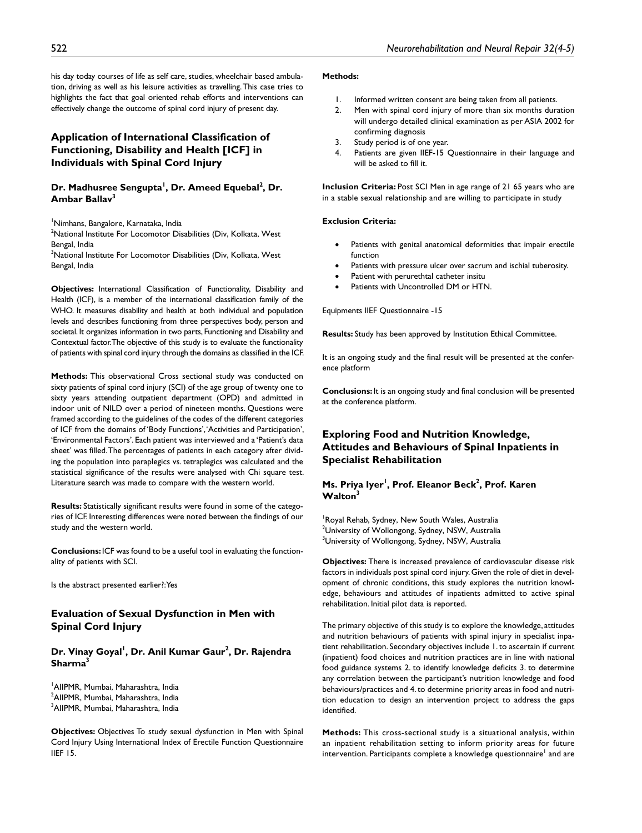his day today courses of life as self care, studies, wheelchair based ambulation, driving as well as his leisure activities as travelling. This case tries to highlights the fact that goal oriented rehab efforts and interventions can effectively change the outcome of spinal cord injury of present day.

# **Application of International Classification of Functioning, Disability and Health [ICF] in Individuals with Spinal Cord Injury**

## Dr. Madhusree Sengupta<sup>1</sup>, Dr. Ameed Equebal<sup>2</sup>, Dr. Ambar Ballav<sup>3</sup>

1 Nimhans, Bangalore, Karnataka, India

2 National Institute For Locomotor Disabilities (Div, Kolkata, West Bengal, India

 $3$ National Institute For Locomotor Disabilities (Div, Kolkata, West Bengal, India

**Objectives:** International Classification of Functionality, Disability and Health (ICF), is a member of the international classification family of the WHO. It measures disability and health at both individual and population levels and describes functioning from three perspectives body, person and societal. It organizes information in two parts, Functioning and Disability and Contextual factor.The objective of this study is to evaluate the functionality of patients with spinal cord injury through the domains as classified in the ICF.

**Methods:** This observational Cross sectional study was conducted on sixty patients of spinal cord injury (SCI) of the age group of twenty one to sixty years attending outpatient department (OPD) and admitted in indoor unit of NILD over a period of nineteen months. Questions were framed according to the guidelines of the codes of the different categories of ICF from the domains of 'Body Functions', 'Activities and Participation', 'Environmental Factors'. Each patient was interviewed and a 'Patient's data sheet' was filled. The percentages of patients in each category after dividing the population into paraplegics vs. tetraplegics was calculated and the statistical significance of the results were analysed with Chi square test. Literature search was made to compare with the western world.

**Results:** Statistically significant results were found in some of the categories of ICF. Interesting differences were noted between the findings of our study and the western world.

**Conclusions:** ICF was found to be a useful tool in evaluating the functionality of patients with SCI.

Is the abstract presented earlier?: Yes

# **Evaluation of Sexual Dysfunction in Men with Spinal Cord Injury**

Dr. Vinay Goyal<sup>ı</sup>, Dr. Anil Kumar Gaur<sup>2</sup>, Dr. Rajendra Sharma<sup>3</sup>

1 AIIPMR, Mumbai, Maharashtra, India <sup>2</sup>AIIPMR, Mumbai, Maharashtra, India <sup>3</sup>AIIPMR, Mumbai, Maharashtra, India

**Objectives:** Objectives To study sexual dysfunction in Men with Spinal Cord Injury Using International Index of Erectile Function Questionnaire IIEF 15.

#### **Methods:**

- 1. Informed written consent are being taken from all patients.
- 2. Men with spinal cord injury of more than six months duration will undergo detailed clinical examination as per ASIA 2002 for confirming diagnosis
- 3. Study period is of one year.
- 4. Patients are given IIEF-15 Questionnaire in their language and will be asked to fill it.

**Inclusion Criteria:** Post SCI Men in age range of 21 65 years who are in a stable sexual relationship and are willing to participate in study

#### **Exclusion Criteria:**

- Patients with genital anatomical deformities that impair erectile function
- Patients with pressure ulcer over sacrum and ischial tuberosity.
- Patient with perurethtal catheter insitu
- Patients with Uncontrolled DM or HTN.

Equipments IIEF Questionnaire -15

**Results:** Study has been approved by Institution Ethical Committee.

It is an ongoing study and the final result will be presented at the conference platform

**Conclusions:** It is an ongoing study and final conclusion will be presented at the conference platform.

# **Exploring Food and Nutrition Knowledge, Attitudes and Behaviours of Spinal Inpatients in Specialist Rehabilitation**

## **Ms. Priya Iyer<sup>I</sup>, Prof. Eleanor Beck<sup>2</sup>, Prof. Karen Walton3**

<sup>1</sup> Royal Rehab, Sydney, New South Wales, Australia <sup>2</sup>University of Wollongong, Sydney, NSW, Australia  $^3$ University of Wollongong, Sydney, NSW, Australia

**Objectives:** There is increased prevalence of cardiovascular disease risk factors in individuals post spinal cord injury. Given the role of diet in development of chronic conditions, this study explores the nutrition knowledge, behaviours and attitudes of inpatients admitted to active spinal rehabilitation. Initial pilot data is reported.

The primary objective of this study is to explore the knowledge, attitudes and nutrition behaviours of patients with spinal injury in specialist inpatient rehabilitation. Secondary objectives include 1. to ascertain if current (inpatient) food choices and nutrition practices are in line with national food guidance systems 2. to identify knowledge deficits 3. to determine any correlation between the participant's nutrition knowledge and food behaviours/practices and 4. to determine priority areas in food and nutrition education to design an intervention project to address the gaps identified.

**Methods:** This cross-sectional study is a situational analysis, within an inpatient rehabilitation setting to inform priority areas for future intervention. Participants complete a knowledge questionnaire $^\mathsf{I}$  and are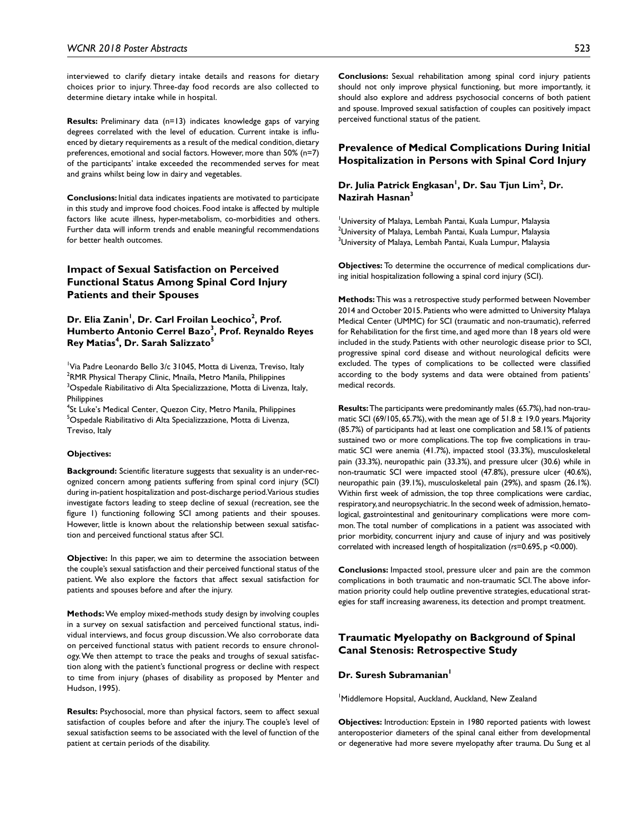interviewed to clarify dietary intake details and reasons for dietary choices prior to injury. Three-day food records are also collected to determine dietary intake while in hospital.

**Results:** Preliminary data (n=13) indicates knowledge gaps of varying degrees correlated with the level of education. Current intake is influenced by dietary requirements as a result of the medical condition, dietary preferences, emotional and social factors. However, more than 50% (n=7) of the participants' intake exceeded the recommended serves for meat and grains whilst being low in dairy and vegetables.

**Conclusions:** Initial data indicates inpatients are motivated to participate in this study and improve food choices. Food intake is affected by multiple factors like acute illness, hyper-metabolism, co-morbidities and others. Further data will inform trends and enable meaningful recommendations for better health outcomes.

# **Impact of Sexual Satisfaction on Perceived Functional Status Among Spinal Cord Injury Patients and their Spouses**

## Dr. Elia Zanin<sup>'</sup>, Dr. Carl Froilan Leochico<sup>2</sup>, Prof. **Humberto Antonio Cerrel Bazo3 , Prof. Reynaldo Reyes Rey Matias<sup>4</sup> , Dr. Sarah Salizzato5**

<sup>1</sup>Via Padre Leonardo Bello 3/c 31045, Motta di Livenza, Treviso, Italy <sup>2</sup>RMR Physical Therapy Clinic, Mnaila, Metro Manila, Philippines  $^3$ Ospedale Riabilitativo di Alta Specializzazione, Motta di Livenza, Italy, **Philippines** 

4 St Luke's Medical Center, Quezon City, Metro Manila, Philippines <sup>5</sup>Ospedale Riabilitativo di Alta Specializzazione, Motta di Livenza, Treviso, Italy

#### **Objectives:**

**Background:** Scientific literature suggests that sexuality is an under-recognized concern among patients suffering from spinal cord injury (SCI) during in-patient hospitalization and post-discharge period. Various studies investigate factors leading to steep decline of sexual (recreation, see the figure 1) functioning following SCI among patients and their spouses. However, little is known about the relationship between sexual satisfaction and perceived functional status after SCI.

**Objective:** In this paper, we aim to determine the association between the couple's sexual satisfaction and their perceived functional status of the patient. We also explore the factors that affect sexual satisfaction for patients and spouses before and after the injury.

**Methods:** We employ mixed-methods study design by involving couples in a survey on sexual satisfaction and perceived functional status, individual interviews, and focus group discussion. We also corroborate data on perceived functional status with patient records to ensure chronology. We then attempt to trace the peaks and troughs of sexual satisfaction along with the patient's functional progress or decline with respect to time from injury (phases of disability as proposed by Menter and Hudson, 1995).

**Results:** Psychosocial, more than physical factors, seem to affect sexual satisfaction of couples before and after the injury. The couple's level of sexual satisfaction seems to be associated with the level of function of the patient at certain periods of the disability.

**Conclusions:** Sexual rehabilitation among spinal cord injury patients should not only improve physical functioning, but more importantly, it should also explore and address psychosocial concerns of both patient and spouse. Improved sexual satisfaction of couples can positively impact perceived functional status of the patient.

## **Prevalence of Medical Complications During Initial Hospitalization in Persons with Spinal Cord Injury**

## Dr. Julia Patrick Engkasan<sup>'</sup>, Dr. Sau Tjun Lim<sup>2</sup>, Dr. **Nazirah Hasnan3**

1 University of Malaya, Lembah Pantai, Kuala Lumpur, Malaysia  $^{\rm 2}$ University of Malaya, Lembah Pantai, Kuala Lumpur, Malaysia  $^3$ University of Malaya, Lembah Pantai, Kuala Lumpur, Malaysia

**Objectives:** To determine the occurrence of medical complications during initial hospitalization following a spinal cord injury (SCI).

**Methods:** This was a retrospective study performed between November 2014 and October 2015. Patients who were admitted to University Malaya Medical Center (UMMC) for SCI (traumatic and non-traumatic), referred for Rehabilitation for the first time, and aged more than 18 years old were included in the study. Patients with other neurologic disease prior to SCI, progressive spinal cord disease and without neurological deficits were excluded. The types of complications to be collected were classified according to the body systems and data were obtained from patients' medical records.

**Results:** The participants were predominantly males (65.7%), had non-traumatic SCI (69/105, 65.7%), with the mean age of  $51.8 \pm 19.0$  years. Majority (85.7%) of participants had at least one complication and 58.1% of patients sustained two or more complications. The top five complications in traumatic SCI were anemia (41.7%), impacted stool (33.3%), musculoskeletal pain (33.3%), neuropathic pain (33.3%), and pressure ulcer (30.6) while in non-traumatic SCI were impacted stool (47.8%), pressure ulcer (40.6%), neuropathic pain (39.1%), musculoskeletal pain (29%), and spasm (26.1%). Within first week of admission, the top three complications were cardiac, respiratory, and neuropsychiatric. In the second week of admission, hematological, gastrointestinal and genitourinary complications were more common. The total number of complications in a patient was associated with prior morbidity, concurrent injury and cause of injury and was positively correlated with increased length of hospitalization (*rs*=0.695, p <0.000).

**Conclusions:** Impacted stool, pressure ulcer and pain are the common complications in both traumatic and non-traumatic SCI. The above information priority could help outline preventive strategies, educational strategies for staff increasing awareness, its detection and prompt treatment.

## **Traumatic Myelopathy on Background of Spinal Canal Stenosis: Retrospective Study**

#### **Dr. Suresh Subramanian**

<sup>1</sup>Middlemore Hopsital, Auckland, Auckland, New Zealand

**Objectives:** Introduction: Epstein in 1980 reported patients with lowest anteroposterior diameters of the spinal canal either from developmental or degenerative had more severe myelopathy after trauma. Du Sung et al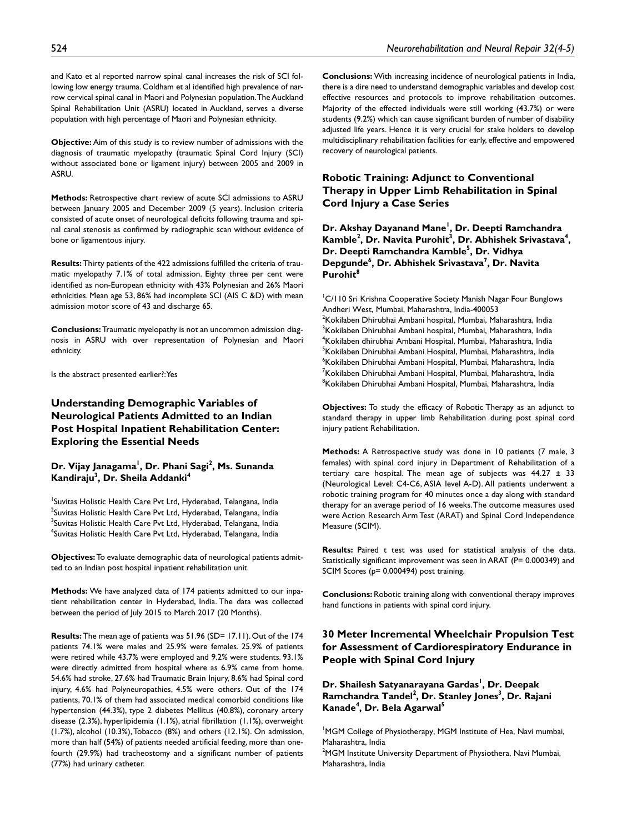and Kato et al reported narrow spinal canal increases the risk of SCI following low energy trauma. Coldham et al identified high prevalence of narrow cervical spinal canal in Maori and Polynesian population. The Auckland Spinal Rehabilitation Unit (ASRU) located in Auckland, serves a diverse population with high percentage of Maori and Polynesian ethnicity.

**Objective:** Aim of this study is to review number of admissions with the diagnosis of traumatic myelopathy (traumatic Spinal Cord Injury (SCI) without associated bone or ligament injury) between 2005 and 2009 in ASRU.

**Methods:** Retrospective chart review of acute SCI admissions to ASRU between January 2005 and December 2009 (5 years). Inclusion criteria consisted of acute onset of neurological deficits following trauma and spinal canal stenosis as confirmed by radiographic scan without evidence of bone or ligamentous injury.

**Results:** Thirty patients of the 422 admissions fulfilled the criteria of traumatic myelopathy 7.1% of total admission. Eighty three per cent were identified as non-European ethnicity with 43% Polynesian and 26% Maori ethnicities. Mean age 53, 86% had incomplete SCI (AIS C &D) with mean admission motor score of 43 and discharge 65.

**Conclusions:** Traumatic myelopathy is not an uncommon admission diagnosis in ASRU with over representation of Polynesian and Maori ethnicity.

Is the abstract presented earlier?: Yes

# **Understanding Demographic Variables of Neurological Patients Admitted to an Indian Post Hospital Inpatient Rehabilitation Center: Exploring the Essential Needs**

Dr. Vijay Janagama<sup>l</sup>, Dr. Phani Sagi<sup>2</sup>, Ms. Sunanda **Kandiraju3 , Dr. Sheila Addanki4**

<sup>1</sup>Suvitas Holistic Health Care Pvt Ltd, Hyderabad, Telangana, India  $^2$ Suvitas Holistic Health Care Pvt Ltd, Hyderabad, Telangana, India <sup>3</sup>Suvitas Holistic Health Care Pvt Ltd, Hyderabad, Telangana, India 4 Suvitas Holistic Health Care Pvt Ltd, Hyderabad, Telangana, India

**Objectives:** To evaluate demographic data of neurological patients admitted to an Indian post hospital inpatient rehabilitation unit.

**Methods:** We have analyzed data of 174 patients admitted to our inpatient rehabilitation center in Hyderabad, India. The data was collected between the period of July 2015 to March 2017 (20 Months).

**Results:** The mean age of patients was 51.96 (SD= 17.11). Out of the 174 patients 74.1% were males and 25.9% were females. 25.9% of patients were retired while 43.7% were employed and 9.2% were students. 93.1% were directly admitted from hospital where as 6.9% came from home. 54.6% had stroke, 27.6% had Traumatic Brain Injury, 8.6% had Spinal cord injury, 4.6% had Polyneuropathies, 4.5% were others. Out of the 174 patients, 70.1% of them had associated medical comorbid conditions like hypertension (44.3%), type 2 diabetes Mellitus (40.8%), coronary artery disease (2.3%), hyperlipidemia (1.1%), atrial fibrillation (1.1%), overweight (1.7%), alcohol (10.3%), Tobacco (8%) and others (12.1%). On admission, more than half (54%) of patients needed artificial feeding, more than onefourth (29.9%) had tracheostomy and a significant number of patients (77%) had urinary catheter.

**Conclusions:** With increasing incidence of neurological patients in India, there is a dire need to understand demographic variables and develop cost effective resources and protocols to improve rehabilitation outcomes. Majority of the effected individuals were still working (43.7%) or were students (9.2%) which can cause significant burden of number of disability adjusted life years. Hence it is very crucial for stake holders to develop multidisciplinary rehabilitation facilities for early, effective and empowered recovery of neurological patients.

# **Robotic Training: Adjunct to Conventional Therapy in Upper Limb Rehabilitation in Spinal Cord Injury a Case Series**

**Dr. Akshay Dayanand Mane1 , Dr. Deepti Ramchandra Kamble<sup>2</sup>, Dr. Navita Purohit<sup>3</sup>, Dr. Abhishek Srivastava<sup>4</sup>, Dr. Deepti Ramchandra Kamble5 , Dr. Vidhya Depgunde<sup>6</sup> , Dr. Abhishek Srivastava7 , Dr. Navita Purohit8**

<sup>1</sup>C/110 Sri Krishna Cooperative Society Manish Nagar Four Bunglows Andheri West, Mumbai, Maharashtra, India-400053  $^{2}$ Kokilaben Dhirubhai Ambani hospital, Mumbai, Maharashtra, India  $^3$ Kokilaben Dhirubhai Ambani hospital, Mumbai, Maharashtra, India 4 Kokilaben dhirubhai Ambani Hospital, Mumbai, Maharashtra, India 5 Kokilaben Dhirubhai Ambani Hospital, Mumbai, Maharashtra, India 6 Kokilaben Dhirubhai Ambani Hospital, Mumbai, Maharashtra, India  $^7$ Kokilaben Dhirubhai Ambani Hospital, Mumbai, Maharashtra, India 8 Kokilaben Dhirubhai Ambani Hospital, Mumbai, Maharashtra, India

**Objectives:** To study the efficacy of Robotic Therapy as an adjunct to standard therapy in upper limb Rehabilitation during post spinal cord injury patient Rehabilitation.

**Methods:** A Retrospective study was done in 10 patients (7 male, 3 females) with spinal cord injury in Department of Rehabilitation of a tertiary care hospital. The mean age of subjects was  $44.27 \pm 33$ (Neurological Level: C4-C6, ASIA level A-D). All patients underwent a robotic training program for 40 minutes once a day along with standard therapy for an average period of 16 weeks. The outcome measures used were Action Research Arm Test (ARAT) and Spinal Cord Independence Measure (SCIM).

**Results:** Paired t test was used for statistical analysis of the data. Statistically significant improvement was seen in ARAT (P= 0.000349) and SCIM Scores (p= 0.000494) post training.

**Conclusions:** Robotic training along with conventional therapy improves hand functions in patients with spinal cord injury.

# **30 Meter Incremental Wheelchair Propulsion Test for Assessment of Cardiorespiratory Endurance in People with Spinal Cord Injury**

Dr. Shailesh Satyanarayana Gardas<sup>I</sup>, Dr. Deepak Ramchandra Tandel<sup>2</sup>, Dr. Stanley Jones<sup>3</sup>, Dr. Rajani **Kanade4 , Dr. Bela Agarwal5**

<sup>1</sup>MGM College of Physiotherapy, MGM Institute of Hea, Navi mumbai, Maharashtra, India

 $2$ MGM Institute University Department of Physiothera, Navi Mumbai, Maharashtra, India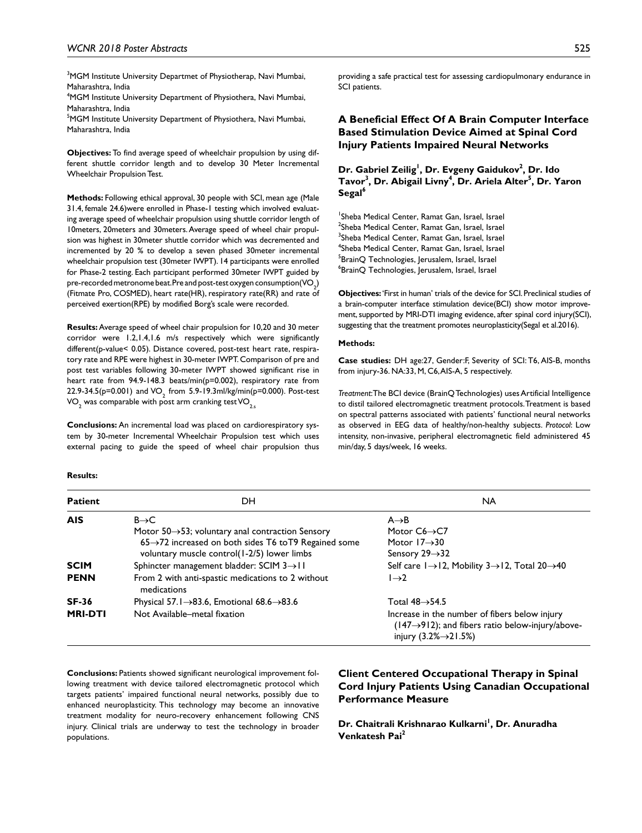$3$ MGM Institute University Departmet of Physiotherap, Navi Mumbai, Maharashtra, India

4 MGM Institute University Department of Physiothera, Navi Mumbai, Maharashtra, India

<sup>5</sup>MGM Institute University Department of Physiothera, Navi Mumbai, Maharashtra, India

**Objectives:** To find average speed of wheelchair propulsion by using different shuttle corridor length and to develop 30 Meter Incremental Wheelchair Propulsion Test.

**Methods:** Following ethical approval, 30 people with SCI, mean age (Male 31.4, female 24.6)were enrolled in Phase-1 testing which involved evaluating average speed of wheelchair propulsion using shuttle corridor length of 10meters, 20meters and 30meters. Average speed of wheel chair propulsion was highest in 30meter shuttle corridor which was decremented and incremented by 20 % to develop a seven phased 30meter incremental wheelchair propulsion test (30meter IWPT). 14 participants were enrolled for Phase-2 testing. Each participant performed 30meter IWPT guided by pre-recorded metronome beat.Pre and post-test oxygen consumption(VO<sub>2</sub>) (Fitmate Pro, COSMED), heart rate(HR), respiratory rate(RR) and rate of perceived exertion(RPE) by modified Borg's scale were recorded.

**Results:** Average speed of wheel chair propulsion for 10,20 and 30 meter corridor were 1.2,1.4,1.6 m/s respectively which were significantly different(p-value< 0.05). Distance covered, post-test heart rate, respiratory rate and RPE were highest in 30-meter IWPT. Comparison of pre and post test variables following 30-meter IWPT showed significant rise in heart rate from 94.9-148.3 beats/min(p=0.002), respiratory rate from 22.9-34.5(p=0.001) and VO<sub>2</sub> from 5.9-19.3ml/kg/min(p=0.000). Post-test VO<sub>2</sub> was comparable with post arm cranking test VO<sub>2.s</sub>

**Conclusions:** An incremental load was placed on cardiorespiratory system by 30-meter Incremental Wheelchair Propulsion test which uses external pacing to guide the speed of wheel chair propulsion thus

**Results:**

providing a safe practical test for assessing cardiopulmonary endurance in SCI patients.

## **A Beneficial Effect Of A Brain Computer Interface Based Stimulation Device Aimed at Spinal Cord Injury Patients Impaired Neural Networks**

Dr. Gabriel Zeilig<sup>I</sup>, Dr. Evgeny Gaidukov<sup>2</sup>, Dr. Ido  $\mathsf{Tavor}^3$ , Dr. Abigail Livny<sup>4</sup>, Dr. Ariela Alter<sup>5</sup>, Dr. Yaron Segal<sup>6</sup>

<sup>1</sup>Sheba Medical Center, Ramat Gan, Israel, Israel <sup>2</sup>Sheba Medical Center, Ramat Gan, Israel, Israel <sup>3</sup>Sheba Medical Center, Ramat Gan, Israel, Israel 4 Sheba Medical Center, Ramat Gan, Israel, Israel <sup>5</sup>BrainQ Technologies, Jerusalem, Israel, Israel  $^6$ BrainQ Technologies, Jerusalem, Israel, Israel

**Objectives:** 'First in human' trials of the device for SCI. Preclinical studies of a brain-computer interface stimulation device(BCI) show motor improvement, supported by MRI-DTI imaging evidence, after spinal cord injury(SCI), suggesting that the treatment promotes neuroplasticity(Segal et al.2016).

#### **Methods:**

**Case studies:** DH age:27, Gender:F, Severity of SCI: T6, AIS-B, months from injury-36. NA:33, M, C6, AIS-A, 5 respectively.

*Treatment*: The BCI device (BrainQ Technologies) uses Artificial Intelligence to distil tailored electromagnetic treatment protocols. Treatment is based on spectral patterns associated with patients' functional neural networks as observed in EEG data of healthy/non-healthy subjects. *Protocol*: Low intensity, non-invasive, peripheral electromagnetic field administered 45 min/day, 5 days/week, 16 weeks.

| Patient        | DH                                                                  | <b>NA</b>                                                                                                                                             |
|----------------|---------------------------------------------------------------------|-------------------------------------------------------------------------------------------------------------------------------------------------------|
|                |                                                                     |                                                                                                                                                       |
| AIS            | $B \rightarrow C$                                                   | $A \rightarrow B$                                                                                                                                     |
|                | Motor 50->53; voluntary anal contraction Sensory                    | Motor $C6 \rightarrow C7$                                                                                                                             |
|                | $65\rightarrow 72$ increased on both sides T6 to T9 Regained some   | Motor $17\rightarrow 30$                                                                                                                              |
|                | voluntary muscle control(1-2/5) lower limbs                         | Sensory $29 \rightarrow 32$                                                                                                                           |
| <b>SCIM</b>    | Sphincter management bladder: SCIM 3→11                             | Self care $I \rightarrow I2$ , Mobility $3 \rightarrow I2$ , Total 20 $\rightarrow$ 40                                                                |
| <b>PENN</b>    | From 2 with anti-spastic medications to 2 without<br>medications    | $\rightarrow$ 2                                                                                                                                       |
| SF-36          | Physical 57.1 $\rightarrow$ 83.6, Emotional 68.6 $\rightarrow$ 83.6 | Total $48 \rightarrow 54.5$                                                                                                                           |
| <b>MRI-DTI</b> | Not Available-metal fixation                                        | Increase in the number of fibers below injury<br>$(147\rightarrow 912)$ ; and fibers ratio below-injury/above-<br>injury $(3.2\% \rightarrow 21.5\%)$ |

**Conclusions:** Patients showed significant neurological improvement following treatment with device tailored electromagnetic protocol which targets patients' impaired functional neural networks, possibly due to enhanced neuroplasticity. This technology may become an innovative treatment modality for neuro-recovery enhancement following CNS injury. Clinical trials are underway to test the technology in broader populations.

# **Client Centered Occupational Therapy in Spinal Cord Injury Patients Using Canadian Occupational Performance Measure**

Dr. Chaitrali Krishnarao Kulkarni<sup>I</sup>, Dr. Anuradha **Venkatesh Pai<sup>2</sup>**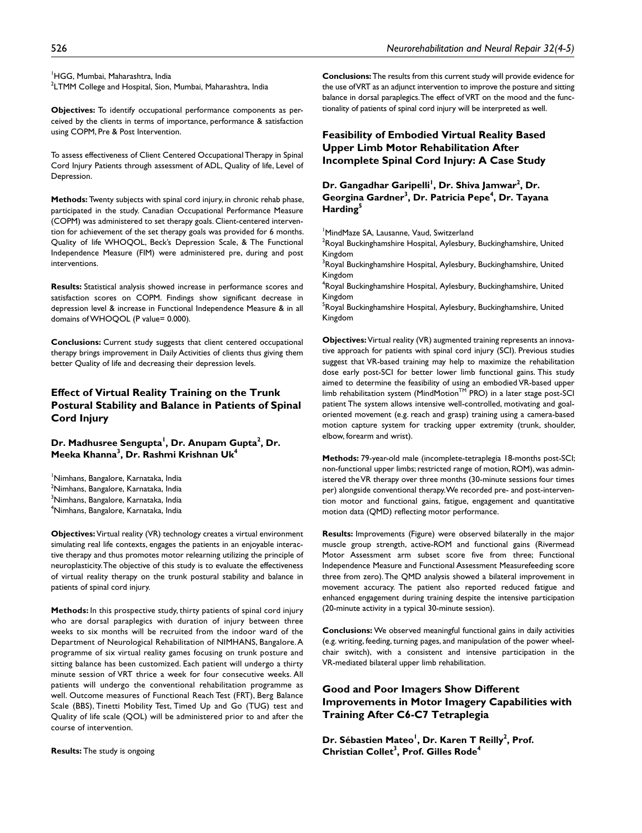1 HGG, Mumbai, Maharashtra, India  $^2$ LTMM College and Hospital, Sion, Mumbai, Maharashtra, India

**Objectives:** To identify occupational performance components as perceived by the clients in terms of importance, performance & satisfaction using COPM, Pre & Post Intervention.

To assess effectiveness of Client Centered Occupational Therapy in Spinal Cord Injury Patients through assessment of ADL, Quality of life, Level of Depression.

**Methods:** Twenty subjects with spinal cord injury, in chronic rehab phase, participated in the study. Canadian Occupational Performance Measure (COPM) was administered to set therapy goals. Client-centered intervention for achievement of the set therapy goals was provided for 6 months. Quality of life WHOQOL, Beck's Depression Scale, & The Functional Independence Measure (FIM) were administered pre, during and post interventions.

**Results:** Statistical analysis showed increase in performance scores and satisfaction scores on COPM. Findings show significant decrease in depression level & increase in Functional Independence Measure & in all domains of WHOQOL (P value= 0.000).

**Conclusions:** Current study suggests that client centered occupational therapy brings improvement in Daily Activities of clients thus giving them better Quality of life and decreasing their depression levels.

# **Effect of Virtual Reality Training on the Trunk Postural Stability and Balance in Patients of Spinal Cord Injury**

## Dr. Madhusree Sengupta<sup>1</sup>, Dr. Anupam Gupta<sup>2</sup>, Dr. **Meeka Khanna3 , Dr. Rashmi Krishnan Uk4**

1 Nimhans, Bangalore, Karnataka, India <sup>2</sup>Nimhans, Bangalore, Karnataka, India <sup>3</sup>Nimhans, Bangalore, Karnataka, India 4 Nimhans, Bangalore, Karnataka, India

**Objectives:** Virtual reality (VR) technology creates a virtual environment simulating real life contexts, engages the patients in an enjoyable interactive therapy and thus promotes motor relearning utilizing the principle of neuroplasticity. The objective of this study is to evaluate the effectiveness of virtual reality therapy on the trunk postural stability and balance in patients of spinal cord injury.

**Methods:** In this prospective study, thirty patients of spinal cord injury who are dorsal paraplegics with duration of injury between three weeks to six months will be recruited from the indoor ward of the Department of Neurological Rehabilitation of NIMHANS, Bangalore. A programme of six virtual reality games focusing on trunk posture and sitting balance has been customized. Each patient will undergo a thirty minute session of VRT thrice a week for four consecutive weeks. All patients will undergo the conventional rehabilitation programme as well. Outcome measures of Functional Reach Test (FRT), Berg Balance Scale (BBS), Tinetti Mobility Test, Timed Up and Go (TUG) test and Quality of life scale (QOL) will be administered prior to and after the course of intervention.

**Results:** The study is ongoing

**Conclusions:** The results from this current study will provide evidence for the use of VRT as an adjunct intervention to improve the posture and sitting balance in dorsal paraplegics. The effect of VRT on the mood and the functionality of patients of spinal cord injury will be interpreted as well.

# **Feasibility of Embodied Virtual Reality Based Upper Limb Motor Rehabilitation After Incomplete Spinal Cord Injury: A Case Study**

## Dr. Gangadhar Garipelli<sup>!</sup>, Dr. Shiva Jamwar<sup>2</sup>, Dr. **Georgina Gardner3 , Dr. Patricia Pepe4 , Dr. Tayana Harding5**

1 MindMaze SA, Lausanne, Vaud, Switzerland

<sup>2</sup>Royal Buckinghamshire Hospital, Aylesbury, Buckinghamshire, United Kingdom

<sup>3</sup>Royal Buckinghamshire Hospital, Aylesbury, Buckinghamshire, United Kingdom

4 Royal Buckinghamshire Hospital, Aylesbury, Buckinghamshire, United Kingdom

<sup>5</sup>Royal Buckinghamshire Hospital, Aylesbury, Buckinghamshire, United Kingdom

**Objectives:** Virtual reality (VR) augmented training represents an innovative approach for patients with spinal cord injury (SCI). Previous studies suggest that VR-based training may help to maximize the rehabilitation dose early post-SCI for better lower limb functional gains. This study aimed to determine the feasibility of using an embodied VR-based upper limb rehabilitation system (MindMotion<sup>TM</sup> PRO) in a later stage post-SCI patient The system allows intensive well-controlled, motivating and goaloriented movement (e.g. reach and grasp) training using a camera-based motion capture system for tracking upper extremity (trunk, shoulder, elbow, forearm and wrist).

**Methods:** 79-year-old male (incomplete-tetraplegia 18-months post-SCI; non-functional upper limbs; restricted range of motion, ROM), was administered the VR therapy over three months (30-minute sessions four times per) alongside conventional therapy. We recorded pre- and post-intervention motor and functional gains, fatigue, engagement and quantitative motion data (QMD) reflecting motor performance.

**Results:** Improvements (Figure) were observed bilaterally in the major muscle group strength, active-ROM and functional gains (Rivermead Motor Assessment arm subset score five from three; Functional Independence Measure and Functional Assessment Measurefeeding score three from zero). The QMD analysis showed a bilateral improvement in movement accuracy. The patient also reported reduced fatigue and enhanced engagement during training despite the intensive participation (20-minute activity in a typical 30-minute session).

**Conclusions:** We observed meaningful functional gains in daily activities (e.g. writing, feeding, turning pages, and manipulation of the power wheelchair switch), with a consistent and intensive participation in the VR-mediated bilateral upper limb rehabilitation.

# **Good and Poor Imagers Show Different Improvements in Motor Imagery Capabilities with Training After C6-C7 Tetraplegia**

Dr. Sébastien Mateo<sup>l</sup>, Dr. Karen T Reilly<sup>2</sup>, Prof.  ${\sf Christian~Collet}^3, {\sf Prof.~Gilles~Rode}^4$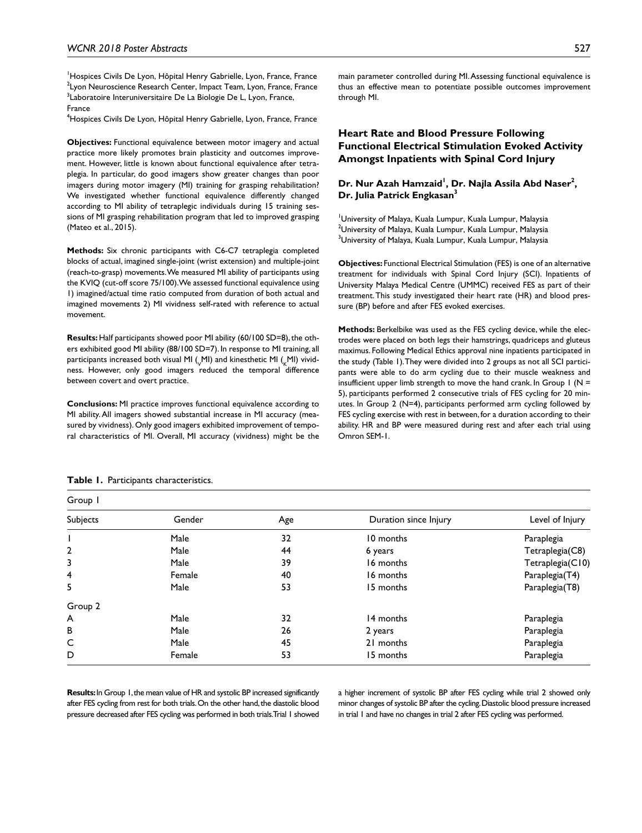<sup>1</sup>Hospices Civils De Lyon, Hôpital Henry Gabrielle, Lyon, France, France <sup>2</sup>Lyon Neuroscience Research Center, Impact Team, Lyon, France, France  $3$ Laboratoire Interuniversitaire De La Biologie De L, Lyon, France, France

4 Hospices Civils De Lyon, Hôpital Henry Gabrielle, Lyon, France, France

**Objectives:** Functional equivalence between motor imagery and actual practice more likely promotes brain plasticity and outcomes improvement. However, little is known about functional equivalence after tetraplegia. In particular, do good imagers show greater changes than poor imagers during motor imagery (MI) training for grasping rehabilitation? We investigated whether functional equivalence differently changed according to MI ability of tetraplegic individuals during 15 training sessions of MI grasping rehabilitation program that led to improved grasping (Mateo et al., 2015).

**Methods:** Six chronic participants with C6-C7 tetraplegia completed blocks of actual, imagined single-joint (wrist extension) and multiple-joint (reach-to-grasp) movements. We measured MI ability of participants using the KVIQ (cut-off score 75/100). We assessed functional equivalence using 1) imagined/actual time ratio computed from duration of both actual and imagined movements 2) MI vividness self-rated with reference to actual movement.

**Results:** Half participants showed poor MI ability (60/100 SD=8), the others exhibited good MI ability (88/100 SD=7). In response to MI training, all participants increased both visual MI (<sub>v</sub>MI) and kinesthetic MI (<sub>k</sub>MI) vividness. However, only good imagers reduced the temporal difference between covert and overt practice.

**Conclusions:** MI practice improves functional equivalence according to MI ability. All imagers showed substantial increase in MI accuracy (measured by vividness). Only good imagers exhibited improvement of temporal characteristics of MI. Overall, MI accuracy (vividness) might be the

main parameter controlled during MI. Assessing functional equivalence is thus an effective mean to potentiate possible outcomes improvement through MI.

# **Heart Rate and Blood Pressure Following Functional Electrical Stimulation Evoked Activity Amongst Inpatients with Spinal Cord Injury**

## Dr. Nur Azah Hamzaid<sup>1</sup>, Dr. Najla Assila Abd Naser<sup>2</sup>, **Dr. Julia Patrick Engkasan<sup>3</sup>**

1 University of Malaya, Kuala Lumpur, Kuala Lumpur, Malaysia  $^{\rm 2}$ University of Malaya, Kuala Lumpur, Kuala Lumpur, Malaysia 3 University of Malaya, Kuala Lumpur, Kuala Lumpur, Malaysia

**Objectives:** Functional Electrical Stimulation (FES) is one of an alternative treatment for individuals with Spinal Cord Injury (SCI). Inpatients of University Malaya Medical Centre (UMMC) received FES as part of their treatment. This study investigated their heart rate (HR) and blood pressure (BP) before and after FES evoked exercises.

**Methods:** Berkelbike was used as the FES cycling device, while the electrodes were placed on both legs their hamstrings, quadriceps and gluteus maximus. Following Medical Ethics approval nine inpatients participated in the study (Table 1). They were divided into 2 groups as not all SCI participants were able to do arm cycling due to their muscle weakness and insufficient upper limb strength to move the hand crank. In Group  $1 (N =$ 5), participants performed 2 consecutive trials of FES cycling for 20 minutes. In Group 2 (N=4), participants performed arm cycling followed by FES cycling exercise with rest in between, for a duration according to their ability. HR and BP were measured during rest and after each trial using Omron SEM-1.

| Group I        |        |     |                       |                  |  |  |
|----------------|--------|-----|-----------------------|------------------|--|--|
| Subjects       | Gender | Age | Duration since Injury | Level of Injury  |  |  |
|                | Male   | 32  | 10 months             | Paraplegia       |  |  |
| $\overline{2}$ | Male   | 44  | 6 years               | Tetraplegia(C8)  |  |  |
| 3              | Male   | 39  | 16 months             | Tetraplegia(C10) |  |  |
| 4              | Female | 40  | 16 months             | Paraplegia(T4)   |  |  |
| 5              | Male   | 53  | 15 months             | Paraplegia(T8)   |  |  |
| Group 2        |        |     |                       |                  |  |  |
| A              | Male   | 32  | 14 months             | Paraplegia       |  |  |
| В              | Male   | 26  | 2 years               | Paraplegia       |  |  |
| C              | Male   | 45  | 21 months             | Paraplegia       |  |  |
| D              | Female | 53  | 15 months             | Paraplegia       |  |  |

#### **Table 1.** Participants characteristics.

**Results:** In Group 1, the mean value of HR and systolic BP increased significantly after FES cycling from rest for both trials. On the other hand, the diastolic blood pressure decreased after FES cycling was performed in both trials. Trial 1 showed

a higher increment of systolic BP after FES cycling while trial 2 showed only minor changes of systolic BP after the cycling. Diastolic blood pressure increased in trial 1 and have no changes in trial 2 after FES cycling was performed.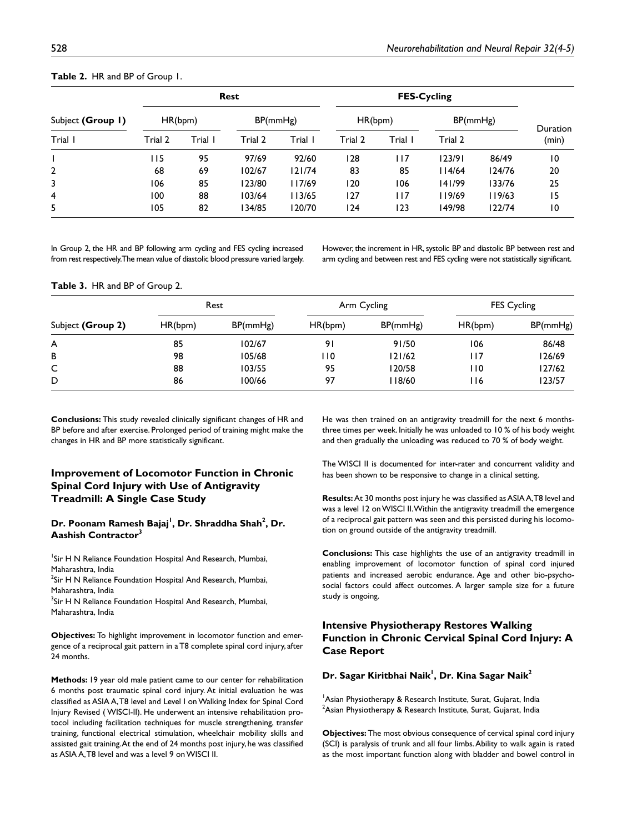| Subject (Group 1)<br>Trial I | <b>Rest</b> |         |          | <b>FES-Cycling</b> |         |         |          |        |                   |
|------------------------------|-------------|---------|----------|--------------------|---------|---------|----------|--------|-------------------|
|                              | HR(bpm)     |         | BP(mmHg) |                    | HR(bpm) |         | BP(mmHg) |        |                   |
|                              | Trial 2     | Trial I | Trial 2  | Trial I            | Trial 2 | Trial I | Trial 2  |        | Duration<br>(min) |
|                              | I I 5       | 95      | 97/69    | 92/60              | 128     | 117     | 123/91   | 86/49  | $\overline{10}$   |
| 2                            | 68          | 69      | 102/67   | 121/74             | 83      | 85      | 114/64   | 124/76 | 20                |
| 3                            | 106         | 85      | 123/80   | 117/69             | 120     | 106     | 141/99   | 133/76 | 25                |
| 4                            | 100         | 88      | 103/64   | 113/65             | 127     | 117     | 19/69    | 119/63 | 15                |
| 5                            | 105         | 82      | 134/85   | 120/70             | 124     | 123     | 149/98   | 122/74 | 10                |

#### **Table 2.** HR and BP of Group 1.

In Group 2, the HR and BP following arm cycling and FES cycling increased from rest respectively. The mean value of diastolic blood pressure varied largely. However, the increment in HR, systolic BP and diastolic BP between rest and arm cycling and between rest and FES cycling were not statistically significant.

**Table 3.** HR and BP of Group 2.

| Subject (Group 2) | Rest    |          |         | Arm Cycling | <b>FES Cycling</b> |          |
|-------------------|---------|----------|---------|-------------|--------------------|----------|
|                   | HR(bpm) | BP(mmHg) | HR(bpm) | BP(mmHg)    | HR(bpm)            | BP(mmHg) |
| A                 | 85      | 102/67   | 91      | 91/50       | 106                | 86/48    |
| B                 | 98      | 105/68   | 110     | 121/62      | 117                | 126/69   |
| C                 | 88      | 103/55   | 95      | 120/58      | 110                | 127/62   |
| D                 | 86      | 100/66   | 97      | 18/60       | 116                | 123/57   |

**Conclusions:** This study revealed clinically significant changes of HR and BP before and after exercise. Prolonged period of training might make the changes in HR and BP more statistically significant.

# **Improvement of Locomotor Function in Chronic Spinal Cord Injury with Use of Antigravity Treadmill: A Single Case Study**

Dr. Poonam Ramesh Bajaj<sup>1</sup>, Dr. Shraddha Shah<sup>2</sup>, Dr. **Aashish Contractor3**

<sup>1</sup>Sir H N Reliance Foundation Hospital And Research, Mumbai, Maharashtra, India

<sup>2</sup>Sir H N Reliance Foundation Hospital And Research, Mumbai, Maharashtra, India

 $3$ Sir H N Reliance Foundation Hospital And Research, Mumbai, Maharashtra, India

**Objectives:** To highlight improvement in locomotor function and emergence of a reciprocal gait pattern in a T8 complete spinal cord injury, after 24 months.

**Methods:** 19 year old male patient came to our center for rehabilitation 6 months post traumatic spinal cord injury. At initial evaluation he was classified as ASIA A, T8 level and Level I on Walking Index for Spinal Cord Injury Revised ( WISCI-II). He underwent an intensive rehabilitation protocol including facilitation techniques for muscle strengthening, transfer training, functional electrical stimulation, wheelchair mobility skills and assisted gait training. At the end of 24 months post injury, he was classified as ASIA A, T8 level and was a level 9 on WISCI II.

He was then trained on an antigravity treadmill for the next 6 monthsthree times per week. Initially he was unloaded to 10 % of his body weight and then gradually the unloading was reduced to 70 % of body weight.

The WISCI II is documented for inter-rater and concurrent validity and has been shown to be responsive to change in a clinical setting.

**Results:** At 30 months post injury he was classified as ASIA A, T8 level and was a level 12 on WISCI II. Within the antigravity treadmill the emergence of a reciprocal gait pattern was seen and this persisted during his locomotion on ground outside of the antigravity treadmill.

**Conclusions:** This case highlights the use of an antigravity treadmill in enabling improvement of locomotor function of spinal cord injured patients and increased aerobic endurance. Age and other bio-psychosocial factors could affect outcomes. A larger sample size for a future study is ongoing.

# **Intensive Physiotherapy Restores Walking Function in Chronic Cervical Spinal Cord Injury: A Case Report**

## Dr. Sagar Kiritbhai Naik<sup>1</sup>, Dr. Kina Sagar Naik<sup>2</sup>

<sup>1</sup> Asian Physiotherapy & Research Institute, Surat, Gujarat, India  $^2$ Asian Physiotherapy & Research Institute, Surat, Gujarat, India

**Objectives:** The most obvious consequence of cervical spinal cord injury (SCI) is paralysis of trunk and all four limbs. Ability to walk again is rated as the most important function along with bladder and bowel control in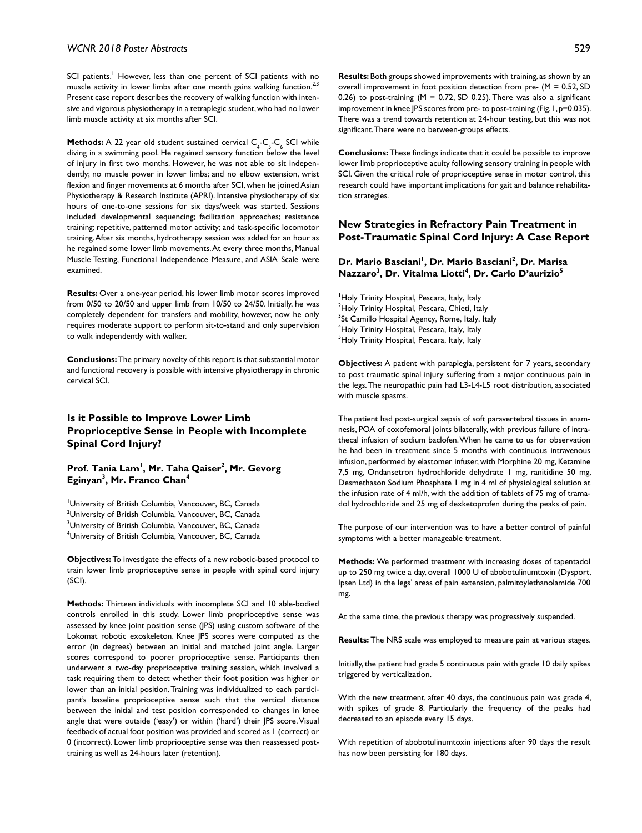SCI patients.<sup>1</sup> However, less than one percent of SCI patients with no muscle activity in lower limbs after one month gains walking function.<sup>2,3</sup> Present case report describes the recovery of walking function with intensive and vigorous physiotherapy in a tetraplegic student, who had no lower limb muscle activity at six months after SCI.

**Methods:** A 22 year old student sustained cervical  $C_4$ - $C_5$ - $C_6$  SCI while diving in a swimming pool. He regained sensory function below the level of injury in first two months. However, he was not able to sit independently; no muscle power in lower limbs; and no elbow extension, wrist flexion and finger movements at 6 months after SCI, when he joined Asian Physiotherapy & Research Institute (APRI). Intensive physiotherapy of six hours of one-to-one sessions for six days/week was started. Sessions included developmental sequencing; facilitation approaches; resistance training; repetitive, patterned motor activity; and task-specific locomotor training. After six months, hydrotherapy session was added for an hour as he regained some lower limb movements. At every three months, Manual Muscle Testing, Functional Independence Measure, and ASIA Scale were examined.

**Results:** Over a one-year period, his lower limb motor scores improved from 0/50 to 20/50 and upper limb from 10/50 to 24/50. Initially, he was completely dependent for transfers and mobility, however, now he only requires moderate support to perform sit-to-stand and only supervision to walk independently with walker.

**Conclusions:** The primary novelty of this report is that substantial motor and functional recovery is possible with intensive physiotherapy in chronic cervical SCI.

# **Is it Possible to Improve Lower Limb Proprioceptive Sense in People with Incomplete Spinal Cord Injury?**

Prof. Tania Lam<sup>1</sup>, Mr. Taha Qaiser<sup>2</sup>, Mr. Gevorg **Eginyan3 , Mr. Franco Chan4**

University of British Columbia, Vancouver, BC, Canada <sup>2</sup>University of British Columbia, Vancouver, BC, Canada  $^3$ University of British Columbia, Vancouver, BC, Canada 4 University of British Columbia, Vancouver, BC, Canada

**Objectives:** To investigate the effects of a new robotic-based protocol to train lower limb proprioceptive sense in people with spinal cord injury (SCI).

**Methods:** Thirteen individuals with incomplete SCI and 10 able-bodied controls enrolled in this study. Lower limb proprioceptive sense was assessed by knee joint position sense (JPS) using custom software of the Lokomat robotic exoskeleton. Knee JPS scores were computed as the error (in degrees) between an initial and matched joint angle. Larger scores correspond to poorer proprioceptive sense. Participants then underwent a two-day proprioceptive training session, which involved a task requiring them to detect whether their foot position was higher or lower than an initial position. Training was individualized to each participant's baseline proprioceptive sense such that the vertical distance between the initial and test position corresponded to changes in knee angle that were outside ('easy') or within ('hard') their JPS score. Visual feedback of actual foot position was provided and scored as 1 (correct) or 0 (incorrect). Lower limb proprioceptive sense was then reassessed posttraining as well as 24-hours later (retention).

**Results:** Both groups showed improvements with training, as shown by an overall improvement in foot position detection from pre- (M = 0.52, SD 0.26) to post-training ( $M = 0.72$ , SD 0.25). There was also a significant improvement in knee JPS scores from pre- to post-training (Fig. 1, p=0.035). There was a trend towards retention at 24-hour testing, but this was not significant. There were no between-groups effects.

**Conclusions:** These findings indicate that it could be possible to improve lower limb proprioceptive acuity following sensory training in people with SCI. Given the critical role of proprioceptive sense in motor control, this research could have important implications for gait and balance rehabilitation strategies.

## **New Strategies in Refractory Pain Treatment in Post-Traumatic Spinal Cord Injury: A Case Report**

## Dr. Mario Basciani<sup>'</sup>, Dr. Mario Basciani<sup>2</sup>, Dr. Marisa **Nazzaro3 , Dr. Vitalma Liotti4 , Dr. Carlo D'aurizio5**

1 Holy Trinity Hospital, Pescara, Italy, Italy  $^{2}$ Holy Trinity Hospital, Pescara, Chieti, Italy <sup>3</sup>St Camillo Hospital Agency, Rome, Italy, Italy 4 Holy Trinity Hospital, Pescara, Italy, Italy <sup>5</sup>Holy Trinity Hospital, Pescara, Italy, Italy

**Objectives:** A patient with paraplegia, persistent for 7 years, secondary to post traumatic spinal injury suffering from a major continuous pain in the legs. The neuropathic pain had L3-L4-L5 root distribution, associated with muscle spasms.

The patient had post-surgical sepsis of soft paravertebral tissues in anamnesis, POA of coxofemoral joints bilaterally, with previous failure of intrathecal infusion of sodium baclofen. When he came to us for observation he had been in treatment since 5 months with continuous intravenous infusion, performed by elastomer infuser, with Morphine 20 mg, Ketamine 7,5 mg, Ondansetron hydrochloride dehydrate 1 mg, ranitidine 50 mg, Desmethason Sodium Phosphate 1 mg in 4 ml of physiological solution at the infusion rate of 4 ml/h, with the addition of tablets of 75 mg of tramadol hydrochloride and 25 mg of dexketoprofen during the peaks of pain.

The purpose of our intervention was to have a better control of painful symptoms with a better manageable treatment.

**Methods:** We performed treatment with increasing doses of tapentadol up to 250 mg twice a day, overall 1000 U of abobotulinumtoxin (Dysport, Ipsen Ltd) in the legs' areas of pain extension, palmitoylethanolamide 700 mg.

At the same time, the previous therapy was progressively suspended.

**Results:** The NRS scale was employed to measure pain at various stages.

Initially, the patient had grade 5 continuous pain with grade 10 daily spikes triggered by verticalization.

With the new treatment, after 40 days, the continuous pain was grade 4, with spikes of grade 8. Particularly the frequency of the peaks had decreased to an episode every 15 days.

With repetition of abobotulinumtoxin injections after 90 days the result has now been persisting for 180 days.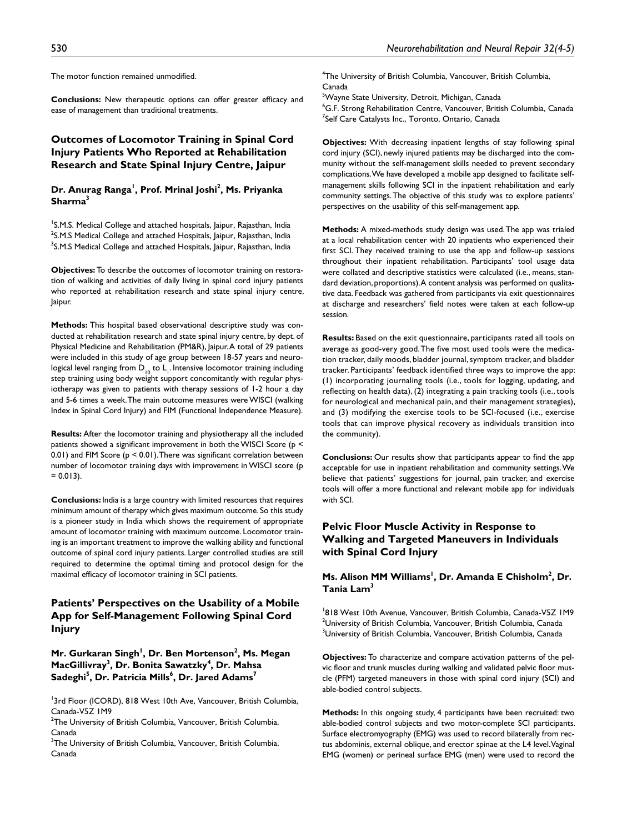The motor function remained unmodified.

**Conclusions:** New therapeutic options can offer greater efficacy and ease of management than traditional treatments.

# **Outcomes of Locomotor Training in Spinal Cord Injury Patients Who Reported at Rehabilitation Research and State Spinal Injury Centre, Jaipur**

## Dr. Anurag Ranga<sup>l</sup>, Prof. Mrinal Joshi<sup>2</sup>, Ms. Priyanka **Sharma3**

<sup>1</sup>S.M.S. Medical College and attached hospitals, Jaipur, Rajasthan, India  $^2$ S.M.S Medical College and attached Hospitals, Jaipur, Rajasthan, India <sup>3</sup>S.M.S Medical College and attached Hospitals, Jaipur, Rajasthan, India

**Objectives:** To describe the outcomes of locomotor training on restoration of walking and activities of daily living in spinal cord injury patients who reported at rehabilitation research and state spinal injury centre, Jaipur.

**Methods:** This hospital based observational descriptive study was conducted at rehabilitation research and state spinal injury centre, by dept. of Physical Medicine and Rehabilitation (PM&R), Jaipur. A total of 29 patients were included in this study of age group between 18-57 years and neurological level ranging from D<sub>10</sub> to L<sub>1</sub>. Intensive locomotor training including step training using body weight support concomitantly with regular physiotherapy was given to patients with therapy sessions of 1-2 hour a day and 5-6 times a week. The main outcome measures were WISCI (walking Index in Spinal Cord Injury) and FIM (Functional Independence Measure).

**Results:** After the locomotor training and physiotherapy all the included patients showed a significant improvement in both the WISCI Score (p < 0.01) and FIM Score (p < 0.01). There was significant correlation between number of locomotor training days with improvement in WISCI score (p  $= 0.013$ ).

**Conclusions:** India is a large country with limited resources that requires minimum amount of therapy which gives maximum outcome. So this study is a pioneer study in India which shows the requirement of appropriate amount of locomotor training with maximum outcome. Locomotor training is an important treatment to improve the walking ability and functional outcome of spinal cord injury patients. Larger controlled studies are still required to determine the optimal timing and protocol design for the maximal efficacy of locomotor training in SCI patients.

# **Patients' Perspectives on the Usability of a Mobile App for Self-Management Following Spinal Cord Injury**

# **Mr. Gurkaran Singh<sup>1</sup>, Dr. Ben Mortenson<sup>2</sup>, Ms. Megan MacGillivray3 , Dr. Bonita Sawatzky4 , Dr. Mahsa**   $\mathsf{Sadeghi}^\mathsf{5}, \mathsf{Dr}.$  Patricia Mills $^{\mathsf{6}}, \mathsf{Dr}.$  Jared Adams $^7$

<sup>1</sup>3rd Floor (ICORD), 818 West 10th Ave, Vancouver, British Columbia, Canada-V5Z 1M9

 $2$ The University of British Columbia, Vancouver, British Columbia, Canada

<sup>3</sup>The University of British Columbia, Vancouver, British Columbia, Canada

4 The University of British Columbia, Vancouver, British Columbia, Canada <sup>5</sup>Wayne State University, Detroit, Michigan, Canada  $\mathrm{^6}$ G.F. Strong Rehabilitation Centre, Vancouver, British Columbia, Canada <sup>7</sup>Self Care Catalysts Inc., Toronto, Ontario, Canada

**Objectives:** With decreasing inpatient lengths of stay following spinal cord injury (SCI), newly injured patients may be discharged into the community without the self-management skills needed to prevent secondary complications. We have developed a mobile app designed to facilitate selfmanagement skills following SCI in the inpatient rehabilitation and early community settings. The objective of this study was to explore patients' perspectives on the usability of this self-management app.

**Methods:** A mixed-methods study design was used. The app was trialed at a local rehabilitation center with 20 inpatients who experienced their first SCI. They received training to use the app and follow-up sessions throughout their inpatient rehabilitation. Participants' tool usage data were collated and descriptive statistics were calculated (i.e., means, standard deviation, proportions). A content analysis was performed on qualitative data. Feedback was gathered from participants via exit questionnaires at discharge and researchers' field notes were taken at each follow-up session.

**Results:** Based on the exit questionnaire, participants rated all tools on average as good-very good. The five most used tools were the medication tracker, daily moods, bladder journal, symptom tracker, and bladder tracker. Participants' feedback identified three ways to improve the app: (1) incorporating journaling tools (i.e., tools for logging, updating, and reflecting on health data), (2) integrating a pain tracking tools (i.e., tools for neurological and mechanical pain, and their management strategies), and (3) modifying the exercise tools to be SCI-focused (i.e., exercise tools that can improve physical recovery as individuals transition into the community).

**Conclusions:** Our results show that participants appear to find the app acceptable for use in inpatient rehabilitation and community settings. We believe that patients' suggestions for journal, pain tracker, and exercise tools will offer a more functional and relevant mobile app for individuals with SCI.

# **Pelvic Floor Muscle Activity in Response to Walking and Targeted Maneuvers in Individuals with Spinal Cord Injury**

## **Ms. Alison MM Williams<sup>1</sup>, Dr. Amanda E Chisholm<sup>2</sup>, Dr. Tania Lam3**

1 818 West 10th Avenue, Vancouver, British Columbia, Canada-V5Z 1M9  $^{2}$ University of British Columbia, Vancouver, British Columbia, Canada  $^3$ University of British Columbia, Vancouver, British Columbia, Canada

**Objectives:** To characterize and compare activation patterns of the pelvic floor and trunk muscles during walking and validated pelvic floor muscle (PFM) targeted maneuvers in those with spinal cord injury (SCI) and able-bodied control subjects.

**Methods:** In this ongoing study, 4 participants have been recruited: two able-bodied control subjects and two motor-complete SCI participants. Surface electromyography (EMG) was used to record bilaterally from rectus abdominis, external oblique, and erector spinae at the L4 level. Vaginal EMG (women) or perineal surface EMG (men) were used to record the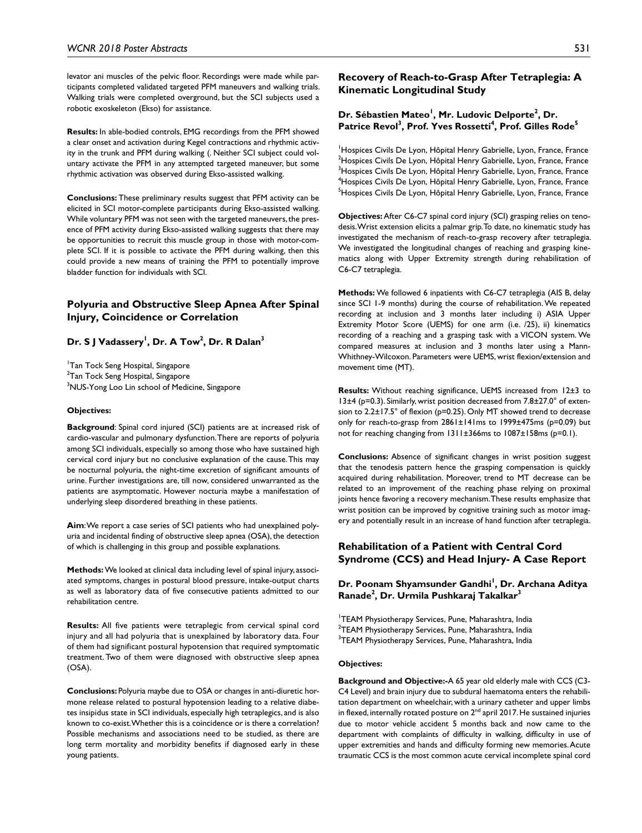levator ani muscles of the pelvic floor. Recordings were made while participants completed validated targeted PFM maneuvers and walking trials. Walking trials were completed overground, but the SCI subjects used a robotic exoskeleton (Ekso) for assistance.

**Results:** In able-bodied controls, EMG recordings from the PFM showed a clear onset and activation during Kegel contractions and rhythmic activity in the trunk and PFM during walking (. Neither SCI subject could voluntary activate the PFM in any attempted targeted maneuver, but some rhythmic activation was observed during Ekso-assisted walking.

**Conclusions:** These preliminary results suggest that PFM activity can be elicited in SCI motor-complete participants during Ekso-assisted walking. While voluntary PFM was not seen with the targeted maneuvers, the presence of PFM activity during Ekso-assisted walking suggests that there may be opportunities to recruit this muscle group in those with motor-complete SCI. If it is possible to activate the PFM during walking, then this could provide a new means of training the PFM to potentially improve bladder function for individuals with SCI.

## **Polyuria and Obstructive Sleep Apnea After Spinal Injury, Coincidence or Correlation**

## **Dr. S J Vadassery1 , Dr. A Tow2 , Dr. R Dalan3**

<sup>1</sup>Tan Tock Seng Hospital, Singapore  $^{2}$ Tan Tock Seng Hospital, Singapore <sup>3</sup>NUS-Yong Loo Lin school of Medicine, Singapore

#### **Objectives:**

**Background**: Spinal cord injured (SCI) patients are at increased risk of cardio-vascular and pulmonary dysfunction. There are reports of polyuria among SCI individuals, especially so among those who have sustained high cervical cord injury but no conclusive explanation of the cause. This may be nocturnal polyuria, the night-time excretion of significant amounts of urine. Further investigations are, till now, considered unwarranted as the patients are asymptomatic. However nocturia maybe a manifestation of underlying sleep disordered breathing in these patients.

**Aim**: We report a case series of SCI patients who had unexplained polyuria and incidental finding of obstructive sleep apnea (OSA), the detection of which is challenging in this group and possible explanations.

**Methods:** We looked at clinical data including level of spinal injury, associated symptoms, changes in postural blood pressure, intake-output charts as well as laboratory data of five consecutive patients admitted to our rehabilitation centre.

**Results:** All five patients were tetraplegic from cervical spinal cord injury and all had polyuria that is unexplained by laboratory data. Four of them had significant postural hypotension that required symptomatic treatment. Two of them were diagnosed with obstructive sleep apnea (OSA).

**Conclusions:** Polyuria maybe due to OSA or changes in anti-diuretic hormone release related to postural hypotension leading to a relative diabetes insipidus state in SCI individuals, especially high tetraplegics, and is also known to co-exist. Whether this is a coincidence or is there a correlation? Possible mechanisms and associations need to be studied, as there are long term mortality and morbidity benefits if diagnosed early in these young patients.

### **Recovery of Reach-to-Grasp After Tetraplegia: A Kinematic Longitudinal Study**

## Dr. Sébastien Mateo<sup>l</sup>, Mr. Ludovic Delporte<sup>2</sup>, Dr. Patrice Revol<sup>3</sup>, Prof. Yves Rossetti<sup>4</sup>, Prof. Gilles Rode<sup>5</sup>

<sup>1</sup>Hospices Civils De Lyon, Hôpital Henry Gabrielle, Lyon, France, France <sup>2</sup>Hospices Civils De Lyon, Hôpital Henry Gabrielle, Lyon, France, France <sup>3</sup>Hospices Civils De Lyon, Hôpital Henry Gabrielle, Lyon, France, France <sup>4</sup>Hospices Civils De Lyon, Hôpital Henry Gabrielle, Lyon, France, France <sup>5</sup>Hospices Civils De Lyon, Hôpital Henry Gabrielle, Lyon, France, France

**Objectives:** After C6-C7 spinal cord injury (SCI) grasping relies on tenodesis. Wrist extension elicits a palmar grip. To date, no kinematic study has investigated the mechanism of reach-to-grasp recovery after tetraplegia. We investigated the longitudinal changes of reaching and grasping kinematics along with Upper Extremity strength during rehabilitation of C6-C7 tetraplegia.

**Methods:** We followed 6 inpatients with C6-C7 tetraplegia (AIS B, delay since SCI 1-9 months) during the course of rehabilitation. We repeated recording at inclusion and 3 months later including i) ASIA Upper Extremity Motor Score (UEMS) for one arm (i.e. /25), ii) kinematics recording of a reaching and a grasping task with a VICON system. We compared measures at inclusion and 3 months later using a Mann-Whithney-Wilcoxon. Parameters were UEMS, wrist flexion/extension and movement time (MT).

**Results:** Without reaching significance, UEMS increased from 12±3 to 13±4 (p=0.3). Similarly, wrist position decreased from 7.8±27.0° of extension to 2.2±17.5° of flexion (p=0.25). Only MT showed trend to decrease only for reach-to-grasp from 2861±141ms to 1999±475ms (p=0.09) but not for reaching changing from 1311±366ms to 1087±158ms (p=0.1).

**Conclusions:** Absence of significant changes in wrist position suggest that the tenodesis pattern hence the grasping compensation is quickly acquired during rehabilitation. Moreover, trend to MT decrease can be related to an improvement of the reaching phase relying on proximal joints hence favoring a recovery mechanism. These results emphasize that wrist position can be improved by cognitive training such as motor imagery and potentially result in an increase of hand function after tetraplegia.

## **Rehabilitation of a Patient with Central Cord Syndrome (CCS) and Head Injury- A Case Report**

**Dr. Poonam Shyamsunder Gandhi1 , Dr. Archana Aditya Ranade<sup>2</sup> , Dr. Urmila Pushkaraj Takalkar3**

1 TEAM Physiotherapy Services, Pune, Maharashtra, India  $^{2}$ TEAM Physiotherapy Services, Pune, Maharashtra, India

<sup>3</sup>TEAM Physiotherapy Services, Pune, Maharashtra, India

#### **Objectives:**

**Background and Objective:-**A 65 year old elderly male with CCS (C3- C4 Level) and brain injury due to subdural haematoma enters the rehabilitation department on wheelchair, with a urinary catheter and upper limbs in flexed, internally rotated posture on  $2<sup>nd</sup>$  april 2017. He sustained injuries due to motor vehicle accident 5 months back and now came to the department with complaints of difficulty in walking, difficulty in use of upper extremities and hands and difficulty forming new memories. Acute traumatic CCS is the most common acute cervical incomplete spinal cord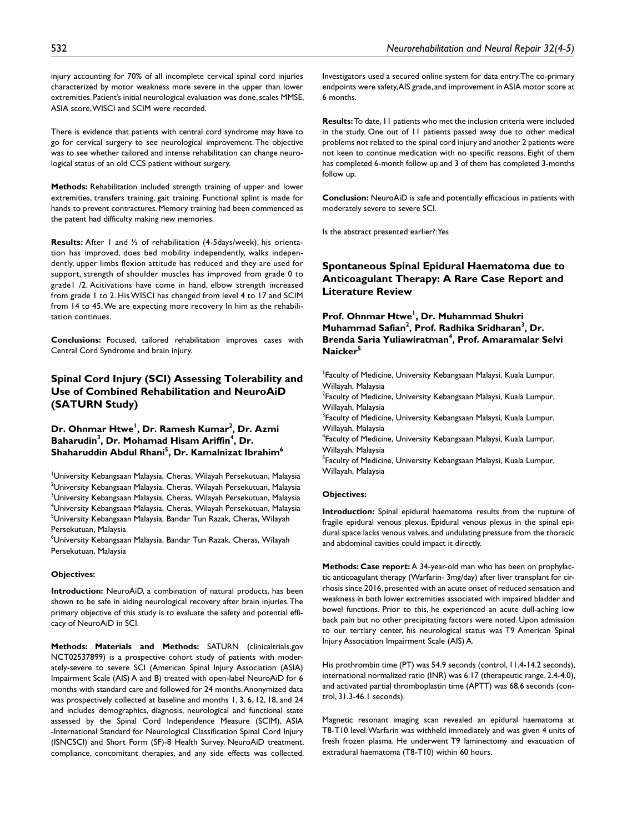injury accounting for 70% of all incomplete cervical spinal cord injuries characterized by motor weakness more severe in the upper than lower extremities. Patient's initial neurological evaluation was done, scales MMSE, ASIA score, WISCI and SCIM were recorded.

There is evidence that patients with central cord syndrome may have to go for cervical surgery to see neurological improvement. The objective was to see whether tailored and intense rehabilitation can change neurological status of an old CCS patient without surgery.

**Methods:** Rehabilitation included strength training of upper and lower extremities, transfers training, gait training. Functional splint is made for hands to prevent contractures. Memory training had been commenced as the patent had difficulty making new memories.

**Results:** After 1 and ½ of rehabilitation (4-5days/week), his orientation has improved, does bed mobility independently, walks independently, upper limbs flexion attitude has reduced and they are used for support, strength of shoulder muscles has improved from grade 0 to grade1 /2. Acitivations have come in hand, elbow strength increased from grade 1 to 2. His WISCI has changed from level 4 to 17 and SCIM from 14 to 45. We are expecting more recovery In him as the rehabilitation continues.

**Conclusions:** Focused, tailored rehabilitation improves cases with Central Cord Syndrome and brain injury.

# **Spinal Cord Injury (SCI) Assessing Tolerability and Use of Combined Rehabilitation and NeuroAiD (SATURN Study)**

## Dr. Ohnmar Htwe<sup>l</sup>, Dr. Ramesh Kumar<sup>2</sup>, Dr. Azmi **Baharudin3 , Dr. Mohamad Hisam Ariffin4 , Dr. Shaharuddin Abdul Rhani5 , Dr. Kamalnizat Ibrahim6**

1 University Kebangsaan Malaysia, Cheras, Wilayah Persekutuan, Malaysia  $^{\rm 2}$ University Kebangsaan Malaysia, Cheras, Wilayah Persekutuan, Malaysia  $^3$ University Kebangsaan Malaysia, Cheras, Wilayah Persekutuan, Malaysia 4 University Kebangsaan Malaysia, Cheras, Wilayah Persekutuan, Malaysia 5 University Kebangsaan Malaysia, Bandar Tun Razak, Cheras, Wilayah Persekutuan, Malaysia

6 University Kebangsaan Malaysia, Bandar Tun Razak, Cheras, Wilayah Persekutuan, Malaysia

#### **Objectives:**

**Introduction:** NeuroAiD, a combination of natural products, has been shown to be safe in aiding neurological recovery after brain injuries. The primary objective of this study is to evaluate the safety and potential efficacy of NeuroAiD in SCI.

**Methods: Materials and Methods:** SATURN (clinicaltrials.gov NCT02537899) is a prospective cohort study of patients with moderately-severe to severe SCI (American Spinal Injury Association (ASIA) Impairment Scale (AIS) A and B) treated with open-label NeuroAiD for 6 months with standard care and followed for 24 months. Anonymized data was prospectively collected at baseline and months 1, 3, 6, 12, 18, and 24 and includes demographics, diagnosis, neurological and functional state assessed by the Spinal Cord Independence Measure (SCIM), ASIA -International Standard for Neurological Classification Spinal Cord Injury (ISNCSCI) and Short Form (SF)-8 Health Survey. NeuroAiD treatment, compliance, concomitant therapies, and any side effects was collected. Investigators used a secured online system for data entry. The co-primary endpoints were safety, AIS grade, and improvement in ASIA motor score at 6 months.

**Results:** To date, 11 patients who met the inclusion criteria were included in the study. One out of 11 patients passed away due to other medical problems not related to the spinal cord injury and another 2 patients were not keen to continue medication with no specific reasons. Eight of them has completed 6-month follow up and 3 of them has completed 3-months follow up.

**Conclusion:** NeuroAiD is safe and potentially efficacious in patients with moderately severe to severe SCI.

Is the abstract presented earlier?: Yes

# **Spontaneous Spinal Epidural Haematoma due to Anticoagulant Therapy: A Rare Case Report and Literature Review**

**Prof. Ohnmar Htwe1 , Dr. Muhammad Shukri Muhammad Safian<sup>2</sup>, Prof. Radhika Sridharan<sup>3</sup>, Dr. Brenda Saria Yuliawiratman4 , Prof. Amaramalar Selvi Naicker<sup>5</sup>**

1 Faculty of Medicine, University Kebangsaan Malaysi, Kuala Lumpur, Willayah, Malaysia <sup>2</sup>Faculty of Medicine, University Kebangsaan Malaysi, Kuala Lumpur, Willayah, Malaysia <sup>3</sup>Faculty of Medicine, University Kebangsaan Malaysi, Kuala Lumpur, Willayah, Malaysia 4 Faculty of Medicine, University Kebangsaan Malaysi, Kuala Lumpur, Willayah, Malaysia <sup>5</sup>Faculty of Medicine, University Kebangsaan Malaysi, Kuala Lumpur, Willayah, Malaysia

#### **Objectives:**

**Introduction:** Spinal epidural haematoma results from the rupture of fragile epidural venous plexus. Epidural venous plexus in the spinal epidural space lacks venous valves, and undulating pressure from the thoracic and abdominal cavities could impact it directly.

**Methods: Case report:** A 34-year-old man who has been on prophylactic anticoagulant therapy (Warfarin- 3mg/day) after liver transplant for cirrhosis since 2016, presented with an acute onset of reduced sensation and weakness in both lower extremities associated with impaired bladder and bowel functions. Prior to this, he experienced an acute dull-aching low back pain but no other precipitating factors were noted. Upon admission to our tertiary center, his neurological status was T9 American Spinal Injury Association Impairment Scale (AIS) A.

His prothrombin time (PT) was 54.9 seconds (control, 11.4-14.2 seconds), international normalized ratio (INR) was 6.17 (therapeutic range, 2.4-4.0), and activated partial thromboplastin time (APTT) was 68.6 seconds (control, 31.3-46.1 seconds).

Magnetic resonant imaging scan revealed an epidural haematoma at T8-T10 level. Warfarin was withheld immediately and was given 4 units of fresh frozen plasma. He underwent T9 laminectomy and evacuation of extradural haematoma (T8-T10) within 60 hours.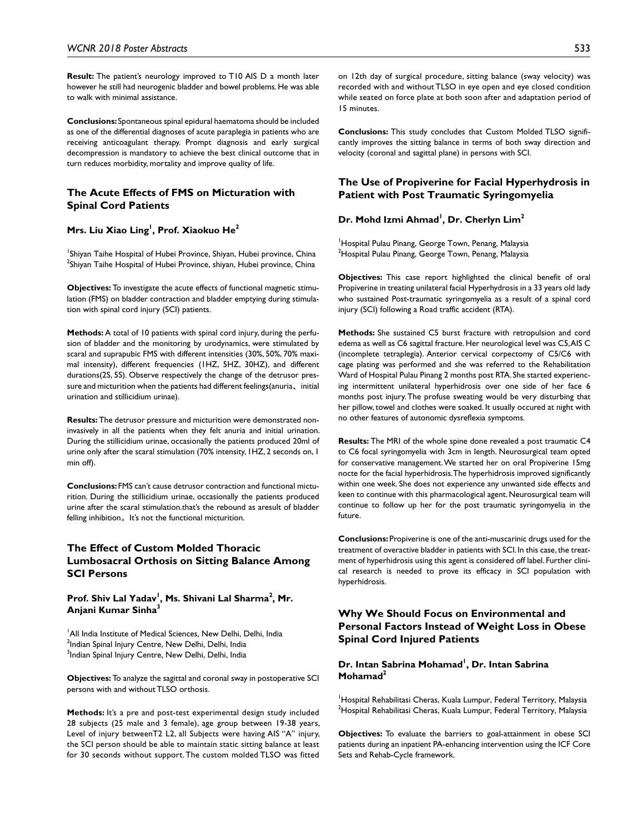**Result:** The patient's neurology improved to T10 AIS D a month later however he still had neurogenic bladder and bowel problems. He was able to walk with minimal assistance.

**Conclusions:** Spontaneous spinal epidural haematoma should be included as one of the differential diagnoses of acute paraplegia in patients who are receiving anticoagulant therapy. Prompt diagnosis and early surgical decompression is mandatory to achieve the best clinical outcome that in turn reduces morbidity, mortality and improve quality of life.

## **The Acute Effects of FMS on Micturation with Spinal Cord Patients**

#### **Mrs. Liu Xiao Ling1 , Prof. Xiaokuo He2**

<sup>1</sup>Shiyan Taihe Hospital of Hubei Province, Shiyan, Hubei province, China  $^2$ Shiyan Taihe Hospital of Hubei Province, shiyan, Hubei province, China

**Objectives:** To investigate the acute effects of functional magnetic stimulation (FMS) on bladder contraction and bladder emptying during stimulation with spinal cord injury (SCI) patients.

**Methods:** A total of 10 patients with spinal cord injury, during the perfusion of bladder and the monitoring by urodynamics, were stimulated by scaral and suprapubic FMS with different intensities (30%, 50%, 70% maximal intensity), different frequencies (1HZ, 5HZ, 30HZ), and different durations(2S, 5S). Observe respectively the change of the detrusor pressure and micturition when the patients had different feelings(anuria、initial urination and stillicidium urinae).

**Results:** The detrusor pressure and micturition were demonstrated noninvasively in all the patients when they felt anuria and initial urination. During the stillicidium urinae, occasionally the patients produced 20ml of urine only after the scaral stimulation (70% intensity, 1HZ, 2 seconds on, 1 min off).

**Conclusions:** FMS can't cause detrusor contraction and functional micturition. During the stillicidium urinae, occasionally the patients produced urine after the scaral stimulation.that's the rebound as aresult of bladder felling inhibition。It's not the functional micturition.

# **The Effect of Custom Molded Thoracic Lumbosacral Orthosis on Sitting Balance Among SCI Persons**

Prof. Shiv Lal Yadav<sup>1</sup>, Ms. Shivani Lal Sharma<sup>2</sup>, Mr. **Anjani Kumar Sinha3**

<sup>1</sup> All India Institute of Medical Sciences, New Delhi, Delhi, India <sup>2</sup>Indian Spinal Injury Centre, New Delhi, Delhi, India <sup>3</sup>Indian Spinal Injury Centre, New Delhi, Delhi, India

**Objectives:** To analyze the sagittal and coronal sway in postoperative SCI persons with and without TLSO orthosis.

**Methods:** It's a pre and post-test experimental design study included 28 subjects (25 male and 3 female), age group between 19-38 years, Level of injury betweenT2 L2, all Subjects were having AIS "A" injury, the SCI person should be able to maintain static sitting balance at least for 30 seconds without support. The custom molded TLSO was fitted

on 12th day of surgical procedure, sitting balance (sway velocity) was recorded with and without TLSO in eye open and eye closed condition while seated on force plate at both soon after and adaptation period of 15 minutes.

**Conclusions:** This study concludes that Custom Molded TLSO significantly improves the sitting balance in terms of both sway direction and velocity (coronal and sagittal plane) in persons with SCI.

#### **The Use of Propiverine for Facial Hyperhydrosis in Patient with Post Traumatic Syringomyelia**

### **Dr. Mohd Izmi Ahmad1 , Dr. Cherlyn Lim2**

<sup>1</sup>Hospital Pulau Pinang, George Town, Penang, Malaysia <sup>2</sup>Hospital Pulau Pinang, George Town, Penang, Malaysia

**Objectives:** This case report highlighted the clinical benefit of oral Propiverine in treating unilateral facial Hyperhydrosis in a 33 years old lady who sustained Post-traumatic syringomyelia as a result of a spinal cord injury (SCI) following a Road traffic accident (RTA).

**Methods:** She sustained C5 burst fracture with retropulsion and cord edema as well as C6 sagittal fracture. Her neurological level was C5, AIS C (incomplete tetraplegia). Anterior cervical corpectomy of C5/C6 with cage plating was performed and she was referred to the Rehabilitation Ward of Hospital Pulau Pinang 2 months post RTA. She started experiencing intermittent unilateral hyperhidrosis over one side of her face 6 months post injury. The profuse sweating would be very disturbing that her pillow, towel and clothes were soaked. It usually occured at night with no other features of autonomic dysreflexia symptoms.

**Results:** The MRI of the whole spine done revealed a post traumatic C4 to C6 focal syringomyelia with 3cm in length. Neurosurgical team opted for conservative management. We started her on oral Propiverine 15mg nocte for the facial hyperhidrosis. The hyperhidrosis improved significantly within one week. She does not experience any unwanted side effects and keen to continue with this pharmacological agent. Neurosurgical team will continue to follow up her for the post traumatic syringomyelia in the future.

**Conclusions:** Propiverine is one of the anti-muscarinic drugs used for the treatment of overactive bladder in patients with SCI. In this case, the treatment of hyperhidrosis using this agent is considered off label. Further clinical research is needed to prove its efficacy in SCI population with hyperhidrosis.

# **Why We Should Focus on Environmental and Personal Factors Instead of Weight Loss in Obese Spinal Cord Injured Patients**

## **Dr. Intan Sabrina Mohamad1 , Dr. Intan Sabrina Mohamad<sup>2</sup>**

<sup>1</sup>Hospital Rehabilitasi Cheras, Kuala Lumpur, Federal Territory, Malaysia  $^{2}$ Hospital Rehabilitasi Cheras, Kuala Lumpur, Federal Territory, Malaysia

**Objectives:** To evaluate the barriers to goal-attainment in obese SCI patients during an inpatient PA-enhancing intervention using the ICF Core Sets and Rehab-Cycle framework.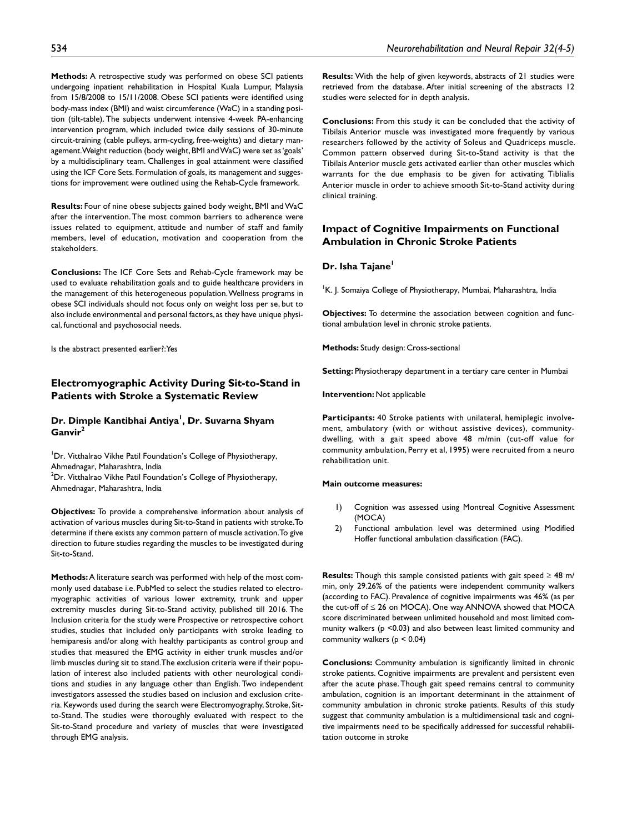**Methods:** A retrospective study was performed on obese SCI patients undergoing inpatient rehabilitation in Hospital Kuala Lumpur, Malaysia from 15/8/2008 to 15/11/2008. Obese SCI patients were identified using body-mass index (BMI) and waist circumference (WaC) in a standing position (tilt-table). The subjects underwent intensive 4-week PA-enhancing intervention program, which included twice daily sessions of 30-minute circuit-training (cable pulleys, arm-cycling, free-weights) and dietary management. Weight reduction (body weight, BMI and WaC) were set as 'goals' by a multidisciplinary team. Challenges in goal attainment were classified using the ICF Core Sets. Formulation of goals, its management and suggestions for improvement were outlined using the Rehab-Cycle framework.

**Results:** Four of nine obese subjects gained body weight, BMI and WaC after the intervention. The most common barriers to adherence were issues related to equipment, attitude and number of staff and family members, level of education, motivation and cooperation from the stakeholders.

**Conclusions:** The ICF Core Sets and Rehab-Cycle framework may be used to evaluate rehabilitation goals and to guide healthcare providers in the management of this heterogeneous population. Wellness programs in obese SCI individuals should not focus only on weight loss per se, but to also include environmental and personal factors, as they have unique physical, functional and psychosocial needs.

Is the abstract presented earlier?: Yes

# **Electromyographic Activity During Sit-to-Stand in Patients with Stroke a Systematic Review**

#### **Dr. Dimple Kantibhai Antiya1 , Dr. Suvarna Shyam Ganvir<sup>2</sup>**

<sup>1</sup>Dr. Vitthalrao Vikhe Patil Foundation's College of Physiotherapy, Ahmednagar, Maharashtra, India  $^{2}$ Dr. Vitthalrao Vikhe Patil Foundation's College of Physiotherapy, Ahmednagar, Maharashtra, India

**Objectives:** To provide a comprehensive information about analysis of activation of various muscles during Sit-to-Stand in patients with stroke. To determine if there exists any common pattern of muscle activation. To give direction to future studies regarding the muscles to be investigated during Sit-to-Stand.

**Methods:** A literature search was performed with help of the most commonly used database i.e. PubMed to select the studies related to electromyographic activities of various lower extremity, trunk and upper extremity muscles during Sit-to-Stand activity, published till 2016. The Inclusion criteria for the study were Prospective or retrospective cohort studies, studies that included only participants with stroke leading to hemiparesis and/or along with healthy participants as control group and studies that measured the EMG activity in either trunk muscles and/or limb muscles during sit to stand. The exclusion criteria were if their population of interest also included patients with other neurological conditions and studies in any language other than English. Two independent investigators assessed the studies based on inclusion and exclusion criteria. Keywords used during the search were Electromyography, Stroke, Sitto-Stand. The studies were thoroughly evaluated with respect to the Sit-to-Stand procedure and variety of muscles that were investigated through EMG analysis.

**Results:** With the help of given keywords, abstracts of 21 studies were retrieved from the database. After initial screening of the abstracts 12 studies were selected for in depth analysis.

**Conclusions:** From this study it can be concluded that the activity of Tibilais Anterior muscle was investigated more frequently by various researchers followed by the activity of Soleus and Quadriceps muscle. Common pattern observed during Sit-to-Stand activity is that the Tibilais Anterior muscle gets activated earlier than other muscles which warrants for the due emphasis to be given for activating Tiblialis Anterior muscle in order to achieve smooth Sit-to-Stand activity during clinical training.

## **Impact of Cognitive Impairments on Functional Ambulation in Chronic Stroke Patients**

#### **Dr. Isha Tajane**

<sup>1</sup>K. J. Somaiya College of Physiotherapy, Mumbai, Maharashtra, India

**Objectives:** To determine the association between cognition and functional ambulation level in chronic stroke patients.

**Methods:** Study design: Cross-sectional

**Setting:** Physiotherapy department in a tertiary care center in Mumbai

**Intervention:** Not applicable

**Participants:** 40 Stroke patients with unilateral, hemiplegic involvement, ambulatory (with or without assistive devices), communitydwelling, with a gait speed above 48 m/min (cut-off value for community ambulation, Perry et al, 1995) were recruited from a neuro rehabilitation unit.

#### **Main outcome measures:**

- 1) Cognition was assessed using Montreal Cognitive Assessment (MOCA)
- 2) Functional ambulation level was determined using Modified Hoffer functional ambulation classification (FAC).

**Results:** Though this sample consisted patients with gait speed ≥ 48 m/ min, only 29.26% of the patients were independent community walkers (according to FAC). Prevalence of cognitive impairments was 46% (as per the cut-off of ≤ 26 on MOCA). One way ANNOVA showed that MOCA score discriminated between unlimited household and most limited community walkers (p <0.03) and also between least limited community and community walkers  $(p < 0.04)$ 

**Conclusions:** Community ambulation is significantly limited in chronic stroke patients. Cognitive impairments are prevalent and persistent even after the acute phase. Though gait speed remains central to community ambulation, cognition is an important determinant in the attainment of community ambulation in chronic stroke patients. Results of this study suggest that community ambulation is a multidimensional task and cognitive impairments need to be specifically addressed for successful rehabilitation outcome in stroke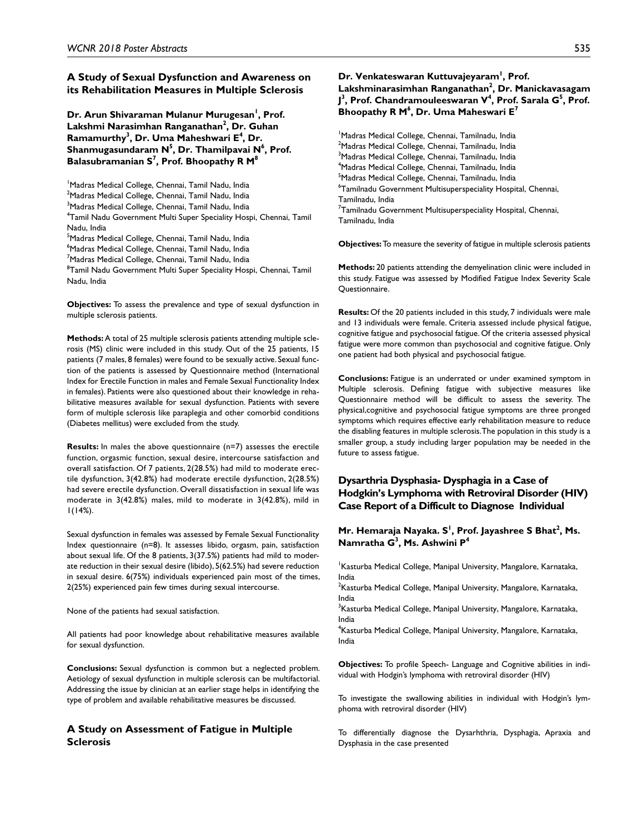## **A Study of Sexual Dysfunction and Awareness on its Rehabilitation Measures in Multiple Sclerosis**

Dr. Arun Shivaraman Mulanur Murugesan<sup>1</sup>, Prof. **Lakshmi Narasimhan Ranganathan<sup>2</sup> , Dr. Guhan Ramamurthy<sup>3</sup>, Dr. Uma Maheshwari E<sup>4</sup>, Dr.**  $Shanmugasundaram N<sup>5</sup>, Dr. Thamilpavai N<sup>6</sup>, Prof.$ **Balasubramanian S7 , Prof. Bhoopathy R M8**

<sup>1</sup> Madras Medical College, Chennai, Tamil Nadu, India <sup>2</sup>Madras Medical College, Chennai, Tamil Nadu, India <sup>3</sup>Madras Medical College, Chennai, Tamil Nadu, India 4 Tamil Nadu Government Multi Super Speciality Hospi, Chennai, Tamil Nadu, India <sup>5</sup>Madras Medical College, Chennai, Tamil Nadu, India 6 Madras Medical College, Chennai, Tamil Nadu, India <sup>7</sup>Madras Medical College, Chennai, Tamil Nadu, India <sup>8</sup>Tamil Nadu Government Multi Super Speciality Hospi, Chennai, Tamil Nadu, India

**Objectives:** To assess the prevalence and type of sexual dysfunction in multiple sclerosis patients.

**Methods:** A total of 25 multiple sclerosis patients attending multiple sclerosis (MS) clinic were included in this study. Out of the 25 patients, 15 patients (7 males, 8 females) were found to be sexually active. Sexual function of the patients is assessed by Questionnaire method (International Index for Erectile Function in males and Female Sexual Functionality Index in females). Patients were also questioned about their knowledge in rehabilitative measures available for sexual dysfunction. Patients with severe form of multiple sclerosis like paraplegia and other comorbid conditions (Diabetes mellitus) were excluded from the study.

**Results:** In males the above questionnaire (n=7) assesses the erectile function, orgasmic function, sexual desire, intercourse satisfaction and overall satisfaction. Of 7 patients, 2(28.5%) had mild to moderate erectile dysfunction, 3(42.8%) had moderate erectile dysfunction, 2(28.5%) had severe erectile dysfunction. Overall dissatisfaction in sexual life was moderate in 3(42.8%) males, mild to moderate in 3(42.8%), mild in 1(14%).

Sexual dysfunction in females was assessed by Female Sexual Functionality Index questionnaire (n=8). It assesses libido, orgasm, pain, satisfaction about sexual life. Of the 8 patients, 3(37.5%) patients had mild to moderate reduction in their sexual desire (libido), 5(62.5%) had severe reduction in sexual desire. 6(75%) individuals experienced pain most of the times, 2(25%) experienced pain few times during sexual intercourse.

None of the patients had sexual satisfaction.

All patients had poor knowledge about rehabilitative measures available for sexual dysfunction.

**Conclusions:** Sexual dysfunction is common but a neglected problem. Aetiology of sexual dysfunction in multiple sclerosis can be multifactorial. Addressing the issue by clinician at an earlier stage helps in identifying the type of problem and available rehabilitative measures be discussed.

#### **A Study on Assessment of Fatigue in Multiple Sclerosis**

## **Dr. Venkateswaran Kuttuvajeyaram1 , Prof. Lakshminarasimhan Ranganathan<sup>2</sup> , Dr. Manickavasagam J**<sup>3</sup>, Prof. Chandramouleeswaran V<sup>4</sup>, Prof. Sarala G<sup>5</sup>, Prof. **Bhoopathy R M6 , Dr. Uma Maheswari E7**

<sup>1</sup>Madras Medical College, Chennai, Tamilnadu, India <sup>2</sup>Madras Medical College, Chennai, Tamilnadu, India <sup>3</sup>Madras Medical College, Chennai, Tamilnadu, India 4 Madras Medical College, Chennai, Tamilnadu, India <sup>5</sup>Madras Medical College, Chennai, Tamilnadu, India 6 Tamilnadu Government Multisuperspeciality Hospital, Chennai, Tamilnadu, India  $7$ Tamilnadu Government Multisuperspeciality Hospital, Chennai, Tamilnadu, India

**Objectives:** To measure the severity of fatigue in multiple sclerosis patients

**Methods:** 20 patients attending the demyelination clinic were included in this study. Fatigue was assessed by Modified Fatigue Index Severity Scale Questionnaire.

**Results:** Of the 20 patients included in this study, 7 individuals were male and 13 individuals were female. Criteria assessed include physical fatigue, cognitive fatigue and psychosocial fatigue. Of the criteria assessed physical fatigue were more common than psychosocial and cognitive fatigue. Only one patient had both physical and psychosocial fatigue.

**Conclusions:** Fatigue is an underrated or under examined symptom in Multiple sclerosis. Defining fatigue with subjective measures like Questionnaire method will be difficult to assess the severity. The physical,cognitive and psychosocial fatigue symptoms are three pronged symptoms which requires effective early rehabilitation measure to reduce the disabling features in multiple sclerosis. The population in this study is a smaller group, a study including larger population may be needed in the future to assess fatigue.

# **Dysarthria Dysphasia- Dysphagia in a Case of Hodgkin's Lymphoma with Retroviral Disorder (HIV) Case Report of a Difficult to Diagnose Individual**

## Mr. Hemaraja Nayaka. S<sup>I</sup>, Prof. Jayashree S Bhat<sup>2</sup>, Ms. **Namratha G3 , Ms. Ashwini P4**

1 Kasturba Medical College, Manipal University, Mangalore, Karnataka, India

<sup>2</sup>Kasturba Medical College, Manipal University, Mangalore, Karnataka, India

<sup>3</sup>Kasturba Medical College, Manipal University, Mangalore, Karnataka, India

4 Kasturba Medical College, Manipal University, Mangalore, Karnataka, India

**Objectives:** To profile Speech- Language and Cognitive abilities in individual with Hodgin's lymphoma with retroviral disorder (HIV)

To investigate the swallowing abilities in individual with Hodgin's lymphoma with retroviral disorder (HIV)

To differentially diagnose the Dysarhthria, Dysphagia, Apraxia and Dysphasia in the case presented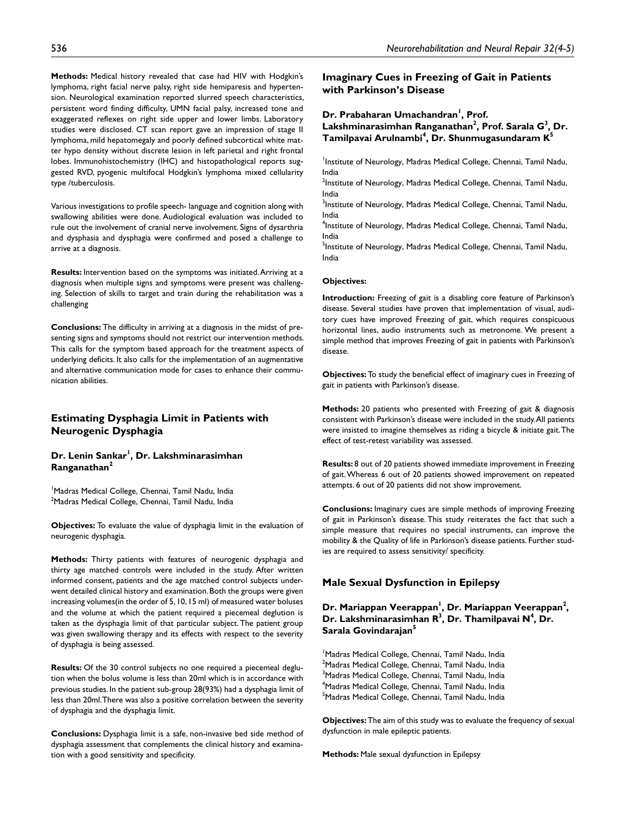**Methods:** Medical history revealed that case had HIV with Hodgkin's lymphoma, right facial nerve palsy, right side hemiparesis and hypertension. Neurological examination reported slurred speech characteristics, persistent word finding difficulty, UMN facial palsy, increased tone and exaggerated reflexes on right side upper and lower limbs. Laboratory studies were disclosed. CT scan report gave an impression of stage II lymphoma, mild hepatomegaly and poorly defined subcortical white matter hypo density without discrete lesion in left parietal and right frontal lobes. Immunohistochemistry (IHC) and histopathological reports suggested RVD, pyogenic multifocal Hodgkin's lymphoma mixed cellularity type /tuberculosis.

Various investigations to profile speech- language and cognition along with swallowing abilities were done. Audiological evaluation was included to rule out the involvement of cranial nerve involvement. Signs of dysarthria and dysphasia and dysphagia were confirmed and posed a challenge to arrive at a diagnosis.

**Results:** Intervention based on the symptoms was initiated. Arriving at a diagnosis when multiple signs and symptoms were present was challenging. Selection of skills to target and train during the rehabilitation was a challenging

**Conclusions:** The difficulty in arriving at a diagnosis in the midst of presenting signs and symptoms should not restrict our intervention methods. This calls for the symptom based approach for the treatment aspects of underlying deficits. It also calls for the implementation of an augmentative and alternative communication mode for cases to enhance their communication abilities.

## **Estimating Dysphagia Limit in Patients with Neurogenic Dysphagia**

#### Dr. Lenin Sankar<sup>i</sup>, Dr. Lakshminarasimhan **Ranganathan<sup>2</sup>**

<sup>1</sup> Madras Medical College, Chennai, Tamil Nadu, India <sup>2</sup>Madras Medical College, Chennai, Tamil Nadu, India

**Objectives:** To evaluate the value of dysphagia limit in the evaluation of neurogenic dysphagia.

**Methods:** Thirty patients with features of neurogenic dysphagia and thirty age matched controls were included in the study. After written informed consent, patients and the age matched control subjects underwent detailed clinical history and examination. Both the groups were given increasing volumes(in the order of 5, 10, 15 ml) of measured water boluses and the volume at which the patient required a piecemeal deglution is taken as the dysphagia limit of that particular subject. The patient group was given swallowing therapy and its effects with respect to the severity of dysphagia is being assessed.

**Results:** Of the 30 control subjects no one required a piecemeal deglution when the bolus volume is less than 20ml which is in accordance with previous studies. In the patient sub-group 28(93%) had a dysphagia limit of less than 20ml. There was also a positive correlation between the severity of dysphagia and the dysphagia limit.

**Conclusions:** Dysphagia limit is a safe, non-invasive bed side method of dysphagia assessment that complements the clinical history and examination with a good sensitivity and specificity.

## **Imaginary Cues in Freezing of Gait in Patients with Parkinson's Disease**

Dr. Prabaharan Umachandran<sup>1</sup>, Prof.

Lakshminarasimhan Ranganathan<sup>2</sup>, Prof. Sarala G<sup>3</sup>, Dr. **Tamilpavai Arulnambi4 , Dr. Shunmugasundaram K5**

<sup>1</sup>Institute of Neurology, Madras Medical College, Chennai, Tamil Nadu, India

<sup>2</sup>Institute of Neurology, Madras Medical College, Chennai, Tamil Nadu, India

<sup>3</sup>Institute of Neurology, Madras Medical College, Chennai, Tamil Nadu, India

4 Institute of Neurology, Madras Medical College, Chennai, Tamil Nadu, India

<sup>5</sup>Institute of Neurology, Madras Medical College, Chennai, Tamil Nadu, India

#### **Objectives:**

**Introduction:** Freezing of gait is a disabling core feature of Parkinson's disease. Several studies have proven that implementation of visual, auditory cues have improved Freezing of gait, which requires conspicuous horizontal lines, audio instruments such as metronome. We present a simple method that improves Freezing of gait in patients with Parkinson's disease.

**Objectives:** To study the beneficial effect of imaginary cues in Freezing of gait in patients with Parkinson's disease.

**Methods:** 20 patients who presented with Freezing of gait & diagnosis consistent with Parkinson's disease were included in the study. All patients were insisted to imagine themselves as riding a bicycle & initiate gait. The effect of test-retest variability was assessed.

**Results:** 8 out of 20 patients showed immediate improvement in Freezing of gait. Whereas 6 out of 20 patients showed improvement on repeated attempts. 6 out of 20 patients did not show improvement.

**Conclusions:** Imaginary cues are simple methods of improving Freezing of gait in Parkinson's disease. This study reiterates the fact that such a simple measure that requires no special instruments, can improve the mobility & the Quality of life in Parkinson's disease patients. Further studies are required to assess sensitivity/ specificity.

### **Male Sexual Dysfunction in Epilepsy**

## Dr. Mariappan Veerappan<sup>'</sup>, Dr. Mariappan Veerappan<sup>2</sup>, Dr. Lakshminarasimhan R<sup>3</sup>, Dr. Thamilpavai N<sup>4</sup>, Dr. **Sarala Govindarajan5**

<sup>1</sup> Madras Medical College, Chennai, Tamil Nadu, India <sup>2</sup>Madras Medical College, Chennai, Tamil Nadu, India <sup>3</sup>Madras Medical College, Chennai, Tamil Nadu, India 4 Madras Medical College, Chennai, Tamil Nadu, India <sup>5</sup>Madras Medical College, Chennai, Tamil Nadu, India

**Objectives:** The aim of this study was to evaluate the frequency of sexual dysfunction in male epileptic patients.

**Methods:** Male sexual dysfunction in Epilepsy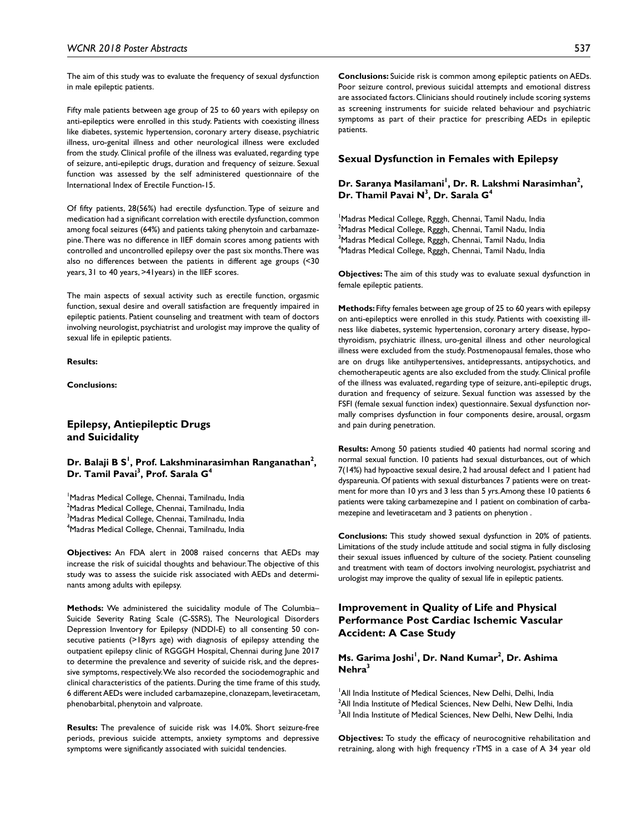The aim of this study was to evaluate the frequency of sexual dysfunction in male epileptic patients.

Fifty male patients between age group of 25 to 60 years with epilepsy on anti-epileptics were enrolled in this study. Patients with coexisting illness like diabetes, systemic hypertension, coronary artery disease, psychiatric illness, uro-genital illness and other neurological illness were excluded from the study. Clinical profile of the illness was evaluated, regarding type of seizure, anti-epileptic drugs, duration and frequency of seizure. Sexual function was assessed by the self administered questionnaire of the International Index of Erectile Function-15.

Of fifty patients, 28(56%) had erectile dysfunction. Type of seizure and medication had a significant correlation with erectile dysfunction, common among focal seizures (64%) and patients taking phenytoin and carbamazepine. There was no difference in IIEF domain scores among patients with controlled and uncontrolled epilepsy over the past six months. There was also no differences between the patients in different age groups (<30 years, 31 to 40 years, >41years) in the IIEF scores.

The main aspects of sexual activity such as erectile function, orgasmic function, sexual desire and overall satisfaction are frequently impaired in epileptic patients. Patient counseling and treatment with team of doctors involving neurologist, psychiatrist and urologist may improve the quality of sexual life in epileptic patients.

**Results:**

**Conclusions:**

# **Epilepsy, Antiepileptic Drugs and Suicidality**

Dr. Balaji B S<sup>I</sup>, Prof. Lakshminarasimhan Ranganathan<sup>2</sup>, **Dr. Tamil Pavai3 , Prof. Sarala G4**

<sup>1</sup>Madras Medical College, Chennai, Tamilnadu, India <sup>2</sup>Madras Medical College, Chennai, Tamilnadu, India <sup>3</sup>Madras Medical College, Chennai, Tamilnadu, India 4 Madras Medical College, Chennai, Tamilnadu, India

**Objectives:** An FDA alert in 2008 raised concerns that AEDs may increase the risk of suicidal thoughts and behaviour. The objective of this study was to assess the suicide risk associated with AEDs and determinants among adults with epilepsy.

**Methods:** We administered the suicidality module of The Columbia– Suicide Severity Rating Scale (C-SSRS), The Neurological Disorders Depression Inventory for Epilepsy (NDDI-E) to all consenting 50 consecutive patients (>18yrs age) with diagnosis of epilepsy attending the outpatient epilepsy clinic of RGGGH Hospital, Chennai during June 2017 to determine the prevalence and severity of suicide risk, and the depressive symptoms, respectively. We also recorded the sociodemographic and clinical characteristics of the patients. During the time frame of this study, 6 different AEDs were included carbamazepine, clonazepam, levetiracetam, phenobarbital, phenytoin and valproate.

**Results:** The prevalence of suicide risk was 14.0%. Short seizure-free periods, previous suicide attempts, anxiety symptoms and depressive symptoms were significantly associated with suicidal tendencies.

**Conclusions:** Suicide risk is common among epileptic patients on AEDs. Poor seizure control, previous suicidal attempts and emotional distress are associated factors. Clinicians should routinely include scoring systems as screening instruments for suicide related behaviour and psychiatric symptoms as part of their practice for prescribing AEDs in epileptic patients.

#### **Sexual Dysfunction in Females with Epilepsy**

## Dr. Saranya Masilamani<sup>1</sup>, Dr. R. Lakshmi Narasimhan<sup>2</sup>, **Dr. Thamil Pavai N3 , Dr. Sarala G4**

<sup>1</sup> Madras Medical College, Rgggh, Chennai, Tamil Nadu, India  $^{2}$ Madras Medical College, Rgggh, Chennai, Tamil Nadu, India <sup>3</sup>Madras Medical College, Rgggh, Chennai, Tamil Nadu, India 4 Madras Medical College, Rgggh, Chennai, Tamil Nadu, India

**Objectives:** The aim of this study was to evaluate sexual dysfunction in female epileptic patients.

**Methods:** Fifty females between age group of 25 to 60 years with epilepsy on anti-epileptics were enrolled in this study. Patients with coexisting illness like diabetes, systemic hypertension, coronary artery disease, hypothyroidism, psychiatric illness, uro-genital illness and other neurological illness were excluded from the study. Postmenopausal females, those who are on drugs like antihypertensives, antidepressants, antipsychotics, and chemotherapeutic agents are also excluded from the study. Clinical profile of the illness was evaluated, regarding type of seizure, anti-epileptic drugs, duration and frequency of seizure. Sexual function was assessed by the FSFI (female sexual function index) questionnaire. Sexual dysfunction normally comprises dysfunction in four components desire, arousal, orgasm and pain during penetration.

**Results:** Among 50 patients studied 40 patients had normal scoring and normal sexual function. 10 patients had sexual disturbances, out of which 7(14%) had hypoactive sexual desire, 2 had arousal defect and 1 patient had dyspareunia. Of patients with sexual disturbances 7 patients were on treatment for more than 10 yrs and 3 less than 5 yrs. Among these 10 patients 6 patients were taking carbamezepine and 1 patient on combination of carbamezepine and levetiracetam and 3 patients on phenytion .

**Conclusions:** This study showed sexual dysfunction in 20% of patients. Limitations of the study include attitude and social stigma in fully disclosing their sexual issues influenced by culture of the society. Patient counseling and treatment with team of doctors involving neurologist, psychiatrist and urologist may improve the quality of sexual life in epileptic patients.

# **Improvement in Quality of Life and Physical Performance Post Cardiac Ischemic Vascular Accident: A Case Study**

#### **Ms. Garima Joshi<sup>!</sup>, Dr. Nand Kumar<sup>2</sup>, Dr. Ashima Nehra3**

<sup>1</sup>All India Institute of Medical Sciences, New Delhi, Delhi, India  $^2$ All India Institute of Medical Sciences, New Delhi, New Delhi, India  $^3$ All India Institute of Medical Sciences, New Delhi, New Delhi, India

**Objectives:** To study the efficacy of neurocognitive rehabilitation and retraining, along with high frequency rTMS in a case of A 34 year old